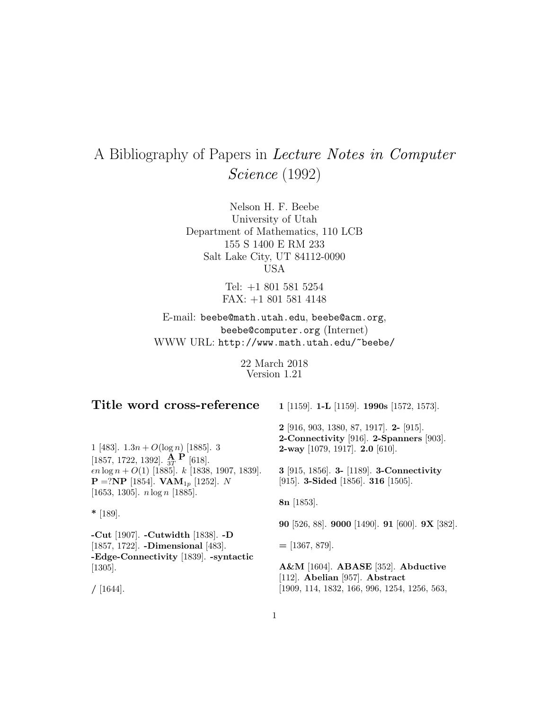# A Bibliography of Papers in Lecture Notes in Computer Science (1992)

Nelson H. F. Beebe University of Utah Department of Mathematics, 110 LCB 155 S 1400 E RM 233 Salt Lake City, UT 84112-0090 USA

> Tel: +1 801 581 5254 FAX: +1 801 581 4148

E-mail: beebe@math.utah.edu, beebe@acm.org, beebe@computer.org (Internet) WWW URL: http://www.math.utah.edu/~beebe/

> 22 March 2018 Version 1.21

## **Title word cross-reference**

[1857, 1722, 1392].  $\frac{\mathbf{A}}{3T}$  **P** [618].

[1653, 1305]. n log n [1885].

**P** =?**NP** [1854]. **VAM**<sub>1p</sub> [1252]. N

**-Cut** [1907]. **-Cutwidth** [1838]. **-D** [1857, 1722]. **-Dimensional** [483]. **-Edge-Connectivity** [1839]. **-syntactic** **1** [1159]. **1-L** [1159]. **1990s** [1572, 1573].

**2** [916, 903, 1380, 87, 1917]. **2-** [915].

1 [483].  $1.3n + O(\log n)$  [1885]. 3  $\epsilon n \log n + O(1)$  [1885].  $k$  [1838, 1907, 1839]. **2-Connectivity** [916]. **2-Spanners** [903]. **2-way** [1079, 1917]. **2.0** [610].

**3** [915, 1856]. **3-** [1189]. **3-Connectivity** [915]. **3-Sided** [1856]. **316** [1505].

**8n** [1853].

**90** [526, 88]. **9000** [1490]. **91** [600]. **9X** [382].

**=** [1367, 879].

**A&M** [1604]. **ABASE** [352]. **Abductive** [112]. **Abelian** [957]. **Abstract** [1909, 114, 1832, 166, 996, 1254, 1256, 563,

**/** [1644].

[1305].

**\*** [189].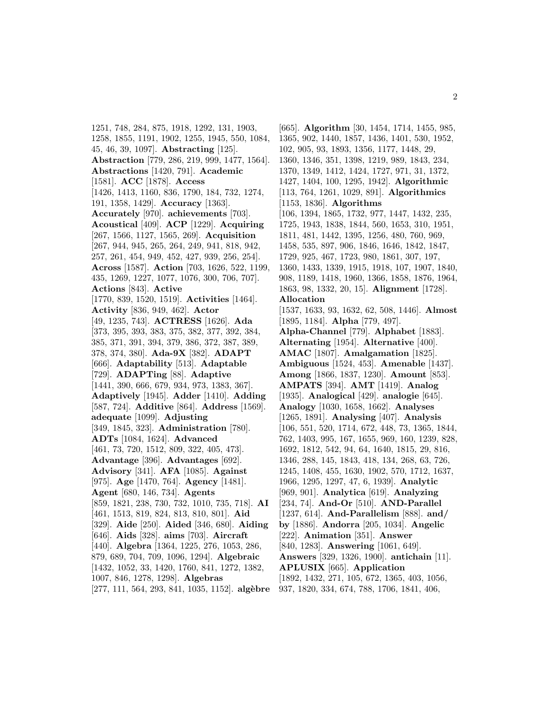1251, 748, 284, 875, 1918, 1292, 131, 1903, 1258, 1855, 1191, 1902, 1255, 1945, 550, 1084, 45, 46, 39, 1097]. **Abstracting** [125]. **Abstraction** [779, 286, 219, 999, 1477, 1564]. **Abstractions** [1420, 791]. **Academic** [1581]. **ACC** [1878]. **Access** [1426, 1413, 1160, 836, 1790, 184, 732, 1274, 191, 1358, 1429]. **Accuracy** [1363]. **Accurately** [970]. **achievements** [703]. **Acoustical** [409]. **ACP** [1229]. **Acquiring** [267, 1566, 1127, 1565, 269]. **Acquisition** [267, 944, 945, 265, 264, 249, 941, 818, 942, 257, 261, 454, 949, 452, 427, 939, 256, 254]. **Across** [1587]. **Action** [703, 1626, 522, 1199, 435, 1269, 1227, 1077, 1076, 300, 706, 707]. **Actions** [843]. **Active** [1770, 839, 1520, 1519]. **Activities** [1464]. **Activity** [836, 949, 462]. **Actor** [49, 1235, 743]. **ACTRESS** [1626]. **Ada** [373, 395, 393, 383, 375, 382, 377, 392, 384, 385, 371, 391, 394, 379, 386, 372, 387, 389, 378, 374, 380]. **Ada-9X** [382]. **ADAPT** [666]. **Adaptability** [513]. **Adaptable** [729]. **ADAPTing** [88]. **Adaptive** [1441, 390, 666, 679, 934, 973, 1383, 367]. **Adaptively** [1945]. **Adder** [1410]. **Adding** [587, 724]. **Additive** [864]. **Address** [1569]. **adequate** [1099]. **Adjusting** [349, 1845, 323]. **Administration** [780]. **ADTs** [1084, 1624]. **Advanced** [461, 73, 720, 1512, 809, 322, 405, 473]. **Advantage** [396]. **Advantages** [692]. **Advisory** [341]. **AFA** [1085]. **Against** [975]. **Age** [1470, 764]. **Agency** [1481]. **Agent** [680, 146, 734]. **Agents** [859, 1821, 238, 730, 732, 1010, 735, 718]. **AI** [461, 1513, 819, 824, 813, 810, 801]. **Aid** [329]. **Aide** [250]. **Aided** [346, 680]. **Aiding** [646]. **Aids** [328]. **aims** [703]. **Aircraft** [440]. **Algebra** [1364, 1225, 276, 1053, 286, 879, 689, 704, 709, 1096, 1294]. **Algebraic** [1432, 1052, 33, 1420, 1760, 841, 1272, 1382, 1007, 846, 1278, 1298]. **Algebras** [277, 111, 564, 293, 841, 1035, 1152]. **alg`ebre**

[665]. **Algorithm** [30, 1454, 1714, 1455, 985, 1365, 902, 1440, 1857, 1436, 1401, 530, 1952, 102, 905, 93, 1893, 1356, 1177, 1448, 29, 1360, 1346, 351, 1398, 1219, 989, 1843, 234, 1370, 1349, 1412, 1424, 1727, 971, 31, 1372, 1427, 1404, 100, 1295, 1942]. **Algorithmic** [113, 764, 1261, 1029, 891]. **Algorithmics** [1153, 1836]. **Algorithms** [106, 1394, 1865, 1732, 977, 1447, 1432, 235, 1725, 1943, 1838, 1844, 560, 1653, 310, 1951, 1811, 481, 1442, 1395, 1256, 480, 760, 969, 1458, 535, 897, 906, 1846, 1646, 1842, 1847, 1729, 925, 467, 1723, 980, 1861, 307, 197, 1360, 1433, 1339, 1915, 1918, 107, 1907, 1840, 908, 1189, 1418, 1960, 1366, 1858, 1876, 1964, 1863, 98, 1332, 20, 15]. **Alignment** [1728]. **Allocation** [1537, 1633, 93, 1632, 62, 508, 1446]. **Almost** [1895, 1184]. **Alpha** [779, 497]. **Alpha-Channel** [779]. **Alphabet** [1883]. **Alternating** [1954]. **Alternative** [400]. **AMAC** [1807]. **Amalgamation** [1825]. **Ambiguous** [1524, 453]. **Amenable** [1437]. **Among** [1866, 1837, 1230]. **Amount** [853]. **AMPATS** [394]. **AMT** [1419]. **Analog** [1935]. **Analogical** [429]. **analogie** [645]. **Analogy** [1030, 1658, 1662]. **Analyses** [1265, 1891]. **Analysing** [407]. **Analysis** [106, 551, 520, 1714, 672, 448, 73, 1365, 1844, 762, 1403, 995, 167, 1655, 969, 160, 1239, 828, 1692, 1812, 542, 94, 64, 1640, 1815, 29, 816, 1346, 288, 145, 1843, 418, 134, 268, 63, 726, 1245, 1408, 455, 1630, 1902, 570, 1712, 1637, 1966, 1295, 1297, 47, 6, 1939]. **Analytic** [969, 901]. **Analytica** [619]. **Analyzing** [234, 74]. **And-Or** [510]. **AND-Parallel** [1237, 614]. **And-Parallelism** [888]. **and/ by** [1886]. **Andorra** [205, 1034]. **Angelic** [222]. **Animation** [351]. **Answer** [840, 1283]. **Answering** [1061, 649]. **Answers** [329, 1326, 1900]. **antichain** [11]. **APLUSIX** [665]. **Application** [1892, 1432, 271, 105, 672, 1365, 403, 1056, 937, 1820, 334, 674, 788, 1706, 1841, 406,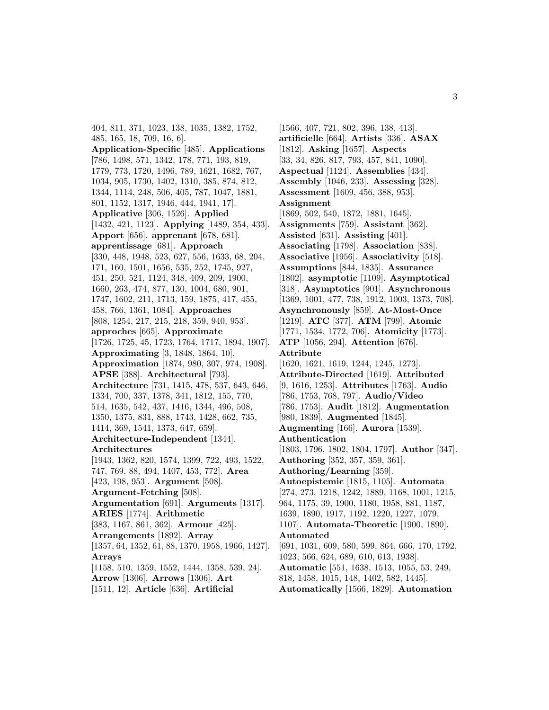404, 811, 371, 1023, 138, 1035, 1382, 1752, 485, 165, 18, 709, 16, 6]. **Application-Specific** [485]. **Applications** [786, 1498, 571, 1342, 178, 771, 193, 819, 1779, 773, 1720, 1496, 789, 1621, 1682, 767, 1034, 905, 1730, 1402, 1310, 385, 874, 812, 1344, 1114, 248, 506, 405, 787, 1047, 1881, 801, 1152, 1317, 1946, 444, 1941, 17]. **Applicative** [306, 1526]. **Applied** [1432, 421, 1123]. **Applying** [1489, 354, 433]. **Apport** [656]. **apprenant** [678, 681]. **apprentissage** [681]. **Approach** [330, 448, 1948, 523, 627, 556, 1633, 68, 204, 171, 160, 1501, 1656, 535, 252, 1745, 927, 451, 250, 521, 1124, 348, 409, 209, 1900, 1660, 263, 474, 877, 130, 1004, 680, 901, 1747, 1602, 211, 1713, 159, 1875, 417, 455, 458, 766, 1361, 1084]. **Approaches** [808, 1254, 217, 215, 218, 359, 940, 953]. **approches** [665]. **Approximate** [1726, 1725, 45, 1723, 1764, 1717, 1894, 1907]. **Approximating** [3, 1848, 1864, 10]. **Approximation** [1874, 980, 307, 974, 1908]. **APSE** [388]. **Architectural** [793]. **Architecture** [731, 1415, 478, 537, 643, 646, 1334, 700, 337, 1378, 341, 1812, 155, 770, 514, 1635, 542, 437, 1416, 1344, 496, 508, 1350, 1375, 831, 888, 1743, 1428, 662, 735, 1414, 369, 1541, 1373, 647, 659]. **Architecture-Independent** [1344]. **Architectures** [1943, 1362, 820, 1574, 1399, 722, 493, 1522, 747, 769, 88, 494, 1407, 453, 772]. **Area** [423, 198, 953]. **Argument** [508]. **Argument-Fetching** [508]. **Argumentation** [691]. **Arguments** [1317]. **ARIES** [1774]. **Arithmetic** [383, 1167, 861, 362]. **Armour** [425]. **Arrangements** [1892]. **Array** [1357, 64, 1352, 61, 88, 1370, 1958, 1966, 1427]. **Arrays** [1158, 510, 1359, 1552, 1444, 1358, 539, 24]. **Arrow** [1306]. **Arrows** [1306]. **Art** [1511, 12]. **Article** [636]. **Artificial**

[1566, 407, 721, 802, 396, 138, 413]. **artificielle** [664]. **Artists** [336]. **ASAX** [1812]. **Asking** [1657]. **Aspects** [33, 34, 826, 817, 793, 457, 841, 1090]. **Aspectual** [1124]. **Assemblies** [434]. **Assembly** [1046, 233]. **Assessing** [328]. **Assessment** [1609, 456, 388, 953]. **Assignment** [1869, 502, 540, 1872, 1881, 1645]. **Assignments** [759]. **Assistant** [362]. **Assisted** [631]. **Assisting** [401]. **Associating** [1798]. **Association** [838]. **Associative** [1956]. **Associativity** [518]. **Assumptions** [844, 1835]. **Assurance** [1802]. **asymptotic** [1109]. **Asymptotical** [318]. **Asymptotics** [901]. **Asynchronous** [1369, 1001, 477, 738, 1912, 1003, 1373, 708]. **Asynchronously** [859]. **At-Most-Once** [1219]. **ATC** [377]. **ATM** [799]. **Atomic** [1771, 1534, 1772, 706]. **Atomicity** [1773]. **ATP** [1056, 294]. **Attention** [676]. **Attribute** [1620, 1621, 1619, 1244, 1245, 1273]. **Attribute-Directed** [1619]. **Attributed** [9, 1616, 1253]. **Attributes** [1763]. **Audio** [786, 1753, 768, 797]. **Audio/Video** [786, 1753]. **Audit** [1812]. **Augmentation** [980, 1839]. **Augmented** [1845]. **Augmenting** [166]. **Aurora** [1539]. **Authentication** [1803, 1796, 1802, 1804, 1797]. **Author** [347]. **Authoring** [352, 357, 359, 361]. **Authoring/Learning** [359]. **Autoepistemic** [1815, 1105]. **Automata** [274, 273, 1218, 1242, 1889, 1168, 1001, 1215, 964, 1175, 39, 1900, 1180, 1958, 881, 1187, 1639, 1890, 1917, 1192, 1220, 1227, 1079, 1107]. **Automata-Theoretic** [1900, 1890]. **Automated** [691, 1031, 609, 580, 599, 864, 666, 170, 1792, 1023, 566, 624, 689, 610, 613, 1938]. **Automatic** [551, 1638, 1513, 1055, 53, 249, 818, 1458, 1015, 148, 1402, 582, 1445]. **Automatically** [1566, 1829]. **Automation**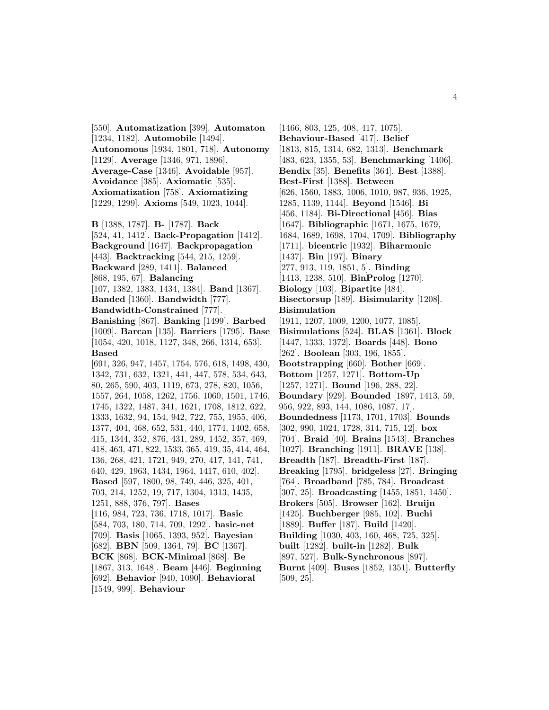[550]. **Automatization** [399]. **Automaton** [1234, 1182]. **Automobile** [1494]. **Autonomous** [1934, 1801, 718]. **Autonomy** [1129]. **Average** [1346, 971, 1896]. **Average-Case** [1346]. **Avoidable** [957]. **Avoidance** [385]. **Axiomatic** [535]. **Axiomatization** [758]. **Axiomatizing** [1229, 1299]. **Axioms** [549, 1023, 1044].

**B** [1388, 1787]. **B-** [1787]. **Back** [524, 41, 1412]. **Back-Propagation** [1412]. **Background** [1647]. **Backpropagation** [443]. **Backtracking** [544, 215, 1259]. **Backward** [289, 1411]. **Balanced** [868, 195, 67]. **Balancing** [107, 1382, 1383, 1434, 1384]. **Band** [1367]. **Banded** [1360]. **Bandwidth** [777]. **Bandwidth-Constrained** [777]. **Banishing** [867]. **Banking** [1499]. **Barbed** [1009]. **Barcan** [135]. **Barriers** [1795]. **Base** [1054, 420, 1018, 1127, 348, 266, 1314, 653]. **Based** [691, 326, 947, 1457, 1754, 576, 618, 1498, 430, 1342, 731, 632, 1321, 441, 447, 578, 534, 643, 80, 265, 590, 403, 1119, 673, 278, 820, 1056, 1557, 264, 1058, 1262, 1756, 1060, 1501, 1746, 1745, 1322, 1487, 341, 1621, 1708, 1812, 622, 1333, 1632, 94, 154, 942, 722, 755, 1955, 406, 1377, 404, 468, 652, 531, 440, 1774, 1402, 658, 415, 1344, 352, 876, 431, 289, 1452, 357, 469, 418, 463, 471, 822, 1533, 365, 419, 35, 414, 464, 136, 268, 421, 1721, 949, 270, 417, 141, 741, 640, 429, 1963, 1434, 1964, 1417, 610, 402]. **Based** [597, 1800, 98, 749, 446, 325, 401, 703, 214, 1252, 19, 717, 1304, 1313, 1435, 1251, 888, 376, 797]. **Bases** [116, 984, 723, 736, 1718, 1017]. **Basic** [584, 703, 180, 714, 709, 1292]. **basic-net** [709]. **Basis** [1065, 1393, 952]. **Bayesian** [682]. **BBN** [509, 1364, 79]. **BC** [1367]. **BCK** [868]. **BCK-Minimal** [868]. **Be** [1867, 313, 1648]. **Beam** [446]. **Beginning** [692]. **Behavior** [940, 1090]. **Behavioral**

[1549, 999]. **Behaviour**

[1466, 803, 125, 408, 417, 1075]. **Behaviour-Based** [417]. **Belief** [1813, 815, 1314, 682, 1313]. **Benchmark** [483, 623, 1355, 53]. **Benchmarking** [1406]. **Bendix** [35]. **Benefits** [364]. **Best** [1388]. **Best-First** [1388]. **Between** [626, 1560, 1883, 1006, 1010, 987, 936, 1925, 1285, 1139, 1144]. **Beyond** [1546]. **Bi** [456, 1184]. **Bi-Directional** [456]. **Bias** [1647]. **Bibliographic** [1671, 1675, 1679, 1684, 1689, 1698, 1704, 1709]. **Bibliography** [1711]. **bicentric** [1932]. **Biharmonic** [1437]. **Bin** [197]. **Binary** [277, 913, 119, 1851, 5]. **Binding** [1413, 1238, 510]. **BinProlog** [1270]. **Biology** [103]. **Bipartite** [484]. **Bisectorsup** [189]. **Bisimularity** [1208]. **Bisimulation** [1911, 1207, 1009, 1200, 1077, 1085]. **Bisimulations** [524]. **BLAS** [1361]. **Block** [1447, 1333, 1372]. **Boards** [448]. **Bono** [262]. **Boolean** [303, 196, 1855]. **Bootstrapping** [660]. **Bother** [669]. **Bottom** [1257, 1271]. **Bottom-Up** [1257, 1271]. **Bound** [196, 288, 22]. **Boundary** [929]. **Bounded** [1897, 1413, 59, 956, 922, 893, 144, 1086, 1087, 17]. **Boundedness** [1173, 1701, 1703]. **Bounds** [302, 990, 1024, 1728, 314, 715, 12]. **box** [704]. **Braid** [40]. **Brains** [1543]. **Branches** [1027]. **Branching** [1911]. **BRAVE** [138]. **Breadth** [187]. **Breadth-First** [187]. **Breaking** [1795]. **bridgeless** [27]. **Bringing** [764]. **Broadband** [785, 784]. **Broadcast** [307, 25]. **Broadcasting** [1455, 1851, 1450]. **Brokers** [505]. **Browser** [162]. **Bruijn** [1425]. **Buchberger** [985, 102]. **Buchi** [1889]. **Buffer** [187]. **Build** [1420]. **Building** [1030, 403, 160, 468, 725, 325]. **built** [1282]. **built-in** [1282]. **Bulk** [897, 527]. **Bulk-Synchronous** [897]. **Burnt** [409]. **Buses** [1852, 1351]. **Butterfly** [509, 25].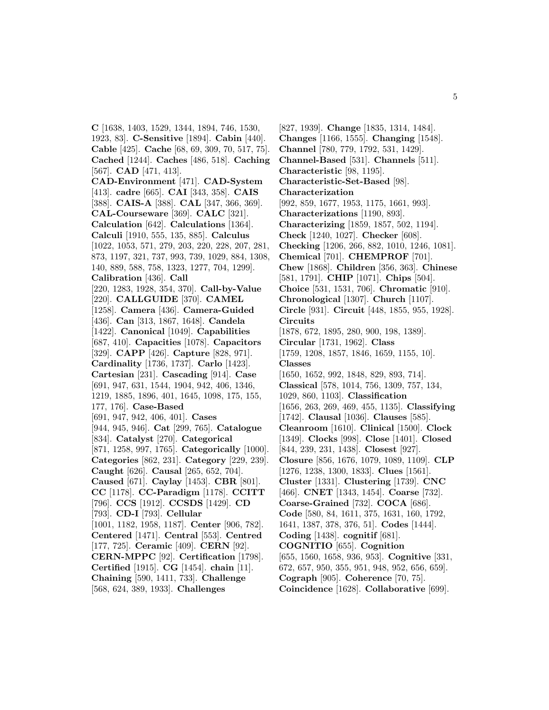**C** [1638, 1403, 1529, 1344, 1894, 746, 1530, 1923, 83]. **C-Sensitive** [1894]. **Cabin** [440]. **Cable** [425]. **Cache** [68, 69, 309, 70, 517, 75]. **Cached** [1244]. **Caches** [486, 518]. **Caching** [567]. **CAD** [471, 413]. **CAD-Environment** [471]. **CAD-System** [413]. **cadre** [665]. **CAI** [343, 358]. **CAIS** [388]. **CAIS-A** [388]. **CAL** [347, 366, 369]. **CAL-Courseware** [369]. **CALC** [321]. **Calculation** [642]. **Calculations** [1364]. **Calculi** [1910, 555, 135, 885]. **Calculus** [1022, 1053, 571, 279, 203, 220, 228, 207, 281, 873, 1197, 321, 737, 993, 739, 1029, 884, 1308, 140, 889, 588, 758, 1323, 1277, 704, 1299]. **Calibration** [436]. **Call** [220, 1283, 1928, 354, 370]. **Call-by-Value** [220]. **CALLGUIDE** [370]. **CAMEL** [1258]. **Camera** [436]. **Camera-Guided** [436]. **Can** [313, 1867, 1648]. **Candela** [1422]. **Canonical** [1049]. **Capabilities** [687, 410]. **Capacities** [1078]. **Capacitors** [329]. **CAPP** [426]. **Capture** [828, 971]. **Cardinality** [1736, 1737]. **Carlo** [1423]. **Cartesian** [231]. **Cascading** [914]. **Case** [691, 947, 631, 1544, 1904, 942, 406, 1346, 1219, 1885, 1896, 401, 1645, 1098, 175, 155, 177, 176]. **Case-Based** [691, 947, 942, 406, 401]. **Cases** [944, 945, 946]. **Cat** [299, 765]. **Catalogue** [834]. **Catalyst** [270]. **Categorical** [871, 1258, 997, 1765]. **Categorically** [1000]. **Categories** [862, 231]. **Category** [229, 239]. **Caught** [626]. **Causal** [265, 652, 704]. **Caused** [671]. **Caylay** [1453]. **CBR** [801]. **CC** [1178]. **CC-Paradigm** [1178]. **CCITT** [796]. **CCS** [1912]. **CCSDS** [1429]. **CD** [793]. **CD-I** [793]. **Cellular** [1001, 1182, 1958, 1187]. **Center** [906, 782]. **Centered** [1471]. **Central** [553]. **Centred** [177, 725]. **Ceramic** [409]. **CERN** [92]. **CERN-MPPC** [92]. **Certification** [1798]. **Certified** [1915]. **CG** [1454]. **chain** [11]. **Chaining** [590, 1411, 733]. **Challenge** [568, 624, 389, 1933]. **Challenges**

[827, 1939]. **Change** [1835, 1314, 1484]. **Changes** [1166, 1555]. **Changing** [1548]. **Channel** [780, 779, 1792, 531, 1429]. **Channel-Based** [531]. **Channels** [511]. **Characteristic** [98, 1195]. **Characteristic-Set-Based** [98]. **Characterization** [992, 859, 1677, 1953, 1175, 1661, 993]. **Characterizations** [1190, 893]. **Characterizing** [1859, 1857, 502, 1194]. **Check** [1240, 1027]. **Checker** [608]. **Checking** [1206, 266, 882, 1010, 1246, 1081]. **Chemical** [701]. **CHEMPROF** [701]. **Chew** [1868]. **Children** [356, 363]. **Chinese** [581, 1791]. **CHIP** [1071]. **Chips** [504]. **Choice** [531, 1531, 706]. **Chromatic** [910]. **Chronological** [1307]. **Church** [1107]. **Circle** [931]. **Circuit** [448, 1855, 955, 1928]. **Circuits** [1878, 672, 1895, 280, 900, 198, 1389]. **Circular** [1731, 1962]. **Class** [1759, 1208, 1857, 1846, 1659, 1155, 10]. **Classes** [1650, 1652, 992, 1848, 829, 893, 714]. **Classical** [578, 1014, 756, 1309, 757, 134, 1029, 860, 1103]. **Classification** [1656, 263, 269, 469, 455, 1135]. **Classifying** [1742]. **Clausal** [1036]. **Clauses** [585]. **Cleanroom** [1610]. **Clinical** [1500]. **Clock** [1349]. **Clocks** [998]. **Close** [1401]. **Closed** [844, 239, 231, 1438]. **Closest** [927]. **Closure** [856, 1676, 1079, 1089, 1109]. **CLP** [1276, 1238, 1300, 1833]. **Clues** [1561]. **Cluster** [1331]. **Clustering** [1739]. **CNC** [466]. **CNET** [1343, 1454]. **Coarse** [732]. **Coarse-Grained** [732]. **COCA** [686]. **Code** [580, 84, 1611, 375, 1631, 160, 1792, 1641, 1387, 378, 376, 51]. **Codes** [1444]. **Coding** [1438]. **cognitif** [681]. **COGNITIO** [655]. **Cognition** [655, 1560, 1658, 936, 953]. **Cognitive** [331, 672, 657, 950, 355, 951, 948, 952, 656, 659]. **Cograph** [905]. **Coherence** [70, 75]. **Coincidence** [1628]. **Collaborative** [699].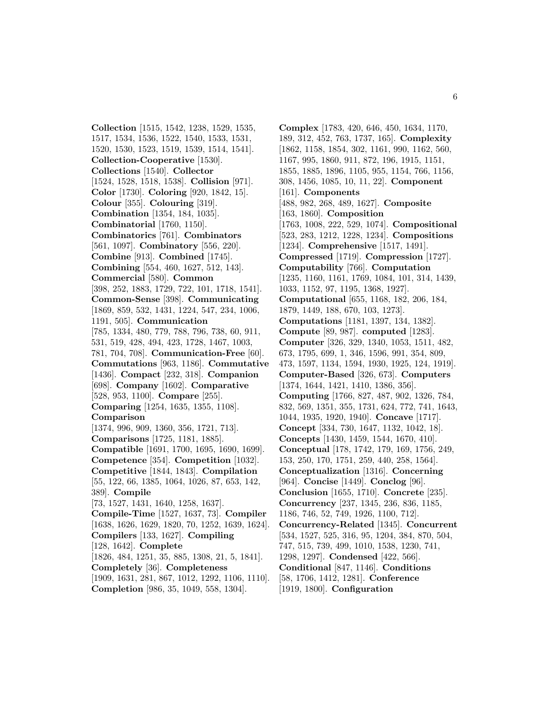**Collection** [1515, 1542, 1238, 1529, 1535, 1517, 1534, 1536, 1522, 1540, 1533, 1531, 1520, 1530, 1523, 1519, 1539, 1514, 1541]. **Collection-Cooperative** [1530]. **Collections** [1540]. **Collector** [1524, 1528, 1518, 1538]. **Collision** [971]. **Color** [1730]. **Coloring** [920, 1842, 15]. **Colour** [355]. **Colouring** [319]. **Combination** [1354, 184, 1035]. **Combinatorial** [1760, 1150]. **Combinatorics** [761]. **Combinators** [561, 1097]. **Combinatory** [556, 220]. **Combine** [913]. **Combined** [1745]. **Combining** [554, 460, 1627, 512, 143]. **Commercial** [580]. **Common** [398, 252, 1883, 1729, 722, 101, 1718, 1541]. **Common-Sense** [398]. **Communicating** [1869, 859, 532, 1431, 1224, 547, 234, 1006, 1191, 505]. **Communication** [785, 1334, 480, 779, 788, 796, 738, 60, 911, 531, 519, 428, 494, 423, 1728, 1467, 1003, 781, 704, 708]. **Communication-Free** [60]. **Commutations** [963, 1186]. **Commutative** [1436]. **Compact** [232, 318]. **Companion** [698]. **Company** [1602]. **Comparative** [528, 953, 1100]. **Compare** [255]. **Comparing** [1254, 1635, 1355, 1108]. **Comparison** [1374, 996, 909, 1360, 356, 1721, 713]. **Comparisons** [1725, 1181, 1885]. **Compatible** [1691, 1700, 1695, 1690, 1699]. **Competence** [354]. **Competition** [1032]. **Competitive** [1844, 1843]. **Compilation** [55, 122, 66, 1385, 1064, 1026, 87, 653, 142, 389]. **Compile** [73, 1527, 1431, 1640, 1258, 1637]. **Compile-Time** [1527, 1637, 73]. **Compiler** [1638, 1626, 1629, 1820, 70, 1252, 1639, 1624]. **Compilers** [133, 1627]. **Compiling** [128, 1642]. **Complete** [1826, 484, 1251, 35, 885, 1308, 21, 5, 1841]. **Completely** [36]. **Completeness** [1909, 1631, 281, 867, 1012, 1292, 1106, 1110]. **Completion** [986, 35, 1049, 558, 1304].

**Complex** [1783, 420, 646, 450, 1634, 1170, 189, 312, 452, 763, 1737, 165]. **Complexity** [1862, 1158, 1854, 302, 1161, 990, 1162, 560, 1167, 995, 1860, 911, 872, 196, 1915, 1151, 1855, 1885, 1896, 1105, 955, 1154, 766, 1156, 308, 1456, 1085, 10, 11, 22]. **Component** [161]. **Components** [488, 982, 268, 489, 1627]. **Composite** [163, 1860]. **Composition** [1763, 1008, 222, 529, 1074]. **Compositional** [523, 283, 1212, 1228, 1234]. **Compositions** [1234]. **Comprehensive** [1517, 1491]. **Compressed** [1719]. **Compression** [1727]. **Computability** [766]. **Computation** [1235, 1160, 1161, 1769, 1084, 101, 314, 1439, 1033, 1152, 97, 1195, 1368, 1927]. **Computational** [655, 1168, 182, 206, 184, 1879, 1449, 188, 670, 103, 1273]. **Computations** [1181, 1397, 134, 1382]. **Compute** [89, 987]. **computed** [1283]. **Computer** [326, 329, 1340, 1053, 1511, 482, 673, 1795, 699, 1, 346, 1596, 991, 354, 809, 473, 1597, 1134, 1594, 1930, 1925, 124, 1919]. **Computer-Based** [326, 673]. **Computers** [1374, 1644, 1421, 1410, 1386, 356]. **Computing** [1766, 827, 487, 902, 1326, 784, 832, 569, 1351, 355, 1731, 624, 772, 741, 1643, 1044, 1935, 1920, 1940]. **Concave** [1717]. **Concept** [334, 730, 1647, 1132, 1042, 18]. **Concepts** [1430, 1459, 1544, 1670, 410]. **Conceptual** [178, 1742, 179, 169, 1756, 249, 153, 250, 170, 1751, 259, 440, 258, 1564]. **Conceptualization** [1316]. **Concerning** [964]. **Concise** [1449]. **Conclog** [96]. **Conclusion** [1655, 1710]. **Concrete** [235]. **Concurrency** [237, 1345, 236, 836, 1185, 1186, 746, 52, 749, 1926, 1100, 712]. **Concurrency-Related** [1345]. **Concurrent** [534, 1527, 525, 316, 95, 1204, 384, 870, 504, 747, 515, 739, 499, 1010, 1538, 1230, 741, 1298, 1297]. **Condensed** [422, 566]. **Conditional** [847, 1146]. **Conditions** [58, 1706, 1412, 1281]. **Conference** [1919, 1800]. **Configuration**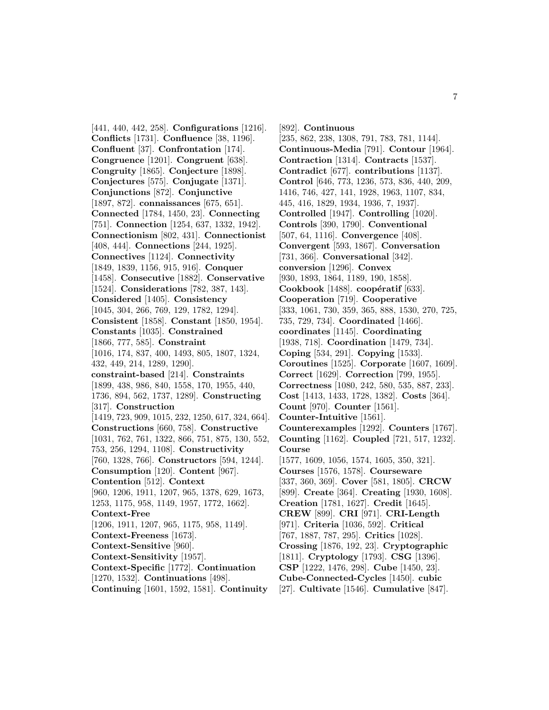[441, 440, 442, 258]. **Configurations** [1216]. **Conflicts** [1731]. **Confluence** [38, 1196]. **Confluent** [37]. **Confrontation** [174]. **Congruence** [1201]. **Congruent** [638]. **Congruity** [1865]. **Conjecture** [1898]. **Conjectures** [575]. **Conjugate** [1371]. **Conjunctions** [872]. **Conjunctive** [1897, 872]. **connaissances** [675, 651]. **Connected** [1784, 1450, 23]. **Connecting** [751]. **Connection** [1254, 637, 1332, 1942]. **Connectionism** [802, 431]. **Connectionist** [408, 444]. **Connections** [244, 1925]. **Connectives** [1124]. **Connectivity** [1849, 1839, 1156, 915, 916]. **Conquer** [1458]. **Consecutive** [1882]. **Conservative** [1524]. **Considerations** [782, 387, 143]. **Considered** [1405]. **Consistency** [1045, 304, 266, 769, 129, 1782, 1294]. **Consistent** [1858]. **Constant** [1850, 1954]. **Constants** [1035]. **Constrained** [1866, 777, 585]. **Constraint** [1016, 174, 837, 400, 1493, 805, 1807, 1324, 432, 449, 214, 1289, 1290]. **constraint-based** [214]. **Constraints** [1899, 438, 986, 840, 1558, 170, 1955, 440, 1736, 894, 562, 1737, 1289]. **Constructing** [317]. **Construction** [1419, 723, 909, 1015, 232, 1250, 617, 324, 664]. **Constructions** [660, 758]. **Constructive** [1031, 762, 761, 1322, 866, 751, 875, 130, 552, 753, 256, 1294, 1108]. **Constructivity** [760, 1328, 766]. **Constructors** [594, 1244]. **Consumption** [120]. **Content** [967]. **Contention** [512]. **Context** [960, 1206, 1911, 1207, 965, 1378, 629, 1673, 1253, 1175, 958, 1149, 1957, 1772, 1662]. **Context-Free** [1206, 1911, 1207, 965, 1175, 958, 1149]. **Context-Freeness** [1673]. **Context-Sensitive** [960]. **Context-Sensitivity** [1957]. **Context-Specific** [1772]. **Continuation** [1270, 1532]. **Continuations** [498]. **Continuing** [1601, 1592, 1581]. **Continuity**

[892]. **Continuous** [235, 862, 238, 1308, 791, 783, 781, 1144]. **Continuous-Media** [791]. **Contour** [1964]. **Contraction** [1314]. **Contracts** [1537]. **Contradict** [677]. **contributions** [1137]. **Control** [646, 773, 1236, 573, 836, 440, 209, 1416, 746, 427, 141, 1928, 1963, 1107, 834, 445, 416, 1829, 1934, 1936, 7, 1937]. **Controlled** [1947]. **Controlling** [1020]. **Controls** [390, 1790]. **Conventional** [507, 64, 1116]. **Convergence** [408]. **Convergent** [593, 1867]. **Conversation** [731, 366]. **Conversational** [342]. **conversion** [1296]. **Convex** [930, 1893, 1864, 1189, 190, 1858]. **Cookbook** [1488]. **coopératif** [633]. **Cooperation** [719]. **Cooperative** [333, 1061, 730, 359, 365, 888, 1530, 270, 725, 735, 729, 734]. **Coordinated** [1466]. **coordinates** [1145]. **Coordinating** [1938, 718]. **Coordination** [1479, 734]. **Coping** [534, 291]. **Copying** [1533]. **Coroutines** [1525]. **Corporate** [1607, 1609]. **Correct** [1629]. **Correction** [799, 1955]. **Correctness** [1080, 242, 580, 535, 887, 233]. **Cost** [1413, 1433, 1728, 1382]. **Costs** [364]. **Count** [970]. **Counter** [1561]. **Counter-Intuitive** [1561]. **Counterexamples** [1292]. **Counters** [1767]. **Counting** [1162]. **Coupled** [721, 517, 1232]. **Course** [1577, 1609, 1056, 1574, 1605, 350, 321]. **Courses** [1576, 1578]. **Courseware** [337, 360, 369]. **Cover** [581, 1805]. **CRCW** [899]. **Create** [364]. **Creating** [1930, 1608]. **Creation** [1781, 1627]. **Credit** [1645]. **CREW** [899]. **CRI** [971]. **CRI-Length** [971]. **Criteria** [1036, 592]. **Critical** [767, 1887, 787, 295]. **Critics** [1028]. **Crossing** [1876, 192, 23]. **Cryptographic** [1811]. **Cryptology** [1793]. **CSG** [1396]. **CSP** [1222, 1476, 298]. **Cube** [1450, 23]. **Cube-Connected-Cycles** [1450]. **cubic** [27]. **Cultivate** [1546]. **Cumulative** [847].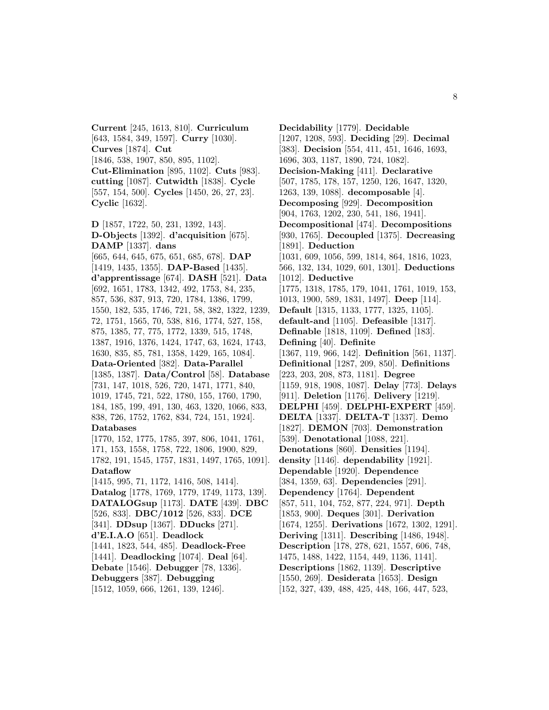**Current** [245, 1613, 810]. **Curriculum** [643, 1584, 349, 1597]. **Curry** [1030]. **Curves** [1874]. **Cut** [1846, 538, 1907, 850, 895, 1102]. **Cut-Elimination** [895, 1102]. **Cuts** [983]. **cutting** [1087]. **Cutwidth** [1838]. **Cycle** [557, 154, 500]. **Cycles** [1450, 26, 27, 23]. **Cyclic** [1632].

**D** [1857, 1722, 50, 231, 1392, 143]. **D-Objects** [1392]. **d'acquisition** [675]. **DAMP** [1337]. **dans** [665, 644, 645, 675, 651, 685, 678]. **DAP** [1419, 1435, 1355]. **DAP-Based** [1435]. **d'apprentissage** [674]. **DASH** [521]. **Data** [692, 1651, 1783, 1342, 492, 1753, 84, 235, 857, 536, 837, 913, 720, 1784, 1386, 1799, 1550, 182, 535, 1746, 721, 58, 382, 1322, 1239, 72, 1751, 1565, 70, 538, 816, 1774, 527, 158, 875, 1385, 77, 775, 1772, 1339, 515, 1748, 1387, 1916, 1376, 1424, 1747, 63, 1624, 1743, 1630, 835, 85, 781, 1358, 1429, 165, 1084]. **Data-Oriented** [382]. **Data-Parallel** [1385, 1387]. **Data/Control** [58]. **Database** [731, 147, 1018, 526, 720, 1471, 1771, 840, 1019, 1745, 721, 522, 1780, 155, 1760, 1790, 184, 185, 199, 491, 130, 463, 1320, 1066, 833, 838, 726, 1752, 1762, 834, 724, 151, 1924]. **Databases** [1770, 152, 1775, 1785, 397, 806, 1041, 1761, 171, 153, 1558, 1758, 722, 1806, 1900, 829, 1782, 191, 1545, 1757, 1831, 1497, 1765, 1091]. **Dataflow** [1415, 995, 71, 1172, 1416, 508, 1414]. **Datalog** [1778, 1769, 1779, 1749, 1173, 139]. **DATALOGsup** [1173]. **DATE** [439]. **DBC** [526, 833]. **DBC/1012** [526, 833]. **DCE** [341]. **DDsup** [1367]. **DDucks** [271]. **d'E.I.A.O** [651]. **Deadlock** [1441, 1823, 544, 485]. **Deadlock-Free** [1441]. **Deadlocking** [1074]. **Deal** [64]. **Debate** [1546]. **Debugger** [78, 1336]. **Debuggers** [387]. **Debugging** [1512, 1059, 666, 1261, 139, 1246].

**Decidability** [1779]. **Decidable** [1207, 1208, 593]. **Deciding** [29]. **Decimal** [383]. **Decision** [554, 411, 451, 1646, 1693, 1696, 303, 1187, 1890, 724, 1082]. **Decision-Making** [411]. **Declarative** [507, 1785, 178, 157, 1250, 126, 1647, 1320, 1263, 139, 1088]. **decomposable** [4]. **Decomposing** [929]. **Decomposition** [904, 1763, 1202, 230, 541, 186, 1941]. **Decompositional** [474]. **Decompositions** [930, 1765]. **Decoupled** [1375]. **Decreasing** [1891]. **Deduction** [1031, 609, 1056, 599, 1814, 864, 1816, 1023, 566, 132, 134, 1029, 601, 1301]. **Deductions** [1012]. **Deductive** [1775, 1318, 1785, 179, 1041, 1761, 1019, 153, 1013, 1900, 589, 1831, 1497]. **Deep** [114]. **Default** [1315, 1133, 1777, 1325, 1105]. **default-and** [1105]. **Defeasible** [1317]. **Definable** [1818, 1109]. **Defined** [183]. **Defining** [40]. **Definite** [1367, 119, 966, 142]. **Definition** [561, 1137]. **Definitional** [1287, 209, 850]. **Definitions** [223, 203, 208, 873, 1181]. **Degree** [1159, 918, 1908, 1087]. **Delay** [773]. **Delays** [911]. **Deletion** [1176]. **Delivery** [1219]. **DELPHI** [459]. **DELPHI-EXPERT** [459]. **DELTA** [1337]. **DELTA-T** [1337]. **Demo** [1827]. **DEMON** [703]. **Demonstration** [539]. **Denotational** [1088, 221]. **Denotations** [860]. **Densities** [1194]. **density** [1146]. **dependability** [1921]. **Dependable** [1920]. **Dependence** [384, 1359, 63]. **Dependencies** [291]. **Dependency** [1764]. **Dependent** [857, 511, 104, 752, 877, 224, 971]. **Depth** [1853, 900]. **Deques** [301]. **Derivation** [1674, 1255]. **Derivations** [1672, 1302, 1291]. **Deriving** [1311]. **Describing** [1486, 1948]. **Description** [178, 278, 621, 1557, 606, 748, 1475, 1488, 1422, 1154, 449, 1136, 1141]. **Descriptions** [1862, 1139]. **Descriptive** [1550, 269]. **Desiderata** [1653]. **Design** [152, 327, 439, 488, 425, 448, 166, 447, 523,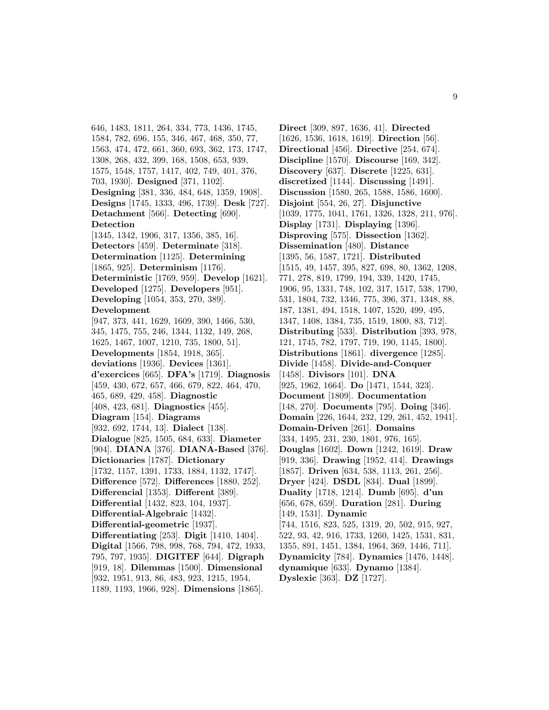646, 1483, 1811, 264, 334, 773, 1436, 1745, 1584, 782, 696, 155, 346, 467, 468, 350, 77, 1563, 474, 472, 661, 360, 693, 362, 173, 1747, 1308, 268, 432, 399, 168, 1508, 653, 939, 1575, 1548, 1757, 1417, 402, 749, 401, 376, 703, 1930]. **Designed** [371, 1102]. **Designing** [381, 336, 484, 648, 1359, 1908]. **Designs** [1745, 1333, 496, 1739]. **Desk** [727]. **Detachment** [566]. **Detecting** [690]. **Detection** [1345, 1342, 1906, 317, 1356, 385, 16]. **Detectors** [459]. **Determinate** [318]. **Determination** [1125]. **Determining** [1865, 925]. **Determinism** [1176]. **Deterministic** [1769, 959]. **Develop** [1621]. **Developed** [1275]. **Developers** [951]. **Developing** [1054, 353, 270, 389]. **Development** [947, 373, 441, 1629, 1609, 390, 1466, 530, 345, 1475, 755, 246, 1344, 1132, 149, 268, 1625, 1467, 1007, 1210, 735, 1800, 51]. **Developments** [1854, 1918, 365]. **deviations** [1936]. **Devices** [1361]. **d'exercices** [665]. **DFA's** [1719]. **Diagnosis** [459, 430, 672, 657, 466, 679, 822, 464, 470, 465, 689, 429, 458]. **Diagnostic** [408, 423, 681]. **Diagnostics** [455]. **Diagram** [154]. **Diagrams** [932, 692, 1744, 13]. **Dialect** [138]. **Dialogue** [825, 1505, 684, 633]. **Diameter** [904]. **DIANA** [376]. **DIANA-Based** [376]. **Dictionaries** [1787]. **Dictionary** [1732, 1157, 1391, 1733, 1884, 1132, 1747]. **Difference** [572]. **Differences** [1880, 252]. **Differencial** [1353]. **Different** [389]. **Differential** [1432, 823, 104, 1937]. **Differential-Algebraic** [1432]. **Differential-geometric** [1937]. **Differentiating** [253]. **Digit** [1410, 1404]. **Digital** [1566, 798, 998, 768, 794, 472, 1933, 795, 797, 1935]. **DIGITEF** [644]. **Digraph** [919, 18]. **Dilemmas** [1500]. **Dimensional** [932, 1951, 913, 86, 483, 923, 1215, 1954,

1189, 1193, 1966, 928]. **Dimensions** [1865].

**Direct** [309, 897, 1636, 41]. **Directed** [1626, 1536, 1618, 1619]. **Direction** [56]. **Directional** [456]. **Directive** [254, 674]. **Discipline** [1570]. **Discourse** [169, 342]. **Discovery** [637]. **Discrete** [1225, 631]. **discretized** [1144]. **Discussing** [1491]. **Discussion** [1580, 265, 1588, 1586, 1600]. **Disjoint** [554, 26, 27]. **Disjunctive** [1039, 1775, 1041, 1761, 1326, 1328, 211, 976]. **Display** [1731]. **Displaying** [1396]. **Disproving** [575]. **Dissection** [1362]. **Dissemination** [480]. **Distance** [1395, 56, 1587, 1721]. **Distributed** [1515, 49, 1457, 395, 827, 698, 80, 1362, 1208, 771, 278, 819, 1799, 194, 339, 1420, 1745, 1906, 95, 1331, 748, 102, 317, 1517, 538, 1790, 531, 1804, 732, 1346, 775, 396, 371, 1348, 88, 187, 1381, 494, 1518, 1407, 1520, 499, 495, 1347, 1408, 1384, 735, 1519, 1800, 83, 712]. **Distributing** [533]. **Distribution** [393, 978, 121, 1745, 782, 1797, 719, 190, 1145, 1800]. **Distributions** [1861]. **divergence** [1285]. **Divide** [1458]. **Divide-and-Conquer** [1458]. **Divisors** [101]. **DNA** [925, 1962, 1664]. **Do** [1471, 1544, 323]. **Document** [1809]. **Documentation** [148, 270]. **Documents** [795]. **Doing** [346]. **Domain** [226, 1644, 232, 129, 261, 452, 1941]. **Domain-Driven** [261]. **Domains** [334, 1495, 231, 230, 1801, 976, 165]. **Douglas** [1602]. **Down** [1242, 1619]. **Draw** [919, 336]. **Drawing** [1952, 414]. **Drawings** [1857]. **Driven** [634, 538, 1113, 261, 256]. **Dryer** [424]. **DSDL** [834]. **Dual** [1899]. **Duality** [1718, 1214]. **Dumb** [695]. **d'un** [656, 678, 659]. **Duration** [281]. **During** [149, 1531]. **Dynamic** [744, 1516, 823, 525, 1319, 20, 502, 915, 927, 522, 93, 42, 916, 1733, 1260, 1425, 1531, 831, 1355, 891, 1451, 1384, 1964, 369, 1446, 711]. **Dynamicity** [784]. **Dynamics** [1476, 1448]. **dynamique** [633]. **Dynamo** [1384]. **Dyslexic** [363]. **DZ** [1727].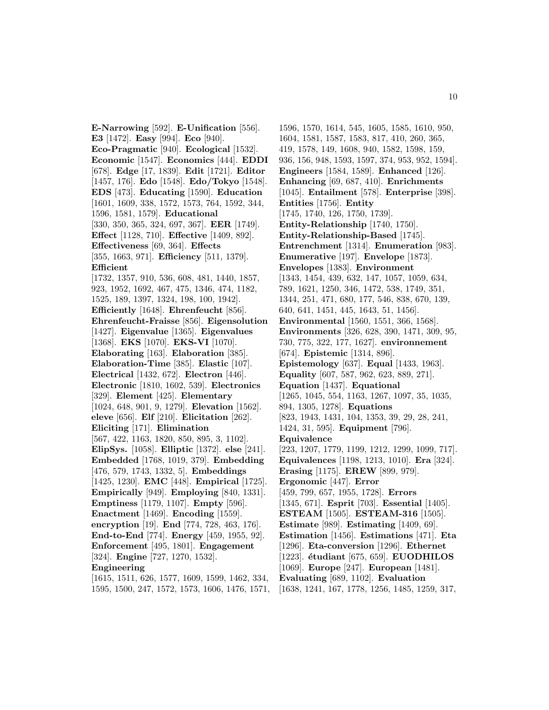**E-Narrowing** [592]. **E-Unification** [556]. **E3** [1472]. **Easy** [994]. **Eco** [940]. **Eco-Pragmatic** [940]. **Ecological** [1532]. **Economic** [1547]. **Economics** [444]. **EDDI** [678]. **Edge** [17, 1839]. **Edit** [1721]. **Editor** [1457, 176]. **Edo** [1548]. **Edo/Tokyo** [1548]. **EDS** [473]. **Educating** [1590]. **Education** [1601, 1609, 338, 1572, 1573, 764, 1592, 344, 1596, 1581, 1579]. **Educational** [330, 350, 365, 324, 697, 367]. **EER** [1749]. **Effect** [1128, 710]. **Effective** [1409, 892]. **Effectiveness** [69, 364]. **Effects** [355, 1663, 971]. **Efficiency** [511, 1379]. **Efficient** [1732, 1357, 910, 536, 608, 481, 1440, 1857, 923, 1952, 1692, 467, 475, 1346, 474, 1182, 1525, 189, 1397, 1324, 198, 100, 1942]. **Efficiently** [1648]. **Ehrenfeucht** [856]. **Ehrenfeucht-Fraisse** [856]. **Eigensolution** [1427]. **Eigenvalue** [1365]. **Eigenvalues** [1368]. **EKS** [1070]. **EKS-VI** [1070]. **Elaborating** [163]. **Elaboration** [385]. **Elaboration-Time** [385]. **Elastic** [107]. **Electrical** [1432, 672]. **Electron** [446]. **Electronic** [1810, 1602, 539]. **Electronics** [329]. **Element** [425]. **Elementary** [1024, 648, 901, 9, 1279]. **Elevation** [1562]. **eleve** [656]. **Elf** [210]. **Elicitation** [262]. **Eliciting** [171]. **Elimination** [567, 422, 1163, 1820, 850, 895, 3, 1102]. **ElipSys.** [1058]. **Elliptic** [1372]. **else** [241]. **Embedded** [1768, 1019, 379]. **Embedding** [476, 579, 1743, 1332, 5]. **Embeddings** [1425, 1230]. **EMC** [448]. **Empirical** [1725]. **Empirically** [949]. **Employing** [840, 1331]. **Emptiness** [1179, 1107]. **Empty** [596]. **Enactment** [1469]. **Encoding** [1559]. **encryption** [19]. **End** [774, 728, 463, 176]. **End-to-End** [774]. **Energy** [459, 1955, 92]. **Enforcement** [495, 1801]. **Engagement** [324]. **Engine** [727, 1270, 1532]. **Engineering** [1615, 1511, 626, 1577, 1609, 1599, 1462, 334,

1595, 1500, 247, 1572, 1573, 1606, 1476, 1571,

1596, 1570, 1614, 545, 1605, 1585, 1610, 950, 1604, 1581, 1587, 1583, 817, 410, 260, 365, 419, 1578, 149, 1608, 940, 1582, 1598, 159, 936, 156, 948, 1593, 1597, 374, 953, 952, 1594]. **Engineers** [1584, 1589]. **Enhanced** [126]. **Enhancing** [69, 687, 410]. **Enrichments** [1045]. **Entailment** [578]. **Enterprise** [398]. **Entities** [1756]. **Entity** [1745, 1740, 126, 1750, 1739]. **Entity-Relationship** [1740, 1750]. **Entity-Relationship-Based** [1745]. **Entrenchment** [1314]. **Enumeration** [983]. **Enumerative** [197]. **Envelope** [1873]. **Envelopes** [1383]. **Environment** [1343, 1454, 439, 632, 147, 1057, 1059, 634, 789, 1621, 1250, 346, 1472, 538, 1749, 351, 1344, 251, 471, 680, 177, 546, 838, 670, 139, 640, 641, 1451, 445, 1643, 51, 1456]. **Environmental** [1560, 1551, 366, 1568]. **Environments** [326, 628, 390, 1471, 309, 95, 730, 775, 322, 177, 1627]. **environnement** [674]. **Epistemic** [1314, 896]. **Epistemology** [637]. **Equal** [1433, 1963]. **Equality** [607, 587, 962, 623, 889, 271]. **Equation** [1437]. **Equational** [1265, 1045, 554, 1163, 1267, 1097, 35, 1035, 894, 1305, 1278]. **Equations** [823, 1943, 1431, 104, 1353, 39, 29, 28, 241, 1424, 31, 595]. **Equipment** [796]. **Equivalence** [223, 1207, 1779, 1199, 1212, 1299, 1099, 717]. **Equivalences** [1198, 1213, 1010]. **Era** [324]. **Erasing** [1175]. **EREW** [899, 979]. **Ergonomic** [447]. **Error** [459, 799, 657, 1955, 1728]. **Errors** [1345, 671]. **Esprit** [703]. **Essential** [1405]. **ESTEAM** [1505]. **ESTEAM-316** [1505]. **Estimate** [989]. **Estimating** [1409, 69]. **Estimation** [1456]. **Estimations** [471]. **Eta** [1296]. **Eta-conversion** [1296]. **Ethernet** [1223]. **´etudiant** [675, 659]. **EUODHILOS** [1069]. **Europe** [247]. **European** [1481]. **Evaluating** [689, 1102]. **Evaluation** [1638, 1241, 167, 1778, 1256, 1485, 1259, 317,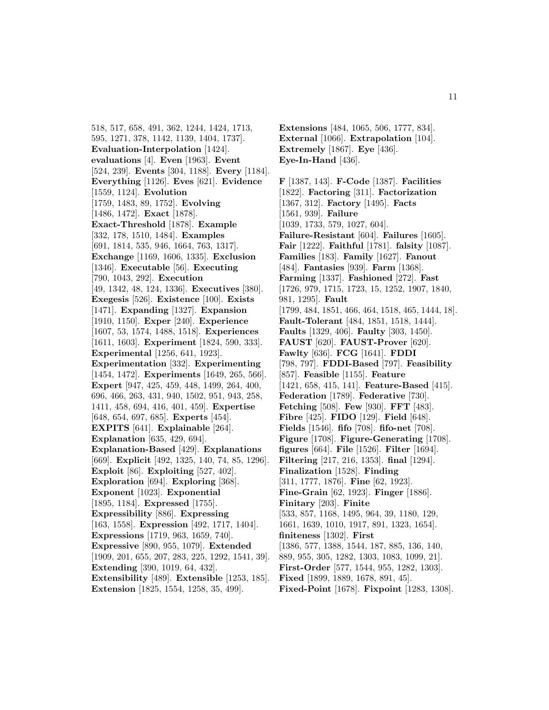518, 517, 658, 491, 362, 1244, 1424, 1713, 595, 1271, 378, 1142, 1139, 1404, 1737]. **Evaluation-Interpolation** [1424]. **evaluations** [4]. **Even** [1963]. **Event** [524, 239]. **Events** [304, 1188]. **Every** [1184]. **Everything** [1126]. **Eves** [621]. **Evidence** [1559, 1124]. **Evolution** [1759, 1483, 89, 1752]. **Evolving** [1486, 1472]. **Exact** [1878]. **Exact-Threshold** [1878]. **Example** [332, 178, 1510, 1484]. **Examples** [691, 1814, 535, 946, 1664, 763, 1317]. **Exchange** [1169, 1606, 1335]. **Exclusion** [1346]. **Executable** [56]. **Executing** [790, 1043, 292]. **Execution** [49, 1342, 48, 124, 1336]. **Executives** [380]. **Exegesis** [526]. **Existence** [100]. **Exists** [1471]. **Expanding** [1327]. **Expansion** [1910, 1150]. **Exper** [240]. **Experience** [1607, 53, 1574, 1488, 1518]. **Experiences** [1611, 1603]. **Experiment** [1824, 590, 333]. **Experimental** [1256, 641, 1923]. **Experimentation** [332]. **Experimenting** [1454, 1472]. **Experiments** [1649, 265, 566]. **Expert** [947, 425, 459, 448, 1499, 264, 400, 696, 466, 263, 431, 940, 1502, 951, 943, 258, 1411, 458, 694, 416, 401, 459]. **Expertise** [648, 654, 697, 685]. **Experts** [454]. **EXPITS** [641]. **Explainable** [264]. **Explanation** [635, 429, 694]. **Explanation-Based** [429]. **Explanations** [669]. **Explicit** [492, 1325, 140, 74, 85, 1296]. **Exploit** [86]. **Exploiting** [527, 402]. **Exploration** [694]. **Exploring** [368]. **Exponent** [1023]. **Exponential** [1895, 1184]. **Expressed** [1755]. **Expressibility** [886]. **Expressing** [163, 1558]. **Expression** [492, 1717, 1404]. **Expressions** [1719, 963, 1659, 740]. **Expressive** [890, 955, 1079]. **Extended** [1909, 201, 655, 207, 283, 225, 1292, 1541, 39]. **Extending** [390, 1019, 64, 432]. **Extensibility** [489]. **Extensible** [1253, 185]. **Extension** [1825, 1554, 1258, 35, 499].

**Extensions** [484, 1065, 506, 1777, 834]. **External** [1066]. **Extrapolation** [104]. **Extremely** [1867]. **Eye** [436]. **Eye-In-Hand** [436].

**F** [1387, 143]. **F-Code** [1387]. **Facilities** [1822]. **Factoring** [311]. **Factorization** [1367, 312]. **Factory** [1495]. **Facts** [1561, 939]. **Failure** [1039, 1733, 579, 1027, 604]. **Failure-Resistant** [604]. **Failures** [1605]. **Fair** [1222]. **Faithful** [1781]. **falsity** [1087]. **Families** [183]. **Family** [1627]. **Fanout** [484]. **Fantasies** [939]. **Farm** [1368]. **Farming** [1337]. **Fashioned** [272]. **Fast** [1726, 979, 1715, 1723, 15, 1252, 1907, 1840, 981, 1295]. **Fault** [1799, 484, 1851, 466, 464, 1518, 465, 1444, 18]. **Fault-Tolerant** [484, 1851, 1518, 1444]. **Faults** [1329, 406]. **Faulty** [303, 1450]. **FAUST** [620]. **FAUST-Prover** [620]. **Fawlty** [636]. **FCG** [1641]. **FDDI** [798, 797]. **FDDI-Based** [797]. **Feasibility** [857]. **Feasible** [1155]. **Feature** [1421, 658, 415, 141]. **Feature-Based** [415]. **Federation** [1789]. **Federative** [730]. **Fetching** [508]. **Few** [930]. **FFT** [483]. **Fibre** [425]. **FIDO** [129]. **Field** [648]. **Fields** [1546]. **fifo** [708]. **fifo-net** [708]. **Figure** [1708]. **Figure-Generating** [1708]. **figures** [664]. **File** [1526]. **Filter** [1694]. **Filtering** [217, 216, 1353]. **final** [1294]. **Finalization** [1528]. **Finding** [311, 1777, 1876]. **Fine** [62, 1923]. **Fine-Grain** [62, 1923]. **Finger** [1886]. **Finitary** [203]. **Finite** [533, 857, 1168, 1495, 964, 39, 1180, 129, 1661, 1639, 1010, 1917, 891, 1323, 1654]. **finiteness** [1302]. **First** [1386, 577, 1388, 1544, 187, 885, 136, 140, 889, 955, 305, 1282, 1303, 1083, 1099, 21]. **First-Order** [577, 1544, 955, 1282, 1303]. **Fixed** [1899, 1889, 1678, 891, 45]. **Fixed-Point** [1678]. **Fixpoint** [1283, 1308].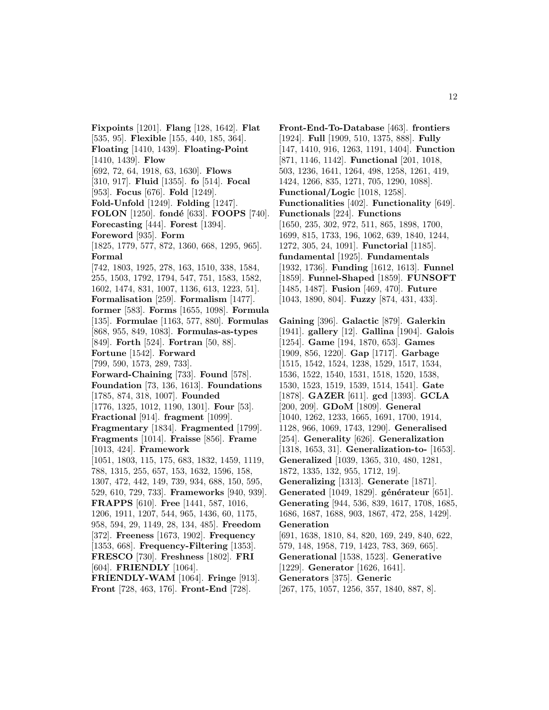**Fixpoints** [1201]. **Flang** [128, 1642]. **Flat** [535, 95]. **Flexible** [155, 440, 185, 364]. **Floating** [1410, 1439]. **Floating-Point** [1410, 1439]. **Flow** [692, 72, 64, 1918, 63, 1630]. **Flows** [310, 917]. **Fluid** [1355]. **fo** [514]. **Focal** [953]. **Focus** [676]. **Fold** [1249]. **Fold-Unfold** [1249]. **Folding** [1247]. **FOLON** [1250]. **fond´e** [633]. **FOOPS** [740]. **Forecasting** [444]. **Forest** [1394]. **Foreword** [935]. **Form** [1825, 1779, 577, 872, 1360, 668, 1295, 965]. **Formal** [742, 1803, 1925, 278, 163, 1510, 338, 1584, 255, 1503, 1792, 1794, 547, 751, 1583, 1582, 1602, 1474, 831, 1007, 1136, 613, 1223, 51]. **Formalisation** [259]. **Formalism** [1477]. **former** [583]. **Forms** [1655, 1098]. **Formula** [135]. **Formulae** [1163, 577, 880]. **Formulas** [868, 955, 849, 1083]. **Formulas-as-types** [849]. **Forth** [524]. **Fortran** [50, 88]. **Fortune** [1542]. **Forward** [799, 590, 1573, 289, 733]. **Forward-Chaining** [733]. **Found** [578]. **Foundation** [73, 136, 1613]. **Foundations** [1785, 874, 318, 1007]. **Founded** [1776, 1325, 1012, 1190, 1301]. **Four** [53]. **Fractional** [914]. **fragment** [1099]. **Fragmentary** [1834]. **Fragmented** [1799]. **Fragments** [1014]. **Fraisse** [856]. **Frame** [1013, 424]. **Framework** [1051, 1803, 115, 175, 683, 1832, 1459, 1119, 788, 1315, 255, 657, 153, 1632, 1596, 158, 1307, 472, 442, 149, 739, 934, 688, 150, 595, 529, 610, 729, 733]. **Frameworks** [940, 939]. **FRAPPS** [610]. **Free** [1441, 587, 1016, 1206, 1911, 1207, 544, 965, 1436, 60, 1175, 958, 594, 29, 1149, 28, 134, 485]. **Freedom** [372]. **Freeness** [1673, 1902]. **Frequency** [1353, 668]. **Frequency-Filtering** [1353]. **FRESCO** [730]. **Freshness** [1802]. **FRI** [604]. **FRIENDLY** [1064]. **FRIENDLY-WAM** [1064]. **Fringe** [913]. **Front** [728, 463, 176]. **Front-End** [728].

**Front-End-To-Database** [463]. **frontiers** [1924]. **Full** [1909, 510, 1375, 888]. **Fully** [147, 1410, 916, 1263, 1191, 1404]. **Function** [871, 1146, 1142]. **Functional** [201, 1018, 503, 1236, 1641, 1264, 498, 1258, 1261, 419, 1424, 1266, 835, 1271, 705, 1290, 1088]. **Functional/Logic** [1018, 1258]. **Functionalities** [402]. **Functionality** [649]. **Functionals** [224]. **Functions** [1650, 235, 302, 972, 511, 865, 1898, 1700, 1699, 815, 1733, 196, 1062, 639, 1840, 1244, 1272, 305, 24, 1091]. **Functorial** [1185]. **fundamental** [1925]. **Fundamentals** [1932, 1736]. **Funding** [1612, 1613]. **Funnel** [1859]. **Funnel-Shaped** [1859]. **FUNSOFT** [1485, 1487]. **Fusion** [469, 470]. **Future** [1043, 1890, 804]. **Fuzzy** [874, 431, 433].

**Gaining** [396]. **Galactic** [879]. **Galerkin** [1941]. **gallery** [12]. **Gallina** [1904]. **Galois** [1254]. **Game** [194, 1870, 653]. **Games** [1909, 856, 1220]. **Gap** [1717]. **Garbage** [1515, 1542, 1524, 1238, 1529, 1517, 1534, 1536, 1522, 1540, 1531, 1518, 1520, 1538, 1530, 1523, 1519, 1539, 1514, 1541]. **Gate** [1878]. **GAZER** [611]. **gcd** [1393]. **GCLA** [200, 209]. **GDoM** [1809]. **General** [1040, 1262, 1233, 1665, 1691, 1700, 1914, 1128, 966, 1069, 1743, 1290]. **Generalised** [254]. **Generality** [626]. **Generalization** [1318, 1653, 31]. **Generalization-to-** [1653]. **Generalized** [1039, 1365, 310, 480, 1281, 1872, 1335, 132, 955, 1712, 19]. **Generalizing** [1313]. **Generate** [1871]. Generated<sup>[1049, 1829]. générateur<sup>[651]</sup>.</sup> **Generating** [944, 536, 839, 1617, 1708, 1685, 1686, 1687, 1688, 903, 1867, 472, 258, 1429]. **Generation** [691, 1638, 1810, 84, 820, 169, 249, 840, 622, 579, 148, 1958, 719, 1423, 783, 369, 665]. **Generational** [1538, 1523]. **Generative** [1229]. **Generator** [1626, 1641]. **Generators** [375]. **Generic** [267, 175, 1057, 1256, 357, 1840, 887, 8].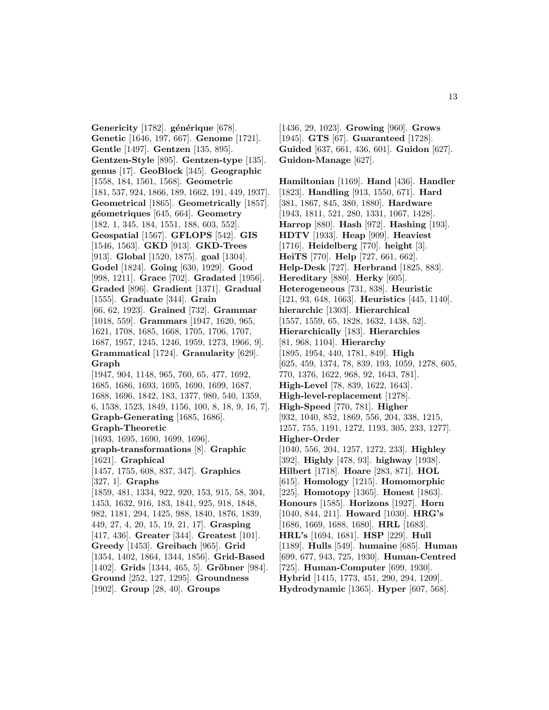Genericity<sup>[1782]</sup>. générique<sup>[678]</sup>. **Genetic** [1646, 197, 667]. **Genome** [1721]. **Gentle** [1497]. **Gentzen** [135, 895]. **Gentzen-Style** [895]. **Gentzen-type** [135]. **genus** [17]. **GeoBlock** [345]. **Geographic** [1558, 184, 1561, 1568]. **Geometric** [181, 537, 924, 1866, 189, 1662, 191, 449, 1937]. **Geometrical** [1865]. **Geometrically** [1857]. **g´eometriques** [645, 664]. **Geometry** [182, 1, 345, 184, 1551, 188, 603, 552]. **Geospatial** [1567]. **GFLOPS** [542]. **GIS** [1546, 1563]. **GKD** [913]. **GKD-Trees** [913]. **Global** [1520, 1875]. **goal** [1304]. **Godel** [1824]. **Going** [630, 1929]. **Good** [998, 1211]. **Grace** [702]. **Gradated** [1956]. **Graded** [896]. **Gradient** [1371]. **Gradual** [1555]. **Graduate** [344]. **Grain** [66, 62, 1923]. **Grained** [732]. **Grammar** [1018, 559]. **Grammars** [1947, 1620, 965, 1621, 1708, 1685, 1668, 1705, 1706, 1707, 1687, 1957, 1245, 1246, 1959, 1273, 1966, 9]. **Grammatical** [1724]. **Granularity** [629]. **Graph** [1947, 904, 1148, 965, 760, 65, 477, 1692, 1685, 1686, 1693, 1695, 1690, 1699, 1687, 1688, 1696, 1842, 183, 1377, 980, 540, 1359, 6, 1538, 1523, 1849, 1156, 100, 8, 18, 9, 16, 7]. **Graph-Generating** [1685, 1686]. **Graph-Theoretic** [1693, 1695, 1690, 1699, 1696]. **graph-transformations** [8]. **Graphic** [1621]. **Graphical** [1457, 1755, 608, 837, 347]. **Graphics** [327, 1]. **Graphs** [1859, 481, 1334, 922, 920, 153, 915, 58, 304, 1453, 1632, 916, 183, 1841, 925, 918, 1848, 982, 1181, 294, 1425, 988, 1840, 1876, 1839, 449, 27, 4, 20, 15, 19, 21, 17]. **Grasping** [417, 436]. **Greater** [344]. **Greatest** [101]. **Greedy** [1453]. **Greibach** [965]. **Grid** [1354, 1402, 1864, 1344, 1856]. **Grid-Based** [1402]. **Grids** [1344, 465, 5]. **Gröbner** [984]. **Ground** [252, 127, 1295]. **Groundness**

[1902]. **Group** [28, 40]. **Groups**

[1436, 29, 1023]. **Growing** [960]. **Grows** [1945]. **GTS** [67]. **Guaranteed** [1728]. **Guided** [637, 661, 436, 601]. **Guidon** [627]. **Guidon-Manage** [627].

**Hamiltonian** [1169]. **Hand** [436]. **Handler** [1823]. **Handling** [913, 1550, 671]. **Hard** [381, 1867, 845, 380, 1880]. **Hardware** [1943, 1811, 521, 280, 1331, 1067, 1428]. **Harrop** [880]. **Hash** [972]. **Hashing** [193]. **HDTV** [1933]. **Heap** [909]. **Heaviest** [1716]. **Heidelberg** [770]. **height** [3]. **HeiTS** [770]. **Help** [727, 661, 662]. **Help-Desk** [727]. **Herbrand** [1825, 883]. **Hereditary** [880]. **Herky** [605]. **Heterogeneous** [731, 838]. **Heuristic** [121, 93, 648, 1663]. **Heuristics** [445, 1140]. **hierarchic** [1303]. **Hierarchical** [1557, 1559, 65, 1828, 1632, 1438, 52]. **Hierarchically** [183]. **Hierarchies** [81, 968, 1104]. **Hierarchy** [1895, 1954, 440, 1781, 849]. **High** [625, 459, 1374, 78, 839, 193, 1059, 1278, 605, 770, 1376, 1622, 968, 92, 1643, 781]. **High-Level** [78, 839, 1622, 1643]. **High-level-replacement** [1278]. **High-Speed** [770, 781]. **Higher** [932, 1040, 852, 1869, 556, 204, 338, 1215, 1257, 755, 1191, 1272, 1193, 305, 233, 1277]. **Higher-Order** [1040, 556, 204, 1257, 1272, 233]. **Highley** [392]. **Highly** [478, 93]. **highway** [1938]. **Hilbert** [1718]. **Hoare** [283, 871]. **HOL** [615]. **Homology** [1215]. **Homomorphic** [225]. **Homotopy** [1365]. **Honest** [1863]. **Honours** [1585]. **Horizons** [1927]. **Horn** [1040, 844, 211]. **Howard** [1030]. **HRG's** [1686, 1669, 1688, 1680]. **HRL** [1683]. **HRL's** [1694, 1681]. **HSP** [229]. **Hull** [1189]. **Hulls** [549]. **humaine** [685]. **Human** [699, 677, 943, 725, 1930]. **Human-Centred** [725]. **Human-Computer** [699, 1930]. **Hybrid** [1415, 1773, 451, 290, 294, 1209]. **Hydrodynamic** [1365]. **Hyper** [607, 568].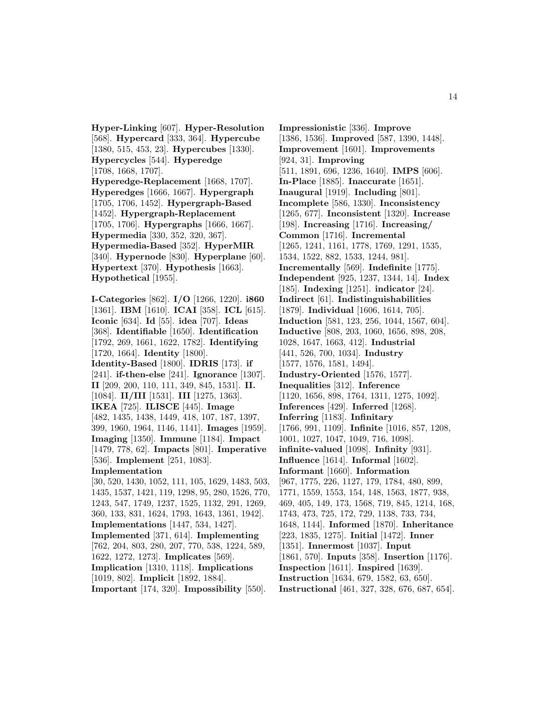**Hyper-Linking** [607]. **Hyper-Resolution** [568]. **Hypercard** [333, 364]. **Hypercube** [1380, 515, 453, 23]. **Hypercubes** [1330]. **Hypercycles** [544]. **Hyperedge** [1708, 1668, 1707]. **Hyperedge-Replacement** [1668, 1707]. **Hyperedges** [1666, 1667]. **Hypergraph** [1705, 1706, 1452]. **Hypergraph-Based** [1452]. **Hypergraph-Replacement** [1705, 1706]. **Hypergraphs** [1666, 1667]. **Hypermedia** [330, 352, 320, 367]. **Hypermedia-Based** [352]. **HyperMIR** [340]. **Hypernode** [830]. **Hyperplane** [60]. **Hypertext** [370]. **Hypothesis** [1663]. **Hypothetical** [1955].

**I-Categories** [862]. **I/O** [1266, 1220]. **i860** [1361]. **IBM** [1610]. **ICAI** [358]. **ICL** [615]. **Iconic** [634]. **Id** [55]. **idea** [707]. **Ideas** [368]. **Identifiable** [1650]. **Identification** [1792, 269, 1661, 1622, 1782]. **Identifying** [1720, 1664]. **Identity** [1800]. **Identity-Based** [1800]. **IDRIS** [173]. **if** [241]. **if-then-else** [241]. **Ignorance** [1307]. **II** [209, 200, 110, 111, 349, 845, 1531]. **II.** [1084]. **II/III** [1531]. **III** [1275, 1363]. **IKEA** [725]. **ILISCE** [445]. **Image** [482, 1435, 1438, 1449, 418, 107, 187, 1397, 399, 1960, 1964, 1146, 1141]. **Images** [1959]. **Imaging** [1350]. **Immune** [1184]. **Impact** [1479, 778, 62]. **Impacts** [801]. **Imperative** [536]. **Implement** [251, 1083]. **Implementation** [30, 520, 1430, 1052, 111, 105, 1629, 1483, 503, 1435, 1537, 1421, 119, 1298, 95, 280, 1526, 770, 1243, 547, 1749, 1237, 1525, 1132, 291, 1269, 360, 133, 831, 1624, 1793, 1643, 1361, 1942]. **Implementations** [1447, 534, 1427]. **Implemented** [371, 614]. **Implementing**

[762, 204, 803, 280, 207, 770, 538, 1224, 589, 1622, 1272, 1273]. **Implicates** [569]. **Implication** [1310, 1118]. **Implications**

[1019, 802]. **Implicit** [1892, 1884].

**Important** [174, 320]. **Impossibility** [550].

**Impressionistic** [336]. **Improve** [1386, 1536]. **Improved** [587, 1390, 1448]. **Improvement** [1601]. **Improvements** [924, 31]. **Improving** [511, 1891, 696, 1236, 1640]. **IMPS** [606]. **In-Place** [1885]. **Inaccurate** [1651]. **Inaugural** [1919]. **Including** [801]. **Incomplete** [586, 1330]. **Inconsistency** [1265, 677]. **Inconsistent** [1320]. **Increase** [198]. **Increasing** [1716]. **Increasing/ Common** [1716]. **Incremental** [1265, 1241, 1161, 1778, 1769, 1291, 1535, 1534, 1522, 882, 1533, 1244, 981]. **Incrementally** [569]. **Indefinite** [1775]. **Independent** [925, 1237, 1344, 14]. **Index** [185]. **Indexing** [1251]. **indicator** [24]. **Indirect** [61]. **Indistinguishabilities** [1879]. **Individual** [1606, 1614, 705]. **Induction** [581, 123, 256, 1044, 1567, 604]. **Inductive** [808, 203, 1060, 1656, 898, 208, 1028, 1647, 1663, 412]. **Industrial** [441, 526, 700, 1034]. **Industry** [1577, 1576, 1581, 1494]. **Industry-Oriented** [1576, 1577]. **Inequalities** [312]. **Inference** [1120, 1656, 898, 1764, 1311, 1275, 1092]. **Inferences** [429]. **Inferred** [1268]. **Inferring** [1183]. **Infinitary** [1766, 991, 1109]. **Infinite** [1016, 857, 1208, 1001, 1027, 1047, 1049, 716, 1098]. **infinite-valued** [1098]. **Infinity** [931]. **Influence** [1614]. **Informal** [1602]. **Informant** [1660]. **Information** [967, 1775, 226, 1127, 179, 1784, 480, 899, 1771, 1559, 1553, 154, 148, 1563, 1877, 938, 469, 405, 149, 173, 1568, 719, 845, 1214, 168, 1743, 473, 725, 172, 729, 1138, 733, 734, 1648, 1144]. **Informed** [1870]. **Inheritance** [223, 1835, 1275]. **Initial** [1472]. **Inner** [1351]. **Innermost** [1037]. **Input** [1861, 570]. **Inputs** [358]. **Insertion** [1176]. **Inspection** [1611]. **Inspired** [1639]. **Instruction** [1634, 679, 1582, 63, 650].

**Instructional** [461, 327, 328, 676, 687, 654].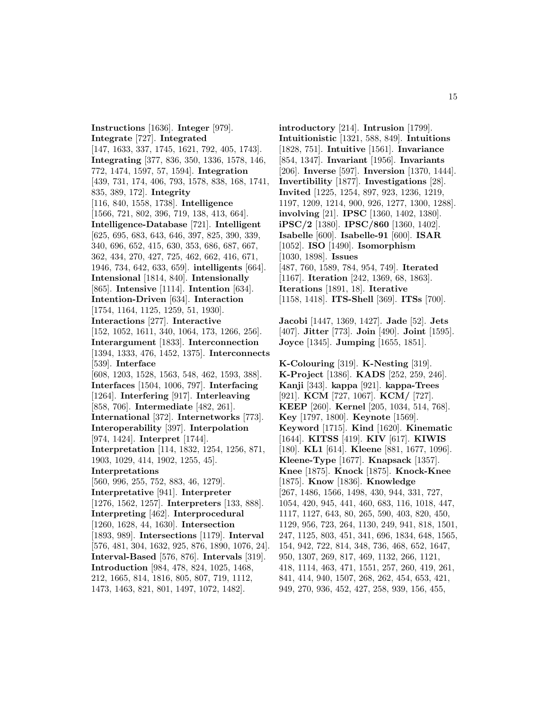**Instructions** [1636]. **Integer** [979]. **Integrate** [727]. **Integrated** [147, 1633, 337, 1745, 1621, 792, 405, 1743]. **Integrating** [377, 836, 350, 1336, 1578, 146, 772, 1474, 1597, 57, 1594]. **Integration** [439, 731, 174, 406, 793, 1578, 838, 168, 1741, 835, 389, 172]. **Integrity** [116, 840, 1558, 1738]. **Intelligence** [1566, 721, 802, 396, 719, 138, 413, 664]. **Intelligence-Database** [721]. **Intelligent** [625, 695, 683, 643, 646, 397, 825, 390, 339, 340, 696, 652, 415, 630, 353, 686, 687, 667, 362, 434, 270, 427, 725, 462, 662, 416, 671, 1946, 734, 642, 633, 659]. **intelligents** [664]. **Intensional** [1814, 840]. **Intensionally** [865]. **Intensive** [1114]. **Intention** [634]. **Intention-Driven** [634]. **Interaction** [1754, 1164, 1125, 1259, 51, 1930]. **Interactions** [277]. **Interactive** [152, 1052, 1611, 340, 1064, 173, 1266, 256]. **Interargument** [1833]. **Interconnection** [1394, 1333, 476, 1452, 1375]. **Interconnects** [539]. **Interface** [608, 1203, 1528, 1563, 548, 462, 1593, 388]. **Interfaces** [1504, 1006, 797]. **Interfacing** [1264]. **Interfering** [917]. **Interleaving** [858, 706]. **Intermediate** [482, 261]. **International** [372]. **Internetworks** [773]. **Interoperability** [397]. **Interpolation** [974, 1424]. **Interpret** [1744]. **Interpretation** [114, 1832, 1254, 1256, 871, 1903, 1029, 414, 1902, 1255, 45]. **Interpretations** [560, 996, 255, 752, 883, 46, 1279]. **Interpretative** [941]. **Interpreter** [1276, 1562, 1257]. **Interpreters** [133, 888]. **Interpreting** [462]. **Interprocedural** [1260, 1628, 44, 1630]. **Intersection** [1893, 989]. **Intersections** [1179]. **Interval** [576, 481, 304, 1632, 925, 876, 1890, 1076, 24]. **Interval-Based** [576, 876]. **Intervals** [319]. **Introduction** [984, 478, 824, 1025, 1468, 212, 1665, 814, 1816, 805, 807, 719, 1112, 1473, 1463, 821, 801, 1497, 1072, 1482].

**introductory** [214]. **Intrusion** [1799]. **Intuitionistic** [1321, 588, 849]. **Intuitions** [1828, 751]. **Intuitive** [1561]. **Invariance** [854, 1347]. **Invariant** [1956]. **Invariants** [206]. **Inverse** [597]. **Inversion** [1370, 1444]. **Invertibility** [1877]. **Investigations** [28]. **Invited** [1225, 1254, 897, 923, 1236, 1219, 1197, 1209, 1214, 900, 926, 1277, 1300, 1288]. **involving** [21]. **IPSC** [1360, 1402, 1380]. **iPSC/2** [1380]. **IPSC/860** [1360, 1402]. **Isabelle** [600]. **Isabelle-91** [600]. **ISAR** [1052]. **ISO** [1490]. **Isomorphism** [1030, 1898]. **Issues** [487, 760, 1589, 784, 954, 749]. **Iterated** [1167]. **Iteration** [242, 1369, 68, 1863]. **Iterations** [1891, 18]. **Iterative** [1158, 1418]. **ITS-Shell** [369]. **ITSs** [700].

**Jacobi** [1447, 1369, 1427]. **Jade** [52]. **Jets** [407]. **Jitter** [773]. **Join** [490]. **Joint** [1595]. **Joyce** [1345]. **Jumping** [1655, 1851].

**K-Colouring** [319]. **K-Nesting** [319]. **K-Project** [1386]. **KADS** [252, 259, 246]. **Kanji** [343]. **kappa** [921]. **kappa-Trees** [921]. **KCM** [727, 1067]. **KCM/** [727]. **KEEP** [260]. **Kernel** [205, 1034, 514, 768]. **Key** [1797, 1800]. **Keynote** [1569]. **Keyword** [1715]. **Kind** [1620]. **Kinematic** [1644]. **KITSS** [419]. **KIV** [617]. **KIWIS** [180]. **KL1** [614]. **Kleene** [881, 1677, 1096]. **Kleene-Type** [1677]. **Knapsack** [1357]. **Knee** [1875]. **Knock** [1875]. **Knock-Knee** [1875]. **Know** [1836]. **Knowledge** [267, 1486, 1566, 1498, 430, 944, 331, 727, 1054, 420, 945, 441, 460, 683, 116, 1018, 447, 1117, 1127, 643, 80, 265, 590, 403, 820, 450, 1129, 956, 723, 264, 1130, 249, 941, 818, 1501, 247, 1125, 803, 451, 341, 696, 1834, 648, 1565, 154, 942, 722, 814, 348, 736, 468, 652, 1647, 950, 1307, 269, 817, 469, 1132, 266, 1121, 418, 1114, 463, 471, 1551, 257, 260, 419, 261, 841, 414, 940, 1507, 268, 262, 454, 653, 421, 949, 270, 936, 452, 427, 258, 939, 156, 455,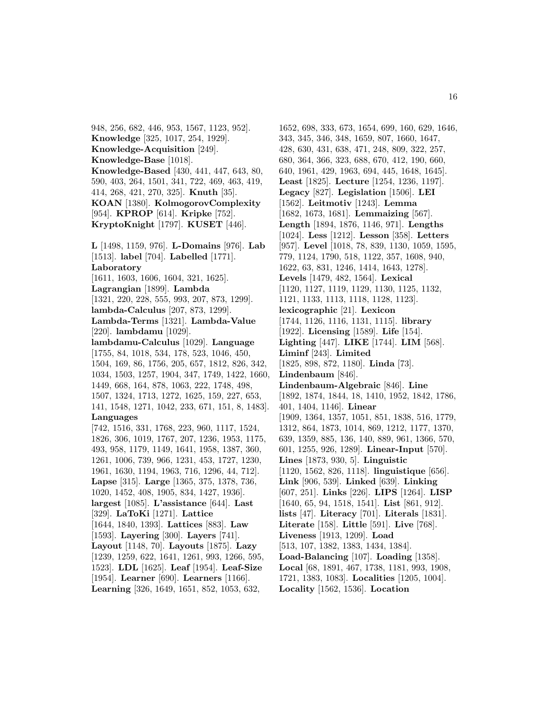948, 256, 682, 446, 953, 1567, 1123, 952]. **Knowledge** [325, 1017, 254, 1929]. **Knowledge-Acquisition** [249]. **Knowledge-Base** [1018]. **Knowledge-Based** [430, 441, 447, 643, 80, 590, 403, 264, 1501, 341, 722, 469, 463, 419, 414, 268, 421, 270, 325]. **Knuth** [35]. **KOAN** [1380]. **KolmogorovComplexity** [954]. **KPROP** [614]. **Kripke** [752]. **KryptoKnight** [1797]. **KUSET** [446].

**L** [1498, 1159, 976]. **L-Domains** [976]. **Lab** [1513]. **label** [704]. **Labelled** [1771]. **Laboratory** [1611, 1603, 1606, 1604, 321, 1625]. **Lagrangian** [1899]. **Lambda** [1321, 220, 228, 555, 993, 207, 873, 1299]. **lambda-Calculus** [207, 873, 1299]. **Lambda-Terms** [1321]. **Lambda-Value** [220]. **lambdamu** [1029]. **lambdamu-Calculus** [1029]. **Language** [1755, 84, 1018, 534, 178, 523, 1046, 450, 1504, 169, 86, 1756, 205, 657, 1812, 826, 342, 1034, 1503, 1257, 1904, 347, 1749, 1422, 1660, 1449, 668, 164, 878, 1063, 222, 1748, 498, 1507, 1324, 1713, 1272, 1625, 159, 227, 653, 141, 1548, 1271, 1042, 233, 671, 151, 8, 1483]. **Languages** [742, 1516, 331, 1768, 223, 960, 1117, 1524, 1826, 306, 1019, 1767, 207, 1236, 1953, 1175, 493, 958, 1179, 1149, 1641, 1958, 1387, 360, 1261, 1006, 739, 966, 1231, 453, 1727, 1230, 1961, 1630, 1194, 1963, 716, 1296, 44, 712]. **Lapse** [315]. **Large** [1365, 375, 1378, 736, 1020, 1452, 408, 1905, 834, 1427, 1936]. **largest** [1085]. **L'assistance** [644]. **Last** [329]. **LaToKi** [1271]. **Lattice** [1644, 1840, 1393]. **Lattices** [883]. **Law** [1593]. **Layering** [300]. **Layers** [741]. **Layout** [1148, 70]. **Layouts** [1875]. **Lazy** [1239, 1259, 622, 1641, 1261, 993, 1266, 595, 1523]. **LDL** [1625]. **Leaf** [1954]. **Leaf-Size** [1954]. **Learner** [690]. **Learners** [1166]. **Learning** [326, 1649, 1651, 852, 1053, 632,

1652, 698, 333, 673, 1654, 699, 160, 629, 1646, 343, 345, 346, 348, 1659, 807, 1660, 1647, 428, 630, 431, 638, 471, 248, 809, 322, 257, 680, 364, 366, 323, 688, 670, 412, 190, 660, 640, 1961, 429, 1963, 694, 445, 1648, 1645]. **Least** [1825]. **Lecture** [1254, 1236, 1197]. **Legacy** [827]. **Legislation** [1506]. **LEI** [1562]. **Leitmotiv** [1243]. **Lemma** [1682, 1673, 1681]. **Lemmaizing** [567]. **Length** [1894, 1876, 1146, 971]. **Lengths** [1024]. **Less** [1212]. **Lesson** [358]. **Letters** [957]. **Level** [1018, 78, 839, 1130, 1059, 1595, 779, 1124, 1790, 518, 1122, 357, 1608, 940, 1622, 63, 831, 1246, 1414, 1643, 1278]. **Levels** [1479, 482, 1564]. **Lexical** [1120, 1127, 1119, 1129, 1130, 1125, 1132, 1121, 1133, 1113, 1118, 1128, 1123]. **lexicographic** [21]. **Lexicon** [1744, 1126, 1116, 1131, 1115]. **library** [1922]. **Licensing** [1589]. **Life** [154]. **Lighting** [447]. **LIKE** [1744]. **LIM** [568]. **Liminf** [243]. **Limited** [1825, 898, 872, 1180]. **Linda** [73]. **Lindenbaum** [846]. **Lindenbaum-Algebraic** [846]. **Line** [1892, 1874, 1844, 18, 1410, 1952, 1842, 1786, 401, 1404, 1146]. **Linear** [1909, 1364, 1357, 1051, 851, 1838, 516, 1779, 1312, 864, 1873, 1014, 869, 1212, 1177, 1370, 639, 1359, 885, 136, 140, 889, 961, 1366, 570, 601, 1255, 926, 1289]. **Linear-Input** [570]. **Lines** [1873, 930, 5]. **Linguistic** [1120, 1562, 826, 1118]. **linguistique** [656]. **Link** [906, 539]. **Linked** [639]. **Linking** [607, 251]. **Links** [226]. **LIPS** [1264]. **LISP** [1640, 65, 94, 1518, 1541]. **List** [861, 912]. **lists** [47]. **Literacy** [701]. **Literals** [1831]. **Literate** [158]. **Little** [591]. **Live** [768]. **Liveness** [1913, 1209]. **Load** [513, 107, 1382, 1383, 1434, 1384]. **Load-Balancing** [107]. **Loading** [1358]. **Local** [68, 1891, 467, 1738, 1181, 993, 1908, 1721, 1383, 1083]. **Localities** [1205, 1004]. **Locality** [1562, 1536]. **Location**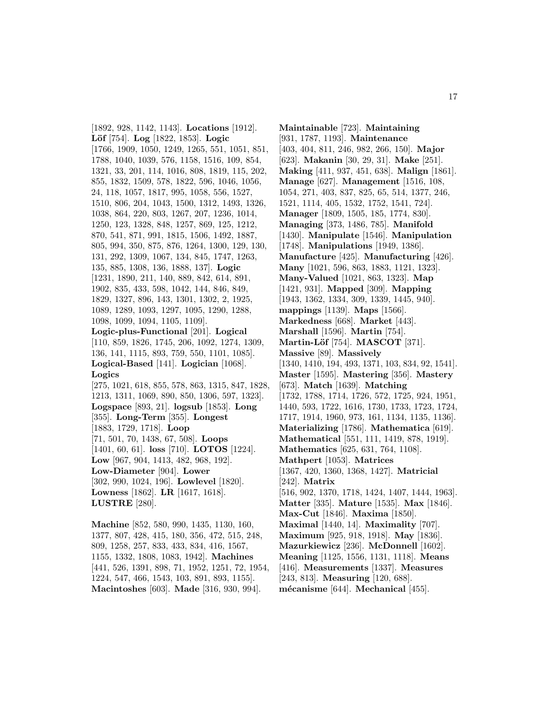[1892, 928, 1142, 1143]. **Locations** [1912]. **L¨of** [754]. **Log** [1822, 1853]. **Logic** [1766, 1909, 1050, 1249, 1265, 551, 1051, 851, 1788, 1040, 1039, 576, 1158, 1516, 109, 854, 1321, 33, 201, 114, 1016, 808, 1819, 115, 202, 855, 1832, 1509, 578, 1822, 596, 1046, 1056, 24, 118, 1057, 1817, 995, 1058, 556, 1527, 1510, 806, 204, 1043, 1500, 1312, 1493, 1326, 1038, 864, 220, 803, 1267, 207, 1236, 1014, 1250, 123, 1328, 848, 1257, 869, 125, 1212, 870, 541, 871, 991, 1815, 1506, 1492, 1887, 805, 994, 350, 875, 876, 1264, 1300, 129, 130, 131, 292, 1309, 1067, 134, 845, 1747, 1263, 135, 885, 1308, 136, 1888, 137]. **Logic** [1231, 1890, 211, 140, 889, 842, 614, 891, 1902, 835, 433, 598, 1042, 144, 846, 849, 1829, 1327, 896, 143, 1301, 1302, 2, 1925, 1089, 1289, 1093, 1297, 1095, 1290, 1288, 1098, 1099, 1094, 1105, 1109]. **Logic-plus-Functional** [201]. **Logical** [110, 859, 1826, 1745, 206, 1092, 1274, 1309, 136, 141, 1115, 893, 759, 550, 1101, 1085]. **Logical-Based** [141]. **Logician** [1068]. **Logics** [275, 1021, 618, 855, 578, 863, 1315, 847, 1828, 1213, 1311, 1069, 890, 850, 1306, 597, 1323]. **Logspace** [893, 21]. **logsub** [1853]. **Long** [355]. **Long-Term** [355]. **Longest** [1883, 1729, 1718]. **Loop** [71, 501, 70, 1438, 67, 508]. **Loops** [1401, 60, 61]. **loss** [710]. **LOTOS** [1224]. **Low** [967, 904, 1413, 482, 968, 192]. **Low-Diameter** [904]. **Lower** [302, 990, 1024, 196]. **Lowlevel** [1820]. **Lowness** [1862]. **LR** [1617, 1618]. **LUSTRE** [280].

**Machine** [852, 580, 990, 1435, 1130, 160, 1377, 807, 428, 415, 180, 356, 472, 515, 248, 809, 1258, 257, 833, 433, 834, 416, 1567, 1155, 1332, 1808, 1083, 1942]. **Machines** [441, 526, 1391, 898, 71, 1952, 1251, 72, 1954, 1224, 547, 466, 1543, 103, 891, 893, 1155]. **Macintoshes** [603]. **Made** [316, 930, 994].

**Maintainable** [723]. **Maintaining** [931, 1787, 1193]. **Maintenance** [403, 404, 811, 246, 982, 266, 150]. **Major** [623]. **Makanin** [30, 29, 31]. **Make** [251]. **Making** [411, 937, 451, 638]. **Malign** [1861]. **Manage** [627]. **Management** [1516, 108, 1054, 271, 403, 837, 825, 65, 514, 1377, 246, 1521, 1114, 405, 1532, 1752, 1541, 724]. **Manager** [1809, 1505, 185, 1774, 830]. **Managing** [373, 1486, 785]. **Manifold** [1430]. **Manipulate** [1546]. **Manipulation** [1748]. **Manipulations** [1949, 1386]. **Manufacture** [425]. **Manufacturing** [426]. **Many** [1021, 596, 863, 1883, 1121, 1323]. **Many-Valued** [1021, 863, 1323]. **Map** [1421, 931]. **Mapped** [309]. **Mapping** [1943, 1362, 1334, 309, 1339, 1445, 940]. **mappings** [1139]. **Maps** [1566]. **Markedness** [668]. **Market** [443]. **Marshall** [1596]. **Martin** [754]. **Martin-Löf** [754]. **MASCOT** [371]. **Massive** [89]. **Massively** [1340, 1410, 194, 493, 1371, 103, 834, 92, 1541]. **Master** [1595]. **Mastering** [356]. **Mastery** [673]. **Match** [1639]. **Matching** [1732, 1788, 1714, 1726, 572, 1725, 924, 1951, 1440, 593, 1722, 1616, 1730, 1733, 1723, 1724, 1717, 1914, 1960, 973, 161, 1134, 1135, 1136]. **Materializing** [1786]. **Mathematica** [619]. **Mathematical** [551, 111, 1419, 878, 1919]. **Mathematics** [625, 631, 764, 1108]. **Mathpert** [1053]. **Matrices** [1367, 420, 1360, 1368, 1427]. **Matricial** [242]. **Matrix** [516, 902, 1370, 1718, 1424, 1407, 1444, 1963]. **Matter** [335]. **Mature** [1535]. **Max** [1846]. **Max-Cut** [1846]. **Maxima** [1850]. **Maximal** [1440, 14]. **Maximality** [707]. **Maximum** [925, 918, 1918]. **May** [1836]. **Mazurkiewicz** [236]. **McDonnell** [1602]. **Meaning** [1125, 1556, 1131, 1118]. **Means** [416]. **Measurements** [1337]. **Measures** [243, 813]. **Measuring** [120, 688]. **m´ecanisme** [644]. **Mechanical** [455].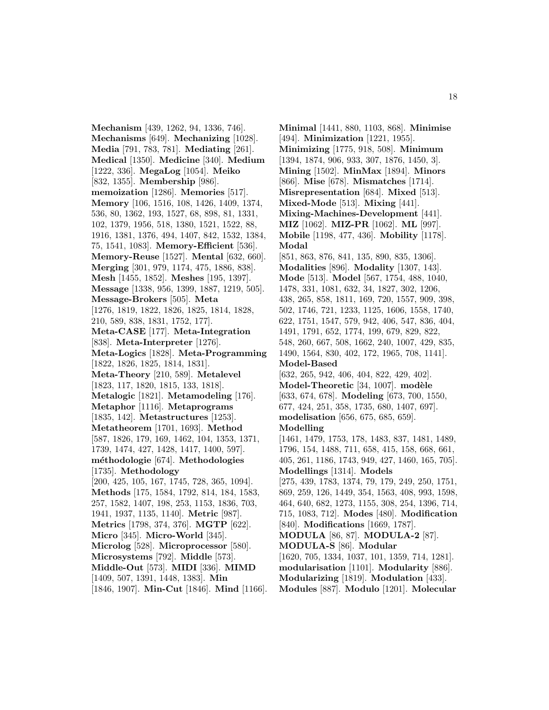**Mechanism** [439, 1262, 94, 1336, 746]. **Mechanisms** [649]. **Mechanizing** [1028]. **Media** [791, 783, 781]. **Mediating** [261]. **Medical** [1350]. **Medicine** [340]. **Medium** [1222, 336]. **MegaLog** [1054]. **Meiko** [832, 1355]. **Membership** [986]. **memoization** [1286]. **Memories** [517]. **Memory** [106, 1516, 108, 1426, 1409, 1374, 536, 80, 1362, 193, 1527, 68, 898, 81, 1331, 102, 1379, 1956, 518, 1380, 1521, 1522, 88, 1916, 1381, 1376, 494, 1407, 842, 1532, 1384, 75, 1541, 1083]. **Memory-Efficient** [536]. **Memory-Reuse** [1527]. **Mental** [632, 660]. **Merging** [301, 979, 1174, 475, 1886, 838]. **Mesh** [1455, 1852]. **Meshes** [195, 1397]. **Message** [1338, 956, 1399, 1887, 1219, 505]. **Message-Brokers** [505]. **Meta** [1276, 1819, 1822, 1826, 1825, 1814, 1828, 210, 589, 838, 1831, 1752, 177]. **Meta-CASE** [177]. **Meta-Integration** [838]. **Meta-Interpreter** [1276]. **Meta-Logics** [1828]. **Meta-Programming** [1822, 1826, 1825, 1814, 1831]. **Meta-Theory** [210, 589]. **Metalevel** [1823, 117, 1820, 1815, 133, 1818]. **Metalogic** [1821]. **Metamodeling** [176]. **Metaphor** [1116]. **Metaprograms** [1835, 142]. **Metastructures** [1253]. **Metatheorem** [1701, 1693]. **Method** [587, 1826, 179, 169, 1462, 104, 1353, 1371, 1739, 1474, 427, 1428, 1417, 1400, 597]. **m´ethodologie** [674]. **Methodologies** [1735]. **Methodology** [200, 425, 105, 167, 1745, 728, 365, 1094]. **Methods** [175, 1584, 1792, 814, 184, 1583, 257, 1582, 1407, 198, 253, 1153, 1836, 703, 1941, 1937, 1135, 1140]. **Metric** [987]. **Metrics** [1798, 374, 376]. **MGTP** [622]. **Micro** [345]. **Micro-World** [345]. **Microlog** [528]. **Microprocessor** [580]. **Microsystems** [792]. **Middle** [573]. **Middle-Out** [573]. **MIDI** [336]. **MIMD** [1409, 507, 1391, 1448, 1383]. **Min** [1846, 1907]. **Min-Cut** [1846]. **Mind** [1166].

**Minimal** [1441, 880, 1103, 868]. **Minimise** [494]. **Minimization** [1221, 1955]. **Minimizing** [1775, 918, 508]. **Minimum** [1394, 1874, 906, 933, 307, 1876, 1450, 3]. **Mining** [1502]. **MinMax** [1894]. **Minors** [866]. **Mise** [678]. **Mismatches** [1714]. **Misrepresentation** [684]. **Mixed** [513]. **Mixed-Mode** [513]. **Mixing** [441]. **Mixing-Machines-Development** [441]. **MIZ** [1062]. **MIZ-PR** [1062]. **ML** [997]. **Mobile** [1198, 477, 436]. **Mobility** [1178]. **Modal** [851, 863, 876, 841, 135, 890, 835, 1306]. **Modalities** [896]. **Modality** [1307, 143]. **Mode** [513]. **Model** [567, 1754, 488, 1040, 1478, 331, 1081, 632, 34, 1827, 302, 1206, 438, 265, 858, 1811, 169, 720, 1557, 909, 398, 502, 1746, 721, 1233, 1125, 1606, 1558, 1740, 622, 1751, 1547, 579, 942, 406, 547, 836, 404, 1491, 1791, 652, 1774, 199, 679, 829, 822, 548, 260, 667, 508, 1662, 240, 1007, 429, 835, 1490, 1564, 830, 402, 172, 1965, 708, 1141]. **Model-Based** [632, 265, 942, 406, 404, 822, 429, 402]. **Model-Theoretic** [34, 1007]. **modèle** [633, 674, 678]. **Modeling** [673, 700, 1550, 677, 424, 251, 358, 1735, 680, 1407, 697]. **modelisation** [656, 675, 685, 659]. **Modelling** [1461, 1479, 1753, 178, 1483, 837, 1481, 1489, 1796, 154, 1488, 711, 658, 415, 158, 668, 661, 405, 261, 1186, 1743, 949, 427, 1460, 165, 705]. **Modellings** [1314]. **Models** [275, 439, 1783, 1374, 79, 179, 249, 250, 1751, 869, 259, 126, 1449, 354, 1563, 408, 993, 1598, 464, 640, 682, 1273, 1155, 308, 254, 1396, 714, 715, 1083, 712]. **Modes** [480]. **Modification** [840]. **Modifications** [1669, 1787]. **MODULA** [86, 87]. **MODULA-2** [87]. **MODULA-S** [86]. **Modular** [1620, 705, 1334, 1037, 101, 1359, 714, 1281]. **modularisation** [1101]. **Modularity** [886]. **Modularizing** [1819]. **Modulation** [433]. **Modules** [887]. **Modulo** [1201]. **Molecular**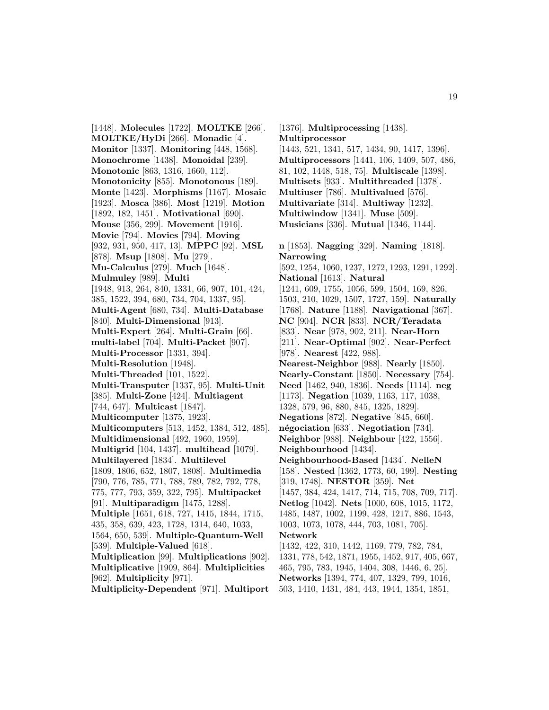[1448]. **Molecules** [1722]. **MOLTKE** [266]. **MOLTKE/HyDi** [266]. **Monadic** [4]. **Monitor** [1337]. **Monitoring** [448, 1568]. **Monochrome** [1438]. **Monoidal** [239]. **Monotonic** [863, 1316, 1660, 112]. **Monotonicity** [855]. **Monotonous** [189]. **Monte** [1423]. **Morphisms** [1167]. **Mosaic** [1923]. **Mosca** [386]. **Most** [1219]. **Motion** [1892, 182, 1451]. **Motivational** [690]. **Mouse** [356, 299]. **Movement** [1916]. **Movie** [794]. **Movies** [794]. **Moving** [932, 931, 950, 417, 13]. **MPPC** [92]. **MSL** [878]. **Msup** [1808]. **Mu** [279]. **Mu-Calculus** [279]. **Much** [1648]. **Mulmuley** [989]. **Multi** [1948, 913, 264, 840, 1331, 66, 907, 101, 424, 385, 1522, 394, 680, 734, 704, 1337, 95]. **Multi-Agent** [680, 734]. **Multi-Database** [840]. **Multi-Dimensional** [913]. **Multi-Expert** [264]. **Multi-Grain** [66]. **multi-label** [704]. **Multi-Packet** [907]. **Multi-Processor** [1331, 394]. **Multi-Resolution** [1948]. **Multi-Threaded** [101, 1522]. **Multi-Transputer** [1337, 95]. **Multi-Unit** [385]. **Multi-Zone** [424]. **Multiagent** [744, 647]. **Multicast** [1847]. **Multicomputer** [1375, 1923]. **Multicomputers** [513, 1452, 1384, 512, 485]. **Multidimensional** [492, 1960, 1959]. **Multigrid** [104, 1437]. **multihead** [1079]. **Multilayered** [1834]. **Multilevel** [1809, 1806, 652, 1807, 1808]. **Multimedia** [790, 776, 785, 771, 788, 789, 782, 792, 778, 775, 777, 793, 359, 322, 795]. **Multipacket** [91]. **Multiparadigm** [1475, 1288]. **Multiple** [1651, 618, 727, 1415, 1844, 1715, 435, 358, 639, 423, 1728, 1314, 640, 1033, 1564, 650, 539]. **Multiple-Quantum-Well** [539]. **Multiple-Valued** [618]. **Multiplication** [99]. **Multiplications** [902]. **Multiplicative** [1909, 864]. **Multiplicities** [962]. **Multiplicity** [971]. **Multiplicity-Dependent** [971]. **Multiport**

[1376]. **Multiprocessing** [1438]. **Multiprocessor** [1443, 521, 1341, 517, 1434, 90, 1417, 1396]. **Multiprocessors** [1441, 106, 1409, 507, 486, 81, 102, 1448, 518, 75]. **Multiscale** [1398]. **Multisets** [933]. **Multithreaded** [1378]. **Multiuser** [786]. **Multivalued** [576]. **Multivariate** [314]. **Multiway** [1232]. **Multiwindow** [1341]. **Muse** [509]. **Musicians** [336]. **Mutual** [1346, 1144]. **n** [1853]. **Nagging** [329]. **Naming** [1818]. **Narrowing** [592, 1254, 1060, 1237, 1272, 1293, 1291, 1292]. **National** [1613]. **Natural** [1241, 609, 1755, 1056, 599, 1504, 169, 826, 1503, 210, 1029, 1507, 1727, 159]. **Naturally** [1768]. **Nature** [1188]. **Navigational** [367]. **NC** [904]. **NCR** [833]. **NCR/Teradata** [833]. **Near** [978, 902, 211]. **Near-Horn** [211]. **Near-Optimal** [902]. **Near-Perfect** [978]. **Nearest** [422, 988]. **Nearest-Neighbor** [988]. **Nearly** [1850]. **Nearly-Constant** [1850]. **Necessary** [754]. **Need** [1462, 940, 1836]. **Needs** [1114]. **neg** [1173]. **Negation** [1039, 1163, 117, 1038, 1328, 579, 96, 880, 845, 1325, 1829]. **Negations** [872]. **Negative** [845, 660]. **n´egociation** [633]. **Negotiation** [734]. **Neighbor** [988]. **Neighbour** [422, 1556]. **Neighbourhood** [1434]. **Neighbourhood-Based** [1434]. **NelleN** [158]. **Nested** [1362, 1773, 60, 199]. **Nesting** [319, 1748]. **NESTOR** [359]. **Net** [1457, 384, 424, 1417, 714, 715, 708, 709, 717]. **Netlog** [1042]. **Nets** [1000, 608, 1015, 1172, 1485, 1487, 1002, 1199, 428, 1217, 886, 1543, 1003, 1073, 1078, 444, 703, 1081, 705]. **Network** [1432, 422, 310, 1442, 1169, 779, 782, 784, 1331, 778, 542, 1871, 1955, 1452, 917, 405, 667, 465, 795, 783, 1945, 1404, 308, 1446, 6, 25]. **Networks** [1394, 774, 407, 1329, 799, 1016,

503, 1410, 1431, 484, 443, 1944, 1354, 1851,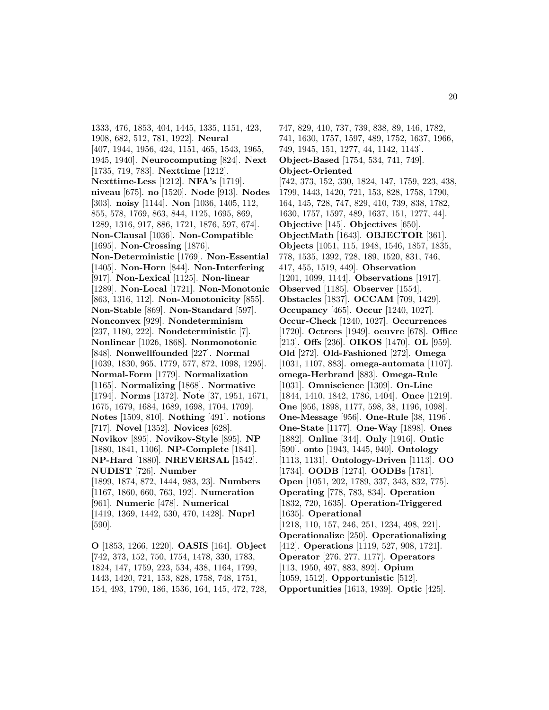1333, 476, 1853, 404, 1445, 1335, 1151, 423, 1908, 682, 512, 781, 1922]. **Neural** [407, 1944, 1956, 424, 1151, 465, 1543, 1965, 1945, 1940]. **Neurocomputing** [824]. **Next** [1735, 719, 783]. **Nexttime** [1212]. **Nexttime-Less** [1212]. **NFA's** [1719]. **niveau** [675]. **no** [1520]. **Node** [913]. **Nodes** [303]. **noisy** [1144]. **Non** [1036, 1405, 112, 855, 578, 1769, 863, 844, 1125, 1695, 869, 1289, 1316, 917, 886, 1721, 1876, 597, 674]. **Non-Clausal** [1036]. **Non-Compatible** [1695]. **Non-Crossing** [1876]. **Non-Deterministic** [1769]. **Non-Essential** [1405]. **Non-Horn** [844]. **Non-Interfering** [917]. **Non-Lexical** [1125]. **Non-linear** [1289]. **Non-Local** [1721]. **Non-Monotonic** [863, 1316, 112]. **Non-Monotonicity** [855]. **Non-Stable** [869]. **Non-Standard** [597]. **Nonconvex** [929]. **Nondeterminism** [237, 1180, 222]. **Nondeterministic** [7]. **Nonlinear** [1026, 1868]. **Nonmonotonic** [848]. **Nonwellfounded** [227]. **Normal** [1039, 1830, 965, 1779, 577, 872, 1098, 1295]. **Normal-Form** [1779]. **Normalization** [1165]. **Normalizing** [1868]. **Normative** [1794]. **Norms** [1372]. **Note** [37, 1951, 1671, 1675, 1679, 1684, 1689, 1698, 1704, 1709]. **Notes** [1509, 810]. **Nothing** [491]. **notions** [717]. **Novel** [1352]. **Novices** [628]. **Novikov** [895]. **Novikov-Style** [895]. **NP** [1880, 1841, 1106]. **NP-Complete** [1841]. **NP-Hard** [1880]. **NREVERSAL** [1542]. **NUDIST** [726]. **Number** [1899, 1874, 872, 1444, 983, 23]. **Numbers** [1167, 1860, 660, 763, 192]. **Numeration** [961]. **Numeric** [478]. **Numerical** [1419, 1369, 1442, 530, 470, 1428]. **Nuprl** [590].

**O** [1853, 1266, 1220]. **OASIS** [164]. **Object** [742, 373, 152, 750, 1754, 1478, 330, 1783, 1824, 147, 1759, 223, 534, 438, 1164, 1799, 1443, 1420, 721, 153, 828, 1758, 748, 1751, 154, 493, 1790, 186, 1536, 164, 145, 472, 728, 747, 829, 410, 737, 739, 838, 89, 146, 1782, 741, 1630, 1757, 1597, 489, 1752, 1637, 1966, 749, 1945, 151, 1277, 44, 1142, 1143]. **Object-Based** [1754, 534, 741, 749]. **Object-Oriented** [742, 373, 152, 330, 1824, 147, 1759, 223, 438, 1799, 1443, 1420, 721, 153, 828, 1758, 1790, 164, 145, 728, 747, 829, 410, 739, 838, 1782, 1630, 1757, 1597, 489, 1637, 151, 1277, 44]. **Objective** [145]. **Objectives** [650]. **ObjectMath** [1643]. **OBJECTOR** [361]. **Objects** [1051, 115, 1948, 1546, 1857, 1835, 778, 1535, 1392, 728, 189, 1520, 831, 746, 417, 455, 1519, 449]. **Observation** [1201, 1099, 1144]. **Observations** [1917]. **Observed** [1185]. **Observer** [1554]. **Obstacles** [1837]. **OCCAM** [709, 1429]. **Occupancy** [465]. **Occur** [1240, 1027]. **Occur-Check** [1240, 1027]. **Occurrences** [1720]. **Octrees** [1949]. **oeuvre** [678]. **Office** [213]. **Offs** [236]. **OIKOS** [1470]. **OL** [959]. **Old** [272]. **Old-Fashioned** [272]. **Omega** [1031, 1107, 883]. **omega-automata** [1107]. **omega-Herbrand** [883]. **Omega-Rule** [1031]. **Omniscience** [1309]. **On-Line** [1844, 1410, 1842, 1786, 1404]. **Once** [1219]. **One** [956, 1898, 1177, 598, 38, 1196, 1098]. **One-Message** [956]. **One-Rule** [38, 1196]. **One-State** [1177]. **One-Way** [1898]. **Ones** [1882]. **Online** [344]. **Only** [1916]. **Ontic** [590]. **onto** [1943, 1445, 940]. **Ontology** [1113, 1131]. **Ontology-Driven** [1113]. **OO** [1734]. **OODB** [1274]. **OODBs** [1781]. **Open** [1051, 202, 1789, 337, 343, 832, 775]. **Operating** [778, 783, 834]. **Operation** [1832, 720, 1635]. **Operation-Triggered** [1635]. **Operational** [1218, 110, 157, 246, 251, 1234, 498, 221]. **Operationalize** [250]. **Operationalizing** [412]. **Operations** [1119, 527, 908, 1721]. **Operator** [276, 277, 1177]. **Operators** [113, 1950, 497, 883, 892]. **Opium** [1059, 1512]. **Opportunistic** [512]. **Opportunities** [1613, 1939]. **Optic** [425].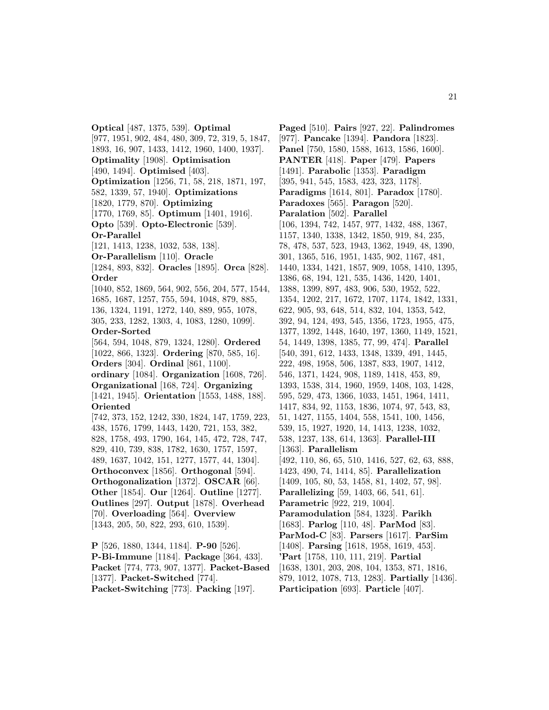**Optical** [487, 1375, 539]. **Optimal** [977, 1951, 902, 484, 480, 309, 72, 319, 5, 1847, 1893, 16, 907, 1433, 1412, 1960, 1400, 1937]. **Optimality** [1908]. **Optimisation** [490, 1494]. **Optimised** [403]. **Optimization** [1256, 71, 58, 218, 1871, 197, 582, 1339, 57, 1940]. **Optimizations** [1820, 1779, 870]. **Optimizing** [1770, 1769, 85]. **Optimum** [1401, 1916]. **Opto** [539]. **Opto-Electronic** [539]. **Or-Parallel** [121, 1413, 1238, 1032, 538, 138]. **Or-Parallelism** [110]. **Oracle** [1284, 893, 832]. **Oracles** [1895]. **Orca** [828]. **Order** [1040, 852, 1869, 564, 902, 556, 204, 577, 1544, 1685, 1687, 1257, 755, 594, 1048, 879, 885, 136, 1324, 1191, 1272, 140, 889, 955, 1078, 305, 233, 1282, 1303, 4, 1083, 1280, 1099]. **Order-Sorted** [564, 594, 1048, 879, 1324, 1280]. **Ordered** [1022, 866, 1323]. **Ordering** [870, 585, 16]. **Orders** [304]. **Ordinal** [861, 1100]. **ordinary** [1084]. **Organization** [1608, 726]. **Organizational** [168, 724]. **Organizing** [1421, 1945]. **Orientation** [1553, 1488, 188]. **Oriented** [742, 373, 152, 1242, 330, 1824, 147, 1759, 223, 438, 1576, 1799, 1443, 1420, 721, 153, 382, 828, 1758, 493, 1790, 164, 145, 472, 728, 747, 829, 410, 739, 838, 1782, 1630, 1757, 1597, 489, 1637, 1042, 151, 1277, 1577, 44, 1304]. **Orthoconvex** [1856]. **Orthogonal** [594]. **Orthogonalization** [1372]. **OSCAR** [66]. **Other** [1854]. **Our** [1264]. **Outline** [1277]. **Outlines** [297]. **Output** [1878]. **Overhead** [70]. **Overloading** [564]. **Overview** [1343, 205, 50, 822, 293, 610, 1539].

**P** [526, 1880, 1344, 1184]. **P-90** [526]. **P-Bi-Immune** [1184]. **Package** [364, 433]. **Packet** [774, 773, 907, 1377]. **Packet-Based** [1377]. **Packet-Switched** [774]. **Packet-Switching** [773]. **Packing** [197].

**Paged** [510]. **Pairs** [927, 22]. **Palindromes** [977]. **Pancake** [1394]. **Pandora** [1823]. **Panel** [750, 1580, 1588, 1613, 1586, 1600]. **PANTER** [418]. **Paper** [479]. **Papers** [1491]. **Parabolic** [1353]. **Paradigm** [395, 941, 545, 1583, 423, 323, 1178]. **Paradigms** [1614, 801]. **Paradox** [1780]. **Paradoxes** [565]. **Paragon** [520]. **Paralation** [502]. **Parallel** [106, 1394, 742, 1457, 977, 1432, 488, 1367, 1157, 1340, 1338, 1342, 1850, 919, 84, 235, 78, 478, 537, 523, 1943, 1362, 1949, 48, 1390, 301, 1365, 516, 1951, 1435, 902, 1167, 481, 1440, 1334, 1421, 1857, 909, 1058, 1410, 1395, 1386, 68, 194, 121, 535, 1436, 1420, 1401, 1388, 1399, 897, 483, 906, 530, 1952, 522, 1354, 1202, 217, 1672, 1707, 1174, 1842, 1331, 622, 905, 93, 648, 514, 832, 104, 1353, 542, 392, 94, 124, 493, 545, 1356, 1723, 1955, 475, 1377, 1392, 1448, 1640, 197, 1360, 1149, 1521, 54, 1449, 1398, 1385, 77, 99, 474]. **Parallel** [540, 391, 612, 1433, 1348, 1339, 491, 1445, 222, 498, 1958, 506, 1387, 833, 1907, 1412, 546, 1371, 1424, 908, 1189, 1418, 453, 89, 1393, 1538, 314, 1960, 1959, 1408, 103, 1428, 595, 529, 473, 1366, 1033, 1451, 1964, 1411, 1417, 834, 92, 1153, 1836, 1074, 97, 543, 83, 51, 1427, 1155, 1404, 558, 1541, 100, 1456, 539, 15, 1927, 1920, 14, 1413, 1238, 1032, 538, 1237, 138, 614, 1363]. **Parallel-III** [1363]. **Parallelism** [492, 110, 86, 65, 510, 1416, 527, 62, 63, 888, 1423, 490, 74, 1414, 85]. **Parallelization** [1409, 105, 80, 53, 1458, 81, 1402, 57, 98]. **Parallelizing** [59, 1403, 66, 541, 61]. **Parametric** [922, 219, 1004]. **Paramodulation** [584, 1323]. **Parikh** [1683]. **Parlog** [110, 48]. **ParMod** [83]. **ParMod-C** [83]. **Parsers** [1617]. **ParSim** [1408]. **Parsing** [1618, 1958, 1619, 453]. **'Part** [1758, 110, 111, 219]. **Partial** [1638, 1301, 203, 208, 104, 1353, 871, 1816, 879, 1012, 1078, 713, 1283]. **Partially** [1436]. **Participation** [693]. **Particle** [407].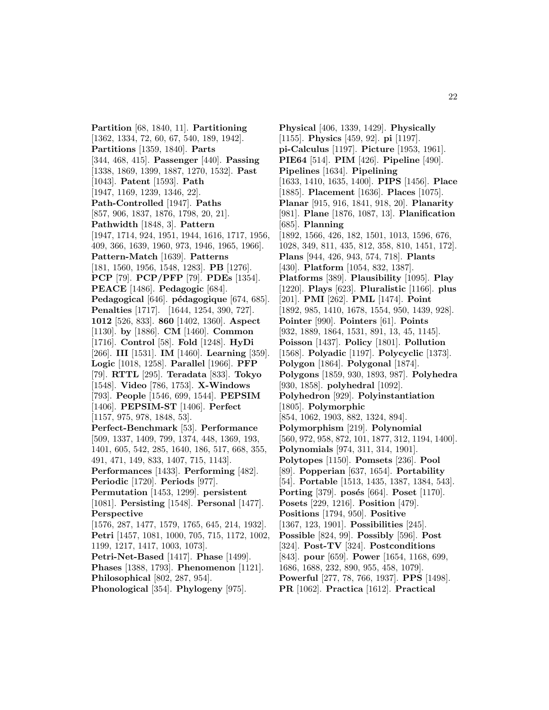**Partition** [68, 1840, 11]. **Partitioning** [1362, 1334, 72, 60, 67, 540, 189, 1942]. **Partitions** [1359, 1840]. **Parts** [344, 468, 415]. **Passenger** [440]. **Passing** [1338, 1869, 1399, 1887, 1270, 1532]. **Past** [1043]. **Patent** [1593]. **Path** [1947, 1169, 1239, 1346, 22]. **Path-Controlled** [1947]. **Paths** [857, 906, 1837, 1876, 1798, 20, 21]. **Pathwidth** [1848, 3]. **Pattern** [1947, 1714, 924, 1951, 1944, 1616, 1717, 1956, 409, 366, 1639, 1960, 973, 1946, 1965, 1966]. **Pattern-Match** [1639]. **Patterns** [181, 1560, 1956, 1548, 1283]. **PB** [1276]. **PCP** [79]. **PCP/PFP** [79]. **PDEs** [1354]. **PEACE** [1486]. **Pedagogic** [684]. Pedagogical<sup>[646]</sup>. pédagogique<sup>[674, 685].</sup> **Penalties** [1717]. [1644, 1254, 390, 727]. **1012** [526, 833]. **860** [1402, 1360]. **Aspect** [1130]. **by** [1886]. **CM** [1460]. **Common** [1716]. **Control** [58]. **Fold** [1248]. **HyDi** [266]. **III** [1531]. **IM** [1460]. **Learning** [359]. **Logic** [1018, 1258]. **Parallel** [1966]. **PFP** [79]. **RTTL** [295]. **Teradata** [833]. **Tokyo** [1548]. **Video** [786, 1753]. **X-Windows** [793]. **People** [1546, 699, 1544]. **PEPSIM** [1406]. **PEPSIM-ST** [1406]. **Perfect** [1157, 975, 978, 1848, 53]. **Perfect-Benchmark** [53]. **Performance** [509, 1337, 1409, 799, 1374, 448, 1369, 193, 1401, 605, 542, 285, 1640, 186, 517, 668, 355, 491, 471, 149, 833, 1407, 715, 1143]. **Performances** [1433]. **Performing** [482]. **Periodic** [1720]. **Periods** [977]. **Permutation** [1453, 1299]. **persistent** [1081]. **Persisting** [1548]. **Personal** [1477]. **Perspective** [1576, 287, 1477, 1579, 1765, 645, 214, 1932]. **Petri** [1457, 1081, 1000, 705, 715, 1172, 1002, 1199, 1217, 1417, 1003, 1073]. **Petri-Net-Based** [1417]. **Phase** [1499]. **Phases** [1388, 1793]. **Phenomenon** [1121]. **Philosophical** [802, 287, 954]. **Phonological** [354]. **Phylogeny** [975].

**Physical** [406, 1339, 1429]. **Physically** [1155]. **Physics** [459, 92]. **pi** [1197]. **pi-Calculus** [1197]. **Picture** [1953, 1961]. **PIE64** [514]. **PIM** [426]. **Pipeline** [490]. **Pipelines** [1634]. **Pipelining** [1633, 1410, 1635, 1400]. **PIPS** [1456]. **Place** [1885]. **Placement** [1636]. **Places** [1075]. **Planar** [915, 916, 1841, 918, 20]. **Planarity** [981]. **Plane** [1876, 1087, 13]. **Planification** [685]. **Planning** [1892, 1566, 426, 182, 1501, 1013, 1596, 676, 1028, 349, 811, 435, 812, 358, 810, 1451, 172]. **Plans** [944, 426, 943, 574, 718]. **Plants** [430]. **Platform** [1054, 832, 1387]. **Platforms** [389]. **Plausibility** [1095]. **Play** [1220]. **Plays** [623]. **Pluralistic** [1166]. **plus** [201]. **PMI** [262]. **PML** [1474]. **Point** [1892, 985, 1410, 1678, 1554, 950, 1439, 928]. **Pointer** [990]. **Pointers** [61]. **Points** [932, 1889, 1864, 1531, 891, 13, 45, 1145]. **Poisson** [1437]. **Policy** [1801]. **Pollution** [1568]. **Polyadic** [1197]. **Polycyclic** [1373]. **Polygon** [1864]. **Polygonal** [1874]. **Polygons** [1859, 930, 1893, 987]. **Polyhedra** [930, 1858]. **polyhedral** [1092]. **Polyhedron** [929]. **Polyinstantiation** [1805]. **Polymorphic** [854, 1062, 1903, 882, 1324, 894]. **Polymorphism** [219]. **Polynomial** [560, 972, 958, 872, 101, 1877, 312, 1194, 1400]. **Polynomials** [974, 311, 314, 1901]. **Polytopes** [1150]. **Pomsets** [236]. **Pool** [89]. **Popperian** [637, 1654]. **Portability** [54]. **Portable** [1513, 1435, 1387, 1384, 543]. **Porting** [379]. **posés** [664]. **Poset** [1170]. **Posets** [229, 1216]. **Position** [479]. **Positions** [1794, 950]. **Positive** [1367, 123, 1901]. **Possibilities** [245]. **Possible** [824, 99]. **Possibly** [596]. **Post** [324]. **Post-TV** [324]. **Postconditions** [843]. **pour** [659]. **Power** [1654, 1168, 699, 1686, 1688, 232, 890, 955, 458, 1079]. **Powerful** [277, 78, 766, 1937]. **PPS** [1498]. **PR** [1062]. **Practica** [1612]. **Practical**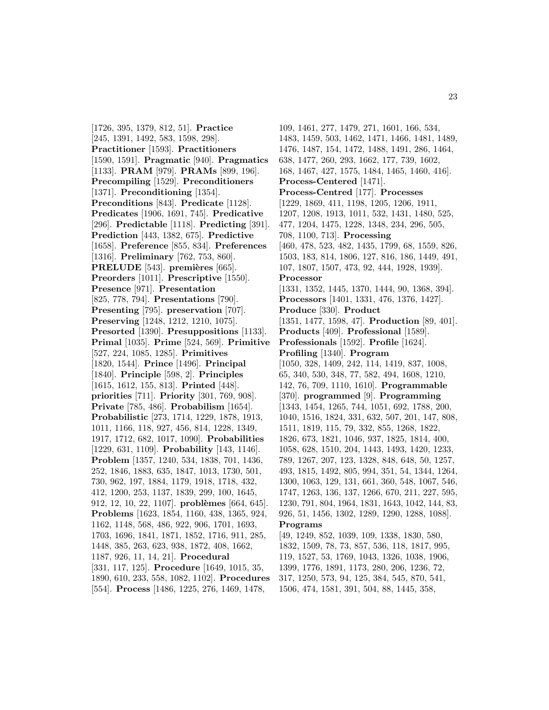[1726, 395, 1379, 812, 51]. **Practice** [245, 1391, 1492, 583, 1598, 298]. **Practitioner** [1593]. **Practitioners** [1590, 1591]. **Pragmatic** [940]. **Pragmatics** [1133]. **PRAM** [979]. **PRAMs** [899, 196]. **Precompiling** [1529]. **Preconditioners** [1371]. **Preconditioning** [1354]. **Preconditions** [843]. **Predicate** [1128]. **Predicates** [1906, 1691, 745]. **Predicative** [296]. **Predictable** [1118]. **Predicting** [391]. **Prediction** [443, 1382, 675]. **Predictive** [1658]. **Preference** [855, 834]. **Preferences** [1316]. **Preliminary** [762, 753, 860]. **PRELUDE** [543]. **premières** [665]. **Preorders** [1011]. **Prescriptive** [1550]. **Presence** [971]. **Presentation** [825, 778, 794]. **Presentations** [790]. **Presenting** [795]. **preservation** [707]. **Preserving** [1248, 1212, 1210, 1075]. **Presorted** [1390]. **Presuppositions** [1133]. **Primal** [1035]. **Prime** [524, 569]. **Primitive** [527, 224, 1085, 1285]. **Primitives** [1820, 1544]. **Prince** [1496]. **Principal** [1840]. **Principle** [598, 2]. **Principles** [1615, 1612, 155, 813]. **Printed** [448]. **priorities** [711]. **Priority** [301, 769, 908]. **Private** [785, 486]. **Probabilism** [1654]. **Probabilistic** [273, 1714, 1229, 1878, 1913, 1011, 1166, 118, 927, 456, 814, 1228, 1349, 1917, 1712, 682, 1017, 1090]. **Probabilities** [1229, 631, 1109]. **Probability** [143, 1146]. **Problem** [1357, 1240, 534, 1838, 701, 1436, 252, 1846, 1883, 635, 1847, 1013, 1730, 501, 730, 962, 197, 1884, 1179, 1918, 1718, 432, 412, 1200, 253, 1137, 1839, 299, 100, 1645, 912, 12, 10, 22, 1107. **problèmes** [664, 645]. **Problems** [1623, 1854, 1160, 438, 1365, 924, 1162, 1148, 568, 486, 922, 906, 1701, 1693, 1703, 1696, 1841, 1871, 1852, 1716, 911, 285, 1448, 385, 263, 623, 938, 1872, 408, 1662, 1187, 926, 11, 14, 21]. **Procedural** [331, 117, 125]. **Procedure** [1649, 1015, 35, 1890, 610, 233, 558, 1082, 1102]. **Procedures** [554]. **Process** [1486, 1225, 276, 1469, 1478,

109, 1461, 277, 1479, 271, 1601, 166, 534, 1483, 1459, 503, 1462, 1471, 1466, 1481, 1489, 1476, 1487, 154, 1472, 1488, 1491, 286, 1464, 638, 1477, 260, 293, 1662, 177, 739, 1602, 168, 1467, 427, 1575, 1484, 1465, 1460, 416]. **Process-Centered** [1471]. **Process-Centred** [177]. **Processes** [1229, 1869, 411, 1198, 1205, 1206, 1911, 1207, 1208, 1913, 1011, 532, 1431, 1480, 525, 477, 1204, 1475, 1228, 1348, 234, 296, 505, 708, 1100, 713]. **Processing** [460, 478, 523, 482, 1435, 1799, 68, 1559, 826, 1503, 183, 814, 1806, 127, 816, 186, 1449, 491, 107, 1807, 1507, 473, 92, 444, 1928, 1939]. **Processor** [1331, 1352, 1445, 1370, 1444, 90, 1368, 394]. **Processors** [1401, 1331, 476, 1376, 1427]. **Produce** [330]. **Product** [1351, 1477, 1598, 47]. **Production** [89, 401]. **Products** [409]. **Professional** [1589]. **Professionals** [1592]. **Profile** [1624]. **Profiling** [1340]. **Program** [1050, 328, 1409, 242, 114, 1419, 837, 1008, 65, 340, 530, 348, 77, 582, 494, 1608, 1210, 142, 76, 709, 1110, 1610]. **Programmable** [370]. **programmed** [9]. **Programming** [1343, 1454, 1265, 744, 1051, 692, 1788, 200, 1040, 1516, 1824, 331, 632, 507, 201, 147, 808, 1511, 1819, 115, 79, 332, 855, 1268, 1822, 1826, 673, 1821, 1046, 937, 1825, 1814, 400, 1058, 628, 1510, 204, 1443, 1493, 1420, 1233, 789, 1267, 207, 123, 1328, 848, 648, 50, 1257, 493, 1815, 1492, 805, 994, 351, 54, 1344, 1264, 1300, 1063, 129, 131, 661, 360, 548, 1067, 546, 1747, 1263, 136, 137, 1266, 670, 211, 227, 595, 1230, 791, 804, 1964, 1831, 1643, 1042, 144, 83, 926, 51, 1456, 1302, 1289, 1290, 1288, 1088]. **Programs** [49, 1249, 852, 1039, 109, 1338, 1830, 580, 1832, 1509, 78, 73, 857, 536, 118, 1817, 995,

119, 1527, 53, 1769, 1043, 1326, 1038, 1906, 1399, 1776, 1891, 1173, 280, 206, 1236, 72, 317, 1250, 573, 94, 125, 384, 545, 870, 541, 1506, 474, 1581, 391, 504, 88, 1445, 358,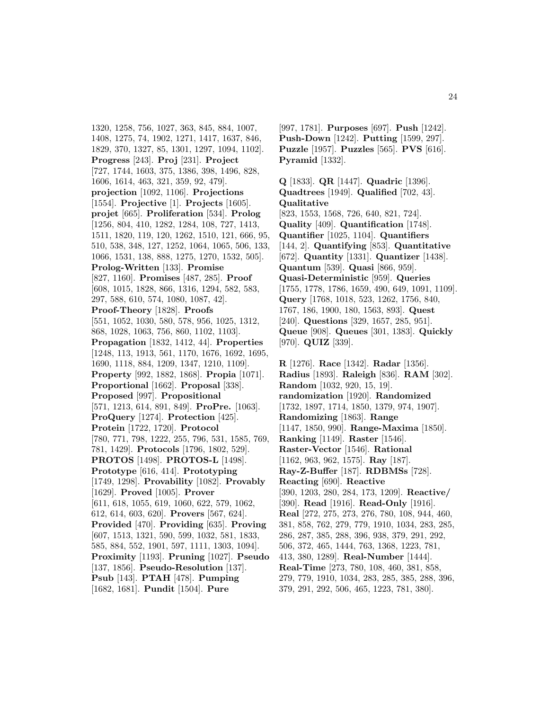1320, 1258, 756, 1027, 363, 845, 884, 1007, 1408, 1275, 74, 1902, 1271, 1417, 1637, 846, 1829, 370, 1327, 85, 1301, 1297, 1094, 1102]. **Progress** [243]. **Proj** [231]. **Project** [727, 1744, 1603, 375, 1386, 398, 1496, 828, 1606, 1614, 463, 321, 359, 92, 479]. **projection** [1092, 1106]. **Projections** [1554]. **Projective** [1]. **Projects** [1605]. **projet** [665]. **Proliferation** [534]. **Prolog** [1256, 804, 410, 1282, 1284, 108, 727, 1413, 1511, 1820, 119, 120, 1262, 1510, 121, 666, 95, 510, 538, 348, 127, 1252, 1064, 1065, 506, 133, 1066, 1531, 138, 888, 1275, 1270, 1532, 505]. **Prolog-Written** [133]. **Promise** [827, 1160]. **Promises** [487, 285]. **Proof** [608, 1015, 1828, 866, 1316, 1294, 582, 583, 297, 588, 610, 574, 1080, 1087, 42]. **Proof-Theory** [1828]. **Proofs** [551, 1052, 1030, 580, 578, 956, 1025, 1312, 868, 1028, 1063, 756, 860, 1102, 1103]. **Propagation** [1832, 1412, 44]. **Properties** [1248, 113, 1913, 561, 1170, 1676, 1692, 1695, 1690, 1118, 884, 1209, 1347, 1210, 1109]. **Property** [992, 1882, 1868]. **Propia** [1071]. **Proportional** [1662]. **Proposal** [338]. **Proposed** [997]. **Propositional** [571, 1213, 614, 891, 849]. **ProPre.** [1063]. **ProQuery** [1274]. **Protection** [425]. **Protein** [1722, 1720]. **Protocol** [780, 771, 798, 1222, 255, 796, 531, 1585, 769, 781, 1429]. **Protocols** [1796, 1802, 529]. **PROTOS** [1498]. **PROTOS-L** [1498]. **Prototype** [616, 414]. **Prototyping** [1749, 1298]. **Provability** [1082]. **Provably** [1629]. **Proved** [1005]. **Prover** [611, 618, 1055, 619, 1060, 622, 579, 1062, 612, 614, 603, 620]. **Provers** [567, 624]. **Provided** [470]. **Providing** [635]. **Proving** [607, 1513, 1321, 590, 599, 1032, 581, 1833, 585, 884, 552, 1901, 597, 1111, 1303, 1094]. **Proximity** [1193]. **Pruning** [1027]. **Pseudo** [137, 1856]. **Pseudo-Resolution** [137]. **Psub** [143]. **PTAH** [478]. **Pumping** [1682, 1681]. **Pundit** [1504]. **Pure**

[997, 1781]. **Purposes** [697]. **Push** [1242]. **Push-Down** [1242]. **Putting** [1599, 297]. **Puzzle** [1957]. **Puzzles** [565]. **PVS** [616]. **Pyramid** [1332].

**Q** [1833]. **QR** [1447]. **Quadric** [1396]. **Quadtrees** [1949]. **Qualified** [702, 43]. **Qualitative** [823, 1553, 1568, 726, 640, 821, 724]. **Quality** [409]. **Quantification** [1748]. **Quantifier** [1025, 1104]. **Quantifiers** [144, 2]. **Quantifying** [853]. **Quantitative** [672]. **Quantity** [1331]. **Quantizer** [1438]. **Quantum** [539]. **Quasi** [866, 959]. **Quasi-Deterministic** [959]. **Queries** [1755, 1778, 1786, 1659, 490, 649, 1091, 1109]. **Query** [1768, 1018, 523, 1262, 1756, 840, 1767, 186, 1900, 180, 1563, 893]. **Quest** [240]. **Questions** [329, 1657, 285, 951]. **Queue** [908]. **Queues** [301, 1383]. **Quickly** [970]. **QUIZ** [339]. **R** [1276]. **Race** [1342]. **Radar** [1356].

**Radius** [1893]. **Raleigh** [836]. **RAM** [302]. **Random** [1032, 920, 15, 19]. **randomization** [1920]. **Randomized** [1732, 1897, 1714, 1850, 1379, 974, 1907]. **Randomizing** [1863]. **Range** [1147, 1850, 990]. **Range-Maxima** [1850]. **Ranking** [1149]. **Raster** [1546]. **Raster-Vector** [1546]. **Rational** [1162, 963, 962, 1575]. **Ray** [187]. **Ray-Z-Buffer** [187]. **RDBMSs** [728]. **Reacting** [690]. **Reactive** [390, 1203, 280, 284, 173, 1209]. **Reactive/** [390]. **Read** [1916]. **Read-Only** [1916]. **Real** [272, 275, 273, 276, 780, 108, 944, 460, 381, 858, 762, 279, 779, 1910, 1034, 283, 285, 286, 287, 385, 288, 396, 938, 379, 291, 292, 506, 372, 465, 1444, 763, 1368, 1223, 781, 413, 380, 1289]. **Real-Number** [1444]. **Real-Time** [273, 780, 108, 460, 381, 858, 279, 779, 1910, 1034, 283, 285, 385, 288, 396, 379, 291, 292, 506, 465, 1223, 781, 380].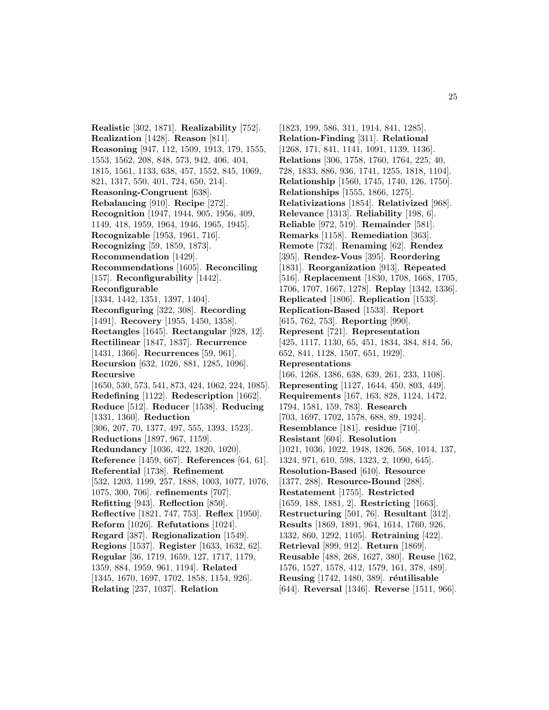**Realistic** [302, 1871]. **Realizability** [752]. **Realization** [1428]. **Reason** [811]. **Reasoning** [947, 112, 1509, 1913, 179, 1555, 1553, 1562, 208, 848, 573, 942, 406, 404, 1815, 1561, 1133, 638, 457, 1552, 845, 1069, 821, 1317, 550, 401, 724, 650, 214]. **Reasoning-Congruent** [638]. **Rebalancing** [910]. **Recipe** [272]. **Recognition** [1947, 1944, 905, 1956, 409, 1149, 418, 1959, 1964, 1946, 1965, 1945]. **Recognizable** [1953, 1961, 716]. **Recognizing** [59, 1859, 1873]. **Recommendation** [1429]. **Recommendations** [1605]. **Reconciling** [157]. **Reconfigurability** [1442]. **Reconfigurable** [1334, 1442, 1351, 1397, 1404]. **Reconfiguring** [322, 308]. **Recording** [1491]. **Recovery** [1955, 1450, 1358]. **Rectangles** [1645]. **Rectangular** [928, 12]. **Rectilinear** [1847, 1837]. **Recurrence** [1431, 1366]. **Recurrences** [59, 961]. **Recursion** [632, 1026, 881, 1285, 1096]. **Recursive** [1650, 530, 573, 541, 873, 424, 1062, 224, 1085]. **Redefining** [1122]. **Redescription** [1662]. **Reduce** [512]. **Reducer** [1538]. **Reducing** [1331, 1360]. **Reduction** [306, 207, 70, 1377, 497, 555, 1393, 1523]. **Reductions** [1897, 967, 1159]. **Redundancy** [1036, 422, 1820, 1020]. **Reference** [1459, 667]. **References** [64, 61]. **Referential** [1738]. **Refinement** [532, 1203, 1199, 257, 1888, 1003, 1077, 1076, 1075, 300, 706]. **refinements** [707]. **Refitting** [943]. **Reflection** [850]. **Reflective** [1821, 747, 753]. **Reflex** [1950]. **Reform** [1026]. **Refutations** [1024]. **Regard** [387]. **Regionalization** [1549]. **Regions** [1537]. **Register** [1633, 1632, 62]. **Regular** [36, 1719, 1659, 127, 1717, 1179, 1359, 884, 1959, 961, 1194]. **Related** [1345, 1670, 1697, 1702, 1858, 1154, 926]. **Relating** [237, 1037]. **Relation**

[1823, 199, 586, 311, 1914, 841, 1285]. **Relation-Finding** [311]. **Relational** [1268, 171, 841, 1141, 1091, 1139, 1136]. **Relations** [306, 1758, 1760, 1764, 225, 40, 728, 1833, 886, 936, 1741, 1255, 1818, 1104]. **Relationship** [1560, 1745, 1740, 126, 1750]. **Relationships** [1555, 1866, 1275]. **Relativizations** [1854]. **Relativized** [968]. **Relevance** [1313]. **Reliability** [198, 6]. **Reliable** [972, 519]. **Remainder** [581]. **Remarks** [1158]. **Remediation** [363]. **Remote** [732]. **Renaming** [62]. **Rendez** [395]. **Rendez-Vous** [395]. **Reordering** [1831]. **Reorganization** [913]. **Repeated** [516]. **Replacement** [1830, 1708, 1668, 1705, 1706, 1707, 1667, 1278]. **Replay** [1342, 1336]. **Replicated** [1806]. **Replication** [1533]. **Replication-Based** [1533]. **Report** [615, 762, 753]. **Reporting** [990]. **Represent** [721]. **Representation** [425, 1117, 1130, 65, 451, 1834, 384, 814, 56, 652, 841, 1128, 1507, 651, 1929]. **Representations** [166, 1268, 1386, 638, 639, 261, 233, 1108]. **Representing** [1127, 1644, 450, 803, 449]. **Requirements** [167, 163, 828, 1124, 1472, 1794, 1581, 159, 783]. **Research** [703, 1697, 1702, 1578, 688, 89, 1924]. **Resemblance** [181]. **residue** [710]. **Resistant** [604]. **Resolution** [1021, 1036, 1022, 1948, 1826, 568, 1014, 137, 1324, 971, 610, 598, 1323, 2, 1090, 645]. **Resolution-Based** [610]. **Resource** [1377, 288]. **Resource-Bound** [288]. **Restatement** [1755]. **Restricted** [1659, 188, 1881, 2]. **Restricting** [1663]. **Restructuring** [501, 76]. **Resultant** [312]. **Results** [1869, 1891, 964, 1614, 1760, 926, 1332, 860, 1292, 1105]. **Retraining** [422]. **Retrieval** [899, 912]. **Return** [1869]. **Reusable** [488, 268, 1627, 380]. **Reuse** [162, 1576, 1527, 1578, 412, 1579, 161, 378, 489]. **Reusing** [1742, 1480, 389]. **réutilisable** [644]. **Reversal** [1346]. **Reverse** [1511, 966].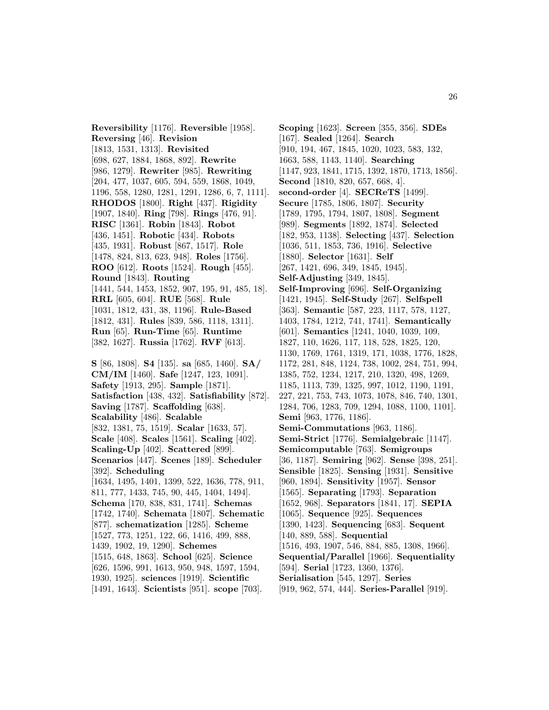**Reversibility** [1176]. **Reversible** [1958]. **Reversing** [46]. **Revision** [1813, 1531, 1313]. **Revisited** [698, 627, 1884, 1868, 892]. **Rewrite** [986, 1279]. **Rewriter** [985]. **Rewriting** [204, 477, 1037, 605, 594, 559, 1868, 1049, 1196, 558, 1280, 1281, 1291, 1286, 6, 7, 1111]. **RHODOS** [1800]. **Right** [437]. **Rigidity** [1907, 1840]. **Ring** [798]. **Rings** [476, 91]. **RISC** [1361]. **Robin** [1843]. **Robot** [436, 1451]. **Robotic** [434]. **Robots** [435, 1931]. **Robust** [867, 1517]. **Role** [1478, 824, 813, 623, 948]. **Roles** [1756]. **ROO** [612]. **Roots** [1524]. **Rough** [455]. **Round** [1843]. **Routing** [1441, 544, 1453, 1852, 907, 195, 91, 485, 18]. **RRL** [605, 604]. **RUE** [568]. **Rule** [1031, 1812, 431, 38, 1196]. **Rule-Based** [1812, 431]. **Rules** [839, 586, 1118, 1311]. **Run** [65]. **Run-Time** [65]. **Runtime** [382, 1627]. **Russia** [1762]. **RVF** [613]. **S** [86, 1808]. **S4** [135]. **sa** [685, 1460]. **SA/**

**CM/IM** [1460]. **Safe** [1247, 123, 1091]. **Safety** [1913, 295]. **Sample** [1871]. **Satisfaction** [438, 432]. **Satisfiability** [872]. **Saving** [1787]. **Scaffolding** [638]. **Scalability** [486]. **Scalable** [832, 1381, 75, 1519]. **Scalar** [1633, 57]. **Scale** [408]. **Scales** [1561]. **Scaling** [402]. **Scaling-Up** [402]. **Scattered** [899]. **Scenarios** [447]. **Scenes** [189]. **Scheduler** [392]. **Scheduling** [1634, 1495, 1401, 1399, 522, 1636, 778, 911, 811, 777, 1433, 745, 90, 445, 1404, 1494]. **Schema** [170, 838, 831, 1741]. **Schemas** [1742, 1740]. **Schemata** [1807]. **Schematic** [877]. **schematization** [1285]. **Scheme** [1527, 773, 1251, 122, 66, 1416, 499, 888, 1439, 1902, 19, 1290]. **Schemes** [1515, 648, 1863]. **School** [625]. **Science** [626, 1596, 991, 1613, 950, 948, 1597, 1594, 1930, 1925]. **sciences** [1919]. **Scientific** [1491, 1643]. **Scientists** [951]. **scope** [703].

**Scoping** [1623]. **Screen** [355, 356]. **SDEs** [167]. **Sealed** [1264]. **Search** [910, 194, 467, 1845, 1020, 1023, 583, 132, 1663, 588, 1143, 1140]. **Searching** [1147, 923, 1841, 1715, 1392, 1870, 1713, 1856]. **Second** [1810, 820, 657, 668, 4]. **second-order** [4]. **SECReTS** [1499]. **Secure** [1785, 1806, 1807]. **Security** [1789, 1795, 1794, 1807, 1808]. **Segment** [989]. **Segments** [1892, 1874]. **Selected** [182, 953, 1138]. **Selecting** [437]. **Selection** [1036, 511, 1853, 736, 1916]. **Selective** [1880]. **Selector** [1631]. **Self** [267, 1421, 696, 349, 1845, 1945]. **Self-Adjusting** [349, 1845]. **Self-Improving** [696]. **Self-Organizing** [1421, 1945]. **Self-Study** [267]. **Selfspell** [363]. **Semantic** [587, 223, 1117, 578, 1127, 1403, 1784, 1212, 741, 1741]. **Semantically** [601]. **Semantics** [1241, 1040, 1039, 109, 1827, 110, 1626, 117, 118, 528, 1825, 120, 1130, 1769, 1761, 1319, 171, 1038, 1776, 1828, 1172, 281, 848, 1124, 738, 1002, 284, 751, 994, 1385, 752, 1234, 1217, 210, 1320, 498, 1269, 1185, 1113, 739, 1325, 997, 1012, 1190, 1191, 227, 221, 753, 743, 1073, 1078, 846, 740, 1301, 1284, 706, 1283, 709, 1294, 1088, 1100, 1101]. **Semi** [963, 1776, 1186]. **Semi-Commutations** [963, 1186]. **Semi-Strict** [1776]. **Semialgebraic** [1147]. **Semicomputable** [763]. **Semigroups** [36, 1187]. **Semiring** [962]. **Sense** [398, 251]. **Sensible** [1825]. **Sensing** [1931]. **Sensitive** [960, 1894]. **Sensitivity** [1957]. **Sensor** [1565]. **Separating** [1793]. **Separation** [1652, 968]. **Separators** [1841, 17]. **SEPIA** [1065]. **Sequence** [925]. **Sequences** [1390, 1423]. **Sequencing** [683]. **Sequent** [140, 889, 588]. **Sequential** [1516, 493, 1907, 546, 884, 885, 1308, 1966]. **Sequential/Parallel** [1966]. **Sequentiality** [594]. **Serial** [1723, 1360, 1376]. **Serialisation** [545, 1297]. **Series** [919, 962, 574, 444]. **Series-Parallel** [919].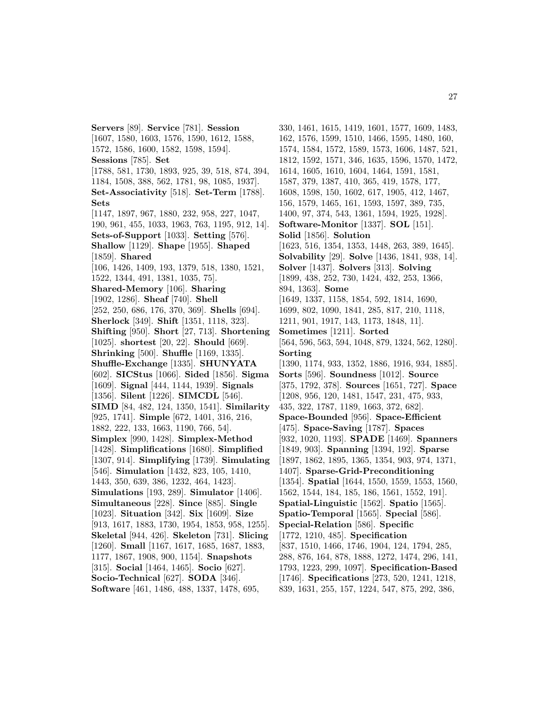**Servers** [89]. **Service** [781]. **Session** [1607, 1580, 1603, 1576, 1590, 1612, 1588, 1572, 1586, 1600, 1582, 1598, 1594]. **Sessions** [785]. **Set** [1788, 581, 1730, 1893, 925, 39, 518, 874, 394, 1184, 1508, 388, 562, 1781, 98, 1085, 1937]. **Set-Associativity** [518]. **Set-Term** [1788]. **Sets** [1147, 1897, 967, 1880, 232, 958, 227, 1047, 190, 961, 455, 1033, 1963, 763, 1195, 912, 14]. **Sets-of-Support** [1033]. **Setting** [576]. **Shallow** [1129]. **Shape** [1955]. **Shaped** [1859]. **Shared** [106, 1426, 1409, 193, 1379, 518, 1380, 1521, 1522, 1344, 491, 1381, 1035, 75]. **Shared-Memory** [106]. **Sharing** [1902, 1286]. **Sheaf** [740]. **Shell** [252, 250, 686, 176, 370, 369]. **Shells** [694]. **Sherlock** [349]. **Shift** [1351, 1118, 323]. **Shifting** [950]. **Short** [27, 713]. **Shortening** [1025]. **shortest** [20, 22]. **Should** [669]. **Shrinking** [500]. **Shuffle** [1169, 1335]. **Shuffle-Exchange** [1335]. **SHUNYATA** [602]. **SICStus** [1066]. **Sided** [1856]. **Sigma** [1609]. **Signal** [444, 1144, 1939]. **Signals** [1356]. **Silent** [1226]. **SIMCDL** [546]. **SIMD** [84, 482, 124, 1350, 1541]. **Similarity** [925, 1741]. **Simple** [672, 1401, 316, 216, 1882, 222, 133, 1663, 1190, 766, 54]. **Simplex** [990, 1428]. **Simplex-Method** [1428]. **Simplifications** [1680]. **Simplified** [1307, 914]. **Simplifying** [1739]. **Simulating** [546]. **Simulation** [1432, 823, 105, 1410, 1443, 350, 639, 386, 1232, 464, 1423]. **Simulations** [193, 289]. **Simulator** [1406]. **Simultaneous** [228]. **Since** [885]. **Single** [1023]. **Situation** [342]. **Six** [1609]. **Size** [913, 1617, 1883, 1730, 1954, 1853, 958, 1255]. **Skeletal** [944, 426]. **Skeleton** [731]. **Slicing** [1260]. **Small** [1167, 1617, 1685, 1687, 1883, 1177, 1867, 1908, 900, 1154]. **Snapshots** [315]. **Social** [1464, 1465]. **Socio** [627]. **Socio-Technical** [627]. **SODA** [346]. **Software** [461, 1486, 488, 1337, 1478, 695,

330, 1461, 1615, 1419, 1601, 1577, 1609, 1483, 162, 1576, 1599, 1510, 1466, 1595, 1480, 160, 1574, 1584, 1572, 1589, 1573, 1606, 1487, 521, 1812, 1592, 1571, 346, 1635, 1596, 1570, 1472, 1614, 1605, 1610, 1604, 1464, 1591, 1581, 1587, 379, 1387, 410, 365, 419, 1578, 177, 1608, 1598, 150, 1602, 617, 1905, 412, 1467, 156, 1579, 1465, 161, 1593, 1597, 389, 735, 1400, 97, 374, 543, 1361, 1594, 1925, 1928]. **Software-Monitor** [1337]. **SOL** [151]. **Solid** [1856]. **Solution** [1623, 516, 1354, 1353, 1448, 263, 389, 1645]. **Solvability** [29]. **Solve** [1436, 1841, 938, 14]. **Solver** [1437]. **Solvers** [313]. **Solving** [1899, 438, 252, 730, 1424, 432, 253, 1366, 894, 1363]. **Some** [1649, 1337, 1158, 1854, 592, 1814, 1690, 1699, 802, 1090, 1841, 285, 817, 210, 1118, 1211, 901, 1917, 143, 1173, 1848, 11]. **Sometimes** [1211]. **Sorted** [564, 596, 563, 594, 1048, 879, 1324, 562, 1280]. **Sorting** [1390, 1174, 933, 1352, 1886, 1916, 934, 1885]. **Sorts** [596]. **Soundness** [1012]. **Source** [375, 1792, 378]. **Sources** [1651, 727]. **Space** [1208, 956, 120, 1481, 1547, 231, 475, 933, 435, 322, 1787, 1189, 1663, 372, 682]. **Space-Bounded** [956]. **Space-Efficient** [475]. **Space-Saving** [1787]. **Spaces** [932, 1020, 1193]. **SPADE** [1469]. **Spanners** [1849, 903]. **Spanning** [1394, 192]. **Sparse** [1897, 1862, 1895, 1365, 1354, 903, 974, 1371, 1407]. **Sparse-Grid-Preconditioning** [1354]. **Spatial** [1644, 1550, 1559, 1553, 1560, 1562, 1544, 184, 185, 186, 1561, 1552, 191]. **Spatial-Linguistic** [1562]. **Spatio** [1565]. **Spatio-Temporal** [1565]. **Special** [586]. **Special-Relation** [586]. **Specific** [1772, 1210, 485]. **Specification** [837, 1510, 1466, 1746, 1904, 124, 1794, 285, 288, 876, 164, 878, 1888, 1272, 1474, 296, 141, 1793, 1223, 299, 1097]. **Specification-Based** [1746]. **Specifications** [273, 520, 1241, 1218, 839, 1631, 255, 157, 1224, 547, 875, 292, 386,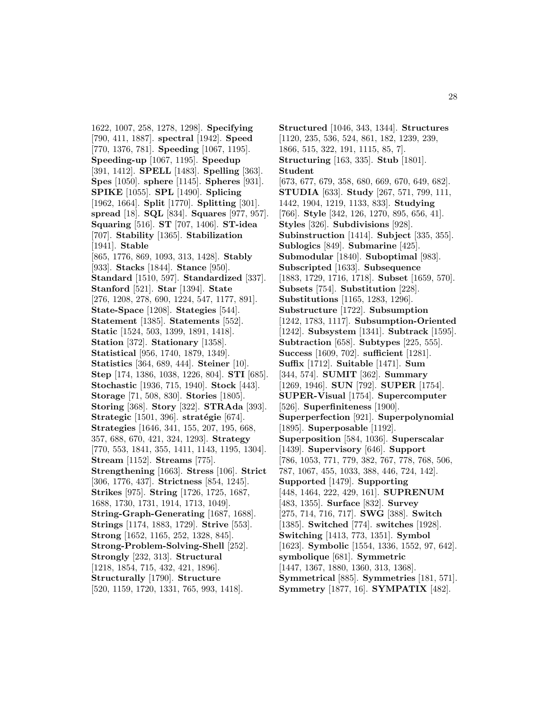1622, 1007, 258, 1278, 1298]. **Specifying** [790, 411, 1887]. **spectral** [1942]. **Speed** [770, 1376, 781]. **Speeding** [1067, 1195]. **Speeding-up** [1067, 1195]. **Speedup** [391, 1412]. **SPELL** [1483]. **Spelling** [363]. **Spes** [1050]. **sphere** [1145]. **Spheres** [931]. **SPIKE** [1055]. **SPL** [1490]. **Splicing** [1962, 1664]. **Split** [1770]. **Splitting** [301]. **spread** [18]. **SQL** [834]. **Squares** [977, 957]. **Squaring** [516]. **ST** [707, 1406]. **ST-idea** [707]. **Stability** [1365]. **Stabilization** [1941]. **Stable** [865, 1776, 869, 1093, 313, 1428]. **Stably** [933]. **Stacks** [1844]. **Stance** [950]. **Standard** [1510, 597]. **Standardized** [337]. **Stanford** [521]. **Star** [1394]. **State** [276, 1208, 278, 690, 1224, 547, 1177, 891]. **State-Space** [1208]. **Stategies** [544]. **Statement** [1385]. **Statements** [552]. **Static** [1524, 503, 1399, 1891, 1418]. **Station** [372]. **Stationary** [1358]. **Statistical** [956, 1740, 1879, 1349]. **Statistics** [364, 689, 444]. **Steiner** [10]. **Step** [174, 1386, 1038, 1226, 804]. **STI** [685]. **Stochastic** [1936, 715, 1940]. **Stock** [443]. **Storage** [71, 508, 830]. **Stories** [1805]. **Storing** [368]. **Story** [322]. **STRAda** [393]. **Strategic** [1501, 396]. **stratégie** [674]. **Strategies** [1646, 341, 155, 207, 195, 668, 357, 688, 670, 421, 324, 1293]. **Strategy** [770, 553, 1841, 355, 1411, 1143, 1195, 1304]. **Stream** [1152]. **Streams** [775]. **Strengthening** [1663]. **Stress** [106]. **Strict** [306, 1776, 437]. **Strictness** [854, 1245]. **Strikes** [975]. **String** [1726, 1725, 1687, 1688, 1730, 1731, 1914, 1713, 1049]. **String-Graph-Generating** [1687, 1688]. **Strings** [1174, 1883, 1729]. **Strive** [553]. **Strong** [1652, 1165, 252, 1328, 845]. **Strong-Problem-Solving-Shell** [252]. **Strongly** [232, 313]. **Structural** [1218, 1854, 715, 432, 421, 1896]. **Structurally** [1790]. **Structure** [520, 1159, 1720, 1331, 765, 993, 1418].

**Structured** [1046, 343, 1344]. **Structures** [1120, 235, 536, 524, 861, 182, 1239, 239, 1866, 515, 322, 191, 1115, 85, 7]. **Structuring** [163, 335]. **Stub** [1801]. **Student** [673, 677, 679, 358, 680, 669, 670, 649, 682]. **STUDIA** [633]. **Study** [267, 571, 799, 111, 1442, 1904, 1219, 1133, 833]. **Studying** [766]. **Style** [342, 126, 1270, 895, 656, 41]. **Styles** [326]. **Subdivisions** [928]. **Subinstruction** [1414]. **Subject** [335, 355]. **Sublogics** [849]. **Submarine** [425]. **Submodular** [1840]. **Suboptimal** [983]. **Subscripted** [1633]. **Subsequence** [1883, 1729, 1716, 1718]. **Subset** [1659, 570]. **Subsets** [754]. **Substitution** [228]. **Substitutions** [1165, 1283, 1296]. **Substructure** [1722]. **Subsumption** [1242, 1783, 1117]. **Subsumption-Oriented** [1242]. **Subsystem** [1341]. **Subtrack** [1595]. **Subtraction** [658]. **Subtypes** [225, 555]. **Success** [1609, 702]. **sufficient** [1281]. **Suffix** [1712]. **Suitable** [1471]. **Sum** [344, 574]. **SUMIT** [362]. **Summary** [1269, 1946]. **SUN** [792]. **SUPER** [1754]. **SUPER-Visual** [1754]. **Supercomputer** [526]. **Superfiniteness** [1900]. **Superperfection** [921]. **Superpolynomial** [1895]. **Superposable** [1192]. **Superposition** [584, 1036]. **Superscalar** [1439]. **Supervisory** [646]. **Support** [786, 1053, 771, 779, 382, 767, 778, 768, 506, 787, 1067, 455, 1033, 388, 446, 724, 142]. **Supported** [1479]. **Supporting** [448, 1464, 222, 429, 161]. **SUPRENUM** [483, 1355]. **Surface** [832]. **Survey** [275, 714, 716, 717]. **SWG** [388]. **Switch** [1385]. **Switched** [774]. **switches** [1928]. **Switching** [1413, 773, 1351]. **Symbol** [1623]. **Symbolic** [1554, 1336, 1552, 97, 642]. **symbolique** [681]. **Symmetric** [1447, 1367, 1880, 1360, 313, 1368]. **Symmetrical** [885]. **Symmetries** [181, 571]. **Symmetry** [1877, 16]. **SYMPATIX** [482].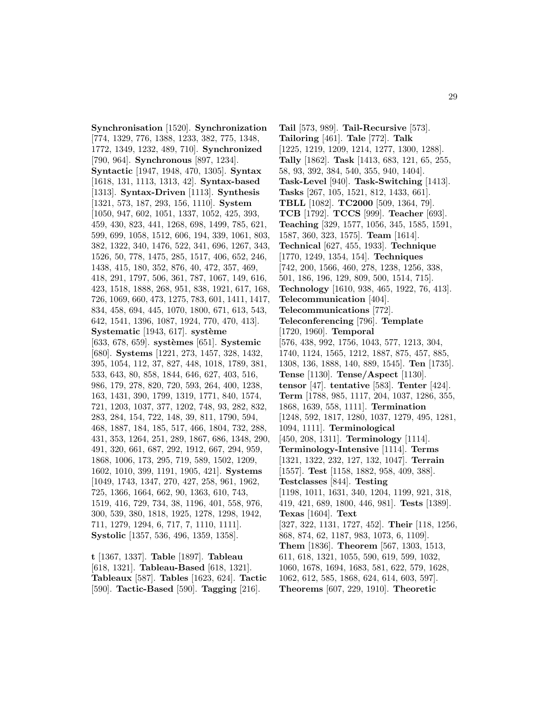**Synchronisation** [1520]. **Synchronization** [774, 1329, 776, 1388, 1233, 382, 775, 1348, 1772, 1349, 1232, 489, 710]. **Synchronized** [790, 964]. **Synchronous** [897, 1234]. **Syntactic** [1947, 1948, 470, 1305]. **Syntax** [1618, 131, 1113, 1313, 42]. **Syntax-based** [1313]. **Syntax-Driven** [1113]. **Synthesis** [1321, 573, 187, 293, 156, 1110]. **System** [1050, 947, 602, 1051, 1337, 1052, 425, 393, 459, 430, 823, 441, 1268, 698, 1499, 785, 621, 599, 699, 1058, 1512, 606, 194, 339, 1061, 803, 382, 1322, 340, 1476, 522, 341, 696, 1267, 343, 1526, 50, 778, 1475, 285, 1517, 406, 652, 246, 1438, 415, 180, 352, 876, 40, 472, 357, 469, 418, 291, 1797, 506, 361, 787, 1067, 149, 616, 423, 1518, 1888, 268, 951, 838, 1921, 617, 168, 726, 1069, 660, 473, 1275, 783, 601, 1411, 1417, 834, 458, 694, 445, 1070, 1800, 671, 613, 543, 642, 1541, 1396, 1087, 1924, 770, 470, 413]. **Systematic** [1943, 617]. **système** [633, 678, 659]. **systèmes** [651]. **Systemic** [680]. **Systems** [1221, 273, 1457, 328, 1432, 395, 1054, 112, 37, 827, 448, 1018, 1789, 381, 533, 643, 80, 858, 1844, 646, 627, 403, 516, 986, 179, 278, 820, 720, 593, 264, 400, 1238, 163, 1431, 390, 1799, 1319, 1771, 840, 1574, 721, 1203, 1037, 377, 1202, 748, 93, 282, 832, 283, 284, 154, 722, 148, 39, 811, 1790, 594, 468, 1887, 184, 185, 517, 466, 1804, 732, 288, 431, 353, 1264, 251, 289, 1867, 686, 1348, 290, 491, 320, 661, 687, 292, 1912, 667, 294, 959, 1868, 1006, 173, 295, 719, 589, 1502, 1209, 1602, 1010, 399, 1191, 1905, 421]. **Systems** [1049, 1743, 1347, 270, 427, 258, 961, 1962, 725, 1366, 1664, 662, 90, 1363, 610, 743, 1519, 416, 729, 734, 38, 1196, 401, 558, 976, 300, 539, 380, 1818, 1925, 1278, 1298, 1942, 711, 1279, 1294, 6, 717, 7, 1110, 1111]. **Systolic** [1357, 536, 496, 1359, 1358].

**t** [1367, 1337]. **Table** [1897]. **Tableau** [618, 1321]. **Tableau-Based** [618, 1321]. **Tableaux** [587]. **Tables** [1623, 624]. **Tactic** [590]. **Tactic-Based** [590]. **Tagging** [216].

**Tail** [573, 989]. **Tail-Recursive** [573]. **Tailoring** [461]. **Tale** [772]. **Talk** [1225, 1219, 1209, 1214, 1277, 1300, 1288]. **Tally** [1862]. **Task** [1413, 683, 121, 65, 255, 58, 93, 392, 384, 540, 355, 940, 1404]. **Task-Level** [940]. **Task-Switching** [1413]. **Tasks** [267, 105, 1521, 812, 1433, 661]. **TBLL** [1082]. **TC2000** [509, 1364, 79]. **TCB** [1792]. **TCCS** [999]. **Teacher** [693]. **Teaching** [329, 1577, 1056, 345, 1585, 1591, 1587, 360, 323, 1575]. **Team** [1614]. **Technical** [627, 455, 1933]. **Technique** [1770, 1249, 1354, 154]. **Techniques** [742, 200, 1566, 460, 278, 1238, 1256, 338, 501, 186, 196, 129, 809, 500, 1514, 715]. **Technology** [1610, 938, 465, 1922, 76, 413]. **Telecommunication** [404]. **Telecommunications** [772]. **Teleconferencing** [796]. **Template** [1720, 1960]. **Temporal** [576, 438, 992, 1756, 1043, 577, 1213, 304, 1740, 1124, 1565, 1212, 1887, 875, 457, 885, 1308, 136, 1888, 140, 889, 1545]. **Ten** [1735]. **Tense** [1130]. **Tense/Aspect** [1130]. **tensor** [47]. **tentative** [583]. **Tenter** [424]. **Term** [1788, 985, 1117, 204, 1037, 1286, 355, 1868, 1639, 558, 1111]. **Termination** [1248, 592, 1817, 1280, 1037, 1279, 495, 1281, 1094, 1111]. **Terminological** [450, 208, 1311]. **Terminology** [1114]. **Terminology-Intensive** [1114]. **Terms** [1321, 1322, 232, 127, 132, 1047]. **Terrain** [1557]. **Test** [1158, 1882, 958, 409, 388]. **Testclasses** [844]. **Testing** [1198, 1011, 1631, 340, 1204, 1199, 921, 318, 419, 421, 689, 1800, 446, 981]. **Tests** [1389]. **Texas** [1604]. **Text** [327, 322, 1131, 1727, 452]. **Their** [118, 1256, 868, 874, 62, 1187, 983, 1073, 6, 1109]. **Them** [1836]. **Theorem** [567, 1303, 1513, 611, 618, 1321, 1055, 590, 619, 599, 1032, 1060, 1678, 1694, 1683, 581, 622, 579, 1628, 1062, 612, 585, 1868, 624, 614, 603, 597]. **Theorems** [607, 229, 1910]. **Theoretic**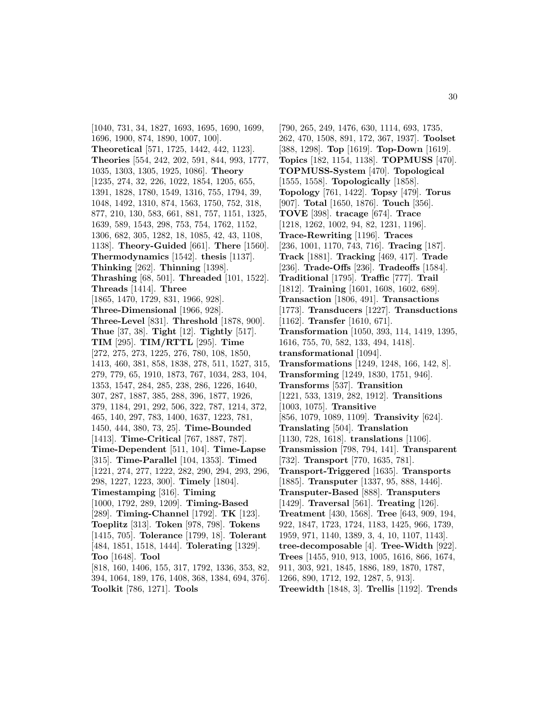[1040, 731, 34, 1827, 1693, 1695, 1690, 1699, 1696, 1900, 874, 1890, 1007, 100]. **Theoretical** [571, 1725, 1442, 442, 1123]. **Theories** [554, 242, 202, 591, 844, 993, 1777, 1035, 1303, 1305, 1925, 1086]. **Theory** [1235, 274, 32, 226, 1022, 1854, 1205, 655, 1391, 1828, 1780, 1549, 1316, 755, 1794, 39, 1048, 1492, 1310, 874, 1563, 1750, 752, 318, 877, 210, 130, 583, 661, 881, 757, 1151, 1325, 1639, 589, 1543, 298, 753, 754, 1762, 1152, 1306, 682, 305, 1282, 18, 1085, 42, 43, 1108, 1138]. **Theory-Guided** [661]. **There** [1560]. **Thermodynamics** [1542]. **thesis** [1137]. **Thinking** [262]. **Thinning** [1398]. **Thrashing** [68, 501]. **Threaded** [101, 1522]. **Threads** [1414]. **Three** [1865, 1470, 1729, 831, 1966, 928]. **Three-Dimensional** [1966, 928]. **Three-Level** [831]. **Threshold** [1878, 900]. **Thue** [37, 38]. **Tight** [12]. **Tightly** [517]. **TIM** [295]. **TIM/RTTL** [295]. **Time** [272, 275, 273, 1225, 276, 780, 108, 1850, 1413, 460, 381, 858, 1838, 278, 511, 1527, 315, 279, 779, 65, 1910, 1873, 767, 1034, 283, 104, 1353, 1547, 284, 285, 238, 286, 1226, 1640, 307, 287, 1887, 385, 288, 396, 1877, 1926, 379, 1184, 291, 292, 506, 322, 787, 1214, 372, 465, 140, 297, 783, 1400, 1637, 1223, 781, 1450, 444, 380, 73, 25]. **Time-Bounded** [1413]. **Time-Critical** [767, 1887, 787]. **Time-Dependent** [511, 104]. **Time-Lapse** [315]. **Time-Parallel** [104, 1353]. **Timed** [1221, 274, 277, 1222, 282, 290, 294, 293, 296, 298, 1227, 1223, 300]. **Timely** [1804]. **Timestamping** [316]. **Timing** [1000, 1792, 289, 1209]. **Timing-Based** [289]. **Timing-Channel** [1792]. **TK** [123]. **Toeplitz** [313]. **Token** [978, 798]. **Tokens** [1415, 705]. **Tolerance** [1799, 18]. **Tolerant** [484, 1851, 1518, 1444]. **Tolerating** [1329]. **Too** [1648]. **Tool** [818, 160, 1406, 155, 317, 1792, 1336, 353, 82, 394, 1064, 189, 176, 1408, 368, 1384, 694, 376].

**Toolkit** [786, 1271]. **Tools**

[790, 265, 249, 1476, 630, 1114, 693, 1735, 262, 470, 1508, 891, 172, 367, 1937]. **Toolset** [388, 1298]. **Top** [1619]. **Top-Down** [1619]. **Topics** [182, 1154, 1138]. **TOPMUSS** [470]. **TOPMUSS-System** [470]. **Topological** [1555, 1558]. **Topologically** [1858]. **Topology** [761, 1422]. **Topsy** [479]. **Torus** [907]. **Total** [1650, 1876]. **Touch** [356]. **TOVE** [398]. **tracage** [674]. **Trace** [1218, 1262, 1002, 94, 82, 1231, 1196]. **Trace-Rewriting** [1196]. **Traces** [236, 1001, 1170, 743, 716]. **Tracing** [187]. **Track** [1881]. **Tracking** [469, 417]. **Trade** [236]. **Trade-Offs** [236]. **Tradeoffs** [1584]. **Traditional** [1795]. **Traffic** [777]. **Trail** [1812]. **Training** [1601, 1608, 1602, 689]. **Transaction** [1806, 491]. **Transactions** [1773]. **Transducers** [1227]. **Transductions** [1162]. **Transfer** [1610, 671]. **Transformation** [1050, 393, 114, 1419, 1395, 1616, 755, 70, 582, 133, 494, 1418]. **transformational** [1094]. **Transformations** [1249, 1248, 166, 142, 8]. **Transforming** [1249, 1830, 1751, 946]. **Transforms** [537]. **Transition** [1221, 533, 1319, 282, 1912]. **Transitions** [1003, 1075]. **Transitive** [856, 1079, 1089, 1109]. **Transivity** [624]. **Translating** [504]. **Translation** [1130, 728, 1618]. **translations** [1106]. **Transmission** [798, 794, 141]. **Transparent** [732]. **Transport** [770, 1635, 781]. **Transport-Triggered** [1635]. **Transports** [1885]. **Transputer** [1337, 95, 888, 1446]. **Transputer-Based** [888]. **Transputers** [1429]. **Traversal** [561]. **Treating** [126]. **Treatment** [430, 1568]. **Tree** [643, 909, 194, 922, 1847, 1723, 1724, 1183, 1425, 966, 1739, 1959, 971, 1140, 1389, 3, 4, 10, 1107, 1143]. **tree-decomposable** [4]. **Tree-Width** [922]. **Trees** [1455, 910, 913, 1005, 1616, 866, 1674, 911, 303, 921, 1845, 1886, 189, 1870, 1787, 1266, 890, 1712, 192, 1287, 5, 913].

**Treewidth** [1848, 3]. **Trellis** [1192]. **Trends**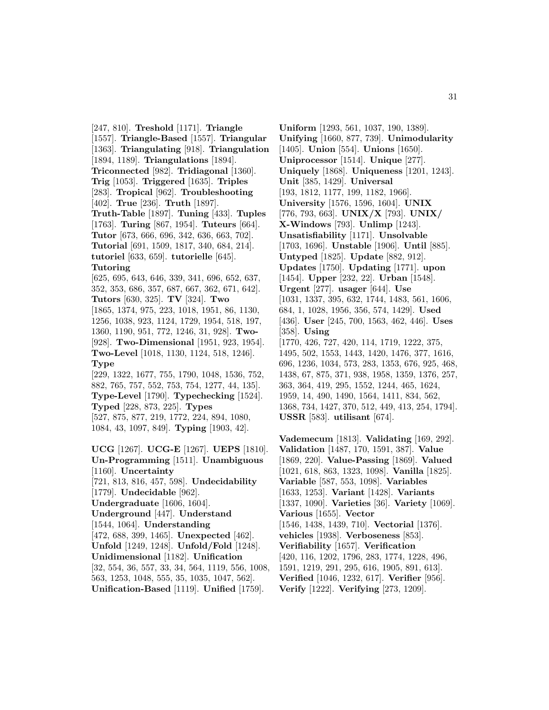[247, 810]. **Treshold** [1171]. **Triangle** [1557]. **Triangle-Based** [1557]. **Triangular** [1363]. **Triangulating** [918]. **Triangulation** [1894, 1189]. **Triangulations** [1894]. **Triconnected** [982]. **Tridiagonal** [1360]. **Trig** [1053]. **Triggered** [1635]. **Triples** [283]. **Tropical** [962]. **Troubleshooting** [402]. **True** [236]. **Truth** [1897]. **Truth-Table** [1897]. **Tuning** [433]. **Tuples** [1763]. **Turing** [867, 1954]. **Tuteurs** [664]. **Tutor** [673, 666, 696, 342, 636, 663, 702]. **Tutorial** [691, 1509, 1817, 340, 684, 214]. **tutoriel** [633, 659]. **tutorielle** [645]. **Tutoring** [625, 695, 643, 646, 339, 341, 696, 652, 637, 352, 353, 686, 357, 687, 667, 362, 671, 642]. **Tutors** [630, 325]. **TV** [324]. **Two** [1865, 1374, 975, 223, 1018, 1951, 86, 1130, 1256, 1038, 923, 1124, 1729, 1954, 518, 197, 1360, 1190, 951, 772, 1246, 31, 928]. **Two-** [928]. **Two-Dimensional** [1951, 923, 1954].

**Two-Level** [1018, 1130, 1124, 518, 1246]. **Type**

[229, 1322, 1677, 755, 1790, 1048, 1536, 752, 882, 765, 757, 552, 753, 754, 1277, 44, 135]. **Type-Level** [1790]. **Typechecking** [1524]. **Typed** [228, 873, 225]. **Types** [527, 875, 877, 219, 1772, 224, 894, 1080, 1084, 43, 1097, 849]. **Typing** [1903, 42].

**UCG** [1267]. **UCG-E** [1267]. **UEPS** [1810]. **Un-Programming** [1511]. **Unambiguous** [1160]. **Uncertainty** [721, 813, 816, 457, 598]. **Undecidability** [1779]. **Undecidable** [962]. **Undergraduate** [1606, 1604]. **Underground** [447]. **Understand** [1544, 1064]. **Understanding** [472, 688, 399, 1465]. **Unexpected** [462]. **Unfold** [1249, 1248]. **Unfold/Fold** [1248]. **Unidimensional** [1182]. **Unification** [32, 554, 36, 557, 33, 34, 564, 1119, 556, 1008, 563, 1253, 1048, 555, 35, 1035, 1047, 562]. **Unification-Based** [1119]. **Unified** [1759].

**Uniform** [1293, 561, 1037, 190, 1389]. **Unifying** [1660, 877, 739]. **Unimodularity** [1405]. **Union** [554]. **Unions** [1650]. **Uniprocessor** [1514]. **Unique** [277]. **Uniquely** [1868]. **Uniqueness** [1201, 1243]. **Unit** [385, 1429]. **Universal** [193, 1812, 1177, 199, 1182, 1966]. **University** [1576, 1596, 1604]. **UNIX** [776, 793, 663]. **UNIX/X** [793]. **UNIX/ X-Windows** [793]. **Unlimp** [1243]. **Unsatisfiability** [1171]. **Unsolvable** [1703, 1696]. **Unstable** [1906]. **Until** [885]. **Untyped** [1825]. **Update** [882, 912]. **Updates** [1750]. **Updating** [1771]. **upon** [1454]. **Upper** [232, 22]. **Urban** [1548]. **Urgent** [277]. **usager** [644]. **Use** [1031, 1337, 395, 632, 1744, 1483, 561, 1606, 684, 1, 1028, 1956, 356, 574, 1429]. **Used** [436]. **User** [245, 700, 1563, 462, 446]. **Uses** [358]. **Using** [1770, 426, 727, 420, 114, 1719, 1222, 375, 1495, 502, 1553, 1443, 1420, 1476, 377, 1616, 696, 1236, 1034, 573, 283, 1353, 676, 925, 468, 1438, 67, 875, 371, 938, 1958, 1359, 1376, 257, 363, 364, 419, 295, 1552, 1244, 465, 1624, 1959, 14, 490, 1490, 1564, 1411, 834, 562, 1368, 734, 1427, 370, 512, 449, 413, 254, 1794]. **USSR** [583]. **utilisant** [674].

**Vademecum** [1813]. **Validating** [169, 292]. **Validation** [1487, 170, 1591, 387]. **Value** [1869, 220]. **Value-Passing** [1869]. **Valued** [1021, 618, 863, 1323, 1098]. **Vanilla** [1825]. **Variable** [587, 553, 1098]. **Variables** [1633, 1253]. **Variant** [1428]. **Variants** [1337, 1090]. **Varieties** [36]. **Variety** [1069]. **Various** [1655]. **Vector** [1546, 1438, 1439, 710]. **Vectorial** [1376]. **vehicles** [1938]. **Verboseness** [853]. **Verifiability** [1657]. **Verification** [420, 116, 1202, 1796, 283, 1774, 1228, 496, 1591, 1219, 291, 295, 616, 1905, 891, 613]. **Verified** [1046, 1232, 617]. **Verifier** [956]. **Verify** [1222]. **Verifying** [273, 1209].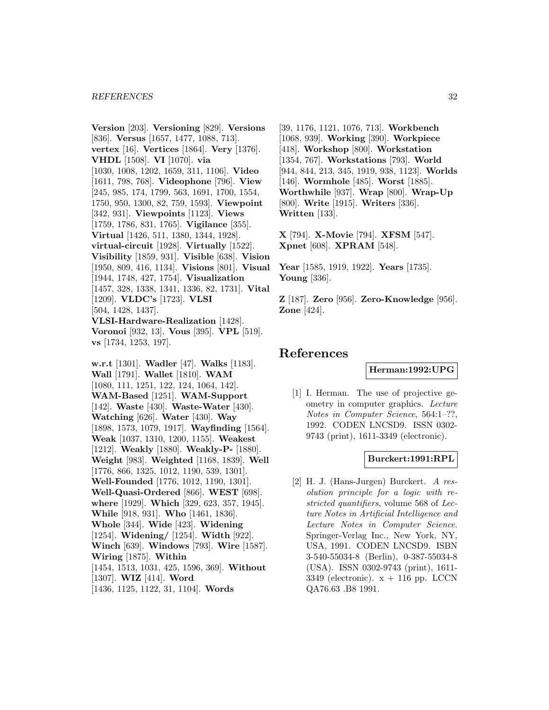**vs** [1734, 1253, 197].

**Version** [203]. **Versioning** [829]. **Versions** [836]. **Versus** [1657, 1477, 1088, 713]. **vertex** [16]. **Vertices** [1864]. **Very** [1376]. **VHDL** [1508]. **VI** [1070]. **via** [1030, 1008, 1202, 1659, 311, 1106]. **Video** [1611, 798, 768]. **Videophone** [796]. **View** [245, 985, 174, 1799, 563, 1691, 1700, 1554, 1750, 950, 1300, 82, 759, 1593]. **Viewpoint** [342, 931]. **Viewpoints** [1123]. **Views** [1759, 1786, 831, 1765]. **Vigilance** [355]. **Virtual** [1426, 511, 1380, 1344, 1928]. **virtual-circuit** [1928]. **Virtually** [1522]. **Visibility** [1859, 931]. **Visible** [638]. **Vision** [1950, 809, 416, 1134]. **Visions** [801]. **Visual** [1944, 1748, 427, 1754]. **Visualization** [1457, 328, 1338, 1341, 1336, 82, 1731]. **Vital** [1209]. **VLDC's** [1723]. **VLSI** [504, 1428, 1437]. **VLSI-Hardware-Realization** [1428]. **Voronoi** [932, 13]. **Vous** [395]. **VPL** [519].

**w.r.t** [1301]. **Wadler** [47]. **Walks** [1183]. **Wall** [1791]. **Wallet** [1810]. **WAM** [1080, 111, 1251, 122, 124, 1064, 142]. **WAM-Based** [1251]. **WAM-Support** [142]. **Waste** [430]. **Waste-Water** [430]. **Watching** [626]. **Water** [430]. **Way** [1898, 1573, 1079, 1917]. **Wayfinding** [1564]. **Weak** [1037, 1310, 1200, 1155]. **Weakest** [1212]. **Weakly** [1880]. **Weakly-P-** [1880]. **Weight** [983]. **Weighted** [1168, 1839]. **Well** [1776, 866, 1325, 1012, 1190, 539, 1301]. **Well-Founded** [1776, 1012, 1190, 1301]. **Well-Quasi-Ordered** [866]. **WEST** [698]. **where** [1929]. **Which** [329, 623, 357, 1945]. **While** [918, 931]. **Who** [1461, 1836]. **Whole** [344]. **Wide** [423]. **Widening** [1254]. **Widening/** [1254]. **Width** [922]. **Winch** [639]. **Windows** [793]. **Wire** [1587]. **Wiring** [1875]. **Within** [1454, 1513, 1031, 425, 1596, 369]. **Without** [1307]. **WIZ** [414]. **Word** [1436, 1125, 1122, 31, 1104]. **Words**

[39, 1176, 1121, 1076, 713]. **Workbench** [1068, 939]. **Working** [390]. **Workpiece** [418]. **Workshop** [800]. **Workstation** [1354, 767]. **Workstations** [793]. **World** [944, 844, 213, 345, 1919, 938, 1123]. **Worlds** [146]. **Wormhole** [485]. **Worst** [1885]. **Worthwhile** [937]. **Wrap** [800]. **Wrap-Up** [800]. **Write** [1915]. **Writers** [336]. **Written** [133].

**X** [794]. **X-Movie** [794]. **XFSM** [547]. **Xpnet** [608]. **XPRAM** [548].

**Year** [1585, 1919, 1922]. **Years** [1735]. **Young** [336].

**Z** [187]. **Zero** [956]. **Zero-Knowledge** [956]. **Zone** [424].

## **References**

**Herman:1992:UPG**

[1] I. Herman. The use of projective geometry in computer graphics. Lecture Notes in Computer Science, 564:1–??, 1992. CODEN LNCSD9. ISSN 0302- 9743 (print), 1611-3349 (electronic).

#### **Burckert:1991:RPL**

[2] H. J. (Hans-Jurgen) Burckert. A resolution principle for a logic with restricted quantifiers, volume 568 of Lecture Notes in Artificial Intelligence and Lecture Notes in Computer Science. Springer-Verlag Inc., New York, NY, USA, 1991. CODEN LNCSD9. ISBN 3-540-55034-8 (Berlin), 0-387-55034-8 (USA). ISSN 0302-9743 (print), 1611- 3349 (electronic).  $x + 116$  pp. LCCN QA76.63 .B8 1991.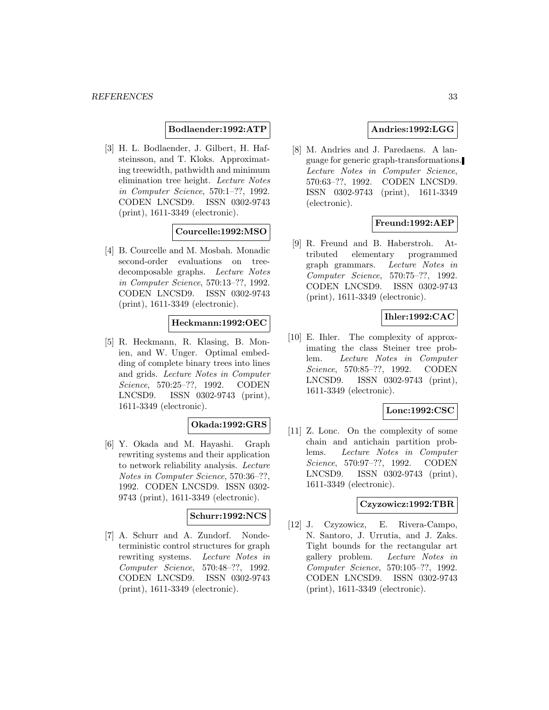## **Bodlaender:1992:ATP**

[3] H. L. Bodlaender, J. Gilbert, H. Hafsteinsson, and T. Kloks. Approximating treewidth, pathwidth and minimum elimination tree height. Lecture Notes in Computer Science, 570:1–??, 1992. CODEN LNCSD9. ISSN 0302-9743 (print), 1611-3349 (electronic).

## **Courcelle:1992:MSO**

[4] B. Courcelle and M. Mosbah. Monadic second-order evaluations on treedecomposable graphs. Lecture Notes in Computer Science, 570:13–??, 1992. CODEN LNCSD9. ISSN 0302-9743 (print), 1611-3349 (electronic).

## **Heckmann:1992:OEC**

[5] R. Heckmann, R. Klasing, B. Monien, and W. Unger. Optimal embedding of complete binary trees into lines and grids. Lecture Notes in Computer Science, 570:25–??, 1992. CODEN LNCSD9. ISSN 0302-9743 (print), 1611-3349 (electronic).

## **Okada:1992:GRS**

[6] Y. Okada and M. Hayashi. Graph rewriting systems and their application to network reliability analysis. Lecture Notes in Computer Science, 570:36–??, 1992. CODEN LNCSD9. ISSN 0302- 9743 (print), 1611-3349 (electronic).

## **Schurr:1992:NCS**

[7] A. Schurr and A. Zundorf. Nondeterministic control structures for graph rewriting systems. Lecture Notes in Computer Science, 570:48–??, 1992. CODEN LNCSD9. ISSN 0302-9743 (print), 1611-3349 (electronic).

## **Andries:1992:LGG**

[8] M. Andries and J. Paredaens. A language for generic graph-transformations. Lecture Notes in Computer Science, 570:63–??, 1992. CODEN LNCSD9. ISSN 0302-9743 (print), 1611-3349 (electronic).

## **Freund:1992:AEP**

[9] R. Freund and B. Haberstroh. Attributed elementary programmed graph grammars. Lecture Notes in Computer Science, 570:75–??, 1992. CODEN LNCSD9. ISSN 0302-9743 (print), 1611-3349 (electronic).

## **Ihler:1992:CAC**

[10] E. Ihler. The complexity of approximating the class Steiner tree problem. Lecture Notes in Computer Science, 570:85–??, 1992. CODEN LNCSD9. ISSN 0302-9743 (print), 1611-3349 (electronic).

## **Lonc:1992:CSC**

[11] Z. Lonc. On the complexity of some chain and antichain partition problems. Lecture Notes in Computer Science, 570:97–??, 1992. CODEN LNCSD9. ISSN 0302-9743 (print), 1611-3349 (electronic).

## **Czyzowicz:1992:TBR**

[12] J. Czyzowicz, E. Rivera-Campo, N. Santoro, J. Urrutia, and J. Zaks. Tight bounds for the rectangular art gallery problem. Lecture Notes in Computer Science, 570:105–??, 1992. CODEN LNCSD9. ISSN 0302-9743 (print), 1611-3349 (electronic).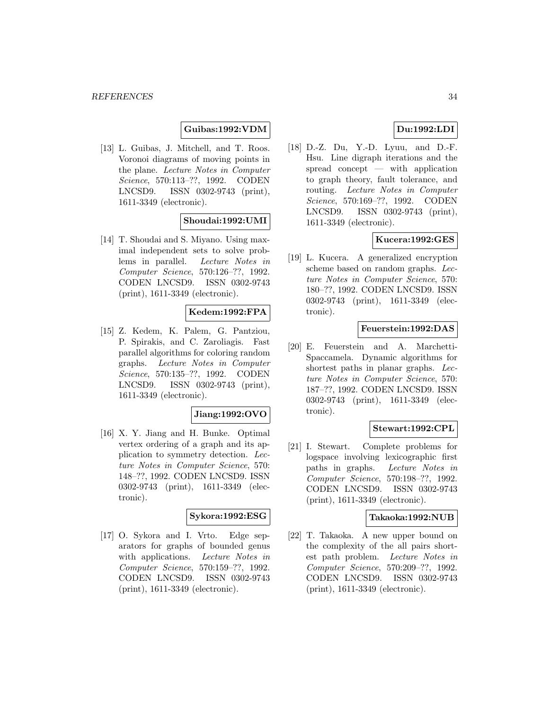## **Guibas:1992:VDM**

[13] L. Guibas, J. Mitchell, and T. Roos. Voronoi diagrams of moving points in the plane. Lecture Notes in Computer Science, 570:113–??, 1992. CODEN LNCSD9. ISSN 0302-9743 (print), 1611-3349 (electronic).

## **Shoudai:1992:UMI**

[14] T. Shoudai and S. Miyano. Using maximal independent sets to solve problems in parallel. Lecture Notes in Computer Science, 570:126–??, 1992. CODEN LNCSD9. ISSN 0302-9743 (print), 1611-3349 (electronic).

## **Kedem:1992:FPA**

[15] Z. Kedem, K. Palem, G. Pantziou, P. Spirakis, and C. Zaroliagis. Fast parallel algorithms for coloring random graphs. Lecture Notes in Computer Science, 570:135–??, 1992. CODEN LNCSD9. ISSN 0302-9743 (print), 1611-3349 (electronic).

#### **Jiang:1992:OVO**

[16] X. Y. Jiang and H. Bunke. Optimal vertex ordering of a graph and its application to symmetry detection. Lecture Notes in Computer Science, 570: 148–??, 1992. CODEN LNCSD9. ISSN 0302-9743 (print), 1611-3349 (electronic).

## **Sykora:1992:ESG**

[17] O. Sykora and I. Vrto. Edge separators for graphs of bounded genus with applications. Lecture Notes in Computer Science, 570:159–??, 1992. CODEN LNCSD9. ISSN 0302-9743 (print), 1611-3349 (electronic).

## **Du:1992:LDI**

[18] D.-Z. Du, Y.-D. Lyuu, and D.-F. Hsu. Line digraph iterations and the spread concept — with application to graph theory, fault tolerance, and routing. Lecture Notes in Computer Science, 570:169–??, 1992. CODEN LNCSD9. ISSN 0302-9743 (print), 1611-3349 (electronic).

## **Kucera:1992:GES**

[19] L. Kucera. A generalized encryption scheme based on random graphs. Lecture Notes in Computer Science, 570: 180–??, 1992. CODEN LNCSD9. ISSN 0302-9743 (print), 1611-3349 (electronic).

## **Feuerstein:1992:DAS**

[20] E. Feuerstein and A. Marchetti-Spaccamela. Dynamic algorithms for shortest paths in planar graphs. Lecture Notes in Computer Science, 570: 187–??, 1992. CODEN LNCSD9. ISSN 0302-9743 (print), 1611-3349 (electronic).

## **Stewart:1992:CPL**

[21] I. Stewart. Complete problems for logspace involving lexicographic first paths in graphs. Lecture Notes in Computer Science, 570:198–??, 1992. CODEN LNCSD9. ISSN 0302-9743 (print), 1611-3349 (electronic).

#### **Takaoka:1992:NUB**

[22] T. Takaoka. A new upper bound on the complexity of the all pairs shortest path problem. Lecture Notes in Computer Science, 570:209–??, 1992. CODEN LNCSD9. ISSN 0302-9743 (print), 1611-3349 (electronic).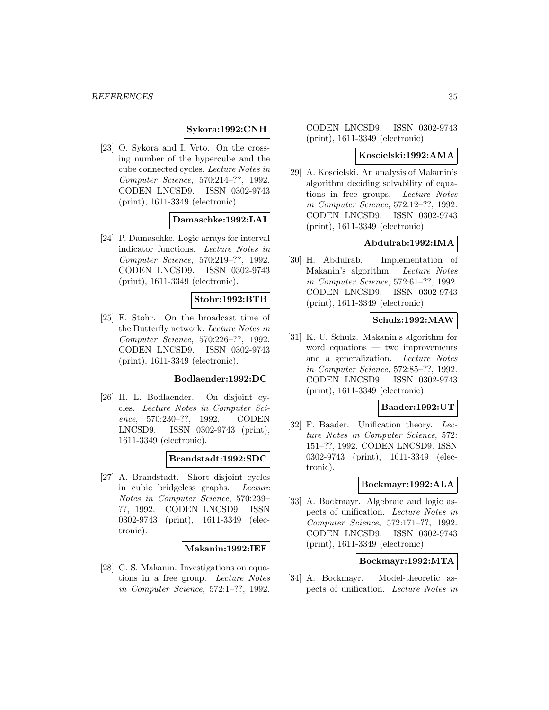**Sykora:1992:CNH**

[23] O. Sykora and I. Vrto. On the crossing number of the hypercube and the cube connected cycles. Lecture Notes in Computer Science, 570:214–??, 1992. CODEN LNCSD9. ISSN 0302-9743 (print), 1611-3349 (electronic).

#### **Damaschke:1992:LAI**

[24] P. Damaschke. Logic arrays for interval indicator functions. Lecture Notes in Computer Science, 570:219–??, 1992. CODEN LNCSD9. ISSN 0302-9743 (print), 1611-3349 (electronic).

#### **Stohr:1992:BTB**

[25] E. Stohr. On the broadcast time of the Butterfly network. Lecture Notes in Computer Science, 570:226–??, 1992. CODEN LNCSD9. ISSN 0302-9743 (print), 1611-3349 (electronic).

#### **Bodlaender:1992:DC**

[26] H. L. Bodlaender. On disjoint cycles. Lecture Notes in Computer Science, 570:230–??, 1992. CODEN LNCSD9. ISSN 0302-9743 (print), 1611-3349 (electronic).

**Brandstadt:1992:SDC**

[27] A. Brandstadt. Short disjoint cycles in cubic bridgeless graphs. Lecture Notes in Computer Science, 570:239– ??, 1992. CODEN LNCSD9. ISSN 0302-9743 (print), 1611-3349 (electronic).

#### **Makanin:1992:IEF**

[28] G. S. Makanin. Investigations on equations in a free group. Lecture Notes in Computer Science, 572:1–??, 1992.

CODEN LNCSD9. ISSN 0302-9743 (print), 1611-3349 (electronic).

#### **Koscielski:1992:AMA**

[29] A. Koscielski. An analysis of Makanin's algorithm deciding solvability of equations in free groups. Lecture Notes in Computer Science, 572:12–??, 1992. CODEN LNCSD9. ISSN 0302-9743 (print), 1611-3349 (electronic).

#### **Abdulrab:1992:IMA**

[30] H. Abdulrab. Implementation of Makanin's algorithm. Lecture Notes in Computer Science, 572:61–??, 1992. CODEN LNCSD9. ISSN 0302-9743 (print), 1611-3349 (electronic).

## **Schulz:1992:MAW**

[31] K. U. Schulz. Makanin's algorithm for word equations — two improvements and a generalization. Lecture Notes in Computer Science, 572:85–??, 1992. CODEN LNCSD9. ISSN 0302-9743 (print), 1611-3349 (electronic).

#### **Baader:1992:UT**

[32] F. Baader. Unification theory. Lecture Notes in Computer Science, 572: 151–??, 1992. CODEN LNCSD9. ISSN 0302-9743 (print), 1611-3349 (electronic).

## **Bockmayr:1992:ALA**

[33] A. Bockmayr. Algebraic and logic aspects of unification. Lecture Notes in Computer Science, 572:171–??, 1992. CODEN LNCSD9. ISSN 0302-9743 (print), 1611-3349 (electronic).

## **Bockmayr:1992:MTA**

[34] A. Bockmayr. Model-theoretic aspects of unification. Lecture Notes in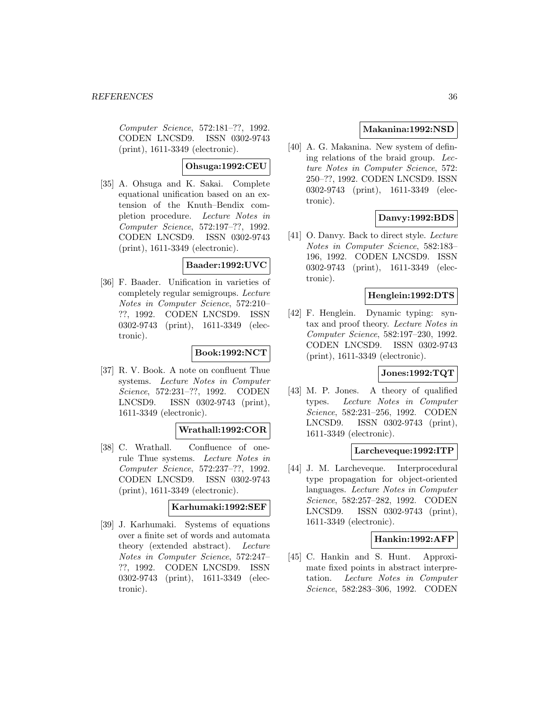Computer Science, 572:181–??, 1992. CODEN LNCSD9. ISSN 0302-9743 (print), 1611-3349 (electronic).

## **Ohsuga:1992:CEU**

[35] A. Ohsuga and K. Sakai. Complete equational unification based on an extension of the Knuth–Bendix completion procedure. Lecture Notes in Computer Science, 572:197–??, 1992. CODEN LNCSD9. ISSN 0302-9743 (print), 1611-3349 (electronic).

## **Baader:1992:UVC**

[36] F. Baader. Unification in varieties of completely regular semigroups. Lecture Notes in Computer Science, 572:210– ??, 1992. CODEN LNCSD9. ISSN 0302-9743 (print), 1611-3349 (electronic).

#### **Book:1992:NCT**

[37] R. V. Book. A note on confluent Thue systems. Lecture Notes in Computer Science, 572:231–??, 1992. CODEN LNCSD9. ISSN 0302-9743 (print), 1611-3349 (electronic).

## **Wrathall:1992:COR**

[38] C. Wrathall. Confluence of onerule Thue systems. Lecture Notes in Computer Science, 572:237–??, 1992. CODEN LNCSD9. ISSN 0302-9743 (print), 1611-3349 (electronic).

#### **Karhumaki:1992:SEF**

[39] J. Karhumaki. Systems of equations over a finite set of words and automata theory (extended abstract). Lecture Notes in Computer Science, 572:247– ??, 1992. CODEN LNCSD9. ISSN 0302-9743 (print), 1611-3349 (electronic).

## **Makanina:1992:NSD**

[40] A. G. Makanina. New system of defining relations of the braid group. Lecture Notes in Computer Science, 572: 250–??, 1992. CODEN LNCSD9. ISSN 0302-9743 (print), 1611-3349 (electronic).

## **Danvy:1992:BDS**

[41] O. Danvy. Back to direct style. Lecture Notes in Computer Science, 582:183– 196, 1992. CODEN LNCSD9. ISSN 0302-9743 (print), 1611-3349 (electronic).

#### **Henglein:1992:DTS**

[42] F. Henglein. Dynamic typing: syntax and proof theory. Lecture Notes in Computer Science, 582:197–230, 1992. CODEN LNCSD9. ISSN 0302-9743 (print), 1611-3349 (electronic).

## **Jones:1992:TQT**

[43] M. P. Jones. A theory of qualified types. Lecture Notes in Computer Science, 582:231–256, 1992. CODEN LNCSD9. ISSN 0302-9743 (print), 1611-3349 (electronic).

## **Larcheveque:1992:ITP**

[44] J. M. Larcheveque. Interprocedural type propagation for object-oriented languages. Lecture Notes in Computer Science, 582:257–282, 1992. CODEN LNCSD9. ISSN 0302-9743 (print), 1611-3349 (electronic).

#### **Hankin:1992:AFP**

[45] C. Hankin and S. Hunt. Approximate fixed points in abstract interpretation. Lecture Notes in Computer Science, 582:283–306, 1992. CODEN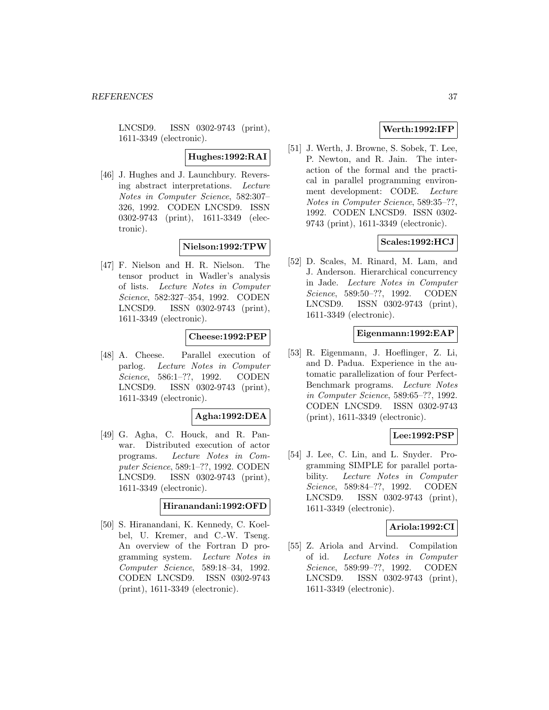LNCSD9. ISSN 0302-9743 (print), 1611-3349 (electronic).

**Hughes:1992:RAI**

[46] J. Hughes and J. Launchbury. Reversing abstract interpretations. Lecture Notes in Computer Science, 582:307– 326, 1992. CODEN LNCSD9. ISSN 0302-9743 (print), 1611-3349 (electronic).

# **Nielson:1992:TPW**

[47] F. Nielson and H. R. Nielson. The tensor product in Wadler's analysis of lists. Lecture Notes in Computer Science, 582:327–354, 1992. CODEN LNCSD9. ISSN 0302-9743 (print), 1611-3349 (electronic).

#### **Cheese:1992:PEP**

[48] A. Cheese. Parallel execution of parlog. Lecture Notes in Computer Science, 586:1–??, 1992. CODEN LNCSD9. ISSN 0302-9743 (print), 1611-3349 (electronic).

## **Agha:1992:DEA**

[49] G. Agha, C. Houck, and R. Panwar. Distributed execution of actor programs. Lecture Notes in Computer Science, 589:1–??, 1992. CODEN LNCSD9. ISSN 0302-9743 (print), 1611-3349 (electronic).

#### **Hiranandani:1992:OFD**

[50] S. Hiranandani, K. Kennedy, C. Koelbel, U. Kremer, and C.-W. Tseng. An overview of the Fortran D programming system. Lecture Notes in Computer Science, 589:18–34, 1992. CODEN LNCSD9. ISSN 0302-9743 (print), 1611-3349 (electronic).

# **Werth:1992:IFP**

[51] J. Werth, J. Browne, S. Sobek, T. Lee, P. Newton, and R. Jain. The interaction of the formal and the practical in parallel programming environment development: CODE. Lecture Notes in Computer Science, 589:35–??, 1992. CODEN LNCSD9. ISSN 0302- 9743 (print), 1611-3349 (electronic).

#### **Scales:1992:HCJ**

[52] D. Scales, M. Rinard, M. Lam, and J. Anderson. Hierarchical concurrency in Jade. Lecture Notes in Computer Science, 589:50–??, 1992. CODEN LNCSD9. ISSN 0302-9743 (print), 1611-3349 (electronic).

#### **Eigenmann:1992:EAP**

[53] R. Eigenmann, J. Hoeflinger, Z. Li, and D. Padua. Experience in the automatic parallelization of four Perfect-Benchmark programs. Lecture Notes in Computer Science, 589:65–??, 1992. CODEN LNCSD9. ISSN 0302-9743 (print), 1611-3349 (electronic).

## **Lee:1992:PSP**

[54] J. Lee, C. Lin, and L. Snyder. Programming SIMPLE for parallel portability. Lecture Notes in Computer Science, 589:84–??, 1992. CODEN LNCSD9. ISSN 0302-9743 (print), 1611-3349 (electronic).

## **Ariola:1992:CI**

[55] Z. Ariola and Arvind. Compilation of id. Lecture Notes in Computer Science, 589:99–??, 1992. CODEN LNCSD9. ISSN 0302-9743 (print), 1611-3349 (electronic).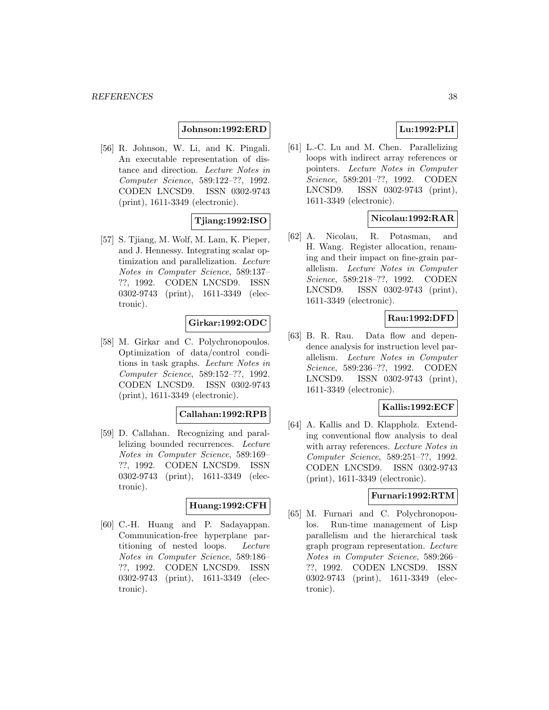# **Johnson:1992:ERD**

[56] R. Johnson, W. Li, and K. Pingali. An executable representation of distance and direction. Lecture Notes in Computer Science, 589:122–??, 1992. CODEN LNCSD9. ISSN 0302-9743 (print), 1611-3349 (electronic).

# **Tjiang:1992:ISO**

[57] S. Tjiang, M. Wolf, M. Lam, K. Pieper, and J. Hennessy. Integrating scalar optimization and parallelization. Lecture Notes in Computer Science, 589:137– ??, 1992. CODEN LNCSD9. ISSN 0302-9743 (print), 1611-3349 (electronic).

# **Girkar:1992:ODC**

[58] M. Girkar and C. Polychronopoulos. Optimization of data/control conditions in task graphs. Lecture Notes in Computer Science, 589:152–??, 1992. CODEN LNCSD9. ISSN 0302-9743 (print), 1611-3349 (electronic).

#### **Callahan:1992:RPB**

[59] D. Callahan. Recognizing and parallelizing bounded recurrences. Lecture Notes in Computer Science, 589:169– ??, 1992. CODEN LNCSD9. ISSN 0302-9743 (print), 1611-3349 (electronic).

#### **Huang:1992:CFH**

[60] C.-H. Huang and P. Sadayappan. Communication-free hyperplane partitioning of nested loops. Lecture Notes in Computer Science, 589:186– ??, 1992. CODEN LNCSD9. ISSN 0302-9743 (print), 1611-3349 (electronic).

# **Lu:1992:PLI**

[61] L.-C. Lu and M. Chen. Parallelizing loops with indirect array references or pointers. Lecture Notes in Computer Science, 589:201–??, 1992. CODEN LNCSD9. ISSN 0302-9743 (print), 1611-3349 (electronic).

# **Nicolau:1992:RAR**

[62] A. Nicolau, R. Potasman, and H. Wang. Register allocation, renaming and their impact on fine-grain parallelism. Lecture Notes in Computer Science, 589:218–??, 1992. CODEN LNCSD9. ISSN 0302-9743 (print), 1611-3349 (electronic).

# **Rau:1992:DFD**

[63] B. R. Rau. Data flow and dependence analysis for instruction level parallelism. Lecture Notes in Computer Science, 589:236–??, 1992. CODEN LNCSD9. ISSN 0302-9743 (print), 1611-3349 (electronic).

## **Kallis:1992:ECF**

[64] A. Kallis and D. Klappholz. Extending conventional flow analysis to deal with array references. *Lecture Notes in* Computer Science, 589:251–??, 1992. CODEN LNCSD9. ISSN 0302-9743 (print), 1611-3349 (electronic).

## **Furnari:1992:RTM**

[65] M. Furnari and C. Polychronopoulos. Run-time management of Lisp parallelism and the hierarchical task graph program representation. Lecture Notes in Computer Science, 589:266– ??, 1992. CODEN LNCSD9. ISSN 0302-9743 (print), 1611-3349 (electronic).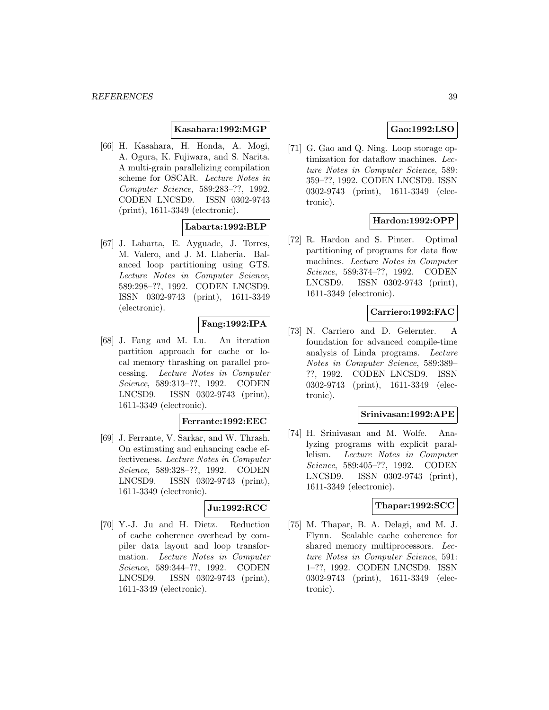## **Kasahara:1992:MGP**

[66] H. Kasahara, H. Honda, A. Mogi, A. Ogura, K. Fujiwara, and S. Narita. A multi-grain parallelizing compilation scheme for OSCAR. Lecture Notes in Computer Science, 589:283–??, 1992. CODEN LNCSD9. ISSN 0302-9743 (print), 1611-3349 (electronic).

# **Labarta:1992:BLP**

[67] J. Labarta, E. Ayguade, J. Torres, M. Valero, and J. M. Llaberia. Balanced loop partitioning using GTS. Lecture Notes in Computer Science, 589:298–??, 1992. CODEN LNCSD9. ISSN 0302-9743 (print), 1611-3349 (electronic).

# **Fang:1992:IPA**

[68] J. Fang and M. Lu. An iteration partition approach for cache or local memory thrashing on parallel processing. Lecture Notes in Computer Science, 589:313–??, 1992. CODEN LNCSD9. ISSN 0302-9743 (print), 1611-3349 (electronic).

#### **Ferrante:1992:EEC**

[69] J. Ferrante, V. Sarkar, and W. Thrash. On estimating and enhancing cache effectiveness. Lecture Notes in Computer Science, 589:328–??, 1992. CODEN LNCSD9. ISSN 0302-9743 (print), 1611-3349 (electronic).

## **Ju:1992:RCC**

[70] Y.-J. Ju and H. Dietz. Reduction of cache coherence overhead by compiler data layout and loop transformation. Lecture Notes in Computer Science, 589:344–??, 1992. CODEN LNCSD9. ISSN 0302-9743 (print), 1611-3349 (electronic).

# **Gao:1992:LSO**

[71] G. Gao and Q. Ning. Loop storage optimization for dataflow machines. Lecture Notes in Computer Science, 589: 359–??, 1992. CODEN LNCSD9. ISSN 0302-9743 (print), 1611-3349 (electronic).

# **Hardon:1992:OPP**

[72] R. Hardon and S. Pinter. Optimal partitioning of programs for data flow machines. Lecture Notes in Computer Science, 589:374–??, 1992. CODEN LNCSD9. ISSN 0302-9743 (print), 1611-3349 (electronic).

## **Carriero:1992:FAC**

[73] N. Carriero and D. Gelernter. A foundation for advanced compile-time analysis of Linda programs. Lecture Notes in Computer Science, 589:389– ??, 1992. CODEN LNCSD9. ISSN 0302-9743 (print), 1611-3349 (electronic).

### **Srinivasan:1992:APE**

[74] H. Srinivasan and M. Wolfe. Analyzing programs with explicit parallelism. Lecture Notes in Computer Science, 589:405–??, 1992. CODEN LNCSD9. ISSN 0302-9743 (print), 1611-3349 (electronic).

#### **Thapar:1992:SCC**

[75] M. Thapar, B. A. Delagi, and M. J. Flynn. Scalable cache coherence for shared memory multiprocessors. Lecture Notes in Computer Science, 591: 1–??, 1992. CODEN LNCSD9. ISSN 0302-9743 (print), 1611-3349 (electronic).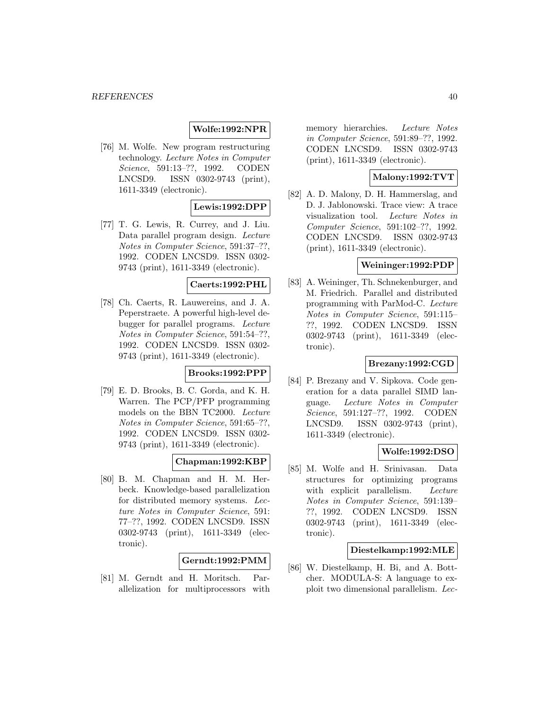# **Wolfe:1992:NPR**

[76] M. Wolfe. New program restructuring technology. Lecture Notes in Computer Science, 591:13–??, 1992. CODEN LNCSD9. ISSN 0302-9743 (print), 1611-3349 (electronic).

# **Lewis:1992:DPP**

[77] T. G. Lewis, R. Currey, and J. Liu. Data parallel program design. Lecture Notes in Computer Science, 591:37–??, 1992. CODEN LNCSD9. ISSN 0302- 9743 (print), 1611-3349 (electronic).

## **Caerts:1992:PHL**

[78] Ch. Caerts, R. Lauwereins, and J. A. Peperstraete. A powerful high-level debugger for parallel programs. Lecture Notes in Computer Science, 591:54–??, 1992. CODEN LNCSD9. ISSN 0302- 9743 (print), 1611-3349 (electronic).

# **Brooks:1992:PPP**

[79] E. D. Brooks, B. C. Gorda, and K. H. Warren. The PCP/PFP programming models on the BBN TC2000. Lecture Notes in Computer Science, 591:65–??, 1992. CODEN LNCSD9. ISSN 0302- 9743 (print), 1611-3349 (electronic).

# **Chapman:1992:KBP**

[80] B. M. Chapman and H. M. Herbeck. Knowledge-based parallelization for distributed memory systems. Lecture Notes in Computer Science, 591: 77–??, 1992. CODEN LNCSD9. ISSN 0302-9743 (print), 1611-3349 (electronic).

## **Gerndt:1992:PMM**

[81] M. Gerndt and H. Moritsch. Parallelization for multiprocessors with memory hierarchies. Lecture Notes in Computer Science, 591:89–??, 1992. CODEN LNCSD9. ISSN 0302-9743 (print), 1611-3349 (electronic).

# **Malony:1992:TVT**

[82] A. D. Malony, D. H. Hammerslag, and D. J. Jablonowski. Trace view: A trace visualization tool. Lecture Notes in Computer Science, 591:102–??, 1992. CODEN LNCSD9. ISSN 0302-9743 (print), 1611-3349 (electronic).

#### **Weininger:1992:PDP**

[83] A. Weininger, Th. Schnekenburger, and M. Friedrich. Parallel and distributed programming with ParMod-C. Lecture Notes in Computer Science, 591:115– ??, 1992. CODEN LNCSD9. ISSN 0302-9743 (print), 1611-3349 (electronic).

#### **Brezany:1992:CGD**

[84] P. Brezany and V. Sipkova. Code generation for a data parallel SIMD language. Lecture Notes in Computer Science, 591:127–??, 1992. CODEN LNCSD9. ISSN 0302-9743 (print), 1611-3349 (electronic).

#### **Wolfe:1992:DSO**

[85] M. Wolfe and H. Srinivasan. Data structures for optimizing programs with explicit parallelism. Lecture Notes in Computer Science, 591:139– ??, 1992. CODEN LNCSD9. ISSN 0302-9743 (print), 1611-3349 (electronic).

#### **Diestelkamp:1992:MLE**

[86] W. Diestelkamp, H. Bi, and A. Bottcher. MODULA-S: A language to exploit two dimensional parallelism. Lec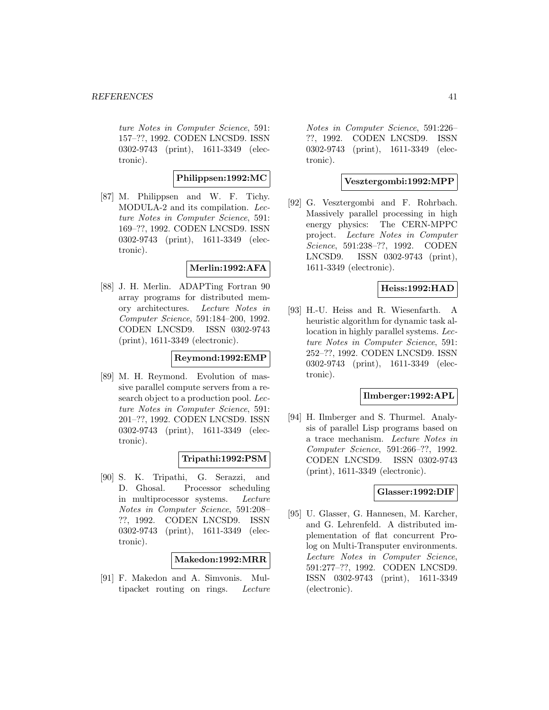ture Notes in Computer Science, 591: 157–??, 1992. CODEN LNCSD9. ISSN 0302-9743 (print), 1611-3349 (electronic).

# **Philippsen:1992:MC**

[87] M. Philippsen and W. F. Tichy. MODULA-2 and its compilation. Lecture Notes in Computer Science, 591: 169–??, 1992. CODEN LNCSD9. ISSN 0302-9743 (print), 1611-3349 (electronic).

#### **Merlin:1992:AFA**

[88] J. H. Merlin. ADAPTing Fortran 90 array programs for distributed memory architectures. Lecture Notes in Computer Science, 591:184–200, 1992. CODEN LNCSD9. ISSN 0302-9743 (print), 1611-3349 (electronic).

#### **Reymond:1992:EMP**

[89] M. H. Reymond. Evolution of massive parallel compute servers from a research object to a production pool. Lecture Notes in Computer Science, 591: 201–??, 1992. CODEN LNCSD9. ISSN 0302-9743 (print), 1611-3349 (electronic).

## **Tripathi:1992:PSM**

[90] S. K. Tripathi, G. Serazzi, and D. Ghosal. Processor scheduling in multiprocessor systems. Lecture Notes in Computer Science, 591:208– ??, 1992. CODEN LNCSD9. ISSN 0302-9743 (print), 1611-3349 (electronic).

## **Makedon:1992:MRR**

[91] F. Makedon and A. Simvonis. Multipacket routing on rings. Lecture

Notes in Computer Science, 591:226– ??, 1992. CODEN LNCSD9. ISSN 0302-9743 (print), 1611-3349 (electronic).

# **Vesztergombi:1992:MPP**

[92] G. Vesztergombi and F. Rohrbach. Massively parallel processing in high energy physics: The CERN-MPPC project. Lecture Notes in Computer Science, 591:238–??, 1992. CODEN LNCSD9. ISSN 0302-9743 (print), 1611-3349 (electronic).

# **Heiss:1992:HAD**

[93] H.-U. Heiss and R. Wiesenfarth. A heuristic algorithm for dynamic task allocation in highly parallel systems. Lecture Notes in Computer Science, 591: 252–??, 1992. CODEN LNCSD9. ISSN 0302-9743 (print), 1611-3349 (electronic).

#### **Ilmberger:1992:APL**

[94] H. Ilmberger and S. Thurmel. Analysis of parallel Lisp programs based on a trace mechanism. Lecture Notes in Computer Science, 591:266–??, 1992. CODEN LNCSD9. ISSN 0302-9743 (print), 1611-3349 (electronic).

### **Glasser:1992:DIF**

[95] U. Glasser, G. Hannesen, M. Karcher, and G. Lehrenfeld. A distributed implementation of flat concurrent Prolog on Multi-Transputer environments. Lecture Notes in Computer Science, 591:277–??, 1992. CODEN LNCSD9. ISSN 0302-9743 (print), 1611-3349 (electronic).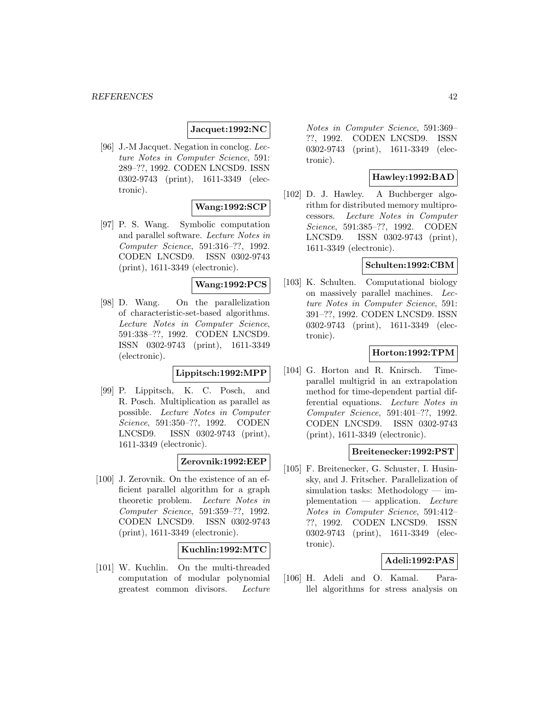#### **Jacquet:1992:NC**

[96] J.-M Jacquet. Negation in conclog. Lecture Notes in Computer Science, 591: 289–??, 1992. CODEN LNCSD9. ISSN 0302-9743 (print), 1611-3349 (electronic).

#### **Wang:1992:SCP**

[97] P. S. Wang. Symbolic computation and parallel software. Lecture Notes in Computer Science, 591:316–??, 1992. CODEN LNCSD9. ISSN 0302-9743 (print), 1611-3349 (electronic).

#### **Wang:1992:PCS**

[98] D. Wang. On the parallelization of characteristic-set-based algorithms. Lecture Notes in Computer Science, 591:338–??, 1992. CODEN LNCSD9. ISSN 0302-9743 (print), 1611-3349 (electronic).

## **Lippitsch:1992:MPP**

[99] P. Lippitsch, K. C. Posch, and R. Posch. Multiplication as parallel as possible. Lecture Notes in Computer Science, 591:350–??, 1992. CODEN LNCSD9. ISSN 0302-9743 (print), 1611-3349 (electronic).

## **Zerovnik:1992:EEP**

[100] J. Zerovnik. On the existence of an efficient parallel algorithm for a graph theoretic problem. Lecture Notes in Computer Science, 591:359–??, 1992. CODEN LNCSD9. ISSN 0302-9743 (print), 1611-3349 (electronic).

## **Kuchlin:1992:MTC**

[101] W. Kuchlin. On the multi-threaded computation of modular polynomial greatest common divisors. Lecture

Notes in Computer Science, 591:369– ??, 1992. CODEN LNCSD9. ISSN 0302-9743 (print), 1611-3349 (electronic).

# **Hawley:1992:BAD**

[102] D. J. Hawley. A Buchberger algorithm for distributed memory multiprocessors. Lecture Notes in Computer Science, 591:385–??, 1992. CODEN LNCSD9. ISSN 0302-9743 (print), 1611-3349 (electronic).

# **Schulten:1992:CBM**

[103] K. Schulten. Computational biology on massively parallel machines. Lecture Notes in Computer Science, 591: 391–??, 1992. CODEN LNCSD9. ISSN 0302-9743 (print), 1611-3349 (electronic).

## **Horton:1992:TPM**

[104] G. Horton and R. Knirsch. Timeparallel multigrid in an extrapolation method for time-dependent partial differential equations. Lecture Notes in Computer Science, 591:401–??, 1992. CODEN LNCSD9. ISSN 0302-9743 (print), 1611-3349 (electronic).

## **Breitenecker:1992:PST**

[105] F. Breitenecker, G. Schuster, I. Husinsky, and J. Fritscher. Parallelization of simulation tasks: Methodology — implementation — application. Lecture Notes in Computer Science, 591:412– ??, 1992. CODEN LNCSD9. ISSN 0302-9743 (print), 1611-3349 (electronic).

## **Adeli:1992:PAS**

[106] H. Adeli and O. Kamal. Parallel algorithms for stress analysis on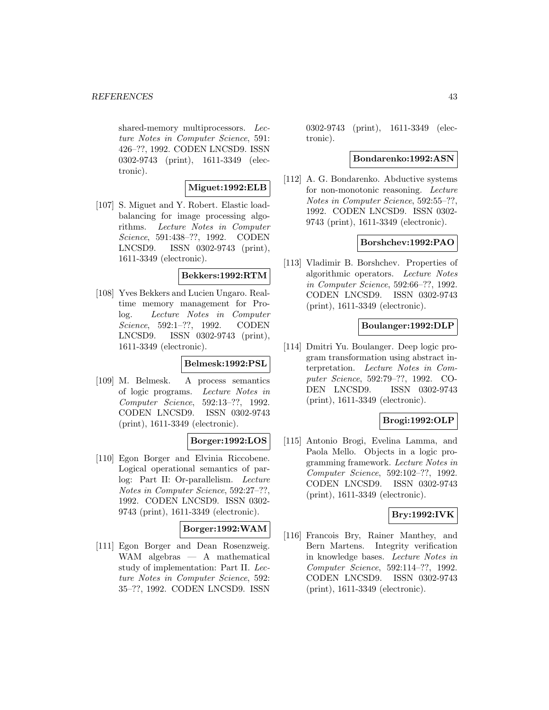#### *REFERENCES* 43

shared-memory multiprocessors. Lecture Notes in Computer Science, 591: 426–??, 1992. CODEN LNCSD9. ISSN 0302-9743 (print), 1611-3349 (electronic).

# **Miguet:1992:ELB**

[107] S. Miguet and Y. Robert. Elastic loadbalancing for image processing algorithms. Lecture Notes in Computer Science, 591:438–??, 1992. CODEN LNCSD9. ISSN 0302-9743 (print), 1611-3349 (electronic).

#### **Bekkers:1992:RTM**

[108] Yves Bekkers and Lucien Ungaro. Realtime memory management for Prolog. Lecture Notes in Computer Science, 592:1-??, 1992. CODEN LNCSD9. ISSN 0302-9743 (print), 1611-3349 (electronic).

## **Belmesk:1992:PSL**

[109] M. Belmesk. A process semantics of logic programs. Lecture Notes in Computer Science, 592:13–??, 1992. CODEN LNCSD9. ISSN 0302-9743 (print), 1611-3349 (electronic).

# **Borger:1992:LOS**

[110] Egon Borger and Elvinia Riccobene. Logical operational semantics of parlog: Part II: Or-parallelism. Lecture Notes in Computer Science, 592:27–??, 1992. CODEN LNCSD9. ISSN 0302- 9743 (print), 1611-3349 (electronic).

## **Borger:1992:WAM**

[111] Egon Borger and Dean Rosenzweig. WAM algebras — A mathematical study of implementation: Part II. Lecture Notes in Computer Science, 592: 35–??, 1992. CODEN LNCSD9. ISSN

0302-9743 (print), 1611-3349 (electronic).

### **Bondarenko:1992:ASN**

[112] A. G. Bondarenko. Abductive systems for non-monotonic reasoning. Lecture Notes in Computer Science, 592:55–??, 1992. CODEN LNCSD9. ISSN 0302- 9743 (print), 1611-3349 (electronic).

#### **Borshchev:1992:PAO**

[113] Vladimir B. Borshchev. Properties of algorithmic operators. Lecture Notes in Computer Science, 592:66–??, 1992. CODEN LNCSD9. ISSN 0302-9743 (print), 1611-3349 (electronic).

# **Boulanger:1992:DLP**

[114] Dmitri Yu. Boulanger. Deep logic program transformation using abstract interpretation. Lecture Notes in Computer Science, 592:79–??, 1992. CO-DEN LNCSD9. ISSN 0302-9743 (print), 1611-3349 (electronic).

# **Brogi:1992:OLP**

[115] Antonio Brogi, Evelina Lamma, and Paola Mello. Objects in a logic programming framework. Lecture Notes in Computer Science, 592:102–??, 1992. CODEN LNCSD9. ISSN 0302-9743 (print), 1611-3349 (electronic).

# **Bry:1992:IVK**

[116] Francois Bry, Rainer Manthey, and Bern Martens. Integrity verification in knowledge bases. Lecture Notes in Computer Science, 592:114–??, 1992. CODEN LNCSD9. ISSN 0302-9743 (print), 1611-3349 (electronic).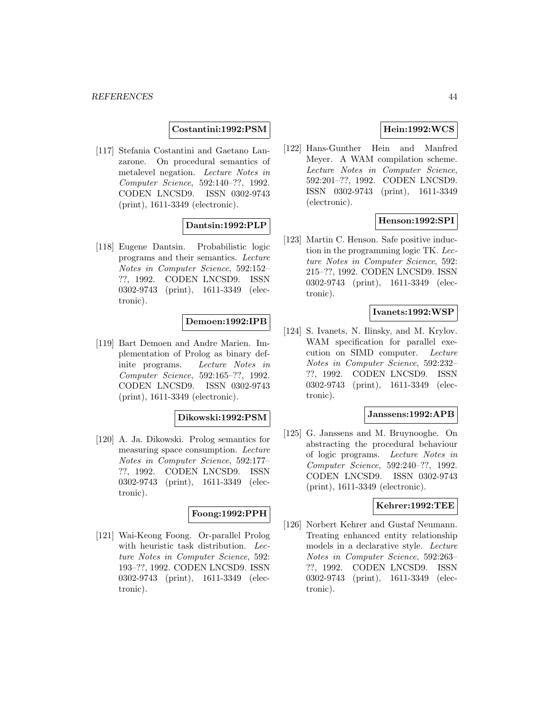#### **Costantini:1992:PSM**

[117] Stefania Costantini and Gaetano Lanzarone. On procedural semantics of metalevel negation. Lecture Notes in Computer Science, 592:140–??, 1992. CODEN LNCSD9. ISSN 0302-9743 (print), 1611-3349 (electronic).

## **Dantsin:1992:PLP**

[118] Eugene Dantsin. Probabilistic logic programs and their semantics. Lecture Notes in Computer Science, 592:152– ??, 1992. CODEN LNCSD9. ISSN 0302-9743 (print), 1611-3349 (electronic).

#### **Demoen:1992:IPB**

[119] Bart Demoen and Andre Marien. Implementation of Prolog as binary definite programs. Lecture Notes in Computer Science, 592:165–??, 1992. CODEN LNCSD9. ISSN 0302-9743 (print), 1611-3349 (electronic).

#### **Dikowski:1992:PSM**

[120] A. Ja. Dikowski. Prolog semantics for measuring space consumption. Lecture Notes in Computer Science, 592:177– ??, 1992. CODEN LNCSD9. ISSN 0302-9743 (print), 1611-3349 (electronic).

#### **Foong:1992:PPH**

[121] Wai-Keong Foong. Or-parallel Prolog with heuristic task distribution. Lecture Notes in Computer Science, 592: 193–??, 1992. CODEN LNCSD9. ISSN 0302-9743 (print), 1611-3349 (electronic).

# **Hein:1992:WCS**

[122] Hans-Gunther Hein and Manfred Meyer. A WAM compilation scheme. Lecture Notes in Computer Science, 592:201–??, 1992. CODEN LNCSD9. ISSN 0302-9743 (print), 1611-3349 (electronic).

# **Henson:1992:SPI**

[123] Martin C. Henson. Safe positive induction in the programming logic TK. Lecture Notes in Computer Science, 592: 215–??, 1992. CODEN LNCSD9. ISSN 0302-9743 (print), 1611-3349 (electronic).

### **Ivanets:1992:WSP**

[124] S. Ivanets, N. Ilinsky, and M. Krylov. WAM specification for parallel execution on SIMD computer. Lecture Notes in Computer Science, 592:232– ??, 1992. CODEN LNCSD9. ISSN 0302-9743 (print), 1611-3349 (electronic).

#### **Janssens:1992:APB**

[125] G. Janssens and M. Bruynooghe. On abstracting the procedural behaviour of logic programs. Lecture Notes in Computer Science, 592:240–??, 1992. CODEN LNCSD9. ISSN 0302-9743 (print), 1611-3349 (electronic).

#### **Kehrer:1992:TEE**

[126] Norbert Kehrer and Gustaf Neumann. Treating enhanced entity relationship models in a declarative style. Lecture Notes in Computer Science, 592:263– ??, 1992. CODEN LNCSD9. ISSN 0302-9743 (print), 1611-3349 (electronic).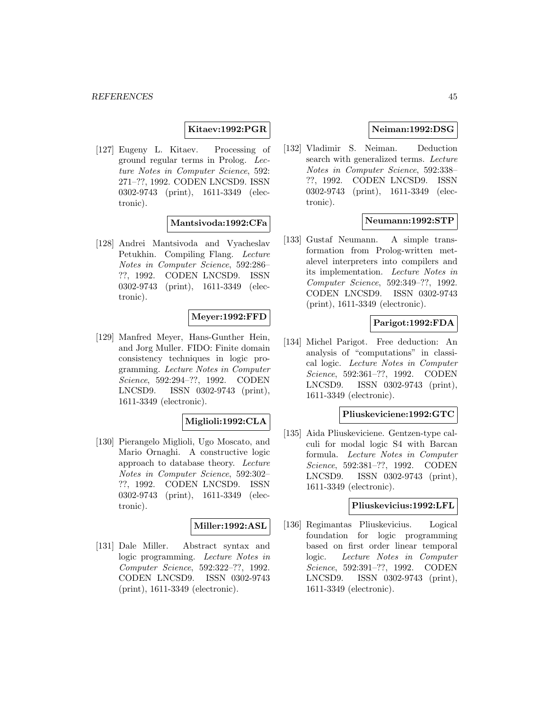## **Kitaev:1992:PGR**

[127] Eugeny L. Kitaev. Processing of ground regular terms in Prolog. Lecture Notes in Computer Science, 592: 271–??, 1992. CODEN LNCSD9. ISSN 0302-9743 (print), 1611-3349 (electronic).

## **Mantsivoda:1992:CFa**

[128] Andrei Mantsivoda and Vyacheslav Petukhin. Compiling Flang. Lecture Notes in Computer Science, 592:286– ??, 1992. CODEN LNCSD9. ISSN 0302-9743 (print), 1611-3349 (electronic).

## **Meyer:1992:FFD**

[129] Manfred Meyer, Hans-Gunther Hein, and Jorg Muller. FIDO: Finite domain consistency techniques in logic programming. Lecture Notes in Computer Science, 592:294–??, 1992. CODEN LNCSD9. ISSN 0302-9743 (print), 1611-3349 (electronic).

#### **Miglioli:1992:CLA**

[130] Pierangelo Miglioli, Ugo Moscato, and Mario Ornaghi. A constructive logic approach to database theory. Lecture Notes in Computer Science, 592:302– ??, 1992. CODEN LNCSD9. ISSN 0302-9743 (print), 1611-3349 (electronic).

#### **Miller:1992:ASL**

[131] Dale Miller. Abstract syntax and logic programming. Lecture Notes in Computer Science, 592:322–??, 1992. CODEN LNCSD9. ISSN 0302-9743 (print), 1611-3349 (electronic).

# **Neiman:1992:DSG**

[132] Vladimir S. Neiman. Deduction search with generalized terms. Lecture Notes in Computer Science, 592:338– ??, 1992. CODEN LNCSD9. ISSN 0302-9743 (print), 1611-3349 (electronic).

# **Neumann:1992:STP**

[133] Gustaf Neumann. A simple transformation from Prolog-written metalevel interpreters into compilers and its implementation. Lecture Notes in Computer Science, 592:349–??, 1992. CODEN LNCSD9. ISSN 0302-9743 (print), 1611-3349 (electronic).

# **Parigot:1992:FDA**

[134] Michel Parigot. Free deduction: An analysis of "computations" in classical logic. Lecture Notes in Computer Science, 592:361–??, 1992. CODEN LNCSD9. ISSN 0302-9743 (print), 1611-3349 (electronic).

#### **Pliuskeviciene:1992:GTC**

[135] Aida Pliuskeviciene. Gentzen-type calculi for modal logic S4 with Barcan formula. Lecture Notes in Computer Science, 592:381–??, 1992. CODEN LNCSD9. ISSN 0302-9743 (print), 1611-3349 (electronic).

#### **Pliuskevicius:1992:LFL**

[136] Regimantas Pliuskevicius. Logical foundation for logic programming based on first order linear temporal logic. Lecture Notes in Computer Science, 592:391–??, 1992. CODEN LNCSD9. ISSN 0302-9743 (print), 1611-3349 (electronic).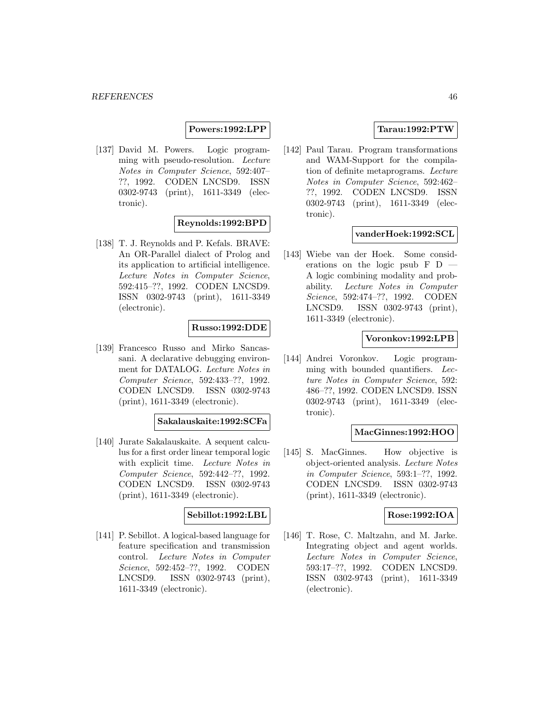#### **Powers:1992:LPP**

[137] David M. Powers. Logic programming with pseudo-resolution. Lecture Notes in Computer Science, 592:407– ??, 1992. CODEN LNCSD9. ISSN 0302-9743 (print), 1611-3349 (electronic).

#### **Reynolds:1992:BPD**

[138] T. J. Reynolds and P. Kefals. BRAVE: An OR-Parallel dialect of Prolog and its application to artificial intelligence. Lecture Notes in Computer Science, 592:415–??, 1992. CODEN LNCSD9. ISSN 0302-9743 (print), 1611-3349 (electronic).

## **Russo:1992:DDE**

[139] Francesco Russo and Mirko Sancassani. A declarative debugging environment for DATALOG. Lecture Notes in Computer Science, 592:433–??, 1992. CODEN LNCSD9. ISSN 0302-9743 (print), 1611-3349 (electronic).

#### **Sakalauskaite:1992:SCFa**

[140] Jurate Sakalauskaite. A sequent calculus for a first order linear temporal logic with explicit time. Lecture Notes in Computer Science, 592:442–??, 1992. CODEN LNCSD9. ISSN 0302-9743 (print), 1611-3349 (electronic).

#### **Sebillot:1992:LBL**

[141] P. Sebillot. A logical-based language for feature specification and transmission control. Lecture Notes in Computer Science, 592:452–??, 1992. CODEN LNCSD9. ISSN 0302-9743 (print), 1611-3349 (electronic).

## **Tarau:1992:PTW**

[142] Paul Tarau. Program transformations and WAM-Support for the compilation of definite metaprograms. Lecture Notes in Computer Science, 592:462– ??, 1992. CODEN LNCSD9. ISSN 0302-9743 (print), 1611-3349 (electronic).

#### **vanderHoek:1992:SCL**

[143] Wiebe van der Hoek. Some considerations on the logic psub F D A logic combining modality and probability. Lecture Notes in Computer Science, 592:474–??, 1992. CODEN LNCSD9. ISSN 0302-9743 (print), 1611-3349 (electronic).

#### **Voronkov:1992:LPB**

[144] Andrei Voronkov. Logic programming with bounded quantifiers. Lecture Notes in Computer Science, 592: 486–??, 1992. CODEN LNCSD9. ISSN 0302-9743 (print), 1611-3349 (electronic).

#### **MacGinnes:1992:HOO**

[145] S. MacGinnes. How objective is object-oriented analysis. Lecture Notes in Computer Science, 593:1–??, 1992. CODEN LNCSD9. ISSN 0302-9743 (print), 1611-3349 (electronic).

#### **Rose:1992:IOA**

[146] T. Rose, C. Maltzahn, and M. Jarke. Integrating object and agent worlds. Lecture Notes in Computer Science, 593:17–??, 1992. CODEN LNCSD9. ISSN 0302-9743 (print), 1611-3349 (electronic).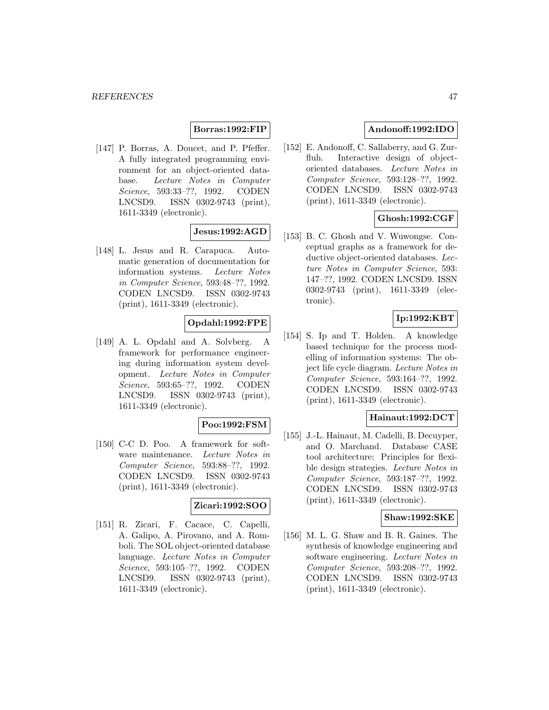## **Borras:1992:FIP**

[147] P. Borras, A. Doucet, and P. Pfeffer. A fully integrated programming environment for an object-oriented database. Lecture Notes in Computer Science, 593:33–??, 1992. CODEN LNCSD9. ISSN 0302-9743 (print), 1611-3349 (electronic).

# **Jesus:1992:AGD**

[148] L. Jesus and R. Carapuca. Automatic generation of documentation for information systems. Lecture Notes in Computer Science, 593:48–??, 1992. CODEN LNCSD9. ISSN 0302-9743 (print), 1611-3349 (electronic).

# **Opdahl:1992:FPE**

[149] A. L. Opdahl and A. Solvberg. A framework for performance engineering during information system development. Lecture Notes in Computer Science, 593:65–??, 1992. CODEN LNCSD9. ISSN 0302-9743 (print), 1611-3349 (electronic).

## **Poo:1992:FSM**

[150] C-C D. Poo. A framework for software maintenance. Lecture Notes in Computer Science, 593:88–??, 1992. CODEN LNCSD9. ISSN 0302-9743 (print), 1611-3349 (electronic).

#### **Zicari:1992:SOO**

[151] R. Zicari, F. Cacace, C. Capelli, A. Galipo, A. Pirovano, and A. Romboli. The SOL object-oriented database language. Lecture Notes in Computer Science, 593:105–??, 1992. CODEN LNCSD9. ISSN 0302-9743 (print), 1611-3349 (electronic).

# **Andonoff:1992:IDO**

[152] E. Andonoff, C. Sallaberry, and G. Zurfluh. Interactive design of objectoriented databases. Lecture Notes in Computer Science, 593:128–??, 1992. CODEN LNCSD9. ISSN 0302-9743 (print), 1611-3349 (electronic).

# **Ghosh:1992:CGF**

[153] B. C. Ghosh and V. Wuwongse. Conceptual graphs as a framework for deductive object-oriented databases. Lecture Notes in Computer Science, 593: 147–??, 1992. CODEN LNCSD9. ISSN 0302-9743 (print), 1611-3349 (electronic).

# **Ip:1992:KBT**

[154] S. Ip and T. Holden. A knowledge based technique for the process modelling of information systems: The object life cycle diagram. Lecture Notes in Computer Science, 593:164–??, 1992. CODEN LNCSD9. ISSN 0302-9743 (print), 1611-3349 (electronic).

## **Hainaut:1992:DCT**

[155] J.-L. Hainaut, M. Cadelli, B. Decuyper, and O. Marchand. Database CASE tool architecture: Principles for flexible design strategies. Lecture Notes in Computer Science, 593:187–??, 1992. CODEN LNCSD9. ISSN 0302-9743 (print), 1611-3349 (electronic).

## **Shaw:1992:SKE**

[156] M. L. G. Shaw and B. R. Gaines. The synthesis of knowledge engineering and software engineering. Lecture Notes in Computer Science, 593:208–??, 1992. CODEN LNCSD9. ISSN 0302-9743 (print), 1611-3349 (electronic).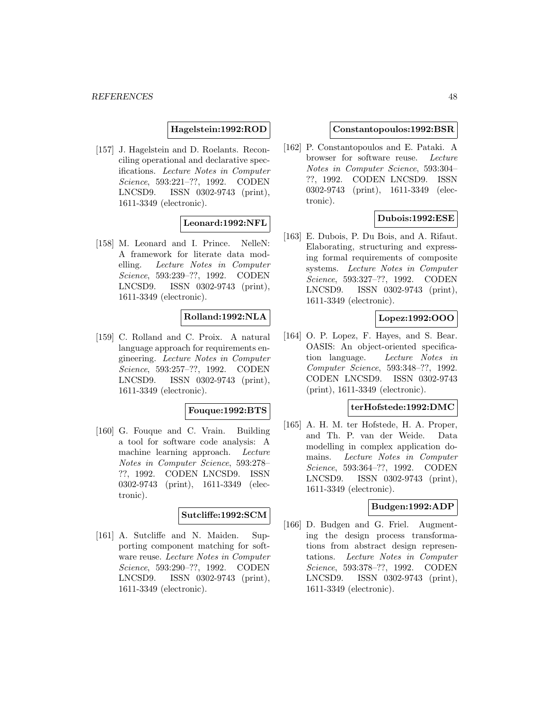## **Hagelstein:1992:ROD**

[157] J. Hagelstein and D. Roelants. Reconciling operational and declarative specifications. Lecture Notes in Computer Science, 593:221–??, 1992. CODEN LNCSD9. ISSN 0302-9743 (print), 1611-3349 (electronic).

# **Leonard:1992:NFL**

[158] M. Leonard and I. Prince. NelleN: A framework for literate data modelling. Lecture Notes in Computer Science, 593:239–??, 1992. CODEN LNCSD9. ISSN 0302-9743 (print), 1611-3349 (electronic).

#### **Rolland:1992:NLA**

[159] C. Rolland and C. Proix. A natural language approach for requirements engineering. Lecture Notes in Computer Science, 593:257–??, 1992. CODEN LNCSD9. ISSN 0302-9743 (print), 1611-3349 (electronic).

#### **Fouque:1992:BTS**

[160] G. Fouque and C. Vrain. Building a tool for software code analysis: A machine learning approach. Lecture Notes in Computer Science, 593:278– ??, 1992. CODEN LNCSD9. ISSN 0302-9743 (print), 1611-3349 (electronic).

#### **Sutcliffe:1992:SCM**

[161] A. Sutcliffe and N. Maiden. Supporting component matching for software reuse. Lecture Notes in Computer Science, 593:290–??, 1992. CODEN LNCSD9. ISSN 0302-9743 (print), 1611-3349 (electronic).

#### **Constantopoulos:1992:BSR**

[162] P. Constantopoulos and E. Pataki. A browser for software reuse. Lecture Notes in Computer Science, 593:304– ??, 1992. CODEN LNCSD9. ISSN 0302-9743 (print), 1611-3349 (electronic).

## **Dubois:1992:ESE**

[163] E. Dubois, P. Du Bois, and A. Rifaut. Elaborating, structuring and expressing formal requirements of composite systems. Lecture Notes in Computer Science, 593:327–??, 1992. CODEN LNCSD9. ISSN 0302-9743 (print), 1611-3349 (electronic).

#### **Lopez:1992:OOO**

[164] O. P. Lopez, F. Hayes, and S. Bear. OASIS: An object-oriented specification language. Lecture Notes in Computer Science, 593:348–??, 1992. CODEN LNCSD9. ISSN 0302-9743 (print), 1611-3349 (electronic).

#### **terHofstede:1992:DMC**

[165] A. H. M. ter Hofstede, H. A. Proper, and Th. P. van der Weide. Data modelling in complex application domains. Lecture Notes in Computer Science, 593:364–??, 1992. CODEN LNCSD9. ISSN 0302-9743 (print), 1611-3349 (electronic).

#### **Budgen:1992:ADP**

[166] D. Budgen and G. Friel. Augmenting the design process transformations from abstract design representations. Lecture Notes in Computer Science, 593:378–??, 1992. CODEN LNCSD9. ISSN 0302-9743 (print), 1611-3349 (electronic).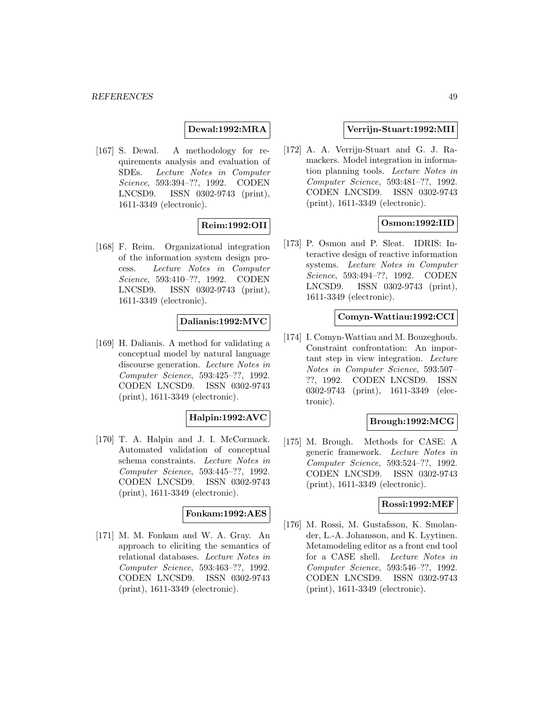## **Dewal:1992:MRA**

[167] S. Dewal. A methodology for requirements analysis and evaluation of SDEs. Lecture Notes in Computer Science, 593:394–??, 1992. CODEN LNCSD9. ISSN 0302-9743 (print), 1611-3349 (electronic).

# **Reim:1992:OII**

[168] F. Reim. Organizational integration of the information system design process. Lecture Notes in Computer Science, 593:410–??, 1992. CODEN LNCSD9. ISSN 0302-9743 (print), 1611-3349 (electronic).

#### **Dalianis:1992:MVC**

[169] H. Dalianis. A method for validating a conceptual model by natural language discourse generation. Lecture Notes in Computer Science, 593:425–??, 1992. CODEN LNCSD9. ISSN 0302-9743 (print), 1611-3349 (electronic).

# **Halpin:1992:AVC**

[170] T. A. Halpin and J. I. McCormack. Automated validation of conceptual schema constraints. Lecture Notes in Computer Science, 593:445–??, 1992. CODEN LNCSD9. ISSN 0302-9743 (print), 1611-3349 (electronic).

#### **Fonkam:1992:AES**

[171] M. M. Fonkam and W. A. Gray. An approach to eliciting the semantics of relational databases. Lecture Notes in Computer Science, 593:463–??, 1992. CODEN LNCSD9. ISSN 0302-9743 (print), 1611-3349 (electronic).

#### **Verrijn-Stuart:1992:MII**

[172] A. A. Verrijn-Stuart and G. J. Ramackers. Model integration in information planning tools. Lecture Notes in Computer Science, 593:481–??, 1992. CODEN LNCSD9. ISSN 0302-9743 (print), 1611-3349 (electronic).

## **Osmon:1992:IID**

[173] P. Osmon and P. Sleat. IDRIS: Interactive design of reactive information systems. Lecture Notes in Computer Science, 593:494–??, 1992. CODEN LNCSD9. ISSN 0302-9743 (print), 1611-3349 (electronic).

#### **Comyn-Wattiau:1992:CCI**

[174] I. Comyn-Wattiau and M. Bouzeghoub. Constraint confrontation: An important step in view integration. Lecture Notes in Computer Science, 593:507– ??, 1992. CODEN LNCSD9. ISSN 0302-9743 (print), 1611-3349 (electronic).

#### **Brough:1992:MCG**

[175] M. Brough. Methods for CASE: A generic framework. Lecture Notes in Computer Science, 593:524–??, 1992. CODEN LNCSD9. ISSN 0302-9743 (print), 1611-3349 (electronic).

## **Rossi:1992:MEF**

[176] M. Rossi, M. Gustafsson, K. Smolander, L.-A. Johansson, and K. Lyytinen. Metamodeling editor as a front end tool for a CASE shell. Lecture Notes in Computer Science, 593:546–??, 1992. CODEN LNCSD9. ISSN 0302-9743 (print), 1611-3349 (electronic).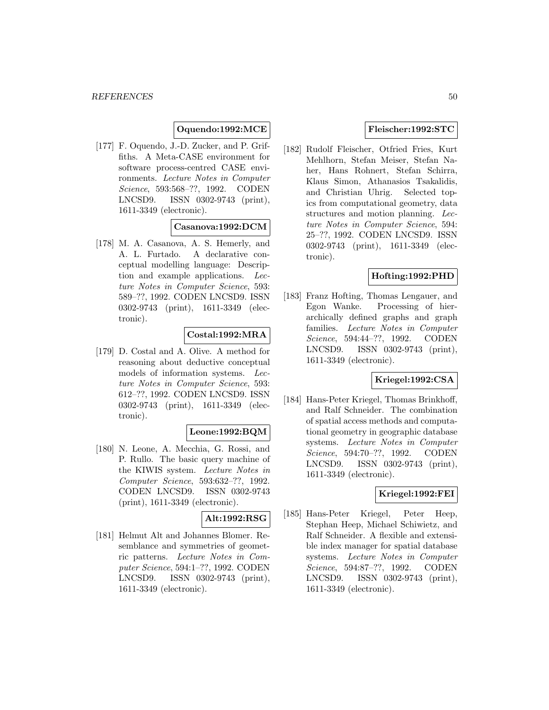# **Oquendo:1992:MCE**

[177] F. Oquendo, J.-D. Zucker, and P. Griffiths. A Meta-CASE environment for software process-centred CASE environments. Lecture Notes in Computer Science, 593:568–??, 1992. CODEN LNCSD9. ISSN 0302-9743 (print), 1611-3349 (electronic).

## **Casanova:1992:DCM**

[178] M. A. Casanova, A. S. Hemerly, and A. L. Furtado. A declarative conceptual modelling language: Description and example applications. Lecture Notes in Computer Science, 593: 589–??, 1992. CODEN LNCSD9. ISSN 0302-9743 (print), 1611-3349 (electronic).

## **Costal:1992:MRA**

[179] D. Costal and A. Olive. A method for reasoning about deductive conceptual models of information systems. Lecture Notes in Computer Science, 593: 612–??, 1992. CODEN LNCSD9. ISSN 0302-9743 (print), 1611-3349 (electronic).

## **Leone:1992:BQM**

[180] N. Leone, A. Mecchia, G. Rossi, and P. Rullo. The basic query machine of the KIWIS system. Lecture Notes in Computer Science, 593:632–??, 1992. CODEN LNCSD9. ISSN 0302-9743 (print), 1611-3349 (electronic).

## **Alt:1992:RSG**

[181] Helmut Alt and Johannes Blomer. Resemblance and symmetries of geometric patterns. Lecture Notes in Computer Science, 594:1–??, 1992. CODEN LNCSD9. ISSN 0302-9743 (print), 1611-3349 (electronic).

#### **Fleischer:1992:STC**

[182] Rudolf Fleischer, Otfried Fries, Kurt Mehlhorn, Stefan Meiser, Stefan Naher, Hans Rohnert, Stefan Schirra, Klaus Simon, Athanasios Tsakalidis, and Christian Uhrig. Selected topics from computational geometry, data structures and motion planning. Lecture Notes in Computer Science, 594: 25–??, 1992. CODEN LNCSD9. ISSN 0302-9743 (print), 1611-3349 (electronic).

# **Hofting:1992:PHD**

[183] Franz Hofting, Thomas Lengauer, and Egon Wanke. Processing of hierarchically defined graphs and graph families. Lecture Notes in Computer Science, 594:44–??, 1992. CODEN LNCSD9. ISSN 0302-9743 (print), 1611-3349 (electronic).

# **Kriegel:1992:CSA**

[184] Hans-Peter Kriegel, Thomas Brinkhoff, and Ralf Schneider. The combination of spatial access methods and computational geometry in geographic database systems. Lecture Notes in Computer Science, 594:70–??, 1992. CODEN LNCSD9. ISSN 0302-9743 (print), 1611-3349 (electronic).

## **Kriegel:1992:FEI**

[185] Hans-Peter Kriegel, Peter Heep, Stephan Heep, Michael Schiwietz, and Ralf Schneider. A flexible and extensible index manager for spatial database systems. Lecture Notes in Computer Science, 594:87–??, 1992. CODEN LNCSD9. ISSN 0302-9743 (print), 1611-3349 (electronic).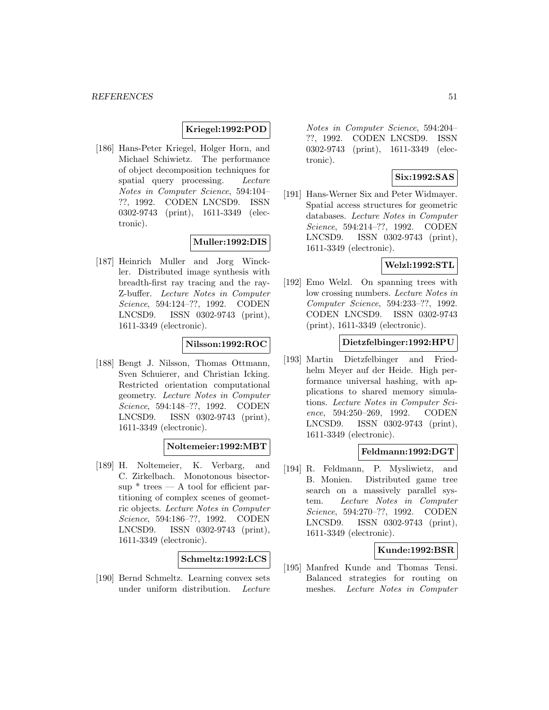#### **Kriegel:1992:POD**

[186] Hans-Peter Kriegel, Holger Horn, and Michael Schiwietz. The performance of object decomposition techniques for spatial query processing. Lecture Notes in Computer Science, 594:104– ??, 1992. CODEN LNCSD9. ISSN 0302-9743 (print), 1611-3349 (electronic).

## **Muller:1992:DIS**

[187] Heinrich Muller and Jorg Winckler. Distributed image synthesis with breadth-first ray tracing and the ray-Z-buffer. Lecture Notes in Computer Science, 594:124–??, 1992. CODEN LNCSD9. ISSN 0302-9743 (print), 1611-3349 (electronic).

#### **Nilsson:1992:ROC**

[188] Bengt J. Nilsson, Thomas Ottmann, Sven Schuierer, and Christian Icking. Restricted orientation computational geometry. Lecture Notes in Computer Science, 594:148–??, 1992. CODEN LNCSD9. ISSN 0302-9743 (print), 1611-3349 (electronic).

## **Noltemeier:1992:MBT**

[189] H. Noltemeier, K. Verbarg, and C. Zirkelbach. Monotonous bisector- $\sup^*$  trees — A tool for efficient partitioning of complex scenes of geometric objects. Lecture Notes in Computer Science, 594:186–??, 1992. CODEN LNCSD9. ISSN 0302-9743 (print), 1611-3349 (electronic).

#### **Schmeltz:1992:LCS**

[190] Bernd Schmeltz. Learning convex sets under uniform distribution. Lecture

Notes in Computer Science, 594:204– ??, 1992. CODEN LNCSD9. ISSN 0302-9743 (print), 1611-3349 (electronic).

# **Six:1992:SAS**

[191] Hans-Werner Six and Peter Widmayer. Spatial access structures for geometric databases. Lecture Notes in Computer Science, 594:214–??, 1992. CODEN LNCSD9. ISSN 0302-9743 (print), 1611-3349 (electronic).

# **Welzl:1992:STL**

[192] Emo Welzl. On spanning trees with low crossing numbers. Lecture Notes in Computer Science, 594:233–??, 1992. CODEN LNCSD9. ISSN 0302-9743 (print), 1611-3349 (electronic).

#### **Dietzfelbinger:1992:HPU**

[193] Martin Dietzfelbinger and Friedhelm Meyer auf der Heide. High performance universal hashing, with applications to shared memory simulations. Lecture Notes in Computer Science, 594:250–269, 1992. CODEN LNCSD9. ISSN 0302-9743 (print), 1611-3349 (electronic).

#### **Feldmann:1992:DGT**

[194] R. Feldmann, P. Mysliwietz, and B. Monien. Distributed game tree search on a massively parallel system. Lecture Notes in Computer Science, 594:270–??, 1992. CODEN LNCSD9. ISSN 0302-9743 (print), 1611-3349 (electronic).

#### **Kunde:1992:BSR**

[195] Manfred Kunde and Thomas Tensi. Balanced strategies for routing on meshes. Lecture Notes in Computer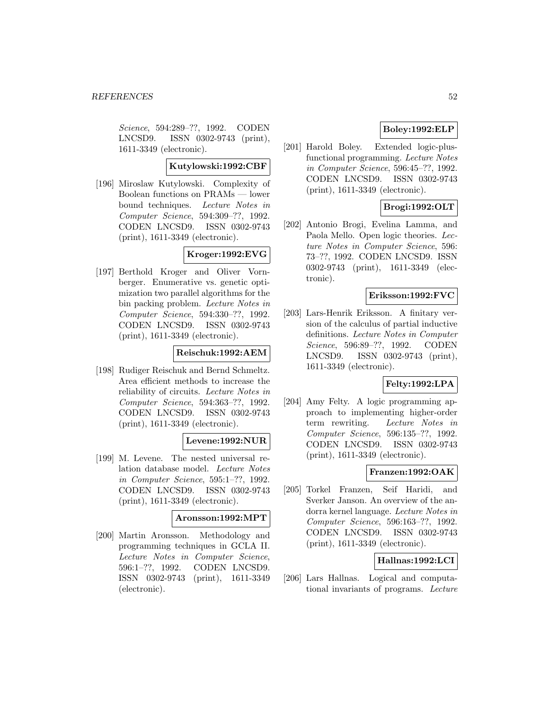Science, 594:289–??, 1992. CODEN LNCSD9. ISSN 0302-9743 (print), 1611-3349 (electronic).

## **Kutylowski:1992:CBF**

[196] Miroslaw Kutylowski. Complexity of Boolean functions on PRAMs — lower bound techniques. Lecture Notes in Computer Science, 594:309–??, 1992. CODEN LNCSD9. ISSN 0302-9743 (print), 1611-3349 (electronic).

# **Kroger:1992:EVG**

[197] Berthold Kroger and Oliver Vornberger. Enumerative vs. genetic optimization two parallel algorithms for the bin packing problem. Lecture Notes in Computer Science, 594:330–??, 1992. CODEN LNCSD9. ISSN 0302-9743 (print), 1611-3349 (electronic).

## **Reischuk:1992:AEM**

[198] Rudiger Reischuk and Bernd Schmeltz. Area efficient methods to increase the reliability of circuits. Lecture Notes in Computer Science, 594:363–??, 1992. CODEN LNCSD9. ISSN 0302-9743 (print), 1611-3349 (electronic).

## **Levene:1992:NUR**

[199] M. Levene. The nested universal relation database model. Lecture Notes in Computer Science, 595:1–??, 1992. CODEN LNCSD9. ISSN 0302-9743 (print), 1611-3349 (electronic).

#### **Aronsson:1992:MPT**

[200] Martin Aronsson. Methodology and programming techniques in GCLA II. Lecture Notes in Computer Science, 596:1–??, 1992. CODEN LNCSD9. ISSN 0302-9743 (print), 1611-3349 (electronic).

# **Boley:1992:ELP**

[201] Harold Boley. Extended logic-plusfunctional programming. Lecture Notes in Computer Science, 596:45–??, 1992. CODEN LNCSD9. ISSN 0302-9743 (print), 1611-3349 (electronic).

# **Brogi:1992:OLT**

[202] Antonio Brogi, Evelina Lamma, and Paola Mello. Open logic theories. Lecture Notes in Computer Science, 596: 73–??, 1992. CODEN LNCSD9. ISSN 0302-9743 (print), 1611-3349 (electronic).

## **Eriksson:1992:FVC**

[203] Lars-Henrik Eriksson. A finitary version of the calculus of partial inductive definitions. Lecture Notes in Computer Science, 596:89–??, 1992. CODEN LNCSD9. ISSN 0302-9743 (print), 1611-3349 (electronic).

# **Felty:1992:LPA**

[204] Amy Felty. A logic programming approach to implementing higher-order term rewriting. Lecture Notes in Computer Science, 596:135–??, 1992. CODEN LNCSD9. ISSN 0302-9743 (print), 1611-3349 (electronic).

# **Franzen:1992:OAK**

[205] Torkel Franzen, Seif Haridi, and Sverker Janson. An overview of the andorra kernel language. Lecture Notes in Computer Science, 596:163–??, 1992. CODEN LNCSD9. ISSN 0302-9743 (print), 1611-3349 (electronic).

## **Hallnas:1992:LCI**

[206] Lars Hallnas. Logical and computational invariants of programs. Lecture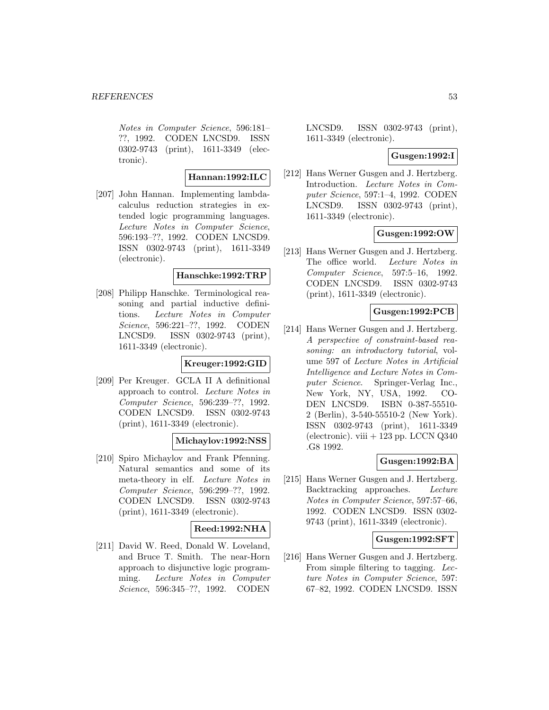Notes in Computer Science, 596:181– ??, 1992. CODEN LNCSD9. ISSN 0302-9743 (print), 1611-3349 (electronic).

#### **Hannan:1992:ILC**

[207] John Hannan. Implementing lambdacalculus reduction strategies in extended logic programming languages. Lecture Notes in Computer Science, 596:193–??, 1992. CODEN LNCSD9. ISSN 0302-9743 (print), 1611-3349 (electronic).

### **Hanschke:1992:TRP**

[208] Philipp Hanschke. Terminological reasoning and partial inductive definitions. Lecture Notes in Computer Science, 596:221–??, 1992. CODEN LNCSD9. ISSN 0302-9743 (print), 1611-3349 (electronic).

## **Kreuger:1992:GID**

[209] Per Kreuger. GCLA II A definitional approach to control. Lecture Notes in Computer Science, 596:239–??, 1992. CODEN LNCSD9. ISSN 0302-9743 (print), 1611-3349 (electronic).

#### **Michaylov:1992:NSS**

[210] Spiro Michaylov and Frank Pfenning. Natural semantics and some of its meta-theory in elf. Lecture Notes in Computer Science, 596:299–??, 1992. CODEN LNCSD9. ISSN 0302-9743 (print), 1611-3349 (electronic).

## **Reed:1992:NHA**

[211] David W. Reed, Donald W. Loveland, and Bruce T. Smith. The near-Horn approach to disjunctive logic programming. Lecture Notes in Computer Science, 596:345–??, 1992. CODEN

LNCSD9. ISSN 0302-9743 (print), 1611-3349 (electronic).

#### **Gusgen:1992:I**

[212] Hans Werner Gusgen and J. Hertzberg. Introduction. Lecture Notes in Computer Science, 597:1–4, 1992. CODEN LNCSD9. ISSN 0302-9743 (print), 1611-3349 (electronic).

## **Gusgen:1992:OW**

[213] Hans Werner Gusgen and J. Hertzberg. The office world. Lecture Notes in Computer Science, 597:5–16, 1992. CODEN LNCSD9. ISSN 0302-9743 (print), 1611-3349 (electronic).

# **Gusgen:1992:PCB**

[214] Hans Werner Gusgen and J. Hertzberg. A perspective of constraint-based reasoning: an introductory tutorial, volume 597 of Lecture Notes in Artificial Intelligence and Lecture Notes in Computer Science. Springer-Verlag Inc., New York, NY, USA, 1992. CO-DEN LNCSD9. ISBN 0-387-55510- 2 (Berlin), 3-540-55510-2 (New York). ISSN 0302-9743 (print), 1611-3349 (electronic). viii  $+123$  pp. LCCN  $Q340$ .G8 1992.

## **Gusgen:1992:BA**

[215] Hans Werner Gusgen and J. Hertzberg. Backtracking approaches. Lecture Notes in Computer Science, 597:57–66, 1992. CODEN LNCSD9. ISSN 0302- 9743 (print), 1611-3349 (electronic).

#### **Gusgen:1992:SFT**

[216] Hans Werner Gusgen and J. Hertzberg. From simple filtering to tagging. Lecture Notes in Computer Science, 597: 67–82, 1992. CODEN LNCSD9. ISSN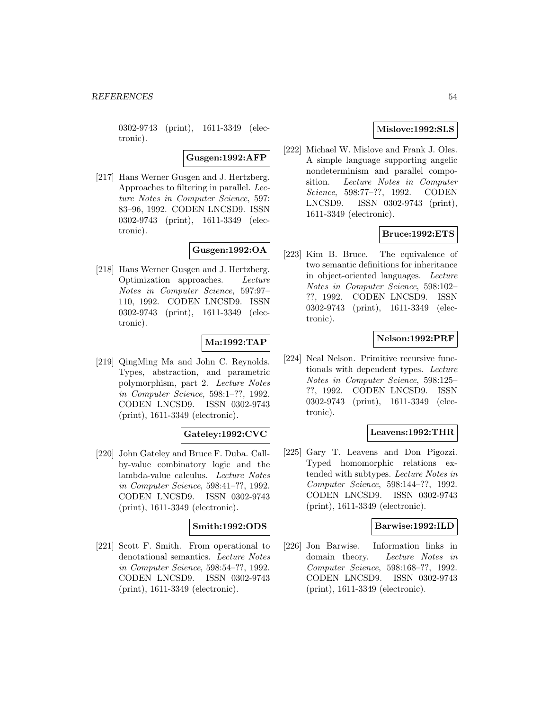0302-9743 (print), 1611-3349 (electronic).

**Gusgen:1992:AFP**

[217] Hans Werner Gusgen and J. Hertzberg. Approaches to filtering in parallel. Lecture Notes in Computer Science, 597: 83–96, 1992. CODEN LNCSD9. ISSN 0302-9743 (print), 1611-3349 (electronic).

# **Gusgen:1992:OA**

[218] Hans Werner Gusgen and J. Hertzberg. Optimization approaches. Lecture Notes in Computer Science, 597:97– 110, 1992. CODEN LNCSD9. ISSN 0302-9743 (print), 1611-3349 (electronic).

# **Ma:1992:TAP**

[219] QingMing Ma and John C. Reynolds. Types, abstraction, and parametric polymorphism, part 2. Lecture Notes in Computer Science, 598:1–??, 1992. CODEN LNCSD9. ISSN 0302-9743 (print), 1611-3349 (electronic).

# **Gateley:1992:CVC**

[220] John Gateley and Bruce F. Duba. Callby-value combinatory logic and the lambda-value calculus. Lecture Notes in Computer Science, 598:41–??, 1992. CODEN LNCSD9. ISSN 0302-9743 (print), 1611-3349 (electronic).

## **Smith:1992:ODS**

[221] Scott F. Smith. From operational to denotational semantics. Lecture Notes in Computer Science, 598:54–??, 1992. CODEN LNCSD9. ISSN 0302-9743 (print), 1611-3349 (electronic).

## **Mislove:1992:SLS**

[222] Michael W. Mislove and Frank J. Oles. A simple language supporting angelic nondeterminism and parallel composition. Lecture Notes in Computer Science, 598:77–??, 1992. CODEN LNCSD9. ISSN 0302-9743 (print), 1611-3349 (electronic).

## **Bruce:1992:ETS**

[223] Kim B. Bruce. The equivalence of two semantic definitions for inheritance in object-oriented languages. Lecture Notes in Computer Science, 598:102– ??, 1992. CODEN LNCSD9. ISSN 0302-9743 (print), 1611-3349 (electronic).

## **Nelson:1992:PRF**

[224] Neal Nelson. Primitive recursive functionals with dependent types. Lecture Notes in Computer Science, 598:125– ??, 1992. CODEN LNCSD9. ISSN 0302-9743 (print), 1611-3349 (electronic).

# **Leavens:1992:THR**

[225] Gary T. Leavens and Don Pigozzi. Typed homomorphic relations extended with subtypes. Lecture Notes in Computer Science, 598:144–??, 1992. CODEN LNCSD9. ISSN 0302-9743 (print), 1611-3349 (electronic).

#### **Barwise:1992:ILD**

[226] Jon Barwise. Information links in domain theory. Lecture Notes in Computer Science, 598:168–??, 1992. CODEN LNCSD9. ISSN 0302-9743 (print), 1611-3349 (electronic).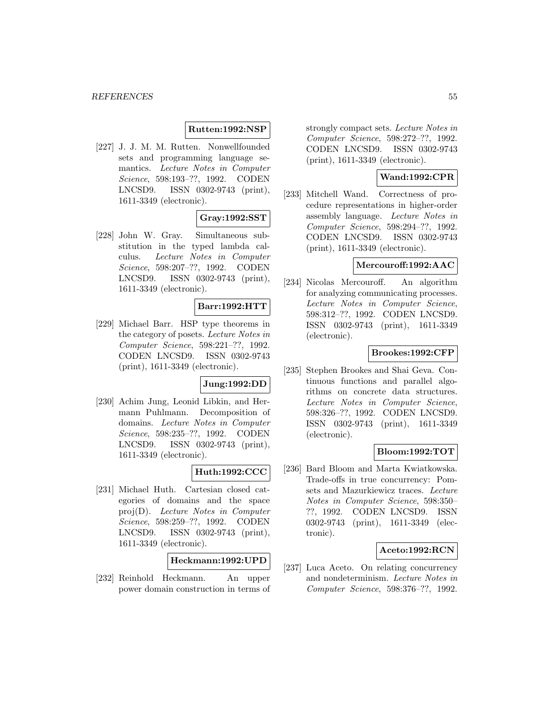#### **Rutten:1992:NSP**

[227] J. J. M. M. Rutten. Nonwellfounded sets and programming language semantics. Lecture Notes in Computer Science, 598:193–??, 1992. CODEN LNCSD9. ISSN 0302-9743 (print), 1611-3349 (electronic).

# **Gray:1992:SST**

[228] John W. Gray. Simultaneous substitution in the typed lambda calculus. Lecture Notes in Computer Science, 598:207–??, 1992. CODEN LNCSD9. ISSN 0302-9743 (print), 1611-3349 (electronic).

## **Barr:1992:HTT**

[229] Michael Barr. HSP type theorems in the category of posets. Lecture Notes in Computer Science, 598:221–??, 1992. CODEN LNCSD9. ISSN 0302-9743 (print), 1611-3349 (electronic).

# **Jung:1992:DD**

[230] Achim Jung, Leonid Libkin, and Hermann Puhlmann. Decomposition of domains. Lecture Notes in Computer Science, 598:235–??, 1992. CODEN LNCSD9. ISSN 0302-9743 (print), 1611-3349 (electronic).

## **Huth:1992:CCC**

[231] Michael Huth. Cartesian closed categories of domains and the space proj(D). Lecture Notes in Computer Science, 598:259–??, 1992. CODEN LNCSD9. ISSN 0302-9743 (print), 1611-3349 (electronic).

## **Heckmann:1992:UPD**

[232] Reinhold Heckmann. An upper power domain construction in terms of strongly compact sets. Lecture Notes in Computer Science, 598:272–??, 1992. CODEN LNCSD9. ISSN 0302-9743 (print), 1611-3349 (electronic).

# **Wand:1992:CPR**

[233] Mitchell Wand. Correctness of procedure representations in higher-order assembly language. Lecture Notes in Computer Science, 598:294–??, 1992. CODEN LNCSD9. ISSN 0302-9743 (print), 1611-3349 (electronic).

#### **Mercouroff:1992:AAC**

[234] Nicolas Mercouroff. An algorithm for analyzing communicating processes. Lecture Notes in Computer Science, 598:312–??, 1992. CODEN LNCSD9. ISSN 0302-9743 (print), 1611-3349 (electronic).

#### **Brookes:1992:CFP**

[235] Stephen Brookes and Shai Geva. Continuous functions and parallel algorithms on concrete data structures. Lecture Notes in Computer Science, 598:326–??, 1992. CODEN LNCSD9. ISSN 0302-9743 (print), 1611-3349 (electronic).

#### **Bloom:1992:TOT**

[236] Bard Bloom and Marta Kwiatkowska. Trade-offs in true concurrency: Pomsets and Mazurkiewicz traces. Lecture Notes in Computer Science, 598:350– ??, 1992. CODEN LNCSD9. ISSN 0302-9743 (print), 1611-3349 (electronic).

#### **Aceto:1992:RCN**

[237] Luca Aceto. On relating concurrency and nondeterminism. Lecture Notes in Computer Science, 598:376–??, 1992.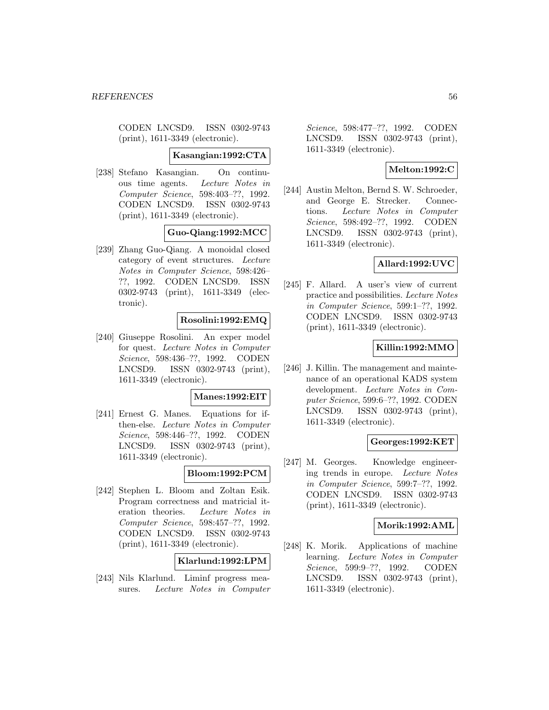CODEN LNCSD9. ISSN 0302-9743 (print), 1611-3349 (electronic).

**Kasangian:1992:CTA**

[238] Stefano Kasangian. On continuous time agents. Lecture Notes in Computer Science, 598:403–??, 1992. CODEN LNCSD9. ISSN 0302-9743 (print), 1611-3349 (electronic).

**Guo-Qiang:1992:MCC**

[239] Zhang Guo-Qiang. A monoidal closed category of event structures. Lecture Notes in Computer Science, 598:426– ??, 1992. CODEN LNCSD9. ISSN 0302-9743 (print), 1611-3349 (electronic).

# **Rosolini:1992:EMQ**

[240] Giuseppe Rosolini. An exper model for quest. Lecture Notes in Computer Science, 598:436–??, 1992. CODEN LNCSD9. ISSN 0302-9743 (print), 1611-3349 (electronic).

#### **Manes:1992:EIT**

[241] Ernest G. Manes. Equations for ifthen-else. Lecture Notes in Computer Science, 598:446–??, 1992. CODEN LNCSD9. ISSN 0302-9743 (print), 1611-3349 (electronic).

#### **Bloom:1992:PCM**

[242] Stephen L. Bloom and Zoltan Esik. Program correctness and matricial iteration theories. Lecture Notes in Computer Science, 598:457–??, 1992. CODEN LNCSD9. ISSN 0302-9743 (print), 1611-3349 (electronic).

## **Klarlund:1992:LPM**

[243] Nils Klarlund. Liminf progress measures. Lecture Notes in Computer

Science, 598:477–??, 1992. CODEN LNCSD9. ISSN 0302-9743 (print), 1611-3349 (electronic).

#### **Melton:1992:C**

[244] Austin Melton, Bernd S. W. Schroeder, and George E. Strecker. Connections. Lecture Notes in Computer Science, 598:492–??, 1992. CODEN LNCSD9. ISSN 0302-9743 (print), 1611-3349 (electronic).

## **Allard:1992:UVC**

[245] F. Allard. A user's view of current practice and possibilities. Lecture Notes in Computer Science, 599:1–??, 1992. CODEN LNCSD9. ISSN 0302-9743 (print), 1611-3349 (electronic).

# **Killin:1992:MMO**

[246] J. Killin. The management and maintenance of an operational KADS system development. Lecture Notes in Computer Science, 599:6–??, 1992. CODEN LNCSD9. ISSN 0302-9743 (print), 1611-3349 (electronic).

#### **Georges:1992:KET**

[247] M. Georges. Knowledge engineering trends in europe. Lecture Notes in Computer Science, 599:7–??, 1992. CODEN LNCSD9. ISSN 0302-9743 (print), 1611-3349 (electronic).

#### **Morik:1992:AML**

[248] K. Morik. Applications of machine learning. Lecture Notes in Computer Science, 599:9–??, 1992. CODEN LNCSD9. ISSN 0302-9743 (print), 1611-3349 (electronic).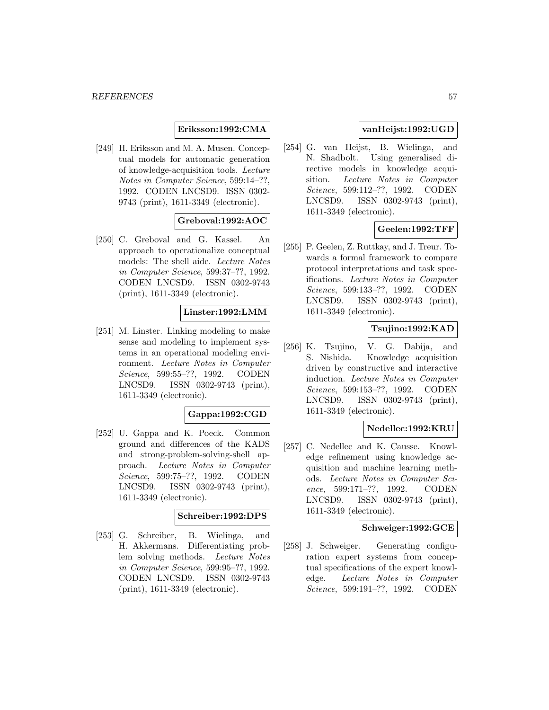**Eriksson:1992:CMA**

[249] H. Eriksson and M. A. Musen. Conceptual models for automatic generation of knowledge-acquisition tools. Lecture Notes in Computer Science, 599:14–??, 1992. CODEN LNCSD9. ISSN 0302- 9743 (print), 1611-3349 (electronic).

# **Greboval:1992:AOC**

[250] C. Greboval and G. Kassel. An approach to operationalize conceptual models: The shell aide. Lecture Notes in Computer Science, 599:37–??, 1992. CODEN LNCSD9. ISSN 0302-9743 (print), 1611-3349 (electronic).

## **Linster:1992:LMM**

[251] M. Linster. Linking modeling to make sense and modeling to implement systems in an operational modeling environment. Lecture Notes in Computer Science, 599:55–??, 1992. CODEN LNCSD9. ISSN 0302-9743 (print), 1611-3349 (electronic).

## **Gappa:1992:CGD**

[252] U. Gappa and K. Poeck. Common ground and differences of the KADS and strong-problem-solving-shell approach. Lecture Notes in Computer Science, 599:75–??, 1992. CODEN LNCSD9. ISSN 0302-9743 (print), 1611-3349 (electronic).

## **Schreiber:1992:DPS**

[253] G. Schreiber, B. Wielinga, and H. Akkermans. Differentiating problem solving methods. Lecture Notes in Computer Science, 599:95–??, 1992. CODEN LNCSD9. ISSN 0302-9743 (print), 1611-3349 (electronic).

## **vanHeijst:1992:UGD**

[254] G. van Heijst, B. Wielinga, and N. Shadbolt. Using generalised directive models in knowledge acquisition. Lecture Notes in Computer Science, 599:112–??, 1992. CODEN LNCSD9. ISSN 0302-9743 (print), 1611-3349 (electronic).

# **Geelen:1992:TFF**

[255] P. Geelen, Z. Ruttkay, and J. Treur. Towards a formal framework to compare protocol interpretations and task specifications. Lecture Notes in Computer Science, 599:133–??, 1992. CODEN LNCSD9. ISSN 0302-9743 (print), 1611-3349 (electronic).

# **Tsujino:1992:KAD**

[256] K. Tsujino, V. G. Dabija, and S. Nishida. Knowledge acquisition driven by constructive and interactive induction. Lecture Notes in Computer Science, 599:153–??, 1992. CODEN LNCSD9. ISSN 0302-9743 (print), 1611-3349 (electronic).

# **Nedellec:1992:KRU**

[257] C. Nedellec and K. Causse. Knowledge refinement using knowledge acquisition and machine learning methods. Lecture Notes in Computer Science, 599:171–??, 1992. CODEN LNCSD9. ISSN 0302-9743 (print), 1611-3349 (electronic).

#### **Schweiger:1992:GCE**

[258] J. Schweiger. Generating configuration expert systems from conceptual specifications of the expert knowledge. Lecture Notes in Computer Science, 599:191–??, 1992. CODEN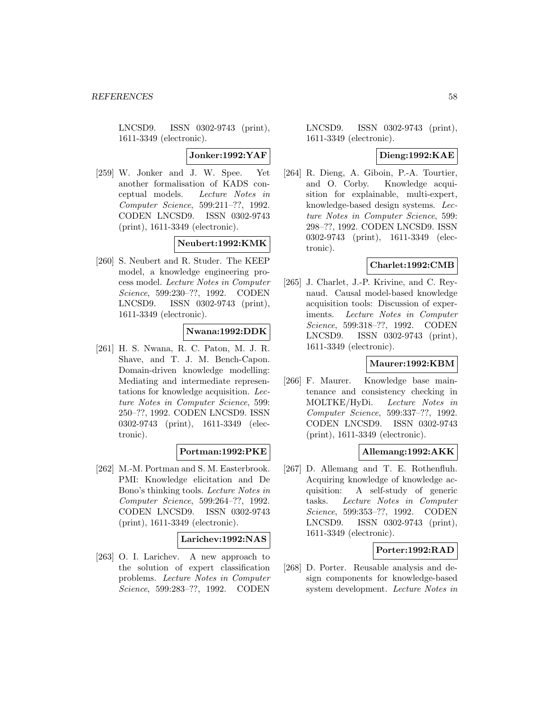LNCSD9. ISSN 0302-9743 (print), 1611-3349 (electronic).

**Jonker:1992:YAF**

[259] W. Jonker and J. W. Spee. Yet another formalisation of KADS conceptual models. Lecture Notes in Computer Science, 599:211–??, 1992. CODEN LNCSD9. ISSN 0302-9743 (print), 1611-3349 (electronic).

## **Neubert:1992:KMK**

[260] S. Neubert and R. Studer. The KEEP model, a knowledge engineering process model. Lecture Notes in Computer Science, 599:230–??, 1992. CODEN LNCSD9. ISSN 0302-9743 (print), 1611-3349 (electronic).

## **Nwana:1992:DDK**

[261] H. S. Nwana, R. C. Paton, M. J. R. Shave, and T. J. M. Bench-Capon. Domain-driven knowledge modelling: Mediating and intermediate representations for knowledge acquisition. Lecture Notes in Computer Science, 599: 250–??, 1992. CODEN LNCSD9. ISSN 0302-9743 (print), 1611-3349 (electronic).

# **Portman:1992:PKE**

[262] M.-M. Portman and S. M. Easterbrook. PMI: Knowledge elicitation and De Bono's thinking tools. Lecture Notes in Computer Science, 599:264–??, 1992. CODEN LNCSD9. ISSN 0302-9743 (print), 1611-3349 (electronic).

## **Larichev:1992:NAS**

[263] O. I. Larichev. A new approach to the solution of expert classification problems. Lecture Notes in Computer Science, 599:283–??, 1992. CODEN

LNCSD9. ISSN 0302-9743 (print), 1611-3349 (electronic).

## **Dieng:1992:KAE**

[264] R. Dieng, A. Giboin, P.-A. Tourtier, and O. Corby. Knowledge acquisition for explainable, multi-expert, knowledge-based design systems. Lecture Notes in Computer Science, 599: 298–??, 1992. CODEN LNCSD9. ISSN 0302-9743 (print), 1611-3349 (electronic).

# **Charlet:1992:CMB**

[265] J. Charlet, J.-P. Krivine, and C. Reynaud. Causal model-based knowledge acquisition tools: Discussion of experiments. Lecture Notes in Computer Science, 599:318–??, 1992. CODEN LNCSD9. ISSN 0302-9743 (print), 1611-3349 (electronic).

# **Maurer:1992:KBM**

[266] F. Maurer. Knowledge base maintenance and consistency checking in MOLTKE/HyDi. Lecture Notes in Computer Science, 599:337–??, 1992. CODEN LNCSD9. ISSN 0302-9743 (print), 1611-3349 (electronic).

# **Allemang:1992:AKK**

[267] D. Allemang and T. E. Rothenfluh. Acquiring knowledge of knowledge acquisition: A self-study of generic tasks. Lecture Notes in Computer Science, 599:353–??, 1992. CODEN LNCSD9. ISSN 0302-9743 (print), 1611-3349 (electronic).

# **Porter:1992:RAD**

[268] D. Porter. Reusable analysis and design components for knowledge-based system development. Lecture Notes in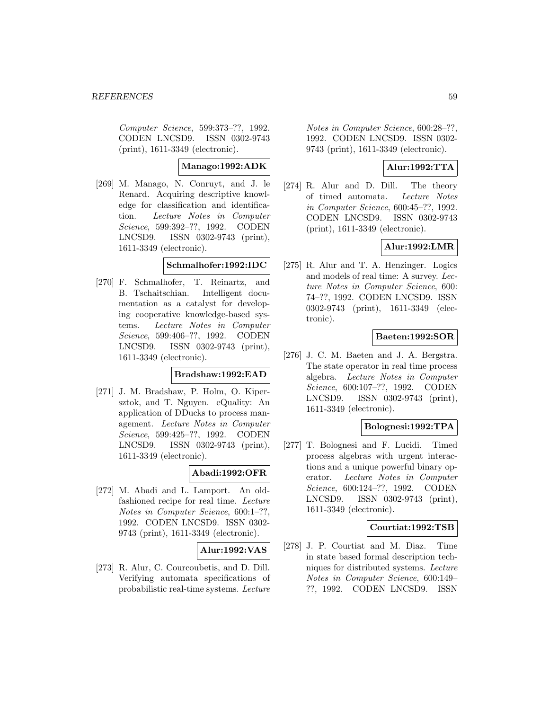Computer Science, 599:373–??, 1992. CODEN LNCSD9. ISSN 0302-9743 (print), 1611-3349 (electronic).

**Manago:1992:ADK**

[269] M. Manago, N. Conruyt, and J. le Renard. Acquiring descriptive knowledge for classification and identification. Lecture Notes in Computer Science, 599:392–??, 1992. CODEN LNCSD9. ISSN 0302-9743 (print), 1611-3349 (electronic).

# **Schmalhofer:1992:IDC**

[270] F. Schmalhofer, T. Reinartz, and B. Tschaitschian. Intelligent documentation as a catalyst for developing cooperative knowledge-based systems. Lecture Notes in Computer Science, 599:406–??, 1992. CODEN LNCSD9. ISSN 0302-9743 (print), 1611-3349 (electronic).

#### **Bradshaw:1992:EAD**

[271] J. M. Bradshaw, P. Holm, O. Kipersztok, and T. Nguyen. eQuality: An application of DDucks to process management. Lecture Notes in Computer Science, 599:425–??, 1992. CODEN LNCSD9. ISSN 0302-9743 (print), 1611-3349 (electronic).

# **Abadi:1992:OFR**

[272] M. Abadi and L. Lamport. An oldfashioned recipe for real time. Lecture Notes in Computer Science, 600:1–??, 1992. CODEN LNCSD9. ISSN 0302- 9743 (print), 1611-3349 (electronic).

## **Alur:1992:VAS**

[273] R. Alur, C. Courcoubetis, and D. Dill. Verifying automata specifications of probabilistic real-time systems. Lecture

Notes in Computer Science, 600:28–??, 1992. CODEN LNCSD9. ISSN 0302- 9743 (print), 1611-3349 (electronic).

## **Alur:1992:TTA**

[274] R. Alur and D. Dill. The theory of timed automata. Lecture Notes in Computer Science, 600:45–??, 1992. CODEN LNCSD9. ISSN 0302-9743 (print), 1611-3349 (electronic).

## **Alur:1992:LMR**

[275] R. Alur and T. A. Henzinger. Logics and models of real time: A survey. Lecture Notes in Computer Science, 600: 74–??, 1992. CODEN LNCSD9. ISSN 0302-9743 (print), 1611-3349 (electronic).

# **Baeten:1992:SOR**

[276] J. C. M. Baeten and J. A. Bergstra. The state operator in real time process algebra. Lecture Notes in Computer Science, 600:107–??, 1992. CODEN LNCSD9. ISSN 0302-9743 (print), 1611-3349 (electronic).

## **Bolognesi:1992:TPA**

[277] T. Bolognesi and F. Lucidi. Timed process algebras with urgent interactions and a unique powerful binary operator. Lecture Notes in Computer Science, 600:124–??, 1992. CODEN LNCSD9. ISSN 0302-9743 (print), 1611-3349 (electronic).

## **Courtiat:1992:TSB**

[278] J. P. Courtiat and M. Diaz. Time in state based formal description techniques for distributed systems. Lecture Notes in Computer Science, 600:149– ??, 1992. CODEN LNCSD9. ISSN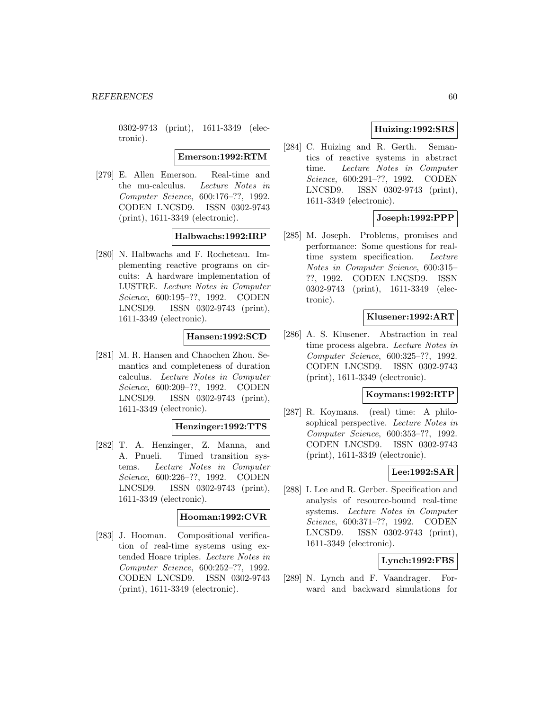0302-9743 (print), 1611-3349 (electronic).

**Emerson:1992:RTM**

[279] E. Allen Emerson. Real-time and the mu-calculus. Lecture Notes in Computer Science, 600:176–??, 1992. CODEN LNCSD9. ISSN 0302-9743 (print), 1611-3349 (electronic).

# **Halbwachs:1992:IRP**

[280] N. Halbwachs and F. Rocheteau. Implementing reactive programs on circuits: A hardware implementation of LUSTRE. Lecture Notes in Computer Science, 600:195–??, 1992. CODEN LNCSD9. ISSN 0302-9743 (print), 1611-3349 (electronic).

#### **Hansen:1992:SCD**

[281] M. R. Hansen and Chaochen Zhou. Semantics and completeness of duration calculus. Lecture Notes in Computer Science, 600:209–??, 1992. CODEN LNCSD9. ISSN 0302-9743 (print), 1611-3349 (electronic).

#### **Henzinger:1992:TTS**

[282] T. A. Henzinger, Z. Manna, and A. Pnueli. Timed transition systems. Lecture Notes in Computer Science, 600:226–??, 1992. CODEN LNCSD9. ISSN 0302-9743 (print), 1611-3349 (electronic).

# **Hooman:1992:CVR**

[283] J. Hooman. Compositional verification of real-time systems using extended Hoare triples. Lecture Notes in Computer Science, 600:252–??, 1992. CODEN LNCSD9. ISSN 0302-9743 (print), 1611-3349 (electronic).

# **Huizing:1992:SRS**

[284] C. Huizing and R. Gerth. Semantics of reactive systems in abstract time. Lecture Notes in Computer Science, 600:291–??, 1992. CODEN LNCSD9. ISSN 0302-9743 (print), 1611-3349 (electronic).

# **Joseph:1992:PPP**

[285] M. Joseph. Problems, promises and performance: Some questions for realtime system specification. Lecture Notes in Computer Science, 600:315– ??, 1992. CODEN LNCSD9. ISSN 0302-9743 (print), 1611-3349 (electronic).

#### **Klusener:1992:ART**

[286] A. S. Klusener. Abstraction in real time process algebra. Lecture Notes in Computer Science, 600:325–??, 1992. CODEN LNCSD9. ISSN 0302-9743 (print), 1611-3349 (electronic).

#### **Koymans:1992:RTP**

[287] R. Koymans. (real) time: A philosophical perspective. Lecture Notes in Computer Science, 600:353–??, 1992. CODEN LNCSD9. ISSN 0302-9743 (print), 1611-3349 (electronic).

## **Lee:1992:SAR**

[288] I. Lee and R. Gerber. Specification and analysis of resource-bound real-time systems. Lecture Notes in Computer Science, 600:371–??, 1992. CODEN LNCSD9. ISSN 0302-9743 (print), 1611-3349 (electronic).

# **Lynch:1992:FBS**

[289] N. Lynch and F. Vaandrager. Forward and backward simulations for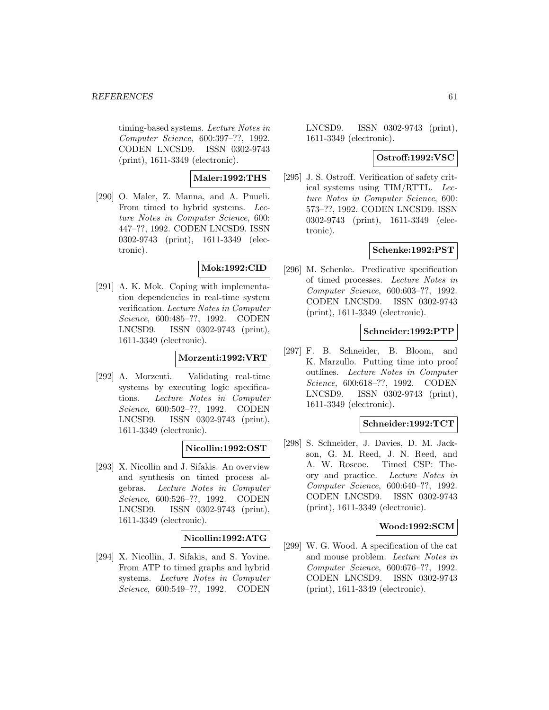timing-based systems. Lecture Notes in Computer Science, 600:397–??, 1992. CODEN LNCSD9. ISSN 0302-9743 (print), 1611-3349 (electronic).

# **Maler:1992:THS**

[290] O. Maler, Z. Manna, and A. Pnueli. From timed to hybrid systems. Lecture Notes in Computer Science, 600: 447–??, 1992. CODEN LNCSD9. ISSN 0302-9743 (print), 1611-3349 (electronic).

## **Mok:1992:CID**

[291] A. K. Mok. Coping with implementation dependencies in real-time system verification. Lecture Notes in Computer Science, 600:485–??, 1992. CODEN LNCSD9. ISSN 0302-9743 (print), 1611-3349 (electronic).

## **Morzenti:1992:VRT**

[292] A. Morzenti. Validating real-time systems by executing logic specifications. Lecture Notes in Computer Science, 600:502–??, 1992. CODEN LNCSD9. ISSN 0302-9743 (print), 1611-3349 (electronic).

# **Nicollin:1992:OST**

[293] X. Nicollin and J. Sifakis. An overview and synthesis on timed process algebras. Lecture Notes in Computer Science, 600:526–??, 1992. CODEN LNCSD9. ISSN 0302-9743 (print), 1611-3349 (electronic).

## **Nicollin:1992:ATG**

[294] X. Nicollin, J. Sifakis, and S. Yovine. From ATP to timed graphs and hybrid systems. Lecture Notes in Computer Science, 600:549–??, 1992. CODEN

LNCSD9. ISSN 0302-9743 (print), 1611-3349 (electronic).

## **Ostroff:1992:VSC**

[295] J. S. Ostroff. Verification of safety critical systems using TIM/RTTL. Lecture Notes in Computer Science, 600: 573–??, 1992. CODEN LNCSD9. ISSN 0302-9743 (print), 1611-3349 (electronic).

# **Schenke:1992:PST**

[296] M. Schenke. Predicative specification of timed processes. Lecture Notes in Computer Science, 600:603–??, 1992. CODEN LNCSD9. ISSN 0302-9743 (print), 1611-3349 (electronic).

#### **Schneider:1992:PTP**

[297] F. B. Schneider, B. Bloom, and K. Marzullo. Putting time into proof outlines. Lecture Notes in Computer Science, 600:618–??, 1992. CODEN LNCSD9. ISSN 0302-9743 (print), 1611-3349 (electronic).

## **Schneider:1992:TCT**

[298] S. Schneider, J. Davies, D. M. Jackson, G. M. Reed, J. N. Reed, and A. W. Roscoe. Timed CSP: Theory and practice. Lecture Notes in Computer Science, 600:640–??, 1992. CODEN LNCSD9. ISSN 0302-9743 (print), 1611-3349 (electronic).

#### **Wood:1992:SCM**

[299] W. G. Wood. A specification of the cat and mouse problem. Lecture Notes in Computer Science, 600:676–??, 1992. CODEN LNCSD9. ISSN 0302-9743 (print), 1611-3349 (electronic).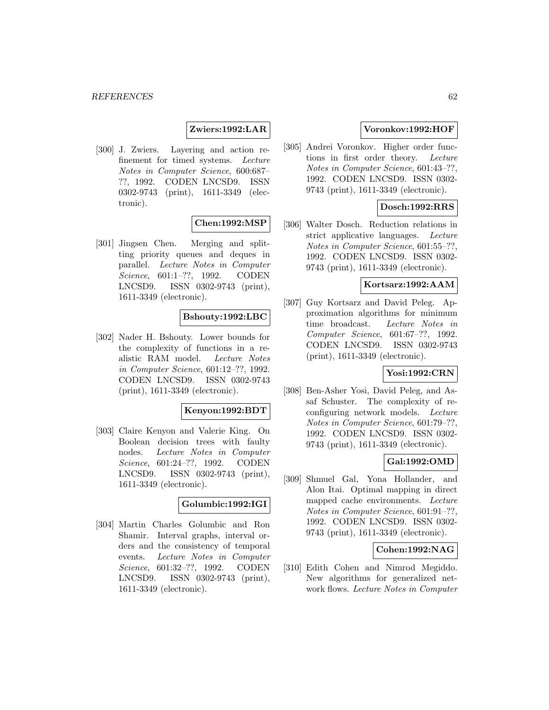## **Zwiers:1992:LAR**

[300] J. Zwiers. Layering and action refinement for timed systems. Lecture Notes in Computer Science, 600:687– ??, 1992. CODEN LNCSD9. ISSN 0302-9743 (print), 1611-3349 (electronic).

## **Chen:1992:MSP**

[301] Jingsen Chen. Merging and splitting priority queues and deques in parallel. Lecture Notes in Computer Science, 601:1–??, 1992. CODEN LNCSD9. ISSN 0302-9743 (print), 1611-3349 (electronic).

#### **Bshouty:1992:LBC**

[302] Nader H. Bshouty. Lower bounds for the complexity of functions in a realistic RAM model. Lecture Notes in Computer Science, 601:12–??, 1992. CODEN LNCSD9. ISSN 0302-9743 (print), 1611-3349 (electronic).

#### **Kenyon:1992:BDT**

[303] Claire Kenyon and Valerie King. On Boolean decision trees with faulty nodes. Lecture Notes in Computer Science, 601:24–??, 1992. CODEN LNCSD9. ISSN 0302-9743 (print), 1611-3349 (electronic).

#### **Golumbic:1992:IGI**

[304] Martin Charles Golumbic and Ron Shamir. Interval graphs, interval orders and the consistency of temporal events. Lecture Notes in Computer Science, 601:32–??, 1992. CODEN LNCSD9. ISSN 0302-9743 (print), 1611-3349 (electronic).

## **Voronkov:1992:HOF**

[305] Andrei Voronkov. Higher order functions in first order theory. Lecture Notes in Computer Science, 601:43–??, 1992. CODEN LNCSD9. ISSN 0302- 9743 (print), 1611-3349 (electronic).

## **Dosch:1992:RRS**

[306] Walter Dosch. Reduction relations in strict applicative languages. Lecture Notes in Computer Science, 601:55–??, 1992. CODEN LNCSD9. ISSN 0302- 9743 (print), 1611-3349 (electronic).

### **Kortsarz:1992:AAM**

[307] Guy Kortsarz and David Peleg. Approximation algorithms for minimum time broadcast. Lecture Notes in Computer Science, 601:67–??, 1992. CODEN LNCSD9. ISSN 0302-9743 (print), 1611-3349 (electronic).

#### **Yosi:1992:CRN**

[308] Ben-Asher Yosi, David Peleg, and Assaf Schuster. The complexity of reconfiguring network models. Lecture Notes in Computer Science, 601:79–??, 1992. CODEN LNCSD9. ISSN 0302- 9743 (print), 1611-3349 (electronic).

## **Gal:1992:OMD**

[309] Shmuel Gal, Yona Hollander, and Alon Itai. Optimal mapping in direct mapped cache environments. Lecture Notes in Computer Science, 601:91–??, 1992. CODEN LNCSD9. ISSN 0302- 9743 (print), 1611-3349 (electronic).

# **Cohen:1992:NAG**

[310] Edith Cohen and Nimrod Megiddo. New algorithms for generalized network flows. Lecture Notes in Computer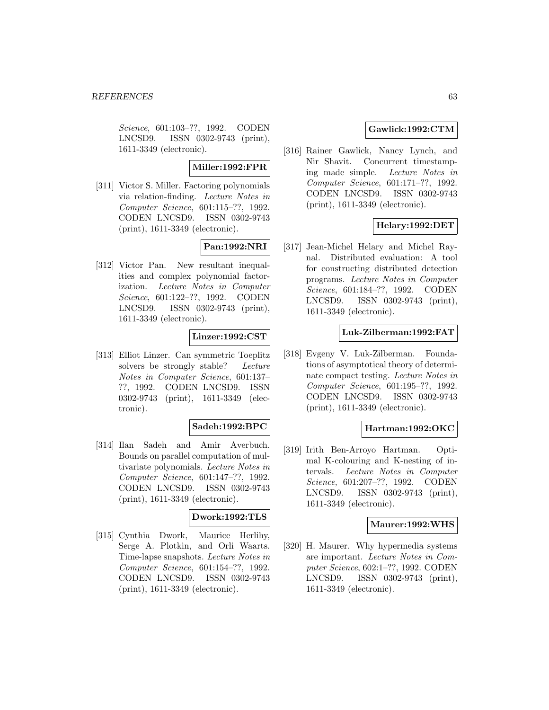Science, 601:103–??, 1992. CODEN LNCSD9. ISSN 0302-9743 (print), 1611-3349 (electronic).

## **Miller:1992:FPR**

[311] Victor S. Miller. Factoring polynomials via relation-finding. Lecture Notes in Computer Science, 601:115–??, 1992. CODEN LNCSD9. ISSN 0302-9743 (print), 1611-3349 (electronic).

# **Pan:1992:NRI**

[312] Victor Pan. New resultant inequalities and complex polynomial factorization. Lecture Notes in Computer Science, 601:122–??, 1992. CODEN LNCSD9. ISSN 0302-9743 (print), 1611-3349 (electronic).

# **Linzer:1992:CST**

[313] Elliot Linzer. Can symmetric Toeplitz solvers be strongly stable? Lecture Notes in Computer Science, 601:137– ??, 1992. CODEN LNCSD9. ISSN 0302-9743 (print), 1611-3349 (electronic).

## **Sadeh:1992:BPC**

[314] Ilan Sadeh and Amir Averbuch. Bounds on parallel computation of multivariate polynomials. Lecture Notes in Computer Science, 601:147–??, 1992. CODEN LNCSD9. ISSN 0302-9743 (print), 1611-3349 (electronic).

# **Dwork:1992:TLS**

[315] Cynthia Dwork, Maurice Herlihy, Serge A. Plotkin, and Orli Waarts. Time-lapse snapshots. Lecture Notes in Computer Science, 601:154–??, 1992. CODEN LNCSD9. ISSN 0302-9743 (print), 1611-3349 (electronic).

## **Gawlick:1992:CTM**

[316] Rainer Gawlick, Nancy Lynch, and Nir Shavit. Concurrent timestamping made simple. Lecture Notes in Computer Science, 601:171–??, 1992. CODEN LNCSD9. ISSN 0302-9743 (print), 1611-3349 (electronic).

# **Helary:1992:DET**

[317] Jean-Michel Helary and Michel Raynal. Distributed evaluation: A tool for constructing distributed detection programs. Lecture Notes in Computer Science, 601:184–??, 1992. CODEN LNCSD9. ISSN 0302-9743 (print), 1611-3349 (electronic).

## **Luk-Zilberman:1992:FAT**

[318] Evgeny V. Luk-Zilberman. Foundations of asymptotical theory of determinate compact testing. Lecture Notes in Computer Science, 601:195–??, 1992. CODEN LNCSD9. ISSN 0302-9743 (print), 1611-3349 (electronic).

## **Hartman:1992:OKC**

[319] Irith Ben-Arroyo Hartman. Optimal K-colouring and K-nesting of intervals. Lecture Notes in Computer Science, 601:207–??, 1992. CODEN LNCSD9. ISSN 0302-9743 (print), 1611-3349 (electronic).

#### **Maurer:1992:WHS**

[320] H. Maurer. Why hypermedia systems are important. Lecture Notes in Computer Science, 602:1–??, 1992. CODEN LNCSD9. ISSN 0302-9743 (print), 1611-3349 (electronic).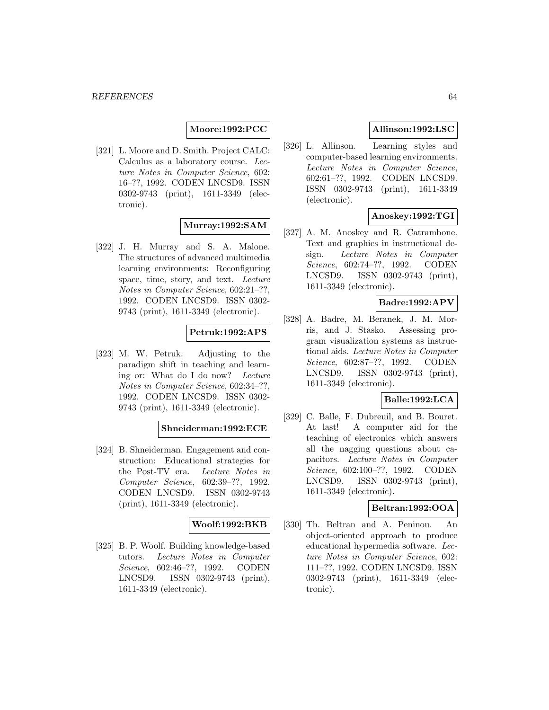## **Moore:1992:PCC**

[321] L. Moore and D. Smith. Project CALC: Calculus as a laboratory course. Lecture Notes in Computer Science, 602: 16–??, 1992. CODEN LNCSD9. ISSN 0302-9743 (print), 1611-3349 (electronic).

# **Murray:1992:SAM**

[322] J. H. Murray and S. A. Malone. The structures of advanced multimedia learning environments: Reconfiguring space, time, story, and text. Lecture Notes in Computer Science, 602:21–??, 1992. CODEN LNCSD9. ISSN 0302- 9743 (print), 1611-3349 (electronic).

## **Petruk:1992:APS**

[323] M. W. Petruk. Adjusting to the paradigm shift in teaching and learning or: What do I do now? Lecture Notes in Computer Science, 602:34–??, 1992. CODEN LNCSD9. ISSN 0302- 9743 (print), 1611-3349 (electronic).

## **Shneiderman:1992:ECE**

[324] B. Shneiderman. Engagement and construction: Educational strategies for the Post-TV era. Lecture Notes in Computer Science, 602:39–??, 1992. CODEN LNCSD9. ISSN 0302-9743 (print), 1611-3349 (electronic).

#### **Woolf:1992:BKB**

[325] B. P. Woolf. Building knowledge-based tutors. Lecture Notes in Computer Science, 602:46–??, 1992. CODEN LNCSD9. ISSN 0302-9743 (print), 1611-3349 (electronic).

# **Allinson:1992:LSC**

[326] L. Allinson. Learning styles and computer-based learning environments. Lecture Notes in Computer Science, 602:61–??, 1992. CODEN LNCSD9. ISSN 0302-9743 (print), 1611-3349 (electronic).

# **Anoskey:1992:TGI**

[327] A. M. Anoskey and R. Catrambone. Text and graphics in instructional design. Lecture Notes in Computer Science, 602:74–??, 1992. CODEN LNCSD9. ISSN 0302-9743 (print), 1611-3349 (electronic).

#### **Badre:1992:APV**

[328] A. Badre, M. Beranek, J. M. Morris, and J. Stasko. Assessing program visualization systems as instructional aids. Lecture Notes in Computer Science, 602:87–??, 1992. CODEN LNCSD9. ISSN 0302-9743 (print), 1611-3349 (electronic).

# **Balle:1992:LCA**

[329] C. Balle, F. Dubreuil, and B. Bouret. At last! A computer aid for the teaching of electronics which answers all the nagging questions about capacitors. Lecture Notes in Computer Science, 602:100–??, 1992. CODEN LNCSD9. ISSN 0302-9743 (print), 1611-3349 (electronic).

## **Beltran:1992:OOA**

[330] Th. Beltran and A. Peninou. An object-oriented approach to produce educational hypermedia software. Lecture Notes in Computer Science, 602: 111–??, 1992. CODEN LNCSD9. ISSN 0302-9743 (print), 1611-3349 (electronic).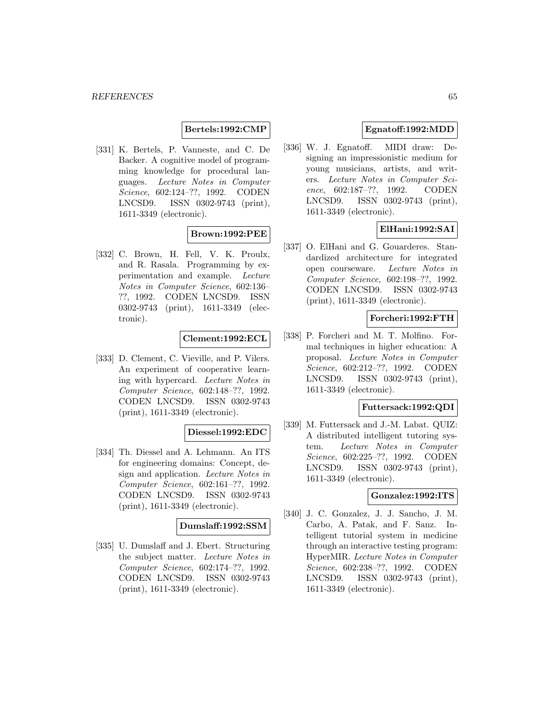#### **Bertels:1992:CMP**

[331] K. Bertels, P. Vanneste, and C. De Backer. A cognitive model of programming knowledge for procedural languages. Lecture Notes in Computer Science, 602:124–??, 1992. CODEN LNCSD9. ISSN 0302-9743 (print), 1611-3349 (electronic).

#### **Brown:1992:PEE**

[332] C. Brown, H. Fell, V. K. Proulx, and R. Rasala. Programming by experimentation and example. Lecture Notes in Computer Science, 602:136– ??, 1992. CODEN LNCSD9. ISSN 0302-9743 (print), 1611-3349 (electronic).

#### **Clement:1992:ECL**

[333] D. Clement, C. Vieville, and P. Vilers. An experiment of cooperative learning with hypercard. Lecture Notes in Computer Science, 602:148–??, 1992. CODEN LNCSD9. ISSN 0302-9743 (print), 1611-3349 (electronic).

## **Diessel:1992:EDC**

[334] Th. Diessel and A. Lehmann. An ITS for engineering domains: Concept, design and application. Lecture Notes in Computer Science, 602:161–??, 1992. CODEN LNCSD9. ISSN 0302-9743 (print), 1611-3349 (electronic).

#### **Dumslaff:1992:SSM**

[335] U. Dumslaff and J. Ebert. Structuring the subject matter. Lecture Notes in Computer Science, 602:174–??, 1992. CODEN LNCSD9. ISSN 0302-9743 (print), 1611-3349 (electronic).

# **Egnatoff:1992:MDD**

[336] W. J. Egnatoff. MIDI draw: Designing an impressionistic medium for young musicians, artists, and writers. Lecture Notes in Computer Science, 602:187–??, 1992. CODEN LNCSD9. ISSN 0302-9743 (print), 1611-3349 (electronic).

# **ElHani:1992:SAI**

[337] O. ElHani and G. Gouarderes. Standardized architecture for integrated open courseware. Lecture Notes in Computer Science, 602:198–??, 1992. CODEN LNCSD9. ISSN 0302-9743 (print), 1611-3349 (electronic).

#### **Forcheri:1992:FTH**

[338] P. Forcheri and M. T. Molfino. Formal techniques in higher education: A proposal. Lecture Notes in Computer Science, 602:212–??, 1992. CODEN LNCSD9. ISSN 0302-9743 (print), 1611-3349 (electronic).

#### **Futtersack:1992:QDI**

[339] M. Futtersack and J.-M. Labat. QUIZ: A distributed intelligent tutoring system. Lecture Notes in Computer Science, 602:225–??, 1992. CODEN LNCSD9. ISSN 0302-9743 (print), 1611-3349 (electronic).

## **Gonzalez:1992:ITS**

[340] J. C. Gonzalez, J. J. Sancho, J. M. Carbo, A. Patak, and F. Sanz. Intelligent tutorial system in medicine through an interactive testing program: HyperMIR. Lecture Notes in Computer Science, 602:238–??, 1992. CODEN LNCSD9. ISSN 0302-9743 (print), 1611-3349 (electronic).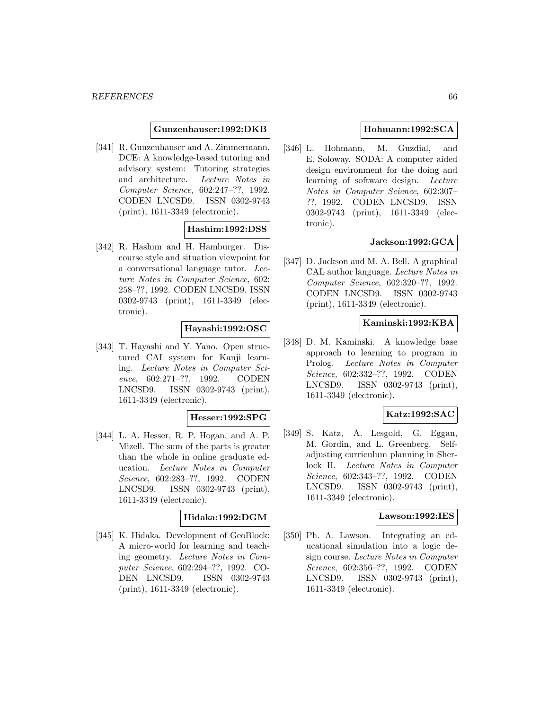#### **Gunzenhauser:1992:DKB**

[341] R. Gunzenhauser and A. Zimmermann. DCE: A knowledge-based tutoring and advisory system: Tutoring strategies and architecture. Lecture Notes in Computer Science, 602:247–??, 1992. CODEN LNCSD9. ISSN 0302-9743 (print), 1611-3349 (electronic).

# **Hashim:1992:DSS**

[342] R. Hashim and H. Hamburger. Discourse style and situation viewpoint for a conversational language tutor. Lecture Notes in Computer Science, 602: 258–??, 1992. CODEN LNCSD9. ISSN 0302-9743 (print), 1611-3349 (electronic).

# **Hayashi:1992:OSC**

[343] T. Hayashi and Y. Yano. Open structured CAI system for Kanji learning. Lecture Notes in Computer Science, 602:271–??, 1992. CODEN LNCSD9. ISSN 0302-9743 (print), 1611-3349 (electronic).

## **Hesser:1992:SPG**

[344] L. A. Hesser, R. P. Hogan, and A. P. Mizell. The sum of the parts is greater than the whole in online graduate education. Lecture Notes in Computer Science, 602:283–??, 1992. CODEN LNCSD9. ISSN 0302-9743 (print), 1611-3349 (electronic).

# **Hidaka:1992:DGM**

[345] K. Hidaka. Development of GeoBlock: A micro-world for learning and teaching geometry. Lecture Notes in Computer Science, 602:294–??, 1992. CO-DEN LNCSD9. ISSN 0302-9743 (print), 1611-3349 (electronic).

## **Hohmann:1992:SCA**

[346] L. Hohmann, M. Guzdial, and E. Soloway. SODA: A computer aided design environment for the doing and learning of software design. Lecture Notes in Computer Science, 602:307– ??, 1992. CODEN LNCSD9. ISSN 0302-9743 (print), 1611-3349 (electronic).

## **Jackson:1992:GCA**

[347] D. Jackson and M. A. Bell. A graphical CAL author language. Lecture Notes in Computer Science, 602:320–??, 1992. CODEN LNCSD9. ISSN 0302-9743 (print), 1611-3349 (electronic).

### **Kaminski:1992:KBA**

[348] D. M. Kaminski. A knowledge base approach to learning to program in Prolog. Lecture Notes in Computer Science, 602:332–??, 1992. CODEN LNCSD9. ISSN 0302-9743 (print), 1611-3349 (electronic).

# **Katz:1992:SAC**

[349] S. Katz, A. Lesgold, G. Eggan, M. Gordin, and L. Greenberg. Selfadjusting curriculum planning in Sherlock II. Lecture Notes in Computer Science, 602:343–??, 1992. CODEN LNCSD9. ISSN 0302-9743 (print), 1611-3349 (electronic).

#### **Lawson:1992:IES**

[350] Ph. A. Lawson. Integrating an educational simulation into a logic design course. Lecture Notes in Computer Science, 602:356–??, 1992. CODEN LNCSD9. ISSN 0302-9743 (print), 1611-3349 (electronic).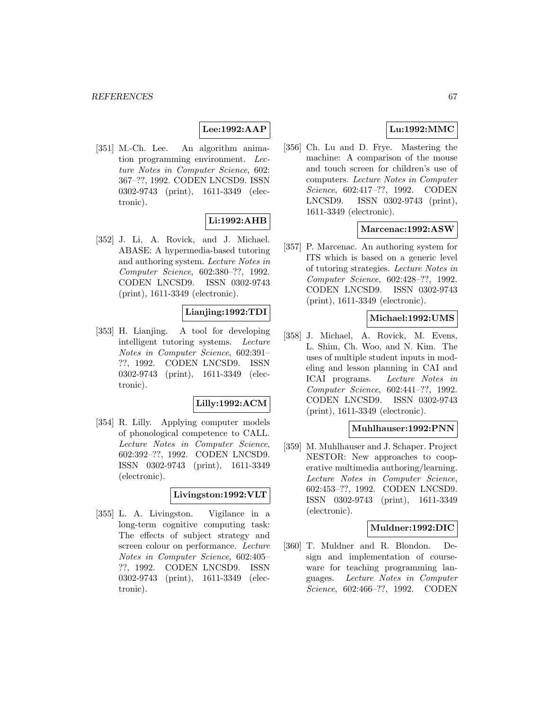# **Lee:1992:AAP**

[351] M.-Ch. Lee. An algorithm animation programming environment. Lecture Notes in Computer Science, 602: 367–??, 1992. CODEN LNCSD9. ISSN 0302-9743 (print), 1611-3349 (electronic).

# **Li:1992:AHB**

[352] J. Li, A. Rovick, and J. Michael. ABASE: A hypermedia-based tutoring and authoring system. Lecture Notes in Computer Science, 602:380–??, 1992. CODEN LNCSD9. ISSN 0302-9743 (print), 1611-3349 (electronic).

# **Lianjing:1992:TDI**

[353] H. Lianjing. A tool for developing intelligent tutoring systems. Lecture Notes in Computer Science, 602:391– ??, 1992. CODEN LNCSD9. ISSN 0302-9743 (print), 1611-3349 (electronic).

#### **Lilly:1992:ACM**

[354] R. Lilly. Applying computer models of phonological competence to CALL. Lecture Notes in Computer Science, 602:392–??, 1992. CODEN LNCSD9. ISSN 0302-9743 (print), 1611-3349 (electronic).

## **Livingston:1992:VLT**

[355] L. A. Livingston. Vigilance in a long-term cognitive computing task: The effects of subject strategy and screen colour on performance. Lecture Notes in Computer Science, 602:405– ??, 1992. CODEN LNCSD9. ISSN 0302-9743 (print), 1611-3349 (electronic).

# **Lu:1992:MMC**

[356] Ch. Lu and D. Frye. Mastering the machine: A comparison of the mouse and touch screen for children's use of computers. Lecture Notes in Computer Science, 602:417–??, 1992. CODEN LNCSD9. ISSN 0302-9743 (print), 1611-3349 (electronic).

#### **Marcenac:1992:ASW**

[357] P. Marcenac. An authoring system for ITS which is based on a generic level of tutoring strategies. Lecture Notes in Computer Science, 602:428–??, 1992. CODEN LNCSD9. ISSN 0302-9743 (print), 1611-3349 (electronic).

#### **Michael:1992:UMS**

[358] J. Michael, A. Rovick, M. Evens, L. Shim, Ch. Woo, and N. Kim. The uses of multiple student inputs in modeling and lesson planning in CAI and ICAI programs. Lecture Notes in Computer Science, 602:441–??, 1992. CODEN LNCSD9. ISSN 0302-9743 (print), 1611-3349 (electronic).

# **Muhlhauser:1992:PNN**

[359] M. Muhlhauser and J. Schaper. Project NESTOR: New approaches to cooperative multimedia authoring/learning. Lecture Notes in Computer Science, 602:453–??, 1992. CODEN LNCSD9. ISSN 0302-9743 (print), 1611-3349 (electronic).

## **Muldner:1992:DIC**

[360] T. Muldner and R. Blondon. Design and implementation of courseware for teaching programming languages. Lecture Notes in Computer Science, 602:466–??, 1992. CODEN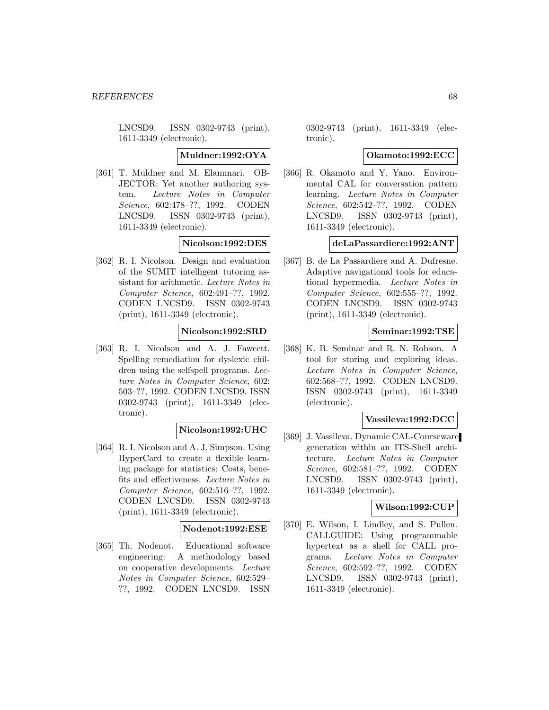LNCSD9. ISSN 0302-9743 (print), 1611-3349 (electronic).

#### **Muldner:1992:OYA**

[361] T. Muldner and M. Elammari. OB-JECTOR: Yet another authoring system. Lecture Notes in Computer Science, 602:478–??, 1992. CODEN LNCSD9. ISSN 0302-9743 (print), 1611-3349 (electronic).

#### **Nicolson:1992:DES**

[362] R. I. Nicolson. Design and evaluation of the SUMIT intelligent tutoring assistant for arithmetic. Lecture Notes in Computer Science, 602:491–??, 1992. CODEN LNCSD9. ISSN 0302-9743 (print), 1611-3349 (electronic).

## **Nicolson:1992:SRD**

[363] R. I. Nicolson and A. J. Fawcett. Spelling remediation for dyslexic children using the selfspell programs. Lecture Notes in Computer Science, 602: 503–??, 1992. CODEN LNCSD9. ISSN 0302-9743 (print), 1611-3349 (electronic).

## **Nicolson:1992:UHC**

[364] R. I. Nicolson and A. J. Simpson. Using HyperCard to create a flexible learning package for statistics: Costs, benefits and effectiveness. Lecture Notes in Computer Science, 602:516–??, 1992. CODEN LNCSD9. ISSN 0302-9743 (print), 1611-3349 (electronic).

#### **Nodenot:1992:ESE**

[365] Th. Nodenot. Educational software engineering: A methodology based on cooperative developments. Lecture Notes in Computer Science, 602:529– ??, 1992. CODEN LNCSD9. ISSN

0302-9743 (print), 1611-3349 (electronic).

#### **Okamoto:1992:ECC**

[366] R. Okamoto and Y. Yano. Environmental CAL for conversation pattern learning. Lecture Notes in Computer Science, 602:542–??, 1992. CODEN LNCSD9. ISSN 0302-9743 (print), 1611-3349 (electronic).

#### **deLaPassardiere:1992:ANT**

[367] B. de La Passardiere and A. Dufresne. Adaptive navigational tools for educational hypermedia. Lecture Notes in Computer Science, 602:555–??, 1992. CODEN LNCSD9. ISSN 0302-9743 (print), 1611-3349 (electronic).

## **Seminar:1992:TSE**

[368] K. B. Seminar and R. N. Robson. A tool for storing and exploring ideas. Lecture Notes in Computer Science, 602:568–??, 1992. CODEN LNCSD9. ISSN 0302-9743 (print), 1611-3349 (electronic).

#### **Vassileva:1992:DCC**

[369] J. Vassileva. Dynamic CAL-Courseware generation within an ITS-Shell architecture. Lecture Notes in Computer Science, 602:581–??, 1992. CODEN LNCSD9. ISSN 0302-9743 (print), 1611-3349 (electronic).

# **Wilson:1992:CUP**

[370] E. Wilson, I. Lindley, and S. Pullen. CALLGUIDE: Using programmable hypertext as a shell for CALL programs. Lecture Notes in Computer Science, 602:592–??, 1992. CODEN LNCSD9. ISSN 0302-9743 (print), 1611-3349 (electronic).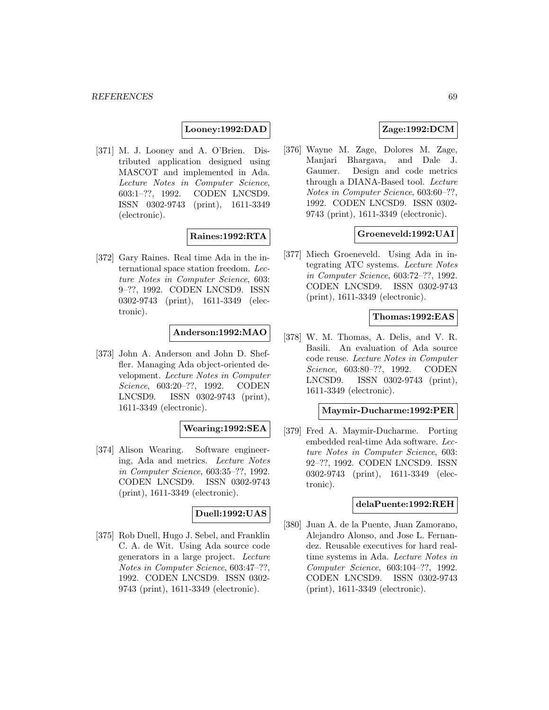## **Looney:1992:DAD**

[371] M. J. Looney and A. O'Brien. Distributed application designed using MASCOT and implemented in Ada. Lecture Notes in Computer Science, 603:1–??, 1992. CODEN LNCSD9. ISSN 0302-9743 (print), 1611-3349 (electronic).

# **Raines:1992:RTA**

[372] Gary Raines. Real time Ada in the international space station freedom. Lecture Notes in Computer Science, 603: 9–??, 1992. CODEN LNCSD9. ISSN 0302-9743 (print), 1611-3349 (electronic).

## **Anderson:1992:MAO**

[373] John A. Anderson and John D. Sheffler. Managing Ada object-oriented development. Lecture Notes in Computer Science, 603:20–??, 1992. CODEN LNCSD9. ISSN 0302-9743 (print), 1611-3349 (electronic).

## **Wearing:1992:SEA**

[374] Alison Wearing. Software engineering, Ada and metrics. Lecture Notes in Computer Science, 603:35–??, 1992. CODEN LNCSD9. ISSN 0302-9743 (print), 1611-3349 (electronic).

# **Duell:1992:UAS**

[375] Rob Duell, Hugo J. Sebel, and Franklin C. A. de Wit. Using Ada source code generators in a large project. Lecture Notes in Computer Science, 603:47–??, 1992. CODEN LNCSD9. ISSN 0302- 9743 (print), 1611-3349 (electronic).

# **Zage:1992:DCM**

[376] Wayne M. Zage, Dolores M. Zage, Manjari Bhargava, and Dale J. Gaumer. Design and code metrics through a DIANA-Based tool. Lecture Notes in Computer Science, 603:60–??, 1992. CODEN LNCSD9. ISSN 0302- 9743 (print), 1611-3349 (electronic).

## **Groeneveld:1992:UAI**

[377] Miech Groeneveld. Using Ada in integrating ATC systems. Lecture Notes in Computer Science, 603:72–??, 1992. CODEN LNCSD9. ISSN 0302-9743 (print), 1611-3349 (electronic).

#### **Thomas:1992:EAS**

[378] W. M. Thomas, A. Delis, and V. R. Basili. An evaluation of Ada source code reuse. Lecture Notes in Computer Science, 603:80–??, 1992. CODEN LNCSD9. ISSN 0302-9743 (print), 1611-3349 (electronic).

#### **Maymir-Ducharme:1992:PER**

[379] Fred A. Maymir-Ducharme. Porting embedded real-time Ada software. Lecture Notes in Computer Science, 603: 92–??, 1992. CODEN LNCSD9. ISSN 0302-9743 (print), 1611-3349 (electronic).

## **delaPuente:1992:REH**

[380] Juan A. de la Puente, Juan Zamorano, Alejandro Alonso, and Jose L. Fernandez. Reusable executives for hard realtime systems in Ada. Lecture Notes in Computer Science, 603:104–??, 1992. CODEN LNCSD9. ISSN 0302-9743 (print), 1611-3349 (electronic).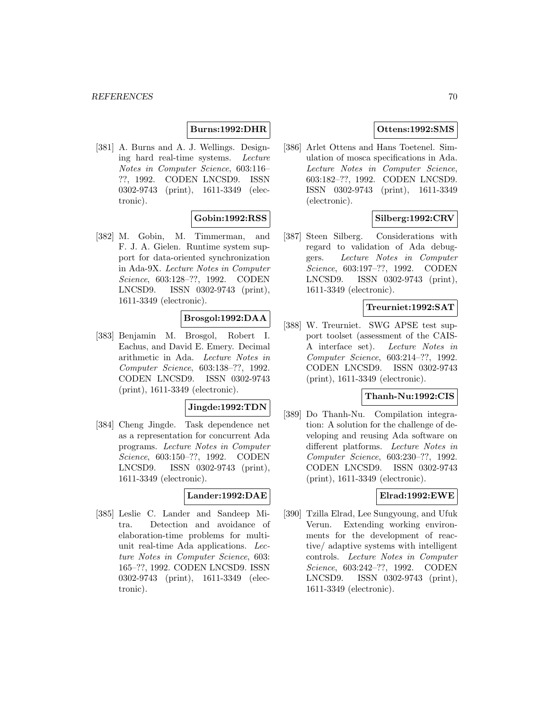## **Burns:1992:DHR**

[381] A. Burns and A. J. Wellings. Designing hard real-time systems. Lecture Notes in Computer Science, 603:116– ??, 1992. CODEN LNCSD9. ISSN 0302-9743 (print), 1611-3349 (electronic).

## **Gobin:1992:RSS**

[382] M. Gobin, M. Timmerman, and F. J. A. Gielen. Runtime system support for data-oriented synchronization in Ada-9X. Lecture Notes in Computer Science, 603:128–??, 1992. CODEN LNCSD9. ISSN 0302-9743 (print), 1611-3349 (electronic).

# **Brosgol:1992:DAA**

[383] Benjamin M. Brosgol, Robert I. Eachus, and David E. Emery. Decimal arithmetic in Ada. Lecture Notes in Computer Science, 603:138–??, 1992. CODEN LNCSD9. ISSN 0302-9743 (print), 1611-3349 (electronic).

## **Jingde:1992:TDN**

[384] Cheng Jingde. Task dependence net as a representation for concurrent Ada programs. Lecture Notes in Computer Science, 603:150–??, 1992. CODEN LNCSD9. ISSN 0302-9743 (print), 1611-3349 (electronic).

# **Lander:1992:DAE**

[385] Leslie C. Lander and Sandeep Mitra. Detection and avoidance of elaboration-time problems for multiunit real-time Ada applications. Lecture Notes in Computer Science, 603: 165–??, 1992. CODEN LNCSD9. ISSN 0302-9743 (print), 1611-3349 (electronic).

# **Ottens:1992:SMS**

[386] Arlet Ottens and Hans Toetenel. Simulation of mosca specifications in Ada. Lecture Notes in Computer Science, 603:182–??, 1992. CODEN LNCSD9. ISSN 0302-9743 (print), 1611-3349 (electronic).

# **Silberg:1992:CRV**

[387] Steen Silberg. Considerations with regard to validation of Ada debuggers. Lecture Notes in Computer Science, 603:197–??, 1992. CODEN LNCSD9. ISSN 0302-9743 (print), 1611-3349 (electronic).

## **Treurniet:1992:SAT**

[388] W. Treurniet. SWG APSE test support toolset (assessment of the CAIS-A interface set). Lecture Notes in Computer Science, 603:214–??, 1992. CODEN LNCSD9. ISSN 0302-9743 (print), 1611-3349 (electronic).

#### **Thanh-Nu:1992:CIS**

[389] Do Thanh-Nu. Compilation integration: A solution for the challenge of developing and reusing Ada software on different platforms. Lecture Notes in Computer Science, 603:230–??, 1992. CODEN LNCSD9. ISSN 0302-9743 (print), 1611-3349 (electronic).

#### **Elrad:1992:EWE**

[390] Tzilla Elrad, Lee Sungyoung, and Ufuk Verun. Extending working environments for the development of reactive/ adaptive systems with intelligent controls. Lecture Notes in Computer Science, 603:242–??, 1992. CODEN LNCSD9. ISSN 0302-9743 (print), 1611-3349 (electronic).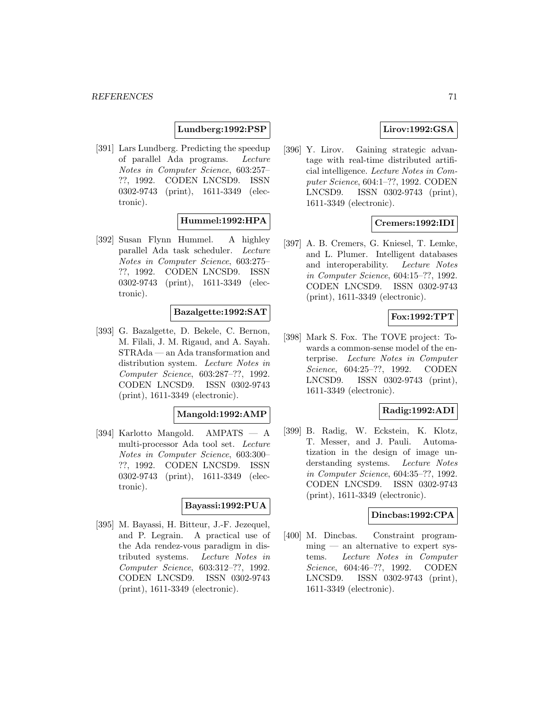## **Lundberg:1992:PSP**

[391] Lars Lundberg. Predicting the speedup of parallel Ada programs. Lecture Notes in Computer Science, 603:257– ??, 1992. CODEN LNCSD9. ISSN 0302-9743 (print), 1611-3349 (electronic).

# **Hummel:1992:HPA**

[392] Susan Flynn Hummel. A highley parallel Ada task scheduler. Lecture Notes in Computer Science, 603:275– ??, 1992. CODEN LNCSD9. ISSN 0302-9743 (print), 1611-3349 (electronic).

# **Bazalgette:1992:SAT**

[393] G. Bazalgette, D. Bekele, C. Bernon, M. Filali, J. M. Rigaud, and A. Sayah. STRAda — an Ada transformation and distribution system. Lecture Notes in Computer Science, 603:287–??, 1992. CODEN LNCSD9. ISSN 0302-9743 (print), 1611-3349 (electronic).

#### **Mangold:1992:AMP**

[394] Karlotto Mangold. AMPATS — A multi-processor Ada tool set. Lecture Notes in Computer Science, 603:300– ??, 1992. CODEN LNCSD9. ISSN 0302-9743 (print), 1611-3349 (electronic).

#### **Bayassi:1992:PUA**

[395] M. Bayassi, H. Bitteur, J.-F. Jezequel, and P. Legrain. A practical use of the Ada rendez-vous paradigm in distributed systems. Lecture Notes in Computer Science, 603:312–??, 1992. CODEN LNCSD9. ISSN 0302-9743 (print), 1611-3349 (electronic).

# **Lirov:1992:GSA**

[396] Y. Lirov. Gaining strategic advantage with real-time distributed artificial intelligence. Lecture Notes in Computer Science, 604:1–??, 1992. CODEN LNCSD9. ISSN 0302-9743 (print), 1611-3349 (electronic).

## **Cremers:1992:IDI**

[397] A. B. Cremers, G. Kniesel, T. Lemke, and L. Plumer. Intelligent databases and interoperability. Lecture Notes in Computer Science, 604:15–??, 1992. CODEN LNCSD9. ISSN 0302-9743 (print), 1611-3349 (electronic).

## **Fox:1992:TPT**

[398] Mark S. Fox. The TOVE project: Towards a common-sense model of the enterprise. Lecture Notes in Computer Science, 604:25–??, 1992. CODEN LNCSD9. ISSN 0302-9743 (print), 1611-3349 (electronic).

## **Radig:1992:ADI**

[399] B. Radig, W. Eckstein, K. Klotz, T. Messer, and J. Pauli. Automatization in the design of image understanding systems. Lecture Notes in Computer Science, 604:35–??, 1992. CODEN LNCSD9. ISSN 0302-9743 (print), 1611-3349 (electronic).

#### **Dincbas:1992:CPA**

[400] M. Dincbas. Constraint program- $\min$ g — an alternative to expert systems. Lecture Notes in Computer Science, 604:46–??, 1992. CODEN LNCSD9. ISSN 0302-9743 (print), 1611-3349 (electronic).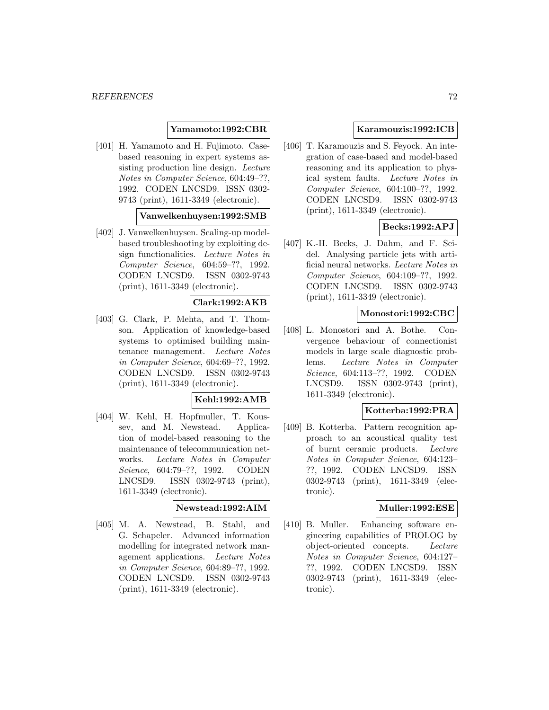# **Yamamoto:1992:CBR**

[401] H. Yamamoto and H. Fujimoto. Casebased reasoning in expert systems assisting production line design. Lecture Notes in Computer Science, 604:49–??, 1992. CODEN LNCSD9. ISSN 0302- 9743 (print), 1611-3349 (electronic).

#### **Vanwelkenhuysen:1992:SMB**

[402] J. Vanwelkenhuysen. Scaling-up modelbased troubleshooting by exploiting design functionalities. Lecture Notes in Computer Science, 604:59–??, 1992. CODEN LNCSD9. ISSN 0302-9743 (print), 1611-3349 (electronic).

# **Clark:1992:AKB**

[403] G. Clark, P. Mehta, and T. Thomson. Application of knowledge-based systems to optimised building maintenance management. Lecture Notes in Computer Science, 604:69–??, 1992. CODEN LNCSD9. ISSN 0302-9743 (print), 1611-3349 (electronic).

# **Kehl:1992:AMB**

[404] W. Kehl, H. Hopfmuller, T. Koussev, and M. Newstead. Application of model-based reasoning to the maintenance of telecommunication networks. Lecture Notes in Computer Science, 604:79–??, 1992. CODEN LNCSD9. ISSN 0302-9743 (print), 1611-3349 (electronic).

#### **Newstead:1992:AIM**

[405] M. A. Newstead, B. Stahl, and G. Schapeler. Advanced information modelling for integrated network management applications. Lecture Notes in Computer Science, 604:89–??, 1992. CODEN LNCSD9. ISSN 0302-9743 (print), 1611-3349 (electronic).

# **Karamouzis:1992:ICB**

[406] T. Karamouzis and S. Feyock. An integration of case-based and model-based reasoning and its application to physical system faults. Lecture Notes in Computer Science, 604:100–??, 1992. CODEN LNCSD9. ISSN 0302-9743 (print), 1611-3349 (electronic).

# **Becks:1992:APJ**

[407] K.-H. Becks, J. Dahm, and F. Seidel. Analysing particle jets with artificial neural networks. Lecture Notes in Computer Science, 604:109–??, 1992. CODEN LNCSD9. ISSN 0302-9743 (print), 1611-3349 (electronic).

# **Monostori:1992:CBC**

[408] L. Monostori and A. Bothe. Convergence behaviour of connectionist models in large scale diagnostic problems. Lecture Notes in Computer Science, 604:113–??, 1992. CODEN LNCSD9. ISSN 0302-9743 (print), 1611-3349 (electronic).

## **Kotterba:1992:PRA**

[409] B. Kotterba. Pattern recognition approach to an acoustical quality test of burnt ceramic products. Lecture Notes in Computer Science, 604:123– ??, 1992. CODEN LNCSD9. ISSN 0302-9743 (print), 1611-3349 (electronic).

#### **Muller:1992:ESE**

[410] B. Muller. Enhancing software engineering capabilities of PROLOG by object-oriented concepts. Lecture Notes in Computer Science, 604:127– ??, 1992. CODEN LNCSD9. ISSN 0302-9743 (print), 1611-3349 (electronic).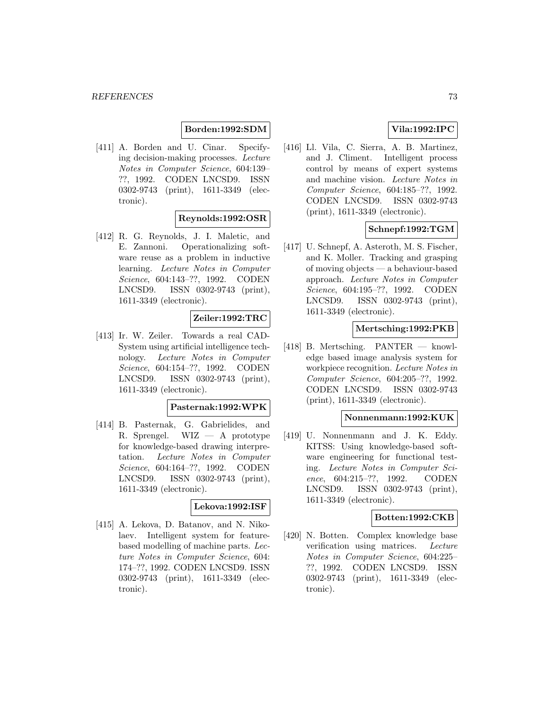## **Borden:1992:SDM**

[411] A. Borden and U. Cinar. Specifying decision-making processes. Lecture Notes in Computer Science, 604:139– ??, 1992. CODEN LNCSD9. ISSN 0302-9743 (print), 1611-3349 (electronic).

## **Reynolds:1992:OSR**

[412] R. G. Reynolds, J. I. Maletic, and E. Zannoni. Operationalizing software reuse as a problem in inductive learning. Lecture Notes in Computer Science, 604:143–??, 1992. CODEN LNCSD9. ISSN 0302-9743 (print), 1611-3349 (electronic).

## **Zeiler:1992:TRC**

[413] Ir. W. Zeiler. Towards a real CAD-System using artificial intelligence technology. Lecture Notes in Computer Science, 604:154–??, 1992. CODEN LNCSD9. ISSN 0302-9743 (print), 1611-3349 (electronic).

#### **Pasternak:1992:WPK**

[414] B. Pasternak, G. Gabrielides, and R. Sprengel. WIZ — A prototype for knowledge-based drawing interpretation. Lecture Notes in Computer Science, 604:164–??, 1992. CODEN LNCSD9. ISSN 0302-9743 (print), 1611-3349 (electronic).

#### **Lekova:1992:ISF**

[415] A. Lekova, D. Batanov, and N. Nikolaev. Intelligent system for featurebased modelling of machine parts. Lecture Notes in Computer Science, 604: 174–??, 1992. CODEN LNCSD9. ISSN 0302-9743 (print), 1611-3349 (electronic).

# **Vila:1992:IPC**

[416] Ll. Vila, C. Sierra, A. B. Martinez, and J. Climent. Intelligent process control by means of expert systems and machine vision. Lecture Notes in Computer Science, 604:185–??, 1992. CODEN LNCSD9. ISSN 0302-9743 (print), 1611-3349 (electronic).

### **Schnepf:1992:TGM**

[417] U. Schnepf, A. Asteroth, M. S. Fischer, and K. Moller. Tracking and grasping of moving objects — a behaviour-based approach. Lecture Notes in Computer Science, 604:195–??, 1992. CODEN LNCSD9. ISSN 0302-9743 (print), 1611-3349 (electronic).

### **Mertsching:1992:PKB**

[418] B. Mertsching. PANTER — knowledge based image analysis system for workpiece recognition. Lecture Notes in Computer Science, 604:205–??, 1992. CODEN LNCSD9. ISSN 0302-9743 (print), 1611-3349 (electronic).

### **Nonnenmann:1992:KUK**

[419] U. Nonnenmann and J. K. Eddy. KITSS: Using knowledge-based software engineering for functional testing. Lecture Notes in Computer Science, 604:215–??, 1992. CODEN LNCSD9. ISSN 0302-9743 (print), 1611-3349 (electronic).

### **Botten:1992:CKB**

[420] N. Botten. Complex knowledge base verification using matrices. Lecture Notes in Computer Science, 604:225– ??, 1992. CODEN LNCSD9. ISSN 0302-9743 (print), 1611-3349 (electronic).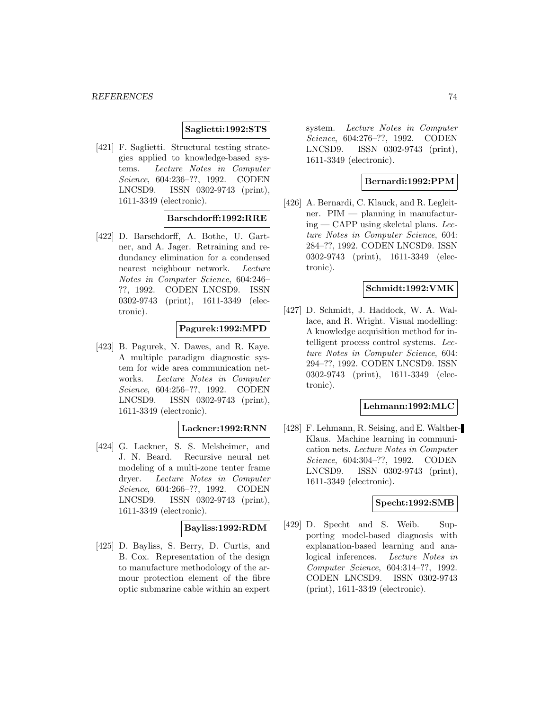#### **Saglietti:1992:STS**

[421] F. Saglietti. Structural testing strategies applied to knowledge-based systems. Lecture Notes in Computer Science, 604:236–??, 1992. CODEN LNCSD9. ISSN 0302-9743 (print), 1611-3349 (electronic).

### **Barschdorff:1992:RRE**

[422] D. Barschdorff, A. Bothe, U. Gartner, and A. Jager. Retraining and redundancy elimination for a condensed nearest neighbour network. Lecture Notes in Computer Science, 604:246– ??, 1992. CODEN LNCSD9. ISSN 0302-9743 (print), 1611-3349 (electronic).

## **Pagurek:1992:MPD**

[423] B. Pagurek, N. Dawes, and R. Kaye. A multiple paradigm diagnostic system for wide area communication networks. Lecture Notes in Computer Science, 604:256–??, 1992. CODEN LNCSD9. ISSN 0302-9743 (print), 1611-3349 (electronic).

## **Lackner:1992:RNN**

[424] G. Lackner, S. S. Melsheimer, and J. N. Beard. Recursive neural net modeling of a multi-zone tenter frame dryer. Lecture Notes in Computer Science, 604:266–??, 1992. CODEN LNCSD9. ISSN 0302-9743 (print), 1611-3349 (electronic).

#### **Bayliss:1992:RDM**

[425] D. Bayliss, S. Berry, D. Curtis, and B. Cox. Representation of the design to manufacture methodology of the armour protection element of the fibre optic submarine cable within an expert

system. Lecture Notes in Computer Science, 604:276–??, 1992. CODEN LNCSD9. ISSN 0302-9743 (print), 1611-3349 (electronic).

### **Bernardi:1992:PPM**

[426] A. Bernardi, C. Klauck, and R. Legleitner. PIM — planning in manufactur $ing - CAPP$  using skeletal plans. Lecture Notes in Computer Science, 604: 284–??, 1992. CODEN LNCSD9. ISSN 0302-9743 (print), 1611-3349 (electronic).

### **Schmidt:1992:VMK**

[427] D. Schmidt, J. Haddock, W. A. Wallace, and R. Wright. Visual modelling: A knowledge acquisition method for intelligent process control systems. Lecture Notes in Computer Science, 604: 294–??, 1992. CODEN LNCSD9. ISSN 0302-9743 (print), 1611-3349 (electronic).

### **Lehmann:1992:MLC**

[428] F. Lehmann, R. Seising, and E. Walther-Klaus. Machine learning in communication nets. Lecture Notes in Computer Science, 604:304–??, 1992. CODEN LNCSD9. ISSN 0302-9743 (print), 1611-3349 (electronic).

#### **Specht:1992:SMB**

[429] D. Specht and S. Weib. Supporting model-based diagnosis with explanation-based learning and analogical inferences. Lecture Notes in Computer Science, 604:314–??, 1992. CODEN LNCSD9. ISSN 0302-9743 (print), 1611-3349 (electronic).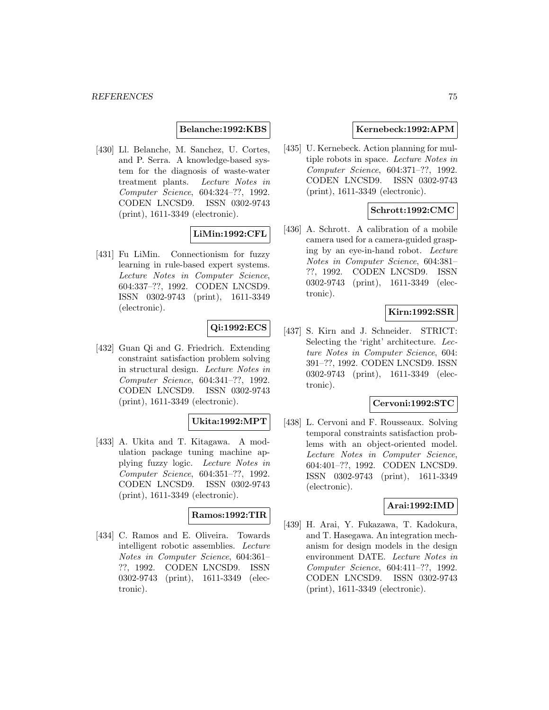### **Belanche:1992:KBS**

[430] Ll. Belanche, M. Sanchez, U. Cortes, and P. Serra. A knowledge-based system for the diagnosis of waste-water treatment plants. Lecture Notes in Computer Science, 604:324–??, 1992. CODEN LNCSD9. ISSN 0302-9743 (print), 1611-3349 (electronic).

### **LiMin:1992:CFL**

[431] Fu LiMin. Connectionism for fuzzy learning in rule-based expert systems. Lecture Notes in Computer Science, 604:337–??, 1992. CODEN LNCSD9. ISSN 0302-9743 (print), 1611-3349 (electronic).

# **Qi:1992:ECS**

[432] Guan Qi and G. Friedrich. Extending constraint satisfaction problem solving in structural design. Lecture Notes in Computer Science, 604:341–??, 1992. CODEN LNCSD9. ISSN 0302-9743 (print), 1611-3349 (electronic).

### **Ukita:1992:MPT**

[433] A. Ukita and T. Kitagawa. A modulation package tuning machine applying fuzzy logic. Lecture Notes in Computer Science, 604:351–??, 1992. CODEN LNCSD9. ISSN 0302-9743 (print), 1611-3349 (electronic).

### **Ramos:1992:TIR**

[434] C. Ramos and E. Oliveira. Towards intelligent robotic assemblies. Lecture Notes in Computer Science, 604:361– ??, 1992. CODEN LNCSD9. ISSN 0302-9743 (print), 1611-3349 (electronic).

## **Kernebeck:1992:APM**

[435] U. Kernebeck. Action planning for multiple robots in space. Lecture Notes in Computer Science, 604:371–??, 1992. CODEN LNCSD9. ISSN 0302-9743 (print), 1611-3349 (electronic).

## **Schrott:1992:CMC**

[436] A. Schrott. A calibration of a mobile camera used for a camera-guided grasping by an eye-in-hand robot. Lecture Notes in Computer Science, 604:381– ??, 1992. CODEN LNCSD9. ISSN 0302-9743 (print), 1611-3349 (electronic).

## **Kirn:1992:SSR**

[437] S. Kirn and J. Schneider. STRICT: Selecting the 'right' architecture. Lecture Notes in Computer Science, 604: 391–??, 1992. CODEN LNCSD9. ISSN 0302-9743 (print), 1611-3349 (electronic).

## **Cervoni:1992:STC**

[438] L. Cervoni and F. Rousseaux. Solving temporal constraints satisfaction problems with an object-oriented model. Lecture Notes in Computer Science, 604:401–??, 1992. CODEN LNCSD9. ISSN 0302-9743 (print), 1611-3349 (electronic).

## **Arai:1992:IMD**

[439] H. Arai, Y. Fukazawa, T. Kadokura, and T. Hasegawa. An integration mechanism for design models in the design environment DATE. Lecture Notes in Computer Science, 604:411–??, 1992. CODEN LNCSD9. ISSN 0302-9743 (print), 1611-3349 (electronic).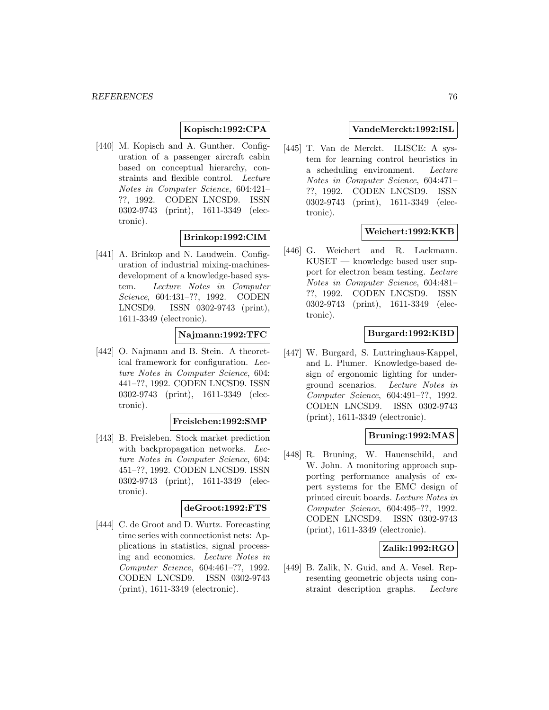## **Kopisch:1992:CPA**

[440] M. Kopisch and A. Gunther. Configuration of a passenger aircraft cabin based on conceptual hierarchy, constraints and flexible control. Lecture Notes in Computer Science, 604:421– ??, 1992. CODEN LNCSD9. ISSN 0302-9743 (print), 1611-3349 (electronic).

## **Brinkop:1992:CIM**

[441] A. Brinkop and N. Laudwein. Configuration of industrial mixing-machinesdevelopment of a knowledge-based system. Lecture Notes in Computer Science, 604:431–??, 1992. CODEN LNCSD9. ISSN 0302-9743 (print), 1611-3349 (electronic).

## **Najmann:1992:TFC**

[442] O. Najmann and B. Stein. A theoretical framework for configuration. Lecture Notes in Computer Science, 604: 441–??, 1992. CODEN LNCSD9. ISSN 0302-9743 (print), 1611-3349 (electronic).

#### **Freisleben:1992:SMP**

[443] B. Freisleben. Stock market prediction with backpropagation networks. Lecture Notes in Computer Science, 604: 451–??, 1992. CODEN LNCSD9. ISSN 0302-9743 (print), 1611-3349 (electronic).

#### **deGroot:1992:FTS**

[444] C. de Groot and D. Wurtz. Forecasting time series with connectionist nets: Applications in statistics, signal processing and economics. Lecture Notes in Computer Science, 604:461–??, 1992. CODEN LNCSD9. ISSN 0302-9743 (print), 1611-3349 (electronic).

## **VandeMerckt:1992:ISL**

[445] T. Van de Merckt. ILISCE: A system for learning control heuristics in a scheduling environment. Lecture Notes in Computer Science, 604:471– ??, 1992. CODEN LNCSD9. ISSN 0302-9743 (print), 1611-3349 (electronic).

## **Weichert:1992:KKB**

[446] G. Weichert and R. Lackmann. KUSET — knowledge based user support for electron beam testing. Lecture Notes in Computer Science, 604:481– ??, 1992. CODEN LNCSD9. ISSN 0302-9743 (print), 1611-3349 (electronic).

### **Burgard:1992:KBD**

[447] W. Burgard, S. Luttringhaus-Kappel, and L. Plumer. Knowledge-based design of ergonomic lighting for underground scenarios. Lecture Notes in Computer Science, 604:491–??, 1992. CODEN LNCSD9. ISSN 0302-9743 (print), 1611-3349 (electronic).

## **Bruning:1992:MAS**

[448] R. Bruning, W. Hauenschild, and W. John. A monitoring approach supporting performance analysis of expert systems for the EMC design of printed circuit boards. Lecture Notes in Computer Science, 604:495–??, 1992. CODEN LNCSD9. ISSN 0302-9743 (print), 1611-3349 (electronic).

## **Zalik:1992:RGO**

[449] B. Zalik, N. Guid, and A. Vesel. Representing geometric objects using constraint description graphs. Lecture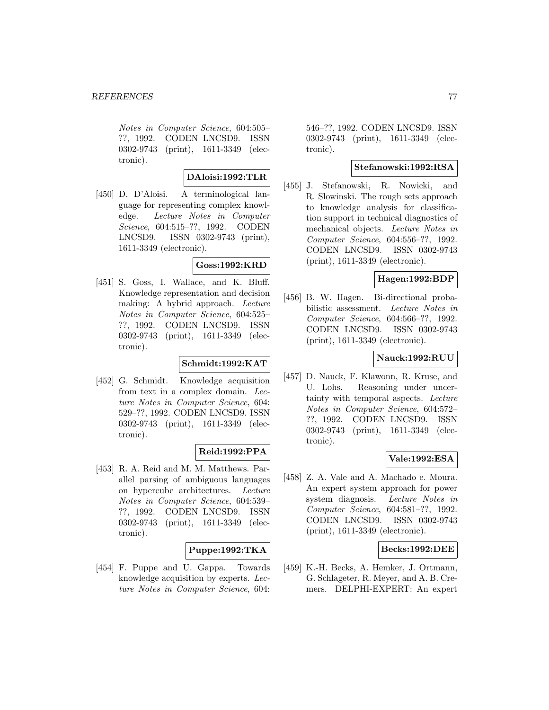Notes in Computer Science, 604:505– ??, 1992. CODEN LNCSD9. ISSN 0302-9743 (print), 1611-3349 (electronic).

## **DAloisi:1992:TLR**

[450] D. D'Aloisi. A terminological language for representing complex knowledge. Lecture Notes in Computer Science, 604:515–??, 1992. CODEN LNCSD9. ISSN 0302-9743 (print), 1611-3349 (electronic).

## **Goss:1992:KRD**

[451] S. Goss, I. Wallace, and K. Bluff. Knowledge representation and decision making: A hybrid approach. Lecture Notes in Computer Science, 604:525– ??, 1992. CODEN LNCSD9. ISSN 0302-9743 (print), 1611-3349 (electronic).

# **Schmidt:1992:KAT**

[452] G. Schmidt. Knowledge acquisition from text in a complex domain. Lecture Notes in Computer Science, 604: 529–??, 1992. CODEN LNCSD9. ISSN 0302-9743 (print), 1611-3349 (electronic).

## **Reid:1992:PPA**

[453] R. A. Reid and M. M. Matthews. Parallel parsing of ambiguous languages on hypercube architectures. Lecture Notes in Computer Science, 604:539– ??, 1992. CODEN LNCSD9. ISSN 0302-9743 (print), 1611-3349 (electronic).

## **Puppe:1992:TKA**

[454] F. Puppe and U. Gappa. Towards knowledge acquisition by experts. Lecture Notes in Computer Science, 604:

546–??, 1992. CODEN LNCSD9. ISSN 0302-9743 (print), 1611-3349 (electronic).

## **Stefanowski:1992:RSA**

[455] J. Stefanowski, R. Nowicki, and R. Slowinski. The rough sets approach to knowledge analysis for classification support in technical diagnostics of mechanical objects. Lecture Notes in Computer Science, 604:556–??, 1992. CODEN LNCSD9. ISSN 0302-9743 (print), 1611-3349 (electronic).

## **Hagen:1992:BDP**

[456] B. W. Hagen. Bi-directional probabilistic assessment. Lecture Notes in Computer Science, 604:566–??, 1992. CODEN LNCSD9. ISSN 0302-9743 (print), 1611-3349 (electronic).

# **Nauck:1992:RUU**

[457] D. Nauck, F. Klawonn, R. Kruse, and U. Lohs. Reasoning under uncertainty with temporal aspects. Lecture Notes in Computer Science, 604:572– ??, 1992. CODEN LNCSD9. ISSN 0302-9743 (print), 1611-3349 (electronic).

# **Vale:1992:ESA**

[458] Z. A. Vale and A. Machado e. Moura. An expert system approach for power system diagnosis. Lecture Notes in Computer Science, 604:581–??, 1992. CODEN LNCSD9. ISSN 0302-9743 (print), 1611-3349 (electronic).

## **Becks:1992:DEE**

[459] K.-H. Becks, A. Hemker, J. Ortmann, G. Schlageter, R. Meyer, and A. B. Cremers. DELPHI-EXPERT: An expert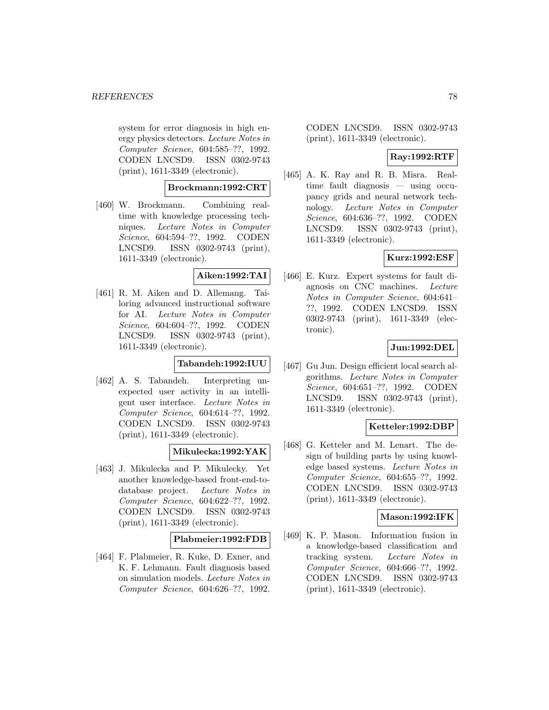system for error diagnosis in high energy physics detectors. Lecture Notes in Computer Science, 604:585–??, 1992. CODEN LNCSD9. ISSN 0302-9743 (print), 1611-3349 (electronic).

## **Brockmann:1992:CRT**

[460] W. Brockmann. Combining realtime with knowledge processing techniques. Lecture Notes in Computer Science, 604:594–??, 1992. CODEN LNCSD9. ISSN 0302-9743 (print), 1611-3349 (electronic).

## **Aiken:1992:TAI**

[461] R. M. Aiken and D. Allemang. Tailoring advanced instructional software for AI. Lecture Notes in Computer Science, 604:604–??, 1992. CODEN LNCSD9. ISSN 0302-9743 (print), 1611-3349 (electronic).

## **Tabandeh:1992:IUU**

[462] A. S. Tabandeh. Interpreting unexpected user activity in an intelligent user interface. Lecture Notes in Computer Science, 604:614–??, 1992. CODEN LNCSD9. ISSN 0302-9743 (print), 1611-3349 (electronic).

## **Mikulecka:1992:YAK**

[463] J. Mikulecka and P. Mikulecky. Yet another knowledge-based front-end-todatabase project. Lecture Notes in Computer Science, 604:622–??, 1992. CODEN LNCSD9. ISSN 0302-9743 (print), 1611-3349 (electronic).

## **Plabmeier:1992:FDB**

[464] F. Plabmeier, R. Kuke, D. Exner, and K. F. Lehmann. Fault diagnosis based on simulation models. Lecture Notes in Computer Science, 604:626–??, 1992.

CODEN LNCSD9. ISSN 0302-9743 (print), 1611-3349 (electronic).

## **Ray:1992:RTF**

[465] A. K. Ray and R. B. Misra. Realtime fault diagnosis — using occupancy grids and neural network technology. Lecture Notes in Computer Science, 604:636–??, 1992. CODEN LNCSD9. ISSN 0302-9743 (print), 1611-3349 (electronic).

## **Kurz:1992:ESF**

[466] E. Kurz. Expert systems for fault diagnosis on CNC machines. Lecture Notes in Computer Science, 604:641– ??, 1992. CODEN LNCSD9. ISSN 0302-9743 (print), 1611-3349 (electronic).

## **Jun:1992:DEL**

[467] Gu Jun. Design efficient local search algorithms. Lecture Notes in Computer Science, 604:651–??, 1992. CODEN LNCSD9. ISSN 0302-9743 (print), 1611-3349 (electronic).

## **Ketteler:1992:DBP**

[468] G. Ketteler and M. Lenart. The design of building parts by using knowledge based systems. Lecture Notes in Computer Science, 604:655–??, 1992. CODEN LNCSD9. ISSN 0302-9743 (print), 1611-3349 (electronic).

## **Mason:1992:IFK**

[469] K. P. Mason. Information fusion in a knowledge-based classification and tracking system. Lecture Notes in Computer Science, 604:666–??, 1992. CODEN LNCSD9. ISSN 0302-9743 (print), 1611-3349 (electronic).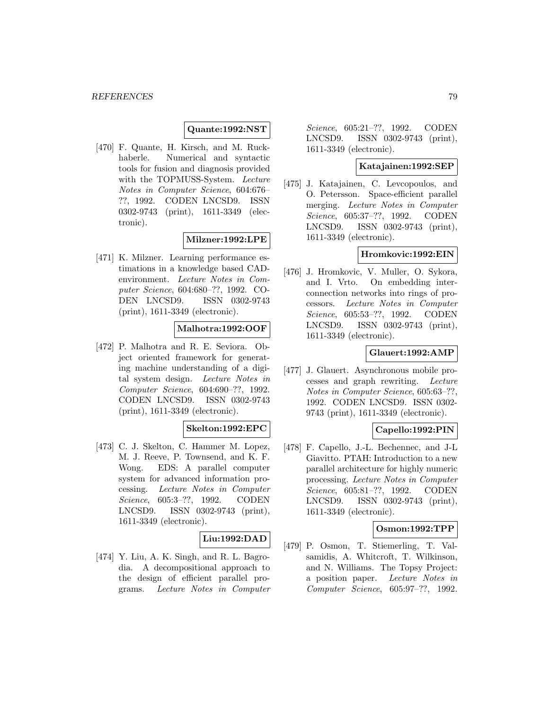## **Quante:1992:NST**

[470] F. Quante, H. Kirsch, and M. Ruckhaberle. Numerical and syntactic tools for fusion and diagnosis provided with the TOPMUSS-System. Lecture Notes in Computer Science, 604:676– ??, 1992. CODEN LNCSD9. ISSN 0302-9743 (print), 1611-3349 (electronic).

## **Milzner:1992:LPE**

[471] K. Milzner. Learning performance estimations in a knowledge based CADenvironment. Lecture Notes in Computer Science, 604:680–??, 1992. CO-DEN LNCSD9. ISSN 0302-9743 (print), 1611-3349 (electronic).

## **Malhotra:1992:OOF**

[472] P. Malhotra and R. E. Seviora. Object oriented framework for generating machine understanding of a digital system design. Lecture Notes in Computer Science, 604:690–??, 1992. CODEN LNCSD9. ISSN 0302-9743 (print), 1611-3349 (electronic).

# **Skelton:1992:EPC**

[473] C. J. Skelton, C. Hammer M. Lopez, M. J. Reeve, P. Townsend, and K. F. Wong. EDS: A parallel computer system for advanced information processing. Lecture Notes in Computer Science, 605:3–??, 1992. CODEN LNCSD9. ISSN 0302-9743 (print), 1611-3349 (electronic).

## **Liu:1992:DAD**

[474] Y. Liu, A. K. Singh, and R. L. Bagrodia. A decompositional approach to the design of efficient parallel programs. Lecture Notes in Computer

Science, 605:21–??, 1992. CODEN LNCSD9. ISSN 0302-9743 (print), 1611-3349 (electronic).

## **Katajainen:1992:SEP**

[475] J. Katajainen, C. Levcopoulos, and O. Petersson. Space-efficient parallel merging. Lecture Notes in Computer Science, 605:37–??, 1992. CODEN LNCSD9. ISSN 0302-9743 (print), 1611-3349 (electronic).

## **Hromkovic:1992:EIN**

[476] J. Hromkovic, V. Muller, O. Sykora, and I. Vrto. On embedding interconnection networks into rings of processors. Lecture Notes in Computer Science, 605:53–??, 1992. CODEN LNCSD9. ISSN 0302-9743 (print), 1611-3349 (electronic).

## **Glauert:1992:AMP**

[477] J. Glauert. Asynchronous mobile processes and graph rewriting. Lecture Notes in Computer Science, 605:63–??, 1992. CODEN LNCSD9. ISSN 0302- 9743 (print), 1611-3349 (electronic).

# **Capello:1992:PIN**

[478] F. Capello, J.-L. Bechennec, and J-L Giavitto. PTAH: Introduction to a new parallel architecture for highly numeric processing. Lecture Notes in Computer Science, 605:81–??, 1992. CODEN LNCSD9. ISSN 0302-9743 (print), 1611-3349 (electronic).

## **Osmon:1992:TPP**

[479] P. Osmon, T. Stiemerling, T. Valsamidis, A. Whitcroft, T. Wilkinson, and N. Williams. The Topsy Project: a position paper. Lecture Notes in Computer Science, 605:97–??, 1992.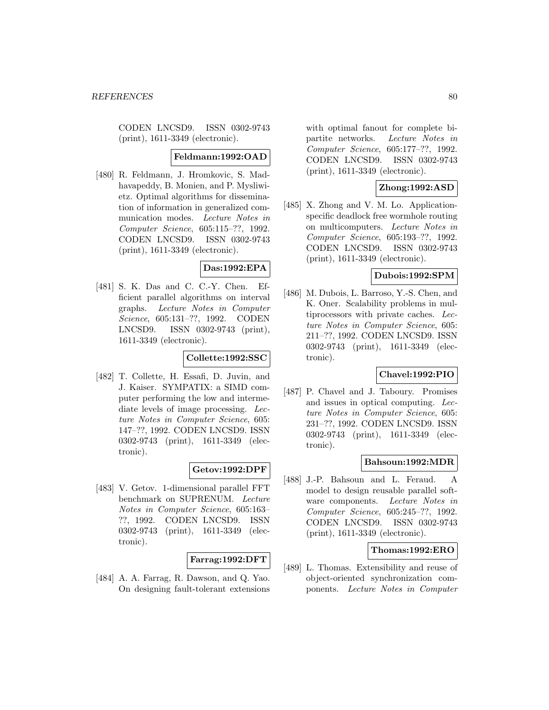CODEN LNCSD9. ISSN 0302-9743 (print), 1611-3349 (electronic).

### **Feldmann:1992:OAD**

[480] R. Feldmann, J. Hromkovic, S. Madhavapeddy, B. Monien, and P. Mysliwietz. Optimal algorithms for dissemination of information in generalized communication modes. Lecture Notes in Computer Science, 605:115–??, 1992. CODEN LNCSD9. ISSN 0302-9743 (print), 1611-3349 (electronic).

## **Das:1992:EPA**

[481] S. K. Das and C. C.-Y. Chen. Efficient parallel algorithms on interval graphs. Lecture Notes in Computer Science, 605:131–??, 1992. CODEN LNCSD9. ISSN 0302-9743 (print), 1611-3349 (electronic).

#### **Collette:1992:SSC**

[482] T. Collette, H. Essafi, D. Juvin, and J. Kaiser. SYMPATIX: a SIMD computer performing the low and intermediate levels of image processing. Lecture Notes in Computer Science, 605: 147–??, 1992. CODEN LNCSD9. ISSN 0302-9743 (print), 1611-3349 (electronic).

## **Getov:1992:DPF**

[483] V. Getov. 1-dimensional parallel FFT benchmark on SUPRENUM. Lecture Notes in Computer Science, 605:163– ??, 1992. CODEN LNCSD9. ISSN 0302-9743 (print), 1611-3349 (electronic).

## **Farrag:1992:DFT**

[484] A. A. Farrag, R. Dawson, and Q. Yao. On designing fault-tolerant extensions with optimal fanout for complete bipartite networks. Lecture Notes in Computer Science, 605:177–??, 1992. CODEN LNCSD9. ISSN 0302-9743 (print), 1611-3349 (electronic).

## **Zhong:1992:ASD**

[485] X. Zhong and V. M. Lo. Applicationspecific deadlock free wormhole routing on multicomputers. Lecture Notes in Computer Science, 605:193–??, 1992. CODEN LNCSD9. ISSN 0302-9743 (print), 1611-3349 (electronic).

# **Dubois:1992:SPM**

[486] M. Dubois, L. Barroso, Y.-S. Chen, and K. Oner. Scalability problems in multiprocessors with private caches. Lecture Notes in Computer Science, 605: 211–??, 1992. CODEN LNCSD9. ISSN 0302-9743 (print), 1611-3349 (electronic).

# **Chavel:1992:PIO**

[487] P. Chavel and J. Taboury. Promises and issues in optical computing. Lecture Notes in Computer Science, 605: 231–??, 1992. CODEN LNCSD9. ISSN 0302-9743 (print), 1611-3349 (electronic).

### **Bahsoun:1992:MDR**

[488] J.-P. Bahsoun and L. Feraud. A model to design reusable parallel software components. Lecture Notes in Computer Science, 605:245–??, 1992. CODEN LNCSD9. ISSN 0302-9743 (print), 1611-3349 (electronic).

### **Thomas:1992:ERO**

[489] L. Thomas. Extensibility and reuse of object-oriented synchronization components. Lecture Notes in Computer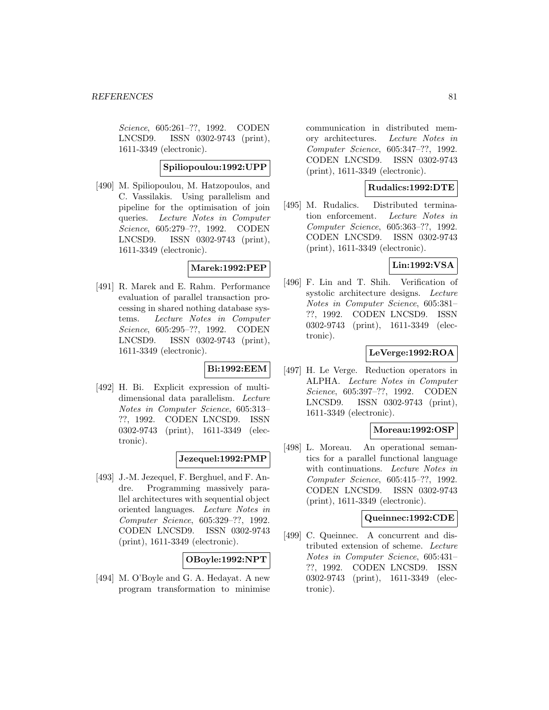Science, 605:261–??, 1992. CODEN LNCSD9. ISSN 0302-9743 (print), 1611-3349 (electronic).

## **Spiliopoulou:1992:UPP**

[490] M. Spiliopoulou, M. Hatzopoulos, and C. Vassilakis. Using parallelism and pipeline for the optimisation of join queries. Lecture Notes in Computer Science, 605:279–??, 1992. CODEN LNCSD9. ISSN 0302-9743 (print), 1611-3349 (electronic).

### **Marek:1992:PEP**

[491] R. Marek and E. Rahm. Performance evaluation of parallel transaction processing in shared nothing database systems. Lecture Notes in Computer Science, 605:295–??, 1992. CODEN LNCSD9. ISSN 0302-9743 (print), 1611-3349 (electronic).

# **Bi:1992:EEM**

[492] H. Bi. Explicit expression of multidimensional data parallelism. Lecture Notes in Computer Science, 605:313– ??, 1992. CODEN LNCSD9. ISSN 0302-9743 (print), 1611-3349 (electronic).

## **Jezequel:1992:PMP**

[493] J.-M. Jezequel, F. Berghuel, and F. Andre. Programming massively parallel architectures with sequential object oriented languages. Lecture Notes in Computer Science, 605:329–??, 1992. CODEN LNCSD9. ISSN 0302-9743 (print), 1611-3349 (electronic).

## **OBoyle:1992:NPT**

[494] M. O'Boyle and G. A. Hedayat. A new program transformation to minimise

communication in distributed memory architectures. Lecture Notes in Computer Science, 605:347–??, 1992. CODEN LNCSD9. ISSN 0302-9743 (print), 1611-3349 (electronic).

## **Rudalics:1992:DTE**

[495] M. Rudalics. Distributed termination enforcement. Lecture Notes in Computer Science, 605:363–??, 1992. CODEN LNCSD9. ISSN 0302-9743 (print), 1611-3349 (electronic).

## **Lin:1992:VSA**

[496] F. Lin and T. Shih. Verification of systolic architecture designs. Lecture Notes in Computer Science, 605:381– ??, 1992. CODEN LNCSD9. ISSN 0302-9743 (print), 1611-3349 (electronic).

# **LeVerge:1992:ROA**

[497] H. Le Verge. Reduction operators in ALPHA. Lecture Notes in Computer Science, 605:397–??, 1992. CODEN LNCSD9. ISSN 0302-9743 (print), 1611-3349 (electronic).

## **Moreau:1992:OSP**

[498] L. Moreau. An operational semantics for a parallel functional language with continuations. Lecture Notes in Computer Science, 605:415–??, 1992. CODEN LNCSD9. ISSN 0302-9743 (print), 1611-3349 (electronic).

## **Queinnec:1992:CDE**

[499] C. Queinnec. A concurrent and distributed extension of scheme. Lecture Notes in Computer Science, 605:431– ??, 1992. CODEN LNCSD9. ISSN 0302-9743 (print), 1611-3349 (electronic).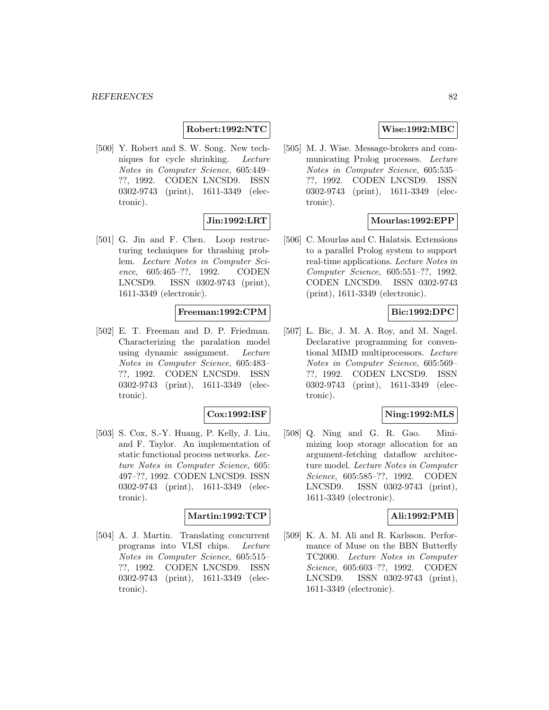## **Robert:1992:NTC**

[500] Y. Robert and S. W. Song. New techniques for cycle shrinking. Lecture Notes in Computer Science, 605:449– ??, 1992. CODEN LNCSD9. ISSN 0302-9743 (print), 1611-3349 (electronic).

# **Jin:1992:LRT**

[501] G. Jin and F. Chen. Loop restructuring techniques for thrashing problem. Lecture Notes in Computer Science, 605:465–??, 1992. CODEN LNCSD9. ISSN 0302-9743 (print), 1611-3349 (electronic).

## **Freeman:1992:CPM**

[502] E. T. Freeman and D. P. Friedman. Characterizing the paralation model using dynamic assignment. Lecture Notes in Computer Science, 605:483– ??, 1992. CODEN LNCSD9. ISSN 0302-9743 (print), 1611-3349 (electronic).

#### **Cox:1992:ISF**

[503] S. Cox, S.-Y. Huang, P. Kelly, J. Liu, and F. Taylor. An implementation of static functional process networks. Lecture Notes in Computer Science, 605: 497–??, 1992. CODEN LNCSD9. ISSN 0302-9743 (print), 1611-3349 (electronic).

## **Martin:1992:TCP**

[504] A. J. Martin. Translating concurrent programs into VLSI chips. Lecture Notes in Computer Science, 605:515– ??, 1992. CODEN LNCSD9. ISSN 0302-9743 (print), 1611-3349 (electronic).

## **Wise:1992:MBC**

[505] M. J. Wise. Message-brokers and communicating Prolog processes. Lecture Notes in Computer Science, 605:535– ??, 1992. CODEN LNCSD9. ISSN 0302-9743 (print), 1611-3349 (electronic).

# **Mourlas:1992:EPP**

[506] C. Mourlas and C. Halatsis. Extensions to a parallel Prolog system to support real-time applications. Lecture Notes in Computer Science, 605:551–??, 1992. CODEN LNCSD9. ISSN 0302-9743 (print), 1611-3349 (electronic).

## **Bic:1992:DPC**

[507] L. Bic, J. M. A. Roy, and M. Nagel. Declarative programming for conventional MIMD multiprocessors. Lecture Notes in Computer Science, 605:569– ??, 1992. CODEN LNCSD9. ISSN 0302-9743 (print), 1611-3349 (electronic).

# **Ning:1992:MLS**

[508] Q. Ning and G. R. Gao. Minimizing loop storage allocation for an argument-fetching dataflow architecture model. Lecture Notes in Computer Science, 605:585–??, 1992. CODEN LNCSD9. ISSN 0302-9743 (print), 1611-3349 (electronic).

#### **Ali:1992:PMB**

[509] K. A. M. Ali and R. Karlsson. Performance of Muse on the BBN Butterfly TC2000. Lecture Notes in Computer Science, 605:603–??, 1992. CODEN LNCSD9. ISSN 0302-9743 (print), 1611-3349 (electronic).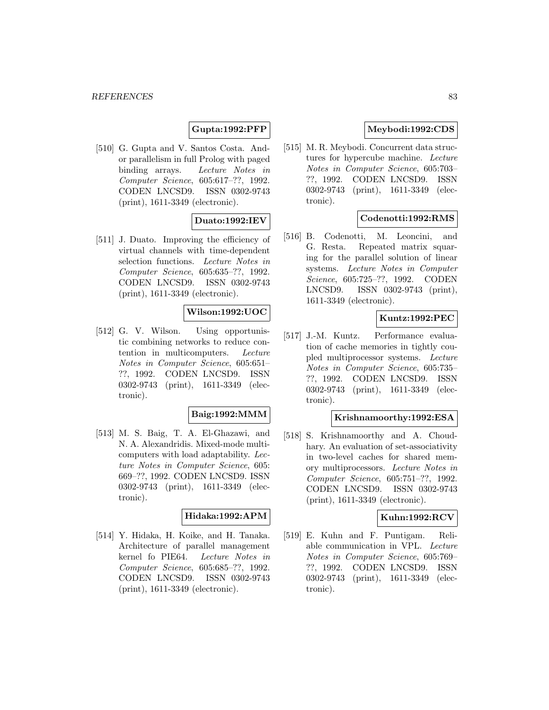# **Gupta:1992:PFP**

[510] G. Gupta and V. Santos Costa. Andor parallelism in full Prolog with paged binding arrays. Lecture Notes in Computer Science, 605:617–??, 1992. CODEN LNCSD9. ISSN 0302-9743 (print), 1611-3349 (electronic).

## **Duato:1992:IEV**

[511] J. Duato. Improving the efficiency of virtual channels with time-dependent selection functions. Lecture Notes in Computer Science, 605:635–??, 1992. CODEN LNCSD9. ISSN 0302-9743 (print), 1611-3349 (electronic).

# **Wilson:1992:UOC**

[512] G. V. Wilson. Using opportunistic combining networks to reduce contention in multicomputers. Lecture Notes in Computer Science, 605:651– ??, 1992. CODEN LNCSD9. ISSN 0302-9743 (print), 1611-3349 (electronic).

## **Baig:1992:MMM**

[513] M. S. Baig, T. A. El-Ghazawi, and N. A. Alexandridis. Mixed-mode multicomputers with load adaptability. Lecture Notes in Computer Science, 605: 669–??, 1992. CODEN LNCSD9. ISSN 0302-9743 (print), 1611-3349 (electronic).

### **Hidaka:1992:APM**

[514] Y. Hidaka, H. Koike, and H. Tanaka. Architecture of parallel management kernel fo PIE64. Lecture Notes in Computer Science, 605:685–??, 1992. CODEN LNCSD9. ISSN 0302-9743 (print), 1611-3349 (electronic).

## **Meybodi:1992:CDS**

[515] M. R. Meybodi. Concurrent data structures for hypercube machine. Lecture Notes in Computer Science, 605:703– ??, 1992. CODEN LNCSD9. ISSN 0302-9743 (print), 1611-3349 (electronic).

## **Codenotti:1992:RMS**

[516] B. Codenotti, M. Leoncini, and G. Resta. Repeated matrix squaring for the parallel solution of linear systems. Lecture Notes in Computer Science, 605:725–??, 1992. CODEN LNCSD9. ISSN 0302-9743 (print), 1611-3349 (electronic).

## **Kuntz:1992:PEC**

[517] J.-M. Kuntz. Performance evaluation of cache memories in tightly coupled multiprocessor systems. Lecture Notes in Computer Science, 605:735– ??, 1992. CODEN LNCSD9. ISSN 0302-9743 (print), 1611-3349 (electronic).

### **Krishnamoorthy:1992:ESA**

[518] S. Krishnamoorthy and A. Choudhary. An evaluation of set-associativity in two-level caches for shared memory multiprocessors. Lecture Notes in Computer Science, 605:751–??, 1992. CODEN LNCSD9. ISSN 0302-9743 (print), 1611-3349 (electronic).

## **Kuhn:1992:RCV**

[519] E. Kuhn and F. Puntigam. Reliable communication in VPL. Lecture Notes in Computer Science, 605:769– ??, 1992. CODEN LNCSD9. ISSN 0302-9743 (print), 1611-3349 (electronic).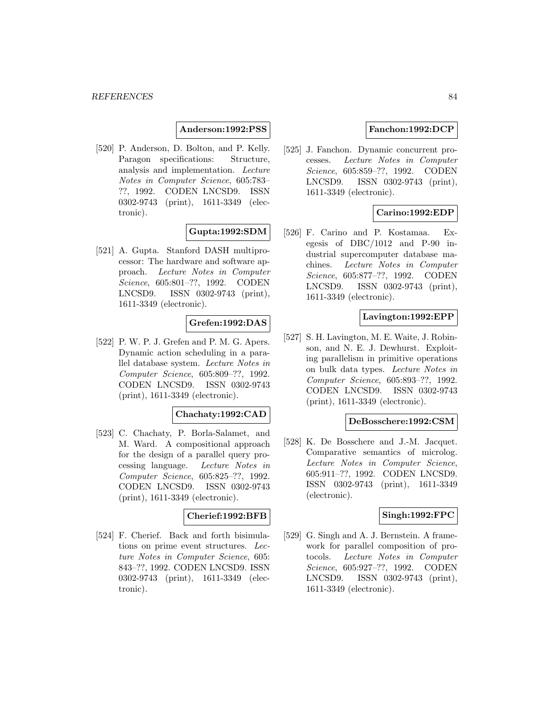## **Anderson:1992:PSS**

[520] P. Anderson, D. Bolton, and P. Kelly. Paragon specifications: Structure, analysis and implementation. Lecture Notes in Computer Science, 605:783– ??, 1992. CODEN LNCSD9. ISSN 0302-9743 (print), 1611-3349 (electronic).

## **Gupta:1992:SDM**

[521] A. Gupta. Stanford DASH multiprocessor: The hardware and software approach. Lecture Notes in Computer Science, 605:801–??, 1992. CODEN LNCSD9. ISSN 0302-9743 (print), 1611-3349 (electronic).

## **Grefen:1992:DAS**

[522] P. W. P. J. Grefen and P. M. G. Apers. Dynamic action scheduling in a parallel database system. Lecture Notes in Computer Science, 605:809–??, 1992. CODEN LNCSD9. ISSN 0302-9743 (print), 1611-3349 (electronic).

## **Chachaty:1992:CAD**

[523] C. Chachaty, P. Borla-Salamet, and M. Ward. A compositional approach for the design of a parallel query processing language. Lecture Notes in Computer Science, 605:825–??, 1992. CODEN LNCSD9. ISSN 0302-9743 (print), 1611-3349 (electronic).

## **Cherief:1992:BFB**

[524] F. Cherief. Back and forth bisimulations on prime event structures. Lecture Notes in Computer Science, 605: 843–??, 1992. CODEN LNCSD9. ISSN 0302-9743 (print), 1611-3349 (electronic).

# **Fanchon:1992:DCP**

[525] J. Fanchon. Dynamic concurrent processes. Lecture Notes in Computer Science, 605:859–??, 1992. CODEN LNCSD9. ISSN 0302-9743 (print), 1611-3349 (electronic).

## **Carino:1992:EDP**

[526] F. Carino and P. Kostamaa. Exegesis of DBC/1012 and P-90 industrial supercomputer database machines. Lecture Notes in Computer Science, 605:877–??, 1992. CODEN LNCSD9. ISSN 0302-9743 (print), 1611-3349 (electronic).

#### **Lavington:1992:EPP**

[527] S. H. Lavington, M. E. Waite, J. Robinson, and N. E. J. Dewhurst. Exploiting parallelism in primitive operations on bulk data types. Lecture Notes in Computer Science, 605:893–??, 1992. CODEN LNCSD9. ISSN 0302-9743 (print), 1611-3349 (electronic).

#### **DeBosschere:1992:CSM**

[528] K. De Bosschere and J.-M. Jacquet. Comparative semantics of microlog. Lecture Notes in Computer Science, 605:911–??, 1992. CODEN LNCSD9. ISSN 0302-9743 (print), 1611-3349 (electronic).

#### **Singh:1992:FPC**

[529] G. Singh and A. J. Bernstein. A framework for parallel composition of protocols. Lecture Notes in Computer Science, 605:927–??, 1992. CODEN LNCSD9. ISSN 0302-9743 (print), 1611-3349 (electronic).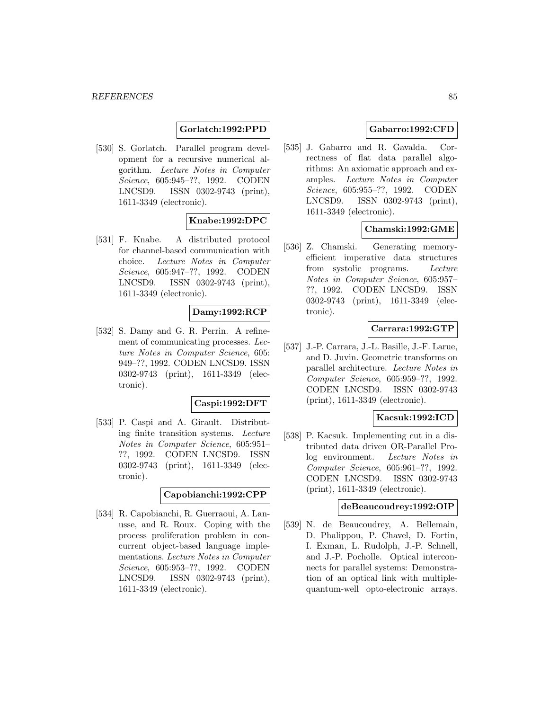## **Gorlatch:1992:PPD**

[530] S. Gorlatch. Parallel program development for a recursive numerical algorithm. Lecture Notes in Computer Science, 605:945–??, 1992. CODEN LNCSD9. ISSN 0302-9743 (print), 1611-3349 (electronic).

# **Knabe:1992:DPC**

[531] F. Knabe. A distributed protocol for channel-based communication with choice. Lecture Notes in Computer Science, 605:947–??, 1992. CODEN LNCSD9. ISSN 0302-9743 (print), 1611-3349 (electronic).

## **Damy:1992:RCP**

[532] S. Damy and G. R. Perrin. A refinement of communicating processes. Lecture Notes in Computer Science, 605: 949–??, 1992. CODEN LNCSD9. ISSN 0302-9743 (print), 1611-3349 (electronic).

#### **Caspi:1992:DFT**

[533] P. Caspi and A. Girault. Distributing finite transition systems. Lecture Notes in Computer Science, 605:951– ??, 1992. CODEN LNCSD9. ISSN 0302-9743 (print), 1611-3349 (electronic).

#### **Capobianchi:1992:CPP**

[534] R. Capobianchi, R. Guerraoui, A. Lanusse, and R. Roux. Coping with the process proliferation problem in concurrent object-based language implementations. Lecture Notes in Computer Science, 605:953–??, 1992. CODEN LNCSD9. ISSN 0302-9743 (print), 1611-3349 (electronic).

## **Gabarro:1992:CFD**

[535] J. Gabarro and R. Gavalda. Correctness of flat data parallel algorithms: An axiomatic approach and examples. Lecture Notes in Computer Science, 605:955–??, 1992. CODEN LNCSD9. ISSN 0302-9743 (print), 1611-3349 (electronic).

## **Chamski:1992:GME**

[536] Z. Chamski. Generating memoryefficient imperative data structures from systolic programs. Lecture Notes in Computer Science, 605:957– ??, 1992. CODEN LNCSD9. ISSN 0302-9743 (print), 1611-3349 (electronic).

## **Carrara:1992:GTP**

[537] J.-P. Carrara, J.-L. Basille, J.-F. Larue, and D. Juvin. Geometric transforms on parallel architecture. Lecture Notes in Computer Science, 605:959–??, 1992. CODEN LNCSD9. ISSN 0302-9743 (print), 1611-3349 (electronic).

# **Kacsuk:1992:ICD**

[538] P. Kacsuk. Implementing cut in a distributed data driven OR-Parallel Prolog environment. Lecture Notes in Computer Science, 605:961–??, 1992. CODEN LNCSD9. ISSN 0302-9743 (print), 1611-3349 (electronic).

# **deBeaucoudrey:1992:OIP**

[539] N. de Beaucoudrey, A. Bellemain, D. Phalippou, P. Chavel, D. Fortin, I. Exman, L. Rudolph, J.-P. Schnell, and J.-P. Pocholle. Optical interconnects for parallel systems: Demonstration of an optical link with multiplequantum-well opto-electronic arrays.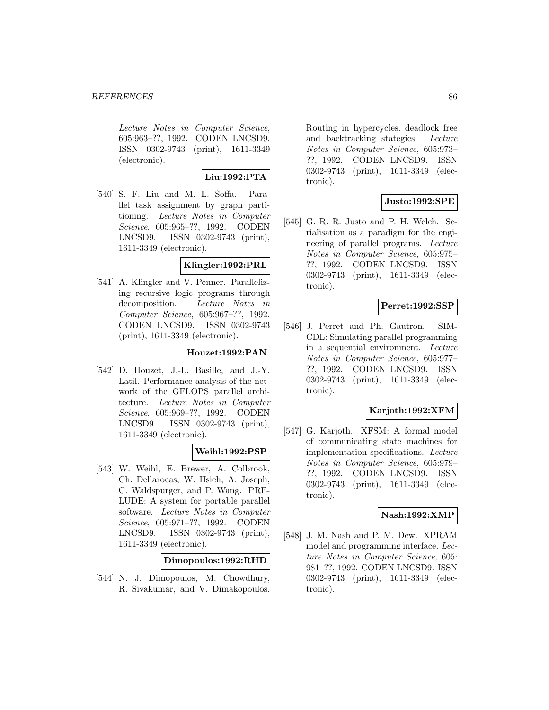Lecture Notes in Computer Science, 605:963–??, 1992. CODEN LNCSD9. ISSN 0302-9743 (print), 1611-3349 (electronic).

**Liu:1992:PTA**

[540] S. F. Liu and M. L. Soffa. Parallel task assignment by graph partitioning. Lecture Notes in Computer Science, 605:965–??, 1992. CODEN LNCSD9. ISSN 0302-9743 (print), 1611-3349 (electronic).

## **Klingler:1992:PRL**

[541] A. Klingler and V. Penner. Parallelizing recursive logic programs through decomposition. Lecture Notes in Computer Science, 605:967–??, 1992. CODEN LNCSD9. ISSN 0302-9743 (print), 1611-3349 (electronic).

# **Houzet:1992:PAN**

[542] D. Houzet, J.-L. Basille, and J.-Y. Latil. Performance analysis of the network of the GFLOPS parallel architecture. Lecture Notes in Computer Science, 605:969–??, 1992. CODEN LNCSD9. ISSN 0302-9743 (print), 1611-3349 (electronic).

## **Weihl:1992:PSP**

[543] W. Weihl, E. Brewer, A. Colbrook, Ch. Dellarocas, W. Hsieh, A. Joseph, C. Waldspurger, and P. Wang. PRE-LUDE: A system for portable parallel software. Lecture Notes in Computer Science, 605:971–??, 1992. CODEN LNCSD9. ISSN 0302-9743 (print), 1611-3349 (electronic).

**Dimopoulos:1992:RHD**

[544] N. J. Dimopoulos, M. Chowdhury, R. Sivakumar, and V. Dimakopoulos.

Routing in hypercycles. deadlock free and backtracking stategies. Lecture Notes in Computer Science, 605:973– ??, 1992. CODEN LNCSD9. ISSN 0302-9743 (print), 1611-3349 (electronic).

# **Justo:1992:SPE**

[545] G. R. R. Justo and P. H. Welch. Serialisation as a paradigm for the engineering of parallel programs. Lecture Notes in Computer Science, 605:975– ??, 1992. CODEN LNCSD9. ISSN 0302-9743 (print), 1611-3349 (electronic).

# **Perret:1992:SSP**

[546] J. Perret and Ph. Gautron. SIM-CDL: Simulating parallel programming in a sequential environment. Lecture Notes in Computer Science, 605:977– ??, 1992. CODEN LNCSD9. ISSN 0302-9743 (print), 1611-3349 (electronic).

## **Karjoth:1992:XFM**

[547] G. Karjoth. XFSM: A formal model of communicating state machines for implementation specifications. Lecture Notes in Computer Science, 605:979– ??, 1992. CODEN LNCSD9. ISSN 0302-9743 (print), 1611-3349 (electronic).

## **Nash:1992:XMP**

[548] J. M. Nash and P. M. Dew. XPRAM model and programming interface. Lecture Notes in Computer Science, 605: 981–??, 1992. CODEN LNCSD9. ISSN 0302-9743 (print), 1611-3349 (electronic).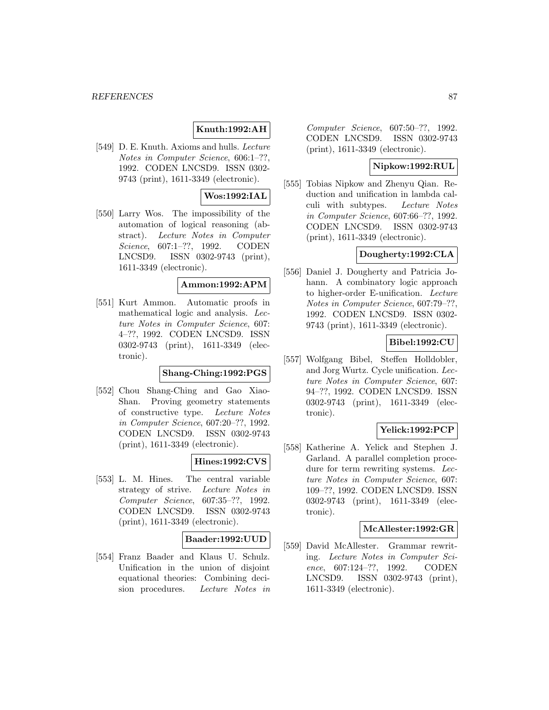# **Knuth:1992:AH**

[549] D. E. Knuth. Axioms and hulls. Lecture Notes in Computer Science, 606:1–??, 1992. CODEN LNCSD9. ISSN 0302- 9743 (print), 1611-3349 (electronic).

## **Wos:1992:IAL**

[550] Larry Wos. The impossibility of the automation of logical reasoning (abstract). Lecture Notes in Computer Science, 607:1–??, 1992. CODEN LNCSD9. ISSN 0302-9743 (print), 1611-3349 (electronic).

#### **Ammon:1992:APM**

[551] Kurt Ammon. Automatic proofs in mathematical logic and analysis. Lecture Notes in Computer Science, 607: 4–??, 1992. CODEN LNCSD9. ISSN 0302-9743 (print), 1611-3349 (electronic).

## **Shang-Ching:1992:PGS**

[552] Chou Shang-Ching and Gao Xiao-Shan. Proving geometry statements of constructive type. Lecture Notes in Computer Science, 607:20–??, 1992. CODEN LNCSD9. ISSN 0302-9743 (print), 1611-3349 (electronic).

## **Hines:1992:CVS**

[553] L. M. Hines. The central variable strategy of strive. Lecture Notes in Computer Science, 607:35–??, 1992. CODEN LNCSD9. ISSN 0302-9743 (print), 1611-3349 (electronic).

#### **Baader:1992:UUD**

[554] Franz Baader and Klaus U. Schulz. Unification in the union of disjoint equational theories: Combining decision procedures. Lecture Notes in

Computer Science, 607:50–??, 1992. CODEN LNCSD9. ISSN 0302-9743 (print), 1611-3349 (electronic).

## **Nipkow:1992:RUL**

[555] Tobias Nipkow and Zhenyu Qian. Reduction and unification in lambda calculi with subtypes. Lecture Notes in Computer Science, 607:66–??, 1992. CODEN LNCSD9. ISSN 0302-9743 (print), 1611-3349 (electronic).

## **Dougherty:1992:CLA**

[556] Daniel J. Dougherty and Patricia Johann. A combinatory logic approach to higher-order E-unification. Lecture Notes in Computer Science, 607:79–??, 1992. CODEN LNCSD9. ISSN 0302- 9743 (print), 1611-3349 (electronic).

## **Bibel:1992:CU**

[557] Wolfgang Bibel, Steffen Holldobler, and Jorg Wurtz. Cycle unification. Lecture Notes in Computer Science, 607: 94–??, 1992. CODEN LNCSD9. ISSN 0302-9743 (print), 1611-3349 (electronic).

### **Yelick:1992:PCP**

[558] Katherine A. Yelick and Stephen J. Garland. A parallel completion procedure for term rewriting systems. Lecture Notes in Computer Science, 607: 109–??, 1992. CODEN LNCSD9. ISSN 0302-9743 (print), 1611-3349 (electronic).

#### **McAllester:1992:GR**

[559] David McAllester. Grammar rewriting. Lecture Notes in Computer Science, 607:124–??, 1992. CODEN LNCSD9. ISSN 0302-9743 (print), 1611-3349 (electronic).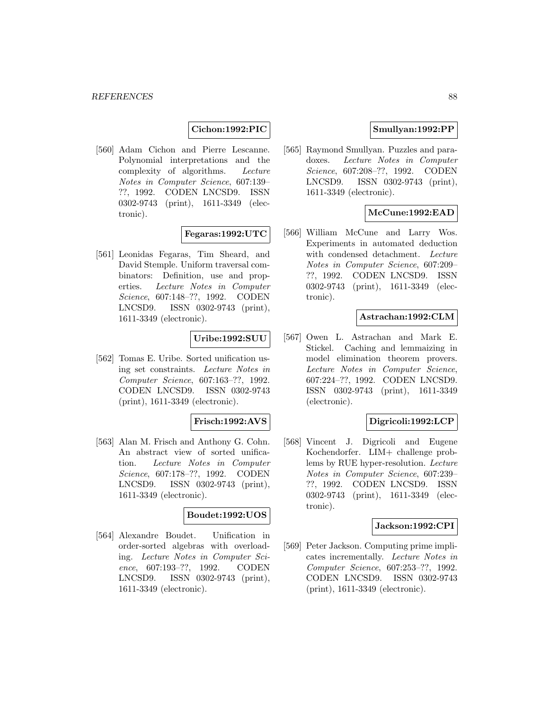# **Cichon:1992:PIC**

[560] Adam Cichon and Pierre Lescanne. Polynomial interpretations and the complexity of algorithms. Lecture Notes in Computer Science, 607:139– ??, 1992. CODEN LNCSD9. ISSN 0302-9743 (print), 1611-3349 (electronic).

### **Fegaras:1992:UTC**

[561] Leonidas Fegaras, Tim Sheard, and David Stemple. Uniform traversal combinators: Definition, use and properties. Lecture Notes in Computer Science, 607:148–??, 1992. CODEN LNCSD9. ISSN 0302-9743 (print), 1611-3349 (electronic).

### **Uribe:1992:SUU**

[562] Tomas E. Uribe. Sorted unification using set constraints. Lecture Notes in Computer Science, 607:163–??, 1992. CODEN LNCSD9. ISSN 0302-9743 (print), 1611-3349 (electronic).

#### **Frisch:1992:AVS**

[563] Alan M. Frisch and Anthony G. Cohn. An abstract view of sorted unification. Lecture Notes in Computer Science, 607:178–??, 1992. CODEN LNCSD9. ISSN 0302-9743 (print), 1611-3349 (electronic).

#### **Boudet:1992:UOS**

[564] Alexandre Boudet. Unification in order-sorted algebras with overloading. Lecture Notes in Computer Science, 607:193–??, 1992. CODEN LNCSD9. ISSN 0302-9743 (print), 1611-3349 (electronic).

## **Smullyan:1992:PP**

[565] Raymond Smullyan. Puzzles and paradoxes. Lecture Notes in Computer Science, 607:208–??, 1992. CODEN LNCSD9. ISSN 0302-9743 (print), 1611-3349 (electronic).

### **McCune:1992:EAD**

[566] William McCune and Larry Wos. Experiments in automated deduction with condensed detachment. Lecture Notes in Computer Science, 607:209– ??, 1992. CODEN LNCSD9. ISSN 0302-9743 (print), 1611-3349 (electronic).

#### **Astrachan:1992:CLM**

[567] Owen L. Astrachan and Mark E. Stickel. Caching and lemmaizing in model elimination theorem provers. Lecture Notes in Computer Science, 607:224–??, 1992. CODEN LNCSD9. ISSN 0302-9743 (print), 1611-3349 (electronic).

#### **Digricoli:1992:LCP**

[568] Vincent J. Digricoli and Eugene Kochendorfer. LIM+ challenge problems by RUE hyper-resolution. Lecture Notes in Computer Science, 607:239– ??, 1992. CODEN LNCSD9. ISSN 0302-9743 (print), 1611-3349 (electronic).

#### **Jackson:1992:CPI**

[569] Peter Jackson. Computing prime implicates incrementally. Lecture Notes in Computer Science, 607:253–??, 1992. CODEN LNCSD9. ISSN 0302-9743 (print), 1611-3349 (electronic).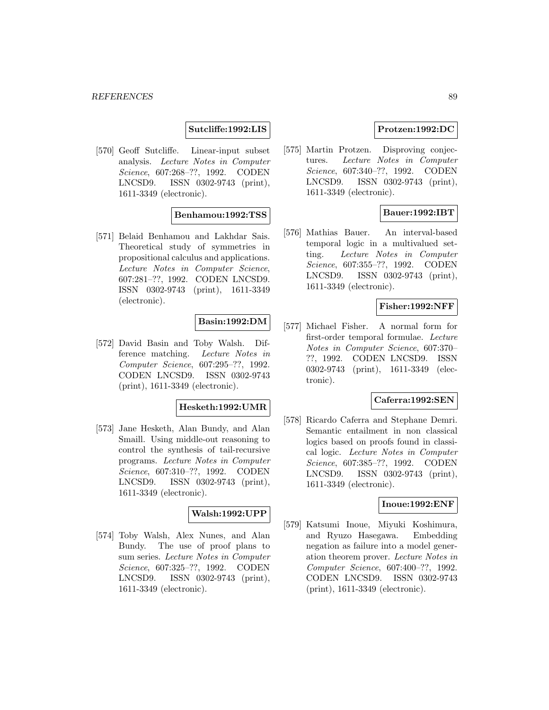## **Sutcliffe:1992:LIS**

[570] Geoff Sutcliffe. Linear-input subset analysis. Lecture Notes in Computer Science, 607:268–??, 1992. CODEN LNCSD9. ISSN 0302-9743 (print), 1611-3349 (electronic).

### **Benhamou:1992:TSS**

[571] Belaid Benhamou and Lakhdar Sais. Theoretical study of symmetries in propositional calculus and applications. Lecture Notes in Computer Science, 607:281–??, 1992. CODEN LNCSD9. ISSN 0302-9743 (print), 1611-3349 (electronic).

## **Basin:1992:DM**

[572] David Basin and Toby Walsh. Difference matching. Lecture Notes in Computer Science, 607:295–??, 1992. CODEN LNCSD9. ISSN 0302-9743 (print), 1611-3349 (electronic).

## **Hesketh:1992:UMR**

[573] Jane Hesketh, Alan Bundy, and Alan Smaill. Using middle-out reasoning to control the synthesis of tail-recursive programs. Lecture Notes in Computer Science, 607:310–??, 1992. CODEN LNCSD9. ISSN 0302-9743 (print), 1611-3349 (electronic).

## **Walsh:1992:UPP**

[574] Toby Walsh, Alex Nunes, and Alan Bundy. The use of proof plans to sum series. Lecture Notes in Computer Science, 607:325–??, 1992. CODEN LNCSD9. ISSN 0302-9743 (print), 1611-3349 (electronic).

## **Protzen:1992:DC**

[575] Martin Protzen. Disproving conjectures. Lecture Notes in Computer Science, 607:340–??, 1992. CODEN LNCSD9. ISSN 0302-9743 (print), 1611-3349 (electronic).

## **Bauer:1992:IBT**

[576] Mathias Bauer. An interval-based temporal logic in a multivalued setting. Lecture Notes in Computer Science, 607:355–??, 1992. CODEN LNCSD9. ISSN 0302-9743 (print), 1611-3349 (electronic).

## **Fisher:1992:NFF**

[577] Michael Fisher. A normal form for first-order temporal formulae. Lecture Notes in Computer Science, 607:370– ??, 1992. CODEN LNCSD9. ISSN 0302-9743 (print), 1611-3349 (electronic).

# **Caferra:1992:SEN**

[578] Ricardo Caferra and Stephane Demri. Semantic entailment in non classical logics based on proofs found in classical logic. Lecture Notes in Computer Science, 607:385–??, 1992. CODEN LNCSD9. ISSN 0302-9743 (print), 1611-3349 (electronic).

### **Inoue:1992:ENF**

[579] Katsumi Inoue, Miyuki Koshimura, and Ryuzo Hasegawa. Embedding negation as failure into a model generation theorem prover. Lecture Notes in Computer Science, 607:400–??, 1992. CODEN LNCSD9. ISSN 0302-9743 (print), 1611-3349 (electronic).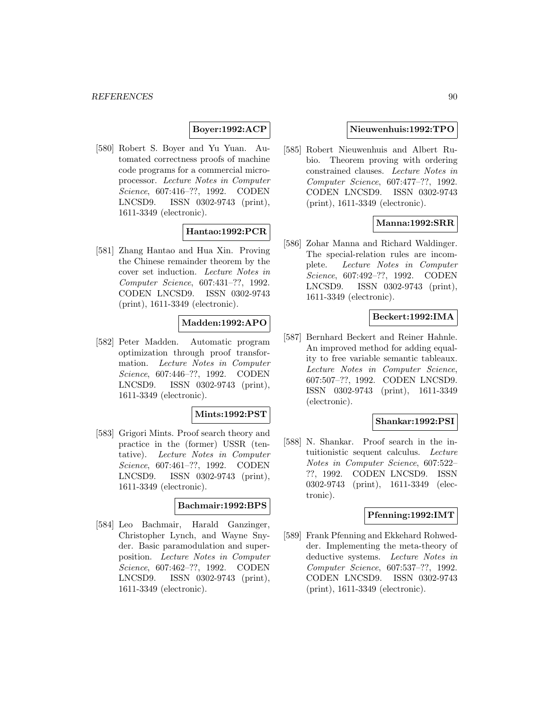# **Boyer:1992:ACP**

[580] Robert S. Boyer and Yu Yuan. Automated correctness proofs of machine code programs for a commercial microprocessor. Lecture Notes in Computer Science, 607:416–??, 1992. CODEN LNCSD9. ISSN 0302-9743 (print), 1611-3349 (electronic).

## **Hantao:1992:PCR**

[581] Zhang Hantao and Hua Xin. Proving the Chinese remainder theorem by the cover set induction. Lecture Notes in Computer Science, 607:431–??, 1992. CODEN LNCSD9. ISSN 0302-9743 (print), 1611-3349 (electronic).

## **Madden:1992:APO**

[582] Peter Madden. Automatic program optimization through proof transformation. Lecture Notes in Computer Science, 607:446–??, 1992. CODEN LNCSD9. ISSN 0302-9743 (print), 1611-3349 (electronic).

#### **Mints:1992:PST**

[583] Grigori Mints. Proof search theory and practice in the (former) USSR (tentative). Lecture Notes in Computer Science, 607:461–??, 1992. CODEN LNCSD9. ISSN 0302-9743 (print), 1611-3349 (electronic).

#### **Bachmair:1992:BPS**

[584] Leo Bachmair, Harald Ganzinger, Christopher Lynch, and Wayne Snyder. Basic paramodulation and superposition. Lecture Notes in Computer Science, 607:462–??, 1992. CODEN LNCSD9. ISSN 0302-9743 (print), 1611-3349 (electronic).

### **Nieuwenhuis:1992:TPO**

[585] Robert Nieuwenhuis and Albert Rubio. Theorem proving with ordering constrained clauses. Lecture Notes in Computer Science, 607:477–??, 1992. CODEN LNCSD9. ISSN 0302-9743 (print), 1611-3349 (electronic).

# **Manna:1992:SRR**

[586] Zohar Manna and Richard Waldinger. The special-relation rules are incomplete. Lecture Notes in Computer Science, 607:492–??, 1992. CODEN LNCSD9. ISSN 0302-9743 (print), 1611-3349 (electronic).

## **Beckert:1992:IMA**

[587] Bernhard Beckert and Reiner Hahnle. An improved method for adding equality to free variable semantic tableaux. Lecture Notes in Computer Science, 607:507–??, 1992. CODEN LNCSD9. ISSN 0302-9743 (print), 1611-3349 (electronic).

#### **Shankar:1992:PSI**

[588] N. Shankar. Proof search in the intuitionistic sequent calculus. Lecture Notes in Computer Science, 607:522– ??, 1992. CODEN LNCSD9. ISSN 0302-9743 (print), 1611-3349 (electronic).

#### **Pfenning:1992:IMT**

[589] Frank Pfenning and Ekkehard Rohwedder. Implementing the meta-theory of deductive systems. Lecture Notes in Computer Science, 607:537–??, 1992. CODEN LNCSD9. ISSN 0302-9743 (print), 1611-3349 (electronic).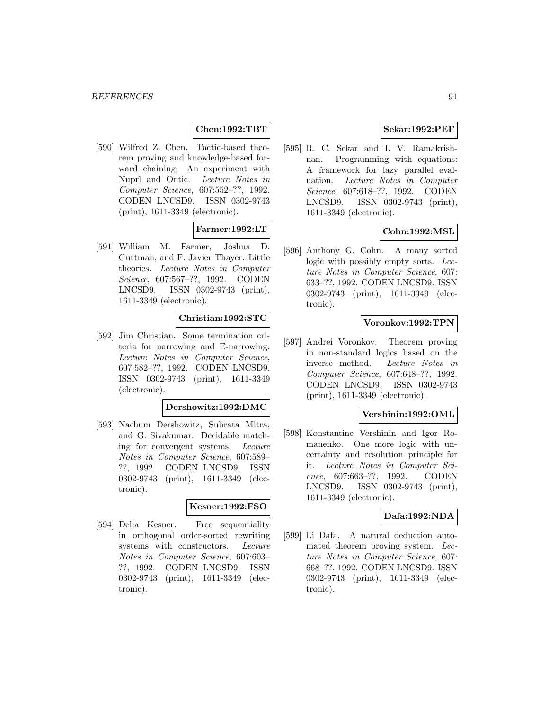## **Chen:1992:TBT**

[590] Wilfred Z. Chen. Tactic-based theorem proving and knowledge-based forward chaining: An experiment with Nuprl and Ontic. Lecture Notes in Computer Science, 607:552–??, 1992. CODEN LNCSD9. ISSN 0302-9743 (print), 1611-3349 (electronic).

## **Farmer:1992:LT**

[591] William M. Farmer, Joshua D. Guttman, and F. Javier Thayer. Little theories. Lecture Notes in Computer Science, 607:567–??, 1992. CODEN LNCSD9. ISSN 0302-9743 (print), 1611-3349 (electronic).

## **Christian:1992:STC**

[592] Jim Christian. Some termination criteria for narrowing and E-narrowing. Lecture Notes in Computer Science, 607:582–??, 1992. CODEN LNCSD9. ISSN 0302-9743 (print), 1611-3349 (electronic).

#### **Dershowitz:1992:DMC**

[593] Nachum Dershowitz, Subrata Mitra, and G. Sivakumar. Decidable matching for convergent systems. Lecture Notes in Computer Science, 607:589– ??, 1992. CODEN LNCSD9. ISSN 0302-9743 (print), 1611-3349 (electronic).

#### **Kesner:1992:FSO**

[594] Delia Kesner. Free sequentiality in orthogonal order-sorted rewriting systems with constructors. Lecture Notes in Computer Science, 607:603– ??, 1992. CODEN LNCSD9. ISSN 0302-9743 (print), 1611-3349 (electronic).

## **Sekar:1992:PEF**

[595] R. C. Sekar and I. V. Ramakrishnan. Programming with equations: A framework for lazy parallel evaluation. Lecture Notes in Computer Science, 607:618–??, 1992. CODEN LNCSD9. ISSN 0302-9743 (print), 1611-3349 (electronic).

## **Cohn:1992:MSL**

[596] Anthony G. Cohn. A many sorted logic with possibly empty sorts. Lecture Notes in Computer Science, 607: 633–??, 1992. CODEN LNCSD9. ISSN 0302-9743 (print), 1611-3349 (electronic).

## **Voronkov:1992:TPN**

[597] Andrei Voronkov. Theorem proving in non-standard logics based on the inverse method. Lecture Notes in Computer Science, 607:648–??, 1992. CODEN LNCSD9. ISSN 0302-9743 (print), 1611-3349 (electronic).

## **Vershinin:1992:OML**

[598] Konstantine Vershinin and Igor Romanenko. One more logic with uncertainty and resolution principle for it. Lecture Notes in Computer Science, 607:663–??, 1992. CODEN LNCSD9. ISSN 0302-9743 (print), 1611-3349 (electronic).

## **Dafa:1992:NDA**

[599] Li Dafa. A natural deduction automated theorem proving system. Lecture Notes in Computer Science, 607: 668–??, 1992. CODEN LNCSD9. ISSN 0302-9743 (print), 1611-3349 (electronic).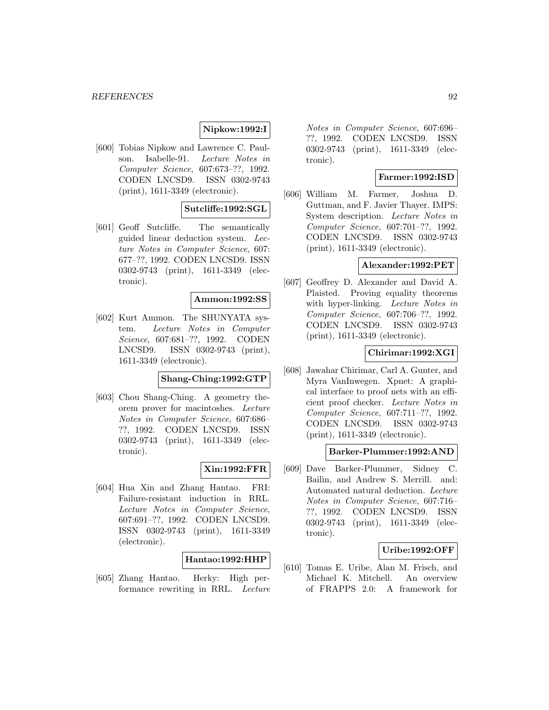## **Nipkow:1992:I**

[600] Tobias Nipkow and Lawrence C. Paulson. Isabelle-91. Lecture Notes in Computer Science, 607:673–??, 1992. CODEN LNCSD9. ISSN 0302-9743 (print), 1611-3349 (electronic).

## **Sutcliffe:1992:SGL**

[601] Geoff Sutcliffe. The semantically guided linear deduction system. Lecture Notes in Computer Science, 607: 677–??, 1992. CODEN LNCSD9. ISSN 0302-9743 (print), 1611-3349 (electronic).

#### **Ammon:1992:SS**

[602] Kurt Ammon. The SHUNYATA system. Lecture Notes in Computer Science, 607:681–??, 1992. CODEN LNCSD9. ISSN 0302-9743 (print), 1611-3349 (electronic).

## **Shang-Ching:1992:GTP**

[603] Chou Shang-Ching. A geometry theorem prover for macintoshes. Lecture Notes in Computer Science, 607:686– ??, 1992. CODEN LNCSD9. ISSN 0302-9743 (print), 1611-3349 (electronic).

## **Xin:1992:FFR**

[604] Hua Xin and Zhang Hantao. FRI: Failure-resistant induction in RRL. Lecture Notes in Computer Science, 607:691–??, 1992. CODEN LNCSD9. ISSN 0302-9743 (print), 1611-3349 (electronic).

#### **Hantao:1992:HHP**

[605] Zhang Hantao. Herky: High performance rewriting in RRL. Lecture

Notes in Computer Science, 607:696– ??, 1992. CODEN LNCSD9. ISSN 0302-9743 (print), 1611-3349 (electronic).

## **Farmer:1992:ISD**

[606] William M. Farmer, Joshua D. Guttman, and F. Javier Thayer. IMPS: System description. Lecture Notes in Computer Science, 607:701–??, 1992. CODEN LNCSD9. ISSN 0302-9743 (print), 1611-3349 (electronic).

## **Alexander:1992:PET**

[607] Geoffrey D. Alexander and David A. Plaisted. Proving equality theorems with hyper-linking. Lecture Notes in Computer Science, 607:706–??, 1992. CODEN LNCSD9. ISSN 0302-9743 (print), 1611-3349 (electronic).

#### **Chirimar:1992:XGI**

[608] Jawahar Chirimar, Carl A. Gunter, and Myra VanInwegen. Xpnet: A graphical interface to proof nets with an efficient proof checker. Lecture Notes in Computer Science, 607:711–??, 1992. CODEN LNCSD9. ISSN 0302-9743 (print), 1611-3349 (electronic).

#### **Barker-Plummer:1992:AND**

[609] Dave Barker-Plummer, Sidney C. Bailin, and Andrew S. Merrill. and: Automated natural deduction. Lecture Notes in Computer Science, 607:716– ??, 1992. CODEN LNCSD9. ISSN 0302-9743 (print), 1611-3349 (electronic).

## **Uribe:1992:OFF**

[610] Tomas E. Uribe, Alan M. Frisch, and Michael K. Mitchell. An overview of FRAPPS 2.0: A framework for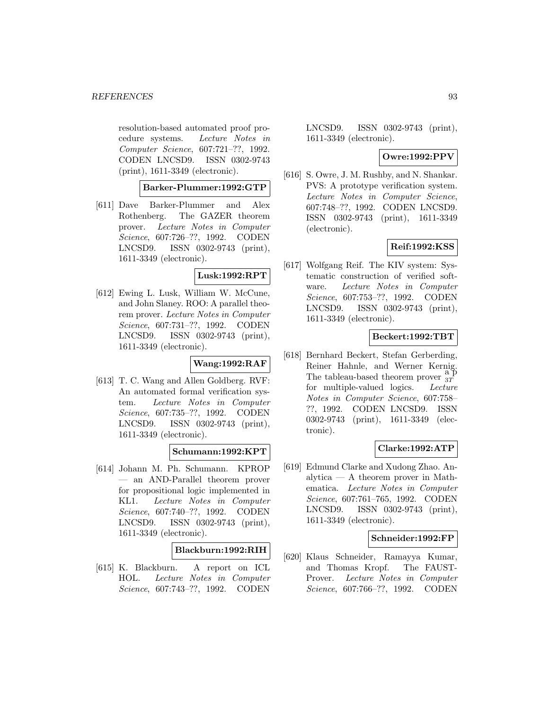resolution-based automated proof procedure systems. Lecture Notes in Computer Science, 607:721–??, 1992. CODEN LNCSD9. ISSN 0302-9743 (print), 1611-3349 (electronic).

## **Barker-Plummer:1992:GTP**

[611] Dave Barker-Plummer and Alex Rothenberg. The GAZER theorem prover. Lecture Notes in Computer Science, 607:726–??, 1992. CODEN LNCSD9. ISSN 0302-9743 (print), 1611-3349 (electronic).

## **Lusk:1992:RPT**

[612] Ewing L. Lusk, William W. McCune, and John Slaney. ROO: A parallel theorem prover. Lecture Notes in Computer Science, 607:731–??, 1992. CODEN LNCSD9. ISSN 0302-9743 (print), 1611-3349 (electronic).

## **Wang:1992:RAF**

[613] T. C. Wang and Allen Goldberg. RVF: An automated formal verification system. Lecture Notes in Computer Science, 607:735–??, 1992. CODEN LNCSD9. ISSN 0302-9743 (print), 1611-3349 (electronic).

## **Schumann:1992:KPT**

[614] Johann M. Ph. Schumann. KPROP — an AND-Parallel theorem prover for propositional logic implemented in KL1. Lecture Notes in Computer Science, 607:740–??, 1992. CODEN LNCSD9. ISSN 0302-9743 (print), 1611-3349 (electronic).

## **Blackburn:1992:RIH**

[615] K. Blackburn. A report on ICL HOL. Lecture Notes in Computer Science, 607:743–??, 1992. CODEN

LNCSD9. ISSN 0302-9743 (print), 1611-3349 (electronic).

## **Owre:1992:PPV**

[616] S. Owre, J. M. Rushby, and N. Shankar. PVS: A prototype verification system. Lecture Notes in Computer Science, 607:748–??, 1992. CODEN LNCSD9. ISSN 0302-9743 (print), 1611-3349 (electronic).

## **Reif:1992:KSS**

[617] Wolfgang Reif. The KIV system: Systematic construction of verified software. Lecture Notes in Computer Science, 607:753–??, 1992. CODEN LNCSD9. ISSN 0302-9743 (print), 1611-3349 (electronic).

## **Beckert:1992:TBT**

[618] Bernhard Beckert, Stefan Gerberding, Reiner Hahnle, and Werner Kernig. The tableau-based theorem prover  $\frac{a}{3T}$ for multiple-valued logics. Lecture Notes in Computer Science, 607:758– ??, 1992. CODEN LNCSD9. ISSN 0302-9743 (print), 1611-3349 (electronic).

## **Clarke:1992:ATP**

[619] Edmund Clarke and Xudong Zhao. Analytica — A theorem prover in Mathematica. Lecture Notes in Computer Science, 607:761–765, 1992. CODEN LNCSD9. ISSN 0302-9743 (print), 1611-3349 (electronic).

### **Schneider:1992:FP**

[620] Klaus Schneider, Ramayya Kumar, and Thomas Kropf. The FAUST-Prover. Lecture Notes in Computer Science, 607:766–??, 1992. CODEN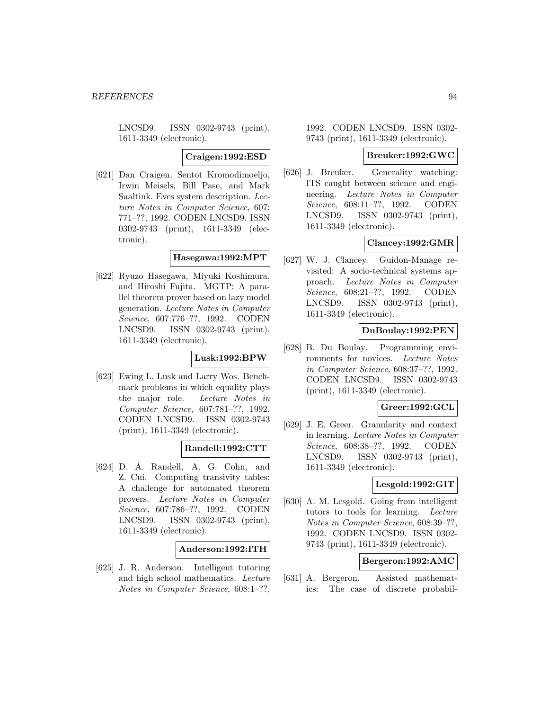LNCSD9. ISSN 0302-9743 (print), 1611-3349 (electronic).

#### **Craigen:1992:ESD**

[621] Dan Craigen, Sentot Kromodimoeljo, Irwin Meisels, Bill Pase, and Mark Saaltink. Eves system description. Lecture Notes in Computer Science, 607: 771–??, 1992. CODEN LNCSD9. ISSN 0302-9743 (print), 1611-3349 (electronic).

## **Hasegawa:1992:MPT**

[622] Ryuzo Hasegawa, Miyuki Koshimura, and Hiroshi Fujita. MGTP: A parallel theorem prover based on lazy model generation. Lecture Notes in Computer Science, 607:776–??, 1992. CODEN LNCSD9. ISSN 0302-9743 (print), 1611-3349 (electronic).

### **Lusk:1992:BPW**

[623] Ewing L. Lusk and Larry Wos. Benchmark problems in which equality plays the major role. Lecture Notes in Computer Science, 607:781–??, 1992. CODEN LNCSD9. ISSN 0302-9743 (print), 1611-3349 (electronic).

## **Randell:1992:CTT**

[624] D. A. Randell, A. G. Cohn, and Z. Cui. Computing transivity tables: A challenge for automated theorem provers. Lecture Notes in Computer Science, 607:786–??, 1992. CODEN LNCSD9. ISSN 0302-9743 (print), 1611-3349 (electronic).

#### **Anderson:1992:ITH**

[625] J. R. Anderson. Intelligent tutoring and high school mathematics. Lecture Notes in Computer Science, 608:1–??,

## 1992. CODEN LNCSD9. ISSN 0302- 9743 (print), 1611-3349 (electronic).

#### **Breuker:1992:GWC**

[626] J. Breuker. Generality watching: ITS caught between science and engineering. Lecture Notes in Computer Science, 608:11–??, 1992. CODEN LNCSD9. ISSN 0302-9743 (print), 1611-3349 (electronic).

### **Clancey:1992:GMR**

[627] W. J. Clancey. Guidon-Manage revisited: A socio-technical systems approach. Lecture Notes in Computer Science, 608:21–??, 1992. CODEN LNCSD9. ISSN 0302-9743 (print), 1611-3349 (electronic).

### **DuBoulay:1992:PEN**

[628] B. Du Boulay. Programming environments for novices. Lecture Notes in Computer Science, 608:37–??, 1992. CODEN LNCSD9. ISSN 0302-9743 (print), 1611-3349 (electronic).

### **Greer:1992:GCL**

[629] J. E. Greer. Granularity and context in learning. Lecture Notes in Computer Science, 608:38–??, 1992. CODEN LNCSD9. ISSN 0302-9743 (print), 1611-3349 (electronic).

## **Lesgold:1992:GIT**

[630] A. M. Lesgold. Going from intelligent tutors to tools for learning. Lecture Notes in Computer Science, 608:39–??, 1992. CODEN LNCSD9. ISSN 0302- 9743 (print), 1611-3349 (electronic).

## **Bergeron:1992:AMC**

[631] A. Bergeron. Assisted mathematics: The case of discrete probabil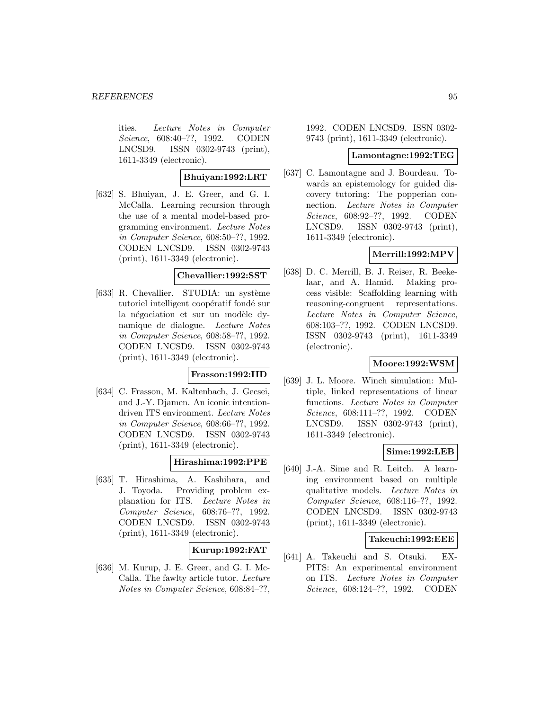ities. Lecture Notes in Computer Science, 608:40–??, 1992. CODEN LNCSD9. ISSN 0302-9743 (print), 1611-3349 (electronic).

## **Bhuiyan:1992:LRT**

[632] S. Bhuiyan, J. E. Greer, and G. I. McCalla. Learning recursion through the use of a mental model-based programming environment. Lecture Notes in Computer Science, 608:50–??, 1992. CODEN LNCSD9. ISSN 0302-9743 (print), 1611-3349 (electronic).

#### **Chevallier:1992:SST**

[633] R. Chevallier. STUDIA: un système tutoriel intelligent coopératif fondé sur la négociation et sur un modèle dynamique de dialogue. Lecture Notes in Computer Science, 608:58–??, 1992. CODEN LNCSD9. ISSN 0302-9743 (print), 1611-3349 (electronic).

# **Frasson:1992:IID**

[634] C. Frasson, M. Kaltenbach, J. Gecsei, and J.-Y. Djamen. An iconic intentiondriven ITS environment. Lecture Notes in Computer Science, 608:66–??, 1992. CODEN LNCSD9. ISSN 0302-9743 (print), 1611-3349 (electronic).

## **Hirashima:1992:PPE**

[635] T. Hirashima, A. Kashihara, and J. Toyoda. Providing problem explanation for ITS. Lecture Notes in Computer Science, 608:76–??, 1992. CODEN LNCSD9. ISSN 0302-9743 (print), 1611-3349 (electronic).

# **Kurup:1992:FAT**

[636] M. Kurup, J. E. Greer, and G. I. Mc-Calla. The fawlty article tutor. Lecture Notes in Computer Science, 608:84–??,

1992. CODEN LNCSD9. ISSN 0302- 9743 (print), 1611-3349 (electronic).

#### **Lamontagne:1992:TEG**

[637] C. Lamontagne and J. Bourdeau. Towards an epistemology for guided discovery tutoring: The popperian connection. Lecture Notes in Computer Science, 608:92–??, 1992. CODEN LNCSD9. ISSN 0302-9743 (print), 1611-3349 (electronic).

## **Merrill:1992:MPV**

[638] D. C. Merrill, B. J. Reiser, R. Beekelaar, and A. Hamid. Making process visible: Scaffolding learning with reasoning-congruent representations. Lecture Notes in Computer Science, 608:103–??, 1992. CODEN LNCSD9. ISSN 0302-9743 (print), 1611-3349 (electronic).

## **Moore:1992:WSM**

[639] J. L. Moore. Winch simulation: Multiple, linked representations of linear functions. Lecture Notes in Computer Science, 608:111–??, 1992. CODEN LNCSD9. ISSN 0302-9743 (print), 1611-3349 (electronic).

## **Sime:1992:LEB**

[640] J.-A. Sime and R. Leitch. A learning environment based on multiple qualitative models. Lecture Notes in Computer Science, 608:116–??, 1992. CODEN LNCSD9. ISSN 0302-9743 (print), 1611-3349 (electronic).

#### **Takeuchi:1992:EEE**

[641] A. Takeuchi and S. Otsuki. EX-PITS: An experimental environment on ITS. Lecture Notes in Computer Science, 608:124–??, 1992. CODEN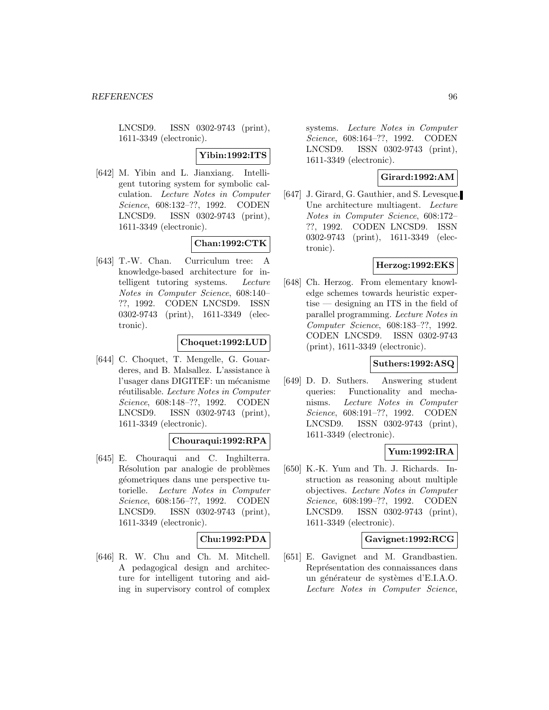LNCSD9. ISSN 0302-9743 (print), 1611-3349 (electronic).

## **Yibin:1992:ITS**

[642] M. Yibin and L. Jianxiang. Intelligent tutoring system for symbolic calculation. Lecture Notes in Computer Science, 608:132–??, 1992. CODEN LNCSD9. ISSN 0302-9743 (print), 1611-3349 (electronic).

## **Chan:1992:CTK**

[643] T.-W. Chan. Curriculum tree: A knowledge-based architecture for intelligent tutoring systems. Lecture Notes in Computer Science, 608:140– ??, 1992. CODEN LNCSD9. ISSN 0302-9743 (print), 1611-3349 (electronic).

# **Choquet:1992:LUD**

[644] C. Choquet, T. Mengelle, G. Gouarderes, and B. Malsallez. L'assistance à l'usager dans DIGITEF: un mécanisme réutilisable. Lecture Notes in Computer Science, 608:148–??, 1992. CODEN LNCSD9. ISSN 0302-9743 (print), 1611-3349 (electronic).

## **Chouraqui:1992:RPA**

[645] E. Chouraqui and C. Inghilterra. Résolution par analogie de problèmes géometriques dans une perspective tutorielle. Lecture Notes in Computer Science, 608:156–??, 1992. CODEN LNCSD9. ISSN 0302-9743 (print), 1611-3349 (electronic).

## **Chu:1992:PDA**

[646] R. W. Chu and Ch. M. Mitchell. A pedagogical design and architecture for intelligent tutoring and aiding in supervisory control of complex

systems. Lecture Notes in Computer Science, 608:164–??, 1992. CODEN LNCSD9. ISSN 0302-9743 (print), 1611-3349 (electronic).

# **Girard:1992:AM**

[647] J. Girard, G. Gauthier, and S. Levesque. Une architecture multiagent. Lecture Notes in Computer Science, 608:172– ??, 1992. CODEN LNCSD9. ISSN 0302-9743 (print), 1611-3349 (electronic).

## **Herzog:1992:EKS**

[648] Ch. Herzog. From elementary knowledge schemes towards heuristic expertise — designing an ITS in the field of parallel programming. Lecture Notes in Computer Science, 608:183–??, 1992. CODEN LNCSD9. ISSN 0302-9743 (print), 1611-3349 (electronic).

## **Suthers:1992:ASQ**

[649] D. D. Suthers. Answering student queries: Functionality and mechanisms. Lecture Notes in Computer Science, 608:191–??, 1992. CODEN LNCSD9. ISSN 0302-9743 (print), 1611-3349 (electronic).

## **Yum:1992:IRA**

[650] K.-K. Yum and Th. J. Richards. Instruction as reasoning about multiple objectives. Lecture Notes in Computer Science, 608:199–??, 1992. CODEN LNCSD9. ISSN 0302-9743 (print), 1611-3349 (electronic).

## **Gavignet:1992:RCG**

[651] E. Gavignet and M. Grandbastien. Représentation des connaissances dans un générateur de systèmes d'E.I.A.O. Lecture Notes in Computer Science,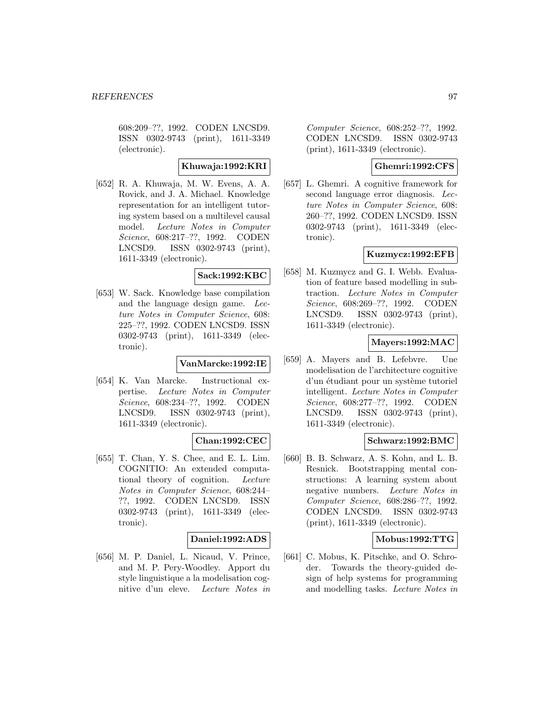608:209–??, 1992. CODEN LNCSD9. ISSN 0302-9743 (print), 1611-3349 (electronic).

## **Khuwaja:1992:KRI**

[652] R. A. Khuwaja, M. W. Evens, A. A. Rovick, and J. A. Michael. Knowledge representation for an intelligent tutoring system based on a multilevel causal model. Lecture Notes in Computer Science, 608:217–??, 1992. CODEN LNCSD9. ISSN 0302-9743 (print), 1611-3349 (electronic).

## **Sack:1992:KBC**

[653] W. Sack. Knowledge base compilation and the language design game. Lecture Notes in Computer Science, 608: 225–??, 1992. CODEN LNCSD9. ISSN 0302-9743 (print), 1611-3349 (electronic).

## **VanMarcke:1992:IE**

[654] K. Van Marcke. Instructional expertise. Lecture Notes in Computer Science, 608:234–??, 1992. CODEN LNCSD9. ISSN 0302-9743 (print), 1611-3349 (electronic).

## **Chan:1992:CEC**

[655] T. Chan, Y. S. Chee, and E. L. Lim. COGNITIO: An extended computational theory of cognition. Lecture Notes in Computer Science, 608:244– ??, 1992. CODEN LNCSD9. ISSN 0302-9743 (print), 1611-3349 (electronic).

## **Daniel:1992:ADS**

[656] M. P. Daniel, L. Nicaud, V. Prince, and M. P. Pery-Woodley. Apport du style linguistique a la modelisation cognitive d'un eleve. Lecture Notes in

Computer Science, 608:252–??, 1992. CODEN LNCSD9. ISSN 0302-9743 (print), 1611-3349 (electronic).

## **Ghemri:1992:CFS**

[657] L. Ghemri. A cognitive framework for second language error diagnosis. Lecture Notes in Computer Science, 608: 260–??, 1992. CODEN LNCSD9. ISSN 0302-9743 (print), 1611-3349 (electronic).

## **Kuzmycz:1992:EFB**

[658] M. Kuzmycz and G. I. Webb. Evaluation of feature based modelling in subtraction. Lecture Notes in Computer Science, 608:269–??, 1992. CODEN LNCSD9. ISSN 0302-9743 (print), 1611-3349 (electronic).

## **Mayers:1992:MAC**

[659] A. Mayers and B. Lefebvre. Une modelisation de l'architecture cognitive d'un étudiant pour un système tutoriel intelligent. Lecture Notes in Computer Science, 608:277–??, 1992. CODEN LNCSD9. ISSN 0302-9743 (print), 1611-3349 (electronic).

## **Schwarz:1992:BMC**

[660] B. B. Schwarz, A. S. Kohn, and L. B. Resnick. Bootstrapping mental constructions: A learning system about negative numbers. Lecture Notes in Computer Science, 608:286–??, 1992. CODEN LNCSD9. ISSN 0302-9743 (print), 1611-3349 (electronic).

## **Mobus:1992:TTG**

[661] C. Mobus, K. Pitschke, and O. Schroder. Towards the theory-guided design of help systems for programming and modelling tasks. Lecture Notes in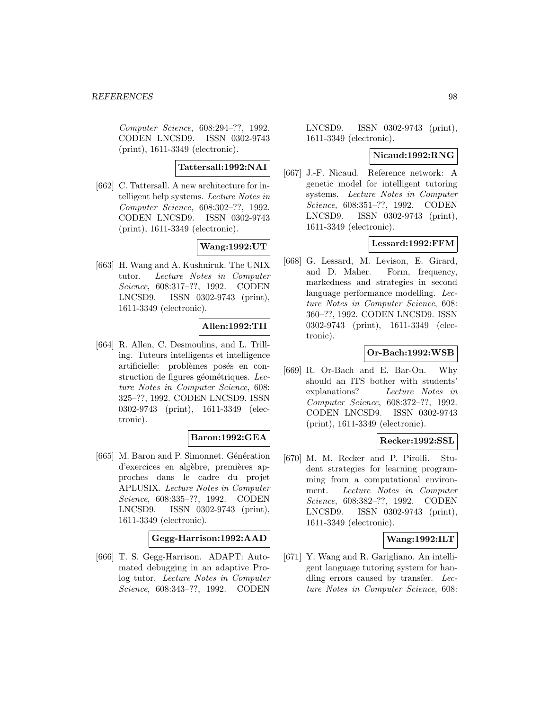Computer Science, 608:294–??, 1992. CODEN LNCSD9. ISSN 0302-9743 (print), 1611-3349 (electronic).

**Tattersall:1992:NAI**

[662] C. Tattersall. A new architecture for intelligent help systems. Lecture Notes in Computer Science, 608:302–??, 1992. CODEN LNCSD9. ISSN 0302-9743 (print), 1611-3349 (electronic).

# **Wang:1992:UT**

[663] H. Wang and A. Kushniruk. The UNIX tutor. Lecture Notes in Computer Science, 608:317–??, 1992. CODEN LNCSD9. ISSN 0302-9743 (print), 1611-3349 (electronic).

## **Allen:1992:TII**

[664] R. Allen, C. Desmoulins, and L. Trilling. Tuteurs intelligents et intelligence artificielle: problèmes posés en construction de figures géométriques. Lecture Notes in Computer Science, 608: 325–??, 1992. CODEN LNCSD9. ISSN 0302-9743 (print), 1611-3349 (electronic).

## **Baron:1992:GEA**

[665] M. Baron and P. Simonnet. Génération d'exercices en algèbre, premières approches dans le cadre du projet APLUSIX. Lecture Notes in Computer Science, 608:335–??, 1992. CODEN LNCSD9. ISSN 0302-9743 (print), 1611-3349 (electronic).

#### **Gegg-Harrison:1992:AAD**

[666] T. S. Gegg-Harrison. ADAPT: Automated debugging in an adaptive Prolog tutor. Lecture Notes in Computer Science, 608:343–??, 1992. CODEN

LNCSD9. ISSN 0302-9743 (print), 1611-3349 (electronic).

### **Nicaud:1992:RNG**

[667] J.-F. Nicaud. Reference network: A genetic model for intelligent tutoring systems. Lecture Notes in Computer Science, 608:351–??, 1992. CODEN LNCSD9. ISSN 0302-9743 (print), 1611-3349 (electronic).

## **Lessard:1992:FFM**

[668] G. Lessard, M. Levison, E. Girard, and D. Maher. Form, frequency, markedness and strategies in second language performance modelling. Lecture Notes in Computer Science, 608: 360–??, 1992. CODEN LNCSD9. ISSN 0302-9743 (print), 1611-3349 (electronic).

### **Or-Bach:1992:WSB**

[669] R. Or-Bach and E. Bar-On. Why should an ITS bother with students' explanations? Lecture Notes in Computer Science, 608:372–??, 1992. CODEN LNCSD9. ISSN 0302-9743 (print), 1611-3349 (electronic).

#### **Recker:1992:SSL**

[670] M. M. Recker and P. Pirolli. Student strategies for learning programming from a computational environment. Lecture Notes in Computer Science, 608:382–??, 1992. CODEN LNCSD9. ISSN 0302-9743 (print), 1611-3349 (electronic).

### **Wang:1992:ILT**

[671] Y. Wang and R. Garigliano. An intelligent language tutoring system for handling errors caused by transfer. Lecture Notes in Computer Science, 608: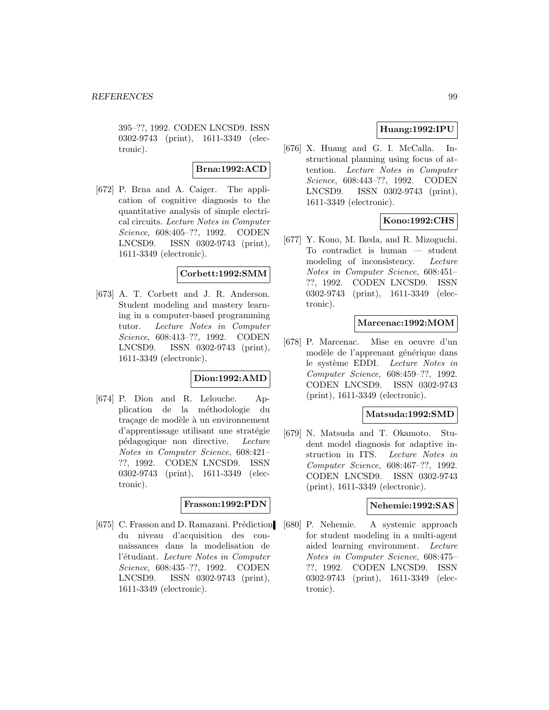395–??, 1992. CODEN LNCSD9. ISSN 0302-9743 (print), 1611-3349 (electronic).

**Brna:1992:ACD**

[672] P. Brna and A. Caiger. The application of cognitive diagnosis to the quantitative analysis of simple electrical circuits. Lecture Notes in Computer Science, 608:405–??, 1992. CODEN LNCSD9. ISSN 0302-9743 (print), 1611-3349 (electronic).

## **Corbett:1992:SMM**

[673] A. T. Corbett and J. R. Anderson. Student modeling and mastery learning in a computer-based programming tutor. Lecture Notes in Computer Science, 608:413–??, 1992. CODEN LNCSD9. ISSN 0302-9743 (print), 1611-3349 (electronic).

# **Dion:1992:AMD**

[674] P. Dion and R. Lelouche. Application de la méthodologie du traçage de modèle à un environnement d'apprentissage utilisant une stratégie p´edagogique non directive. Lecture Notes in Computer Science, 608:421– ??, 1992. CODEN LNCSD9. ISSN 0302-9743 (print), 1611-3349 (electronic).

#### **Frasson:1992:PDN**

[675] C. Frasson and D. Ramazani. Prédiction du niveau d'acquisition des connaissances dans la modelisation de l'étudiant. Lecture Notes in Computer Science, 608:435–??, 1992. CODEN LNCSD9. ISSN 0302-9743 (print), 1611-3349 (electronic).

## **Huang:1992:IPU**

[676] X. Huang and G. I. McCalla. Instructional planning using focus of attention. Lecture Notes in Computer Science, 608:443–??, 1992. CODEN LNCSD9. ISSN 0302-9743 (print), 1611-3349 (electronic).

# **Kono:1992:CHS**

[677] Y. Kono, M. Ikeda, and R. Mizoguchi. To contradict is human — student modeling of inconsistency. Lecture Notes in Computer Science, 608:451– ??, 1992. CODEN LNCSD9. ISSN 0302-9743 (print), 1611-3349 (electronic).

## **Marcenac:1992:MOM**

[678] P. Marcenac. Mise en oeuvre d'un modèle de l'apprenant générique dans le système EDDI. Lecture Notes in Computer Science, 608:459–??, 1992. CODEN LNCSD9. ISSN 0302-9743 (print), 1611-3349 (electronic).

## **Matsuda:1992:SMD**

[679] N. Matsuda and T. Okamoto. Student model diagnosis for adaptive instruction in ITS. Lecture Notes in Computer Science, 608:467–??, 1992. CODEN LNCSD9. ISSN 0302-9743 (print), 1611-3349 (electronic).

## **Nehemie:1992:SAS**

[680] P. Nehemie. A systemic approach for student modeling in a multi-agent aided learning environment. Lecture Notes in Computer Science, 608:475– ??, 1992. CODEN LNCSD9. ISSN 0302-9743 (print), 1611-3349 (electronic).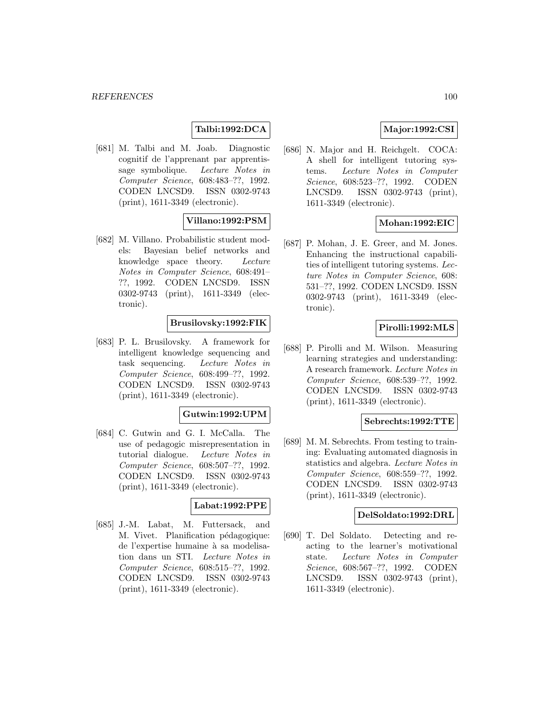# **Talbi:1992:DCA**

[681] M. Talbi and M. Joab. Diagnostic cognitif de l'apprenant par apprentissage symbolique. Lecture Notes in Computer Science, 608:483–??, 1992. CODEN LNCSD9. ISSN 0302-9743 (print), 1611-3349 (electronic).

# **Villano:1992:PSM**

[682] M. Villano. Probabilistic student models: Bayesian belief networks and knowledge space theory. Lecture Notes in Computer Science, 608:491– ??, 1992. CODEN LNCSD9. ISSN 0302-9743 (print), 1611-3349 (electronic).

## **Brusilovsky:1992:FIK**

[683] P. L. Brusilovsky. A framework for intelligent knowledge sequencing and task sequencing. Lecture Notes in Computer Science, 608:499–??, 1992. CODEN LNCSD9. ISSN 0302-9743 (print), 1611-3349 (electronic).

## **Gutwin:1992:UPM**

[684] C. Gutwin and G. I. McCalla. The use of pedagogic misrepresentation in tutorial dialogue. Lecture Notes in Computer Science, 608:507–??, 1992. CODEN LNCSD9. ISSN 0302-9743 (print), 1611-3349 (electronic).

#### **Labat:1992:PPE**

[685] J.-M. Labat, M. Futtersack, and M. Vivet. Planification pédagogique: de l'expertise humaine à sa modelisation dans un STI. Lecture Notes in Computer Science, 608:515–??, 1992. CODEN LNCSD9. ISSN 0302-9743 (print), 1611-3349 (electronic).

# **Major:1992:CSI**

[686] N. Major and H. Reichgelt. COCA: A shell for intelligent tutoring systems. Lecture Notes in Computer Science, 608:523–??, 1992. CODEN LNCSD9. ISSN 0302-9743 (print), 1611-3349 (electronic).

## **Mohan:1992:EIC**

[687] P. Mohan, J. E. Greer, and M. Jones. Enhancing the instructional capabilities of intelligent tutoring systems. Lecture Notes in Computer Science, 608: 531–??, 1992. CODEN LNCSD9. ISSN 0302-9743 (print), 1611-3349 (electronic).

## **Pirolli:1992:MLS**

[688] P. Pirolli and M. Wilson. Measuring learning strategies and understanding: A research framework. Lecture Notes in Computer Science, 608:539–??, 1992. CODEN LNCSD9. ISSN 0302-9743 (print), 1611-3349 (electronic).

#### **Sebrechts:1992:TTE**

[689] M. M. Sebrechts. From testing to training: Evaluating automated diagnosis in statistics and algebra. Lecture Notes in Computer Science, 608:559–??, 1992. CODEN LNCSD9. ISSN 0302-9743 (print), 1611-3349 (electronic).

#### **DelSoldato:1992:DRL**

[690] T. Del Soldato. Detecting and reacting to the learner's motivational state. Lecture Notes in Computer Science, 608:567–??, 1992. CODEN LNCSD9. ISSN 0302-9743 (print), 1611-3349 (electronic).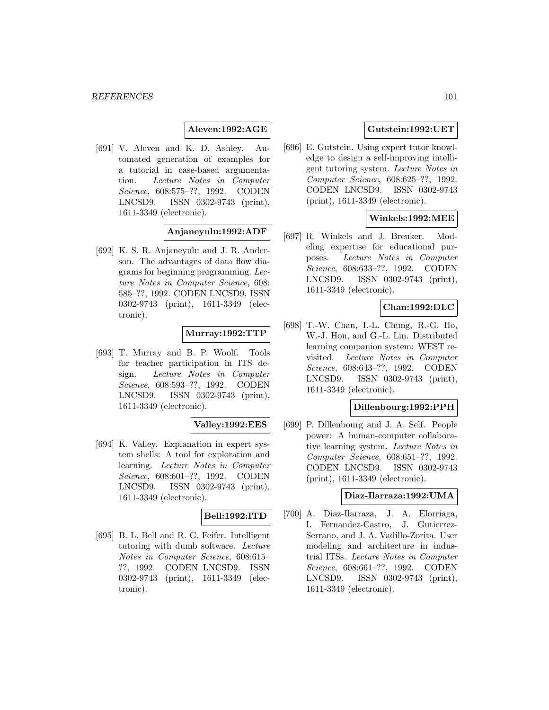## **Aleven:1992:AGE**

[691] V. Aleven and K. D. Ashley. Automated generation of examples for a tutorial in case-based argumentation. Lecture Notes in Computer Science, 608:575–??, 1992. CODEN LNCSD9. ISSN 0302-9743 (print), 1611-3349 (electronic).

# **Anjaneyulu:1992:ADF**

[692] K. S. R. Anjaneyulu and J. R. Anderson. The advantages of data flow diagrams for beginning programming. Lecture Notes in Computer Science, 608: 585–??, 1992. CODEN LNCSD9. ISSN 0302-9743 (print), 1611-3349 (electronic).

## **Murray:1992:TTP**

[693] T. Murray and B. P. Woolf. Tools for teacher participation in ITS design. Lecture Notes in Computer Science, 608:593–??, 1992. CODEN LNCSD9. ISSN 0302-9743 (print), 1611-3349 (electronic).

## **Valley:1992:EES**

[694] K. Valley. Explanation in expert system shells: A tool for exploration and learning. Lecture Notes in Computer Science, 608:601–??, 1992. CODEN LNCSD9. ISSN 0302-9743 (print), 1611-3349 (electronic).

## **Bell:1992:ITD**

[695] B. L. Bell and R. G. Feifer. Intelligent tutoring with dumb software. Lecture Notes in Computer Science, 608:615– ??, 1992. CODEN LNCSD9. ISSN 0302-9743 (print), 1611-3349 (electronic).

## **Gutstein:1992:UET**

[696] E. Gutstein. Using expert tutor knowledge to design a self-improving intelligent tutoring system. Lecture Notes in Computer Science, 608:625–??, 1992. CODEN LNCSD9. ISSN 0302-9743 (print), 1611-3349 (electronic).

## **Winkels:1992:MEE**

[697] R. Winkels and J. Breuker. Modeling expertise for educational purposes. Lecture Notes in Computer Science, 608:633–??, 1992. CODEN LNCSD9. ISSN 0302-9743 (print), 1611-3349 (electronic).

## **Chan:1992:DLC**

[698] T.-W. Chan, I.-L. Chung, R.-G. Ho, W.-J. Hou, and G.-L. Lin. Distributed learning companion system: WEST revisited. Lecture Notes in Computer Science, 608:643–??, 1992. CODEN LNCSD9. ISSN 0302-9743 (print), 1611-3349 (electronic).

### **Dillenbourg:1992:PPH**

[699] P. Dillenbourg and J. A. Self. People power: A human-computer collaborative learning system. Lecture Notes in Computer Science, 608:651–??, 1992. CODEN LNCSD9. ISSN 0302-9743 (print), 1611-3349 (electronic).

#### **Diaz-Ilarraza:1992:UMA**

[700] A. Diaz-Ilarraza, J. A. Elorriaga, I. Fernandez-Castro, J. Gutierrez-Serrano, and J. A. Vadillo-Zorita. User modeling and architecture in industrial ITSs. Lecture Notes in Computer Science, 608:661–??, 1992. CODEN LNCSD9. ISSN 0302-9743 (print), 1611-3349 (electronic).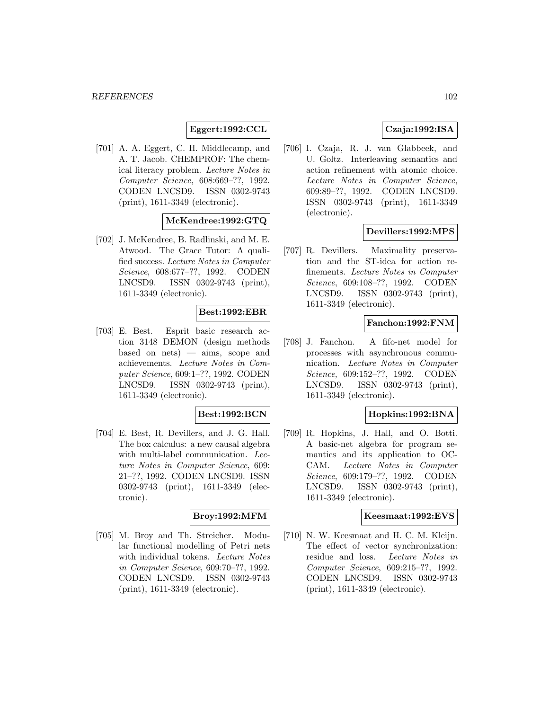# **Eggert:1992:CCL**

[701] A. A. Eggert, C. H. Middlecamp, and A. T. Jacob. CHEMPROF: The chemical literacy problem. Lecture Notes in Computer Science, 608:669–??, 1992. CODEN LNCSD9. ISSN 0302-9743 (print), 1611-3349 (electronic).

# **McKendree:1992:GTQ**

[702] J. McKendree, B. Radlinski, and M. E. Atwood. The Grace Tutor: A qualified success. Lecture Notes in Computer Science, 608:677–??, 1992. CODEN LNCSD9. ISSN 0302-9743 (print), 1611-3349 (electronic).

## **Best:1992:EBR**

[703] E. Best. Esprit basic research action 3148 DEMON (design methods based on nets) — aims, scope and achievements. Lecture Notes in Computer Science, 609:1–??, 1992. CODEN LNCSD9. ISSN 0302-9743 (print), 1611-3349 (electronic).

#### **Best:1992:BCN**

[704] E. Best, R. Devillers, and J. G. Hall. The box calculus: a new causal algebra with multi-label communication. Lecture Notes in Computer Science, 609: 21–??, 1992. CODEN LNCSD9. ISSN 0302-9743 (print), 1611-3349 (electronic).

## **Broy:1992:MFM**

[705] M. Broy and Th. Streicher. Modular functional modelling of Petri nets with individual tokens. Lecture Notes in Computer Science, 609:70–??, 1992. CODEN LNCSD9. ISSN 0302-9743 (print), 1611-3349 (electronic).

## **Czaja:1992:ISA**

[706] I. Czaja, R. J. van Glabbeek, and U. Goltz. Interleaving semantics and action refinement with atomic choice. Lecture Notes in Computer Science, 609:89–??, 1992. CODEN LNCSD9. ISSN 0302-9743 (print), 1611-3349 (electronic).

# **Devillers:1992:MPS**

[707] R. Devillers. Maximality preservation and the ST-idea for action refinements. Lecture Notes in Computer Science, 609:108–??, 1992. CODEN LNCSD9. ISSN 0302-9743 (print), 1611-3349 (electronic).

## **Fanchon:1992:FNM**

[708] J. Fanchon. A fifo-net model for processes with asynchronous communication. Lecture Notes in Computer Science, 609:152–??, 1992. CODEN LNCSD9. ISSN 0302-9743 (print), 1611-3349 (electronic).

## **Hopkins:1992:BNA**

[709] R. Hopkins, J. Hall, and O. Botti. A basic-net algebra for program semantics and its application to OC-CAM. Lecture Notes in Computer Science, 609:179–??, 1992. CODEN LNCSD9. ISSN 0302-9743 (print), 1611-3349 (electronic).

## **Keesmaat:1992:EVS**

[710] N. W. Keesmaat and H. C. M. Kleijn. The effect of vector synchronization: residue and loss. Lecture Notes in Computer Science, 609:215–??, 1992. CODEN LNCSD9. ISSN 0302-9743 (print), 1611-3349 (electronic).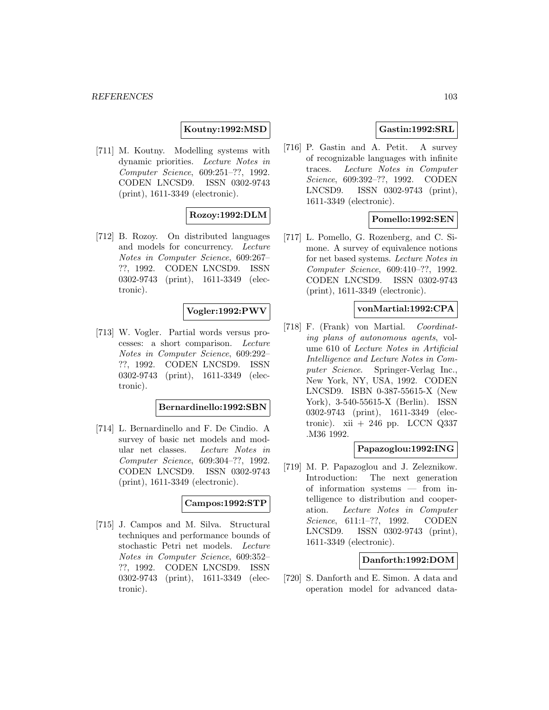## **Koutny:1992:MSD**

[711] M. Koutny. Modelling systems with dynamic priorities. Lecture Notes in Computer Science, 609:251–??, 1992. CODEN LNCSD9. ISSN 0302-9743 (print), 1611-3349 (electronic).

## **Rozoy:1992:DLM**

[712] B. Rozoy. On distributed languages and models for concurrency. Lecture Notes in Computer Science, 609:267– ??, 1992. CODEN LNCSD9. ISSN 0302-9743 (print), 1611-3349 (electronic).

# **Vogler:1992:PWV**

[713] W. Vogler. Partial words versus processes: a short comparison. Lecture Notes in Computer Science, 609:292– ??, 1992. CODEN LNCSD9. ISSN 0302-9743 (print), 1611-3349 (electronic).

## **Bernardinello:1992:SBN**

[714] L. Bernardinello and F. De Cindio. A survey of basic net models and modular net classes. Lecture Notes in Computer Science, 609:304–??, 1992. CODEN LNCSD9. ISSN 0302-9743 (print), 1611-3349 (electronic).

#### **Campos:1992:STP**

[715] J. Campos and M. Silva. Structural techniques and performance bounds of stochastic Petri net models. Lecture Notes in Computer Science, 609:352– ??, 1992. CODEN LNCSD9. ISSN 0302-9743 (print), 1611-3349 (electronic).

## **Gastin:1992:SRL**

[716] P. Gastin and A. Petit. A survey of recognizable languages with infinite traces. Lecture Notes in Computer Science, 609:392–??, 1992. CODEN LNCSD9. ISSN 0302-9743 (print), 1611-3349 (electronic).

## **Pomello:1992:SEN**

[717] L. Pomello, G. Rozenberg, and C. Simone. A survey of equivalence notions for net based systems. Lecture Notes in Computer Science, 609:410–??, 1992. CODEN LNCSD9. ISSN 0302-9743 (print), 1611-3349 (electronic).

### **vonMartial:1992:CPA**

[718] F. (Frank) von Martial. Coordinating plans of autonomous agents, volume 610 of Lecture Notes in Artificial Intelligence and Lecture Notes in Computer Science. Springer-Verlag Inc., New York, NY, USA, 1992. CODEN LNCSD9. ISBN 0-387-55615-X (New York), 3-540-55615-X (Berlin). ISSN 0302-9743 (print), 1611-3349 (electronic). xii + 246 pp. LCCN  $Q337$ .M36 1992.

#### **Papazoglou:1992:ING**

[719] M. P. Papazoglou and J. Zeleznikow. Introduction: The next generation of information systems — from intelligence to distribution and cooperation. Lecture Notes in Computer Science, 611:1–??, 1992. CODEN LNCSD9. ISSN 0302-9743 (print), 1611-3349 (electronic).

## **Danforth:1992:DOM**

[720] S. Danforth and E. Simon. A data and operation model for advanced data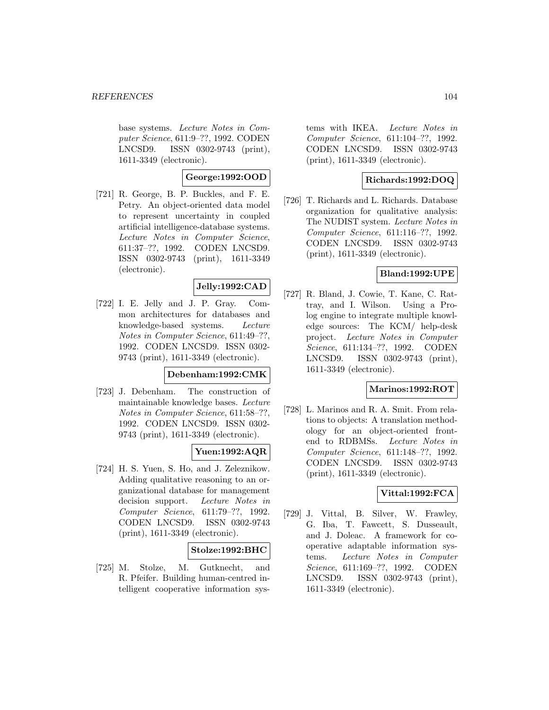base systems. Lecture Notes in Computer Science, 611:9–??, 1992. CODEN LNCSD9. ISSN 0302-9743 (print), 1611-3349 (electronic).

## **George:1992:OOD**

[721] R. George, B. P. Buckles, and F. E. Petry. An object-oriented data model to represent uncertainty in coupled artificial intelligence-database systems. Lecture Notes in Computer Science, 611:37–??, 1992. CODEN LNCSD9. ISSN 0302-9743 (print), 1611-3349 (electronic).

# **Jelly:1992:CAD**

[722] I. E. Jelly and J. P. Gray. Common architectures for databases and knowledge-based systems. Lecture Notes in Computer Science, 611:49–??, 1992. CODEN LNCSD9. ISSN 0302- 9743 (print), 1611-3349 (electronic).

#### **Debenham:1992:CMK**

[723] J. Debenham. The construction of maintainable knowledge bases. Lecture Notes in Computer Science, 611:58–??, 1992. CODEN LNCSD9. ISSN 0302- 9743 (print), 1611-3349 (electronic).

# **Yuen:1992:AQR**

[724] H. S. Yuen, S. Ho, and J. Zeleznikow. Adding qualitative reasoning to an organizational database for management decision support. Lecture Notes in Computer Science, 611:79–??, 1992. CODEN LNCSD9. ISSN 0302-9743 (print), 1611-3349 (electronic).

## **Stolze:1992:BHC**

[725] M. Stolze, M. Gutknecht, and R. Pfeifer. Building human-centred intelligent cooperative information systems with IKEA. Lecture Notes in Computer Science, 611:104–??, 1992. CODEN LNCSD9. ISSN 0302-9743 (print), 1611-3349 (electronic).

## **Richards:1992:DOQ**

[726] T. Richards and L. Richards. Database organization for qualitative analysis: The NUDIST system. Lecture Notes in Computer Science, 611:116–??, 1992. CODEN LNCSD9. ISSN 0302-9743 (print), 1611-3349 (electronic).

### **Bland:1992:UPE**

[727] R. Bland, J. Cowie, T. Kane, C. Rattray, and I. Wilson. Using a Prolog engine to integrate multiple knowledge sources: The KCM/ help-desk project. Lecture Notes in Computer Science, 611:134–??, 1992. CODEN LNCSD9. ISSN 0302-9743 (print), 1611-3349 (electronic).

#### **Marinos:1992:ROT**

[728] L. Marinos and R. A. Smit. From relations to objects: A translation methodology for an object-oriented frontend to RDBMSs. Lecture Notes in Computer Science, 611:148–??, 1992. CODEN LNCSD9. ISSN 0302-9743 (print), 1611-3349 (electronic).

## **Vittal:1992:FCA**

[729] J. Vittal, B. Silver, W. Frawley, G. Iba, T. Fawcett, S. Dusseault, and J. Doleac. A framework for cooperative adaptable information systems. Lecture Notes in Computer Science, 611:169–??, 1992. CODEN LNCSD9. ISSN 0302-9743 (print), 1611-3349 (electronic).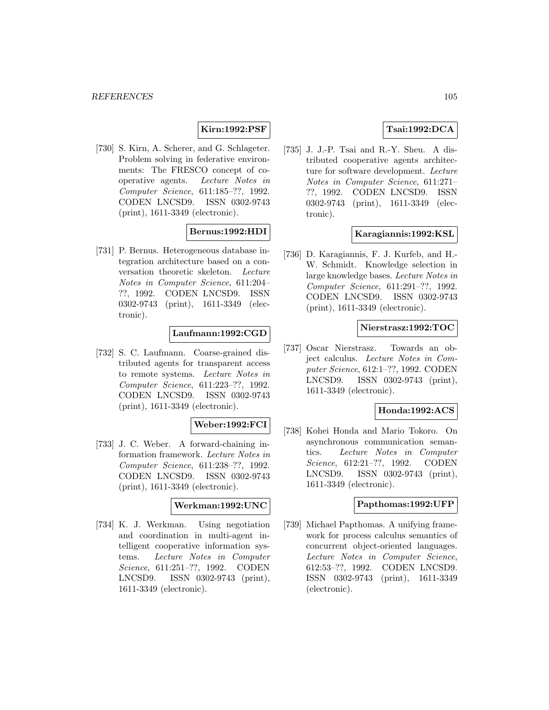# **Kirn:1992:PSF**

[730] S. Kirn, A. Scherer, and G. Schlageter. Problem solving in federative environments: The FRESCO concept of cooperative agents. Lecture Notes in Computer Science, 611:185–??, 1992. CODEN LNCSD9. ISSN 0302-9743 (print), 1611-3349 (electronic).

# **Bernus:1992:HDI**

[731] P. Bernus. Heterogeneous database integration architecture based on a conversation theoretic skeleton. Lecture Notes in Computer Science, 611:204– ??, 1992. CODEN LNCSD9. ISSN 0302-9743 (print), 1611-3349 (electronic).

## **Laufmann:1992:CGD**

[732] S. C. Laufmann. Coarse-grained distributed agents for transparent access to remote systems. Lecture Notes in Computer Science, 611:223–??, 1992. CODEN LNCSD9. ISSN 0302-9743 (print), 1611-3349 (electronic).

## **Weber:1992:FCI**

[733] J. C. Weber. A forward-chaining information framework. Lecture Notes in Computer Science, 611:238–??, 1992. CODEN LNCSD9. ISSN 0302-9743 (print), 1611-3349 (electronic).

#### **Werkman:1992:UNC**

[734] K. J. Werkman. Using negotiation and coordination in multi-agent intelligent cooperative information systems. Lecture Notes in Computer Science, 611:251–??, 1992. CODEN LNCSD9. ISSN 0302-9743 (print), 1611-3349 (electronic).

# **Tsai:1992:DCA**

[735] J. J.-P. Tsai and R.-Y. Sheu. A distributed cooperative agents architecture for software development. Lecture Notes in Computer Science, 611:271– ??, 1992. CODEN LNCSD9. ISSN 0302-9743 (print), 1611-3349 (electronic).

### **Karagiannis:1992:KSL**

[736] D. Karagiannis, F. J. Kurfeb, and H.- W. Schmidt. Knowledge selection in large knowledge bases. Lecture Notes in Computer Science, 611:291–??, 1992. CODEN LNCSD9. ISSN 0302-9743 (print), 1611-3349 (electronic).

## **Nierstrasz:1992:TOC**

[737] Oscar Nierstrasz. Towards an object calculus. Lecture Notes in Computer Science, 612:1–??, 1992. CODEN LNCSD9. ISSN 0302-9743 (print), 1611-3349 (electronic).

#### **Honda:1992:ACS**

[738] Kohei Honda and Mario Tokoro. On asynchronous communication semantics. Lecture Notes in Computer Science, 612:21–??, 1992. CODEN LNCSD9. ISSN 0302-9743 (print), 1611-3349 (electronic).

## **Papthomas:1992:UFP**

[739] Michael Papthomas. A unifying framework for process calculus semantics of concurrent object-oriented languages. Lecture Notes in Computer Science, 612:53–??, 1992. CODEN LNCSD9. ISSN 0302-9743 (print), 1611-3349 (electronic).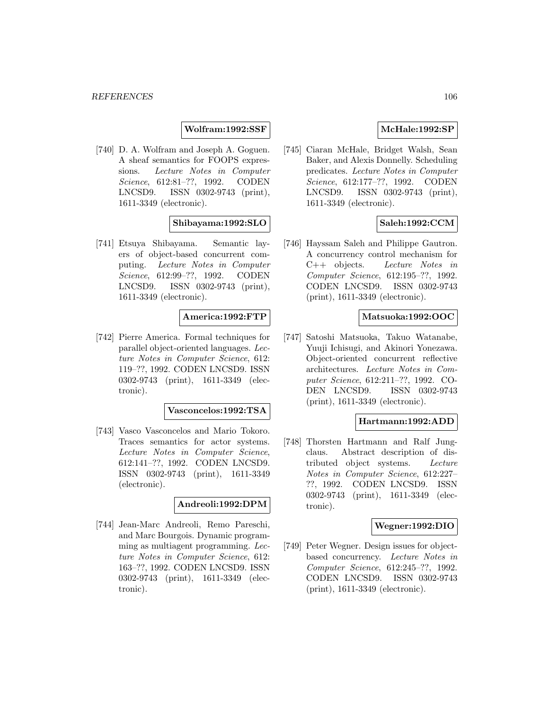## **Wolfram:1992:SSF**

[740] D. A. Wolfram and Joseph A. Goguen. A sheaf semantics for FOOPS expressions. Lecture Notes in Computer Science, 612:81–??, 1992. CODEN LNCSD9. ISSN 0302-9743 (print), 1611-3349 (electronic).

## **Shibayama:1992:SLO**

[741] Etsuya Shibayama. Semantic layers of object-based concurrent computing. Lecture Notes in Computer Science, 612:99–??, 1992. CODEN LNCSD9. ISSN 0302-9743 (print), 1611-3349 (electronic).

### **America:1992:FTP**

[742] Pierre America. Formal techniques for parallel object-oriented languages. Lecture Notes in Computer Science, 612: 119–??, 1992. CODEN LNCSD9. ISSN 0302-9743 (print), 1611-3349 (electronic).

#### **Vasconcelos:1992:TSA**

[743] Vasco Vasconcelos and Mario Tokoro. Traces semantics for actor systems. Lecture Notes in Computer Science, 612:141–??, 1992. CODEN LNCSD9. ISSN 0302-9743 (print), 1611-3349 (electronic).

## **Andreoli:1992:DPM**

[744] Jean-Marc Andreoli, Remo Pareschi, and Marc Bourgois. Dynamic programming as multiagent programming. Lecture Notes in Computer Science, 612: 163–??, 1992. CODEN LNCSD9. ISSN 0302-9743 (print), 1611-3349 (electronic).

## **McHale:1992:SP**

[745] Ciaran McHale, Bridget Walsh, Sean Baker, and Alexis Donnelly. Scheduling predicates. Lecture Notes in Computer Science, 612:177–??, 1992. CODEN LNCSD9. ISSN 0302-9743 (print), 1611-3349 (electronic).

## **Saleh:1992:CCM**

[746] Hayssam Saleh and Philippe Gautron. A concurrency control mechanism for C++ objects. Lecture Notes in Computer Science, 612:195–??, 1992. CODEN LNCSD9. ISSN 0302-9743 (print), 1611-3349 (electronic).

#### **Matsuoka:1992:OOC**

[747] Satoshi Matsuoka, Takuo Watanabe, Yuuji Ichisugi, and Akinori Yonezawa. Object-oriented concurrent reflective architectures. Lecture Notes in Computer Science, 612:211–??, 1992. CO-DEN LNCSD9. ISSN 0302-9743 (print), 1611-3349 (electronic).

#### **Hartmann:1992:ADD**

[748] Thorsten Hartmann and Ralf Jungclaus. Abstract description of distributed object systems. Lecture Notes in Computer Science, 612:227– ??, 1992. CODEN LNCSD9. ISSN 0302-9743 (print), 1611-3349 (electronic).

#### **Wegner:1992:DIO**

[749] Peter Wegner. Design issues for objectbased concurrency. Lecture Notes in Computer Science, 612:245–??, 1992. CODEN LNCSD9. ISSN 0302-9743 (print), 1611-3349 (electronic).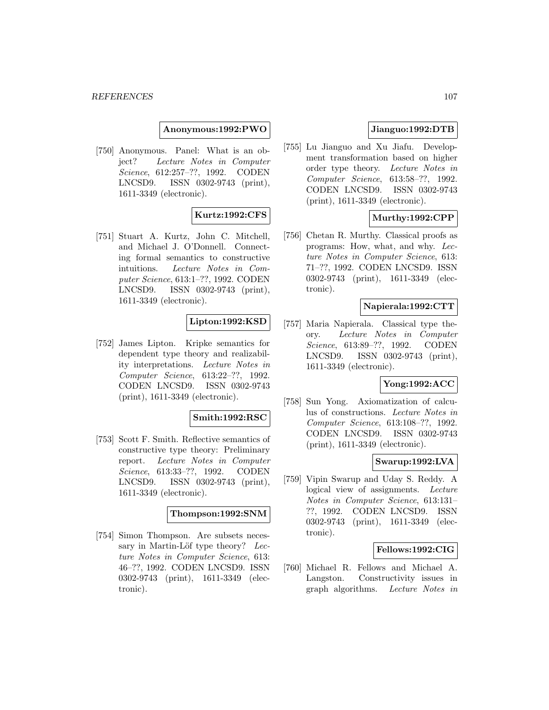**Anonymous:1992:PWO**

[750] Anonymous. Panel: What is an object? Lecture Notes in Computer Science, 612:257–??, 1992. CODEN LNCSD9. ISSN 0302-9743 (print), 1611-3349 (electronic).

## **Kurtz:1992:CFS**

[751] Stuart A. Kurtz, John C. Mitchell, and Michael J. O'Donnell. Connecting formal semantics to constructive intuitions. Lecture Notes in Computer Science, 613:1–??, 1992. CODEN LNCSD9. ISSN 0302-9743 (print), 1611-3349 (electronic).

## **Lipton:1992:KSD**

[752] James Lipton. Kripke semantics for dependent type theory and realizability interpretations. Lecture Notes in Computer Science, 613:22–??, 1992. CODEN LNCSD9. ISSN 0302-9743 (print), 1611-3349 (electronic).

## **Smith:1992:RSC**

[753] Scott F. Smith. Reflective semantics of constructive type theory: Preliminary report. Lecture Notes in Computer Science, 613:33–??, 1992. CODEN LNCSD9. ISSN 0302-9743 (print), 1611-3349 (electronic).

#### **Thompson:1992:SNM**

[754] Simon Thompson. Are subsets necessary in Martin-Löf type theory? Lecture Notes in Computer Science, 613: 46–??, 1992. CODEN LNCSD9. ISSN 0302-9743 (print), 1611-3349 (electronic).

# **Jianguo:1992:DTB**

[755] Lu Jianguo and Xu Jiafu. Development transformation based on higher order type theory. Lecture Notes in Computer Science, 613:58–??, 1992. CODEN LNCSD9. ISSN 0302-9743 (print), 1611-3349 (electronic).

## **Murthy:1992:CPP**

[756] Chetan R. Murthy. Classical proofs as programs: How, what, and why. Lecture Notes in Computer Science, 613: 71–??, 1992. CODEN LNCSD9. ISSN 0302-9743 (print), 1611-3349 (electronic).

## **Napierala:1992:CTT**

[757] Maria Napierala. Classical type theory. Lecture Notes in Computer Science, 613:89–??, 1992. CODEN LNCSD9. ISSN 0302-9743 (print), 1611-3349 (electronic).

## **Yong:1992:ACC**

[758] Sun Yong. Axiomatization of calculus of constructions. Lecture Notes in Computer Science, 613:108–??, 1992. CODEN LNCSD9. ISSN 0302-9743 (print), 1611-3349 (electronic).

## **Swarup:1992:LVA**

[759] Vipin Swarup and Uday S. Reddy. A logical view of assignments. Lecture Notes in Computer Science, 613:131– ??, 1992. CODEN LNCSD9. ISSN 0302-9743 (print), 1611-3349 (electronic).

## **Fellows:1992:CIG**

[760] Michael R. Fellows and Michael A. Langston. Constructivity issues in graph algorithms. Lecture Notes in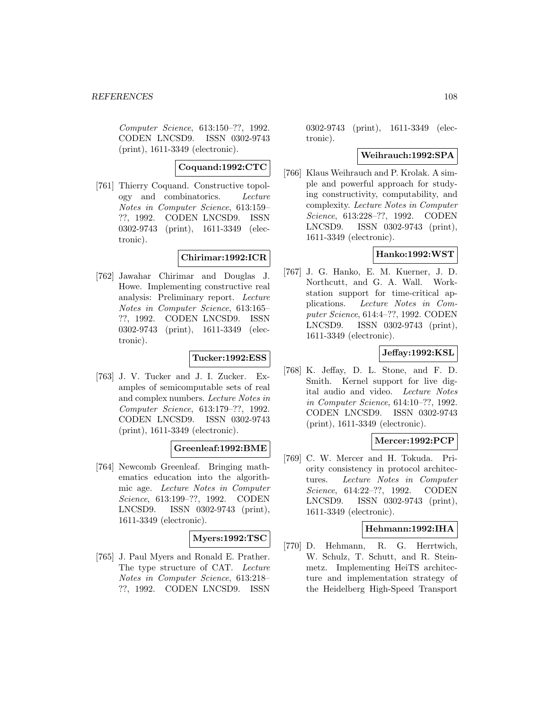Computer Science, 613:150–??, 1992. CODEN LNCSD9. ISSN 0302-9743 (print), 1611-3349 (electronic).

**Coquand:1992:CTC**

[761] Thierry Coquand. Constructive topology and combinatorics. Lecture Notes in Computer Science, 613:159– ??, 1992. CODEN LNCSD9. ISSN 0302-9743 (print), 1611-3349 (electronic).

## **Chirimar:1992:ICR**

[762] Jawahar Chirimar and Douglas J. Howe. Implementing constructive real analysis: Preliminary report. Lecture Notes in Computer Science, 613:165– ??, 1992. CODEN LNCSD9. ISSN 0302-9743 (print), 1611-3349 (electronic).

## **Tucker:1992:ESS**

[763] J. V. Tucker and J. I. Zucker. Examples of semicomputable sets of real and complex numbers. Lecture Notes in Computer Science, 613:179–??, 1992. CODEN LNCSD9. ISSN 0302-9743 (print), 1611-3349 (electronic).

# **Greenleaf:1992:BME**

[764] Newcomb Greenleaf. Bringing mathematics education into the algorithmic age. Lecture Notes in Computer Science, 613:199–??, 1992. CODEN LNCSD9. ISSN 0302-9743 (print), 1611-3349 (electronic).

## **Myers:1992:TSC**

[765] J. Paul Myers and Ronald E. Prather. The type structure of CAT. Lecture Notes in Computer Science, 613:218– ??, 1992. CODEN LNCSD9. ISSN

0302-9743 (print), 1611-3349 (electronic).

## **Weihrauch:1992:SPA**

[766] Klaus Weihrauch and P. Krolak. A simple and powerful approach for studying constructivity, computability, and complexity. Lecture Notes in Computer Science, 613:228–??, 1992. CODEN LNCSD9. ISSN 0302-9743 (print), 1611-3349 (electronic).

# **Hanko:1992:WST**

[767] J. G. Hanko, E. M. Kuerner, J. D. Northcutt, and G. A. Wall. Workstation support for time-critical applications. Lecture Notes in Computer Science, 614:4–??, 1992. CODEN LNCSD9. ISSN 0302-9743 (print), 1611-3349 (electronic).

# **Jeffay:1992:KSL**

[768] K. Jeffay, D. L. Stone, and F. D. Smith. Kernel support for live digital audio and video. Lecture Notes in Computer Science, 614:10–??, 1992. CODEN LNCSD9. ISSN 0302-9743 (print), 1611-3349 (electronic).

# **Mercer:1992:PCP**

[769] C. W. Mercer and H. Tokuda. Priority consistency in protocol architectures. Lecture Notes in Computer Science, 614:22–??, 1992. CODEN LNCSD9. ISSN 0302-9743 (print), 1611-3349 (electronic).

## **Hehmann:1992:IHA**

[770] D. Hehmann, R. G. Herrtwich, W. Schulz, T. Schutt, and R. Steinmetz. Implementing HeiTS architecture and implementation strategy of the Heidelberg High-Speed Transport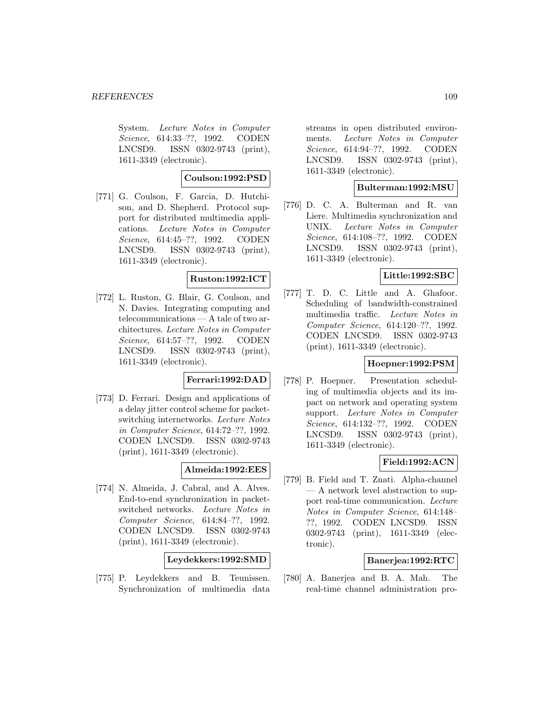System. Lecture Notes in Computer Science, 614:33–??, 1992. CODEN LNCSD9. ISSN 0302-9743 (print), 1611-3349 (electronic).

## **Coulson:1992:PSD**

[771] G. Coulson, F. Garcia, D. Hutchison, and D. Shepherd. Protocol support for distributed multimedia applications. Lecture Notes in Computer Science, 614:45–??, 1992. CODEN LNCSD9. ISSN 0302-9743 (print), 1611-3349 (electronic).

### **Ruston:1992:ICT**

[772] L. Ruston, G. Blair, G. Coulson, and N. Davies. Integrating computing and telecommunications — A tale of two architectures. Lecture Notes in Computer Science, 614:57–??, 1992. CODEN LNCSD9. ISSN 0302-9743 (print), 1611-3349 (electronic).

# **Ferrari:1992:DAD**

[773] D. Ferrari. Design and applications of a delay jitter control scheme for packetswitching internetworks. Lecture Notes in Computer Science, 614:72–??, 1992. CODEN LNCSD9. ISSN 0302-9743 (print), 1611-3349 (electronic).

### **Almeida:1992:EES**

[774] N. Almeida, J. Cabral, and A. Alves. End-to-end synchronization in packetswitched networks. Lecture Notes in Computer Science, 614:84–??, 1992. CODEN LNCSD9. ISSN 0302-9743 (print), 1611-3349 (electronic).

**Leydekkers:1992:SMD**

[775] P. Leydekkers and B. Teunissen. Synchronization of multimedia data

streams in open distributed environments. Lecture Notes in Computer Science, 614:94–??, 1992. CODEN LNCSD9. ISSN 0302-9743 (print), 1611-3349 (electronic).

### **Bulterman:1992:MSU**

[776] D. C. A. Bulterman and R. van Liere. Multimedia synchronization and UNIX. Lecture Notes in Computer Science, 614:108–??, 1992. CODEN LNCSD9. ISSN 0302-9743 (print), 1611-3349 (electronic).

# **Little:1992:SBC**

[777] T. D. C. Little and A. Ghafoor. Scheduling of bandwidth-constrained multimedia traffic. Lecture Notes in Computer Science, 614:120–??, 1992. CODEN LNCSD9. ISSN 0302-9743 (print), 1611-3349 (electronic).

### **Hoepner:1992:PSM**

[778] P. Hoepner. Presentation scheduling of multimedia objects and its impact on network and operating system support. Lecture Notes in Computer Science, 614:132–??, 1992. CODEN LNCSD9. ISSN 0302-9743 (print), 1611-3349 (electronic).

### **Field:1992:ACN**

[779] B. Field and T. Znati. Alpha-channel — A network level abstraction to support real-time communication. Lecture Notes in Computer Science, 614:148– ??, 1992. CODEN LNCSD9. ISSN 0302-9743 (print), 1611-3349 (electronic).

#### **Banerjea:1992:RTC**

[780] A. Banerjea and B. A. Mah. The real-time channel administration pro-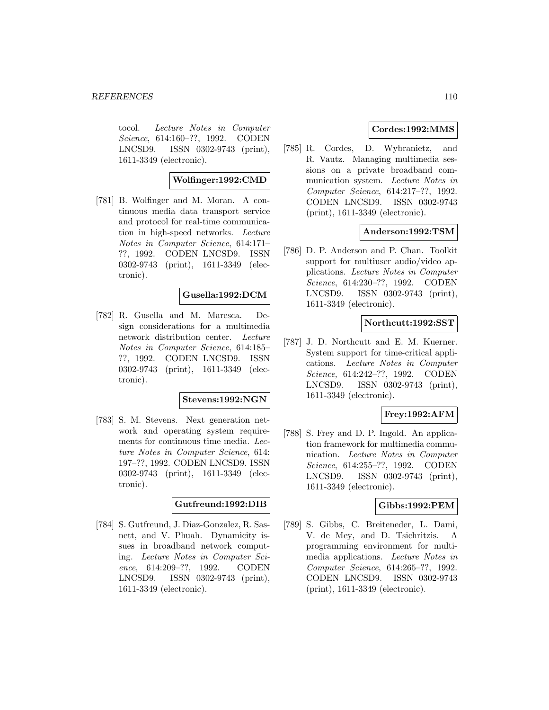#### *REFERENCES* 110

tocol. Lecture Notes in Computer Science, 614:160–??, 1992. CODEN LNCSD9. ISSN 0302-9743 (print), 1611-3349 (electronic).

## **Wolfinger:1992:CMD**

[781] B. Wolfinger and M. Moran. A continuous media data transport service and protocol for real-time communication in high-speed networks. Lecture Notes in Computer Science, 614:171– ??, 1992. CODEN LNCSD9. ISSN 0302-9743 (print), 1611-3349 (electronic).

## **Gusella:1992:DCM**

[782] R. Gusella and M. Maresca. Design considerations for a multimedia network distribution center. Lecture Notes in Computer Science, 614:185– ??, 1992. CODEN LNCSD9. ISSN 0302-9743 (print), 1611-3349 (electronic).

### **Stevens:1992:NGN**

[783] S. M. Stevens. Next generation network and operating system requirements for continuous time media. Lecture Notes in Computer Science, 614: 197–??, 1992. CODEN LNCSD9. ISSN 0302-9743 (print), 1611-3349 (electronic).

#### **Gutfreund:1992:DIB**

[784] S. Gutfreund, J. Diaz-Gonzalez, R. Sasnett, and V. Phuah. Dynamicity issues in broadband network computing. Lecture Notes in Computer Science, 614:209–??, 1992. CODEN LNCSD9. ISSN 0302-9743 (print), 1611-3349 (electronic).

## **Cordes:1992:MMS**

[785] R. Cordes, D. Wybranietz, and R. Vautz. Managing multimedia sessions on a private broadband communication system. Lecture Notes in Computer Science, 614:217–??, 1992. CODEN LNCSD9. ISSN 0302-9743 (print), 1611-3349 (electronic).

## **Anderson:1992:TSM**

[786] D. P. Anderson and P. Chan. Toolkit support for multiuser audio/video applications. Lecture Notes in Computer Science, 614:230–??, 1992. CODEN LNCSD9. ISSN 0302-9743 (print), 1611-3349 (electronic).

## **Northcutt:1992:SST**

[787] J. D. Northcutt and E. M. Kuerner. System support for time-critical applications. Lecture Notes in Computer Science, 614:242–??, 1992. CODEN LNCSD9. ISSN 0302-9743 (print), 1611-3349 (electronic).

### **Frey:1992:AFM**

[788] S. Frey and D. P. Ingold. An application framework for multimedia communication. Lecture Notes in Computer Science, 614:255–??, 1992. CODEN LNCSD9. ISSN 0302-9743 (print), 1611-3349 (electronic).

### **Gibbs:1992:PEM**

[789] S. Gibbs, C. Breiteneder, L. Dami, V. de Mey, and D. Tsichritzis. A programming environment for multimedia applications. Lecture Notes in Computer Science, 614:265–??, 1992. CODEN LNCSD9. ISSN 0302-9743 (print), 1611-3349 (electronic).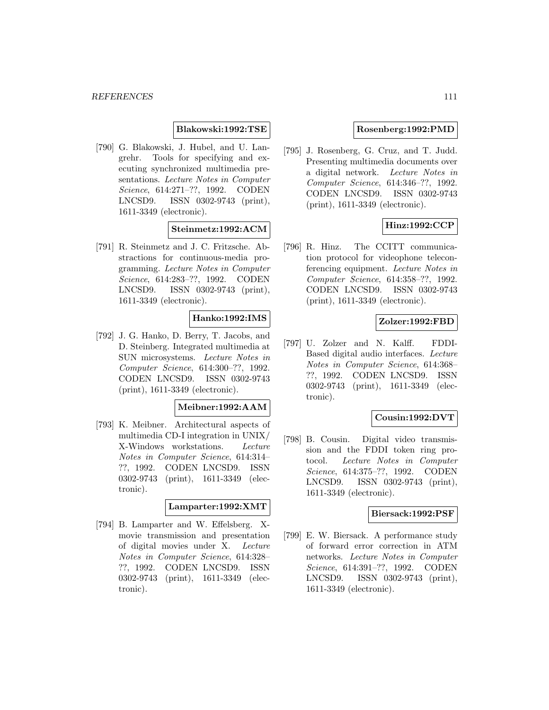### **Blakowski:1992:TSE**

[790] G. Blakowski, J. Hubel, and U. Langrehr. Tools for specifying and executing synchronized multimedia presentations. Lecture Notes in Computer Science, 614:271–??, 1992. CODEN LNCSD9. ISSN 0302-9743 (print), 1611-3349 (electronic).

# **Steinmetz:1992:ACM**

[791] R. Steinmetz and J. C. Fritzsche. Abstractions for continuous-media programming. Lecture Notes in Computer Science, 614:283–??, 1992. CODEN LNCSD9. ISSN 0302-9743 (print), 1611-3349 (electronic).

## **Hanko:1992:IMS**

[792] J. G. Hanko, D. Berry, T. Jacobs, and D. Steinberg. Integrated multimedia at SUN microsystems. Lecture Notes in Computer Science, 614:300–??, 1992. CODEN LNCSD9. ISSN 0302-9743 (print), 1611-3349 (electronic).

#### **Meibner:1992:AAM**

[793] K. Meibner. Architectural aspects of multimedia CD-I integration in UNIX/ X-Windows workstations. Lecture Notes in Computer Science, 614:314– ??, 1992. CODEN LNCSD9. ISSN 0302-9743 (print), 1611-3349 (electronic).

#### **Lamparter:1992:XMT**

[794] B. Lamparter and W. Effelsberg. Xmovie transmission and presentation of digital movies under X. Lecture Notes in Computer Science, 614:328– ??, 1992. CODEN LNCSD9. ISSN 0302-9743 (print), 1611-3349 (electronic).

#### **Rosenberg:1992:PMD**

[795] J. Rosenberg, G. Cruz, and T. Judd. Presenting multimedia documents over a digital network. Lecture Notes in Computer Science, 614:346–??, 1992. CODEN LNCSD9. ISSN 0302-9743 (print), 1611-3349 (electronic).

## **Hinz:1992:CCP**

[796] R. Hinz. The CCITT communication protocol for videophone teleconferencing equipment. Lecture Notes in Computer Science, 614:358–??, 1992. CODEN LNCSD9. ISSN 0302-9743 (print), 1611-3349 (electronic).

#### **Zolzer:1992:FBD**

[797] U. Zolzer and N. Kalff. FDDI-Based digital audio interfaces. Lecture Notes in Computer Science, 614:368– ??, 1992. CODEN LNCSD9. ISSN 0302-9743 (print), 1611-3349 (electronic).

## **Cousin:1992:DVT**

[798] B. Cousin. Digital video transmission and the FDDI token ring protocol. Lecture Notes in Computer Science, 614:375–??, 1992. CODEN LNCSD9. ISSN 0302-9743 (print), 1611-3349 (electronic).

#### **Biersack:1992:PSF**

[799] E. W. Biersack. A performance study of forward error correction in ATM networks. Lecture Notes in Computer Science, 614:391–??, 1992. CODEN LNCSD9. ISSN 0302-9743 (print), 1611-3349 (electronic).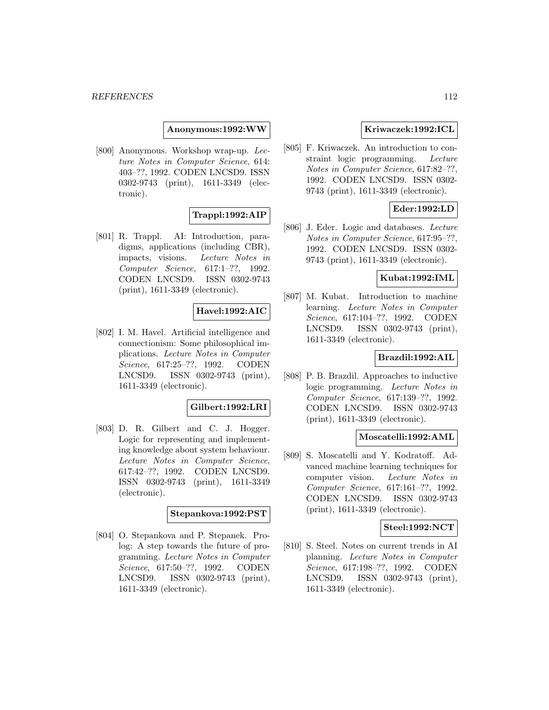**Anonymous:1992:WW**

[800] Anonymous. Workshop wrap-up. Lecture Notes in Computer Science, 614: 403–??, 1992. CODEN LNCSD9. ISSN 0302-9743 (print), 1611-3349 (electronic).

## **Trappl:1992:AIP**

[801] R. Trappl. AI: Introduction, paradigms, applications (including CBR), impacts, visions. Lecture Notes in Computer Science, 617:1–??, 1992. CODEN LNCSD9. ISSN 0302-9743 (print), 1611-3349 (electronic).

### **Havel:1992:AIC**

[802] I. M. Havel. Artificial intelligence and connectionism: Some philosophical implications. Lecture Notes in Computer Science, 617:25–??, 1992. CODEN LNCSD9. ISSN 0302-9743 (print), 1611-3349 (electronic).

### **Gilbert:1992:LRI**

[803] D. R. Gilbert and C. J. Hogger. Logic for representing and implementing knowledge about system behaviour. Lecture Notes in Computer Science, 617:42–??, 1992. CODEN LNCSD9. ISSN 0302-9743 (print), 1611-3349 (electronic).

#### **Stepankova:1992:PST**

[804] O. Stepankova and P. Stepanek. Prolog: A step towards the future of programming. Lecture Notes in Computer Science, 617:50–??, 1992. CODEN LNCSD9. ISSN 0302-9743 (print), 1611-3349 (electronic).

### **Kriwaczek:1992:ICL**

[805] F. Kriwaczek. An introduction to constraint logic programming. Lecture Notes in Computer Science, 617:82–??, 1992. CODEN LNCSD9. ISSN 0302- 9743 (print), 1611-3349 (electronic).

#### **Eder:1992:LD**

[806] J. Eder. Logic and databases. Lecture Notes in Computer Science, 617:95–??, 1992. CODEN LNCSD9. ISSN 0302- 9743 (print), 1611-3349 (electronic).

#### **Kubat:1992:IML**

[807] M. Kubat. Introduction to machine learning. Lecture Notes in Computer Science, 617:104–??, 1992. CODEN LNCSD9. ISSN 0302-9743 (print), 1611-3349 (electronic).

# **Brazdil:1992:AIL**

[808] P. B. Brazdil. Approaches to inductive logic programming. Lecture Notes in Computer Science, 617:139–??, 1992. CODEN LNCSD9. ISSN 0302-9743 (print), 1611-3349 (electronic).

#### **Moscatelli:1992:AML**

[809] S. Moscatelli and Y. Kodratoff. Advanced machine learning techniques for computer vision. Lecture Notes in Computer Science, 617:161–??, 1992. CODEN LNCSD9. ISSN 0302-9743 (print), 1611-3349 (electronic).

#### **Steel:1992:NCT**

[810] S. Steel. Notes on current trends in AI planning. Lecture Notes in Computer Science, 617:198–??, 1992. CODEN LNCSD9. ISSN 0302-9743 (print), 1611-3349 (electronic).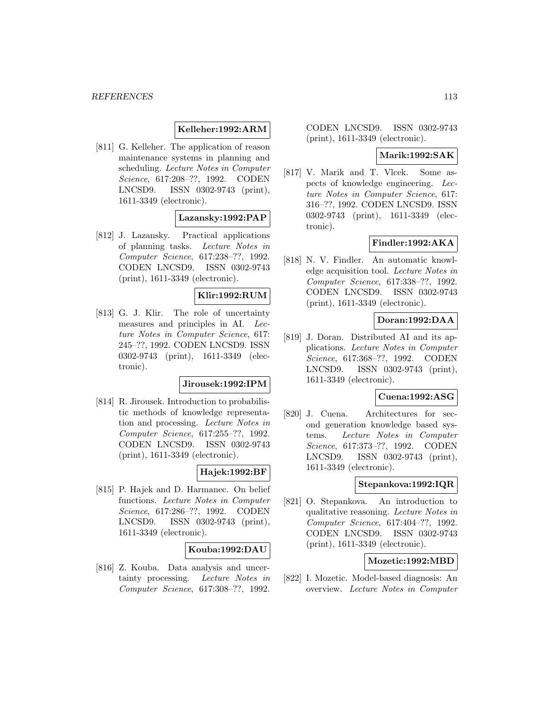### **Kelleher:1992:ARM**

[811] G. Kelleher. The application of reason maintenance systems in planning and scheduling. Lecture Notes in Computer Science, 617:208–??, 1992. CODEN LNCSD9. ISSN 0302-9743 (print), 1611-3349 (electronic).

### **Lazansky:1992:PAP**

[812] J. Lazansky. Practical applications of planning tasks. Lecture Notes in Computer Science, 617:238–??, 1992. CODEN LNCSD9. ISSN 0302-9743 (print), 1611-3349 (electronic).

## **Klir:1992:RUM**

[813] G. J. Klir. The role of uncertainty measures and principles in AI. Lecture Notes in Computer Science, 617: 245–??, 1992. CODEN LNCSD9. ISSN 0302-9743 (print), 1611-3349 (electronic).

## **Jirousek:1992:IPM**

[814] R. Jirousek. Introduction to probabilistic methods of knowledge representation and processing. Lecture Notes in Computer Science, 617:255–??, 1992. CODEN LNCSD9. ISSN 0302-9743 (print), 1611-3349 (electronic).

#### **Hajek:1992:BF**

[815] P. Hajek and D. Harmanec. On belief functions. Lecture Notes in Computer Science, 617:286–??, 1992. CODEN LNCSD9. ISSN 0302-9743 (print), 1611-3349 (electronic).

### **Kouba:1992:DAU**

[816] Z. Kouba. Data analysis and uncertainty processing. Lecture Notes in Computer Science, 617:308–??, 1992.

CODEN LNCSD9. ISSN 0302-9743 (print), 1611-3349 (electronic).

#### **Marik:1992:SAK**

[817] V. Marik and T. Vlcek. Some aspects of knowledge engineering. Lecture Notes in Computer Science, 617: 316–??, 1992. CODEN LNCSD9. ISSN 0302-9743 (print), 1611-3349 (electronic).

#### **Findler:1992:AKA**

[818] N. V. Findler. An automatic knowledge acquisition tool. Lecture Notes in Computer Science, 617:338–??, 1992. CODEN LNCSD9. ISSN 0302-9743 (print), 1611-3349 (electronic).

#### **Doran:1992:DAA**

[819] J. Doran. Distributed AI and its applications. Lecture Notes in Computer Science, 617:368–??, 1992. CODEN LNCSD9. ISSN 0302-9743 (print), 1611-3349 (electronic).

#### **Cuena:1992:ASG**

[820] J. Cuena. Architectures for second generation knowledge based systems. Lecture Notes in Computer Science, 617:373–??, 1992. CODEN LNCSD9. ISSN 0302-9743 (print), 1611-3349 (electronic).

#### **Stepankova:1992:IQR**

[821] O. Stepankova. An introduction to qualitative reasoning. Lecture Notes in Computer Science, 617:404–??, 1992. CODEN LNCSD9. ISSN 0302-9743 (print), 1611-3349 (electronic).

## **Mozetic:1992:MBD**

[822] I. Mozetic. Model-based diagnosis: An overview. Lecture Notes in Computer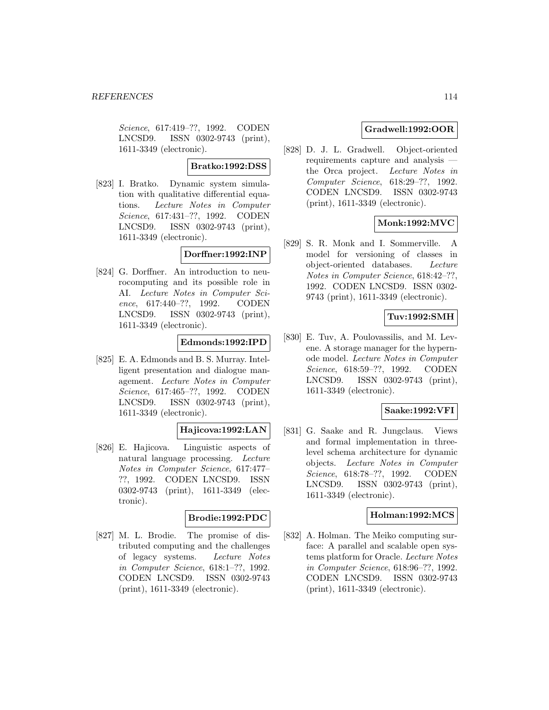Science, 617:419–??, 1992. CODEN LNCSD9. ISSN 0302-9743 (print), 1611-3349 (electronic).

### **Bratko:1992:DSS**

[823] I. Bratko. Dynamic system simulation with qualitative differential equations. Lecture Notes in Computer Science, 617:431–??, 1992. CODEN LNCSD9. ISSN 0302-9743 (print), 1611-3349 (electronic).

### **Dorffner:1992:INP**

[824] G. Dorffner. An introduction to neurocomputing and its possible role in AI. Lecture Notes in Computer Science, 617:440–??, 1992. CODEN LNCSD9. ISSN 0302-9743 (print), 1611-3349 (electronic).

### **Edmonds:1992:IPD**

[825] E. A. Edmonds and B. S. Murray. Intelligent presentation and dialogue management. Lecture Notes in Computer Science, 617:465–??, 1992. CODEN LNCSD9. ISSN 0302-9743 (print), 1611-3349 (electronic).

### **Hajicova:1992:LAN**

[826] E. Hajicova. Linguistic aspects of natural language processing. Lecture Notes in Computer Science, 617:477– ??, 1992. CODEN LNCSD9. ISSN 0302-9743 (print), 1611-3349 (electronic).

### **Brodie:1992:PDC**

[827] M. L. Brodie. The promise of distributed computing and the challenges of legacy systems. Lecture Notes in Computer Science, 618:1–??, 1992. CODEN LNCSD9. ISSN 0302-9743 (print), 1611-3349 (electronic).

# **Gradwell:1992:OOR**

[828] D. J. L. Gradwell. Object-oriented requirements capture and analysis the Orca project. Lecture Notes in Computer Science, 618:29–??, 1992. CODEN LNCSD9. ISSN 0302-9743 (print), 1611-3349 (electronic).

# **Monk:1992:MVC**

[829] S. R. Monk and I. Sommerville. A model for versioning of classes in object-oriented databases. Lecture Notes in Computer Science, 618:42–??, 1992. CODEN LNCSD9. ISSN 0302- 9743 (print), 1611-3349 (electronic).

## **Tuv:1992:SMH**

[830] E. Tuv, A. Poulovassilis, and M. Levene. A storage manager for the hypernode model. Lecture Notes in Computer Science, 618:59–??, 1992. CODEN LNCSD9. ISSN 0302-9743 (print), 1611-3349 (electronic).

### **Saake:1992:VFI**

[831] G. Saake and R. Jungclaus. Views and formal implementation in threelevel schema architecture for dynamic objects. Lecture Notes in Computer Science, 618:78–??, 1992. CODEN LNCSD9. ISSN 0302-9743 (print), 1611-3349 (electronic).

### **Holman:1992:MCS**

[832] A. Holman. The Meiko computing surface: A parallel and scalable open systems platform for Oracle. Lecture Notes in Computer Science, 618:96–??, 1992. CODEN LNCSD9. ISSN 0302-9743 (print), 1611-3349 (electronic).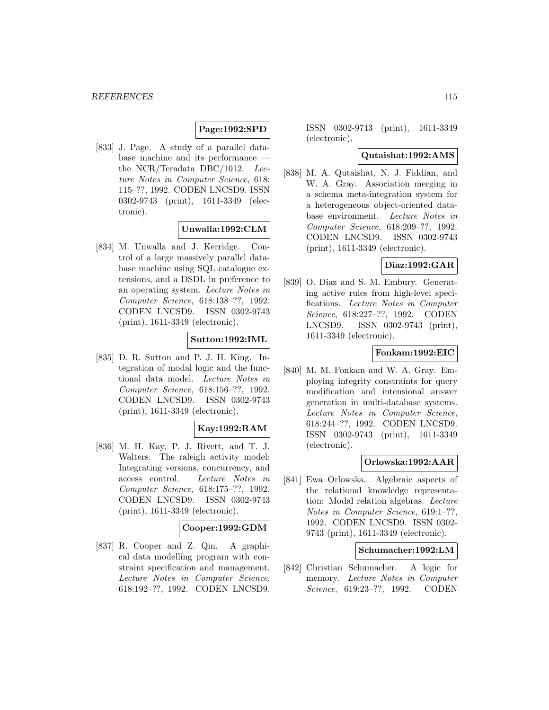# **Page:1992:SPD**

[833] J. Page. A study of a parallel database machine and its performance the NCR/Teradata DBC/1012. Lecture Notes in Computer Science, 618: 115–??, 1992. CODEN LNCSD9. ISSN 0302-9743 (print), 1611-3349 (electronic).

## **Unwalla:1992:CLM**

[834] M. Unwalla and J. Kerridge. Control of a large massively parallel database machine using SQL catalogue extensions, and a DSDL in preference to an operating system. Lecture Notes in Computer Science, 618:138–??, 1992. CODEN LNCSD9. ISSN 0302-9743 (print), 1611-3349 (electronic).

# **Sutton:1992:IML**

[835] D. R. Sutton and P. J. H. King. Integration of modal logic and the functional data model. Lecture Notes in Computer Science, 618:156–??, 1992. CODEN LNCSD9. ISSN 0302-9743 (print), 1611-3349 (electronic).

# **Kay:1992:RAM**

[836] M. H. Kay, P. J. Rivett, and T. J. Walters. The raleigh activity model: Integrating versions, concurrency, and access control. Lecture Notes in Computer Science, 618:175–??, 1992. CODEN LNCSD9. ISSN 0302-9743 (print), 1611-3349 (electronic).

### **Cooper:1992:GDM**

[837] R. Cooper and Z. Qin. A graphical data modelling program with constraint specification and management. Lecture Notes in Computer Science, 618:192–??, 1992. CODEN LNCSD9. ISSN 0302-9743 (print), 1611-3349 (electronic).

#### **Qutaishat:1992:AMS**

[838] M. A. Qutaishat, N. J. Fiddian, and W. A. Gray. Association merging in a schema meta-integration system for a heterogeneous object-oriented database environment. Lecture Notes in Computer Science, 618:209–??, 1992. CODEN LNCSD9. ISSN 0302-9743 (print), 1611-3349 (electronic).

### **Diaz:1992:GAR**

[839] O. Diaz and S. M. Embury. Generating active rules from high-level specifications. Lecture Notes in Computer Science, 618:227–??, 1992. CODEN LNCSD9. ISSN 0302-9743 (print), 1611-3349 (electronic).

## **Fonkam:1992:EIC**

[840] M. M. Fonkam and W. A. Gray. Employing integrity constraints for query modification and intensional answer generation in multi-database systems. Lecture Notes in Computer Science, 618:244–??, 1992. CODEN LNCSD9. ISSN 0302-9743 (print), 1611-3349 (electronic).

# **Orlowska:1992:AAR**

[841] Ewa Orlowska. Algebraic aspects of the relational knowledge representation: Modal relation algebras. Lecture Notes in Computer Science, 619:1–??, 1992. CODEN LNCSD9. ISSN 0302- 9743 (print), 1611-3349 (electronic).

#### **Schumacher:1992:LM**

[842] Christian Schumacher. A logic for memory. Lecture Notes in Computer Science, 619:23–??, 1992. CODEN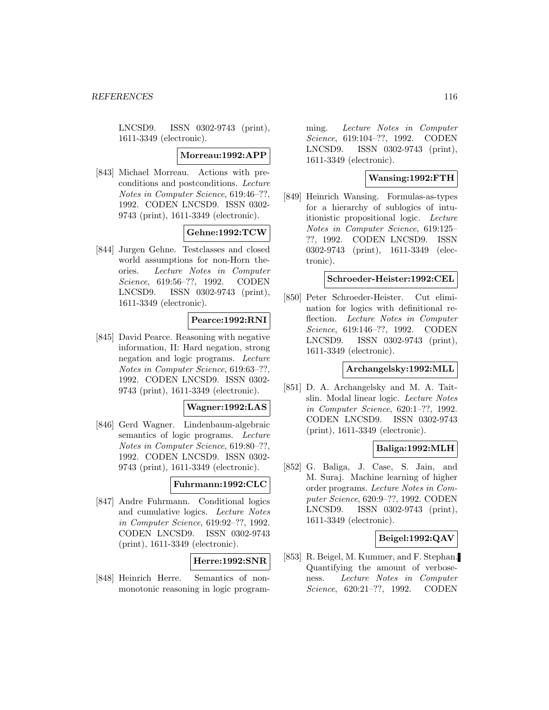LNCSD9. ISSN 0302-9743 (print), 1611-3349 (electronic).

#### **Morreau:1992:APP**

[843] Michael Morreau. Actions with preconditions and postconditions. Lecture Notes in Computer Science, 619:46–??, 1992. CODEN LNCSD9. ISSN 0302- 9743 (print), 1611-3349 (electronic).

# **Gehne:1992:TCW**

[844] Jurgen Gehne. Testclasses and closed world assumptions for non-Horn theories. Lecture Notes in Computer Science, 619:56–??, 1992. CODEN LNCSD9. ISSN 0302-9743 (print), 1611-3349 (electronic).

### **Pearce:1992:RNI**

[845] David Pearce. Reasoning with negative information, II: Hard negation, strong negation and logic programs. Lecture Notes in Computer Science, 619:63–??, 1992. CODEN LNCSD9. ISSN 0302- 9743 (print), 1611-3349 (electronic).

#### **Wagner:1992:LAS**

[846] Gerd Wagner. Lindenbaum-algebraic semantics of logic programs. Lecture Notes in Computer Science, 619:80–??, 1992. CODEN LNCSD9. ISSN 0302- 9743 (print), 1611-3349 (electronic).

#### **Fuhrmann:1992:CLC**

[847] Andre Fuhrmann. Conditional logics and cumulative logics. Lecture Notes in Computer Science, 619:92–??, 1992. CODEN LNCSD9. ISSN 0302-9743 (print), 1611-3349 (electronic).

### **Herre:1992:SNR**

[848] Heinrich Herre. Semantics of nonmonotonic reasoning in logic programming. Lecture Notes in Computer Science, 619:104–??, 1992. CODEN LNCSD9. ISSN 0302-9743 (print), 1611-3349 (electronic).

# **Wansing:1992:FTH**

[849] Heinrich Wansing. Formulas-as-types for a hierarchy of sublogics of intuitionistic propositional logic. Lecture Notes in Computer Science, 619:125– ??, 1992. CODEN LNCSD9. ISSN 0302-9743 (print), 1611-3349 (electronic).

#### **Schroeder-Heister:1992:CEL**

[850] Peter Schroeder-Heister. Cut elimination for logics with definitional reflection. Lecture Notes in Computer Science, 619:146–??, 1992. CODEN LNCSD9. ISSN 0302-9743 (print), 1611-3349 (electronic).

### **Archangelsky:1992:MLL**

[851] D. A. Archangelsky and M. A. Taitslin. Modal linear logic. Lecture Notes in Computer Science, 620:1–??, 1992. CODEN LNCSD9. ISSN 0302-9743 (print), 1611-3349 (electronic).

### **Baliga:1992:MLH**

[852] G. Baliga, J. Case, S. Jain, and M. Suraj. Machine learning of higher order programs. Lecture Notes in Computer Science, 620:9–??, 1992. CODEN LNCSD9. ISSN 0302-9743 (print), 1611-3349 (electronic).

### **Beigel:1992:QAV**

[853] R. Beigel, M. Kummer, and F. Stephan. Quantifying the amount of verboseness. Lecture Notes in Computer Science, 620:21–??, 1992. CODEN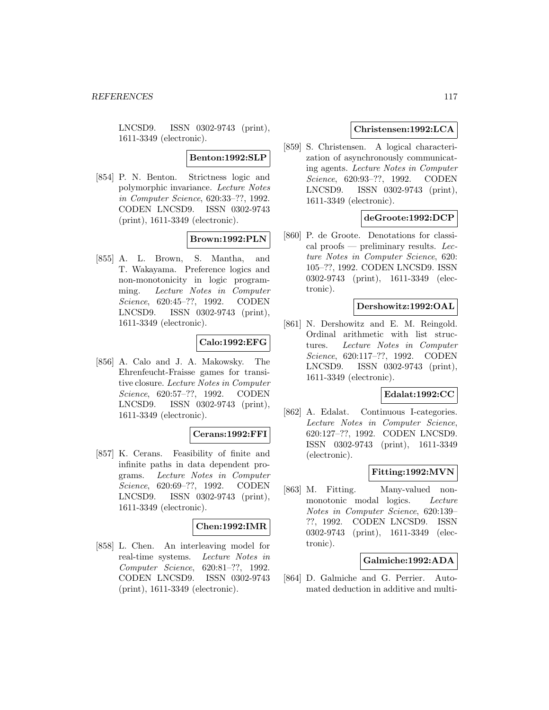LNCSD9. ISSN 0302-9743 (print), 1611-3349 (electronic).

# **Benton:1992:SLP**

[854] P. N. Benton. Strictness logic and polymorphic invariance. Lecture Notes in Computer Science, 620:33–??, 1992. CODEN LNCSD9. ISSN 0302-9743 (print), 1611-3349 (electronic).

# **Brown:1992:PLN**

[855] A. L. Brown, S. Mantha, and T. Wakayama. Preference logics and non-monotonicity in logic programming. Lecture Notes in Computer Science, 620:45–??, 1992. CODEN LNCSD9. ISSN 0302-9743 (print), 1611-3349 (electronic).

### **Calo:1992:EFG**

[856] A. Calo and J. A. Makowsky. The Ehrenfeucht-Fraisse games for transitive closure. Lecture Notes in Computer Science, 620:57–??, 1992. CODEN LNCSD9. ISSN 0302-9743 (print), 1611-3349 (electronic).

#### **Cerans:1992:FFI**

[857] K. Cerans. Feasibility of finite and infinite paths in data dependent programs. Lecture Notes in Computer Science, 620:69–??, 1992. CODEN LNCSD9. ISSN 0302-9743 (print), 1611-3349 (electronic).

### **Chen:1992:IMR**

[858] L. Chen. An interleaving model for real-time systems. Lecture Notes in Computer Science, 620:81–??, 1992. CODEN LNCSD9. ISSN 0302-9743 (print), 1611-3349 (electronic).

### **Christensen:1992:LCA**

[859] S. Christensen. A logical characterization of asynchronously communicating agents. Lecture Notes in Computer Science, 620:93–??, 1992. CODEN LNCSD9. ISSN 0302-9743 (print), 1611-3349 (electronic).

## **deGroote:1992:DCP**

[860] P. de Groote. Denotations for classical proofs — preliminary results. Lecture Notes in Computer Science, 620: 105–??, 1992. CODEN LNCSD9. ISSN 0302-9743 (print), 1611-3349 (electronic).

#### **Dershowitz:1992:OAL**

[861] N. Dershowitz and E. M. Reingold. Ordinal arithmetic with list structures. Lecture Notes in Computer Science, 620:117–??, 1992. CODEN LNCSD9. ISSN 0302-9743 (print), 1611-3349 (electronic).

#### **Edalat:1992:CC**

[862] A. Edalat. Continuous I-categories. Lecture Notes in Computer Science, 620:127–??, 1992. CODEN LNCSD9. ISSN 0302-9743 (print), 1611-3349 (electronic).

# **Fitting:1992:MVN**

[863] M. Fitting. Many-valued nonmonotonic modal logics. Lecture Notes in Computer Science, 620:139– ??, 1992. CODEN LNCSD9. ISSN 0302-9743 (print), 1611-3349 (electronic).

### **Galmiche:1992:ADA**

[864] D. Galmiche and G. Perrier. Automated deduction in additive and multi-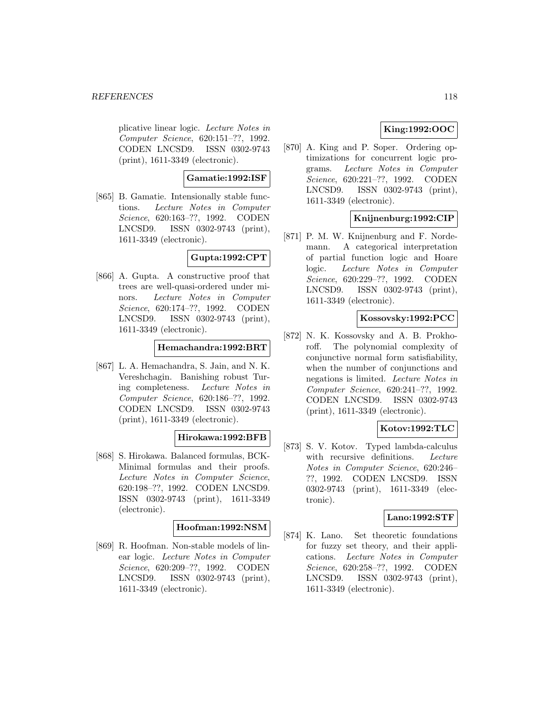#### *REFERENCES* 118

plicative linear logic. Lecture Notes in Computer Science, 620:151–??, 1992. CODEN LNCSD9. ISSN 0302-9743 (print), 1611-3349 (electronic).

**Gamatie:1992:ISF**

[865] B. Gamatie. Intensionally stable functions. Lecture Notes in Computer Science, 620:163–??, 1992. CODEN LNCSD9. ISSN 0302-9743 (print), 1611-3349 (electronic).

### **Gupta:1992:CPT**

[866] A. Gupta. A constructive proof that trees are well-quasi-ordered under minors. Lecture Notes in Computer Science, 620:174–??, 1992. CODEN LNCSD9. ISSN 0302-9743 (print), 1611-3349 (electronic).

### **Hemachandra:1992:BRT**

[867] L. A. Hemachandra, S. Jain, and N. K. Vereshchagin. Banishing robust Turing completeness. Lecture Notes in Computer Science, 620:186–??, 1992. CODEN LNCSD9. ISSN 0302-9743 (print), 1611-3349 (electronic).

### **Hirokawa:1992:BFB**

[868] S. Hirokawa. Balanced formulas, BCK-Minimal formulas and their proofs. Lecture Notes in Computer Science, 620:198–??, 1992. CODEN LNCSD9. ISSN 0302-9743 (print), 1611-3349 (electronic).

### **Hoofman:1992:NSM**

[869] R. Hoofman. Non-stable models of linear logic. Lecture Notes in Computer Science, 620:209–??, 1992. CODEN LNCSD9. ISSN 0302-9743 (print), 1611-3349 (electronic).

# **King:1992:OOC**

[870] A. King and P. Soper. Ordering optimizations for concurrent logic programs. Lecture Notes in Computer Science, 620:221–??, 1992. CODEN LNCSD9. ISSN 0302-9743 (print), 1611-3349 (electronic).

# **Knijnenburg:1992:CIP**

[871] P. M. W. Knijnenburg and F. Nordemann. A categorical interpretation of partial function logic and Hoare logic. Lecture Notes in Computer Science, 620:229–??, 1992. CODEN LNCSD9. ISSN 0302-9743 (print), 1611-3349 (electronic).

### **Kossovsky:1992:PCC**

[872] N. K. Kossovsky and A. B. Prokhoroff. The polynomial complexity of conjunctive normal form satisfiability, when the number of conjunctions and negations is limited. Lecture Notes in Computer Science, 620:241–??, 1992. CODEN LNCSD9. ISSN 0302-9743 (print), 1611-3349 (electronic).

# **Kotov:1992:TLC**

[873] S. V. Kotov. Typed lambda-calculus with recursive definitions. Lecture Notes in Computer Science, 620:246– ??, 1992. CODEN LNCSD9. ISSN 0302-9743 (print), 1611-3349 (electronic).

## **Lano:1992:STF**

[874] K. Lano. Set theoretic foundations for fuzzy set theory, and their applications. Lecture Notes in Computer Science, 620:258–??, 1992. CODEN LNCSD9. ISSN 0302-9743 (print), 1611-3349 (electronic).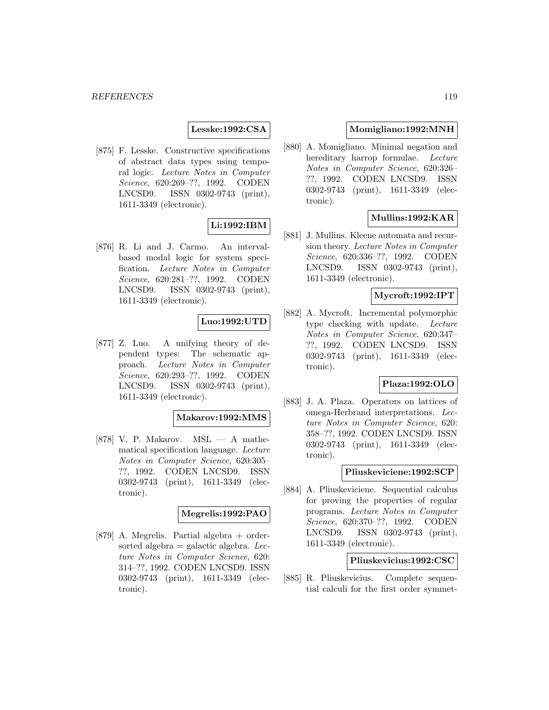**Lesske:1992:CSA**

[875] F. Lesske. Constructive specifications of abstract data types using temporal logic. Lecture Notes in Computer Science, 620:269–??, 1992. CODEN LNCSD9. ISSN 0302-9743 (print), 1611-3349 (electronic).

## **Li:1992:IBM**

[876] R. Li and J. Carmo. An intervalbased modal logic for system specification. Lecture Notes in Computer Science, 620:281–??, 1992. CODEN LNCSD9. ISSN 0302-9743 (print), 1611-3349 (electronic).

## **Luo:1992:UTD**

[877] Z. Luo. A unifying theory of dependent types: The schematic approach. Lecture Notes in Computer Science, 620:293–??, 1992. CODEN LNCSD9. ISSN 0302-9743 (print), 1611-3349 (electronic).

#### **Makarov:1992:MMS**

[878] V. P. Makarov. MSL — A mathematical specification language. Lecture Notes in Computer Science, 620:305– ??, 1992. CODEN LNCSD9. ISSN 0302-9743 (print), 1611-3349 (electronic).

### **Megrelis:1992:PAO**

[879] A. Megrelis. Partial algebra + ordersorted algebra  $=$  galactic algebra. Lecture Notes in Computer Science, 620: 314–??, 1992. CODEN LNCSD9. ISSN 0302-9743 (print), 1611-3349 (electronic).

### **Momigliano:1992:MNH**

[880] A. Momigliano. Minimal negation and hereditary harrop formulae. Lecture Notes in Computer Science, 620:326– ??, 1992. CODEN LNCSD9. ISSN 0302-9743 (print), 1611-3349 (electronic).

## **Mullins:1992:KAR**

[881] J. Mullins. Kleene automata and recursion theory. Lecture Notes in Computer Science, 620:336–??, 1992. CODEN LNCSD9. ISSN 0302-9743 (print), 1611-3349 (electronic).

### **Mycroft:1992:IPT**

[882] A. Mycroft. Incremental polymorphic type checking with update. Lecture Notes in Computer Science, 620:347– ??, 1992. CODEN LNCSD9. ISSN 0302-9743 (print), 1611-3349 (electronic).

## **Plaza:1992:OLO**

[883] J. A. Plaza. Operators on lattices of omega-Herbrand interpretations. Lecture Notes in Computer Science, 620: 358–??, 1992. CODEN LNCSD9. ISSN 0302-9743 (print), 1611-3349 (electronic).

#### **Pliuskeviciene:1992:SCP**

[884] A. Pliuskeviciene. Sequential calculus for proving the properties of regular programs. Lecture Notes in Computer Science, 620:370–??, 1992. CODEN LNCSD9. ISSN 0302-9743 (print), 1611-3349 (electronic).

#### **Pliuskevicius:1992:CSC**

[885] R. Pliuskevicius. Complete sequential calculi for the first order symmet-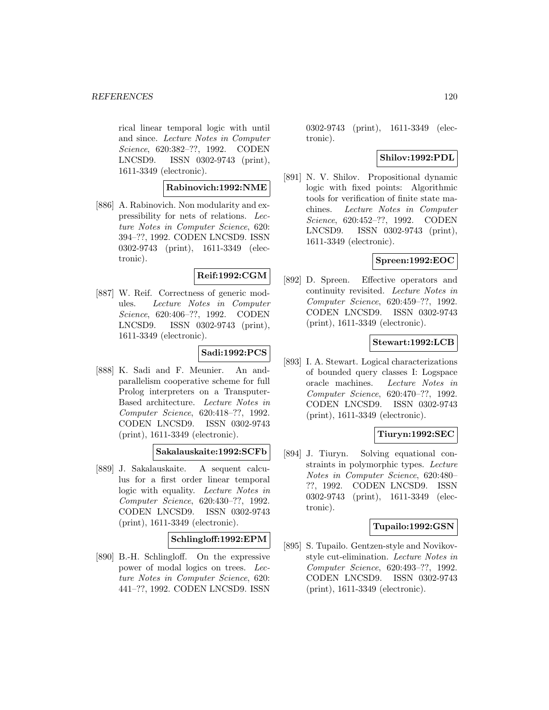#### *REFERENCES* 120

rical linear temporal logic with until and since. Lecture Notes in Computer Science, 620:382–??, 1992. CODEN LNCSD9. ISSN 0302-9743 (print), 1611-3349 (electronic).

## **Rabinovich:1992:NME**

[886] A. Rabinovich. Non modularity and expressibility for nets of relations. Lecture Notes in Computer Science, 620: 394–??, 1992. CODEN LNCSD9. ISSN 0302-9743 (print), 1611-3349 (electronic).

# **Reif:1992:CGM**

[887] W. Reif. Correctness of generic modules. Lecture Notes in Computer Science, 620:406–??, 1992. CODEN LNCSD9. ISSN 0302-9743 (print), 1611-3349 (electronic).

# **Sadi:1992:PCS**

[888] K. Sadi and F. Meunier. An andparallelism cooperative scheme for full Prolog interpreters on a Transputer-Based architecture. Lecture Notes in Computer Science, 620:418–??, 1992. CODEN LNCSD9. ISSN 0302-9743 (print), 1611-3349 (electronic).

### **Sakalauskaite:1992:SCFb**

[889] J. Sakalauskaite. A sequent calculus for a first order linear temporal logic with equality. Lecture Notes in Computer Science, 620:430–??, 1992. CODEN LNCSD9. ISSN 0302-9743 (print), 1611-3349 (electronic).

### **Schlingloff:1992:EPM**

[890] B.-H. Schlingloff. On the expressive power of modal logics on trees. Lecture Notes in Computer Science, 620: 441–??, 1992. CODEN LNCSD9. ISSN

0302-9743 (print), 1611-3349 (electronic).

## **Shilov:1992:PDL**

[891] N. V. Shilov. Propositional dynamic logic with fixed points: Algorithmic tools for verification of finite state machines. Lecture Notes in Computer Science, 620:452–??, 1992. CODEN LNCSD9. ISSN 0302-9743 (print), 1611-3349 (electronic).

# **Spreen:1992:EOC**

[892] D. Spreen. Effective operators and continuity revisited. Lecture Notes in Computer Science, 620:459–??, 1992. CODEN LNCSD9. ISSN 0302-9743 (print), 1611-3349 (electronic).

### **Stewart:1992:LCB**

[893] I. A. Stewart. Logical characterizations of bounded query classes I: Logspace oracle machines. Lecture Notes in Computer Science, 620:470–??, 1992. CODEN LNCSD9. ISSN 0302-9743 (print), 1611-3349 (electronic).

## **Tiuryn:1992:SEC**

[894] J. Tiuryn. Solving equational constraints in polymorphic types. Lecture Notes in Computer Science, 620:480– ??, 1992. CODEN LNCSD9. ISSN 0302-9743 (print), 1611-3349 (electronic).

### **Tupailo:1992:GSN**

[895] S. Tupailo. Gentzen-style and Novikovstyle cut-elimination. Lecture Notes in Computer Science, 620:493–??, 1992. CODEN LNCSD9. ISSN 0302-9743 (print), 1611-3349 (electronic).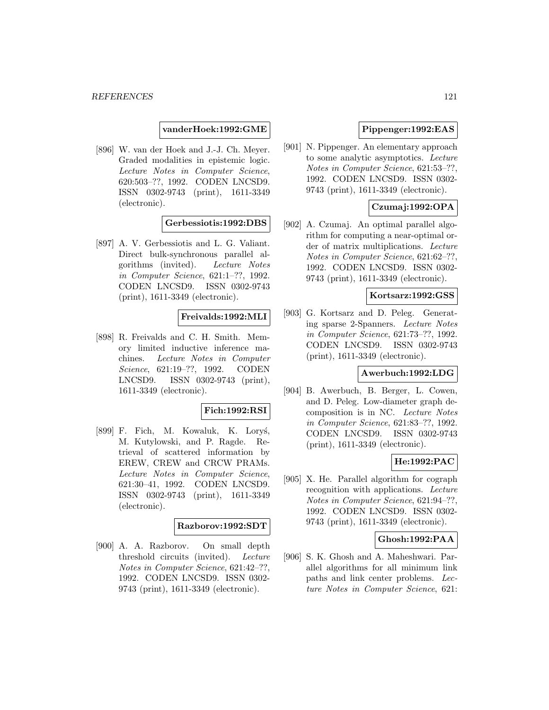#### **vanderHoek:1992:GME**

[896] W. van der Hoek and J.-J. Ch. Meyer. Graded modalities in epistemic logic. Lecture Notes in Computer Science, 620:503–??, 1992. CODEN LNCSD9. ISSN 0302-9743 (print), 1611-3349 (electronic).

### **Gerbessiotis:1992:DBS**

[897] A. V. Gerbessiotis and L. G. Valiant. Direct bulk-synchronous parallel algorithms (invited). Lecture Notes in Computer Science, 621:1–??, 1992. CODEN LNCSD9. ISSN 0302-9743 (print), 1611-3349 (electronic).

#### **Freivalds:1992:MLI**

[898] R. Freivalds and C. H. Smith. Memory limited inductive inference machines. Lecture Notes in Computer Science, 621:19–??, 1992. CODEN LNCSD9. ISSN 0302-9743 (print), 1611-3349 (electronic).

### **Fich:1992:RSI**

[899] F. Fich, M. Kowaluk, K. Lorys, M. Kutylowski, and P. Ragde. Retrieval of scattered information by EREW, CREW and CRCW PRAMs. Lecture Notes in Computer Science, 621:30–41, 1992. CODEN LNCSD9. ISSN 0302-9743 (print), 1611-3349 (electronic).

#### **Razborov:1992:SDT**

[900] A. A. Razborov. On small depth threshold circuits (invited). Lecture Notes in Computer Science, 621:42–??, 1992. CODEN LNCSD9. ISSN 0302- 9743 (print), 1611-3349 (electronic).

### **Pippenger:1992:EAS**

[901] N. Pippenger. An elementary approach to some analytic asymptotics. Lecture Notes in Computer Science, 621:53–??, 1992. CODEN LNCSD9. ISSN 0302- 9743 (print), 1611-3349 (electronic).

# **Czumaj:1992:OPA**

[902] A. Czumaj. An optimal parallel algorithm for computing a near-optimal order of matrix multiplications. Lecture Notes in Computer Science, 621:62–??, 1992. CODEN LNCSD9. ISSN 0302- 9743 (print), 1611-3349 (electronic).

# **Kortsarz:1992:GSS**

[903] G. Kortsarz and D. Peleg. Generating sparse 2-Spanners. Lecture Notes in Computer Science, 621:73–??, 1992. CODEN LNCSD9. ISSN 0302-9743 (print), 1611-3349 (electronic).

### **Awerbuch:1992:LDG**

[904] B. Awerbuch, B. Berger, L. Cowen, and D. Peleg. Low-diameter graph decomposition is in NC. Lecture Notes in Computer Science, 621:83–??, 1992. CODEN LNCSD9. ISSN 0302-9743 (print), 1611-3349 (electronic).

### **He:1992:PAC**

[905] X. He. Parallel algorithm for cograph recognition with applications. Lecture Notes in Computer Science, 621:94–??, 1992. CODEN LNCSD9. ISSN 0302- 9743 (print), 1611-3349 (electronic).

#### **Ghosh:1992:PAA**

[906] S. K. Ghosh and A. Maheshwari. Parallel algorithms for all minimum link paths and link center problems. Lecture Notes in Computer Science, 621: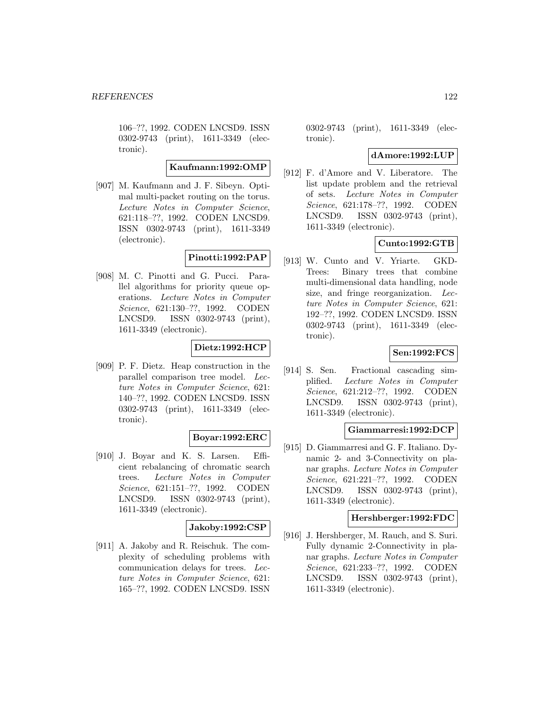106–??, 1992. CODEN LNCSD9. ISSN 0302-9743 (print), 1611-3349 (electronic).

**Kaufmann:1992:OMP**

[907] M. Kaufmann and J. F. Sibeyn. Optimal multi-packet routing on the torus. Lecture Notes in Computer Science, 621:118–??, 1992. CODEN LNCSD9. ISSN 0302-9743 (print), 1611-3349 (electronic).

# **Pinotti:1992:PAP**

[908] M. C. Pinotti and G. Pucci. Parallel algorithms for priority queue operations. Lecture Notes in Computer Science, 621:130–??, 1992. CODEN LNCSD9. ISSN 0302-9743 (print), 1611-3349 (electronic).

# **Dietz:1992:HCP**

[909] P. F. Dietz. Heap construction in the parallel comparison tree model. Lecture Notes in Computer Science, 621: 140–??, 1992. CODEN LNCSD9. ISSN 0302-9743 (print), 1611-3349 (electronic).

### **Boyar:1992:ERC**

[910] J. Boyar and K. S. Larsen. Efficient rebalancing of chromatic search trees. Lecture Notes in Computer Science, 621:151–??, 1992. CODEN LNCSD9. ISSN 0302-9743 (print), 1611-3349 (electronic).

### **Jakoby:1992:CSP**

[911] A. Jakoby and R. Reischuk. The complexity of scheduling problems with communication delays for trees. Lecture Notes in Computer Science, 621: 165–??, 1992. CODEN LNCSD9. ISSN

0302-9743 (print), 1611-3349 (electronic).

### **dAmore:1992:LUP**

[912] F. d'Amore and V. Liberatore. The list update problem and the retrieval of sets. Lecture Notes in Computer Science, 621:178–??, 1992. CODEN LNCSD9. ISSN 0302-9743 (print), 1611-3349 (electronic).

### **Cunto:1992:GTB**

[913] W. Cunto and V. Yriarte. GKD-Trees: Binary trees that combine multi-dimensional data handling, node size, and fringe reorganization. Lecture Notes in Computer Science, 621: 192–??, 1992. CODEN LNCSD9. ISSN 0302-9743 (print), 1611-3349 (electronic).

## **Sen:1992:FCS**

[914] S. Sen. Fractional cascading simplified. Lecture Notes in Computer Science, 621:212–??, 1992. CODEN LNCSD9. ISSN 0302-9743 (print), 1611-3349 (electronic).

### **Giammarresi:1992:DCP**

[915] D. Giammarresi and G. F. Italiano. Dynamic 2- and 3-Connectivity on planar graphs. Lecture Notes in Computer Science, 621:221–??, 1992. CODEN LNCSD9. ISSN 0302-9743 (print), 1611-3349 (electronic).

### **Hershberger:1992:FDC**

[916] J. Hershberger, M. Rauch, and S. Suri. Fully dynamic 2-Connectivity in planar graphs. Lecture Notes in Computer Science, 621:233–??, 1992. CODEN LNCSD9. ISSN 0302-9743 (print), 1611-3349 (electronic).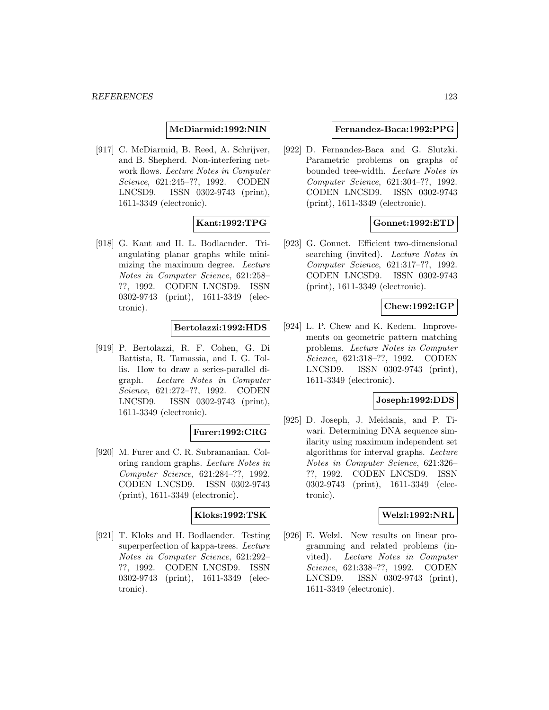### **McDiarmid:1992:NIN**

[917] C. McDiarmid, B. Reed, A. Schrijver, and B. Shepherd. Non-interfering network flows. Lecture Notes in Computer Science, 621:245–??, 1992. CODEN LNCSD9. ISSN 0302-9743 (print), 1611-3349 (electronic).

## **Kant:1992:TPG**

[918] G. Kant and H. L. Bodlaender. Triangulating planar graphs while minimizing the maximum degree. Lecture Notes in Computer Science, 621:258– ??, 1992. CODEN LNCSD9. ISSN 0302-9743 (print), 1611-3349 (electronic).

#### **Bertolazzi:1992:HDS**

[919] P. Bertolazzi, R. F. Cohen, G. Di Battista, R. Tamassia, and I. G. Tollis. How to draw a series-parallel digraph. Lecture Notes in Computer Science, 621:272–??, 1992. CODEN LNCSD9. ISSN 0302-9743 (print), 1611-3349 (electronic).

### **Furer:1992:CRG**

[920] M. Furer and C. R. Subramanian. Coloring random graphs. Lecture Notes in Computer Science, 621:284–??, 1992. CODEN LNCSD9. ISSN 0302-9743 (print), 1611-3349 (electronic).

# **Kloks:1992:TSK**

[921] T. Kloks and H. Bodlaender. Testing superperfection of kappa-trees. Lecture Notes in Computer Science, 621:292– ??, 1992. CODEN LNCSD9. ISSN 0302-9743 (print), 1611-3349 (electronic).

### **Fernandez-Baca:1992:PPG**

[922] D. Fernandez-Baca and G. Slutzki. Parametric problems on graphs of bounded tree-width. Lecture Notes in Computer Science, 621:304–??, 1992. CODEN LNCSD9. ISSN 0302-9743 (print), 1611-3349 (electronic).

## **Gonnet:1992:ETD**

[923] G. Gonnet. Efficient two-dimensional searching (invited). Lecture Notes in Computer Science, 621:317–??, 1992. CODEN LNCSD9. ISSN 0302-9743 (print), 1611-3349 (electronic).

# **Chew:1992:IGP**

[924] L. P. Chew and K. Kedem. Improvements on geometric pattern matching problems. Lecture Notes in Computer Science, 621:318–??, 1992. CODEN LNCSD9. ISSN 0302-9743 (print), 1611-3349 (electronic).

### **Joseph:1992:DDS**

[925] D. Joseph, J. Meidanis, and P. Tiwari. Determining DNA sequence similarity using maximum independent set algorithms for interval graphs. Lecture Notes in Computer Science, 621:326– ??, 1992. CODEN LNCSD9. ISSN 0302-9743 (print), 1611-3349 (electronic).

#### **Welzl:1992:NRL**

[926] E. Welzl. New results on linear programming and related problems (invited). Lecture Notes in Computer Science, 621:338–??, 1992. CODEN LNCSD9. ISSN 0302-9743 (print), 1611-3349 (electronic).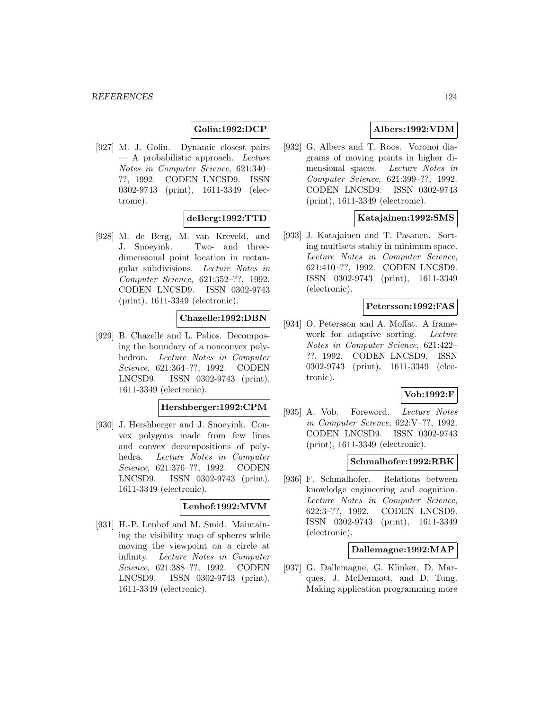## **Golin:1992:DCP**

[927] M. J. Golin. Dynamic closest pairs  $-$  A probabilistic approach. Lecture Notes in Computer Science, 621:340– ??, 1992. CODEN LNCSD9. ISSN 0302-9743 (print), 1611-3349 (electronic).

### **deBerg:1992:TTD**

[928] M. de Berg, M. van Kreveld, and J. Snoeyink. Two- and threedimensional point location in rectangular subdivisions. Lecture Notes in Computer Science, 621:352–??, 1992. CODEN LNCSD9. ISSN 0302-9743 (print), 1611-3349 (electronic).

## **Chazelle:1992:DBN**

[929] B. Chazelle and L. Palios. Decomposing the boundary of a nonconvex polyhedron. Lecture Notes in Computer Science, 621:364–??, 1992. CODEN LNCSD9. ISSN 0302-9743 (print), 1611-3349 (electronic).

# **Hershberger:1992:CPM**

[930] J. Hershberger and J. Snoeyink. Convex polygons made from few lines and convex decompositions of polyhedra. Lecture Notes in Computer Science, 621:376–??, 1992. CODEN LNCSD9. ISSN 0302-9743 (print), 1611-3349 (electronic).

#### **Lenhof:1992:MVM**

[931] H.-P. Lenhof and M. Smid. Maintaining the visibility map of spheres while moving the viewpoint on a circle at infinity. Lecture Notes in Computer Science, 621:388–??, 1992. CODEN LNCSD9. ISSN 0302-9743 (print), 1611-3349 (electronic).

# **Albers:1992:VDM**

[932] G. Albers and T. Roos. Voronoi diagrams of moving points in higher dimensional spaces. Lecture Notes in Computer Science, 621:399–??, 1992. CODEN LNCSD9. ISSN 0302-9743 (print), 1611-3349 (electronic).

#### **Katajainen:1992:SMS**

[933] J. Katajainen and T. Pasanen. Sorting multisets stably in minimum space. Lecture Notes in Computer Science, 621:410–??, 1992. CODEN LNCSD9. ISSN 0302-9743 (print), 1611-3349 (electronic).

### **Petersson:1992:FAS**

[934] O. Petersson and A. Moffat. A framework for adaptive sorting. Lecture Notes in Computer Science, 621:422– ??, 1992. CODEN LNCSD9. ISSN 0302-9743 (print), 1611-3349 (electronic).

#### **Vob:1992:F**

[935] A. Vob. Foreword. Lecture Notes in Computer Science, 622:V–??, 1992. CODEN LNCSD9. ISSN 0302-9743 (print), 1611-3349 (electronic).

### **Schmalhofer:1992:RBK**

[936] F. Schmalhofer. Relations between knowledge engineering and cognition. Lecture Notes in Computer Science, 622:3–??, 1992. CODEN LNCSD9. ISSN 0302-9743 (print), 1611-3349 (electronic).

### **Dallemagne:1992:MAP**

[937] G. Dallemagne, G. Klinker, D. Marques, J. McDermott, and D. Tung. Making application programming more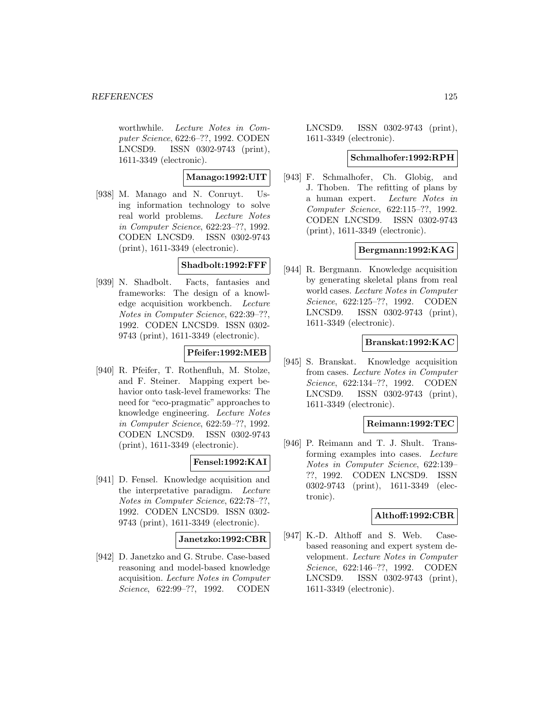worthwhile. Lecture Notes in Computer Science, 622:6–??, 1992. CODEN LNCSD9. ISSN 0302-9743 (print), 1611-3349 (electronic).

### **Manago:1992:UIT**

[938] M. Manago and N. Conruyt. Using information technology to solve real world problems. Lecture Notes in Computer Science, 622:23–??, 1992. CODEN LNCSD9. ISSN 0302-9743 (print), 1611-3349 (electronic).

# **Shadbolt:1992:FFF**

[939] N. Shadbolt. Facts, fantasies and frameworks: The design of a knowledge acquisition workbench. Lecture Notes in Computer Science, 622:39–??, 1992. CODEN LNCSD9. ISSN 0302- 9743 (print), 1611-3349 (electronic).

## **Pfeifer:1992:MEB**

[940] R. Pfeifer, T. Rothenfluh, M. Stolze, and F. Steiner. Mapping expert behavior onto task-level frameworks: The need for "eco-pragmatic" approaches to knowledge engineering. Lecture Notes in Computer Science, 622:59–??, 1992. CODEN LNCSD9. ISSN 0302-9743 (print), 1611-3349 (electronic).

### **Fensel:1992:KAI**

[941] D. Fensel. Knowledge acquisition and the interpretative paradigm. Lecture Notes in Computer Science, 622:78–??, 1992. CODEN LNCSD9. ISSN 0302- 9743 (print), 1611-3349 (electronic).

### **Janetzko:1992:CBR**

[942] D. Janetzko and G. Strube. Case-based reasoning and model-based knowledge acquisition. Lecture Notes in Computer Science, 622:99–??, 1992. CODEN

LNCSD9. ISSN 0302-9743 (print), 1611-3349 (electronic).

### **Schmalhofer:1992:RPH**

[943] F. Schmalhofer, Ch. Globig, and J. Thoben. The refitting of plans by a human expert. Lecture Notes in Computer Science, 622:115–??, 1992. CODEN LNCSD9. ISSN 0302-9743 (print), 1611-3349 (electronic).

### **Bergmann:1992:KAG**

[944] R. Bergmann. Knowledge acquisition by generating skeletal plans from real world cases. Lecture Notes in Computer Science, 622:125–??, 1992. CODEN LNCSD9. ISSN 0302-9743 (print), 1611-3349 (electronic).

### **Branskat:1992:KAC**

[945] S. Branskat. Knowledge acquisition from cases. Lecture Notes in Computer Science, 622:134–??, 1992. CODEN LNCSD9. ISSN 0302-9743 (print), 1611-3349 (electronic).

### **Reimann:1992:TEC**

[946] P. Reimann and T. J. Shult. Transforming examples into cases. Lecture Notes in Computer Science, 622:139– ??, 1992. CODEN LNCSD9. ISSN 0302-9743 (print), 1611-3349 (electronic).

### **Althoff:1992:CBR**

[947] K.-D. Althoff and S. Web. Casebased reasoning and expert system development. Lecture Notes in Computer Science, 622:146–??, 1992. CODEN LNCSD9. ISSN 0302-9743 (print), 1611-3349 (electronic).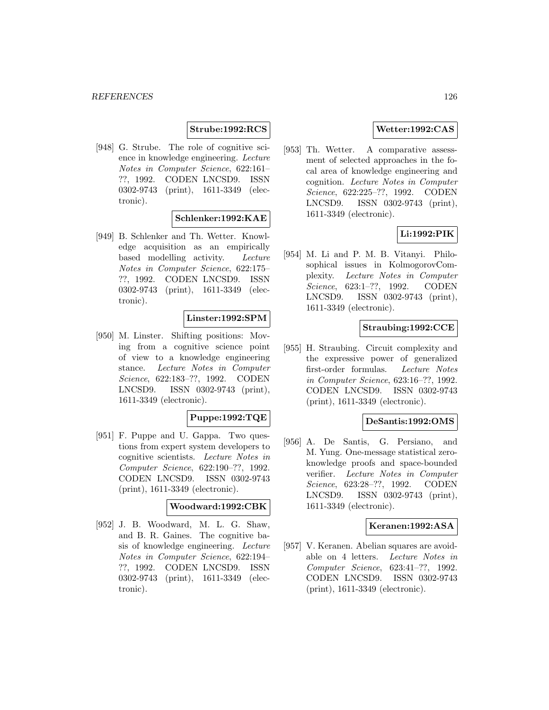### **Strube:1992:RCS**

[948] G. Strube. The role of cognitive science in knowledge engineering. Lecture Notes in Computer Science, 622:161– ??, 1992. CODEN LNCSD9. ISSN 0302-9743 (print), 1611-3349 (electronic).

### **Schlenker:1992:KAE**

[949] B. Schlenker and Th. Wetter. Knowledge acquisition as an empirically based modelling activity. Lecture Notes in Computer Science, 622:175– ??, 1992. CODEN LNCSD9. ISSN 0302-9743 (print), 1611-3349 (electronic).

### **Linster:1992:SPM**

[950] M. Linster. Shifting positions: Moving from a cognitive science point of view to a knowledge engineering stance. Lecture Notes in Computer Science, 622:183–??, 1992. CODEN LNCSD9. ISSN 0302-9743 (print), 1611-3349 (electronic).

### **Puppe:1992:TQE**

[951] F. Puppe and U. Gappa. Two questions from expert system developers to cognitive scientists. Lecture Notes in Computer Science, 622:190–??, 1992. CODEN LNCSD9. ISSN 0302-9743 (print), 1611-3349 (electronic).

## **Woodward:1992:CBK**

[952] J. B. Woodward, M. L. G. Shaw, and B. R. Gaines. The cognitive basis of knowledge engineering. Lecture Notes in Computer Science, 622:194– ??, 1992. CODEN LNCSD9. ISSN 0302-9743 (print), 1611-3349 (electronic).

## **Wetter:1992:CAS**

[953] Th. Wetter. A comparative assessment of selected approaches in the focal area of knowledge engineering and cognition. Lecture Notes in Computer Science, 622:225–??, 1992. CODEN LNCSD9. ISSN 0302-9743 (print), 1611-3349 (electronic).

## **Li:1992:PIK**

[954] M. Li and P. M. B. Vitanyi. Philosophical issues in KolmogorovComplexity. Lecture Notes in Computer Science, 623:1–??, 1992. CODEN LNCSD9. ISSN 0302-9743 (print), 1611-3349 (electronic).

# **Straubing:1992:CCE**

[955] H. Straubing. Circuit complexity and the expressive power of generalized first-order formulas. Lecture Notes in Computer Science, 623:16–??, 1992. CODEN LNCSD9. ISSN 0302-9743 (print), 1611-3349 (electronic).

#### **DeSantis:1992:OMS**

[956] A. De Santis, G. Persiano, and M. Yung. One-message statistical zeroknowledge proofs and space-bounded verifier. Lecture Notes in Computer Science, 623:28–??, 1992. CODEN LNCSD9. ISSN 0302-9743 (print), 1611-3349 (electronic).

### **Keranen:1992:ASA**

[957] V. Keranen. Abelian squares are avoidable on 4 letters. Lecture Notes in Computer Science, 623:41–??, 1992. CODEN LNCSD9. ISSN 0302-9743 (print), 1611-3349 (electronic).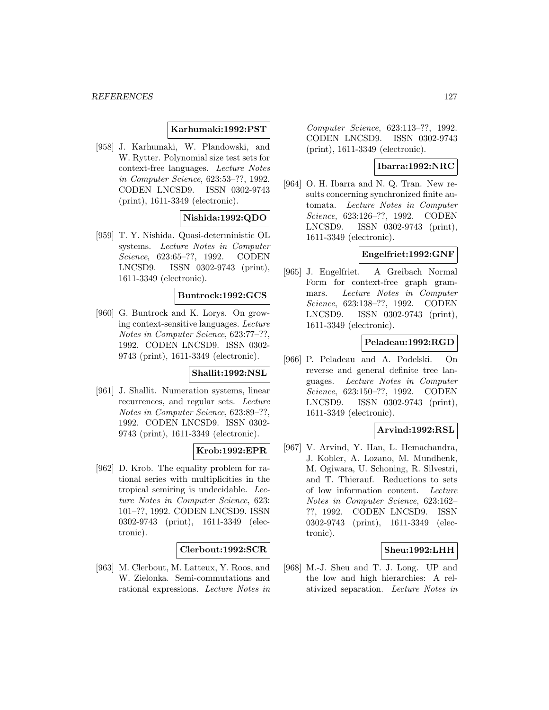### **Karhumaki:1992:PST**

[958] J. Karhumaki, W. Plandowski, and W. Rytter. Polynomial size test sets for context-free languages. Lecture Notes in Computer Science, 623:53–??, 1992. CODEN LNCSD9. ISSN 0302-9743 (print), 1611-3349 (electronic).

## **Nishida:1992:QDO**

[959] T. Y. Nishida. Quasi-deterministic OL systems. Lecture Notes in Computer Science, 623:65–??, 1992. CODEN LNCSD9. ISSN 0302-9743 (print), 1611-3349 (electronic).

### **Buntrock:1992:GCS**

[960] G. Buntrock and K. Lorys. On growing context-sensitive languages. Lecture Notes in Computer Science, 623:77–??, 1992. CODEN LNCSD9. ISSN 0302- 9743 (print), 1611-3349 (electronic).

#### **Shallit:1992:NSL**

[961] J. Shallit. Numeration systems, linear recurrences, and regular sets. Lecture Notes in Computer Science, 623:89–??, 1992. CODEN LNCSD9. ISSN 0302- 9743 (print), 1611-3349 (electronic).

### **Krob:1992:EPR**

[962] D. Krob. The equality problem for rational series with multiplicities in the tropical semiring is undecidable. Lecture Notes in Computer Science, 623: 101–??, 1992. CODEN LNCSD9. ISSN 0302-9743 (print), 1611-3349 (electronic).

### **Clerbout:1992:SCR**

[963] M. Clerbout, M. Latteux, Y. Roos, and W. Zielonka. Semi-commutations and rational expressions. Lecture Notes in

Computer Science, 623:113–??, 1992. CODEN LNCSD9. ISSN 0302-9743 (print), 1611-3349 (electronic).

### **Ibarra:1992:NRC**

[964] O. H. Ibarra and N. Q. Tran. New results concerning synchronized finite automata. Lecture Notes in Computer Science, 623:126–??, 1992. CODEN LNCSD9. ISSN 0302-9743 (print), 1611-3349 (electronic).

### **Engelfriet:1992:GNF**

[965] J. Engelfriet. A Greibach Normal Form for context-free graph grammars. Lecture Notes in Computer Science, 623:138–??, 1992. CODEN LNCSD9. ISSN 0302-9743 (print), 1611-3349 (electronic).

### **Peladeau:1992:RGD**

[966] P. Peladeau and A. Podelski. On reverse and general definite tree languages. Lecture Notes in Computer Science, 623:150–??, 1992. CODEN LNCSD9. ISSN 0302-9743 (print), 1611-3349 (electronic).

# **Arvind:1992:RSL**

[967] V. Arvind, Y. Han, L. Hemachandra, J. Kobler, A. Lozano, M. Mundhenk, M. Ogiwara, U. Schoning, R. Silvestri, and T. Thierauf. Reductions to sets of low information content. Lecture Notes in Computer Science, 623:162– ??, 1992. CODEN LNCSD9. ISSN 0302-9743 (print), 1611-3349 (electronic).

### **Sheu:1992:LHH**

[968] M.-J. Sheu and T. J. Long. UP and the low and high hierarchies: A relativized separation. Lecture Notes in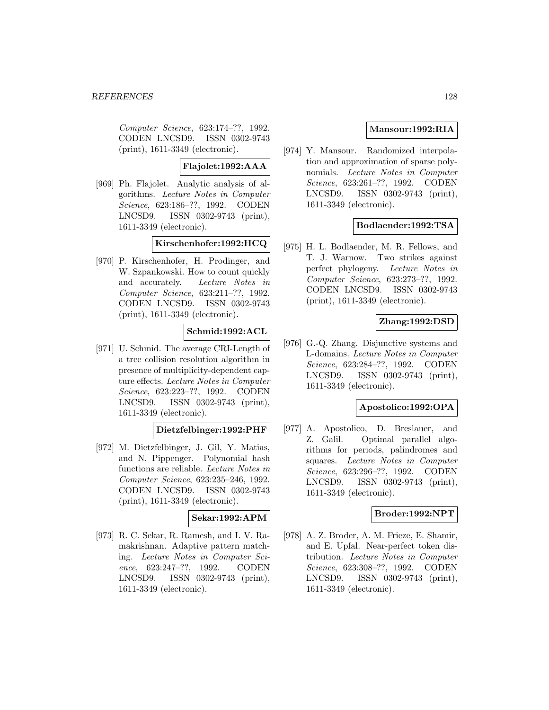Computer Science, 623:174–??, 1992. CODEN LNCSD9. ISSN 0302-9743 (print), 1611-3349 (electronic).

### **Flajolet:1992:AAA**

[969] Ph. Flajolet. Analytic analysis of algorithms. Lecture Notes in Computer Science, 623:186–??, 1992. CODEN LNCSD9. ISSN 0302-9743 (print), 1611-3349 (electronic).

### **Kirschenhofer:1992:HCQ**

[970] P. Kirschenhofer, H. Prodinger, and W. Szpankowski. How to count quickly and accurately. Lecture Notes in Computer Science, 623:211–??, 1992. CODEN LNCSD9. ISSN 0302-9743 (print), 1611-3349 (electronic).

# **Schmid:1992:ACL**

[971] U. Schmid. The average CRI-Length of a tree collision resolution algorithm in presence of multiplicity-dependent capture effects. Lecture Notes in Computer Science, 623:223–??, 1992. CODEN LNCSD9. ISSN 0302-9743 (print), 1611-3349 (electronic).

### **Dietzfelbinger:1992:PHF**

[972] M. Dietzfelbinger, J. Gil, Y. Matias, and N. Pippenger. Polynomial hash functions are reliable. Lecture Notes in Computer Science, 623:235–246, 1992. CODEN LNCSD9. ISSN 0302-9743 (print), 1611-3349 (electronic).

# **Sekar:1992:APM**

[973] R. C. Sekar, R. Ramesh, and I. V. Ramakrishnan. Adaptive pattern matching. Lecture Notes in Computer Science, 623:247–??, 1992. CODEN LNCSD9. ISSN 0302-9743 (print), 1611-3349 (electronic).

# **Mansour:1992:RIA**

[974] Y. Mansour. Randomized interpolation and approximation of sparse polynomials. Lecture Notes in Computer Science, 623:261–??, 1992. CODEN LNCSD9. ISSN 0302-9743 (print), 1611-3349 (electronic).

## **Bodlaender:1992:TSA**

[975] H. L. Bodlaender, M. R. Fellows, and T. J. Warnow. Two strikes against perfect phylogeny. Lecture Notes in Computer Science, 623:273–??, 1992. CODEN LNCSD9. ISSN 0302-9743 (print), 1611-3349 (electronic).

## **Zhang:1992:DSD**

[976] G.-Q. Zhang. Disjunctive systems and L-domains. Lecture Notes in Computer Science, 623:284–??, 1992. CODEN LNCSD9. ISSN 0302-9743 (print), 1611-3349 (electronic).

### **Apostolico:1992:OPA**

[977] A. Apostolico, D. Breslauer, and Z. Galil. Optimal parallel algorithms for periods, palindromes and squares. Lecture Notes in Computer Science, 623:296–??, 1992. CODEN LNCSD9. ISSN 0302-9743 (print), 1611-3349 (electronic).

### **Broder:1992:NPT**

[978] A. Z. Broder, A. M. Frieze, E. Shamir, and E. Upfal. Near-perfect token distribution. Lecture Notes in Computer Science, 623:308–??, 1992. CODEN LNCSD9. ISSN 0302-9743 (print), 1611-3349 (electronic).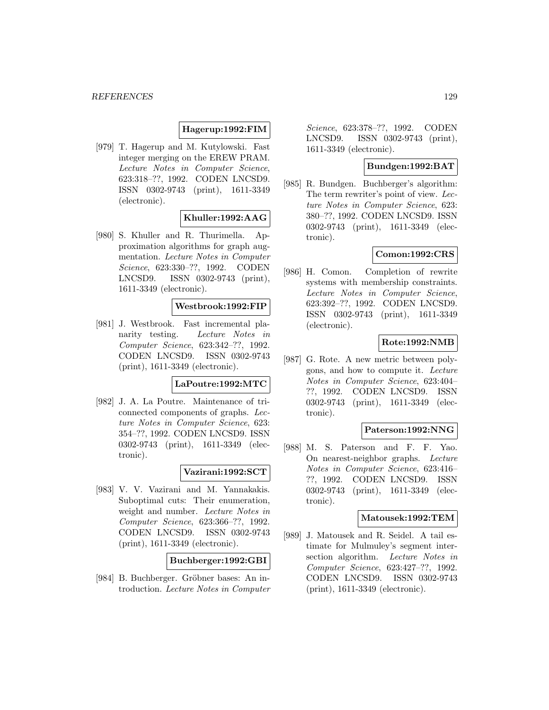### **Hagerup:1992:FIM**

[979] T. Hagerup and M. Kutylowski. Fast integer merging on the EREW PRAM. Lecture Notes in Computer Science, 623:318–??, 1992. CODEN LNCSD9. ISSN 0302-9743 (print), 1611-3349 (electronic).

## **Khuller:1992:AAG**

[980] S. Khuller and R. Thurimella. Approximation algorithms for graph augmentation. Lecture Notes in Computer Science, 623:330–??, 1992. CODEN LNCSD9. ISSN 0302-9743 (print), 1611-3349 (electronic).

#### **Westbrook:1992:FIP**

[981] J. Westbrook. Fast incremental planarity testing. Lecture Notes in Computer Science, 623:342–??, 1992. CODEN LNCSD9. ISSN 0302-9743 (print), 1611-3349 (electronic).

# **LaPoutre:1992:MTC**

[982] J. A. La Poutre. Maintenance of triconnected components of graphs. Lecture Notes in Computer Science, 623: 354–??, 1992. CODEN LNCSD9. ISSN 0302-9743 (print), 1611-3349 (electronic).

### **Vazirani:1992:SCT**

[983] V. V. Vazirani and M. Yannakakis. Suboptimal cuts: Their enumeration, weight and number. Lecture Notes in Computer Science, 623:366–??, 1992. CODEN LNCSD9. ISSN 0302-9743 (print), 1611-3349 (electronic).

### **Buchberger:1992:GBI**

[984] B. Buchberger. Gröbner bases: An introduction. Lecture Notes in Computer

Science, 623:378–??, 1992. CODEN LNCSD9. ISSN 0302-9743 (print), 1611-3349 (electronic).

# **Bundgen:1992:BAT**

[985] R. Bundgen. Buchberger's algorithm: The term rewriter's point of view. Lecture Notes in Computer Science, 623: 380–??, 1992. CODEN LNCSD9. ISSN 0302-9743 (print), 1611-3349 (electronic).

## **Comon:1992:CRS**

[986] H. Comon. Completion of rewrite systems with membership constraints. Lecture Notes in Computer Science, 623:392–??, 1992. CODEN LNCSD9. ISSN 0302-9743 (print), 1611-3349 (electronic).

### **Rote:1992:NMB**

[987] G. Rote. A new metric between polygons, and how to compute it. Lecture Notes in Computer Science, 623:404– ??, 1992. CODEN LNCSD9. ISSN 0302-9743 (print), 1611-3349 (electronic).

#### **Paterson:1992:NNG**

[988] M. S. Paterson and F. F. Yao. On nearest-neighbor graphs. Lecture Notes in Computer Science, 623:416– ??, 1992. CODEN LNCSD9. ISSN 0302-9743 (print), 1611-3349 (electronic).

### **Matousek:1992:TEM**

[989] J. Matousek and R. Seidel. A tail estimate for Mulmuley's segment intersection algorithm. Lecture Notes in Computer Science, 623:427–??, 1992. CODEN LNCSD9. ISSN 0302-9743 (print), 1611-3349 (electronic).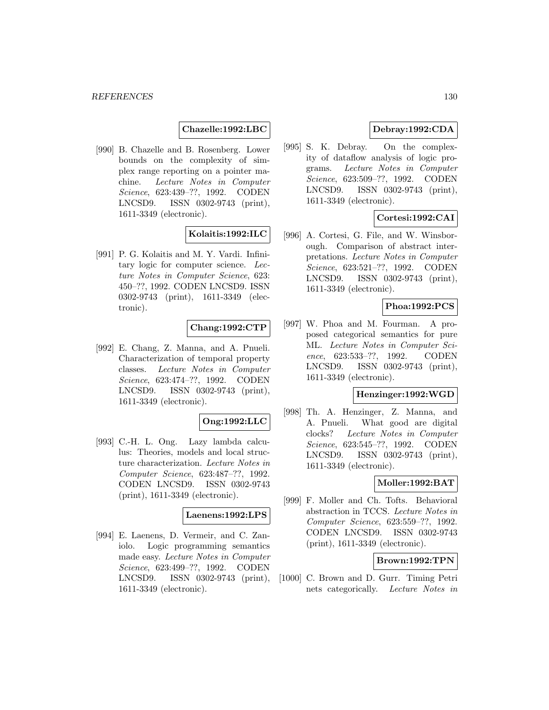### **Chazelle:1992:LBC**

[990] B. Chazelle and B. Rosenberg. Lower bounds on the complexity of simplex range reporting on a pointer machine. Lecture Notes in Computer Science, 623:439–??, 1992. CODEN LNCSD9. ISSN 0302-9743 (print), 1611-3349 (electronic).

#### **Kolaitis:1992:ILC**

[991] P. G. Kolaitis and M. Y. Vardi. Infinitary logic for computer science. Lecture Notes in Computer Science, 623: 450–??, 1992. CODEN LNCSD9. ISSN 0302-9743 (print), 1611-3349 (electronic).

#### **Chang:1992:CTP**

[992] E. Chang, Z. Manna, and A. Pnueli. Characterization of temporal property classes. Lecture Notes in Computer Science, 623:474–??, 1992. CODEN LNCSD9. ISSN 0302-9743 (print), 1611-3349 (electronic).

#### **Ong:1992:LLC**

[993] C.-H. L. Ong. Lazy lambda calculus: Theories, models and local structure characterization. Lecture Notes in Computer Science, 623:487–??, 1992. CODEN LNCSD9. ISSN 0302-9743 (print), 1611-3349 (electronic).

#### **Laenens:1992:LPS**

[994] E. Laenens, D. Vermeir, and C. Zaniolo. Logic programming semantics made easy. Lecture Notes in Computer Science, 623:499–??, 1992. CODEN LNCSD9. ISSN 0302-9743 (print), 1611-3349 (electronic).

# **Debray:1992:CDA**

[995] S. K. Debray. On the complexity of dataflow analysis of logic programs. Lecture Notes in Computer Science, 623:509–??, 1992. CODEN LNCSD9. ISSN 0302-9743 (print), 1611-3349 (electronic).

## **Cortesi:1992:CAI**

[996] A. Cortesi, G. File, and W. Winsborough. Comparison of abstract interpretations. Lecture Notes in Computer Science, 623:521–??, 1992. CODEN LNCSD9. ISSN 0302-9743 (print), 1611-3349 (electronic).

### **Phoa:1992:PCS**

[997] W. Phoa and M. Fourman. A proposed categorical semantics for pure ML. Lecture Notes in Computer Science, 623:533–??, 1992. CODEN LNCSD9. ISSN 0302-9743 (print), 1611-3349 (electronic).

#### **Henzinger:1992:WGD**

[998] Th. A. Henzinger, Z. Manna, and A. Pnueli. What good are digital clocks? Lecture Notes in Computer Science, 623:545–??, 1992. CODEN LNCSD9. ISSN 0302-9743 (print), 1611-3349 (electronic).

### **Moller:1992:BAT**

[999] F. Moller and Ch. Tofts. Behavioral abstraction in TCCS. Lecture Notes in Computer Science, 623:559–??, 1992. CODEN LNCSD9. ISSN 0302-9743 (print), 1611-3349 (electronic).

### **Brown:1992:TPN**

[1000] C. Brown and D. Gurr. Timing Petri nets categorically. Lecture Notes in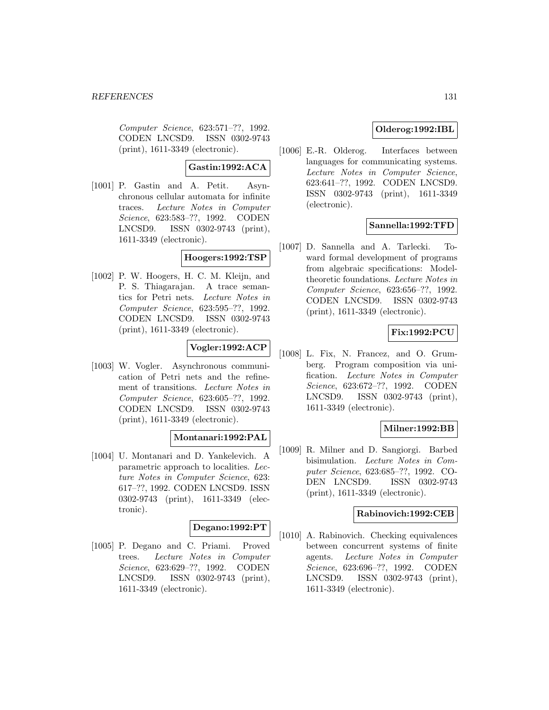Computer Science, 623:571–??, 1992. CODEN LNCSD9. ISSN 0302-9743 (print), 1611-3349 (electronic).

**Gastin:1992:ACA**

[1001] P. Gastin and A. Petit. Asynchronous cellular automata for infinite traces. Lecture Notes in Computer Science, 623:583–??, 1992. CODEN LNCSD9. ISSN 0302-9743 (print), 1611-3349 (electronic).

#### **Hoogers:1992:TSP**

[1002] P. W. Hoogers, H. C. M. Kleijn, and P. S. Thiagarajan. A trace semantics for Petri nets. Lecture Notes in Computer Science, 623:595–??, 1992. CODEN LNCSD9. ISSN 0302-9743 (print), 1611-3349 (electronic).

# **Vogler:1992:ACP**

[1003] W. Vogler. Asynchronous communication of Petri nets and the refinement of transitions. Lecture Notes in Computer Science, 623:605–??, 1992. CODEN LNCSD9. ISSN 0302-9743 (print), 1611-3349 (electronic).

### **Montanari:1992:PAL**

[1004] U. Montanari and D. Yankelevich. A parametric approach to localities. Lecture Notes in Computer Science, 623: 617–??, 1992. CODEN LNCSD9. ISSN 0302-9743 (print), 1611-3349 (electronic).

### **Degano:1992:PT**

[1005] P. Degano and C. Priami. Proved trees. Lecture Notes in Computer Science, 623:629–??, 1992. CODEN LNCSD9. ISSN 0302-9743 (print), 1611-3349 (electronic).

# **Olderog:1992:IBL**

[1006] E.-R. Olderog. Interfaces between languages for communicating systems. Lecture Notes in Computer Science, 623:641–??, 1992. CODEN LNCSD9. ISSN 0302-9743 (print), 1611-3349 (electronic).

# **Sannella:1992:TFD**

[1007] D. Sannella and A. Tarlecki. Toward formal development of programs from algebraic specifications: Modeltheoretic foundations. Lecture Notes in Computer Science, 623:656–??, 1992. CODEN LNCSD9. ISSN 0302-9743 (print), 1611-3349 (electronic).

## **Fix:1992:PCU**

[1008] L. Fix, N. Francez, and O. Grumberg. Program composition via unification. Lecture Notes in Computer Science, 623:672–??, 1992. CODEN LNCSD9. ISSN 0302-9743 (print), 1611-3349 (electronic).

## **Milner:1992:BB**

[1009] R. Milner and D. Sangiorgi. Barbed bisimulation. Lecture Notes in Computer Science, 623:685–??, 1992. CO-DEN LNCSD9. ISSN 0302-9743 (print), 1611-3349 (electronic).

#### **Rabinovich:1992:CEB**

[1010] A. Rabinovich. Checking equivalences between concurrent systems of finite agents. Lecture Notes in Computer Science, 623:696–??, 1992. CODEN LNCSD9. ISSN 0302-9743 (print), 1611-3349 (electronic).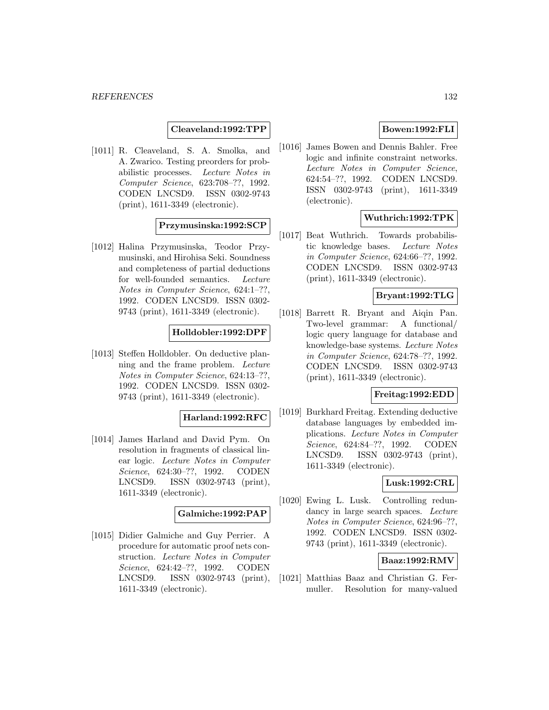#### **Cleaveland:1992:TPP**

[1011] R. Cleaveland, S. A. Smolka, and A. Zwarico. Testing preorders for probabilistic processes. Lecture Notes in Computer Science, 623:708–??, 1992. CODEN LNCSD9. ISSN 0302-9743 (print), 1611-3349 (electronic).

### **Przymusinska:1992:SCP**

[1012] Halina Przymusinska, Teodor Przymusinski, and Hirohisa Seki. Soundness and completeness of partial deductions for well-founded semantics. Lecture Notes in Computer Science, 624:1–??, 1992. CODEN LNCSD9. ISSN 0302- 9743 (print), 1611-3349 (electronic).

#### **Holldobler:1992:DPF**

[1013] Steffen Holldobler. On deductive planning and the frame problem. Lecture Notes in Computer Science, 624:13–??, 1992. CODEN LNCSD9. ISSN 0302- 9743 (print), 1611-3349 (electronic).

### **Harland:1992:RFC**

[1014] James Harland and David Pym. On resolution in fragments of classical linear logic. Lecture Notes in Computer Science, 624:30–??, 1992. CODEN LNCSD9. ISSN 0302-9743 (print), 1611-3349 (electronic).

#### **Galmiche:1992:PAP**

[1015] Didier Galmiche and Guy Perrier. A procedure for automatic proof nets construction. Lecture Notes in Computer Science, 624:42–??, 1992. CODEN LNCSD9. ISSN 0302-9743 (print), 1611-3349 (electronic).

## **Bowen:1992:FLI**

[1016] James Bowen and Dennis Bahler. Free logic and infinite constraint networks. Lecture Notes in Computer Science, 624:54–??, 1992. CODEN LNCSD9. ISSN 0302-9743 (print), 1611-3349 (electronic).

### **Wuthrich:1992:TPK**

[1017] Beat Wuthrich. Towards probabilistic knowledge bases. Lecture Notes in Computer Science, 624:66–??, 1992. CODEN LNCSD9. ISSN 0302-9743 (print), 1611-3349 (electronic).

## **Bryant:1992:TLG**

[1018] Barrett R. Bryant and Aiqin Pan. Two-level grammar: A functional/ logic query language for database and knowledge-base systems. Lecture Notes in Computer Science, 624:78–??, 1992. CODEN LNCSD9. ISSN 0302-9743 (print), 1611-3349 (electronic).

### **Freitag:1992:EDD**

[1019] Burkhard Freitag. Extending deductive database languages by embedded implications. Lecture Notes in Computer Science, 624:84–??, 1992. CODEN LNCSD9. ISSN 0302-9743 (print), 1611-3349 (electronic).

### **Lusk:1992:CRL**

[1020] Ewing L. Lusk. Controlling redundancy in large search spaces. Lecture Notes in Computer Science, 624:96–??, 1992. CODEN LNCSD9. ISSN 0302- 9743 (print), 1611-3349 (electronic).

### **Baaz:1992:RMV**

[1021] Matthias Baaz and Christian G. Fermuller. Resolution for many-valued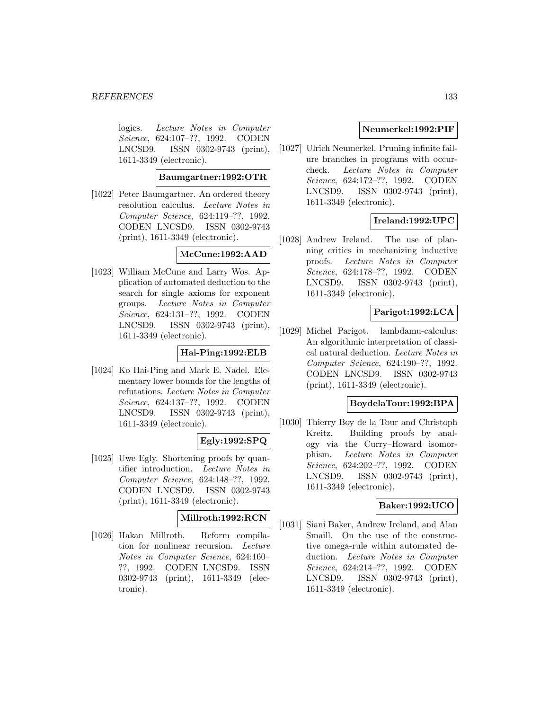logics. Lecture Notes in Computer Science, 624:107–??, 1992. CODEN LNCSD9. ISSN 0302-9743 (print), 1611-3349 (electronic).

**Baumgartner:1992:OTR**

[1022] Peter Baumgartner. An ordered theory resolution calculus. Lecture Notes in Computer Science, 624:119–??, 1992. CODEN LNCSD9. ISSN 0302-9743 (print), 1611-3349 (electronic).

## **McCune:1992:AAD**

[1023] William McCune and Larry Wos. Application of automated deduction to the search for single axioms for exponent groups. Lecture Notes in Computer Science, 624:131–??, 1992. CODEN LNCSD9. ISSN 0302-9743 (print), 1611-3349 (electronic).

# **Hai-Ping:1992:ELB**

[1024] Ko Hai-Ping and Mark E. Nadel. Elementary lower bounds for the lengths of refutations. Lecture Notes in Computer Science, 624:137–??, 1992. CODEN LNCSD9. ISSN 0302-9743 (print), 1611-3349 (electronic).

# **Egly:1992:SPQ**

[1025] Uwe Egly. Shortening proofs by quantifier introduction. Lecture Notes in Computer Science, 624:148–??, 1992. CODEN LNCSD9. ISSN 0302-9743 (print), 1611-3349 (electronic).

# **Millroth:1992:RCN**

[1026] Hakan Millroth. Reform compilation for nonlinear recursion. Lecture Notes in Computer Science, 624:160– ??, 1992. CODEN LNCSD9. ISSN 0302-9743 (print), 1611-3349 (electronic).

# **Neumerkel:1992:PIF**

[1027] Ulrich Neumerkel. Pruning infinite failure branches in programs with occurcheck. Lecture Notes in Computer Science, 624:172–??, 1992. CODEN LNCSD9. ISSN 0302-9743 (print), 1611-3349 (electronic).

# **Ireland:1992:UPC**

[1028] Andrew Ireland. The use of planning critics in mechanizing inductive proofs. Lecture Notes in Computer Science, 624:178–??, 1992. CODEN LNCSD9. ISSN 0302-9743 (print), 1611-3349 (electronic).

# **Parigot:1992:LCA**

[1029] Michel Parigot. lambdamu-calculus: An algorithmic interpretation of classical natural deduction. Lecture Notes in Computer Science, 624:190–??, 1992. CODEN LNCSD9. ISSN 0302-9743 (print), 1611-3349 (electronic).

### **BoydelaTour:1992:BPA**

[1030] Thierry Boy de la Tour and Christoph Kreitz. Building proofs by analogy via the Curry–Howard isomorphism. Lecture Notes in Computer Science, 624:202–??, 1992. CODEN LNCSD9. ISSN 0302-9743 (print), 1611-3349 (electronic).

### **Baker:1992:UCO**

[1031] Siani Baker, Andrew Ireland, and Alan Smaill. On the use of the constructive omega-rule within automated deduction. Lecture Notes in Computer Science, 624:214–??, 1992. CODEN LNCSD9. ISSN 0302-9743 (print), 1611-3349 (electronic).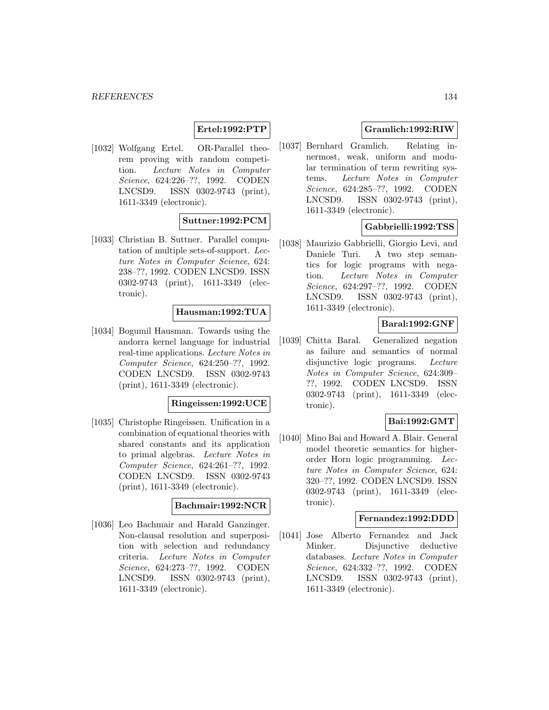### **Ertel:1992:PTP**

[1032] Wolfgang Ertel. OR-Parallel theorem proving with random competition. Lecture Notes in Computer Science, 624:226–??, 1992. CODEN LNCSD9. ISSN 0302-9743 (print), 1611-3349 (electronic).

# **Suttner:1992:PCM**

[1033] Christian B. Suttner. Parallel computation of multiple sets-of-support. Lecture Notes in Computer Science, 624: 238–??, 1992. CODEN LNCSD9. ISSN 0302-9743 (print), 1611-3349 (electronic).

### **Hausman:1992:TUA**

[1034] Bogumil Hausman. Towards using the andorra kernel language for industrial real-time applications. Lecture Notes in Computer Science, 624:250–??, 1992. CODEN LNCSD9. ISSN 0302-9743 (print), 1611-3349 (electronic).

### **Ringeissen:1992:UCE**

[1035] Christophe Ringeissen. Unification in a combination of equational theories with shared constants and its application to primal algebras. Lecture Notes in Computer Science, 624:261–??, 1992. CODEN LNCSD9. ISSN 0302-9743 (print), 1611-3349 (electronic).

#### **Bachmair:1992:NCR**

[1036] Leo Bachmair and Harald Ganzinger. Non-clausal resolution and superposition with selection and redundancy criteria. Lecture Notes in Computer Science, 624:273–??, 1992. CODEN LNCSD9. ISSN 0302-9743 (print), 1611-3349 (electronic).

### **Gramlich:1992:RIW**

[1037] Bernhard Gramlich. Relating innermost, weak, uniform and modular termination of term rewriting systems. Lecture Notes in Computer Science, 624:285–??, 1992. CODEN LNCSD9. ISSN 0302-9743 (print), 1611-3349 (electronic).

### **Gabbrielli:1992:TSS**

[1038] Maurizio Gabbrielli, Giorgio Levi, and Daniele Turi. A two step semantics for logic programs with negation. Lecture Notes in Computer Science, 624:297–??, 1992. CODEN LNCSD9. ISSN 0302-9743 (print), 1611-3349 (electronic).

### **Baral:1992:GNF**

[1039] Chitta Baral. Generalized negation as failure and semantics of normal disjunctive logic programs. Lecture Notes in Computer Science, 624:309– ??, 1992. CODEN LNCSD9. ISSN 0302-9743 (print), 1611-3349 (electronic).

### **Bai:1992:GMT**

[1040] Mino Bai and Howard A. Blair. General model theoretic semantics for higherorder Horn logic programming. Lecture Notes in Computer Science, 624: 320–??, 1992. CODEN LNCSD9. ISSN 0302-9743 (print), 1611-3349 (electronic).

### **Fernandez:1992:DDD**

[1041] Jose Alberto Fernandez and Jack Minker. Disjunctive deductive databases. Lecture Notes in Computer Science, 624:332–??, 1992. CODEN LNCSD9. ISSN 0302-9743 (print), 1611-3349 (electronic).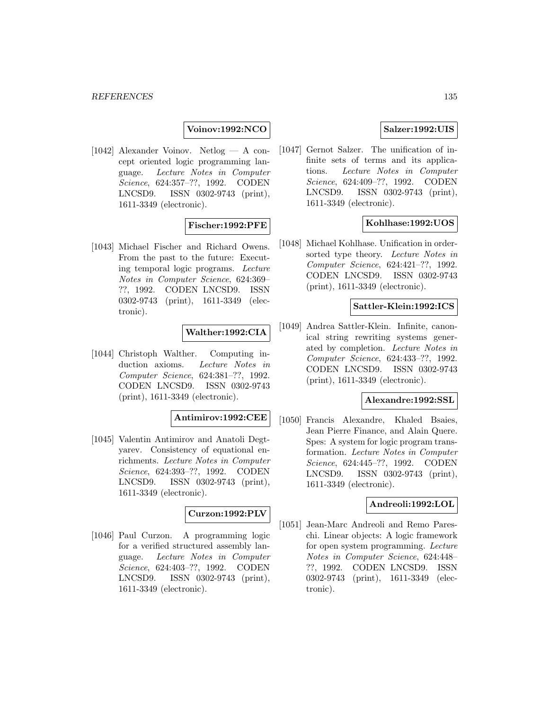# **Voinov:1992:NCO**

[1042] Alexander Voinov. Netlog — A concept oriented logic programming language. Lecture Notes in Computer Science, 624:357–??, 1992. CODEN LNCSD9. ISSN 0302-9743 (print), 1611-3349 (electronic).

### **Fischer:1992:PFE**

[1043] Michael Fischer and Richard Owens. From the past to the future: Executing temporal logic programs. Lecture Notes in Computer Science, 624:369– ??, 1992. CODEN LNCSD9. ISSN 0302-9743 (print), 1611-3349 (electronic).

### **Walther:1992:CIA**

[1044] Christoph Walther. Computing induction axioms. Lecture Notes in Computer Science, 624:381–??, 1992. CODEN LNCSD9. ISSN 0302-9743 (print), 1611-3349 (electronic).

### **Antimirov:1992:CEE**

[1045] Valentin Antimirov and Anatoli Degtyarev. Consistency of equational enrichments. Lecture Notes in Computer Science, 624:393–??, 1992. CODEN LNCSD9. ISSN 0302-9743 (print), 1611-3349 (electronic).

#### **Curzon:1992:PLV**

[1046] Paul Curzon. A programming logic for a verified structured assembly language. Lecture Notes in Computer Science, 624:403–??, 1992. CODEN LNCSD9. ISSN 0302-9743 (print), 1611-3349 (electronic).

### **Salzer:1992:UIS**

[1047] Gernot Salzer. The unification of infinite sets of terms and its applications. Lecture Notes in Computer Science, 624:409–??, 1992. CODEN LNCSD9. ISSN 0302-9743 (print), 1611-3349 (electronic).

### **Kohlhase:1992:UOS**

[1048] Michael Kohlhase. Unification in ordersorted type theory. Lecture Notes in Computer Science, 624:421–??, 1992. CODEN LNCSD9. ISSN 0302-9743 (print), 1611-3349 (electronic).

#### **Sattler-Klein:1992:ICS**

[1049] Andrea Sattler-Klein. Infinite, canonical string rewriting systems generated by completion. Lecture Notes in Computer Science, 624:433–??, 1992. CODEN LNCSD9. ISSN 0302-9743 (print), 1611-3349 (electronic).

### **Alexandre:1992:SSL**

[1050] Francis Alexandre, Khaled Bsaies, Jean Pierre Finance, and Alain Quere. Spes: A system for logic program transformation. Lecture Notes in Computer Science, 624:445–??, 1992. CODEN LNCSD9. ISSN 0302-9743 (print), 1611-3349 (electronic).

### **Andreoli:1992:LOL**

[1051] Jean-Marc Andreoli and Remo Pareschi. Linear objects: A logic framework for open system programming. Lecture Notes in Computer Science, 624:448– ??, 1992. CODEN LNCSD9. ISSN 0302-9743 (print), 1611-3349 (electronic).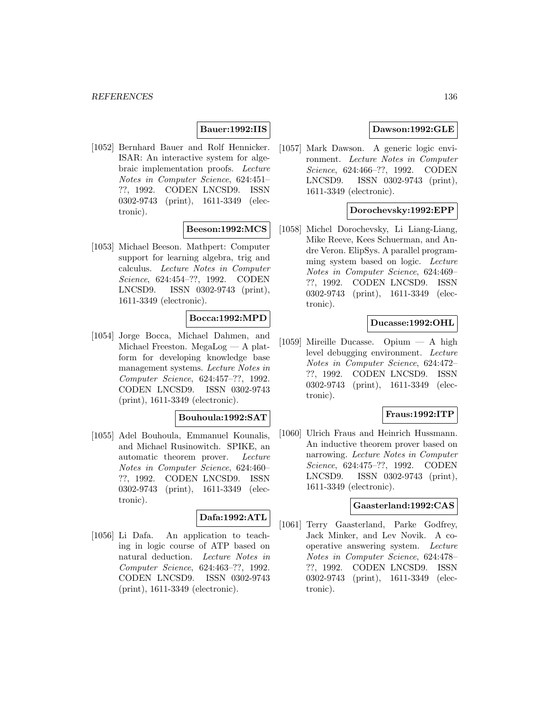# **Bauer:1992:IIS**

[1052] Bernhard Bauer and Rolf Hennicker. ISAR: An interactive system for algebraic implementation proofs. Lecture Notes in Computer Science, 624:451– ??, 1992. CODEN LNCSD9. ISSN 0302-9743 (print), 1611-3349 (electronic).

### **Beeson:1992:MCS**

[1053] Michael Beeson. Mathpert: Computer support for learning algebra, trig and calculus. Lecture Notes in Computer Science, 624:454–??, 1992. CODEN LNCSD9. ISSN 0302-9743 (print), 1611-3349 (electronic).

## **Bocca:1992:MPD**

[1054] Jorge Bocca, Michael Dahmen, and Michael Freeston. MegaLog — A platform for developing knowledge base management systems. Lecture Notes in Computer Science, 624:457–??, 1992. CODEN LNCSD9. ISSN 0302-9743 (print), 1611-3349 (electronic).

### **Bouhoula:1992:SAT**

[1055] Adel Bouhoula, Emmanuel Kounalis, and Michael Rusinowitch. SPIKE, an automatic theorem prover. Lecture Notes in Computer Science, 624:460– ??, 1992. CODEN LNCSD9. ISSN 0302-9743 (print), 1611-3349 (electronic).

# **Dafa:1992:ATL**

[1056] Li Dafa. An application to teaching in logic course of ATP based on natural deduction. Lecture Notes in Computer Science, 624:463–??, 1992. CODEN LNCSD9. ISSN 0302-9743 (print), 1611-3349 (electronic).

# **Dawson:1992:GLE**

[1057] Mark Dawson. A generic logic environment. Lecture Notes in Computer Science, 624:466–??, 1992. CODEN LNCSD9. ISSN 0302-9743 (print), 1611-3349 (electronic).

### **Dorochevsky:1992:EPP**

[1058] Michel Dorochevsky, Li Liang-Liang, Mike Reeve, Kees Schuerman, and Andre Veron. ElipSys. A parallel programming system based on logic. Lecture Notes in Computer Science, 624:469– ??, 1992. CODEN LNCSD9. ISSN 0302-9743 (print), 1611-3349 (electronic).

### **Ducasse:1992:OHL**

[1059] Mireille Ducasse. Opium — A high level debugging environment. Lecture Notes in Computer Science, 624:472– ??, 1992. CODEN LNCSD9. ISSN 0302-9743 (print), 1611-3349 (electronic).

### **Fraus:1992:ITP**

[1060] Ulrich Fraus and Heinrich Hussmann. An inductive theorem prover based on narrowing. Lecture Notes in Computer Science, 624:475–??, 1992. CODEN LNCSD9. ISSN 0302-9743 (print), 1611-3349 (electronic).

### **Gaasterland:1992:CAS**

[1061] Terry Gaasterland, Parke Godfrey, Jack Minker, and Lev Novik. A cooperative answering system. Lecture Notes in Computer Science, 624:478– ??, 1992. CODEN LNCSD9. ISSN 0302-9743 (print), 1611-3349 (electronic).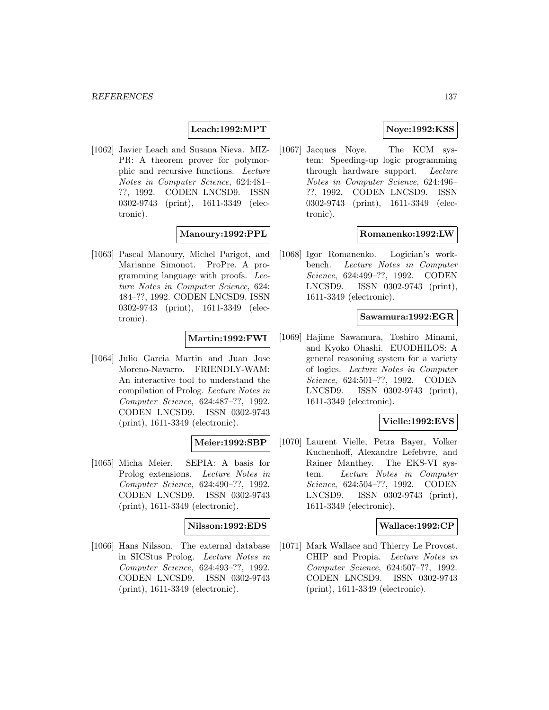### **Leach:1992:MPT**

[1062] Javier Leach and Susana Nieva. MIZ-PR: A theorem prover for polymorphic and recursive functions. Lecture Notes in Computer Science, 624:481– ??, 1992. CODEN LNCSD9. ISSN 0302-9743 (print), 1611-3349 (electronic).

#### **Manoury:1992:PPL**

[1063] Pascal Manoury, Michel Parigot, and Marianne Simonot. ProPre. A programming language with proofs. Lecture Notes in Computer Science, 624: 484–??, 1992. CODEN LNCSD9. ISSN 0302-9743 (print), 1611-3349 (electronic).

### **Martin:1992:FWI**

[1064] Julio Garcia Martin and Juan Jose Moreno-Navarro. FRIENDLY-WAM: An interactive tool to understand the compilation of Prolog. Lecture Notes in Computer Science, 624:487–??, 1992. CODEN LNCSD9. ISSN 0302-9743 (print), 1611-3349 (electronic).

# **Meier:1992:SBP**

[1065] Micha Meier. SEPIA: A basis for Prolog extensions. Lecture Notes in Computer Science, 624:490–??, 1992. CODEN LNCSD9. ISSN 0302-9743 (print), 1611-3349 (electronic).

#### **Nilsson:1992:EDS**

[1066] Hans Nilsson. The external database in SICStus Prolog. Lecture Notes in Computer Science, 624:493–??, 1992. CODEN LNCSD9. ISSN 0302-9743 (print), 1611-3349 (electronic).

## **Noye:1992:KSS**

[1067] Jacques Noye. The KCM system: Speeding-up logic programming through hardware support. Lecture Notes in Computer Science, 624:496– ??, 1992. CODEN LNCSD9. ISSN 0302-9743 (print), 1611-3349 (electronic).

#### **Romanenko:1992:LW**

[1068] Igor Romanenko. Logician's workbench. Lecture Notes in Computer Science, 624:499–??, 1992. CODEN LNCSD9. ISSN 0302-9743 (print), 1611-3349 (electronic).

#### **Sawamura:1992:EGR**

[1069] Hajime Sawamura, Toshiro Minami, and Kyoko Ohashi. EUODHILOS: A general reasoning system for a variety of logics. Lecture Notes in Computer Science, 624:501–??, 1992. CODEN LNCSD9. ISSN 0302-9743 (print), 1611-3349 (electronic).

### **Vielle:1992:EVS**

[1070] Laurent Vielle, Petra Bayer, Volker Kuchenhoff, Alexandre Lefebvre, and Rainer Manthey. The EKS-VI system. Lecture Notes in Computer Science, 624:504–??, 1992. CODEN LNCSD9. ISSN 0302-9743 (print), 1611-3349 (electronic).

### **Wallace:1992:CP**

[1071] Mark Wallace and Thierry Le Provost. CHIP and Propia. Lecture Notes in Computer Science, 624:507–??, 1992. CODEN LNCSD9. ISSN 0302-9743 (print), 1611-3349 (electronic).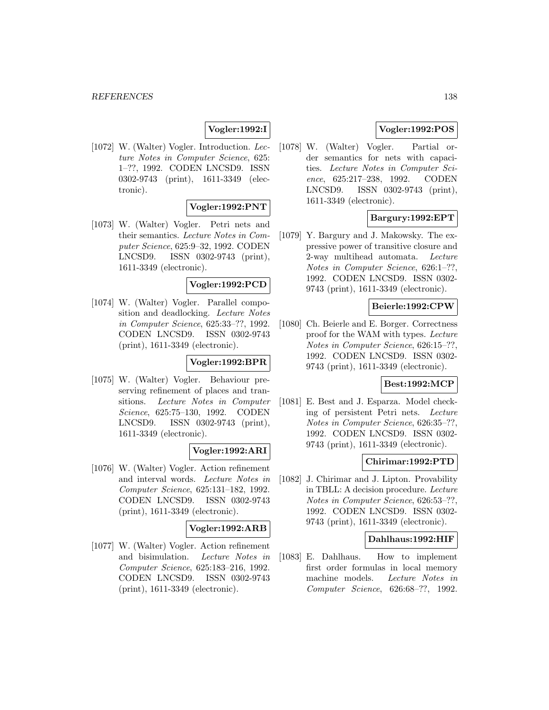# **Vogler:1992:I**

[1072] W. (Walter) Vogler. Introduction. Lecture Notes in Computer Science, 625: 1–??, 1992. CODEN LNCSD9. ISSN 0302-9743 (print), 1611-3349 (electronic).

### **Vogler:1992:PNT**

[1073] W. (Walter) Vogler. Petri nets and their semantics. Lecture Notes in Computer Science, 625:9–32, 1992. CODEN LNCSD9. ISSN 0302-9743 (print), 1611-3349 (electronic).

### **Vogler:1992:PCD**

[1074] W. (Walter) Vogler. Parallel composition and deadlocking. Lecture Notes in Computer Science, 625:33–??, 1992. CODEN LNCSD9. ISSN 0302-9743 (print), 1611-3349 (electronic).

### **Vogler:1992:BPR**

[1075] W. (Walter) Vogler. Behaviour preserving refinement of places and transitions. Lecture Notes in Computer Science, 625:75–130, 1992. CODEN LNCSD9. ISSN 0302-9743 (print), 1611-3349 (electronic).

### **Vogler:1992:ARI**

[1076] W. (Walter) Vogler. Action refinement and interval words. Lecture Notes in Computer Science, 625:131–182, 1992. CODEN LNCSD9. ISSN 0302-9743 (print), 1611-3349 (electronic).

## **Vogler:1992:ARB**

[1077] W. (Walter) Vogler. Action refinement and bisimulation. Lecture Notes in Computer Science, 625:183–216, 1992. CODEN LNCSD9. ISSN 0302-9743 (print), 1611-3349 (electronic).

## **Vogler:1992:POS**

[1078] W. (Walter) Vogler. Partial order semantics for nets with capacities. Lecture Notes in Computer Science, 625:217–238, 1992. CODEN LNCSD9. ISSN 0302-9743 (print), 1611-3349 (electronic).

## **Bargury:1992:EPT**

[1079] Y. Bargury and J. Makowsky. The expressive power of transitive closure and 2-way multihead automata. Lecture Notes in Computer Science, 626:1–??, 1992. CODEN LNCSD9. ISSN 0302- 9743 (print), 1611-3349 (electronic).

### **Beierle:1992:CPW**

[1080] Ch. Beierle and E. Borger. Correctness proof for the WAM with types. Lecture Notes in Computer Science, 626:15–??, 1992. CODEN LNCSD9. ISSN 0302- 9743 (print), 1611-3349 (electronic).

### **Best:1992:MCP**

[1081] E. Best and J. Esparza. Model checking of persistent Petri nets. Lecture Notes in Computer Science, 626:35–??, 1992. CODEN LNCSD9. ISSN 0302- 9743 (print), 1611-3349 (electronic).

#### **Chirimar:1992:PTD**

[1082] J. Chirimar and J. Lipton. Provability in TBLL: A decision procedure. Lecture Notes in Computer Science, 626:53–??, 1992. CODEN LNCSD9. ISSN 0302- 9743 (print), 1611-3349 (electronic).

#### **Dahlhaus:1992:HIF**

[1083] E. Dahlhaus. How to implement first order formulas in local memory machine models. Lecture Notes in Computer Science, 626:68–??, 1992.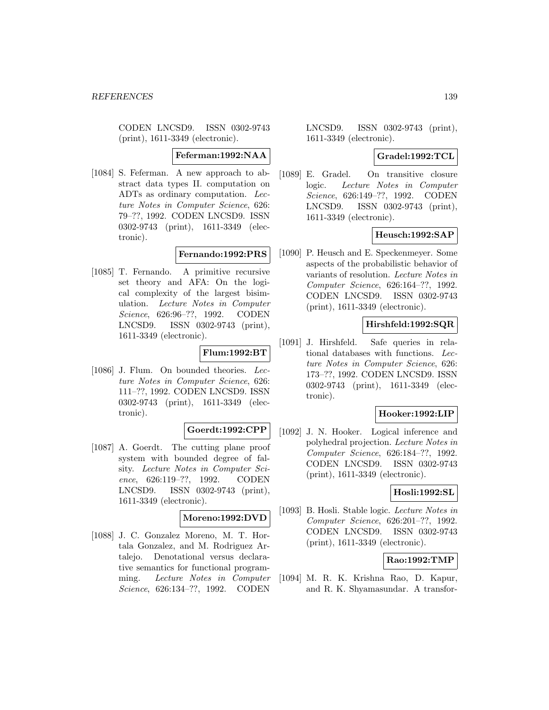CODEN LNCSD9. ISSN 0302-9743 (print), 1611-3349 (electronic).

**Feferman:1992:NAA**

[1084] S. Feferman. A new approach to abstract data types II. computation on ADTs as ordinary computation. Lecture Notes in Computer Science, 626: 79–??, 1992. CODEN LNCSD9. ISSN 0302-9743 (print), 1611-3349 (electronic).

## **Fernando:1992:PRS**

[1085] T. Fernando. A primitive recursive set theory and AFA: On the logical complexity of the largest bisimulation. Lecture Notes in Computer Science, 626:96–??, 1992. CODEN LNCSD9. ISSN 0302-9743 (print), 1611-3349 (electronic).

### **Flum:1992:BT**

[1086] J. Flum. On bounded theories. Lecture Notes in Computer Science, 626: 111–??, 1992. CODEN LNCSD9. ISSN 0302-9743 (print), 1611-3349 (electronic).

### **Goerdt:1992:CPP**

[1087] A. Goerdt. The cutting plane proof system with bounded degree of falsity. Lecture Notes in Computer Science, 626:119–??, 1992. CODEN LNCSD9. ISSN 0302-9743 (print), 1611-3349 (electronic).

### **Moreno:1992:DVD**

[1088] J. C. Gonzalez Moreno, M. T. Hortala Gonzalez, and M. Rodriguez Artalejo. Denotational versus declarative semantics for functional programming. Lecture Notes in Computer Science, 626:134–??, 1992. CODEN

LNCSD9. ISSN 0302-9743 (print), 1611-3349 (electronic).

### **Gradel:1992:TCL**

[1089] E. Gradel. On transitive closure logic. Lecture Notes in Computer Science, 626:149–??, 1992. CODEN LNCSD9. ISSN 0302-9743 (print), 1611-3349 (electronic).

### **Heusch:1992:SAP**

[1090] P. Heusch and E. Speckenmeyer. Some aspects of the probabilistic behavior of variants of resolution. Lecture Notes in Computer Science, 626:164–??, 1992. CODEN LNCSD9. ISSN 0302-9743 (print), 1611-3349 (electronic).

### **Hirshfeld:1992:SQR**

[1091] J. Hirshfeld. Safe queries in relational databases with functions. Lecture Notes in Computer Science, 626: 173–??, 1992. CODEN LNCSD9. ISSN 0302-9743 (print), 1611-3349 (electronic).

#### **Hooker:1992:LIP**

[1092] J. N. Hooker. Logical inference and polyhedral projection. Lecture Notes in Computer Science, 626:184–??, 1992. CODEN LNCSD9. ISSN 0302-9743 (print), 1611-3349 (electronic).

#### **Hosli:1992:SL**

[1093] B. Hosli. Stable logic. Lecture Notes in Computer Science, 626:201–??, 1992. CODEN LNCSD9. ISSN 0302-9743 (print), 1611-3349 (electronic).

### **Rao:1992:TMP**

[1094] M. R. K. Krishna Rao, D. Kapur, and R. K. Shyamasundar. A transfor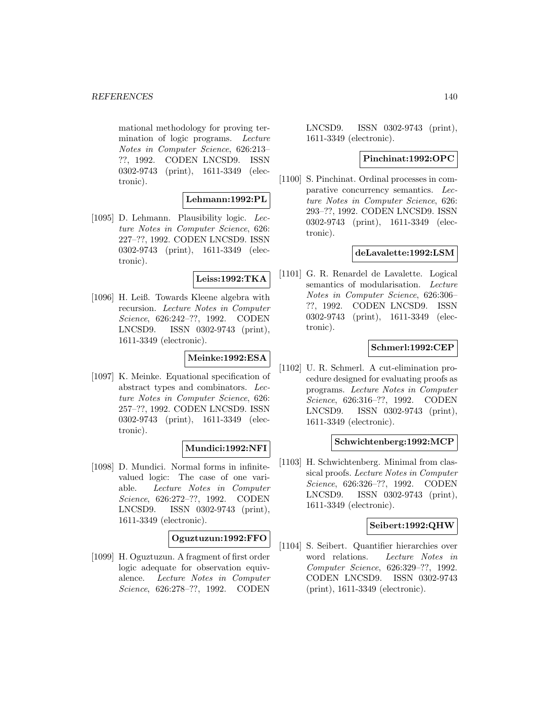mational methodology for proving termination of logic programs. Lecture Notes in Computer Science, 626:213– ??, 1992. CODEN LNCSD9. ISSN 0302-9743 (print), 1611-3349 (electronic).

#### **Lehmann:1992:PL**

[1095] D. Lehmann. Plausibility logic. Lecture Notes in Computer Science, 626: 227–??, 1992. CODEN LNCSD9. ISSN 0302-9743 (print), 1611-3349 (electronic).

### **Leiss:1992:TKA**

[1096] H. Leiß. Towards Kleene algebra with recursion. Lecture Notes in Computer Science, 626:242–??, 1992. CODEN LNCSD9. ISSN 0302-9743 (print), 1611-3349 (electronic).

### **Meinke:1992:ESA**

[1097] K. Meinke. Equational specification of abstract types and combinators. Lecture Notes in Computer Science, 626: 257–??, 1992. CODEN LNCSD9. ISSN 0302-9743 (print), 1611-3349 (electronic).

### **Mundici:1992:NFI**

[1098] D. Mundici. Normal forms in infinitevalued logic: The case of one variable. Lecture Notes in Computer Science, 626:272–??, 1992. CODEN LNCSD9. ISSN 0302-9743 (print), 1611-3349 (electronic).

### **Oguztuzun:1992:FFO**

[1099] H. Oguztuzun. A fragment of first order logic adequate for observation equivalence. Lecture Notes in Computer Science, 626:278–??, 1992. CODEN

LNCSD9. ISSN 0302-9743 (print), 1611-3349 (electronic).

### **Pinchinat:1992:OPC**

[1100] S. Pinchinat. Ordinal processes in comparative concurrency semantics. Lecture Notes in Computer Science, 626: 293–??, 1992. CODEN LNCSD9. ISSN 0302-9743 (print), 1611-3349 (electronic).

### **deLavalette:1992:LSM**

[1101] G. R. Renardel de Lavalette. Logical semantics of modularisation. Lecture Notes in Computer Science, 626:306– ??, 1992. CODEN LNCSD9. ISSN 0302-9743 (print), 1611-3349 (electronic).

### **Schmerl:1992:CEP**

[1102] U. R. Schmerl. A cut-elimination procedure designed for evaluating proofs as programs. Lecture Notes in Computer Science, 626:316–??, 1992. CODEN LNCSD9. ISSN 0302-9743 (print), 1611-3349 (electronic).

#### **Schwichtenberg:1992:MCP**

[1103] H. Schwichtenberg. Minimal from classical proofs. Lecture Notes in Computer Science, 626:326–??, 1992. CODEN LNCSD9. ISSN 0302-9743 (print), 1611-3349 (electronic).

#### **Seibert:1992:QHW**

[1104] S. Seibert. Quantifier hierarchies over word relations. Lecture Notes in Computer Science, 626:329–??, 1992. CODEN LNCSD9. ISSN 0302-9743 (print), 1611-3349 (electronic).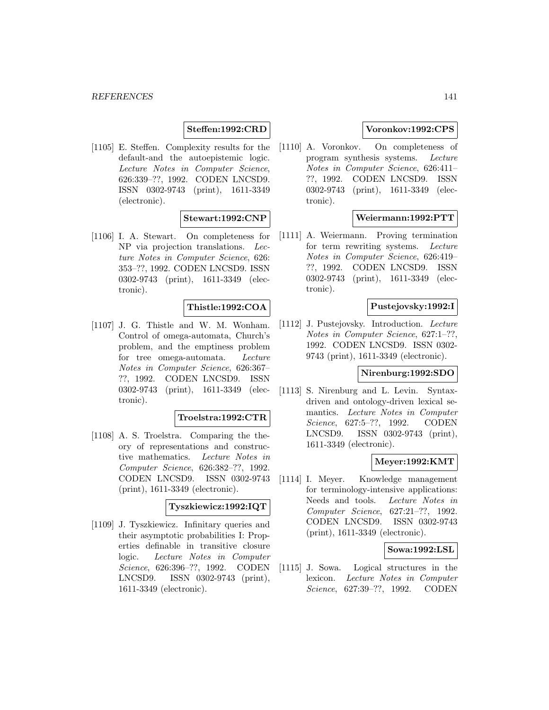## **Steffen:1992:CRD**

[1105] E. Steffen. Complexity results for the default-and the autoepistemic logic. Lecture Notes in Computer Science, 626:339–??, 1992. CODEN LNCSD9. ISSN 0302-9743 (print), 1611-3349 (electronic).

### **Stewart:1992:CNP**

[1106] I. A. Stewart. On completeness for NP via projection translations. Lecture Notes in Computer Science, 626: 353–??, 1992. CODEN LNCSD9. ISSN 0302-9743 (print), 1611-3349 (electronic).

#### **Thistle:1992:COA**

[1107] J. G. Thistle and W. M. Wonham. Control of omega-automata, Church's problem, and the emptiness problem for tree omega-automata. Lecture Notes in Computer Science, 626:367– ??, 1992. CODEN LNCSD9. ISSN 0302-9743 (print), 1611-3349 (electronic).

#### **Troelstra:1992:CTR**

[1108] A. S. Troelstra. Comparing the theory of representations and constructive mathematics. Lecture Notes in Computer Science, 626:382–??, 1992. CODEN LNCSD9. ISSN 0302-9743 (print), 1611-3349 (electronic).

#### **Tyszkiewicz:1992:IQT**

[1109] J. Tyszkiewicz. Infinitary queries and their asymptotic probabilities I: Properties definable in transitive closure logic. Lecture Notes in Computer Science, 626:396–??, 1992. CODEN LNCSD9. ISSN 0302-9743 (print), 1611-3349 (electronic).

### **Voronkov:1992:CPS**

[1110] A. Voronkov. On completeness of program synthesis systems. Lecture Notes in Computer Science, 626:411– ??, 1992. CODEN LNCSD9. ISSN 0302-9743 (print), 1611-3349 (electronic).

#### **Weiermann:1992:PTT**

[1111] A. Weiermann. Proving termination for term rewriting systems. Lecture Notes in Computer Science, 626:419– ??, 1992. CODEN LNCSD9. ISSN 0302-9743 (print), 1611-3349 (electronic).

#### **Pustejovsky:1992:I**

[1112] J. Pustejovsky. Introduction. Lecture Notes in Computer Science, 627:1–??, 1992. CODEN LNCSD9. ISSN 0302- 9743 (print), 1611-3349 (electronic).

# **Nirenburg:1992:SDO**

[1113] S. Nirenburg and L. Levin. Syntaxdriven and ontology-driven lexical semantics. Lecture Notes in Computer Science, 627:5–??, 1992. CODEN LNCSD9. ISSN 0302-9743 (print), 1611-3349 (electronic).

### **Meyer:1992:KMT**

[1114] I. Meyer. Knowledge management for terminology-intensive applications: Needs and tools. Lecture Notes in Computer Science, 627:21–??, 1992. CODEN LNCSD9. ISSN 0302-9743 (print), 1611-3349 (electronic).

## **Sowa:1992:LSL**

[1115] J. Sowa. Logical structures in the lexicon. Lecture Notes in Computer Science, 627:39–??, 1992. CODEN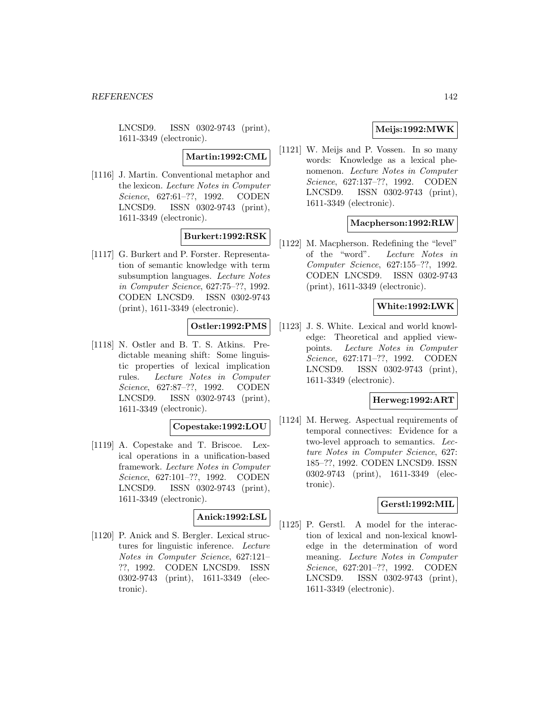LNCSD9. ISSN 0302-9743 (print), 1611-3349 (electronic).

**Martin:1992:CML**

[1116] J. Martin. Conventional metaphor and the lexicon. Lecture Notes in Computer Science, 627:61–??, 1992. CODEN LNCSD9. ISSN 0302-9743 (print), 1611-3349 (electronic).

## **Burkert:1992:RSK**

[1117] G. Burkert and P. Forster. Representation of semantic knowledge with term subsumption languages. Lecture Notes in Computer Science, 627:75–??, 1992. CODEN LNCSD9. ISSN 0302-9743 (print), 1611-3349 (electronic).

# **Ostler:1992:PMS**

[1118] N. Ostler and B. T. S. Atkins. Predictable meaning shift: Some linguistic properties of lexical implication rules. Lecture Notes in Computer Science, 627:87–??, 1992. CODEN LNCSD9. ISSN 0302-9743 (print), 1611-3349 (electronic).

## **Copestake:1992:LOU**

[1119] A. Copestake and T. Briscoe. Lexical operations in a unification-based framework. Lecture Notes in Computer Science, 627:101–??, 1992. CODEN LNCSD9. ISSN 0302-9743 (print), 1611-3349 (electronic).

# **Anick:1992:LSL**

[1120] P. Anick and S. Bergler. Lexical structures for linguistic inference. Lecture Notes in Computer Science, 627:121– ??, 1992. CODEN LNCSD9. ISSN 0302-9743 (print), 1611-3349 (electronic).

# **Meijs:1992:MWK**

[1121] W. Meijs and P. Vossen. In so many words: Knowledge as a lexical phenomenon. Lecture Notes in Computer Science, 627:137–??, 1992. CODEN LNCSD9. ISSN 0302-9743 (print), 1611-3349 (electronic).

## **Macpherson:1992:RLW**

[1122] M. Macpherson. Redefining the "level" of the "word". Lecture Notes in Computer Science, 627:155–??, 1992. CODEN LNCSD9. ISSN 0302-9743 (print), 1611-3349 (electronic).

# **White:1992:LWK**

[1123] J. S. White. Lexical and world knowledge: Theoretical and applied viewpoints. Lecture Notes in Computer Science, 627:171–??, 1992. CODEN LNCSD9. ISSN 0302-9743 (print), 1611-3349 (electronic).

### **Herweg:1992:ART**

[1124] M. Herweg. Aspectual requirements of temporal connectives: Evidence for a two-level approach to semantics. Lecture Notes in Computer Science, 627: 185–??, 1992. CODEN LNCSD9. ISSN 0302-9743 (print), 1611-3349 (electronic).

### **Gerstl:1992:MIL**

[1125] P. Gerstl. A model for the interaction of lexical and non-lexical knowledge in the determination of word meaning. Lecture Notes in Computer Science, 627:201–??, 1992. CODEN LNCSD9. ISSN 0302-9743 (print), 1611-3349 (electronic).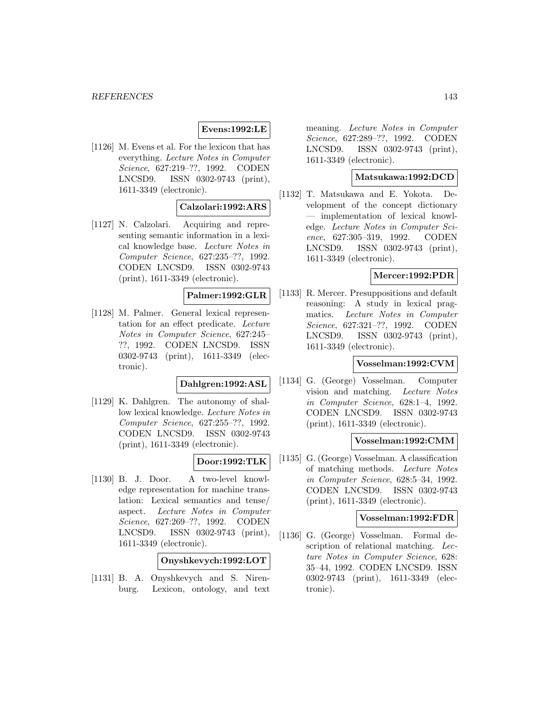## **Evens:1992:LE**

[1126] M. Evens et al. For the lexicon that has everything. Lecture Notes in Computer Science, 627:219–??, 1992. CODEN LNCSD9. ISSN 0302-9743 (print), 1611-3349 (electronic).

### **Calzolari:1992:ARS**

[1127] N. Calzolari. Acquiring and representing semantic information in a lexical knowledge base. Lecture Notes in Computer Science, 627:235–??, 1992. CODEN LNCSD9. ISSN 0302-9743 (print), 1611-3349 (electronic).

# **Palmer:1992:GLR**

[1128] M. Palmer. General lexical representation for an effect predicate. Lecture Notes in Computer Science, 627:245– ??, 1992. CODEN LNCSD9. ISSN 0302-9743 (print), 1611-3349 (electronic).

# **Dahlgren:1992:ASL**

[1129] K. Dahlgren. The autonomy of shallow lexical knowledge. Lecture Notes in Computer Science, 627:255–??, 1992. CODEN LNCSD9. ISSN 0302-9743 (print), 1611-3349 (electronic).

### **Door:1992:TLK**

[1130] B. J. Door. A two-level knowledge representation for machine translation: Lexical semantics and tense/ aspect. Lecture Notes in Computer Science, 627:269–??, 1992. CODEN LNCSD9. ISSN 0302-9743 (print), 1611-3349 (electronic).

#### **Onyshkevych:1992:LOT**

[1131] B. A. Onyshkevych and S. Nirenburg. Lexicon, ontology, and text meaning. Lecture Notes in Computer Science, 627:289–??, 1992. CODEN LNCSD9. ISSN 0302-9743 (print), 1611-3349 (electronic).

### **Matsukawa:1992:DCD**

[1132] T. Matsukawa and E. Yokota. Development of the concept dictionary — implementation of lexical knowledge. Lecture Notes in Computer Science, 627:305–319, 1992. CODEN LNCSD9. ISSN 0302-9743 (print), 1611-3349 (electronic).

## **Mercer:1992:PDR**

[1133] R. Mercer. Presuppositions and default reasoning: A study in lexical pragmatics. Lecture Notes in Computer Science, 627:321–??, 1992. CODEN LNCSD9. ISSN 0302-9743 (print), 1611-3349 (electronic).

#### **Vosselman:1992:CVM**

[1134] G. (George) Vosselman. Computer vision and matching. Lecture Notes in Computer Science, 628:1–4, 1992. CODEN LNCSD9. ISSN 0302-9743 (print), 1611-3349 (electronic).

#### **Vosselman:1992:CMM**

[1135] G. (George) Vosselman. A classification of matching methods. Lecture Notes in Computer Science, 628:5–34, 1992. CODEN LNCSD9. ISSN 0302-9743 (print), 1611-3349 (electronic).

# **Vosselman:1992:FDR**

[1136] G. (George) Vosselman. Formal description of relational matching. Lecture Notes in Computer Science, 628: 35–44, 1992. CODEN LNCSD9. ISSN 0302-9743 (print), 1611-3349 (electronic).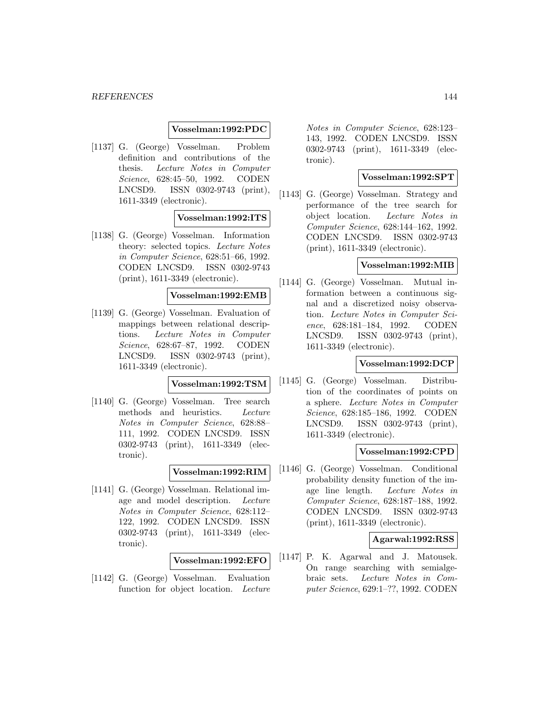#### **Vosselman:1992:PDC**

[1137] G. (George) Vosselman. Problem definition and contributions of the thesis. Lecture Notes in Computer Science, 628:45–50, 1992. CODEN LNCSD9. ISSN 0302-9743 (print), 1611-3349 (electronic).

### **Vosselman:1992:ITS**

[1138] G. (George) Vosselman. Information theory: selected topics. Lecture Notes in Computer Science, 628:51–66, 1992. CODEN LNCSD9. ISSN 0302-9743 (print), 1611-3349 (electronic).

## **Vosselman:1992:EMB**

[1139] G. (George) Vosselman. Evaluation of mappings between relational descriptions. Lecture Notes in Computer Science, 628:67–87, 1992. CODEN LNCSD9. ISSN 0302-9743 (print), 1611-3349 (electronic).

# **Vosselman:1992:TSM**

[1140] G. (George) Vosselman. Tree search methods and heuristics. Lecture Notes in Computer Science, 628:88– 111, 1992. CODEN LNCSD9. ISSN 0302-9743 (print), 1611-3349 (electronic).

### **Vosselman:1992:RIM**

[1141] G. (George) Vosselman. Relational image and model description. Lecture Notes in Computer Science, 628:112– 122, 1992. CODEN LNCSD9. ISSN 0302-9743 (print), 1611-3349 (electronic).

#### **Vosselman:1992:EFO**

[1142] G. (George) Vosselman. Evaluation function for object location. Lecture

Notes in Computer Science, 628:123– 143, 1992. CODEN LNCSD9. ISSN 0302-9743 (print), 1611-3349 (electronic).

### **Vosselman:1992:SPT**

[1143] G. (George) Vosselman. Strategy and performance of the tree search for object location. Lecture Notes in Computer Science, 628:144–162, 1992. CODEN LNCSD9. ISSN 0302-9743 (print), 1611-3349 (electronic).

## **Vosselman:1992:MIB**

[1144] G. (George) Vosselman. Mutual information between a continuous signal and a discretized noisy observation. Lecture Notes in Computer Science, 628:181–184, 1992. CODEN LNCSD9. ISSN 0302-9743 (print), 1611-3349 (electronic).

#### **Vosselman:1992:DCP**

[1145] G. (George) Vosselman. Distribution of the coordinates of points on a sphere. Lecture Notes in Computer Science, 628:185–186, 1992. CODEN LNCSD9. ISSN 0302-9743 (print), 1611-3349 (electronic).

#### **Vosselman:1992:CPD**

[1146] G. (George) Vosselman. Conditional probability density function of the image line length. Lecture Notes in Computer Science, 628:187–188, 1992. CODEN LNCSD9. ISSN 0302-9743 (print), 1611-3349 (electronic).

### **Agarwal:1992:RSS**

[1147] P. K. Agarwal and J. Matousek. On range searching with semialgebraic sets. Lecture Notes in Computer Science, 629:1–??, 1992. CODEN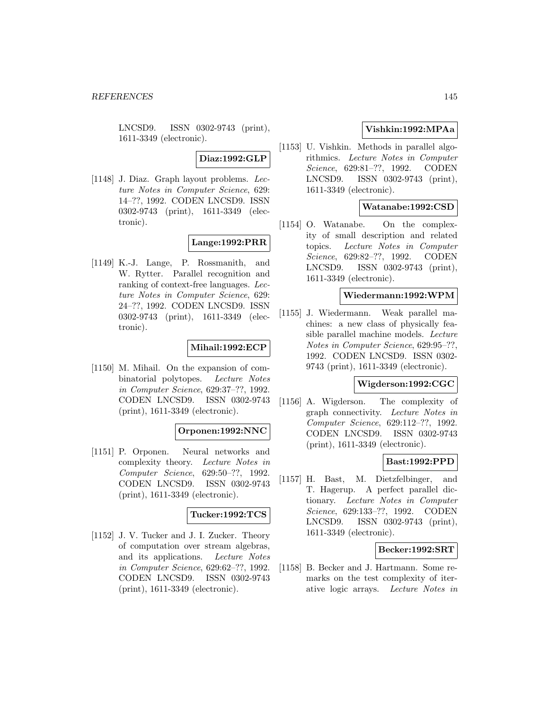LNCSD9. ISSN 0302-9743 (print), 1611-3349 (electronic).

# **Diaz:1992:GLP**

[1148] J. Diaz. Graph layout problems. Lecture Notes in Computer Science, 629: 14–??, 1992. CODEN LNCSD9. ISSN 0302-9743 (print), 1611-3349 (electronic).

# **Lange:1992:PRR**

[1149] K.-J. Lange, P. Rossmanith, and W. Rytter. Parallel recognition and ranking of context-free languages. Lecture Notes in Computer Science, 629: 24–??, 1992. CODEN LNCSD9. ISSN 0302-9743 (print), 1611-3349 (electronic).

## **Mihail:1992:ECP**

[1150] M. Mihail. On the expansion of combinatorial polytopes. Lecture Notes in Computer Science, 629:37–??, 1992. CODEN LNCSD9. ISSN 0302-9743 (print), 1611-3349 (electronic).

### **Orponen:1992:NNC**

[1151] P. Orponen. Neural networks and complexity theory. Lecture Notes in Computer Science, 629:50–??, 1992. CODEN LNCSD9. ISSN 0302-9743 (print), 1611-3349 (electronic).

### **Tucker:1992:TCS**

[1152] J. V. Tucker and J. I. Zucker. Theory of computation over stream algebras, and its applications. Lecture Notes in Computer Science, 629:62–??, 1992. CODEN LNCSD9. ISSN 0302-9743 (print), 1611-3349 (electronic).

# **Vishkin:1992:MPAa**

[1153] U. Vishkin. Methods in parallel algorithmics. Lecture Notes in Computer Science, 629:81–??, 1992. CODEN LNCSD9. ISSN 0302-9743 (print), 1611-3349 (electronic).

## **Watanabe:1992:CSD**

[1154] O. Watanabe. On the complexity of small description and related topics. Lecture Notes in Computer Science, 629:82–??, 1992. CODEN LNCSD9. ISSN 0302-9743 (print), 1611-3349 (electronic).

### **Wiedermann:1992:WPM**

[1155] J. Wiedermann. Weak parallel machines: a new class of physically feasible parallel machine models. Lecture Notes in Computer Science, 629:95–??, 1992. CODEN LNCSD9. ISSN 0302- 9743 (print), 1611-3349 (electronic).

# **Wigderson:1992:CGC**

[1156] A. Wigderson. The complexity of graph connectivity. Lecture Notes in Computer Science, 629:112–??, 1992. CODEN LNCSD9. ISSN 0302-9743 (print), 1611-3349 (electronic).

## **Bast:1992:PPD**

[1157] H. Bast, M. Dietzfelbinger, and T. Hagerup. A perfect parallel dictionary. Lecture Notes in Computer Science, 629:133–??, 1992. CODEN LNCSD9. ISSN 0302-9743 (print), 1611-3349 (electronic).

### **Becker:1992:SRT**

[1158] B. Becker and J. Hartmann. Some remarks on the test complexity of iterative logic arrays. Lecture Notes in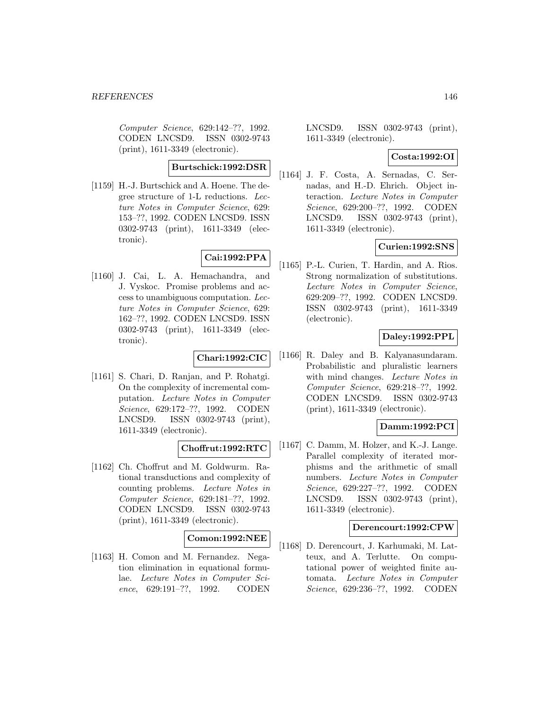Computer Science, 629:142–??, 1992. CODEN LNCSD9. ISSN 0302-9743 (print), 1611-3349 (electronic).

**Burtschick:1992:DSR**

[1159] H.-J. Burtschick and A. Hoene. The degree structure of 1-L reductions. Lecture Notes in Computer Science, 629: 153–??, 1992. CODEN LNCSD9. ISSN 0302-9743 (print), 1611-3349 (electronic).

# **Cai:1992:PPA**

[1160] J. Cai, L. A. Hemachandra, and J. Vyskoc. Promise problems and access to unambiguous computation. Lecture Notes in Computer Science, 629: 162–??, 1992. CODEN LNCSD9. ISSN 0302-9743 (print), 1611-3349 (electronic).

## **Chari:1992:CIC**

[1161] S. Chari, D. Ranjan, and P. Rohatgi. On the complexity of incremental computation. Lecture Notes in Computer Science, 629:172–??, 1992. CODEN LNCSD9. ISSN 0302-9743 (print), 1611-3349 (electronic).

# **Choffrut:1992:RTC**

[1162] Ch. Choffrut and M. Goldwurm. Rational transductions and complexity of counting problems. Lecture Notes in Computer Science, 629:181–??, 1992. CODEN LNCSD9. ISSN 0302-9743 (print), 1611-3349 (electronic).

## **Comon:1992:NEE**

[1163] H. Comon and M. Fernandez. Negation elimination in equational formulae. Lecture Notes in Computer Science, 629:191–??, 1992. CODEN LNCSD9. ISSN 0302-9743 (print), 1611-3349 (electronic).

## **Costa:1992:OI**

[1164] J. F. Costa, A. Sernadas, C. Sernadas, and H.-D. Ehrich. Object interaction. Lecture Notes in Computer Science, 629:200–??, 1992. CODEN LNCSD9. ISSN 0302-9743 (print), 1611-3349 (electronic).

# **Curien:1992:SNS**

[1165] P.-L. Curien, T. Hardin, and A. Rios. Strong normalization of substitutions. Lecture Notes in Computer Science, 629:209–??, 1992. CODEN LNCSD9. ISSN 0302-9743 (print), 1611-3349 (electronic).

# **Daley:1992:PPL**

[1166] R. Daley and B. Kalyanasundaram. Probabilistic and pluralistic learners with mind changes. *Lecture Notes in* Computer Science, 629:218–??, 1992. CODEN LNCSD9. ISSN 0302-9743 (print), 1611-3349 (electronic).

## **Damm:1992:PCI**

[1167] C. Damm, M. Holzer, and K.-J. Lange. Parallel complexity of iterated morphisms and the arithmetic of small numbers. Lecture Notes in Computer Science, 629:227–??, 1992. CODEN LNCSD9. ISSN 0302-9743 (print), 1611-3349 (electronic).

## **Derencourt:1992:CPW**

[1168] D. Derencourt, J. Karhumaki, M. Latteux, and A. Terlutte. On computational power of weighted finite automata. Lecture Notes in Computer Science, 629:236–??, 1992. CODEN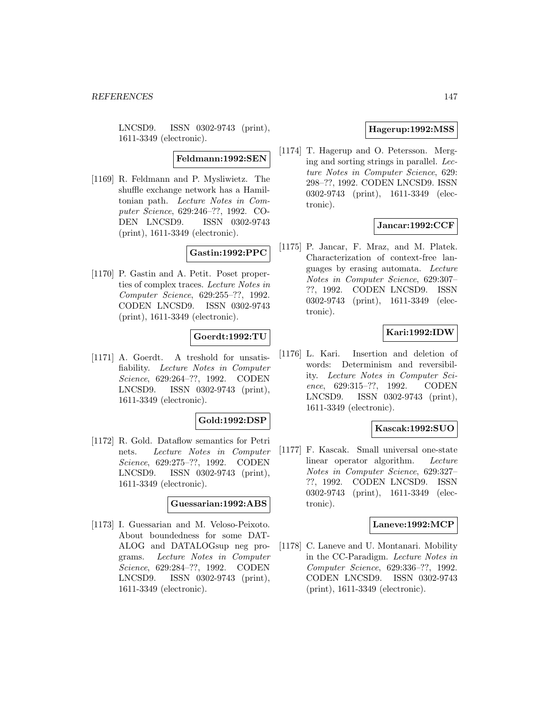LNCSD9. ISSN 0302-9743 (print), 1611-3349 (electronic).

**Feldmann:1992:SEN**

[1169] R. Feldmann and P. Mysliwietz. The shuffle exchange network has a Hamiltonian path. Lecture Notes in Computer Science, 629:246–??, 1992. CO-DEN LNCSD9. ISSN 0302-9743 (print), 1611-3349 (electronic).

### **Gastin:1992:PPC**

[1170] P. Gastin and A. Petit. Poset properties of complex traces. Lecture Notes in Computer Science, 629:255–??, 1992. CODEN LNCSD9. ISSN 0302-9743 (print), 1611-3349 (electronic).

## **Goerdt:1992:TU**

[1171] A. Goerdt. A treshold for unsatisfiability. Lecture Notes in Computer Science, 629:264–??, 1992. CODEN LNCSD9. ISSN 0302-9743 (print), 1611-3349 (electronic).

#### **Gold:1992:DSP**

[1172] R. Gold. Dataflow semantics for Petri nets. Lecture Notes in Computer Science, 629:275–??, 1992. CODEN LNCSD9. ISSN 0302-9743 (print), 1611-3349 (electronic).

#### **Guessarian:1992:ABS**

[1173] I. Guessarian and M. Veloso-Peixoto. About boundedness for some DAT-ALOG and DATALOGsup neg programs. Lecture Notes in Computer Science, 629:284–??, 1992. CODEN LNCSD9. ISSN 0302-9743 (print), 1611-3349 (electronic).

## **Hagerup:1992:MSS**

[1174] T. Hagerup and O. Petersson. Merging and sorting strings in parallel. Lecture Notes in Computer Science, 629: 298–??, 1992. CODEN LNCSD9. ISSN 0302-9743 (print), 1611-3349 (electronic).

# **Jancar:1992:CCF**

[1175] P. Jancar, F. Mraz, and M. Platek. Characterization of context-free languages by erasing automata. Lecture Notes in Computer Science, 629:307– ??, 1992. CODEN LNCSD9. ISSN 0302-9743 (print), 1611-3349 (electronic).

# **Kari:1992:IDW**

[1176] L. Kari. Insertion and deletion of words: Determinism and reversibility. Lecture Notes in Computer Science, 629:315–??, 1992. CODEN LNCSD9. ISSN 0302-9743 (print), 1611-3349 (electronic).

# **Kascak:1992:SUO**

[1177] F. Kascak. Small universal one-state linear operator algorithm. Lecture Notes in Computer Science, 629:327– ??, 1992. CODEN LNCSD9. ISSN 0302-9743 (print), 1611-3349 (electronic).

#### **Laneve:1992:MCP**

[1178] C. Laneve and U. Montanari. Mobility in the CC-Paradigm. Lecture Notes in Computer Science, 629:336–??, 1992. CODEN LNCSD9. ISSN 0302-9743 (print), 1611-3349 (electronic).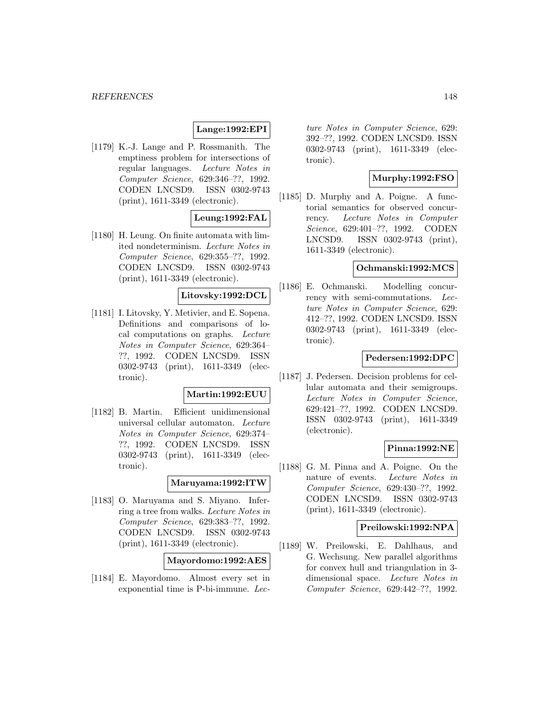### **Lange:1992:EPI**

[1179] K.-J. Lange and P. Rossmanith. The emptiness problem for intersections of regular languages. Lecture Notes in Computer Science, 629:346–??, 1992. CODEN LNCSD9. ISSN 0302-9743 (print), 1611-3349 (electronic).

## **Leung:1992:FAL**

[1180] H. Leung. On finite automata with limited nondeterminism. Lecture Notes in Computer Science, 629:355–??, 1992. CODEN LNCSD9. ISSN 0302-9743 (print), 1611-3349 (electronic).

## **Litovsky:1992:DCL**

[1181] I. Litovsky, Y. Metivier, and E. Sopena. Definitions and comparisons of local computations on graphs. Lecture Notes in Computer Science, 629:364– ??, 1992. CODEN LNCSD9. ISSN 0302-9743 (print), 1611-3349 (electronic).

## **Martin:1992:EUU**

[1182] B. Martin. Efficient unidimensional universal cellular automaton. Lecture Notes in Computer Science, 629:374– ??, 1992. CODEN LNCSD9. ISSN 0302-9743 (print), 1611-3349 (electronic).

#### **Maruyama:1992:ITW**

[1183] O. Maruyama and S. Miyano. Inferring a tree from walks. Lecture Notes in Computer Science, 629:383–??, 1992. CODEN LNCSD9. ISSN 0302-9743 (print), 1611-3349 (electronic).

### **Mayordomo:1992:AES**

[1184] E. Mayordomo. Almost every set in exponential time is P-bi-immune. Lec-

ture Notes in Computer Science, 629: 392–??, 1992. CODEN LNCSD9. ISSN 0302-9743 (print), 1611-3349 (electronic).

# **Murphy:1992:FSO**

[1185] D. Murphy and A. Poigne. A functorial semantics for observed concurrency. Lecture Notes in Computer Science, 629:401–??, 1992. CODEN LNCSD9. ISSN 0302-9743 (print), 1611-3349 (electronic).

## **Ochmanski:1992:MCS**

[1186] E. Ochmanski. Modelling concurrency with semi-commutations. Lecture Notes in Computer Science, 629: 412–??, 1992. CODEN LNCSD9. ISSN 0302-9743 (print), 1611-3349 (electronic).

### **Pedersen:1992:DPC**

[1187] J. Pedersen. Decision problems for cellular automata and their semigroups. Lecture Notes in Computer Science, 629:421–??, 1992. CODEN LNCSD9. ISSN 0302-9743 (print), 1611-3349 (electronic).

## **Pinna:1992:NE**

[1188] G. M. Pinna and A. Poigne. On the nature of events. Lecture Notes in Computer Science, 629:430–??, 1992. CODEN LNCSD9. ISSN 0302-9743 (print), 1611-3349 (electronic).

#### **Preilowski:1992:NPA**

[1189] W. Preilowski, E. Dahlhaus, and G. Wechsung. New parallel algorithms for convex hull and triangulation in 3 dimensional space. Lecture Notes in Computer Science, 629:442–??, 1992.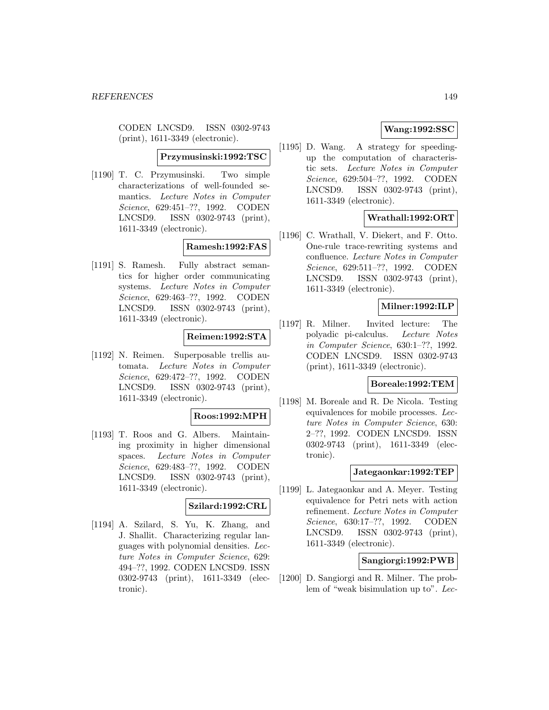CODEN LNCSD9. ISSN 0302-9743 (print), 1611-3349 (electronic).

#### **Przymusinski:1992:TSC**

[1190] T. C. Przymusinski. Two simple characterizations of well-founded semantics. Lecture Notes in Computer Science, 629:451–??, 1992. CODEN LNCSD9. ISSN 0302-9743 (print), 1611-3349 (electronic).

## **Ramesh:1992:FAS**

[1191] S. Ramesh. Fully abstract semantics for higher order communicating systems. Lecture Notes in Computer Science, 629:463–??, 1992. CODEN LNCSD9. ISSN 0302-9743 (print), 1611-3349 (electronic).

### **Reimen:1992:STA**

[1192] N. Reimen. Superposable trellis automata. Lecture Notes in Computer Science, 629:472–??, 1992. CODEN LNCSD9. ISSN 0302-9743 (print), 1611-3349 (electronic).

#### **Roos:1992:MPH**

[1193] T. Roos and G. Albers. Maintaining proximity in higher dimensional spaces. Lecture Notes in Computer Science, 629:483–??, 1992. CODEN LNCSD9. ISSN 0302-9743 (print), 1611-3349 (electronic).

#### **Szilard:1992:CRL**

[1194] A. Szilard, S. Yu, K. Zhang, and J. Shallit. Characterizing regular languages with polynomial densities. Lecture Notes in Computer Science, 629: 494–??, 1992. CODEN LNCSD9. ISSN 0302-9743 (print), 1611-3349 (electronic).

# **Wang:1992:SSC**

[1195] D. Wang. A strategy for speedingup the computation of characteristic sets. Lecture Notes in Computer Science, 629:504–??, 1992. CODEN LNCSD9. ISSN 0302-9743 (print), 1611-3349 (electronic).

# **Wrathall:1992:ORT**

[1196] C. Wrathall, V. Diekert, and F. Otto. One-rule trace-rewriting systems and confluence. Lecture Notes in Computer Science, 629:511–??, 1992. CODEN LNCSD9. ISSN 0302-9743 (print), 1611-3349 (electronic).

## **Milner:1992:ILP**

[1197] R. Milner. Invited lecture: The polyadic pi-calculus. Lecture Notes in Computer Science, 630:1–??, 1992. CODEN LNCSD9. ISSN 0302-9743 (print), 1611-3349 (electronic).

# **Boreale:1992:TEM**

[1198] M. Boreale and R. De Nicola. Testing equivalences for mobile processes. Lecture Notes in Computer Science, 630: 2–??, 1992. CODEN LNCSD9. ISSN 0302-9743 (print), 1611-3349 (electronic).

### **Jategaonkar:1992:TEP**

[1199] L. Jategaonkar and A. Meyer. Testing equivalence for Petri nets with action refinement. Lecture Notes in Computer Science, 630:17–??, 1992. CODEN LNCSD9. ISSN 0302-9743 (print), 1611-3349 (electronic).

## **Sangiorgi:1992:PWB**

[1200] D. Sangiorgi and R. Milner. The problem of "weak bisimulation up to". Lec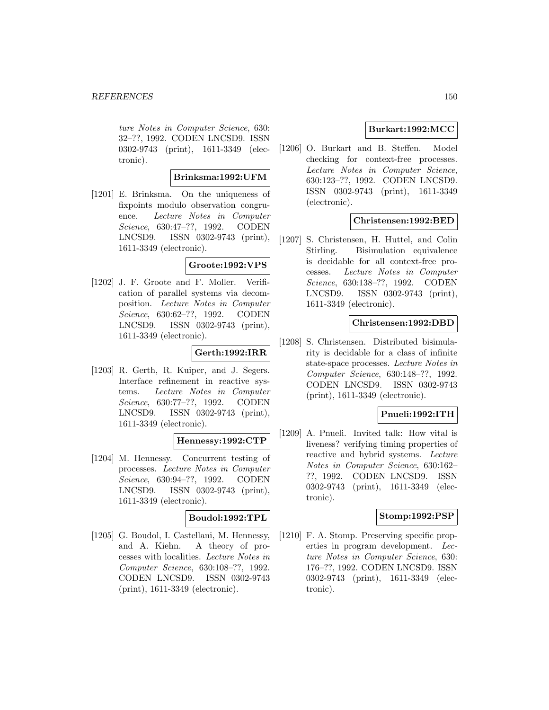ture Notes in Computer Science, 630: 32–??, 1992. CODEN LNCSD9. ISSN 0302-9743 (print), 1611-3349 (electronic).

# **Brinksma:1992:UFM**

[1201] E. Brinksma. On the uniqueness of fixpoints modulo observation congruence. Lecture Notes in Computer Science, 630:47–??, 1992. CODEN LNCSD9. ISSN 0302-9743 (print), 1611-3349 (electronic).

# **Groote:1992:VPS**

[1202] J. F. Groote and F. Moller. Verification of parallel systems via decomposition. Lecture Notes in Computer Science, 630:62–??, 1992. CODEN LNCSD9. ISSN 0302-9743 (print), 1611-3349 (electronic).

## **Gerth:1992:IRR**

[1203] R. Gerth, R. Kuiper, and J. Segers. Interface refinement in reactive systems. Lecture Notes in Computer Science, 630:77–??, 1992. CODEN LNCSD9. ISSN 0302-9743 (print), 1611-3349 (electronic).

## **Hennessy:1992:CTP**

[1204] M. Hennessy. Concurrent testing of processes. Lecture Notes in Computer Science, 630:94–??, 1992. CODEN LNCSD9. ISSN 0302-9743 (print), 1611-3349 (electronic).

# **Boudol:1992:TPL**

[1205] G. Boudol, I. Castellani, M. Hennessy, and A. Kiehn. A theory of processes with localities. Lecture Notes in Computer Science, 630:108–??, 1992. CODEN LNCSD9. ISSN 0302-9743 (print), 1611-3349 (electronic).

## **Burkart:1992:MCC**

[1206] O. Burkart and B. Steffen. Model checking for context-free processes. Lecture Notes in Computer Science, 630:123–??, 1992. CODEN LNCSD9. ISSN 0302-9743 (print), 1611-3349 (electronic).

## **Christensen:1992:BED**

[1207] S. Christensen, H. Huttel, and Colin Stirling. Bisimulation equivalence is decidable for all context-free processes. Lecture Notes in Computer Science, 630:138–??, 1992. CODEN LNCSD9. ISSN 0302-9743 (print), 1611-3349 (electronic).

## **Christensen:1992:DBD**

[1208] S. Christensen. Distributed bisimularity is decidable for a class of infinite state-space processes. Lecture Notes in Computer Science, 630:148–??, 1992. CODEN LNCSD9. ISSN 0302-9743 (print), 1611-3349 (electronic).

# **Pnueli:1992:ITH**

[1209] A. Pnueli. Invited talk: How vital is liveness? verifying timing properties of reactive and hybrid systems. Lecture Notes in Computer Science, 630:162– ??, 1992. CODEN LNCSD9. ISSN 0302-9743 (print), 1611-3349 (electronic).

## **Stomp:1992:PSP**

[1210] F. A. Stomp. Preserving specific properties in program development. Lecture Notes in Computer Science, 630: 176–??, 1992. CODEN LNCSD9. ISSN 0302-9743 (print), 1611-3349 (electronic).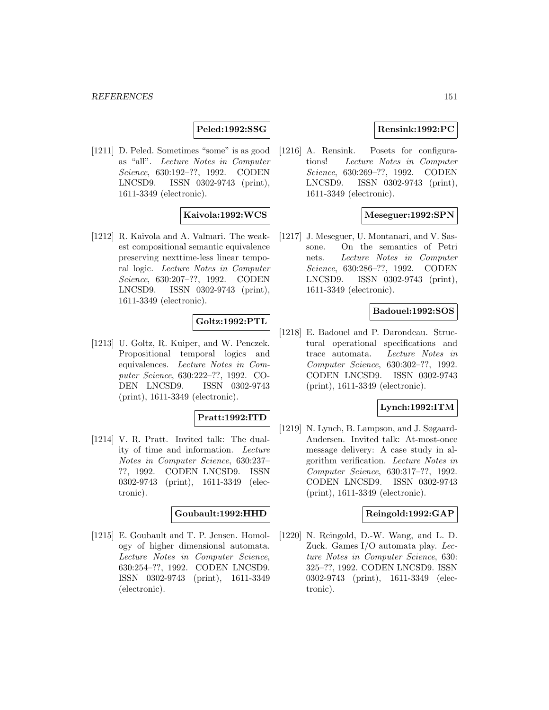## **Peled:1992:SSG**

[1211] D. Peled. Sometimes "some" is as good as "all". Lecture Notes in Computer Science, 630:192–??, 1992. CODEN LNCSD9. ISSN 0302-9743 (print), 1611-3349 (electronic).

## **Kaivola:1992:WCS**

[1212] R. Kaivola and A. Valmari. The weakest compositional semantic equivalence preserving nexttime-less linear temporal logic. Lecture Notes in Computer Science, 630:207–??, 1992. CODEN LNCSD9. ISSN 0302-9743 (print), 1611-3349 (electronic).

## **Goltz:1992:PTL**

[1213] U. Goltz, R. Kuiper, and W. Penczek. Propositional temporal logics and equivalences. Lecture Notes in Computer Science, 630:222–??, 1992. CO-DEN LNCSD9. ISSN 0302-9743 (print), 1611-3349 (electronic).

## **Pratt:1992:ITD**

[1214] V. R. Pratt. Invited talk: The duality of time and information. Lecture Notes in Computer Science, 630:237– ??, 1992. CODEN LNCSD9. ISSN 0302-9743 (print), 1611-3349 (electronic).

#### **Goubault:1992:HHD**

[1215] E. Goubault and T. P. Jensen. Homology of higher dimensional automata. Lecture Notes in Computer Science, 630:254–??, 1992. CODEN LNCSD9. ISSN 0302-9743 (print), 1611-3349 (electronic).

## **Rensink:1992:PC**

[1216] A. Rensink. Posets for configurations! Lecture Notes in Computer Science, 630:269–??, 1992. CODEN LNCSD9. ISSN 0302-9743 (print), 1611-3349 (electronic).

### **Meseguer:1992:SPN**

[1217] J. Meseguer, U. Montanari, and V. Sassone. On the semantics of Petri nets. Lecture Notes in Computer Science, 630:286–??, 1992. CODEN LNCSD9. ISSN 0302-9743 (print), 1611-3349 (electronic).

# **Badouel:1992:SOS**

[1218] E. Badouel and P. Darondeau. Structural operational specifications and trace automata. Lecture Notes in Computer Science, 630:302–??, 1992. CODEN LNCSD9. ISSN 0302-9743 (print), 1611-3349 (electronic).

## **Lynch:1992:ITM**

[1219] N. Lynch, B. Lampson, and J. Søgaard-Andersen. Invited talk: At-most-once message delivery: A case study in algorithm verification. Lecture Notes in Computer Science, 630:317–??, 1992. CODEN LNCSD9. ISSN 0302-9743 (print), 1611-3349 (electronic).

#### **Reingold:1992:GAP**

[1220] N. Reingold, D.-W. Wang, and L. D. Zuck. Games I/O automata play. Lecture Notes in Computer Science, 630: 325–??, 1992. CODEN LNCSD9. ISSN 0302-9743 (print), 1611-3349 (electronic).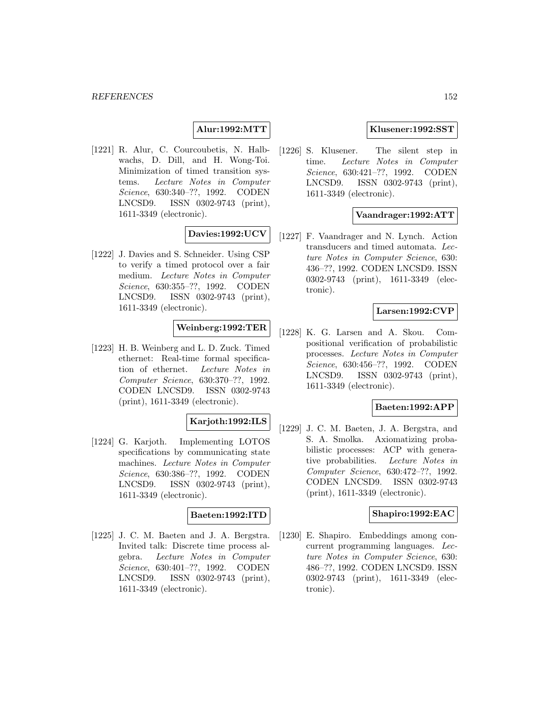## **Alur:1992:MTT**

[1221] R. Alur, C. Courcoubetis, N. Halbwachs, D. Dill, and H. Wong-Toi. Minimization of timed transition systems. Lecture Notes in Computer Science, 630:340–??, 1992. CODEN LNCSD9. ISSN 0302-9743 (print), 1611-3349 (electronic).

### **Davies:1992:UCV**

[1222] J. Davies and S. Schneider. Using CSP to verify a timed protocol over a fair medium. Lecture Notes in Computer Science, 630:355–??, 1992. CODEN LNCSD9. ISSN 0302-9743 (print), 1611-3349 (electronic).

## **Weinberg:1992:TER**

[1223] H. B. Weinberg and L. D. Zuck. Timed ethernet: Real-time formal specification of ethernet. Lecture Notes in Computer Science, 630:370–??, 1992. CODEN LNCSD9. ISSN 0302-9743 (print), 1611-3349 (electronic).

# **Karjoth:1992:ILS**

[1224] G. Karjoth. Implementing LOTOS specifications by communicating state machines. Lecture Notes in Computer Science, 630:386–??, 1992. CODEN LNCSD9. ISSN 0302-9743 (print), 1611-3349 (electronic).

## **Baeten:1992:ITD**

[1225] J. C. M. Baeten and J. A. Bergstra. Invited talk: Discrete time process algebra. Lecture Notes in Computer Science, 630:401–??, 1992. CODEN LNCSD9. ISSN 0302-9743 (print), 1611-3349 (electronic).

# **Klusener:1992:SST**

[1226] S. Klusener. The silent step in time. Lecture Notes in Computer Science, 630:421–??, 1992. CODEN LNCSD9. ISSN 0302-9743 (print), 1611-3349 (electronic).

## **Vaandrager:1992:ATT**

[1227] F. Vaandrager and N. Lynch. Action transducers and timed automata. Lecture Notes in Computer Science, 630: 436–??, 1992. CODEN LNCSD9. ISSN 0302-9743 (print), 1611-3349 (electronic).

# **Larsen:1992:CVP**

[1228] K. G. Larsen and A. Skou. Compositional verification of probabilistic processes. Lecture Notes in Computer Science, 630:456–??, 1992. CODEN LNCSD9. ISSN 0302-9743 (print), 1611-3349 (electronic).

## **Baeten:1992:APP**

[1229] J. C. M. Baeten, J. A. Bergstra, and S. A. Smolka. Axiomatizing probabilistic processes: ACP with generative probabilities. Lecture Notes in Computer Science, 630:472–??, 1992. CODEN LNCSD9. ISSN 0302-9743 (print), 1611-3349 (electronic).

#### **Shapiro:1992:EAC**

[1230] E. Shapiro. Embeddings among concurrent programming languages. Lecture Notes in Computer Science, 630: 486–??, 1992. CODEN LNCSD9. ISSN 0302-9743 (print), 1611-3349 (electronic).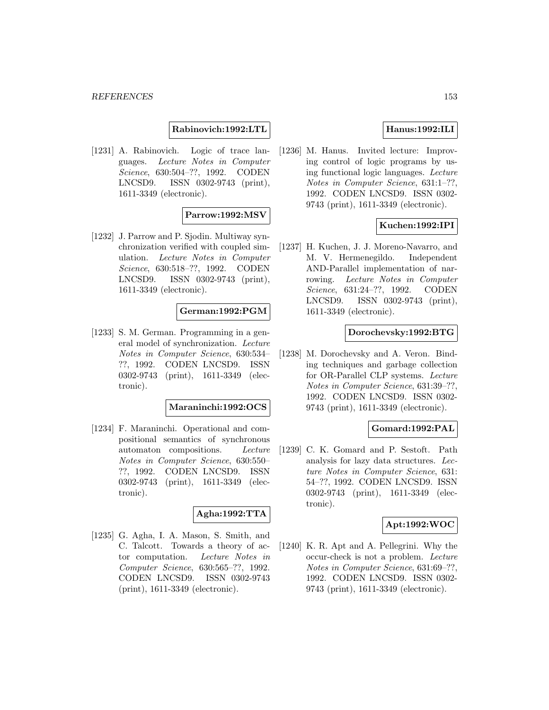**Rabinovich:1992:LTL**

[1231] A. Rabinovich. Logic of trace languages. Lecture Notes in Computer Science, 630:504–??, 1992. CODEN LNCSD9. ISSN 0302-9743 (print), 1611-3349 (electronic).

### **Parrow:1992:MSV**

[1232] J. Parrow and P. Sjodin. Multiway synchronization verified with coupled simulation. Lecture Notes in Computer Science, 630:518–??, 1992. CODEN LNCSD9. ISSN 0302-9743 (print), 1611-3349 (electronic).

### **German:1992:PGM**

[1233] S. M. German. Programming in a general model of synchronization. Lecture Notes in Computer Science, 630:534– ??, 1992. CODEN LNCSD9. ISSN 0302-9743 (print), 1611-3349 (electronic).

#### **Maraninchi:1992:OCS**

[1234] F. Maraninchi. Operational and compositional semantics of synchronous automaton compositions. Lecture Notes in Computer Science, 630:550– ??, 1992. CODEN LNCSD9. ISSN 0302-9743 (print), 1611-3349 (electronic).

## **Agha:1992:TTA**

[1235] G. Agha, I. A. Mason, S. Smith, and C. Talcott. Towards a theory of actor computation. Lecture Notes in Computer Science, 630:565–??, 1992. CODEN LNCSD9. ISSN 0302-9743 (print), 1611-3349 (electronic).

# **Hanus:1992:ILI**

[1236] M. Hanus. Invited lecture: Improving control of logic programs by using functional logic languages. Lecture Notes in Computer Science, 631:1–??, 1992. CODEN LNCSD9. ISSN 0302- 9743 (print), 1611-3349 (electronic).

### **Kuchen:1992:IPI**

[1237] H. Kuchen, J. J. Moreno-Navarro, and M. V. Hermenegildo. Independent AND-Parallel implementation of narrowing. Lecture Notes in Computer Science, 631:24–??, 1992. CODEN LNCSD9. ISSN 0302-9743 (print), 1611-3349 (electronic).

#### **Dorochevsky:1992:BTG**

[1238] M. Dorochevsky and A. Veron. Binding techniques and garbage collection for OR-Parallel CLP systems. Lecture Notes in Computer Science, 631:39–??, 1992. CODEN LNCSD9. ISSN 0302- 9743 (print), 1611-3349 (electronic).

# **Gomard:1992:PAL**

[1239] C. K. Gomard and P. Sestoft. Path analysis for lazy data structures. Lecture Notes in Computer Science, 631: 54–??, 1992. CODEN LNCSD9. ISSN 0302-9743 (print), 1611-3349 (electronic).

#### **Apt:1992:WOC**

[1240] K. R. Apt and A. Pellegrini. Why the occur-check is not a problem. Lecture Notes in Computer Science, 631:69–??, 1992. CODEN LNCSD9. ISSN 0302- 9743 (print), 1611-3349 (electronic).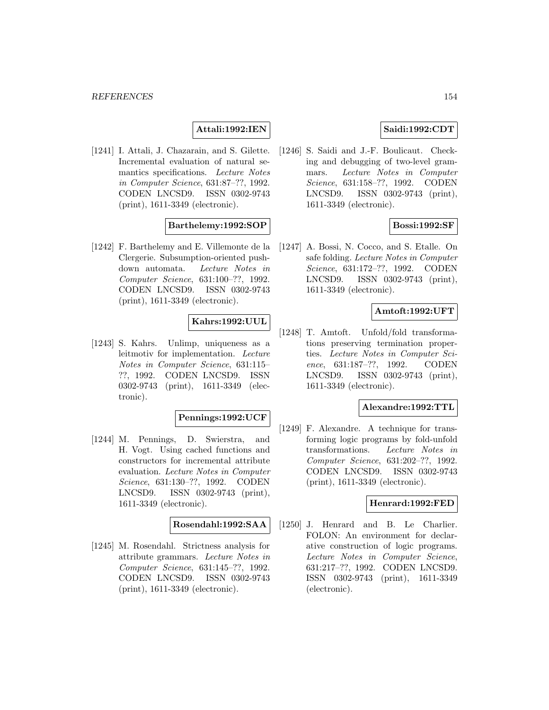## **Attali:1992:IEN**

[1241] I. Attali, J. Chazarain, and S. Gilette. Incremental evaluation of natural semantics specifications. Lecture Notes in Computer Science, 631:87–??, 1992. CODEN LNCSD9. ISSN 0302-9743 (print), 1611-3349 (electronic).

## **Barthelemy:1992:SOP**

[1242] F. Barthelemy and E. Villemonte de la Clergerie. Subsumption-oriented pushdown automata. Lecture Notes in Computer Science, 631:100–??, 1992. CODEN LNCSD9. ISSN 0302-9743 (print), 1611-3349 (electronic).

# **Kahrs:1992:UUL**

[1243] S. Kahrs. Unlimp, uniqueness as a leitmotiv for implementation. Lecture Notes in Computer Science, 631:115– ??, 1992. CODEN LNCSD9. ISSN 0302-9743 (print), 1611-3349 (electronic).

## **Pennings:1992:UCF**

[1244] M. Pennings, D. Swierstra, and H. Vogt. Using cached functions and constructors for incremental attribute evaluation. Lecture Notes in Computer Science, 631:130–??, 1992. CODEN LNCSD9. ISSN 0302-9743 (print), 1611-3349 (electronic).

### **Rosendahl:1992:SAA**

[1245] M. Rosendahl. Strictness analysis for attribute grammars. Lecture Notes in Computer Science, 631:145–??, 1992. CODEN LNCSD9. ISSN 0302-9743 (print), 1611-3349 (electronic).

## **Saidi:1992:CDT**

[1246] S. Saidi and J.-F. Boulicaut. Checking and debugging of two-level grammars. Lecture Notes in Computer Science, 631:158–??, 1992. CODEN LNCSD9. ISSN 0302-9743 (print), 1611-3349 (electronic).

## **Bossi:1992:SF**

[1247] A. Bossi, N. Cocco, and S. Etalle. On safe folding. Lecture Notes in Computer Science, 631:172–??, 1992. CODEN LNCSD9. ISSN 0302-9743 (print), 1611-3349 (electronic).

# **Amtoft:1992:UFT**

[1248] T. Amtoft. Unfold/fold transformations preserving termination properties. Lecture Notes in Computer Science, 631:187–??, 1992. CODEN LNCSD9. ISSN 0302-9743 (print), 1611-3349 (electronic).

### **Alexandre:1992:TTL**

[1249] F. Alexandre. A technique for transforming logic programs by fold-unfold transformations. Lecture Notes in Computer Science, 631:202–??, 1992. CODEN LNCSD9. ISSN 0302-9743 (print), 1611-3349 (electronic).

#### **Henrard:1992:FED**

[1250] J. Henrard and B. Le Charlier. FOLON: An environment for declarative construction of logic programs. Lecture Notes in Computer Science, 631:217–??, 1992. CODEN LNCSD9. ISSN 0302-9743 (print), 1611-3349 (electronic).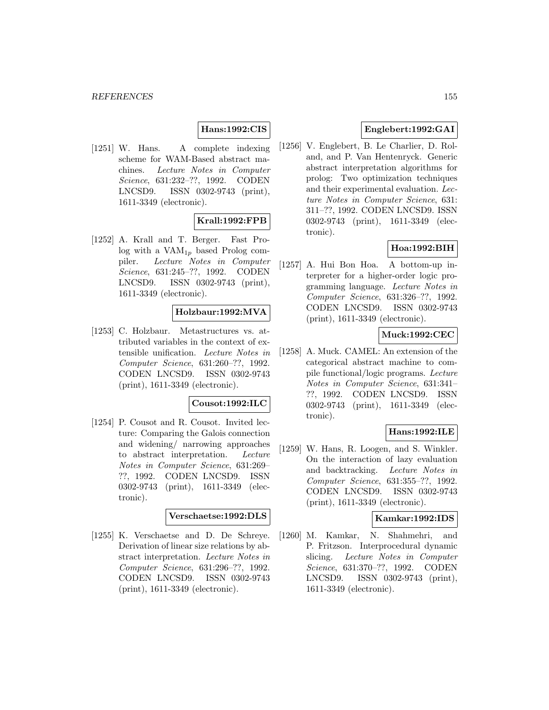# **Hans:1992:CIS**

[1251] W. Hans. A complete indexing scheme for WAM-Based abstract machines. Lecture Notes in Computer Science, 631:232–??, 1992. CODEN LNCSD9. ISSN 0302-9743 (print), 1611-3349 (electronic).

# **Krall:1992:FPB**

[1252] A. Krall and T. Berger. Fast Prolog with a  $VAM_{1p}$  based Prolog compiler. Lecture Notes in Computer Science, 631:245–??, 1992. CODEN LNCSD9. ISSN 0302-9743 (print), 1611-3349 (electronic).

## **Holzbaur:1992:MVA**

[1253] C. Holzbaur. Metastructures vs. attributed variables in the context of extensible unification. Lecture Notes in Computer Science, 631:260–??, 1992. CODEN LNCSD9. ISSN 0302-9743 (print), 1611-3349 (electronic).

### **Cousot:1992:ILC**

[1254] P. Cousot and R. Cousot. Invited lecture: Comparing the Galois connection and widening/ narrowing approaches to abstract interpretation. Lecture Notes in Computer Science, 631:269– ??, 1992. CODEN LNCSD9. ISSN 0302-9743 (print), 1611-3349 (electronic).

### **Verschaetse:1992:DLS**

[1255] K. Verschaetse and D. De Schreye. Derivation of linear size relations by abstract interpretation. Lecture Notes in Computer Science, 631:296–??, 1992. CODEN LNCSD9. ISSN 0302-9743 (print), 1611-3349 (electronic).

# **Englebert:1992:GAI**

[1256] V. Englebert, B. Le Charlier, D. Roland, and P. Van Hentenryck. Generic abstract interpretation algorithms for prolog: Two optimization techniques and their experimental evaluation. Lecture Notes in Computer Science, 631: 311–??, 1992. CODEN LNCSD9. ISSN 0302-9743 (print), 1611-3349 (electronic).

## **Hoa:1992:BIH**

[1257] A. Hui Bon Hoa. A bottom-up interpreter for a higher-order logic programming language. Lecture Notes in Computer Science, 631:326–??, 1992. CODEN LNCSD9. ISSN 0302-9743 (print), 1611-3349 (electronic).

## **Muck:1992:CEC**

[1258] A. Muck. CAMEL: An extension of the categorical abstract machine to compile functional/logic programs. Lecture Notes in Computer Science, 631:341– ??, 1992. CODEN LNCSD9. ISSN 0302-9743 (print), 1611-3349 (electronic).

## **Hans:1992:ILE**

[1259] W. Hans, R. Loogen, and S. Winkler. On the interaction of lazy evaluation and backtracking. Lecture Notes in Computer Science, 631:355–??, 1992. CODEN LNCSD9. ISSN 0302-9743 (print), 1611-3349 (electronic).

### **Kamkar:1992:IDS**

[1260] M. Kamkar, N. Shahmehri, and P. Fritzson. Interprocedural dynamic slicing. Lecture Notes in Computer Science, 631:370–??, 1992. CODEN LNCSD9. ISSN 0302-9743 (print), 1611-3349 (electronic).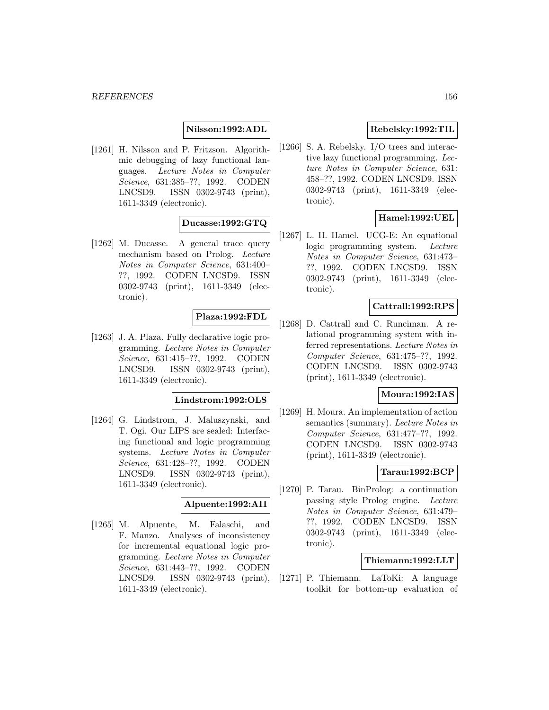## **Nilsson:1992:ADL**

[1261] H. Nilsson and P. Fritzson. Algorithmic debugging of lazy functional languages. Lecture Notes in Computer Science, 631:385–??, 1992. CODEN LNCSD9. ISSN 0302-9743 (print), 1611-3349 (electronic).

# **Ducasse:1992:GTQ**

[1262] M. Ducasse. A general trace query mechanism based on Prolog. Lecture Notes in Computer Science, 631:400– ??, 1992. CODEN LNCSD9. ISSN 0302-9743 (print), 1611-3349 (electronic).

# **Plaza:1992:FDL**

[1263] J. A. Plaza. Fully declarative logic programming. Lecture Notes in Computer Science, 631:415–??, 1992. CODEN LNCSD9. ISSN 0302-9743 (print), 1611-3349 (electronic).

# **Lindstrom:1992:OLS**

[1264] G. Lindstrom, J. Maluszynski, and T. Ogi. Our LIPS are sealed: Interfacing functional and logic programming systems. Lecture Notes in Computer Science, 631:428–??, 1992. CODEN LNCSD9. ISSN 0302-9743 (print), 1611-3349 (electronic).

### **Alpuente:1992:AII**

[1265] M. Alpuente, M. Falaschi, and F. Manzo. Analyses of inconsistency for incremental equational logic programming. Lecture Notes in Computer Science, 631:443–??, 1992. CODEN LNCSD9. ISSN 0302-9743 (print), 1611-3349 (electronic).

# **Rebelsky:1992:TIL**

[1266] S. A. Rebelsky. I/O trees and interactive lazy functional programming. Lecture Notes in Computer Science, 631: 458–??, 1992. CODEN LNCSD9. ISSN 0302-9743 (print), 1611-3349 (electronic).

## **Hamel:1992:UEL**

[1267] L. H. Hamel. UCG-E: An equational logic programming system. Lecture Notes in Computer Science, 631:473– ??, 1992. CODEN LNCSD9. ISSN 0302-9743 (print), 1611-3349 (electronic).

### **Cattrall:1992:RPS**

[1268] D. Cattrall and C. Runciman. A relational programming system with inferred representations. Lecture Notes in Computer Science, 631:475–??, 1992. CODEN LNCSD9. ISSN 0302-9743 (print), 1611-3349 (electronic).

### **Moura:1992:IAS**

[1269] H. Moura. An implementation of action semantics (summary). Lecture Notes in Computer Science, 631:477–??, 1992. CODEN LNCSD9. ISSN 0302-9743 (print), 1611-3349 (electronic).

## **Tarau:1992:BCP**

[1270] P. Tarau. BinProlog: a continuation passing style Prolog engine. Lecture Notes in Computer Science, 631:479– ??, 1992. CODEN LNCSD9. ISSN 0302-9743 (print), 1611-3349 (electronic).

### **Thiemann:1992:LLT**

[1271] P. Thiemann. LaToKi: A language toolkit for bottom-up evaluation of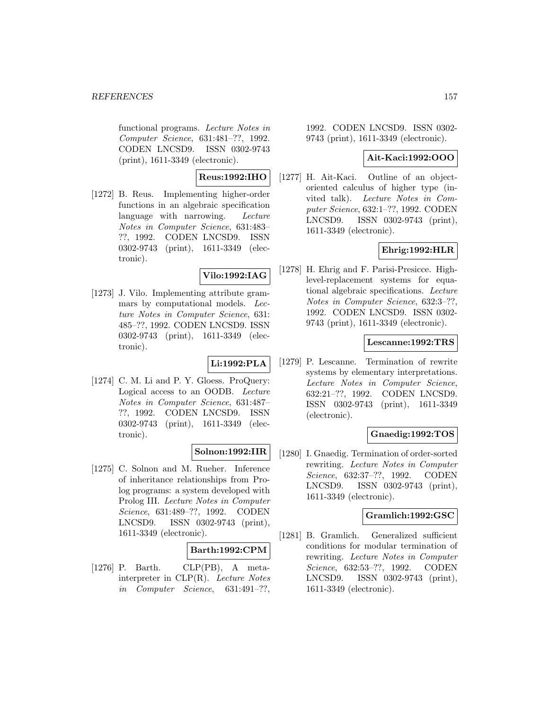functional programs. Lecture Notes in Computer Science, 631:481–??, 1992. CODEN LNCSD9. ISSN 0302-9743 (print), 1611-3349 (electronic).

# **Reus:1992:IHO**

[1272] B. Reus. Implementing higher-order functions in an algebraic specification language with narrowing. Lecture Notes in Computer Science, 631:483– ??, 1992. CODEN LNCSD9. ISSN 0302-9743 (print), 1611-3349 (electronic).

## **Vilo:1992:IAG**

[1273] J. Vilo. Implementing attribute grammars by computational models. Lecture Notes in Computer Science, 631: 485–??, 1992. CODEN LNCSD9. ISSN 0302-9743 (print), 1611-3349 (electronic).

## **Li:1992:PLA**

[1274] C. M. Li and P. Y. Gloess. ProQuery: Logical access to an OODB. Lecture Notes in Computer Science, 631:487– ??, 1992. CODEN LNCSD9. ISSN 0302-9743 (print), 1611-3349 (electronic).

## **Solnon:1992:IIR**

[1275] C. Solnon and M. Rueher. Inference of inheritance relationships from Prolog programs: a system developed with Prolog III. Lecture Notes in Computer Science, 631:489–??, 1992. CODEN LNCSD9. ISSN 0302-9743 (print), 1611-3349 (electronic).

## **Barth:1992:CPM**

[1276] P. Barth. CLP(PB), A metainterpreter in CLP(R). Lecture Notes in Computer Science, 631:491–??,

1992. CODEN LNCSD9. ISSN 0302- 9743 (print), 1611-3349 (electronic).

## **Ait-Kaci:1992:OOO**

[1277] H. Ait-Kaci. Outline of an objectoriented calculus of higher type (invited talk). Lecture Notes in Computer Science, 632:1–??, 1992. CODEN LNCSD9. ISSN 0302-9743 (print), 1611-3349 (electronic).

# **Ehrig:1992:HLR**

[1278] H. Ehrig and F. Parisi-Presicce. Highlevel-replacement systems for equational algebraic specifications. Lecture Notes in Computer Science, 632:3–??, 1992. CODEN LNCSD9. ISSN 0302- 9743 (print), 1611-3349 (electronic).

## **Lescanne:1992:TRS**

[1279] P. Lescanne. Termination of rewrite systems by elementary interpretations. Lecture Notes in Computer Science, 632:21–??, 1992. CODEN LNCSD9. ISSN 0302-9743 (print), 1611-3349 (electronic).

# **Gnaedig:1992:TOS**

[1280] I. Gnaedig. Termination of order-sorted rewriting. Lecture Notes in Computer Science, 632:37–??, 1992. CODEN LNCSD9. ISSN 0302-9743 (print), 1611-3349 (electronic).

## **Gramlich:1992:GSC**

[1281] B. Gramlich. Generalized sufficient conditions for modular termination of rewriting. Lecture Notes in Computer Science, 632:53–??, 1992. CODEN LNCSD9. ISSN 0302-9743 (print), 1611-3349 (electronic).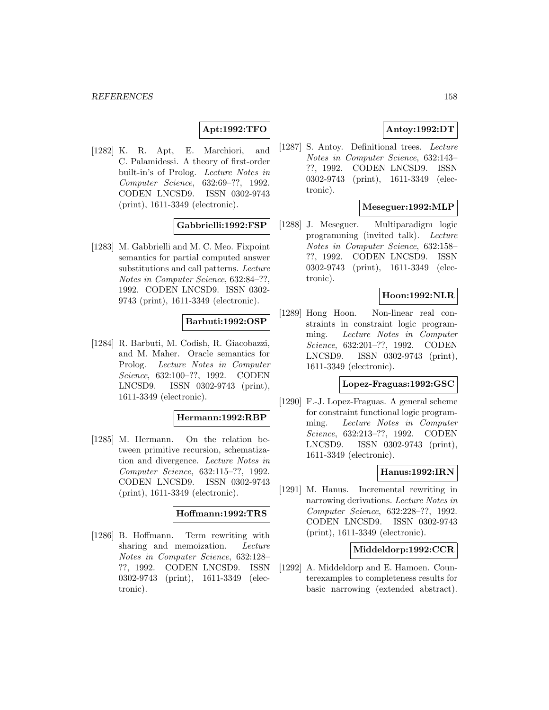# **Apt:1992:TFO**

[1282] K. R. Apt, E. Marchiori, and C. Palamidessi. A theory of first-order built-in's of Prolog. Lecture Notes in Computer Science, 632:69–??, 1992. CODEN LNCSD9. ISSN 0302-9743 (print), 1611-3349 (electronic).

## **Gabbrielli:1992:FSP**

[1283] M. Gabbrielli and M. C. Meo. Fixpoint semantics for partial computed answer substitutions and call patterns. Lecture Notes in Computer Science, 632:84–??, 1992. CODEN LNCSD9. ISSN 0302- 9743 (print), 1611-3349 (electronic).

### **Barbuti:1992:OSP**

[1284] R. Barbuti, M. Codish, R. Giacobazzi, and M. Maher. Oracle semantics for Prolog. Lecture Notes in Computer Science, 632:100–??, 1992. CODEN LNCSD9. ISSN 0302-9743 (print), 1611-3349 (electronic).

#### **Hermann:1992:RBP**

[1285] M. Hermann. On the relation between primitive recursion, schematization and divergence. Lecture Notes in Computer Science, 632:115–??, 1992. CODEN LNCSD9. ISSN 0302-9743 (print), 1611-3349 (electronic).

#### **Hoffmann:1992:TRS**

[1286] B. Hoffmann. Term rewriting with sharing and memoization. Lecture Notes in Computer Science, 632:128– ??, 1992. CODEN LNCSD9. ISSN 0302-9743 (print), 1611-3349 (electronic).

# **Antoy:1992:DT**

[1287] S. Antoy. Definitional trees. Lecture Notes in Computer Science, 632:143– ??, 1992. CODEN LNCSD9. ISSN 0302-9743 (print), 1611-3349 (electronic).

### **Meseguer:1992:MLP**

[1288] J. Meseguer. Multiparadigm logic programming (invited talk). Lecture Notes in Computer Science, 632:158– ??, 1992. CODEN LNCSD9. ISSN 0302-9743 (print), 1611-3349 (electronic).

## **Hoon:1992:NLR**

[1289] Hong Hoon. Non-linear real constraints in constraint logic programming. Lecture Notes in Computer Science, 632:201–??, 1992. CODEN LNCSD9. ISSN 0302-9743 (print), 1611-3349 (electronic).

# **Lopez-Fraguas:1992:GSC**

[1290] F.-J. Lopez-Fraguas. A general scheme for constraint functional logic programming. Lecture Notes in Computer Science, 632:213–??, 1992. CODEN LNCSD9. ISSN 0302-9743 (print), 1611-3349 (electronic).

## **Hanus:1992:IRN**

[1291] M. Hanus. Incremental rewriting in narrowing derivations. Lecture Notes in Computer Science, 632:228–??, 1992. CODEN LNCSD9. ISSN 0302-9743 (print), 1611-3349 (electronic).

## **Middeldorp:1992:CCR**

[1292] A. Middeldorp and E. Hamoen. Counterexamples to completeness results for basic narrowing (extended abstract).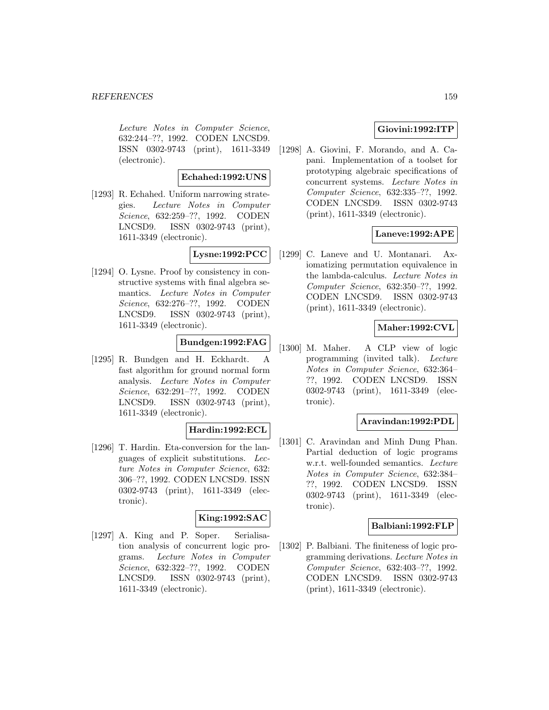Lecture Notes in Computer Science, 632:244–??, 1992. CODEN LNCSD9. ISSN 0302-9743 (print), 1611-3349 (electronic).

**Echahed:1992:UNS**

[1293] R. Echahed. Uniform narrowing strategies. Lecture Notes in Computer Science, 632:259–??, 1992. CODEN LNCSD9. ISSN 0302-9743 (print), 1611-3349 (electronic).

# **Lysne:1992:PCC**

[1294] O. Lysne. Proof by consistency in constructive systems with final algebra semantics. Lecture Notes in Computer Science, 632:276–??, 1992. CODEN LNCSD9. ISSN 0302-9743 (print), 1611-3349 (electronic).

# **Bundgen:1992:FAG**

[1295] R. Bundgen and H. Eckhardt. A fast algorithm for ground normal form analysis. Lecture Notes in Computer Science, 632:291–??, 1992. CODEN LNCSD9. ISSN 0302-9743 (print), 1611-3349 (electronic).

# **Hardin:1992:ECL**

[1296] T. Hardin. Eta-conversion for the languages of explicit substitutions. Lecture Notes in Computer Science, 632: 306–??, 1992. CODEN LNCSD9. ISSN 0302-9743 (print), 1611-3349 (electronic).

# **King:1992:SAC**

[1297] A. King and P. Soper. Serialisation analysis of concurrent logic programs. Lecture Notes in Computer Science, 632:322–??, 1992. CODEN LNCSD9. ISSN 0302-9743 (print), 1611-3349 (electronic).

# **Giovini:1992:ITP**

[1298] A. Giovini, F. Morando, and A. Capani. Implementation of a toolset for prototyping algebraic specifications of concurrent systems. Lecture Notes in Computer Science, 632:335–??, 1992. CODEN LNCSD9. ISSN 0302-9743 (print), 1611-3349 (electronic).

# **Laneve:1992:APE**

[1299] C. Laneve and U. Montanari. Axiomatizing permutation equivalence in the lambda-calculus. Lecture Notes in Computer Science, 632:350–??, 1992. CODEN LNCSD9. ISSN 0302-9743 (print), 1611-3349 (electronic).

# **Maher:1992:CVL**

[1300] M. Maher. A CLP view of logic programming (invited talk). Lecture Notes in Computer Science, 632:364– ??, 1992. CODEN LNCSD9. ISSN 0302-9743 (print), 1611-3349 (electronic).

## **Aravindan:1992:PDL**

[1301] C. Aravindan and Minh Dung Phan. Partial deduction of logic programs w.r.t. well-founded semantics. Lecture Notes in Computer Science, 632:384– ??, 1992. CODEN LNCSD9. ISSN 0302-9743 (print), 1611-3349 (electronic).

## **Balbiani:1992:FLP**

[1302] P. Balbiani. The finiteness of logic programming derivations. Lecture Notes in Computer Science, 632:403–??, 1992. CODEN LNCSD9. ISSN 0302-9743 (print), 1611-3349 (electronic).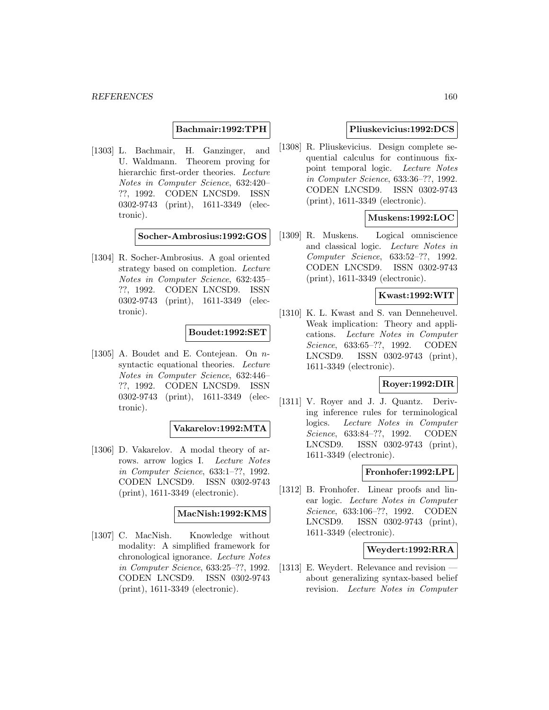**Bachmair:1992:TPH**

[1303] L. Bachmair, H. Ganzinger, and U. Waldmann. Theorem proving for hierarchic first-order theories. Lecture Notes in Computer Science, 632:420– ??, 1992. CODEN LNCSD9. ISSN 0302-9743 (print), 1611-3349 (electronic).

**Socher-Ambrosius:1992:GOS**

[1304] R. Socher-Ambrosius. A goal oriented strategy based on completion. Lecture Notes in Computer Science, 632:435– ??, 1992. CODEN LNCSD9. ISSN 0302-9743 (print), 1611-3349 (electronic).

### **Boudet:1992:SET**

[1305] A. Boudet and E. Contejean. On nsyntactic equational theories. Lecture Notes in Computer Science, 632:446– ??, 1992. CODEN LNCSD9. ISSN 0302-9743 (print), 1611-3349 (electronic).

# **Vakarelov:1992:MTA**

[1306] D. Vakarelov. A modal theory of arrows. arrow logics I. Lecture Notes in Computer Science, 633:1–??, 1992. CODEN LNCSD9. ISSN 0302-9743 (print), 1611-3349 (electronic).

### **MacNish:1992:KMS**

[1307] C. MacNish. Knowledge without modality: A simplified framework for chronological ignorance. Lecture Notes in Computer Science, 633:25–??, 1992. CODEN LNCSD9. ISSN 0302-9743 (print), 1611-3349 (electronic).

### **Pliuskevicius:1992:DCS**

[1308] R. Pliuskevicius. Design complete sequential calculus for continuous fixpoint temporal logic. Lecture Notes in Computer Science, 633:36–??, 1992. CODEN LNCSD9. ISSN 0302-9743 (print), 1611-3349 (electronic).

## **Muskens:1992:LOC**

[1309] R. Muskens. Logical omniscience and classical logic. Lecture Notes in Computer Science, 633:52–??, 1992. CODEN LNCSD9. ISSN 0302-9743 (print), 1611-3349 (electronic).

## **Kwast:1992:WIT**

[1310] K. L. Kwast and S. van Denneheuvel. Weak implication: Theory and applications. Lecture Notes in Computer Science, 633:65–??, 1992. CODEN LNCSD9. ISSN 0302-9743 (print), 1611-3349 (electronic).

# **Royer:1992:DIR**

[1311] V. Royer and J. J. Quantz. Deriving inference rules for terminological logics. Lecture Notes in Computer Science, 633:84–??, 1992. CODEN LNCSD9. ISSN 0302-9743 (print), 1611-3349 (electronic).

## **Fronhofer:1992:LPL**

[1312] B. Fronhofer. Linear proofs and linear logic. Lecture Notes in Computer Science, 633:106–??, 1992. CODEN LNCSD9. ISSN 0302-9743 (print), 1611-3349 (electronic).

# **Weydert:1992:RRA**

[1313] E. Weydert. Relevance and revision about generalizing syntax-based belief revision. Lecture Notes in Computer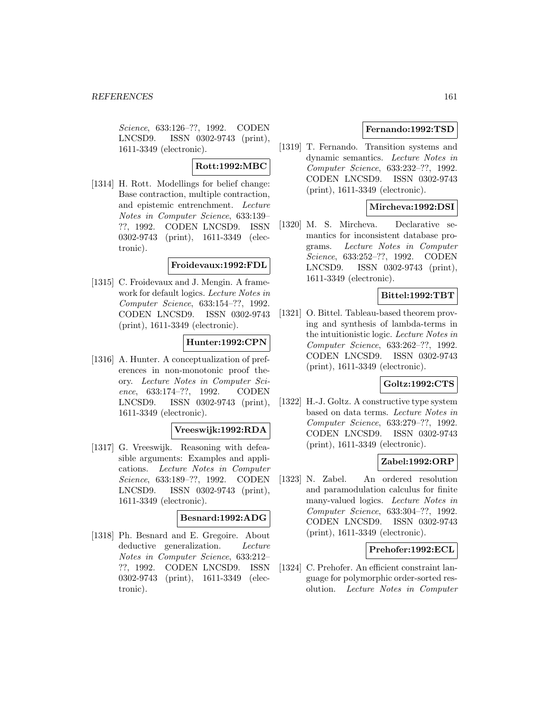Science, 633:126–??, 1992. CODEN LNCSD9. ISSN 0302-9743 (print), 1611-3349 (electronic).

## **Rott:1992:MBC**

[1314] H. Rott. Modellings for belief change: Base contraction, multiple contraction, and epistemic entrenchment. Lecture Notes in Computer Science, 633:139– ??, 1992. CODEN LNCSD9. ISSN 0302-9743 (print), 1611-3349 (electronic).

### **Froidevaux:1992:FDL**

[1315] C. Froidevaux and J. Mengin. A framework for default logics. Lecture Notes in Computer Science, 633:154–??, 1992. CODEN LNCSD9. ISSN 0302-9743 (print), 1611-3349 (electronic).

# **Hunter:1992:CPN**

[1316] A. Hunter. A conceptualization of preferences in non-monotonic proof theory. Lecture Notes in Computer Science, 633:174–??, 1992. CODEN LNCSD9. ISSN 0302-9743 (print), 1611-3349 (electronic).

# **Vreeswijk:1992:RDA**

[1317] G. Vreeswijk. Reasoning with defeasible arguments: Examples and applications. Lecture Notes in Computer Science, 633:189–??, 1992. CODEN LNCSD9. ISSN 0302-9743 (print), 1611-3349 (electronic).

## **Besnard:1992:ADG**

[1318] Ph. Besnard and E. Gregoire. About deductive generalization. Lecture Notes in Computer Science, 633:212– ??, 1992. CODEN LNCSD9. ISSN 0302-9743 (print), 1611-3349 (electronic).

## **Fernando:1992:TSD**

[1319] T. Fernando. Transition systems and dynamic semantics. Lecture Notes in Computer Science, 633:232–??, 1992. CODEN LNCSD9. ISSN 0302-9743 (print), 1611-3349 (electronic).

## **Mircheva:1992:DSI**

[1320] M. S. Mircheva. Declarative semantics for inconsistent database programs. Lecture Notes in Computer Science, 633:252–??, 1992. CODEN LNCSD9. ISSN 0302-9743 (print), 1611-3349 (electronic).

# **Bittel:1992:TBT**

[1321] O. Bittel. Tableau-based theorem proving and synthesis of lambda-terms in the intuitionistic logic. Lecture Notes in Computer Science, 633:262–??, 1992. CODEN LNCSD9. ISSN 0302-9743 (print), 1611-3349 (electronic).

# **Goltz:1992:CTS**

[1322] H.-J. Goltz. A constructive type system based on data terms. Lecture Notes in Computer Science, 633:279–??, 1992. CODEN LNCSD9. ISSN 0302-9743 (print), 1611-3349 (electronic).

## **Zabel:1992:ORP**

[1323] N. Zabel. An ordered resolution and paramodulation calculus for finite many-valued logics. Lecture Notes in Computer Science, 633:304–??, 1992. CODEN LNCSD9. ISSN 0302-9743 (print), 1611-3349 (electronic).

# **Prehofer:1992:ECL**

[1324] C. Prehofer. An efficient constraint language for polymorphic order-sorted resolution. Lecture Notes in Computer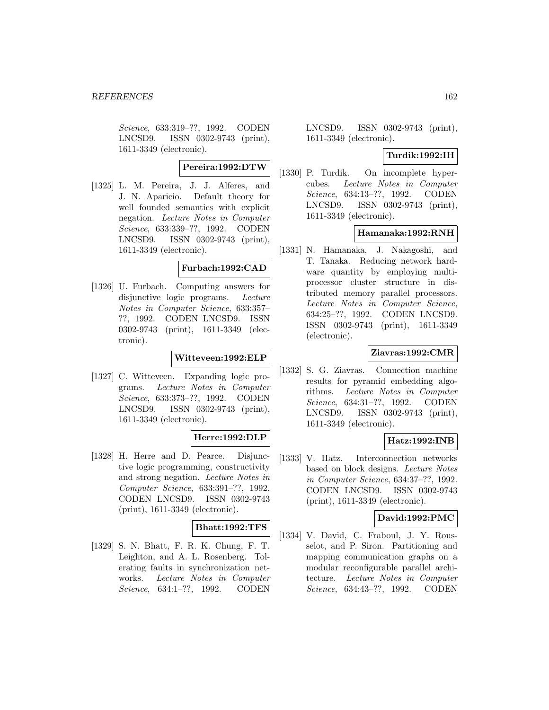Science, 633:319–??, 1992. CODEN LNCSD9. ISSN 0302-9743 (print), 1611-3349 (electronic).

# **Pereira:1992:DTW**

[1325] L. M. Pereira, J. J. Alferes, and J. N. Aparicio. Default theory for well founded semantics with explicit negation. Lecture Notes in Computer Science, 633:339–??, 1992. CODEN LNCSD9. ISSN 0302-9743 (print), 1611-3349 (electronic).

#### **Furbach:1992:CAD**

[1326] U. Furbach. Computing answers for disjunctive logic programs. Lecture Notes in Computer Science, 633:357– ??, 1992. CODEN LNCSD9. ISSN 0302-9743 (print), 1611-3349 (electronic).

### **Witteveen:1992:ELP**

[1327] C. Witteveen. Expanding logic programs. Lecture Notes in Computer Science, 633:373–??, 1992. CODEN LNCSD9. ISSN 0302-9743 (print), 1611-3349 (electronic).

## **Herre:1992:DLP**

[1328] H. Herre and D. Pearce. Disjunctive logic programming, constructivity and strong negation. Lecture Notes in Computer Science, 633:391–??, 1992. CODEN LNCSD9. ISSN 0302-9743 (print), 1611-3349 (electronic).

## **Bhatt:1992:TFS**

[1329] S. N. Bhatt, F. R. K. Chung, F. T. Leighton, and A. L. Rosenberg. Tolerating faults in synchronization networks. Lecture Notes in Computer Science, 634:1–??, 1992. CODEN

LNCSD9. ISSN 0302-9743 (print), 1611-3349 (electronic).

### **Turdik:1992:IH**

[1330] P. Turdik. On incomplete hypercubes. Lecture Notes in Computer Science, 634:13–??, 1992. CODEN LNCSD9. ISSN 0302-9743 (print), 1611-3349 (electronic).

## **Hamanaka:1992:RNH**

[1331] N. Hamanaka, J. Nakagoshi, and T. Tanaka. Reducing network hardware quantity by employing multiprocessor cluster structure in distributed memory parallel processors. Lecture Notes in Computer Science, 634:25–??, 1992. CODEN LNCSD9. ISSN 0302-9743 (print), 1611-3349 (electronic).

## **Ziavras:1992:CMR**

[1332] S. G. Ziavras. Connection machine results for pyramid embedding algorithms. Lecture Notes in Computer Science, 634:31–??, 1992. CODEN LNCSD9. ISSN 0302-9743 (print), 1611-3349 (electronic).

## **Hatz:1992:INB**

[1333] V. Hatz. Interconnection networks based on block designs. Lecture Notes in Computer Science, 634:37–??, 1992. CODEN LNCSD9. ISSN 0302-9743 (print), 1611-3349 (electronic).

### **David:1992:PMC**

[1334] V. David, C. Fraboul, J. Y. Rousselot, and P. Siron. Partitioning and mapping communication graphs on a modular reconfigurable parallel architecture. Lecture Notes in Computer Science, 634:43–??, 1992. CODEN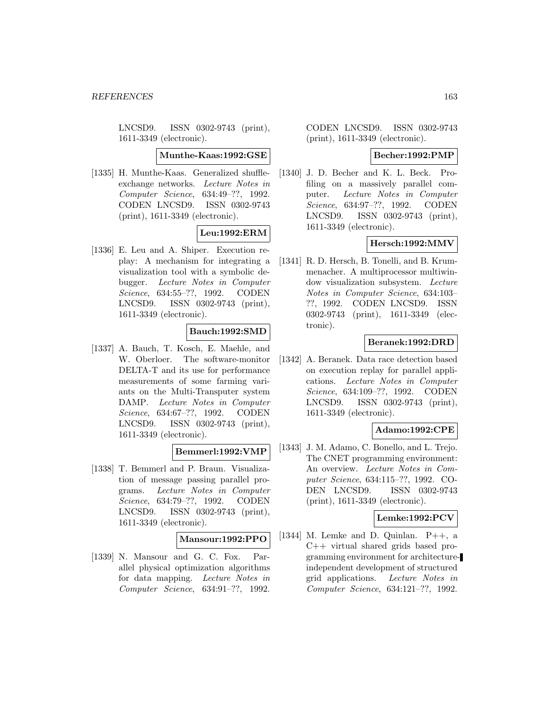LNCSD9. ISSN 0302-9743 (print), 1611-3349 (electronic).

#### **Munthe-Kaas:1992:GSE**

[1335] H. Munthe-Kaas. Generalized shuffleexchange networks. Lecture Notes in Computer Science, 634:49–??, 1992. CODEN LNCSD9. ISSN 0302-9743 (print), 1611-3349 (electronic).

# **Leu:1992:ERM**

[1336] E. Leu and A. Shiper. Execution replay: A mechanism for integrating a visualization tool with a symbolic debugger. Lecture Notes in Computer Science, 634:55–??, 1992. CODEN LNCSD9. ISSN 0302-9743 (print), 1611-3349 (electronic).

# **Bauch:1992:SMD**

[1337] A. Bauch, T. Kosch, E. Maehle, and W. Oberloer. The software-monitor DELTA-T and its use for performance measurements of some farming variants on the Multi-Transputer system DAMP. Lecture Notes in Computer Science, 634:67–??, 1992. CODEN LNCSD9. ISSN 0302-9743 (print), 1611-3349 (electronic).

## **Bemmerl:1992:VMP**

[1338] T. Bemmerl and P. Braun. Visualization of message passing parallel programs. Lecture Notes in Computer Science, 634:79–??, 1992. CODEN LNCSD9. ISSN 0302-9743 (print), 1611-3349 (electronic).

## **Mansour:1992:PPO**

[1339] N. Mansour and G. C. Fox. Parallel physical optimization algorithms for data mapping. Lecture Notes in Computer Science, 634:91–??, 1992.

CODEN LNCSD9. ISSN 0302-9743 (print), 1611-3349 (electronic).

### **Becher:1992:PMP**

[1340] J. D. Becher and K. L. Beck. Profiling on a massively parallel computer. Lecture Notes in Computer Science, 634:97–??, 1992. CODEN LNCSD9. ISSN 0302-9743 (print), 1611-3349 (electronic).

# **Hersch:1992:MMV**

[1341] R. D. Hersch, B. Tonelli, and B. Krummenacher. A multiprocessor multiwindow visualization subsystem. Lecture Notes in Computer Science, 634:103– ??, 1992. CODEN LNCSD9. ISSN 0302-9743 (print), 1611-3349 (electronic).

### **Beranek:1992:DRD**

[1342] A. Beranek. Data race detection based on execution replay for parallel applications. Lecture Notes in Computer Science, 634:109–??, 1992. CODEN LNCSD9. ISSN 0302-9743 (print), 1611-3349 (electronic).

## **Adamo:1992:CPE**

[1343] J. M. Adamo, C. Bonello, and L. Trejo. The CNET programming environment: An overview. Lecture Notes in Computer Science, 634:115–??, 1992. CO-DEN LNCSD9. ISSN 0302-9743 (print), 1611-3349 (electronic).

## **Lemke:1992:PCV**

[1344] M. Lemke and D. Quinlan. P++, a C++ virtual shared grids based programming environment for architectureindependent development of structured grid applications. Lecture Notes in Computer Science, 634:121–??, 1992.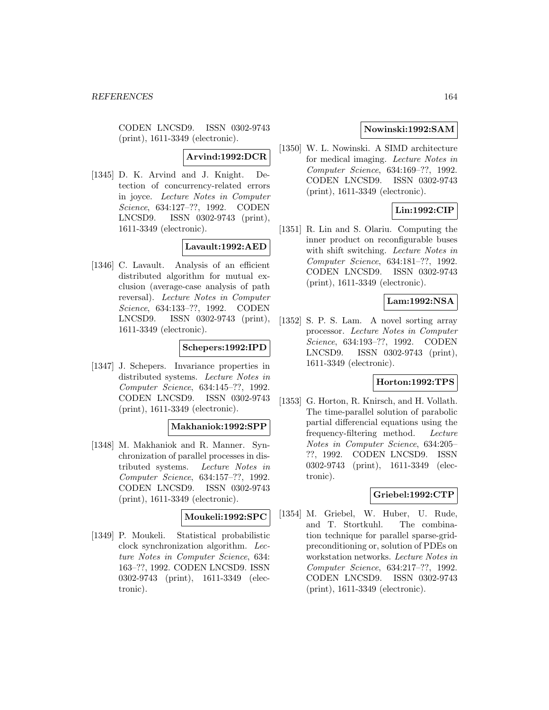CODEN LNCSD9. ISSN 0302-9743 (print), 1611-3349 (electronic).

# **Arvind:1992:DCR**

[1345] D. K. Arvind and J. Knight. Detection of concurrency-related errors in joyce. Lecture Notes in Computer Science, 634:127–??, 1992. CODEN LNCSD9. ISSN 0302-9743 (print), 1611-3349 (electronic).

# **Lavault:1992:AED**

[1346] C. Lavault. Analysis of an efficient distributed algorithm for mutual exclusion (average-case analysis of path reversal). Lecture Notes in Computer Science, 634:133–??, 1992. CODEN LNCSD9. ISSN 0302-9743 (print), 1611-3349 (electronic).

### **Schepers:1992:IPD**

[1347] J. Schepers. Invariance properties in distributed systems. Lecture Notes in Computer Science, 634:145–??, 1992. CODEN LNCSD9. ISSN 0302-9743 (print), 1611-3349 (electronic).

# **Makhaniok:1992:SPP**

[1348] M. Makhaniok and R. Manner. Synchronization of parallel processes in distributed systems. Lecture Notes in Computer Science, 634:157–??, 1992. CODEN LNCSD9. ISSN 0302-9743 (print), 1611-3349 (electronic).

## **Moukeli:1992:SPC**

[1349] P. Moukeli. Statistical probabilistic clock synchronization algorithm. Lecture Notes in Computer Science, 634: 163–??, 1992. CODEN LNCSD9. ISSN 0302-9743 (print), 1611-3349 (electronic).

# **Nowinski:1992:SAM**

[1350] W. L. Nowinski. A SIMD architecture for medical imaging. Lecture Notes in Computer Science, 634:169–??, 1992. CODEN LNCSD9. ISSN 0302-9743 (print), 1611-3349 (electronic).

# **Lin:1992:CIP**

[1351] R. Lin and S. Olariu. Computing the inner product on reconfigurable buses with shift switching. Lecture Notes in Computer Science, 634:181–??, 1992. CODEN LNCSD9. ISSN 0302-9743 (print), 1611-3349 (electronic).

# **Lam:1992:NSA**

[1352] S. P. S. Lam. A novel sorting array processor. Lecture Notes in Computer Science, 634:193–??, 1992. CODEN LNCSD9. ISSN 0302-9743 (print), 1611-3349 (electronic).

## **Horton:1992:TPS**

[1353] G. Horton, R. Knirsch, and H. Vollath. The time-parallel solution of parabolic partial differencial equations using the frequency-filtering method. Lecture Notes in Computer Science, 634:205– ??, 1992. CODEN LNCSD9. ISSN 0302-9743 (print), 1611-3349 (electronic).

#### **Griebel:1992:CTP**

[1354] M. Griebel, W. Huber, U. Rude, and T. Stortkuhl. The combination technique for parallel sparse-gridpreconditioning or, solution of PDEs on workstation networks. Lecture Notes in Computer Science, 634:217–??, 1992. CODEN LNCSD9. ISSN 0302-9743 (print), 1611-3349 (electronic).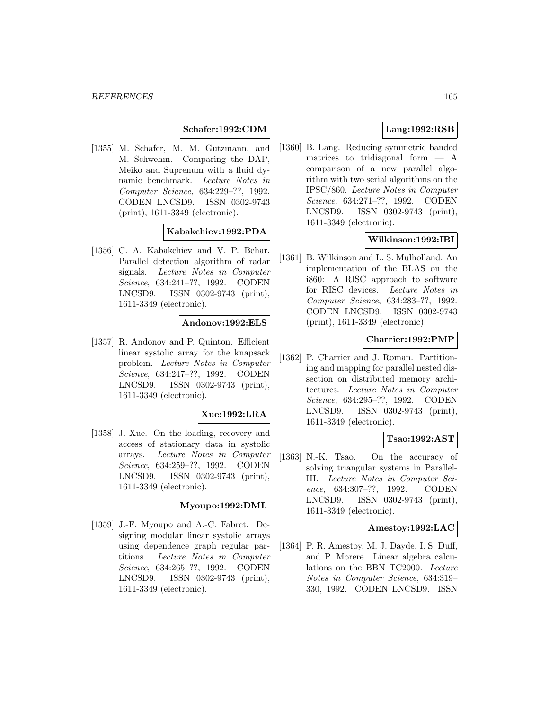## **Schafer:1992:CDM**

[1355] M. Schafer, M. M. Gutzmann, and M. Schwehm. Comparing the DAP, Meiko and Suprenum with a fluid dynamic benchmark. Lecture Notes in Computer Science, 634:229–??, 1992. CODEN LNCSD9. ISSN 0302-9743 (print), 1611-3349 (electronic).

# **Kabakchiev:1992:PDA**

[1356] C. A. Kabakchiev and V. P. Behar. Parallel detection algorithm of radar signals. Lecture Notes in Computer Science, 634:241–??, 1992. CODEN LNCSD9. ISSN 0302-9743 (print), 1611-3349 (electronic).

### **Andonov:1992:ELS**

[1357] R. Andonov and P. Quinton. Efficient linear systolic array for the knapsack problem. Lecture Notes in Computer Science, 634:247–??, 1992. CODEN LNCSD9. ISSN 0302-9743 (print), 1611-3349 (electronic).

### **Xue:1992:LRA**

[1358] J. Xue. On the loading, recovery and access of stationary data in systolic arrays. Lecture Notes in Computer Science, 634:259–??, 1992. CODEN LNCSD9. ISSN 0302-9743 (print), 1611-3349 (electronic).

#### **Myoupo:1992:DML**

[1359] J.-F. Myoupo and A.-C. Fabret. Designing modular linear systolic arrays using dependence graph regular partitions. Lecture Notes in Computer Science, 634:265–??, 1992. CODEN LNCSD9. ISSN 0302-9743 (print), 1611-3349 (electronic).

# **Lang:1992:RSB**

[1360] B. Lang. Reducing symmetric banded matrices to tridiagonal form  $-$  A comparison of a new parallel algorithm with two serial algorithms on the IPSC/860. Lecture Notes in Computer Science, 634:271–??, 1992. CODEN LNCSD9. ISSN 0302-9743 (print), 1611-3349 (electronic).

# **Wilkinson:1992:IBI**

[1361] B. Wilkinson and L. S. Mulholland. An implementation of the BLAS on the i860: A RISC approach to software for RISC devices. Lecture Notes in Computer Science, 634:283–??, 1992. CODEN LNCSD9. ISSN 0302-9743 (print), 1611-3349 (electronic).

## **Charrier:1992:PMP**

[1362] P. Charrier and J. Roman. Partitioning and mapping for parallel nested dissection on distributed memory architectures. Lecture Notes in Computer Science, 634:295–??, 1992. CODEN LNCSD9. ISSN 0302-9743 (print), 1611-3349 (electronic).

## **Tsao:1992:AST**

[1363] N.-K. Tsao. On the accuracy of solving triangular systems in Parallel-III. Lecture Notes in Computer Science, 634:307–??, 1992. CODEN LNCSD9. ISSN 0302-9743 (print), 1611-3349 (electronic).

## **Amestoy:1992:LAC**

[1364] P. R. Amestoy, M. J. Dayde, I. S. Duff, and P. Morere. Linear algebra calculations on the BBN TC2000. Lecture Notes in Computer Science, 634:319– 330, 1992. CODEN LNCSD9. ISSN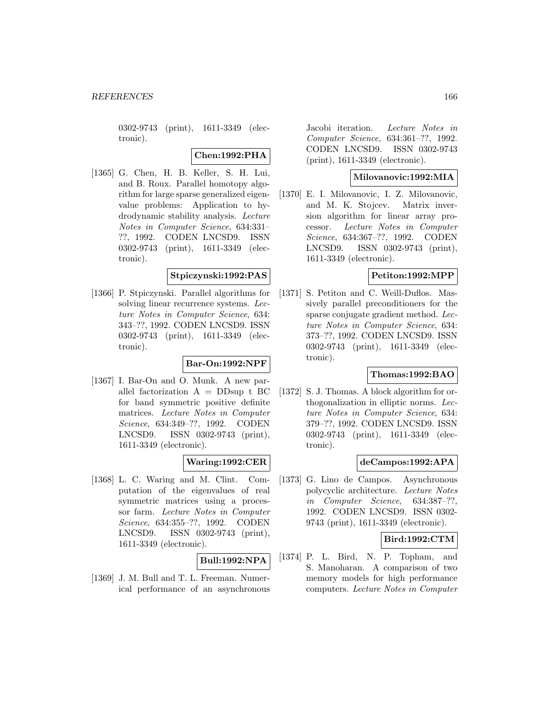0302-9743 (print), 1611-3349 (electronic).

## **Chen:1992:PHA**

[1365] G. Chen, H. B. Keller, S. H. Lui, and B. Roux. Parallel homotopy algorithm for large sparse generalized eigenvalue problems: Application to hydrodynamic stability analysis. Lecture Notes in Computer Science, 634:331– ??, 1992. CODEN LNCSD9. ISSN 0302-9743 (print), 1611-3349 (electronic).

### **Stpiczynski:1992:PAS**

[1366] P. Stpiczynski. Parallel algorithms for solving linear recurrence systems. Lecture Notes in Computer Science, 634: 343–??, 1992. CODEN LNCSD9. ISSN 0302-9743 (print), 1611-3349 (electronic).

## **Bar-On:1992:NPF**

[1367] I. Bar-On and O. Munk. A new parallel factorization  $A = DD \sup t BC$ for band symmetric positive definite matrices. Lecture Notes in Computer Science, 634:349–??, 1992. CODEN LNCSD9. ISSN 0302-9743 (print), 1611-3349 (electronic).

## **Waring:1992:CER**

[1368] L. C. Waring and M. Clint. Computation of the eigenvalues of real symmetric matrices using a processor farm. Lecture Notes in Computer Science, 634:355–??, 1992. CODEN LNCSD9. ISSN 0302-9743 (print), 1611-3349 (electronic).

# **Bull:1992:NPA**

[1369] J. M. Bull and T. L. Freeman. Numerical performance of an asynchronous Jacobi iteration. Lecture Notes in Computer Science, 634:361–??, 1992. CODEN LNCSD9. ISSN 0302-9743 (print), 1611-3349 (electronic).

# **Milovanovic:1992:MIA**

[1370] E. I. Milovanovic, I. Z. Milovanovic, and M. K. Stojcev. Matrix inversion algorithm for linear array processor. Lecture Notes in Computer Science, 634:367–??, 1992. CODEN LNCSD9. ISSN 0302-9743 (print), 1611-3349 (electronic).

# **Petiton:1992:MPP**

[1371] S. Petiton and C. Weill-Duflos. Massively parallel preconditioners for the sparse conjugate gradient method. Lecture Notes in Computer Science, 634: 373–??, 1992. CODEN LNCSD9. ISSN 0302-9743 (print), 1611-3349 (electronic).

# **Thomas:1992:BAO**

[1372] S. J. Thomas. A block algorithm for orthogonalization in elliptic norms. Lecture Notes in Computer Science, 634: 379–??, 1992. CODEN LNCSD9. ISSN 0302-9743 (print), 1611-3349 (electronic).

### **deCampos:1992:APA**

[1373] G. Lino de Campos. Asynchronous polycyclic architecture. Lecture Notes in Computer Science, 634:387–??, 1992. CODEN LNCSD9. ISSN 0302- 9743 (print), 1611-3349 (electronic).

## **Bird:1992:CTM**

[1374] P. L. Bird, N. P. Topham, and S. Manoharan. A comparison of two memory models for high performance computers. Lecture Notes in Computer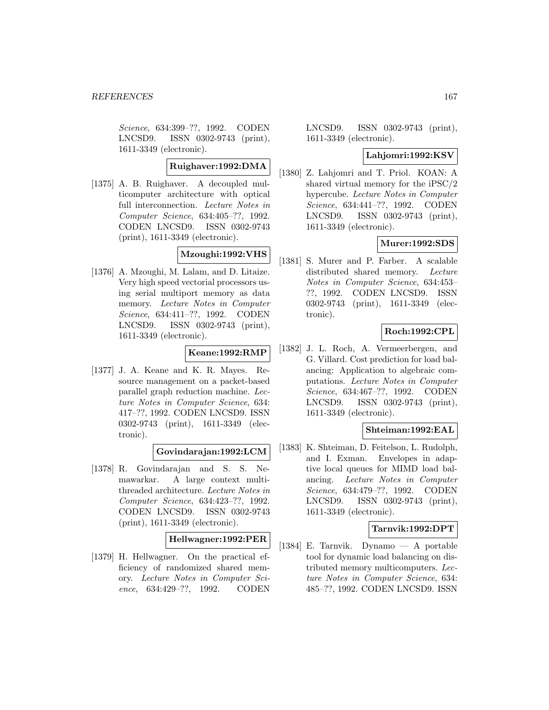Science, 634:399–??, 1992. CODEN LNCSD9. ISSN 0302-9743 (print), 1611-3349 (electronic).

# **Ruighaver:1992:DMA**

[1375] A. B. Ruighaver. A decoupled multicomputer architecture with optical full interconnection. Lecture Notes in Computer Science, 634:405–??, 1992. CODEN LNCSD9. ISSN 0302-9743 (print), 1611-3349 (electronic).

# **Mzoughi:1992:VHS**

[1376] A. Mzoughi, M. Lalam, and D. Litaize. Very high speed vectorial processors using serial multiport memory as data memory. Lecture Notes in Computer Science, 634:411–??, 1992. CODEN LNCSD9. ISSN 0302-9743 (print), 1611-3349 (electronic).

# **Keane:1992:RMP**

[1377] J. A. Keane and K. R. Mayes. Resource management on a packet-based parallel graph reduction machine. Lecture Notes in Computer Science, 634: 417–??, 1992. CODEN LNCSD9. ISSN 0302-9743 (print), 1611-3349 (electronic).

# **Govindarajan:1992:LCM**

[1378] R. Govindarajan and S. S. Nemawarkar. A large context multithreaded architecture. Lecture Notes in Computer Science, 634:423–??, 1992. CODEN LNCSD9. ISSN 0302-9743 (print), 1611-3349 (electronic).

# **Hellwagner:1992:PER**

[1379] H. Hellwagner. On the practical efficiency of randomized shared memory. Lecture Notes in Computer Science, 634:429–??, 1992. CODEN

LNCSD9. ISSN 0302-9743 (print), 1611-3349 (electronic).

### **Lahjomri:1992:KSV**

[1380] Z. Lahjomri and T. Priol. KOAN: A shared virtual memory for the iPSC/2 hypercube. Lecture Notes in Computer Science, 634:441–??, 1992. CODEN LNCSD9. ISSN 0302-9743 (print), 1611-3349 (electronic).

# **Murer:1992:SDS**

[1381] S. Murer and P. Farber. A scalable distributed shared memory. Lecture Notes in Computer Science, 634:453– ??, 1992. CODEN LNCSD9. ISSN 0302-9743 (print), 1611-3349 (electronic).

# **Roch:1992:CPL**

[1382] J. L. Roch, A. Vermeerbergen, and G. Villard. Cost prediction for load balancing: Application to algebraic computations. Lecture Notes in Computer Science, 634:467–??, 1992. CODEN LNCSD9. ISSN 0302-9743 (print), 1611-3349 (electronic).

# **Shteiman:1992:EAL**

[1383] K. Shteiman, D. Feitelson, L. Rudolph, and I. Exman. Envelopes in adaptive local queues for MIMD load balancing. Lecture Notes in Computer Science, 634:479–??, 1992. CODEN LNCSD9. ISSN 0302-9743 (print), 1611-3349 (electronic).

## **Tarnvik:1992:DPT**

[1384] E. Tarnvik. Dynamo — A portable tool for dynamic load balancing on distributed memory multicomputers. Lecture Notes in Computer Science, 634: 485–??, 1992. CODEN LNCSD9. ISSN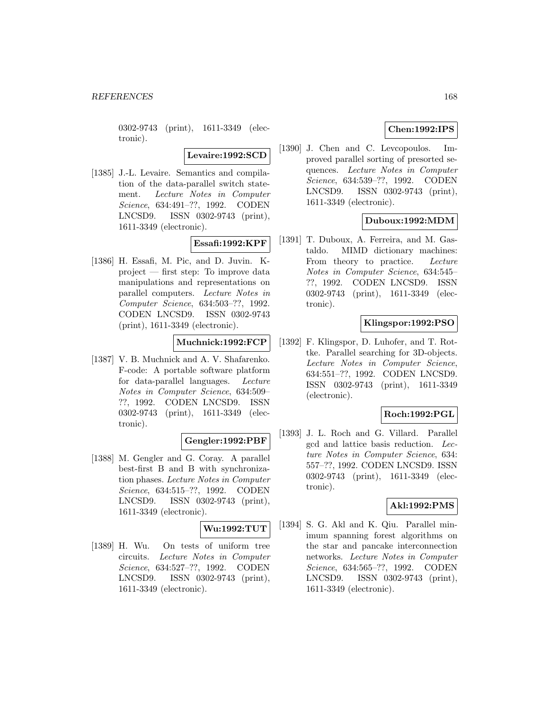0302-9743 (print), 1611-3349 (electronic).

**Levaire:1992:SCD**

[1385] J.-L. Levaire. Semantics and compilation of the data-parallel switch statement. Lecture Notes in Computer Science, 634:491–??, 1992. CODEN LNCSD9. ISSN 0302-9743 (print), 1611-3349 (electronic).

# **Essafi:1992:KPF**

[1386] H. Essafi, M. Pic, and D. Juvin. Kproject — first step: To improve data manipulations and representations on parallel computers. Lecture Notes in Computer Science, 634:503–??, 1992. CODEN LNCSD9. ISSN 0302-9743 (print), 1611-3349 (electronic).

# **Muchnick:1992:FCP**

[1387] V. B. Muchnick and A. V. Shafarenko. F-code: A portable software platform for data-parallel languages. Lecture Notes in Computer Science, 634:509– ??, 1992. CODEN LNCSD9. ISSN 0302-9743 (print), 1611-3349 (electronic).

#### **Gengler:1992:PBF**

[1388] M. Gengler and G. Coray. A parallel best-first B and B with synchronization phases. Lecture Notes in Computer Science, 634:515–??, 1992. CODEN LNCSD9. ISSN 0302-9743 (print), 1611-3349 (electronic).

### **Wu:1992:TUT**

[1389] H. Wu. On tests of uniform tree circuits. Lecture Notes in Computer Science, 634:527–??, 1992. CODEN LNCSD9. ISSN 0302-9743 (print), 1611-3349 (electronic).

# **Chen:1992:IPS**

[1390] J. Chen and C. Levcopoulos. Improved parallel sorting of presorted sequences. Lecture Notes in Computer Science, 634:539–??, 1992. CODEN LNCSD9. ISSN 0302-9743 (print), 1611-3349 (electronic).

# **Duboux:1992:MDM**

[1391] T. Duboux, A. Ferreira, and M. Gastaldo. MIMD dictionary machines: From theory to practice. Lecture Notes in Computer Science, 634:545– ??, 1992. CODEN LNCSD9. ISSN 0302-9743 (print), 1611-3349 (electronic).

# **Klingspor:1992:PSO**

[1392] F. Klingspor, D. Luhofer, and T. Rottke. Parallel searching for 3D-objects. Lecture Notes in Computer Science, 634:551–??, 1992. CODEN LNCSD9. ISSN 0302-9743 (print), 1611-3349 (electronic).

## **Roch:1992:PGL**

[1393] J. L. Roch and G. Villard. Parallel gcd and lattice basis reduction. Lecture Notes in Computer Science, 634: 557–??, 1992. CODEN LNCSD9. ISSN 0302-9743 (print), 1611-3349 (electronic).

## **Akl:1992:PMS**

[1394] S. G. Akl and K. Qiu. Parallel minimum spanning forest algorithms on the star and pancake interconnection networks. Lecture Notes in Computer Science, 634:565–??, 1992. CODEN LNCSD9. ISSN 0302-9743 (print), 1611-3349 (electronic).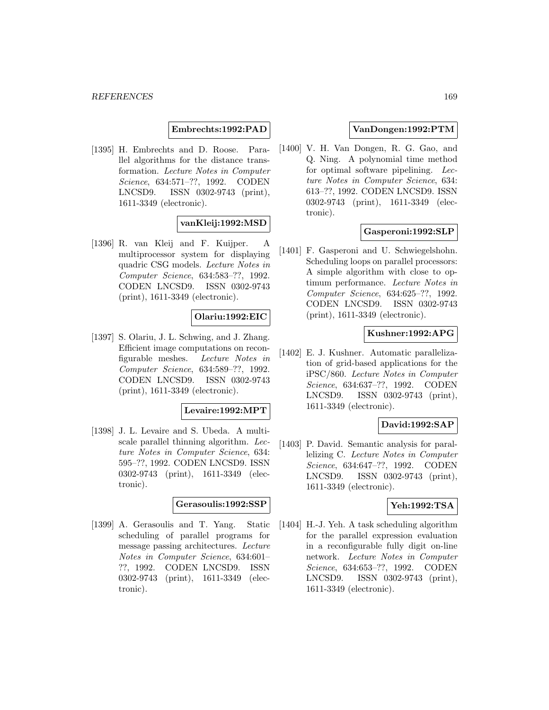### **Embrechts:1992:PAD**

[1395] H. Embrechts and D. Roose. Parallel algorithms for the distance transformation. Lecture Notes in Computer Science, 634:571–??, 1992. CODEN LNCSD9. ISSN 0302-9743 (print), 1611-3349 (electronic).

## **vanKleij:1992:MSD**

[1396] R. van Kleij and F. Kuijper. A multiprocessor system for displaying quadric CSG models. Lecture Notes in Computer Science, 634:583–??, 1992. CODEN LNCSD9. ISSN 0302-9743 (print), 1611-3349 (electronic).

### **Olariu:1992:EIC**

[1397] S. Olariu, J. L. Schwing, and J. Zhang. Efficient image computations on reconfigurable meshes. Lecture Notes in Computer Science, 634:589–??, 1992. CODEN LNCSD9. ISSN 0302-9743 (print), 1611-3349 (electronic).

#### **Levaire:1992:MPT**

[1398] J. L. Levaire and S. Ubeda. A multiscale parallel thinning algorithm. Lecture Notes in Computer Science, 634: 595–??, 1992. CODEN LNCSD9. ISSN 0302-9743 (print), 1611-3349 (electronic).

### **Gerasoulis:1992:SSP**

[1399] A. Gerasoulis and T. Yang. Static scheduling of parallel programs for message passing architectures. Lecture Notes in Computer Science, 634:601– ??, 1992. CODEN LNCSD9. ISSN 0302-9743 (print), 1611-3349 (electronic).

## **VanDongen:1992:PTM**

[1400] V. H. Van Dongen, R. G. Gao, and Q. Ning. A polynomial time method for optimal software pipelining. Lecture Notes in Computer Science, 634: 613–??, 1992. CODEN LNCSD9. ISSN 0302-9743 (print), 1611-3349 (electronic).

## **Gasperoni:1992:SLP**

[1401] F. Gasperoni and U. Schwiegelshohn. Scheduling loops on parallel processors: A simple algorithm with close to optimum performance. Lecture Notes in Computer Science, 634:625–??, 1992. CODEN LNCSD9. ISSN 0302-9743 (print), 1611-3349 (electronic).

#### **Kushner:1992:APG**

[1402] E. J. Kushner. Automatic parallelization of grid-based applications for the iPSC/860. Lecture Notes in Computer Science, 634:637–??, 1992. CODEN LNCSD9. ISSN 0302-9743 (print), 1611-3349 (electronic).

#### **David:1992:SAP**

[1403] P. David. Semantic analysis for parallelizing C. Lecture Notes in Computer Science, 634:647–??, 1992. CODEN LNCSD9. ISSN 0302-9743 (print), 1611-3349 (electronic).

### **Yeh:1992:TSA**

[1404] H.-J. Yeh. A task scheduling algorithm for the parallel expression evaluation in a reconfigurable fully digit on-line network. Lecture Notes in Computer Science, 634:653–??, 1992. CODEN LNCSD9. ISSN 0302-9743 (print), 1611-3349 (electronic).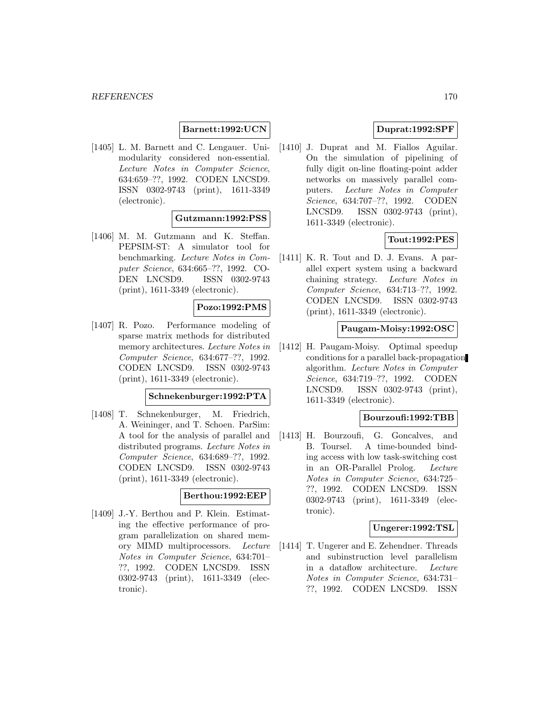## **Barnett:1992:UCN**

[1405] L. M. Barnett and C. Lengauer. Unimodularity considered non-essential. Lecture Notes in Computer Science, 634:659–??, 1992. CODEN LNCSD9. ISSN 0302-9743 (print), 1611-3349 (electronic).

## **Gutzmann:1992:PSS**

[1406] M. M. Gutzmann and K. Steffan. PEPSIM-ST: A simulator tool for benchmarking. Lecture Notes in Computer Science, 634:665–??, 1992. CO-DEN LNCSD9. ISSN 0302-9743 (print), 1611-3349 (electronic).

#### **Pozo:1992:PMS**

[1407] R. Pozo. Performance modeling of sparse matrix methods for distributed memory architectures. Lecture Notes in Computer Science, 634:677–??, 1992. CODEN LNCSD9. ISSN 0302-9743 (print), 1611-3349 (electronic).

#### **Schnekenburger:1992:PTA**

[1408] T. Schnekenburger, M. Friedrich, A. Weininger, and T. Schoen. ParSim: A tool for the analysis of parallel and distributed programs. Lecture Notes in Computer Science, 634:689–??, 1992. CODEN LNCSD9. ISSN 0302-9743 (print), 1611-3349 (electronic).

## **Berthou:1992:EEP**

[1409] J.-Y. Berthou and P. Klein. Estimating the effective performance of program parallelization on shared memory MIMD multiprocessors. Lecture Notes in Computer Science, 634:701– ??, 1992. CODEN LNCSD9. ISSN 0302-9743 (print), 1611-3349 (electronic).

# **Duprat:1992:SPF**

[1410] J. Duprat and M. Fiallos Aguilar. On the simulation of pipelining of fully digit on-line floating-point adder networks on massively parallel computers. Lecture Notes in Computer Science, 634:707–??, 1992. CODEN LNCSD9. ISSN 0302-9743 (print), 1611-3349 (electronic).

# **Tout:1992:PES**

[1411] K. R. Tout and D. J. Evans. A parallel expert system using a backward chaining strategy. Lecture Notes in Computer Science, 634:713–??, 1992. CODEN LNCSD9. ISSN 0302-9743 (print), 1611-3349 (electronic).

## **Paugam-Moisy:1992:OSC**

[1412] H. Paugam-Moisy. Optimal speedup conditions for a parallel back-propagation algorithm. Lecture Notes in Computer Science, 634:719–??, 1992. CODEN LNCSD9. ISSN 0302-9743 (print), 1611-3349 (electronic).

# **Bourzoufi:1992:TBB**

[1413] H. Bourzoufi, G. Goncalves, and B. Toursel. A time-bounded binding access with low task-switching cost in an OR-Parallel Prolog. Lecture Notes in Computer Science, 634:725– ??, 1992. CODEN LNCSD9. ISSN 0302-9743 (print), 1611-3349 (electronic).

## **Ungerer:1992:TSL**

[1414] T. Ungerer and E. Zehendner. Threads and subinstruction level parallelism in a dataflow architecture. Lecture Notes in Computer Science, 634:731– ??, 1992. CODEN LNCSD9. ISSN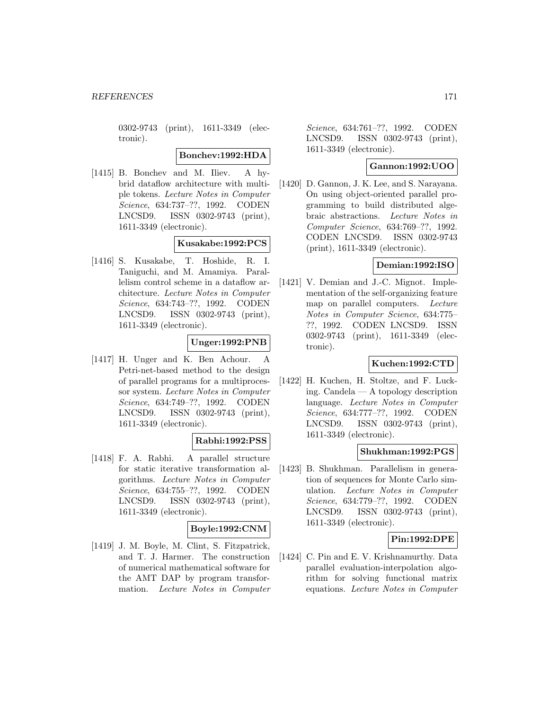0302-9743 (print), 1611-3349 (electronic).

**Bonchev:1992:HDA**

[1415] B. Bonchev and M. Iliev. A hybrid dataflow architecture with multiple tokens. Lecture Notes in Computer Science, 634:737–??, 1992. CODEN LNCSD9. ISSN 0302-9743 (print), 1611-3349 (electronic).

## **Kusakabe:1992:PCS**

[1416] S. Kusakabe, T. Hoshide, R. I. Taniguchi, and M. Amamiya. Parallelism control scheme in a dataflow architecture. Lecture Notes in Computer Science, 634:743–??, 1992. CODEN LNCSD9. ISSN 0302-9743 (print), 1611-3349 (electronic).

# **Unger:1992:PNB**

[1417] H. Unger and K. Ben Achour. A Petri-net-based method to the design of parallel programs for a multiprocessor system. Lecture Notes in Computer Science, 634:749–??, 1992. CODEN LNCSD9. ISSN 0302-9743 (print), 1611-3349 (electronic).

## **Rabhi:1992:PSS**

[1418] F. A. Rabhi. A parallel structure for static iterative transformation algorithms. Lecture Notes in Computer Science, 634:755–??, 1992. CODEN LNCSD9. ISSN 0302-9743 (print), 1611-3349 (electronic).

## **Boyle:1992:CNM**

[1419] J. M. Boyle, M. Clint, S. Fitzpatrick, and T. J. Harmer. The construction of numerical mathematical software for the AMT DAP by program transformation. Lecture Notes in Computer

Science, 634:761–??, 1992. CODEN LNCSD9. ISSN 0302-9743 (print), 1611-3349 (electronic).

## **Gannon:1992:UOO**

[1420] D. Gannon, J. K. Lee, and S. Narayana. On using object-oriented parallel programming to build distributed algebraic abstractions. Lecture Notes in Computer Science, 634:769–??, 1992. CODEN LNCSD9. ISSN 0302-9743 (print), 1611-3349 (electronic).

## **Demian:1992:ISO**

[1421] V. Demian and J.-C. Mignot. Implementation of the self-organizing feature map on parallel computers. Lecture Notes in Computer Science, 634:775– ??, 1992. CODEN LNCSD9. ISSN 0302-9743 (print), 1611-3349 (electronic).

## **Kuchen:1992:CTD**

[1422] H. Kuchen, H. Stoltze, and F. Lucking. Candela — A topology description language. Lecture Notes in Computer Science, 634:777–??, 1992. CODEN LNCSD9. ISSN 0302-9743 (print), 1611-3349 (electronic).

## **Shukhman:1992:PGS**

[1423] B. Shukhman. Parallelism in generation of sequences for Monte Carlo simulation. Lecture Notes in Computer Science, 634:779–??, 1992. CODEN LNCSD9. ISSN 0302-9743 (print), 1611-3349 (electronic).

## **Pin:1992:DPE**

[1424] C. Pin and E. V. Krishnamurthy. Data parallel evaluation-interpolation algorithm for solving functional matrix equations. Lecture Notes in Computer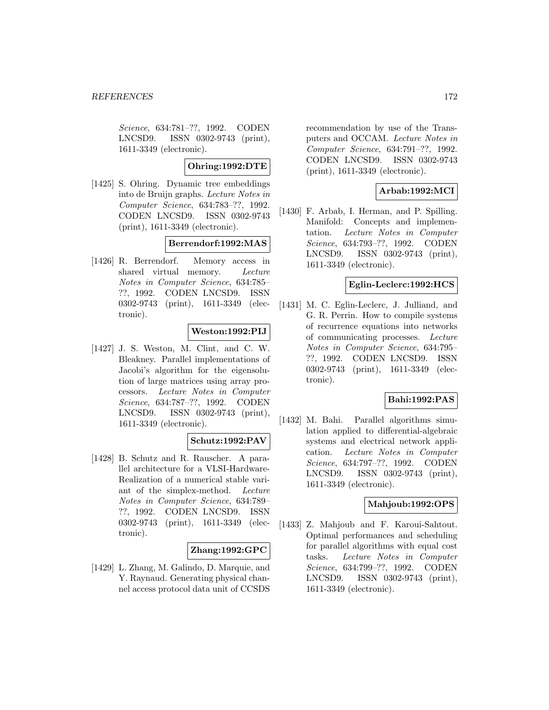Science, 634:781–??, 1992. CODEN LNCSD9. ISSN 0302-9743 (print), 1611-3349 (electronic).

# **Ohring:1992:DTE**

[1425] S. Ohring. Dynamic tree embeddings into de Bruijn graphs. Lecture Notes in Computer Science, 634:783–??, 1992. CODEN LNCSD9. ISSN 0302-9743 (print), 1611-3349 (electronic).

# **Berrendorf:1992:MAS**

[1426] R. Berrendorf. Memory access in shared virtual memory. Lecture Notes in Computer Science, 634:785– ??, 1992. CODEN LNCSD9. ISSN 0302-9743 (print), 1611-3349 (electronic).

# **Weston:1992:PIJ**

[1427] J. S. Weston, M. Clint, and C. W. Bleakney. Parallel implementations of Jacobi's algorithm for the eigensolution of large matrices using array processors. Lecture Notes in Computer Science, 634:787–??, 1992. CODEN LNCSD9. ISSN 0302-9743 (print), 1611-3349 (electronic).

## **Schutz:1992:PAV**

[1428] B. Schutz and R. Rauscher. A parallel architecture for a VLSI-Hardware-Realization of a numerical stable variant of the simplex-method. Lecture Notes in Computer Science, 634:789– ??, 1992. CODEN LNCSD9. ISSN 0302-9743 (print), 1611-3349 (electronic).

# **Zhang:1992:GPC**

[1429] L. Zhang, M. Galindo, D. Marquie, and Y. Raynaud. Generating physical channel access protocol data unit of CCSDS

recommendation by use of the Transputers and OCCAM. Lecture Notes in Computer Science, 634:791–??, 1992. CODEN LNCSD9. ISSN 0302-9743 (print), 1611-3349 (electronic).

# **Arbab:1992:MCI**

[1430] F. Arbab, I. Herman, and P. Spilling. Manifold: Concepts and implementation. Lecture Notes in Computer Science, 634:793–??, 1992. CODEN LNCSD9. ISSN 0302-9743 (print), 1611-3349 (electronic).

## **Eglin-Leclerc:1992:HCS**

[1431] M. C. Eglin-Leclerc, J. Julliand, and G. R. Perrin. How to compile systems of recurrence equations into networks of communicating processes. Lecture Notes in Computer Science, 634:795– ??, 1992. CODEN LNCSD9. ISSN 0302-9743 (print), 1611-3349 (electronic).

# **Bahi:1992:PAS**

[1432] M. Bahi. Parallel algorithms simulation applied to differential-algebraic systems and electrical network application. Lecture Notes in Computer Science, 634:797–??, 1992. CODEN LNCSD9. ISSN 0302-9743 (print), 1611-3349 (electronic).

# **Mahjoub:1992:OPS**

[1433] Z. Mahjoub and F. Karoui-Sahtout. Optimal performances and scheduling for parallel algorithms with equal cost tasks. Lecture Notes in Computer Science, 634:799–??, 1992. CODEN LNCSD9. ISSN 0302-9743 (print), 1611-3349 (electronic).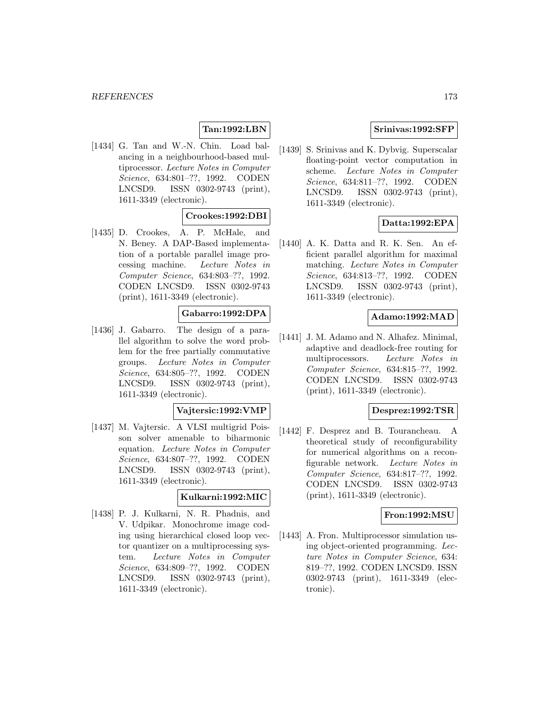# **Tan:1992:LBN**

[1434] G. Tan and W.-N. Chin. Load balancing in a neighbourhood-based multiprocessor. Lecture Notes in Computer Science, 634:801–??, 1992. CODEN LNCSD9. ISSN 0302-9743 (print), 1611-3349 (electronic).

# **Crookes:1992:DBI**

[1435] D. Crookes, A. P. McHale, and N. Beney. A DAP-Based implementation of a portable parallel image processing machine. Lecture Notes in Computer Science, 634:803–??, 1992. CODEN LNCSD9. ISSN 0302-9743 (print), 1611-3349 (electronic).

# **Gabarro:1992:DPA**

[1436] J. Gabarro. The design of a parallel algorithm to solve the word problem for the free partially commutative groups. Lecture Notes in Computer Science, 634:805–??, 1992. CODEN LNCSD9. ISSN 0302-9743 (print), 1611-3349 (electronic).

#### **Vajtersic:1992:VMP**

[1437] M. Vajtersic. A VLSI multigrid Poisson solver amenable to biharmonic equation. Lecture Notes in Computer Science, 634:807–??, 1992. CODEN LNCSD9. ISSN 0302-9743 (print), 1611-3349 (electronic).

## **Kulkarni:1992:MIC**

[1438] P. J. Kulkarni, N. R. Phadnis, and V. Udpikar. Monochrome image coding using hierarchical closed loop vector quantizer on a multiprocessing system. Lecture Notes in Computer Science, 634:809–??, 1992. CODEN LNCSD9. ISSN 0302-9743 (print), 1611-3349 (electronic).

## **Srinivas:1992:SFP**

[1439] S. Srinivas and K. Dybvig. Superscalar floating-point vector computation in scheme. Lecture Notes in Computer Science, 634:811–??, 1992. CODEN LNCSD9. ISSN 0302-9743 (print), 1611-3349 (electronic).

## **Datta:1992:EPA**

[1440] A. K. Datta and R. K. Sen. An efficient parallel algorithm for maximal matching. Lecture Notes in Computer Science, 634:813–??, 1992. CODEN LNCSD9. ISSN 0302-9743 (print), 1611-3349 (electronic).

### **Adamo:1992:MAD**

[1441] J. M. Adamo and N. Alhafez. Minimal, adaptive and deadlock-free routing for multiprocessors. Lecture Notes in Computer Science, 634:815–??, 1992. CODEN LNCSD9. ISSN 0302-9743 (print), 1611-3349 (electronic).

### **Desprez:1992:TSR**

[1442] F. Desprez and B. Tourancheau. A theoretical study of reconfigurability for numerical algorithms on a reconfigurable network. Lecture Notes in Computer Science, 634:817–??, 1992. CODEN LNCSD9. ISSN 0302-9743 (print), 1611-3349 (electronic).

## **Fron:1992:MSU**

[1443] A. Fron. Multiprocessor simulation using object-oriented programming. Lecture Notes in Computer Science, 634: 819–??, 1992. CODEN LNCSD9. ISSN 0302-9743 (print), 1611-3349 (electronic).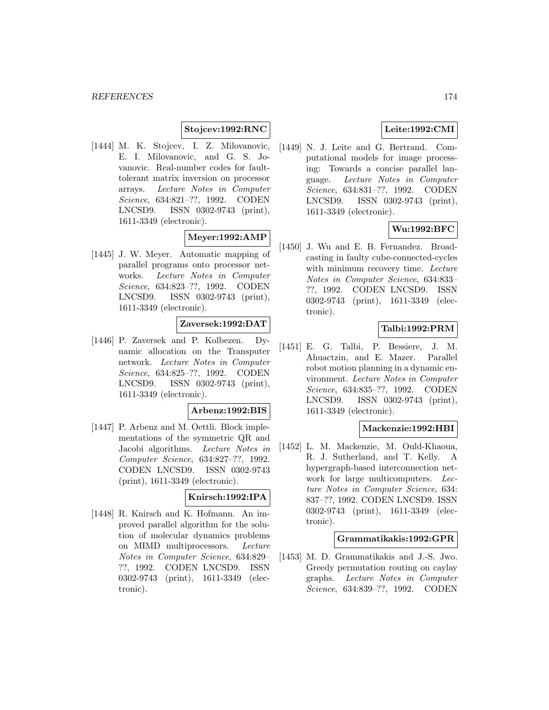## **Stojcev:1992:RNC**

[1444] M. K. Stojcev, I. Z. Milovanovic, E. I. Milovanovic, and G. S. Jovanovic. Real-number codes for faulttolerant matrix inversion on processor arrays. Lecture Notes in Computer Science, 634:821–??, 1992. CODEN LNCSD9. ISSN 0302-9743 (print), 1611-3349 (electronic).

### **Meyer:1992:AMP**

[1445] J. W. Meyer. Automatic mapping of parallel programs onto processor networks. Lecture Notes in Computer Science, 634:823–??, 1992. CODEN LNCSD9. ISSN 0302-9743 (print), 1611-3349 (electronic).

# **Zaversek:1992:DAT**

[1446] P. Zaversek and P. Kolbezen. Dynamic allocation on the Transputer network. Lecture Notes in Computer Science, 634:825–??, 1992. CODEN LNCSD9. ISSN 0302-9743 (print), 1611-3349 (electronic).

#### **Arbenz:1992:BIS**

[1447] P. Arbenz and M. Oettli. Block implementations of the symmetric QR and Jacobi algorithms. Lecture Notes in Computer Science, 634:827–??, 1992. CODEN LNCSD9. ISSN 0302-9743 (print), 1611-3349 (electronic).

# **Knirsch:1992:IPA**

[1448] R. Knirsch and K. Hofmann. An improved parallel algorithm for the solution of molecular dynamics problems on MIMD multiprocessors. Lecture Notes in Computer Science, 634:829– ??, 1992. CODEN LNCSD9. ISSN 0302-9743 (print), 1611-3349 (electronic).

# **Leite:1992:CMI**

[1449] N. J. Leite and G. Bertrand. Computational models for image processing: Towards a concise parallel language. Lecture Notes in Computer Science, 634:831–??, 1992. CODEN LNCSD9. ISSN 0302-9743 (print), 1611-3349 (electronic).

# **Wu:1992:BFC**

[1450] J. Wu and E. B. Fernandez. Broadcasting in faulty cube-connected-cycles with minimum recovery time. Lecture Notes in Computer Science, 634:833– ??, 1992. CODEN LNCSD9. ISSN 0302-9743 (print), 1611-3349 (electronic).

# **Talbi:1992:PRM**

[1451] E. G. Talbi, P. Bessiere, J. M. Ahuactzin, and E. Mazer. Parallel robot motion planning in a dynamic environment. Lecture Notes in Computer Science, 634:835–??, 1992. CODEN LNCSD9. ISSN 0302-9743 (print), 1611-3349 (electronic).

## **Mackenzie:1992:HBI**

[1452] L. M. Mackenzie, M. Ould-Khaoua, R. J. Sutherland, and T. Kelly. A hypergraph-based interconnection network for large multicomputers. Lecture Notes in Computer Science, 634: 837–??, 1992. CODEN LNCSD9. ISSN 0302-9743 (print), 1611-3349 (electronic).

#### **Grammatikakis:1992:GPR**

[1453] M. D. Grammatikakis and J.-S. Jwo. Greedy permutation routing on caylay graphs. Lecture Notes in Computer Science, 634:839–??, 1992. CODEN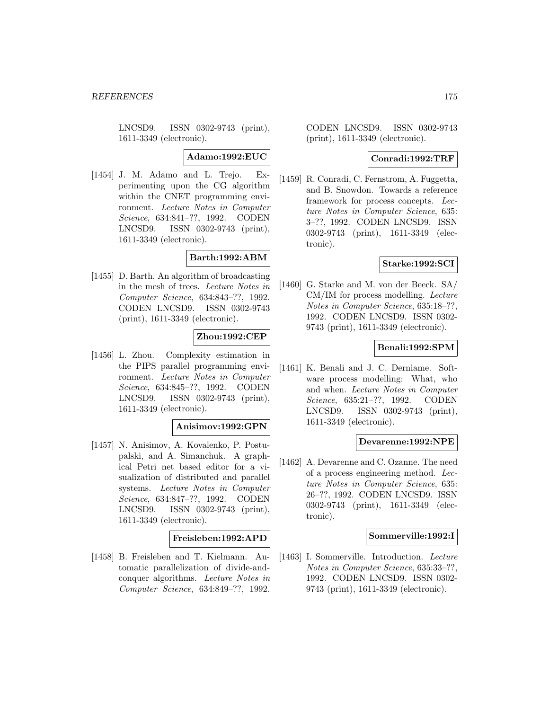LNCSD9. ISSN 0302-9743 (print), 1611-3349 (electronic).

**Adamo:1992:EUC**

[1454] J. M. Adamo and L. Trejo. Experimenting upon the CG algorithm within the CNET programming environment. Lecture Notes in Computer Science, 634:841–??, 1992. CODEN LNCSD9. ISSN 0302-9743 (print), 1611-3349 (electronic).

# **Barth:1992:ABM**

[1455] D. Barth. An algorithm of broadcasting in the mesh of trees. Lecture Notes in Computer Science, 634:843–??, 1992. CODEN LNCSD9. ISSN 0302-9743 (print), 1611-3349 (electronic).

### **Zhou:1992:CEP**

[1456] L. Zhou. Complexity estimation in the PIPS parallel programming environment. Lecture Notes in Computer Science, 634:845–??, 1992. CODEN LNCSD9. ISSN 0302-9743 (print), 1611-3349 (electronic).

#### **Anisimov:1992:GPN**

[1457] N. Anisimov, A. Kovalenko, P. Postupalski, and A. Simanchuk. A graphical Petri net based editor for a visualization of distributed and parallel systems. Lecture Notes in Computer Science, 634:847–??, 1992. CODEN LNCSD9. ISSN 0302-9743 (print), 1611-3349 (electronic).

## **Freisleben:1992:APD**

[1458] B. Freisleben and T. Kielmann. Automatic parallelization of divide-andconquer algorithms. Lecture Notes in Computer Science, 634:849–??, 1992.

CODEN LNCSD9. ISSN 0302-9743 (print), 1611-3349 (electronic).

## **Conradi:1992:TRF**

[1459] R. Conradi, C. Fernstrom, A. Fuggetta, and B. Snowdon. Towards a reference framework for process concepts. Lecture Notes in Computer Science, 635: 3–??, 1992. CODEN LNCSD9. ISSN 0302-9743 (print), 1611-3349 (electronic).

### **Starke:1992:SCI**

[1460] G. Starke and M. von der Beeck. SA/ CM/IM for process modelling. Lecture Notes in Computer Science, 635:18–??, 1992. CODEN LNCSD9. ISSN 0302- 9743 (print), 1611-3349 (electronic).

## **Benali:1992:SPM**

[1461] K. Benali and J. C. Derniame. Software process modelling: What, who and when. Lecture Notes in Computer Science, 635:21–??, 1992. CODEN LNCSD9. ISSN 0302-9743 (print), 1611-3349 (electronic).

#### **Devarenne:1992:NPE**

[1462] A. Devarenne and C. Ozanne. The need of a process engineering method. Lecture Notes in Computer Science, 635: 26–??, 1992. CODEN LNCSD9. ISSN 0302-9743 (print), 1611-3349 (electronic).

## **Sommerville:1992:I**

[1463] I. Sommerville. Introduction. Lecture Notes in Computer Science, 635:33–??, 1992. CODEN LNCSD9. ISSN 0302- 9743 (print), 1611-3349 (electronic).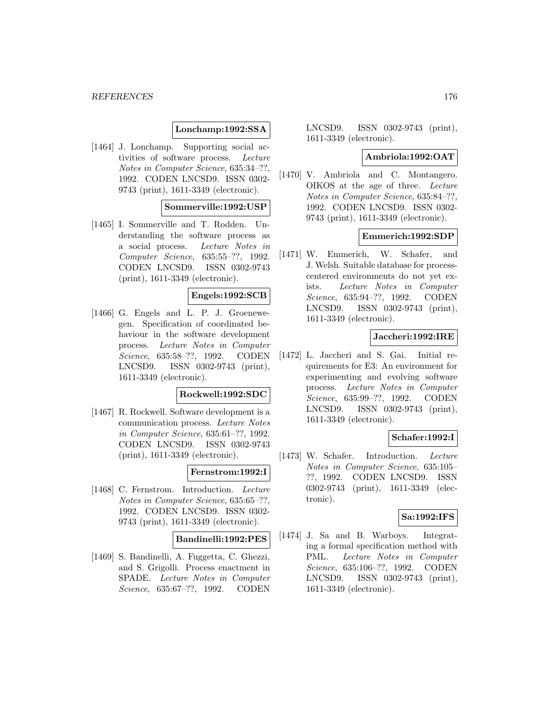## **Lonchamp:1992:SSA**

[1464] J. Lonchamp. Supporting social activities of software process. Lecture Notes in Computer Science, 635:34–??, 1992. CODEN LNCSD9. ISSN 0302- 9743 (print), 1611-3349 (electronic).

# **Sommerville:1992:USP**

[1465] I. Sommerville and T. Rodden. Understanding the software process as a social process. Lecture Notes in Computer Science, 635:55–??, 1992. CODEN LNCSD9. ISSN 0302-9743 (print), 1611-3349 (electronic).

# **Engels:1992:SCB**

[1466] G. Engels and L. P. J. Groenewegen. Specification of coordinated behaviour in the software development process. Lecture Notes in Computer Science, 635:58–??, 1992. CODEN LNCSD9. ISSN 0302-9743 (print), 1611-3349 (electronic).

#### **Rockwell:1992:SDC**

[1467] R. Rockwell. Software development is a communication process. Lecture Notes in Computer Science, 635:61–??, 1992. CODEN LNCSD9. ISSN 0302-9743 (print), 1611-3349 (electronic).

# **Fernstrom:1992:I**

[1468] C. Fernstrom. Introduction. Lecture Notes in Computer Science, 635:65–??, 1992. CODEN LNCSD9. ISSN 0302- 9743 (print), 1611-3349 (electronic).

#### **Bandinelli:1992:PES**

[1469] S. Bandinelli, A. Fuggetta, C. Ghezzi, and S. Grigolli. Process enactment in SPADE. Lecture Notes in Computer Science, 635:67–??, 1992. CODEN

LNCSD9. ISSN 0302-9743 (print), 1611-3349 (electronic).

## **Ambriola:1992:OAT**

[1470] V. Ambriola and C. Montangero. OIKOS at the age of three. Lecture Notes in Computer Science, 635:84–??, 1992. CODEN LNCSD9. ISSN 0302- 9743 (print), 1611-3349 (electronic).

# **Emmerich:1992:SDP**

[1471] W. Emmerich, W. Schafer, and J. Welsh. Suitable database for processcentered environments do not yet exists. Lecture Notes in Computer Science, 635:94–??, 1992. CODEN LNCSD9. ISSN 0302-9743 (print), 1611-3349 (electronic).

# **Jaccheri:1992:IRE**

[1472] L. Jaccheri and S. Gai. Initial requirements for E3: An environment for experimenting and evolving software process. Lecture Notes in Computer Science, 635:99–??, 1992. CODEN LNCSD9. ISSN 0302-9743 (print), 1611-3349 (electronic).

## **Schafer:1992:I**

[1473] W. Schafer. Introduction. Lecture Notes in Computer Science, 635:105– ??, 1992. CODEN LNCSD9. ISSN 0302-9743 (print), 1611-3349 (electronic).

# **Sa:1992:IFS**

[1474] J. Sa and B. Warboys. Integrating a formal specification method with PML. Lecture Notes in Computer Science, 635:106–??, 1992. CODEN LNCSD9. ISSN 0302-9743 (print), 1611-3349 (electronic).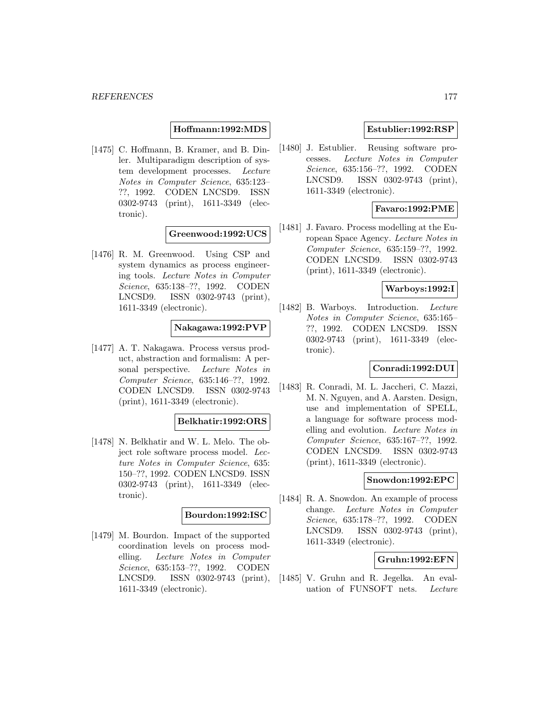### **Hoffmann:1992:MDS**

[1475] C. Hoffmann, B. Kramer, and B. Dinler. Multiparadigm description of system development processes. Lecture Notes in Computer Science, 635:123– ??, 1992. CODEN LNCSD9. ISSN 0302-9743 (print), 1611-3349 (electronic).

### **Greenwood:1992:UCS**

[1476] R. M. Greenwood. Using CSP and system dynamics as process engineering tools. Lecture Notes in Computer Science, 635:138–??, 1992. CODEN LNCSD9. ISSN 0302-9743 (print), 1611-3349 (electronic).

#### **Nakagawa:1992:PVP**

[1477] A. T. Nakagawa. Process versus product, abstraction and formalism: A personal perspective. Lecture Notes in Computer Science, 635:146–??, 1992. CODEN LNCSD9. ISSN 0302-9743 (print), 1611-3349 (electronic).

#### **Belkhatir:1992:ORS**

[1478] N. Belkhatir and W. L. Melo. The object role software process model. Lecture Notes in Computer Science, 635: 150–??, 1992. CODEN LNCSD9. ISSN 0302-9743 (print), 1611-3349 (electronic).

#### **Bourdon:1992:ISC**

[1479] M. Bourdon. Impact of the supported coordination levels on process modelling. Lecture Notes in Computer Science, 635:153–??, 1992. CODEN LNCSD9. ISSN 0302-9743 (print), 1611-3349 (electronic).

## **Estublier:1992:RSP**

[1480] J. Estublier. Reusing software processes. Lecture Notes in Computer Science, 635:156–??, 1992. CODEN LNCSD9. ISSN 0302-9743 (print), 1611-3349 (electronic).

## **Favaro:1992:PME**

[1481] J. Favaro. Process modelling at the European Space Agency. Lecture Notes in Computer Science, 635:159–??, 1992. CODEN LNCSD9. ISSN 0302-9743 (print), 1611-3349 (electronic).

### **Warboys:1992:I**

[1482] B. Warboys. Introduction. Lecture Notes in Computer Science, 635:165– ??, 1992. CODEN LNCSD9. ISSN 0302-9743 (print), 1611-3349 (electronic).

## **Conradi:1992:DUI**

[1483] R. Conradi, M. L. Jaccheri, C. Mazzi, M. N. Nguyen, and A. Aarsten. Design, use and implementation of SPELL, a language for software process modelling and evolution. Lecture Notes in Computer Science, 635:167–??, 1992. CODEN LNCSD9. ISSN 0302-9743 (print), 1611-3349 (electronic).

#### **Snowdon:1992:EPC**

[1484] R. A. Snowdon. An example of process change. Lecture Notes in Computer Science, 635:178–??, 1992. CODEN LNCSD9. ISSN 0302-9743 (print), 1611-3349 (electronic).

#### **Gruhn:1992:EFN**

[1485] V. Gruhn and R. Jegelka. An evaluation of FUNSOFT nets. Lecture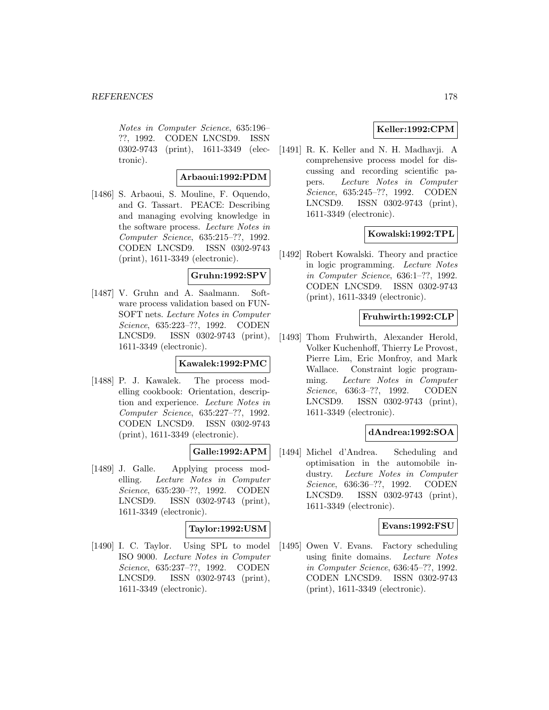Notes in Computer Science, 635:196– ??, 1992. CODEN LNCSD9. ISSN 0302-9743 (print), 1611-3349 (electronic).

## **Arbaoui:1992:PDM**

[1486] S. Arbaoui, S. Mouline, F. Oquendo, and G. Tassart. PEACE: Describing and managing evolving knowledge in the software process. Lecture Notes in Computer Science, 635:215–??, 1992. CODEN LNCSD9. ISSN 0302-9743 (print), 1611-3349 (electronic).

## **Gruhn:1992:SPV**

[1487] V. Gruhn and A. Saalmann. Software process validation based on FUN-SOFT nets. Lecture Notes in Computer Science, 635:223–??, 1992. CODEN LNCSD9. ISSN 0302-9743 (print), 1611-3349 (electronic).

## **Kawalek:1992:PMC**

[1488] P. J. Kawalek. The process modelling cookbook: Orientation, description and experience. Lecture Notes in Computer Science, 635:227–??, 1992. CODEN LNCSD9. ISSN 0302-9743 (print), 1611-3349 (electronic).

## **Galle:1992:APM**

[1489] J. Galle. Applying process modelling. Lecture Notes in Computer Science, 635:230–??, 1992. CODEN LNCSD9. ISSN 0302-9743 (print), 1611-3349 (electronic).

## **Taylor:1992:USM**

[1490] I. C. Taylor. Using SPL to model ISO 9000. Lecture Notes in Computer Science, 635:237–??, 1992. CODEN LNCSD9. ISSN 0302-9743 (print), 1611-3349 (electronic).

# **Keller:1992:CPM**

[1491] R. K. Keller and N. H. Madhavji. A comprehensive process model for discussing and recording scientific papers. Lecture Notes in Computer Science, 635:245–??, 1992. CODEN LNCSD9. ISSN 0302-9743 (print), 1611-3349 (electronic).

## **Kowalski:1992:TPL**

[1492] Robert Kowalski. Theory and practice in logic programming. Lecture Notes in Computer Science, 636:1–??, 1992. CODEN LNCSD9. ISSN 0302-9743 (print), 1611-3349 (electronic).

### **Fruhwirth:1992:CLP**

[1493] Thom Fruhwirth, Alexander Herold, Volker Kuchenhoff, Thierry Le Provost, Pierre Lim, Eric Monfroy, and Mark Wallace. Constraint logic programming. Lecture Notes in Computer Science, 636:3–??, 1992. CODEN LNCSD9. ISSN 0302-9743 (print), 1611-3349 (electronic).

#### **dAndrea:1992:SOA**

[1494] Michel d'Andrea. Scheduling and optimisation in the automobile industry. Lecture Notes in Computer Science, 636:36–??, 1992. CODEN LNCSD9. ISSN 0302-9743 (print), 1611-3349 (electronic).

### **Evans:1992:FSU**

[1495] Owen V. Evans. Factory scheduling using finite domains. Lecture Notes in Computer Science, 636:45–??, 1992. CODEN LNCSD9. ISSN 0302-9743 (print), 1611-3349 (electronic).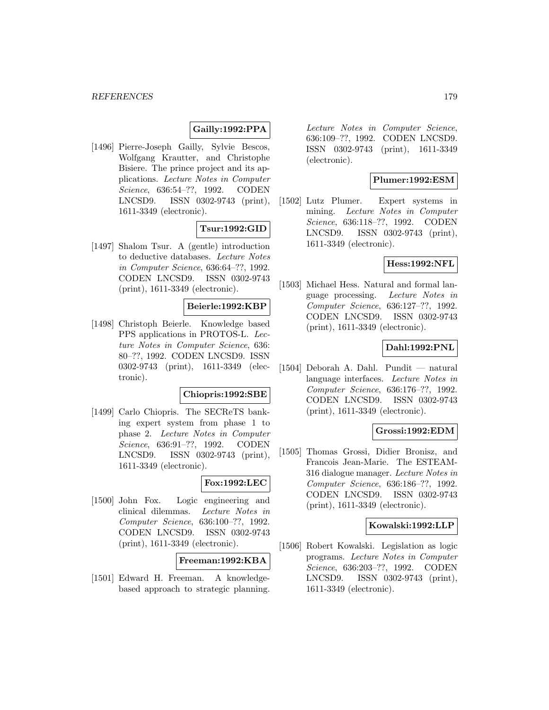# **Gailly:1992:PPA**

[1496] Pierre-Joseph Gailly, Sylvie Bescos, Wolfgang Krautter, and Christophe Bisiere. The prince project and its applications. Lecture Notes in Computer Science, 636:54–??, 1992. CODEN LNCSD9. ISSN 0302-9743 (print), 1611-3349 (electronic).

# **Tsur:1992:GID**

[1497] Shalom Tsur. A (gentle) introduction to deductive databases. Lecture Notes in Computer Science, 636:64–??, 1992. CODEN LNCSD9. ISSN 0302-9743 (print), 1611-3349 (electronic).

## **Beierle:1992:KBP**

[1498] Christoph Beierle. Knowledge based PPS applications in PROTOS-L. Lecture Notes in Computer Science, 636: 80–??, 1992. CODEN LNCSD9. ISSN 0302-9743 (print), 1611-3349 (electronic).

#### **Chiopris:1992:SBE**

[1499] Carlo Chiopris. The SECReTS banking expert system from phase 1 to phase 2. Lecture Notes in Computer Science, 636:91-??, 1992. CODEN LNCSD9. ISSN 0302-9743 (print), 1611-3349 (electronic).

# **Fox:1992:LEC**

[1500] John Fox. Logic engineering and clinical dilemmas. Lecture Notes in Computer Science, 636:100–??, 1992. CODEN LNCSD9. ISSN 0302-9743 (print), 1611-3349 (electronic).

#### **Freeman:1992:KBA**

[1501] Edward H. Freeman. A knowledgebased approach to strategic planning.

Lecture Notes in Computer Science, 636:109–??, 1992. CODEN LNCSD9. ISSN 0302-9743 (print), 1611-3349 (electronic).

## **Plumer:1992:ESM**

[1502] Lutz Plumer. Expert systems in mining. Lecture Notes in Computer Science, 636:118–??, 1992. CODEN LNCSD9. ISSN 0302-9743 (print), 1611-3349 (electronic).

# **Hess:1992:NFL**

[1503] Michael Hess. Natural and formal language processing. Lecture Notes in Computer Science, 636:127–??, 1992. CODEN LNCSD9. ISSN 0302-9743 (print), 1611-3349 (electronic).

## **Dahl:1992:PNL**

[1504] Deborah A. Dahl. Pundit — natural language interfaces. Lecture Notes in Computer Science, 636:176–??, 1992. CODEN LNCSD9. ISSN 0302-9743 (print), 1611-3349 (electronic).

### **Grossi:1992:EDM**

[1505] Thomas Grossi, Didier Bronisz, and Francois Jean-Marie. The ESTEAM-316 dialogue manager. Lecture Notes in Computer Science, 636:186–??, 1992. CODEN LNCSD9. ISSN 0302-9743 (print), 1611-3349 (electronic).

#### **Kowalski:1992:LLP**

[1506] Robert Kowalski. Legislation as logic programs. Lecture Notes in Computer Science, 636:203–??, 1992. CODEN LNCSD9. ISSN 0302-9743 (print), 1611-3349 (electronic).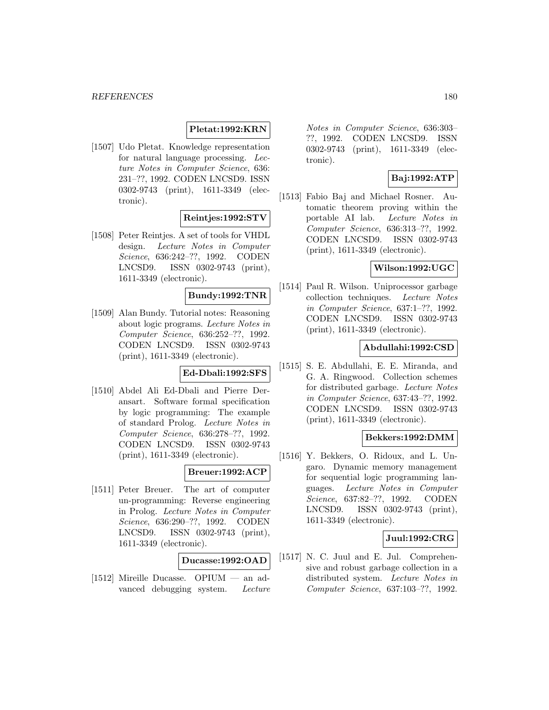## **Pletat:1992:KRN**

[1507] Udo Pletat. Knowledge representation for natural language processing. Lecture Notes in Computer Science, 636: 231–??, 1992. CODEN LNCSD9. ISSN 0302-9743 (print), 1611-3349 (electronic).

## **Reintjes:1992:STV**

[1508] Peter Reintjes. A set of tools for VHDL design. Lecture Notes in Computer Science, 636:242–??, 1992. CODEN LNCSD9. ISSN 0302-9743 (print), 1611-3349 (electronic).

## **Bundy:1992:TNR**

[1509] Alan Bundy. Tutorial notes: Reasoning about logic programs. Lecture Notes in Computer Science, 636:252–??, 1992. CODEN LNCSD9. ISSN 0302-9743 (print), 1611-3349 (electronic).

## **Ed-Dbali:1992:SFS**

[1510] Abdel Ali Ed-Dbali and Pierre Deransart. Software formal specification by logic programming: The example of standard Prolog. Lecture Notes in Computer Science, 636:278–??, 1992. CODEN LNCSD9. ISSN 0302-9743 (print), 1611-3349 (electronic).

# **Breuer:1992:ACP**

[1511] Peter Breuer. The art of computer un-programming: Reverse engineering in Prolog. Lecture Notes in Computer Science, 636:290–??, 1992. CODEN LNCSD9. ISSN 0302-9743 (print), 1611-3349 (electronic).

### **Ducasse:1992:OAD**

[1512] Mireille Ducasse. OPIUM — an advanced debugging system. Lecture

Notes in Computer Science, 636:303– ??, 1992. CODEN LNCSD9. ISSN 0302-9743 (print), 1611-3349 (electronic).

# **Baj:1992:ATP**

[1513] Fabio Baj and Michael Rosner. Automatic theorem proving within the portable AI lab. Lecture Notes in Computer Science, 636:313–??, 1992. CODEN LNCSD9. ISSN 0302-9743 (print), 1611-3349 (electronic).

## **Wilson:1992:UGC**

[1514] Paul R. Wilson. Uniprocessor garbage collection techniques. Lecture Notes in Computer Science, 637:1–??, 1992. CODEN LNCSD9. ISSN 0302-9743 (print), 1611-3349 (electronic).

### **Abdullahi:1992:CSD**

[1515] S. E. Abdullahi, E. E. Miranda, and G. A. Ringwood. Collection schemes for distributed garbage. Lecture Notes in Computer Science, 637:43–??, 1992. CODEN LNCSD9. ISSN 0302-9743 (print), 1611-3349 (electronic).

### **Bekkers:1992:DMM**

[1516] Y. Bekkers, O. Ridoux, and L. Ungaro. Dynamic memory management for sequential logic programming languages. Lecture Notes in Computer Science, 637:82–??, 1992. CODEN LNCSD9. ISSN 0302-9743 (print), 1611-3349 (electronic).

#### **Juul:1992:CRG**

[1517] N. C. Juul and E. Jul. Comprehensive and robust garbage collection in a distributed system. Lecture Notes in Computer Science, 637:103–??, 1992.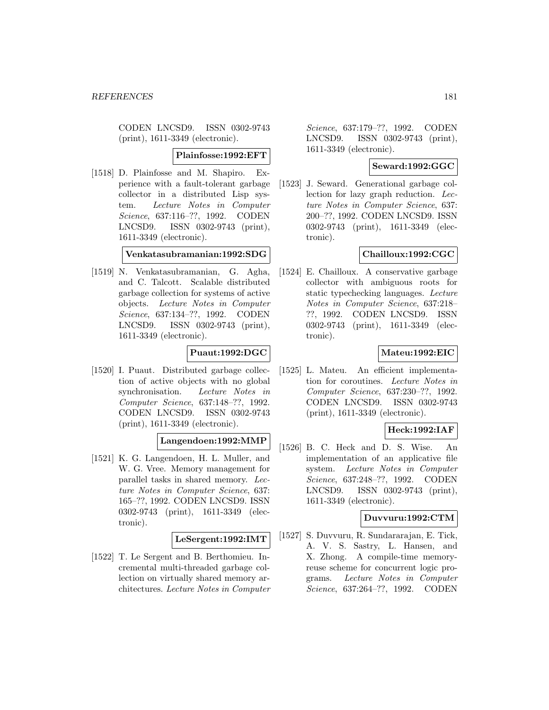CODEN LNCSD9. ISSN 0302-9743 (print), 1611-3349 (electronic).

**Plainfosse:1992:EFT**

[1518] D. Plainfosse and M. Shapiro. Experience with a fault-tolerant garbage collector in a distributed Lisp system. Lecture Notes in Computer Science, 637:116–??, 1992. CODEN LNCSD9. ISSN 0302-9743 (print), 1611-3349 (electronic).

**Venkatasubramanian:1992:SDG**

[1519] N. Venkatasubramanian, G. Agha, and C. Talcott. Scalable distributed garbage collection for systems of active objects. Lecture Notes in Computer Science, 637:134–??, 1992. CODEN LNCSD9. ISSN 0302-9743 (print), 1611-3349 (electronic).

# **Puaut:1992:DGC**

[1520] I. Puaut. Distributed garbage collection of active objects with no global synchronisation. Lecture Notes in Computer Science, 637:148–??, 1992. CODEN LNCSD9. ISSN 0302-9743 (print), 1611-3349 (electronic).

### **Langendoen:1992:MMP**

[1521] K. G. Langendoen, H. L. Muller, and W. G. Vree. Memory management for parallel tasks in shared memory. Lecture Notes in Computer Science, 637: 165–??, 1992. CODEN LNCSD9. ISSN 0302-9743 (print), 1611-3349 (electronic).

### **LeSergent:1992:IMT**

[1522] T. Le Sergent and B. Berthomieu. Incremental multi-threaded garbage collection on virtually shared memory architectures. Lecture Notes in Computer

Science, 637:179–??, 1992. CODEN LNCSD9. ISSN 0302-9743 (print), 1611-3349 (electronic).

## **Seward:1992:GGC**

[1523] J. Seward. Generational garbage collection for lazy graph reduction. Lecture Notes in Computer Science, 637: 200–??, 1992. CODEN LNCSD9. ISSN 0302-9743 (print), 1611-3349 (electronic).

# **Chailloux:1992:CGC**

[1524] E. Chailloux. A conservative garbage collector with ambiguous roots for static typechecking languages. Lecture Notes in Computer Science, 637:218– ??, 1992. CODEN LNCSD9. ISSN 0302-9743 (print), 1611-3349 (electronic).

# **Mateu:1992:EIC**

[1525] L. Mateu. An efficient implementation for coroutines. Lecture Notes in Computer Science, 637:230–??, 1992. CODEN LNCSD9. ISSN 0302-9743 (print), 1611-3349 (electronic).

# **Heck:1992:IAF**

[1526] B. C. Heck and D. S. Wise. An implementation of an applicative file system. Lecture Notes in Computer Science, 637:248–??, 1992. CODEN LNCSD9. ISSN 0302-9743 (print), 1611-3349 (electronic).

## **Duvvuru:1992:CTM**

[1527] S. Duvvuru, R. Sundararajan, E. Tick, A. V. S. Sastry, L. Hansen, and X. Zhong. A compile-time memoryreuse scheme for concurrent logic programs. Lecture Notes in Computer Science, 637:264–??, 1992. CODEN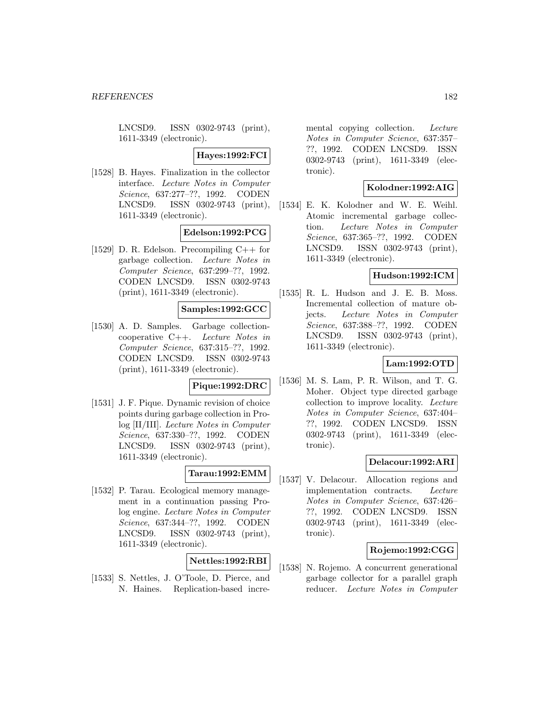LNCSD9. ISSN 0302-9743 (print), 1611-3349 (electronic).

#### **Hayes:1992:FCI**

[1528] B. Hayes. Finalization in the collector interface. Lecture Notes in Computer Science, 637:277–??, 1992. CODEN LNCSD9. ISSN 0302-9743 (print), 1611-3349 (electronic).

### **Edelson:1992:PCG**

[1529] D. R. Edelson. Precompiling C++ for garbage collection. Lecture Notes in Computer Science, 637:299–??, 1992. CODEN LNCSD9. ISSN 0302-9743 (print), 1611-3349 (electronic).

# **Samples:1992:GCC**

[1530] A. D. Samples. Garbage collectioncooperative C++. Lecture Notes in Computer Science, 637:315–??, 1992. CODEN LNCSD9. ISSN 0302-9743 (print), 1611-3349 (electronic).

#### **Pique:1992:DRC**

[1531] J. F. Pique. Dynamic revision of choice points during garbage collection in Prolog [II/III]. Lecture Notes in Computer Science, 637:330–??, 1992. CODEN LNCSD9. ISSN 0302-9743 (print), 1611-3349 (electronic).

#### **Tarau:1992:EMM**

[1532] P. Tarau. Ecological memory management in a continuation passing Prolog engine. Lecture Notes in Computer Science, 637:344–??, 1992. CODEN LNCSD9. ISSN 0302-9743 (print), 1611-3349 (electronic).

## **Nettles:1992:RBI**

[1533] S. Nettles, J. O'Toole, D. Pierce, and N. Haines. Replication-based incremental copying collection. Lecture Notes in Computer Science, 637:357– ??, 1992. CODEN LNCSD9. ISSN 0302-9743 (print), 1611-3349 (electronic).

#### **Kolodner:1992:AIG**

[1534] E. K. Kolodner and W. E. Weihl. Atomic incremental garbage collection. Lecture Notes in Computer Science, 637:365–??, 1992. CODEN LNCSD9. ISSN 0302-9743 (print), 1611-3349 (electronic).

# **Hudson:1992:ICM**

[1535] R. L. Hudson and J. E. B. Moss. Incremental collection of mature objects. Lecture Notes in Computer Science, 637:388–??, 1992. CODEN LNCSD9. ISSN 0302-9743 (print), 1611-3349 (electronic).

### **Lam:1992:OTD**

[1536] M. S. Lam, P. R. Wilson, and T. G. Moher. Object type directed garbage collection to improve locality. Lecture Notes in Computer Science, 637:404– ??, 1992. CODEN LNCSD9. ISSN 0302-9743 (print), 1611-3349 (electronic).

#### **Delacour:1992:ARI**

[1537] V. Delacour. Allocation regions and implementation contracts. Lecture Notes in Computer Science, 637:426– ??, 1992. CODEN LNCSD9. ISSN 0302-9743 (print), 1611-3349 (electronic).

# **Rojemo:1992:CGG**

[1538] N. Rojemo. A concurrent generational garbage collector for a parallel graph reducer. Lecture Notes in Computer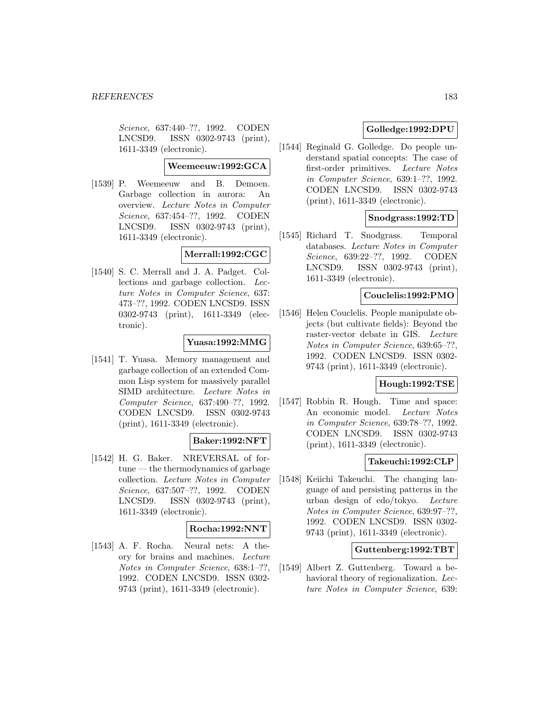Science, 637:440–??, 1992. CODEN LNCSD9. ISSN 0302-9743 (print), 1611-3349 (electronic).

#### **Weemeeuw:1992:GCA**

[1539] P. Weemeeuw and B. Demoen. Garbage collection in aurora: An overview. Lecture Notes in Computer Science, 637:454–??, 1992. CODEN LNCSD9. ISSN 0302-9743 (print), 1611-3349 (electronic).

## **Merrall:1992:CGC**

[1540] S. C. Merrall and J. A. Padget. Collections and garbage collection. Lecture Notes in Computer Science, 637: 473–??, 1992. CODEN LNCSD9. ISSN 0302-9743 (print), 1611-3349 (electronic).

### **Yuasa:1992:MMG**

[1541] T. Yuasa. Memory management and garbage collection of an extended Common Lisp system for massively parallel SIMD architecture. Lecture Notes in Computer Science, 637:490–??, 1992. CODEN LNCSD9. ISSN 0302-9743 (print), 1611-3349 (electronic).

# **Baker:1992:NFT**

[1542] H. G. Baker. NREVERSAL of fortune — the thermodynamics of garbage collection. Lecture Notes in Computer Science, 637:507–??, 1992. CODEN LNCSD9. ISSN 0302-9743 (print), 1611-3349 (electronic).

### **Rocha:1992:NNT**

[1543] A. F. Rocha. Neural nets: A theory for brains and machines. Lecture Notes in Computer Science, 638:1–??, 1992. CODEN LNCSD9. ISSN 0302- 9743 (print), 1611-3349 (electronic).

# **Golledge:1992:DPU**

[1544] Reginald G. Golledge. Do people understand spatial concepts: The case of first-order primitives. Lecture Notes in Computer Science, 639:1–??, 1992. CODEN LNCSD9. ISSN 0302-9743 (print), 1611-3349 (electronic).

### **Snodgrass:1992:TD**

[1545] Richard T. Snodgrass. Temporal databases. Lecture Notes in Computer Science, 639:22–??, 1992. CODEN LNCSD9. ISSN 0302-9743 (print), 1611-3349 (electronic).

## **Couclelis:1992:PMO**

[1546] Helen Couclelis. People manipulate objects (but cultivate fields): Beyond the raster-vector debate in GIS. Lecture Notes in Computer Science, 639:65–??, 1992. CODEN LNCSD9. ISSN 0302- 9743 (print), 1611-3349 (electronic).

# **Hough:1992:TSE**

[1547] Robbin R. Hough. Time and space: An economic model. Lecture Notes in Computer Science, 639:78–??, 1992. CODEN LNCSD9. ISSN 0302-9743 (print), 1611-3349 (electronic).

## **Takeuchi:1992:CLP**

[1548] Keiichi Takeuchi. The changing language of and persisting patterns in the urban design of edo/tokyo. Lecture Notes in Computer Science, 639:97–??, 1992. CODEN LNCSD9. ISSN 0302- 9743 (print), 1611-3349 (electronic).

# **Guttenberg:1992:TBT**

[1549] Albert Z. Guttenberg. Toward a behavioral theory of regionalization. Lecture Notes in Computer Science, 639: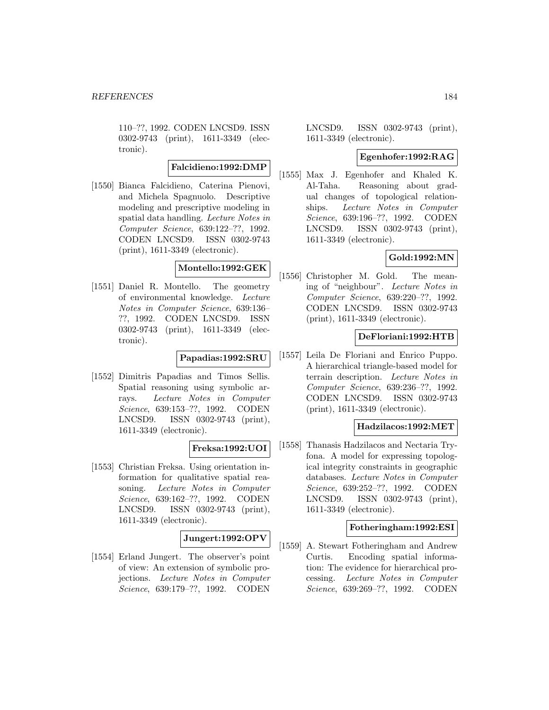110–??, 1992. CODEN LNCSD9. ISSN 0302-9743 (print), 1611-3349 (electronic).

**Falcidieno:1992:DMP**

[1550] Bianca Falcidieno, Caterina Pienovi, and Michela Spagnuolo. Descriptive modeling and prescriptive modeling in spatial data handling. Lecture Notes in Computer Science, 639:122–??, 1992. CODEN LNCSD9. ISSN 0302-9743 (print), 1611-3349 (electronic).

### **Montello:1992:GEK**

[1551] Daniel R. Montello. The geometry of environmental knowledge. Lecture Notes in Computer Science, 639:136– ??, 1992. CODEN LNCSD9. ISSN 0302-9743 (print), 1611-3349 (electronic).

## **Papadias:1992:SRU**

[1552] Dimitris Papadias and Timos Sellis. Spatial reasoning using symbolic arrays. Lecture Notes in Computer Science, 639:153–??, 1992. CODEN LNCSD9. ISSN 0302-9743 (print), 1611-3349 (electronic).

# **Freksa:1992:UOI**

[1553] Christian Freksa. Using orientation information for qualitative spatial reasoning. Lecture Notes in Computer Science, 639:162–??, 1992. CODEN LNCSD9. ISSN 0302-9743 (print), 1611-3349 (electronic).

### **Jungert:1992:OPV**

[1554] Erland Jungert. The observer's point of view: An extension of symbolic projections. Lecture Notes in Computer Science, 639:179–??, 1992. CODEN

LNCSD9. ISSN 0302-9743 (print), 1611-3349 (electronic).

#### **Egenhofer:1992:RAG**

[1555] Max J. Egenhofer and Khaled K. Al-Taha. Reasoning about gradual changes of topological relationships. Lecture Notes in Computer Science, 639:196–??, 1992. CODEN LNCSD9. ISSN 0302-9743 (print), 1611-3349 (electronic).

# **Gold:1992:MN**

[1556] Christopher M. Gold. The meaning of "neighbour". Lecture Notes in Computer Science, 639:220–??, 1992. CODEN LNCSD9. ISSN 0302-9743 (print), 1611-3349 (electronic).

### **DeFloriani:1992:HTB**

[1557] Leila De Floriani and Enrico Puppo. A hierarchical triangle-based model for terrain description. Lecture Notes in Computer Science, 639:236–??, 1992. CODEN LNCSD9. ISSN 0302-9743 (print), 1611-3349 (electronic).

### **Hadzilacos:1992:MET**

[1558] Thanasis Hadzilacos and Nectaria Tryfona. A model for expressing topological integrity constraints in geographic databases. Lecture Notes in Computer Science, 639:252–??, 1992. CODEN LNCSD9. ISSN 0302-9743 (print), 1611-3349 (electronic).

### **Fotheringham:1992:ESI**

[1559] A. Stewart Fotheringham and Andrew Curtis. Encoding spatial information: The evidence for hierarchical processing. Lecture Notes in Computer Science, 639:269–??, 1992. CODEN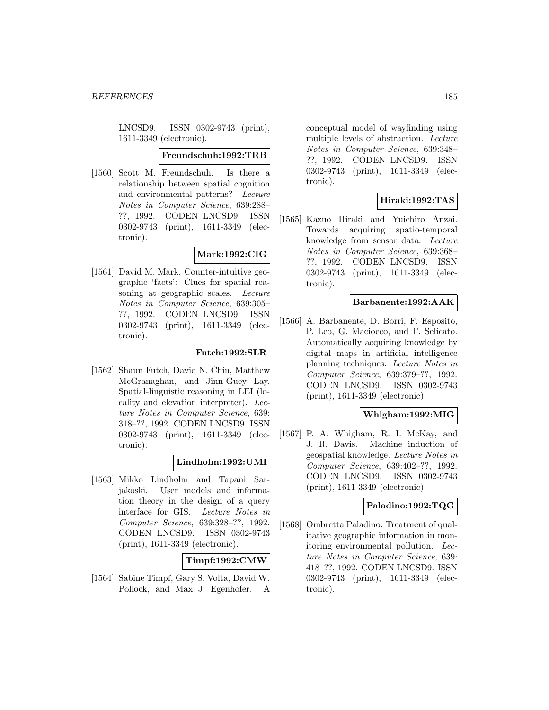LNCSD9. ISSN 0302-9743 (print), 1611-3349 (electronic).

#### **Freundschuh:1992:TRB**

[1560] Scott M. Freundschuh. Is there a relationship between spatial cognition and environmental patterns? Lecture Notes in Computer Science, 639:288– ??, 1992. CODEN LNCSD9. ISSN 0302-9743 (print), 1611-3349 (electronic).

## **Mark:1992:CIG**

[1561] David M. Mark. Counter-intuitive geographic 'facts': Clues for spatial reasoning at geographic scales. Lecture Notes in Computer Science, 639:305– ??, 1992. CODEN LNCSD9. ISSN 0302-9743 (print), 1611-3349 (electronic).

#### **Futch:1992:SLR**

[1562] Shaun Futch, David N. Chin, Matthew McGranaghan, and Jinn-Guey Lay. Spatial-linguistic reasoning in LEI (locality and elevation interpreter). Lecture Notes in Computer Science, 639: 318–??, 1992. CODEN LNCSD9. ISSN 0302-9743 (print), 1611-3349 (electronic).

#### **Lindholm:1992:UMI**

[1563] Mikko Lindholm and Tapani Sarjakoski. User models and information theory in the design of a query interface for GIS. Lecture Notes in Computer Science, 639:328–??, 1992. CODEN LNCSD9. ISSN 0302-9743 (print), 1611-3349 (electronic).

#### **Timpf:1992:CMW**

[1564] Sabine Timpf, Gary S. Volta, David W. Pollock, and Max J. Egenhofer. A

conceptual model of wayfinding using multiple levels of abstraction. Lecture Notes in Computer Science, 639:348– ??, 1992. CODEN LNCSD9. ISSN 0302-9743 (print), 1611-3349 (electronic).

### **Hiraki:1992:TAS**

[1565] Kazuo Hiraki and Yuichiro Anzai. Towards acquiring spatio-temporal knowledge from sensor data. Lecture Notes in Computer Science, 639:368– ??, 1992. CODEN LNCSD9. ISSN 0302-9743 (print), 1611-3349 (electronic).

### **Barbanente:1992:AAK**

[1566] A. Barbanente, D. Borri, F. Esposito, P. Leo, G. Maciocco, and F. Selicato. Automatically acquiring knowledge by digital maps in artificial intelligence planning techniques. Lecture Notes in Computer Science, 639:379–??, 1992. CODEN LNCSD9. ISSN 0302-9743 (print), 1611-3349 (electronic).

# **Whigham:1992:MIG**

[1567] P. A. Whigham, R. I. McKay, and J. R. Davis. Machine induction of geospatial knowledge. Lecture Notes in Computer Science, 639:402–??, 1992. CODEN LNCSD9. ISSN 0302-9743 (print), 1611-3349 (electronic).

#### **Paladino:1992:TQG**

[1568] Ombretta Paladino. Treatment of qualitative geographic information in monitoring environmental pollution. Lecture Notes in Computer Science, 639: 418–??, 1992. CODEN LNCSD9. ISSN 0302-9743 (print), 1611-3349 (electronic).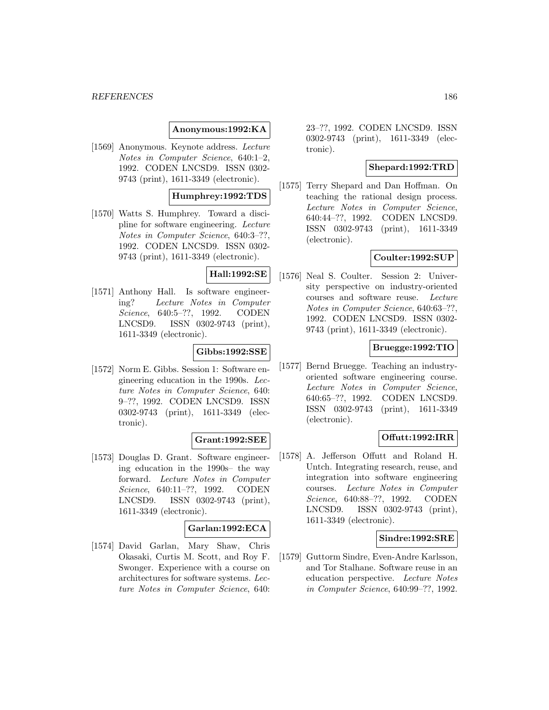#### *REFERENCES* 186

#### **Anonymous:1992:KA**

[1569] Anonymous. Keynote address. Lecture Notes in Computer Science, 640:1–2, 1992. CODEN LNCSD9. ISSN 0302- 9743 (print), 1611-3349 (electronic).

### **Humphrey:1992:TDS**

[1570] Watts S. Humphrey. Toward a discipline for software engineering. Lecture Notes in Computer Science, 640:3–??, 1992. CODEN LNCSD9. ISSN 0302- 9743 (print), 1611-3349 (electronic).

#### **Hall:1992:SE**

[1571] Anthony Hall. Is software engineering? Lecture Notes in Computer Science, 640:5–??, 1992. CODEN LNCSD9. ISSN 0302-9743 (print), 1611-3349 (electronic).

#### **Gibbs:1992:SSE**

[1572] Norm E. Gibbs. Session 1: Software engineering education in the 1990s. Lecture Notes in Computer Science, 640: 9–??, 1992. CODEN LNCSD9. ISSN 0302-9743 (print), 1611-3349 (electronic).

#### **Grant:1992:SEE**

[1573] Douglas D. Grant. Software engineering education in the 1990s– the way forward. Lecture Notes in Computer Science, 640:11–??, 1992. CODEN LNCSD9. ISSN 0302-9743 (print), 1611-3349 (electronic).

### **Garlan:1992:ECA**

[1574] David Garlan, Mary Shaw, Chris Okasaki, Curtis M. Scott, and Roy F. Swonger. Experience with a course on architectures for software systems. Lecture Notes in Computer Science, 640:

23–??, 1992. CODEN LNCSD9. ISSN 0302-9743 (print), 1611-3349 (electronic).

#### **Shepard:1992:TRD**

[1575] Terry Shepard and Dan Hoffman. On teaching the rational design process. Lecture Notes in Computer Science, 640:44–??, 1992. CODEN LNCSD9. ISSN 0302-9743 (print), 1611-3349 (electronic).

#### **Coulter:1992:SUP**

[1576] Neal S. Coulter. Session 2: University perspective on industry-oriented courses and software reuse. Lecture Notes in Computer Science, 640:63–??, 1992. CODEN LNCSD9. ISSN 0302- 9743 (print), 1611-3349 (electronic).

#### **Bruegge:1992:TIO**

[1577] Bernd Bruegge. Teaching an industryoriented software engineering course. Lecture Notes in Computer Science, 640:65–??, 1992. CODEN LNCSD9. ISSN 0302-9743 (print), 1611-3349 (electronic).

### **Offutt:1992:IRR**

[1578] A. Jefferson Offutt and Roland H. Untch. Integrating research, reuse, and integration into software engineering courses. Lecture Notes in Computer Science, 640:88–??, 1992. CODEN LNCSD9. ISSN 0302-9743 (print), 1611-3349 (electronic).

#### **Sindre:1992:SRE**

[1579] Guttorm Sindre, Even-Andre Karlsson, and Tor Stalhane. Software reuse in an education perspective. Lecture Notes in Computer Science, 640:99–??, 1992.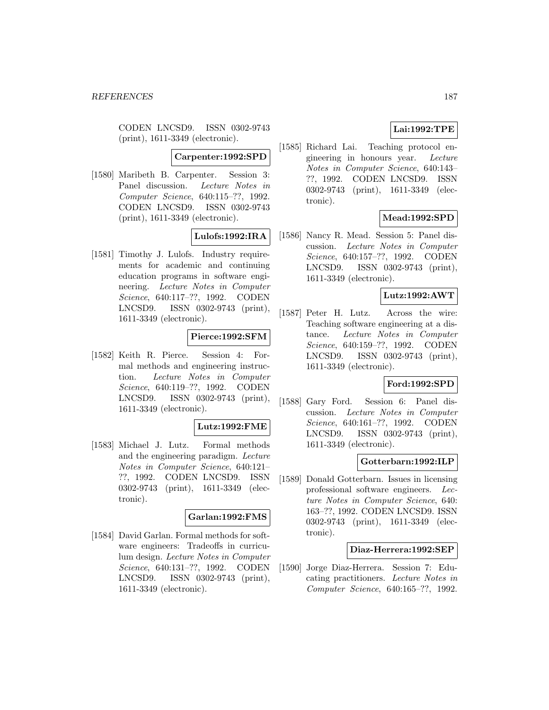CODEN LNCSD9. ISSN 0302-9743 (print), 1611-3349 (electronic).

#### **Carpenter:1992:SPD**

[1580] Maribeth B. Carpenter. Session 3: Panel discussion. Lecture Notes in Computer Science, 640:115–??, 1992. CODEN LNCSD9. ISSN 0302-9743 (print), 1611-3349 (electronic).

# **Lulofs:1992:IRA**

[1581] Timothy J. Lulofs. Industry requirements for academic and continuing education programs in software engineering. Lecture Notes in Computer Science, 640:117–??, 1992. CODEN LNCSD9. ISSN 0302-9743 (print), 1611-3349 (electronic).

#### **Pierce:1992:SFM**

[1582] Keith R. Pierce. Session 4: Formal methods and engineering instruction. Lecture Notes in Computer Science, 640:119–??, 1992. CODEN LNCSD9. ISSN 0302-9743 (print), 1611-3349 (electronic).

#### **Lutz:1992:FME**

[1583] Michael J. Lutz. Formal methods and the engineering paradigm. Lecture Notes in Computer Science, 640:121– ??, 1992. CODEN LNCSD9. ISSN 0302-9743 (print), 1611-3349 (electronic).

## **Garlan:1992:FMS**

[1584] David Garlan. Formal methods for software engineers: Tradeoffs in curriculum design. Lecture Notes in Computer Science, 640:131–??, 1992. CODEN LNCSD9. ISSN 0302-9743 (print), 1611-3349 (electronic).

# **Lai:1992:TPE**

[1585] Richard Lai. Teaching protocol engineering in honours year. Lecture Notes in Computer Science, 640:143– ??, 1992. CODEN LNCSD9. ISSN 0302-9743 (print), 1611-3349 (electronic).

### **Mead:1992:SPD**

[1586] Nancy R. Mead. Session 5: Panel discussion. Lecture Notes in Computer Science, 640:157–??, 1992. CODEN LNCSD9. ISSN 0302-9743 (print), 1611-3349 (electronic).

### **Lutz:1992:AWT**

[1587] Peter H. Lutz. Across the wire: Teaching software engineering at a distance. Lecture Notes in Computer Science, 640:159–??, 1992. CODEN LNCSD9. ISSN 0302-9743 (print), 1611-3349 (electronic).

# **Ford:1992:SPD**

[1588] Gary Ford. Session 6: Panel discussion. Lecture Notes in Computer Science, 640:161–??, 1992. CODEN LNCSD9. ISSN 0302-9743 (print), 1611-3349 (electronic).

#### **Gotterbarn:1992:ILP**

[1589] Donald Gotterbarn. Issues in licensing professional software engineers. Lecture Notes in Computer Science, 640: 163–??, 1992. CODEN LNCSD9. ISSN 0302-9743 (print), 1611-3349 (electronic).

#### **Diaz-Herrera:1992:SEP**

[1590] Jorge Diaz-Herrera. Session 7: Educating practitioners. Lecture Notes in Computer Science, 640:165–??, 1992.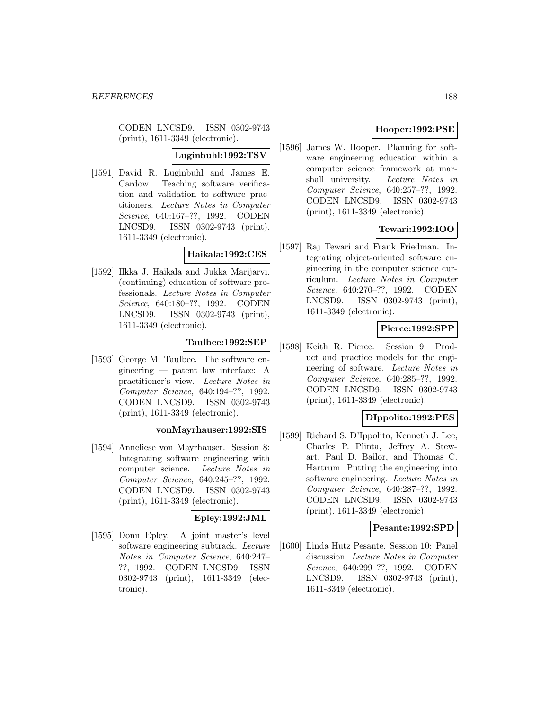CODEN LNCSD9. ISSN 0302-9743 (print), 1611-3349 (electronic).

**Luginbuhl:1992:TSV**

[1591] David R. Luginbuhl and James E. Cardow. Teaching software verification and validation to software practitioners. Lecture Notes in Computer Science, 640:167–??, 1992. CODEN LNCSD9. ISSN 0302-9743 (print), 1611-3349 (electronic).

# **Haikala:1992:CES**

[1592] Ilkka J. Haikala and Jukka Marijarvi. (continuing) education of software professionals. Lecture Notes in Computer Science, 640:180–??, 1992. CODEN LNCSD9. ISSN 0302-9743 (print), 1611-3349 (electronic).

# **Taulbee:1992:SEP**

[1593] George M. Taulbee. The software engineering — patent law interface: A practitioner's view. Lecture Notes in Computer Science, 640:194–??, 1992. CODEN LNCSD9. ISSN 0302-9743 (print), 1611-3349 (electronic).

## **vonMayrhauser:1992:SIS**

[1594] Anneliese von Mayrhauser. Session 8: Integrating software engineering with computer science. Lecture Notes in Computer Science, 640:245–??, 1992. CODEN LNCSD9. ISSN 0302-9743 (print), 1611-3349 (electronic).

# **Epley:1992:JML**

[1595] Donn Epley. A joint master's level software engineering subtrack. Lecture Notes in Computer Science, 640:247– ??, 1992. CODEN LNCSD9. ISSN 0302-9743 (print), 1611-3349 (electronic).

# **Hooper:1992:PSE**

[1596] James W. Hooper. Planning for software engineering education within a computer science framework at marshall university. Lecture Notes in Computer Science, 640:257–??, 1992. CODEN LNCSD9. ISSN 0302-9743 (print), 1611-3349 (electronic).

# **Tewari:1992:IOO**

[1597] Raj Tewari and Frank Friedman. Integrating object-oriented software engineering in the computer science curriculum. Lecture Notes in Computer Science, 640:270–??, 1992. CODEN LNCSD9. ISSN 0302-9743 (print), 1611-3349 (electronic).

# **Pierce:1992:SPP**

[1598] Keith R. Pierce. Session 9: Product and practice models for the engineering of software. Lecture Notes in Computer Science, 640:285–??, 1992. CODEN LNCSD9. ISSN 0302-9743 (print), 1611-3349 (electronic).

## **DIppolito:1992:PES**

[1599] Richard S. D'Ippolito, Kenneth J. Lee, Charles P. Plinta, Jeffrey A. Stewart, Paul D. Bailor, and Thomas C. Hartrum. Putting the engineering into software engineering. Lecture Notes in Computer Science, 640:287–??, 1992. CODEN LNCSD9. ISSN 0302-9743 (print), 1611-3349 (electronic).

### **Pesante:1992:SPD**

[1600] Linda Hutz Pesante. Session 10: Panel discussion. Lecture Notes in Computer Science, 640:299–??, 1992. CODEN LNCSD9. ISSN 0302-9743 (print), 1611-3349 (electronic).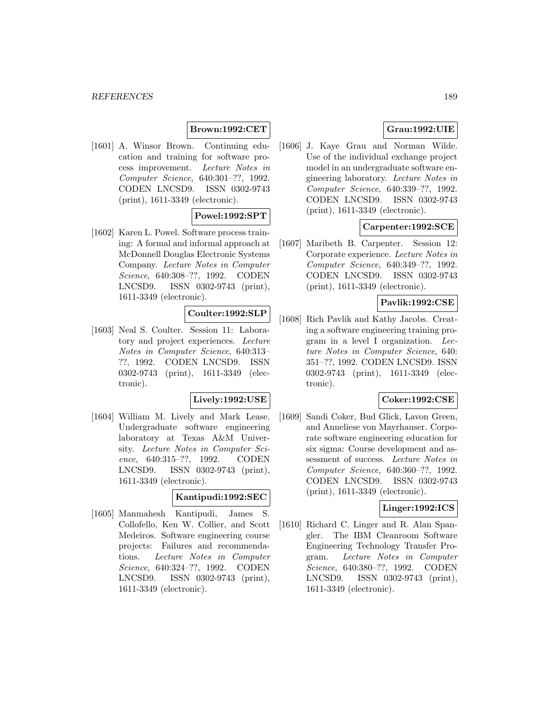# **Brown:1992:CET**

[1601] A. Winsor Brown. Continuing education and training for software process improvement. Lecture Notes in Computer Science, 640:301–??, 1992. CODEN LNCSD9. ISSN 0302-9743 (print), 1611-3349 (electronic).

## **Powel:1992:SPT**

[1602] Karen L. Powel. Software process training: A formal and informal approach at McDonnell Douglas Electronic Systems Company. Lecture Notes in Computer Science, 640:308–??, 1992. CODEN LNCSD9. ISSN 0302-9743 (print), 1611-3349 (electronic).

# **Coulter:1992:SLP**

[1603] Neal S. Coulter. Session 11: Laboratory and project experiences. Lecture Notes in Computer Science, 640:313– ??, 1992. CODEN LNCSD9. ISSN 0302-9743 (print), 1611-3349 (electronic).

# **Lively:1992:USE**

[1604] William M. Lively and Mark Lease. Undergraduate software engineering laboratory at Texas A&M University. Lecture Notes in Computer Science, 640:315–??, 1992. CODEN LNCSD9. ISSN 0302-9743 (print), 1611-3349 (electronic).

# **Kantipudi:1992:SEC**

[1605] Manmahesh Kantipudi, James S. Collofello, Ken W. Collier, and Scott Medeiros. Software engineering course projects: Failures and recommendations. Lecture Notes in Computer Science, 640:324–??, 1992. CODEN LNCSD9. ISSN 0302-9743 (print), 1611-3349 (electronic).

# **Grau:1992:UIE**

[1606] J. Kaye Grau and Norman Wilde. Use of the individual exchange project model in an undergraduate software engineering laboratory. Lecture Notes in Computer Science, 640:339–??, 1992. CODEN LNCSD9. ISSN 0302-9743 (print), 1611-3349 (electronic).

# **Carpenter:1992:SCE**

[1607] Maribeth B. Carpenter. Session 12: Corporate experience. Lecture Notes in Computer Science, 640:349–??, 1992. CODEN LNCSD9. ISSN 0302-9743 (print), 1611-3349 (electronic).

#### **Pavlik:1992:CSE**

[1608] Rich Pavlik and Kathy Jacobs. Creating a software engineering training program in a level I organization. Lecture Notes in Computer Science, 640: 351–??, 1992. CODEN LNCSD9. ISSN 0302-9743 (print), 1611-3349 (electronic).

# **Coker:1992:CSE**

[1609] Sandi Coker, Bud Glick, Lavon Green, and Anneliese von Mayrhauser. Corporate software engineering education for six sigma: Course development and assessment of success. Lecture Notes in Computer Science, 640:360–??, 1992. CODEN LNCSD9. ISSN 0302-9743 (print), 1611-3349 (electronic).

### **Linger:1992:ICS**

[1610] Richard C. Linger and R. Alan Spangler. The IBM Cleanroom Software Engineering Technology Transfer Program. Lecture Notes in Computer Science, 640:380–??, 1992. CODEN LNCSD9. ISSN 0302-9743 (print), 1611-3349 (electronic).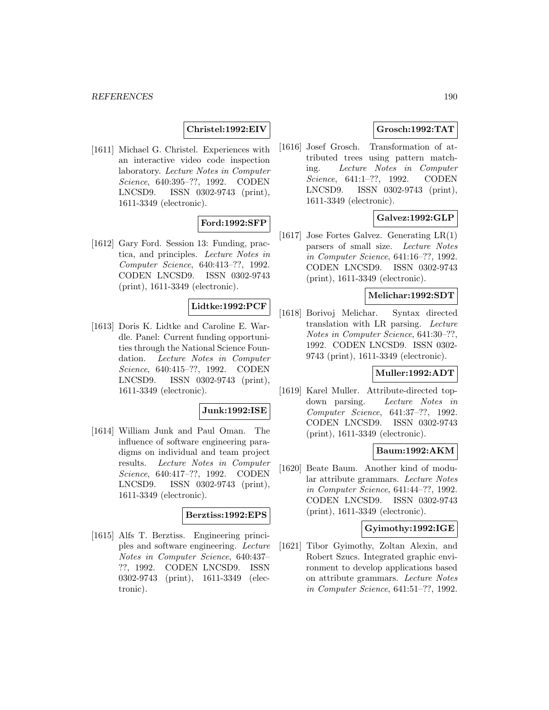## **Christel:1992:EIV**

[1611] Michael G. Christel. Experiences with an interactive video code inspection laboratory. Lecture Notes in Computer Science, 640:395–??, 1992. CODEN LNCSD9. ISSN 0302-9743 (print), 1611-3349 (electronic).

# **Ford:1992:SFP**

[1612] Gary Ford. Session 13: Funding, practica, and principles. Lecture Notes in Computer Science, 640:413–??, 1992. CODEN LNCSD9. ISSN 0302-9743 (print), 1611-3349 (electronic).

# **Lidtke:1992:PCF**

[1613] Doris K. Lidtke and Caroline E. Wardle. Panel: Current funding opportunities through the National Science Foundation. Lecture Notes in Computer Science, 640:415–??, 1992. CODEN LNCSD9. ISSN 0302-9743 (print), 1611-3349 (electronic).

### **Junk:1992:ISE**

[1614] William Junk and Paul Oman. The influence of software engineering paradigms on individual and team project results. Lecture Notes in Computer Science, 640:417–??, 1992. CODEN LNCSD9. ISSN 0302-9743 (print), 1611-3349 (electronic).

#### **Berztiss:1992:EPS**

[1615] Alfs T. Berztiss. Engineering principles and software engineering. Lecture Notes in Computer Science, 640:437– ??, 1992. CODEN LNCSD9. ISSN 0302-9743 (print), 1611-3349 (electronic).

# **Grosch:1992:TAT**

[1616] Josef Grosch. Transformation of attributed trees using pattern matching. Lecture Notes in Computer Science, 641:1–??, 1992. CODEN LNCSD9. ISSN 0302-9743 (print), 1611-3349 (electronic).

# **Galvez:1992:GLP**

[1617] Jose Fortes Galvez. Generating LR(1) parsers of small size. Lecture Notes in Computer Science, 641:16–??, 1992. CODEN LNCSD9. ISSN 0302-9743 (print), 1611-3349 (electronic).

### **Melichar:1992:SDT**

[1618] Borivoj Melichar. Syntax directed translation with LR parsing. Lecture Notes in Computer Science, 641:30–??, 1992. CODEN LNCSD9. ISSN 0302- 9743 (print), 1611-3349 (electronic).

### **Muller:1992:ADT**

[1619] Karel Muller. Attribute-directed topdown parsing. Lecture Notes in Computer Science, 641:37–??, 1992. CODEN LNCSD9. ISSN 0302-9743 (print), 1611-3349 (electronic).

### **Baum:1992:AKM**

[1620] Beate Baum. Another kind of modular attribute grammars. Lecture Notes in Computer Science, 641:44–??, 1992. CODEN LNCSD9. ISSN 0302-9743 (print), 1611-3349 (electronic).

#### **Gyimothy:1992:IGE**

[1621] Tibor Gyimothy, Zoltan Alexin, and Robert Szucs. Integrated graphic environment to develop applications based on attribute grammars. Lecture Notes in Computer Science, 641:51–??, 1992.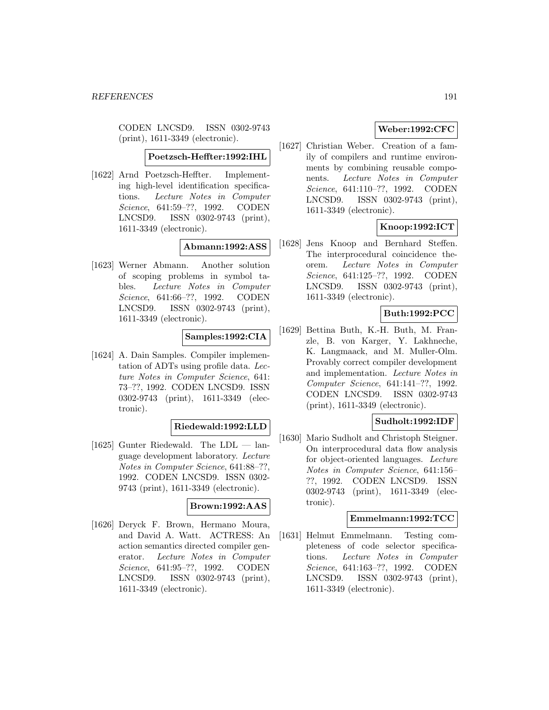CODEN LNCSD9. ISSN 0302-9743 (print), 1611-3349 (electronic).

**Poetzsch-Heffter:1992:IHL**

[1622] Arnd Poetzsch-Heffter. Implementing high-level identification specifications. Lecture Notes in Computer Science, 641:59–??, 1992. CODEN LNCSD9. ISSN 0302-9743 (print), 1611-3349 (electronic).

# **Abmann:1992:ASS**

[1623] Werner Abmann. Another solution of scoping problems in symbol tables. Lecture Notes in Computer Science, 641:66–??, 1992. CODEN LNCSD9. ISSN 0302-9743 (print), 1611-3349 (electronic).

#### **Samples:1992:CIA**

[1624] A. Dain Samples. Compiler implementation of ADTs using profile data. Lecture Notes in Computer Science, 641: 73–??, 1992. CODEN LNCSD9. ISSN 0302-9743 (print), 1611-3349 (electronic).

#### **Riedewald:1992:LLD**

[1625] Gunter Riedewald. The LDL — language development laboratory. Lecture Notes in Computer Science, 641:88–??, 1992. CODEN LNCSD9. ISSN 0302- 9743 (print), 1611-3349 (electronic).

### **Brown:1992:AAS**

[1626] Deryck F. Brown, Hermano Moura, and David A. Watt. ACTRESS: An action semantics directed compiler generator. Lecture Notes in Computer Science, 641:95–??, 1992. CODEN LNCSD9. ISSN 0302-9743 (print), 1611-3349 (electronic).

# **Weber:1992:CFC**

[1627] Christian Weber. Creation of a family of compilers and runtime environments by combining reusable components. Lecture Notes in Computer Science, 641:110–??, 1992. CODEN LNCSD9. ISSN 0302-9743 (print), 1611-3349 (electronic).

# **Knoop:1992:ICT**

[1628] Jens Knoop and Bernhard Steffen. The interprocedural coincidence theorem. Lecture Notes in Computer Science, 641:125–??, 1992. CODEN LNCSD9. ISSN 0302-9743 (print), 1611-3349 (electronic).

# **Buth:1992:PCC**

[1629] Bettina Buth, K.-H. Buth, M. Franzle, B. von Karger, Y. Lakhneche, K. Langmaack, and M. Muller-Olm. Provably correct compiler development and implementation. Lecture Notes in Computer Science, 641:141–??, 1992. CODEN LNCSD9. ISSN 0302-9743 (print), 1611-3349 (electronic).

### **Sudholt:1992:IDF**

[1630] Mario Sudholt and Christoph Steigner. On interprocedural data flow analysis for object-oriented languages. Lecture Notes in Computer Science, 641:156– ??, 1992. CODEN LNCSD9. ISSN 0302-9743 (print), 1611-3349 (electronic).

## **Emmelmann:1992:TCC**

[1631] Helmut Emmelmann. Testing completeness of code selector specifications. Lecture Notes in Computer Science, 641:163–??, 1992. CODEN LNCSD9. ISSN 0302-9743 (print), 1611-3349 (electronic).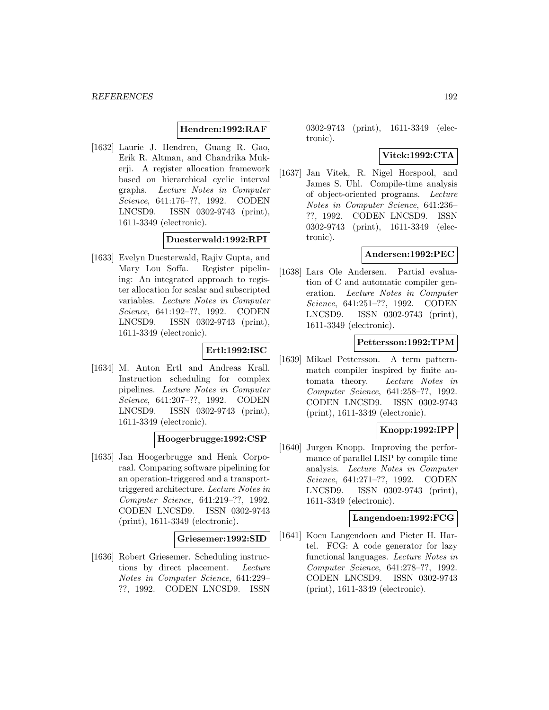## **Hendren:1992:RAF**

[1632] Laurie J. Hendren, Guang R. Gao, Erik R. Altman, and Chandrika Mukerji. A register allocation framework based on hierarchical cyclic interval graphs. Lecture Notes in Computer Science, 641:176–??, 1992. CODEN LNCSD9. ISSN 0302-9743 (print), 1611-3349 (electronic).

#### **Duesterwald:1992:RPI**

[1633] Evelyn Duesterwald, Rajiv Gupta, and Mary Lou Soffa. Register pipelining: An integrated approach to register allocation for scalar and subscripted variables. Lecture Notes in Computer Science, 641:192–??, 1992. CODEN LNCSD9. ISSN 0302-9743 (print), 1611-3349 (electronic).

# **Ertl:1992:ISC**

[1634] M. Anton Ertl and Andreas Krall. Instruction scheduling for complex pipelines. Lecture Notes in Computer Science, 641:207–??, 1992. CODEN LNCSD9. ISSN 0302-9743 (print), 1611-3349 (electronic).

### **Hoogerbrugge:1992:CSP**

[1635] Jan Hoogerbrugge and Henk Corporaal. Comparing software pipelining for an operation-triggered and a transporttriggered architecture. Lecture Notes in Computer Science, 641:219–??, 1992. CODEN LNCSD9. ISSN 0302-9743 (print), 1611-3349 (electronic).

#### **Griesemer:1992:SID**

[1636] Robert Griesemer. Scheduling instructions by direct placement. Lecture Notes in Computer Science, 641:229– ??, 1992. CODEN LNCSD9. ISSN

0302-9743 (print), 1611-3349 (electronic).

#### **Vitek:1992:CTA**

[1637] Jan Vitek, R. Nigel Horspool, and James S. Uhl. Compile-time analysis of object-oriented programs. Lecture Notes in Computer Science, 641:236– ??, 1992. CODEN LNCSD9. ISSN 0302-9743 (print), 1611-3349 (electronic).

### **Andersen:1992:PEC**

[1638] Lars Ole Andersen. Partial evaluation of C and automatic compiler generation. Lecture Notes in Computer Science, 641:251–??, 1992. CODEN LNCSD9. ISSN 0302-9743 (print), 1611-3349 (electronic).

#### **Pettersson:1992:TPM**

[1639] Mikael Pettersson. A term patternmatch compiler inspired by finite automata theory. Lecture Notes in Computer Science, 641:258–??, 1992. CODEN LNCSD9. ISSN 0302-9743 (print), 1611-3349 (electronic).

# **Knopp:1992:IPP**

[1640] Jurgen Knopp. Improving the performance of parallel LISP by compile time analysis. Lecture Notes in Computer Science, 641:271–??, 1992. CODEN LNCSD9. ISSN 0302-9743 (print), 1611-3349 (electronic).

## **Langendoen:1992:FCG**

[1641] Koen Langendoen and Pieter H. Hartel. FCG: A code generator for lazy functional languages. Lecture Notes in Computer Science, 641:278–??, 1992. CODEN LNCSD9. ISSN 0302-9743 (print), 1611-3349 (electronic).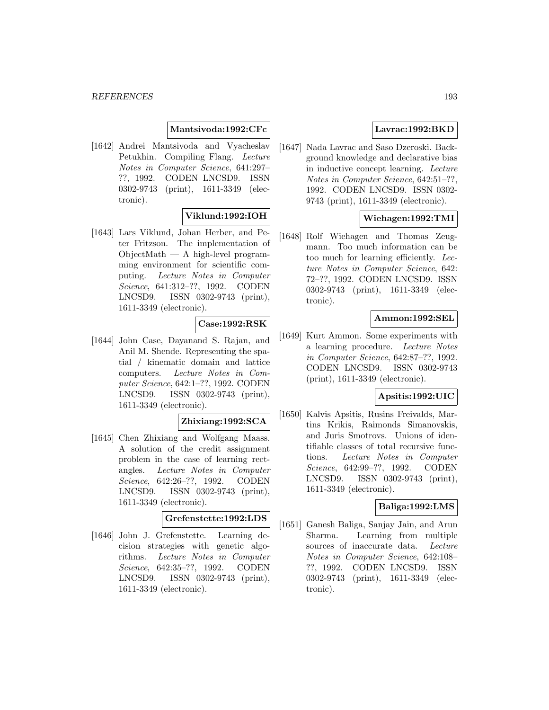## **Mantsivoda:1992:CFc**

[1642] Andrei Mantsivoda and Vyacheslav Petukhin. Compiling Flang. Lecture Notes in Computer Science, 641:297– ??, 1992. CODEN LNCSD9. ISSN 0302-9743 (print), 1611-3349 (electronic).

# **Viklund:1992:IOH**

[1643] Lars Viklund, Johan Herber, and Peter Fritzson. The implementation of  $ObjectMath - A high-level program$ ming environment for scientific computing. Lecture Notes in Computer Science, 641:312–??, 1992. CODEN LNCSD9. ISSN 0302-9743 (print), 1611-3349 (electronic).

# **Case:1992:RSK**

[1644] John Case, Dayanand S. Rajan, and Anil M. Shende. Representing the spatial / kinematic domain and lattice computers. Lecture Notes in Computer Science, 642:1–??, 1992. CODEN LNCSD9. ISSN 0302-9743 (print), 1611-3349 (electronic).

#### **Zhixiang:1992:SCA**

[1645] Chen Zhixiang and Wolfgang Maass. A solution of the credit assignment problem in the case of learning rectangles. Lecture Notes in Computer Science, 642:26–??, 1992. CODEN LNCSD9. ISSN 0302-9743 (print), 1611-3349 (electronic).

## **Grefenstette:1992:LDS**

[1646] John J. Grefenstette. Learning decision strategies with genetic algorithms. Lecture Notes in Computer Science, 642:35–??, 1992. CODEN LNCSD9. ISSN 0302-9743 (print), 1611-3349 (electronic).

# **Lavrac:1992:BKD**

[1647] Nada Lavrac and Saso Dzeroski. Background knowledge and declarative bias in inductive concept learning. Lecture Notes in Computer Science, 642:51–??, 1992. CODEN LNCSD9. ISSN 0302- 9743 (print), 1611-3349 (electronic).

# **Wiehagen:1992:TMI**

[1648] Rolf Wiehagen and Thomas Zeugmann. Too much information can be too much for learning efficiently. Lecture Notes in Computer Science, 642: 72–??, 1992. CODEN LNCSD9. ISSN 0302-9743 (print), 1611-3349 (electronic).

### **Ammon:1992:SEL**

[1649] Kurt Ammon. Some experiments with a learning procedure. Lecture Notes in Computer Science, 642:87–??, 1992. CODEN LNCSD9. ISSN 0302-9743 (print), 1611-3349 (electronic).

### **Apsitis:1992:UIC**

[1650] Kalvis Apsitis, Rusins Freivalds, Martins Krikis, Raimonds Simanovskis, and Juris Smotrovs. Unions of identifiable classes of total recursive functions. Lecture Notes in Computer Science, 642:99–??, 1992. CODEN LNCSD9. ISSN 0302-9743 (print), 1611-3349 (electronic).

## **Baliga:1992:LMS**

[1651] Ganesh Baliga, Sanjay Jain, and Arun Sharma. Learning from multiple sources of inaccurate data. Lecture Notes in Computer Science, 642:108– ??, 1992. CODEN LNCSD9. ISSN 0302-9743 (print), 1611-3349 (electronic).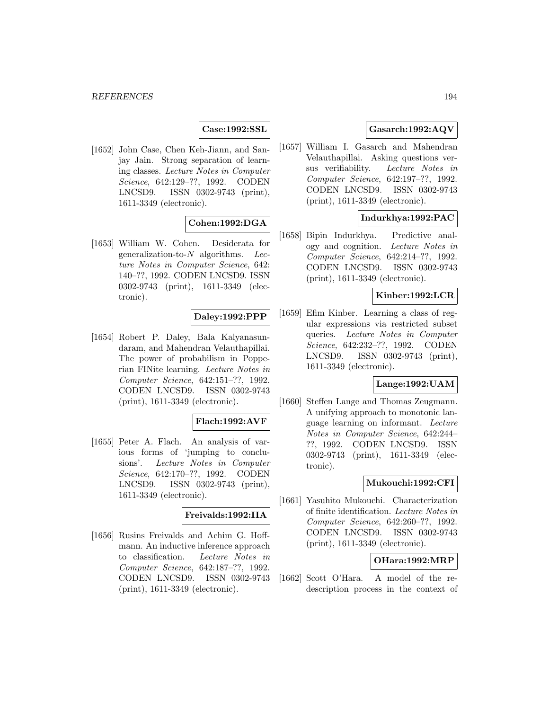## **Case:1992:SSL**

[1652] John Case, Chen Keh-Jiann, and Sanjay Jain. Strong separation of learning classes. Lecture Notes in Computer Science, 642:129–??, 1992. CODEN LNCSD9. ISSN 0302-9743 (print), 1611-3349 (electronic).

# **Cohen:1992:DGA**

[1653] William W. Cohen. Desiderata for generalization-to- $N$  algorithms. Lecture Notes in Computer Science, 642: 140–??, 1992. CODEN LNCSD9. ISSN 0302-9743 (print), 1611-3349 (electronic).

### **Daley:1992:PPP**

[1654] Robert P. Daley, Bala Kalyanasundaram, and Mahendran Velauthapillai. The power of probabilism in Popperian FINite learning. Lecture Notes in Computer Science, 642:151–??, 1992. CODEN LNCSD9. ISSN 0302-9743 (print), 1611-3349 (electronic).

#### **Flach:1992:AVF**

[1655] Peter A. Flach. An analysis of various forms of 'jumping to conclusions'. Lecture Notes in Computer Science, 642:170–??, 1992. CODEN LNCSD9. ISSN 0302-9743 (print), 1611-3349 (electronic).

#### **Freivalds:1992:IIA**

[1656] Rusins Freivalds and Achim G. Hoffmann. An inductive inference approach to classification. Lecture Notes in Computer Science, 642:187–??, 1992. CODEN LNCSD9. ISSN 0302-9743 (print), 1611-3349 (electronic).

# **Gasarch:1992:AQV**

[1657] William I. Gasarch and Mahendran Velauthapillai. Asking questions versus verifiability. Lecture Notes in Computer Science, 642:197–??, 1992. CODEN LNCSD9. ISSN 0302-9743 (print), 1611-3349 (electronic).

### **Indurkhya:1992:PAC**

[1658] Bipin Indurkhya. Predictive analogy and cognition. Lecture Notes in Computer Science, 642:214–??, 1992. CODEN LNCSD9. ISSN 0302-9743 (print), 1611-3349 (electronic).

# **Kinber:1992:LCR**

[1659] Efim Kinber. Learning a class of regular expressions via restricted subset queries. Lecture Notes in Computer Science, 642:232–??, 1992. CODEN LNCSD9. ISSN 0302-9743 (print), 1611-3349 (electronic).

# **Lange:1992:UAM**

[1660] Steffen Lange and Thomas Zeugmann. A unifying approach to monotonic language learning on informant. Lecture Notes in Computer Science, 642:244– ??, 1992. CODEN LNCSD9. ISSN 0302-9743 (print), 1611-3349 (electronic).

#### **Mukouchi:1992:CFI**

[1661] Yasuhito Mukouchi. Characterization of finite identification. Lecture Notes in Computer Science, 642:260–??, 1992. CODEN LNCSD9. ISSN 0302-9743 (print), 1611-3349 (electronic).

#### **OHara:1992:MRP**

[1662] Scott O'Hara. A model of the redescription process in the context of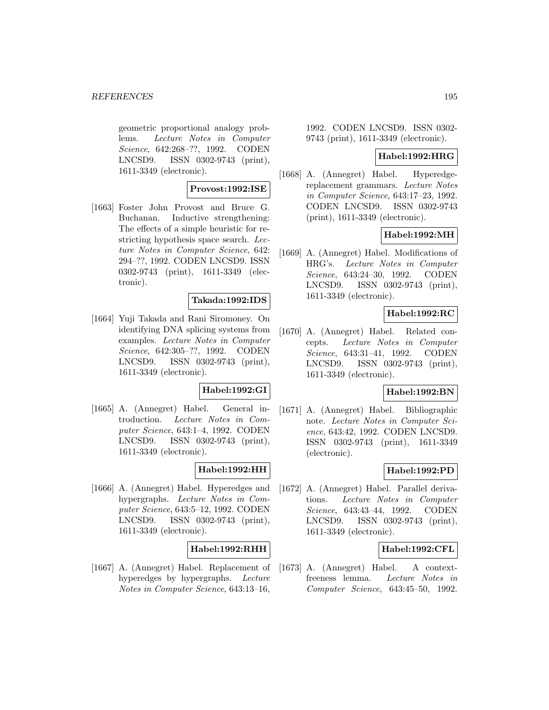geometric proportional analogy problems. Lecture Notes in Computer Science, 642:268–??, 1992. CODEN LNCSD9. ISSN 0302-9743 (print), 1611-3349 (electronic).

### **Provost:1992:ISE**

[1663] Foster John Provost and Bruce G. Buchanan. Inductive strengthening: The effects of a simple heuristic for restricting hypothesis space search. Lecture Notes in Computer Science, 642: 294–??, 1992. CODEN LNCSD9. ISSN 0302-9743 (print), 1611-3349 (electronic).

### **Takada:1992:IDS**

[1664] Yuji Takada and Rani Siromoney. On identifying DNA splicing systems from examples. Lecture Notes in Computer Science, 642:305–??, 1992. CODEN LNCSD9. ISSN 0302-9743 (print), 1611-3349 (electronic).

#### **Habel:1992:GI**

[1665] A. (Annegret) Habel. General introduction. Lecture Notes in Computer Science, 643:1–4, 1992. CODEN LNCSD9. ISSN 0302-9743 (print), 1611-3349 (electronic).

### **Habel:1992:HH**

[1666] A. (Annegret) Habel. Hyperedges and hypergraphs. Lecture Notes in Computer Science, 643:5–12, 1992. CODEN LNCSD9. ISSN 0302-9743 (print), 1611-3349 (electronic).

## **Habel:1992:RHH**

[1667] A. (Annegret) Habel. Replacement of hyperedges by hypergraphs. Lecture Notes in Computer Science, 643:13–16,

1992. CODEN LNCSD9. ISSN 0302- 9743 (print), 1611-3349 (electronic).

#### **Habel:1992:HRG**

[1668] A. (Annegret) Habel. Hyperedgereplacement grammars. Lecture Notes in Computer Science, 643:17–23, 1992. CODEN LNCSD9. ISSN 0302-9743 (print), 1611-3349 (electronic).

### **Habel:1992:MH**

[1669] A. (Annegret) Habel. Modifications of HRG's. Lecture Notes in Computer Science, 643:24–30, 1992. CODEN LNCSD9. ISSN 0302-9743 (print), 1611-3349 (electronic).

# **Habel:1992:RC**

[1670] A. (Annegret) Habel. Related concepts. Lecture Notes in Computer Science, 643:31–41, 1992. CODEN LNCSD9. ISSN 0302-9743 (print), 1611-3349 (electronic).

### **Habel:1992:BN**

[1671] A. (Annegret) Habel. Bibliographic note. Lecture Notes in Computer Science, 643:42, 1992. CODEN LNCSD9. ISSN 0302-9743 (print), 1611-3349 (electronic).

### **Habel:1992:PD**

[1672] A. (Annegret) Habel. Parallel derivations. Lecture Notes in Computer Science, 643:43–44, 1992. CODEN LNCSD9. ISSN 0302-9743 (print), 1611-3349 (electronic).

# **Habel:1992:CFL**

[1673] A. (Annegret) Habel. A contextfreeness lemma. Lecture Notes in Computer Science, 643:45–50, 1992.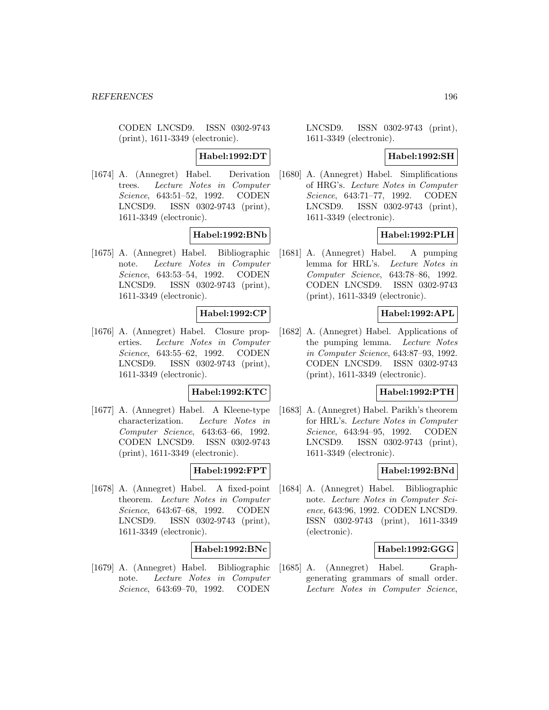CODEN LNCSD9. ISSN 0302-9743 (print), 1611-3349 (electronic).

**Habel:1992:DT**

[1674] A. (Annegret) Habel. Derivation trees. Lecture Notes in Computer Science, 643:51–52, 1992. CODEN LNCSD9. ISSN 0302-9743 (print), 1611-3349 (electronic).

**Habel:1992:BNb**

[1675] A. (Annegret) Habel. Bibliographic note. Lecture Notes in Computer Science, 643:53–54, 1992. CODEN LNCSD9. ISSN 0302-9743 (print), 1611-3349 (electronic).

### **Habel:1992:CP**

[1676] A. (Annegret) Habel. Closure properties. Lecture Notes in Computer Science, 643:55–62, 1992. CODEN LNCSD9. ISSN 0302-9743 (print), 1611-3349 (electronic).

### **Habel:1992:KTC**

[1677] A. (Annegret) Habel. A Kleene-type characterization. Lecture Notes in Computer Science, 643:63–66, 1992. CODEN LNCSD9. ISSN 0302-9743 (print), 1611-3349 (electronic).

### **Habel:1992:FPT**

[1678] A. (Annegret) Habel. A fixed-point theorem. Lecture Notes in Computer Science, 643:67–68, 1992. CODEN LNCSD9. ISSN 0302-9743 (print), 1611-3349 (electronic).

## **Habel:1992:BNc**

[1679] A. (Annegret) Habel. Bibliographic note. Lecture Notes in Computer Science, 643:69–70, 1992. CODEN

LNCSD9. ISSN 0302-9743 (print), 1611-3349 (electronic).

#### **Habel:1992:SH**

[1680] A. (Annegret) Habel. Simplifications of HRG's. Lecture Notes in Computer Science, 643:71–77, 1992. CODEN LNCSD9. ISSN 0302-9743 (print), 1611-3349 (electronic).

#### **Habel:1992:PLH**

[1681] A. (Annegret) Habel. A pumping lemma for HRL's. Lecture Notes in Computer Science, 643:78–86, 1992. CODEN LNCSD9. ISSN 0302-9743 (print), 1611-3349 (electronic).

## **Habel:1992:APL**

[1682] A. (Annegret) Habel. Applications of the pumping lemma. Lecture Notes in Computer Science, 643:87–93, 1992. CODEN LNCSD9. ISSN 0302-9743 (print), 1611-3349 (electronic).

#### **Habel:1992:PTH**

[1683] A. (Annegret) Habel. Parikh's theorem for HRL's. Lecture Notes in Computer Science, 643:94–95, 1992. CODEN LNCSD9. ISSN 0302-9743 (print), 1611-3349 (electronic).

### **Habel:1992:BNd**

[1684] A. (Annegret) Habel. Bibliographic note. Lecture Notes in Computer Science, 643:96, 1992. CODEN LNCSD9. ISSN 0302-9743 (print), 1611-3349 (electronic).

#### **Habel:1992:GGG**

[1685] A. (Annegret) Habel. Graphgenerating grammars of small order. Lecture Notes in Computer Science,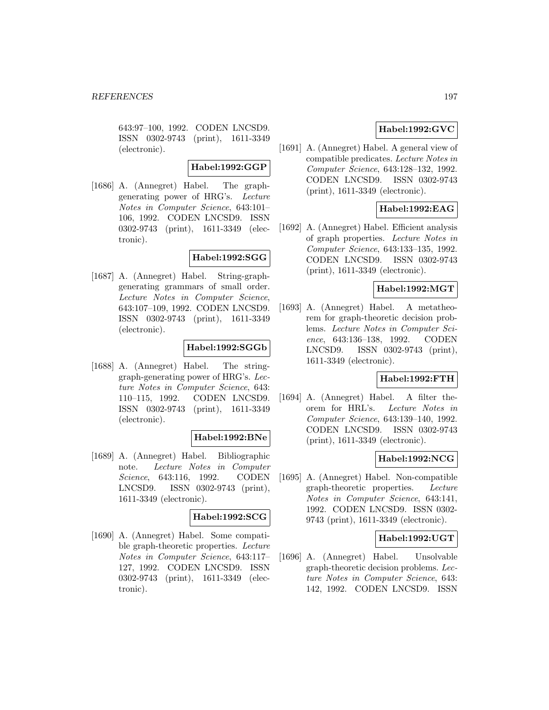643:97–100, 1992. CODEN LNCSD9. ISSN 0302-9743 (print), 1611-3349 (electronic).

#### **Habel:1992:GGP**

[1686] A. (Annegret) Habel. The graphgenerating power of HRG's. Lecture Notes in Computer Science, 643:101– 106, 1992. CODEN LNCSD9. ISSN 0302-9743 (print), 1611-3349 (electronic).

## **Habel:1992:SGG**

[1687] A. (Annegret) Habel. String-graphgenerating grammars of small order. Lecture Notes in Computer Science, 643:107–109, 1992. CODEN LNCSD9. ISSN 0302-9743 (print), 1611-3349 (electronic).

### **Habel:1992:SGGb**

[1688] A. (Annegret) Habel. The stringgraph-generating power of HRG's. Lecture Notes in Computer Science, 643: 110–115, 1992. CODEN LNCSD9. ISSN 0302-9743 (print), 1611-3349 (electronic).

### **Habel:1992:BNe**

[1689] A. (Annegret) Habel. Bibliographic note. Lecture Notes in Computer Science, 643:116, 1992. CODEN LNCSD9. ISSN 0302-9743 (print), 1611-3349 (electronic).

## **Habel:1992:SCG**

[1690] A. (Annegret) Habel. Some compatible graph-theoretic properties. Lecture Notes in Computer Science, 643:117– 127, 1992. CODEN LNCSD9. ISSN 0302-9743 (print), 1611-3349 (electronic).

# **Habel:1992:GVC**

[1691] A. (Annegret) Habel. A general view of compatible predicates. Lecture Notes in Computer Science, 643:128–132, 1992. CODEN LNCSD9. ISSN 0302-9743 (print), 1611-3349 (electronic).

## **Habel:1992:EAG**

[1692] A. (Annegret) Habel. Efficient analysis of graph properties. Lecture Notes in Computer Science, 643:133–135, 1992. CODEN LNCSD9. ISSN 0302-9743 (print), 1611-3349 (electronic).

#### **Habel:1992:MGT**

[1693] A. (Annegret) Habel. A metatheorem for graph-theoretic decision problems. Lecture Notes in Computer Science, 643:136–138, 1992. CODEN LNCSD9. ISSN 0302-9743 (print), 1611-3349 (electronic).

## **Habel:1992:FTH**

[1694] A. (Annegret) Habel. A filter theorem for HRL's. Lecture Notes in Computer Science, 643:139–140, 1992. CODEN LNCSD9. ISSN 0302-9743 (print), 1611-3349 (electronic).

# **Habel:1992:NCG**

[1695] A. (Annegret) Habel. Non-compatible graph-theoretic properties. Lecture Notes in Computer Science, 643:141, 1992. CODEN LNCSD9. ISSN 0302- 9743 (print), 1611-3349 (electronic).

#### **Habel:1992:UGT**

[1696] A. (Annegret) Habel. Unsolvable graph-theoretic decision problems. Lecture Notes in Computer Science, 643: 142, 1992. CODEN LNCSD9. ISSN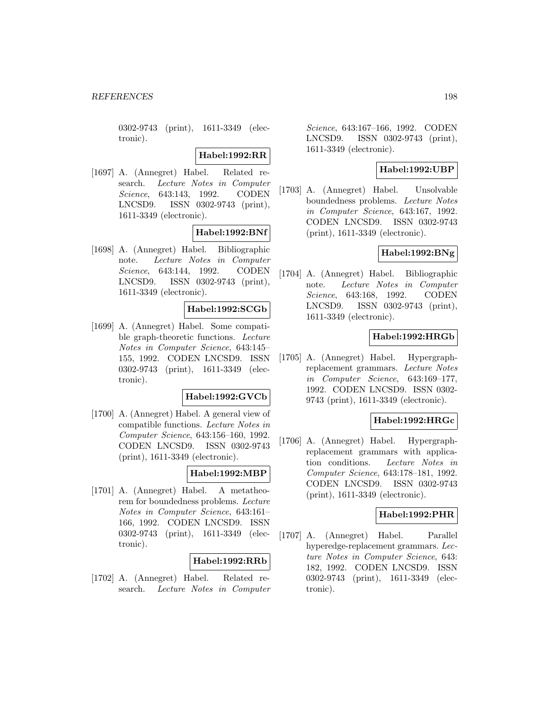0302-9743 (print), 1611-3349 (electronic).

**Habel:1992:RR**

[1697] A. (Annegret) Habel. Related research. Lecture Notes in Computer Science, 643:143, 1992. CODEN LNCSD9. ISSN 0302-9743 (print), 1611-3349 (electronic).

# **Habel:1992:BNf**

[1698] A. (Annegret) Habel. Bibliographic note. Lecture Notes in Computer Science, 643:144, 1992. CODEN LNCSD9. ISSN 0302-9743 (print), 1611-3349 (electronic).

# **Habel:1992:SCGb**

[1699] A. (Annegret) Habel. Some compatible graph-theoretic functions. Lecture Notes in Computer Science, 643:145– 155, 1992. CODEN LNCSD9. ISSN 0302-9743 (print), 1611-3349 (electronic).

#### **Habel:1992:GVCb**

[1700] A. (Annegret) Habel. A general view of compatible functions. Lecture Notes in Computer Science, 643:156–160, 1992. CODEN LNCSD9. ISSN 0302-9743 (print), 1611-3349 (electronic).

### **Habel:1992:MBP**

[1701] A. (Annegret) Habel. A metatheorem for boundedness problems. Lecture Notes in Computer Science, 643:161– 166, 1992. CODEN LNCSD9. ISSN 0302-9743 (print), 1611-3349 (electronic).

## **Habel:1992:RRb**

[1702] A. (Annegret) Habel. Related research. Lecture Notes in Computer

Science, 643:167–166, 1992. CODEN LNCSD9. ISSN 0302-9743 (print), 1611-3349 (electronic).

## **Habel:1992:UBP**

[1703] A. (Annegret) Habel. Unsolvable boundedness problems. Lecture Notes in Computer Science, 643:167, 1992. CODEN LNCSD9. ISSN 0302-9743 (print), 1611-3349 (electronic).

# **Habel:1992:BNg**

[1704] A. (Annegret) Habel. Bibliographic note. Lecture Notes in Computer Science, 643:168, 1992. CODEN LNCSD9. ISSN 0302-9743 (print), 1611-3349 (electronic).

# **Habel:1992:HRGb**

[1705] A. (Annegret) Habel. Hypergraphreplacement grammars. Lecture Notes in Computer Science, 643:169–177, 1992. CODEN LNCSD9. ISSN 0302- 9743 (print), 1611-3349 (electronic).

### **Habel:1992:HRGc**

[1706] A. (Annegret) Habel. Hypergraphreplacement grammars with application conditions. Lecture Notes in Computer Science, 643:178–181, 1992. CODEN LNCSD9. ISSN 0302-9743 (print), 1611-3349 (electronic).

### **Habel:1992:PHR**

[1707] A. (Annegret) Habel. Parallel hyperedge-replacement grammars. Lecture Notes in Computer Science, 643: 182, 1992. CODEN LNCSD9. ISSN 0302-9743 (print), 1611-3349 (electronic).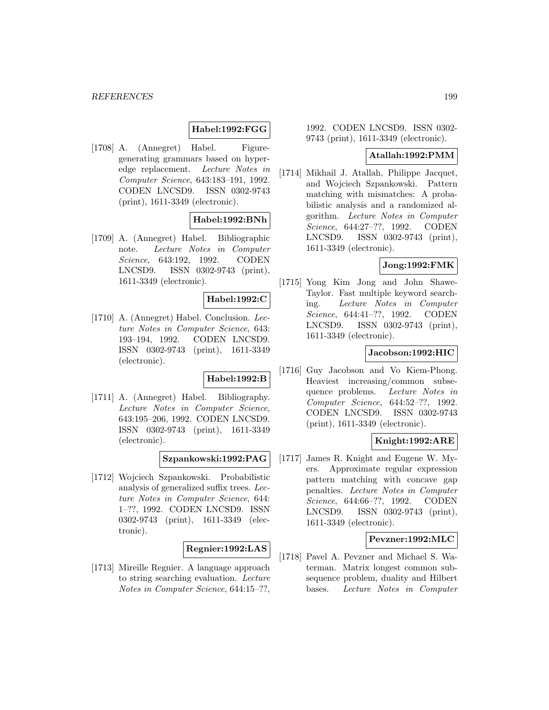# **Habel:1992:FGG**

[1708] A. (Annegret) Habel. Figuregenerating grammars based on hyperedge replacement. Lecture Notes in Computer Science, 643:183–191, 1992. CODEN LNCSD9. ISSN 0302-9743 (print), 1611-3349 (electronic).

# **Habel:1992:BNh**

[1709] A. (Annegret) Habel. Bibliographic note. Lecture Notes in Computer Science, 643:192, 1992. CODEN LNCSD9. ISSN 0302-9743 (print), 1611-3349 (electronic).

#### **Habel:1992:C**

[1710] A. (Annegret) Habel. Conclusion. Lecture Notes in Computer Science, 643: 193–194, 1992. CODEN LNCSD9. ISSN 0302-9743 (print), 1611-3349 (electronic).

#### **Habel:1992:B**

[1711] A. (Annegret) Habel. Bibliography. Lecture Notes in Computer Science, 643:195–206, 1992. CODEN LNCSD9. ISSN 0302-9743 (print), 1611-3349 (electronic).

**Szpankowski:1992:PAG**

[1712] Wojciech Szpankowski. Probabilistic analysis of generalized suffix trees. Lecture Notes in Computer Science, 644: 1–??, 1992. CODEN LNCSD9. ISSN 0302-9743 (print), 1611-3349 (electronic).

## **Regnier:1992:LAS**

[1713] Mireille Regnier. A language approach to string searching evaluation. Lecture Notes in Computer Science, 644:15–??,

## 1992. CODEN LNCSD9. ISSN 0302- 9743 (print), 1611-3349 (electronic).

#### **Atallah:1992:PMM**

[1714] Mikhail J. Atallah, Philippe Jacquet, and Wojciech Szpankowski. Pattern matching with mismatches: A probabilistic analysis and a randomized algorithm. Lecture Notes in Computer Science, 644:27–??, 1992. CODEN LNCSD9. ISSN 0302-9743 (print), 1611-3349 (electronic).

# **Jong:1992:FMK**

[1715] Yong Kim Jong and John Shawe-Taylor. Fast multiple keyword searching. Lecture Notes in Computer Science, 644:41–??, 1992. CODEN LNCSD9. ISSN 0302-9743 (print), 1611-3349 (electronic).

#### **Jacobson:1992:HIC**

[1716] Guy Jacobson and Vo Kiem-Phong. Heaviest increasing/common subsequence problems. Lecture Notes in Computer Science, 644:52–??, 1992. CODEN LNCSD9. ISSN 0302-9743 (print), 1611-3349 (electronic).

## **Knight:1992:ARE**

[1717] James R. Knight and Eugene W. Myers. Approximate regular expression pattern matching with concave gap penalties. Lecture Notes in Computer Science, 644:66–??, 1992. CODEN LNCSD9. ISSN 0302-9743 (print), 1611-3349 (electronic).

#### **Pevzner:1992:MLC**

[1718] Pavel A. Pevzner and Michael S. Waterman. Matrix longest common subsequence problem, duality and Hilbert bases. Lecture Notes in Computer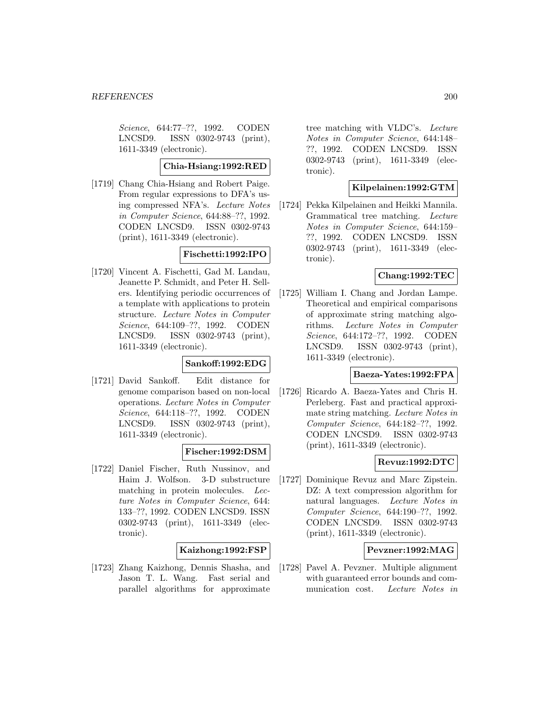Science, 644:77–??, 1992. CODEN LNCSD9. ISSN 0302-9743 (print), 1611-3349 (electronic).

#### **Chia-Hsiang:1992:RED**

[1719] Chang Chia-Hsiang and Robert Paige. From regular expressions to DFA's using compressed NFA's. Lecture Notes in Computer Science, 644:88–??, 1992. CODEN LNCSD9. ISSN 0302-9743 (print), 1611-3349 (electronic).

### **Fischetti:1992:IPO**

[1720] Vincent A. Fischetti, Gad M. Landau, Jeanette P. Schmidt, and Peter H. Sellers. Identifying periodic occurrences of a template with applications to protein structure. Lecture Notes in Computer Science, 644:109–??, 1992. CODEN LNCSD9. ISSN 0302-9743 (print), 1611-3349 (electronic).

### **Sankoff:1992:EDG**

[1721] David Sankoff. Edit distance for genome comparison based on non-local operations. Lecture Notes in Computer Science, 644:118–??, 1992. CODEN LNCSD9. ISSN 0302-9743 (print), 1611-3349 (electronic).

### **Fischer:1992:DSM**

[1722] Daniel Fischer, Ruth Nussinov, and Haim J. Wolfson. 3-D substructure matching in protein molecules. Lecture Notes in Computer Science, 644: 133–??, 1992. CODEN LNCSD9. ISSN 0302-9743 (print), 1611-3349 (electronic).

### **Kaizhong:1992:FSP**

[1723] Zhang Kaizhong, Dennis Shasha, and Jason T. L. Wang. Fast serial and parallel algorithms for approximate

tree matching with VLDC's. Lecture Notes in Computer Science, 644:148– ??, 1992. CODEN LNCSD9. ISSN 0302-9743 (print), 1611-3349 (electronic).

# **Kilpelainen:1992:GTM**

[1724] Pekka Kilpelainen and Heikki Mannila. Grammatical tree matching. Lecture Notes in Computer Science, 644:159– ??, 1992. CODEN LNCSD9. ISSN 0302-9743 (print), 1611-3349 (electronic).

# **Chang:1992:TEC**

[1725] William I. Chang and Jordan Lampe. Theoretical and empirical comparisons of approximate string matching algorithms. Lecture Notes in Computer Science, 644:172–??, 1992. CODEN LNCSD9. ISSN 0302-9743 (print), 1611-3349 (electronic).

## **Baeza-Yates:1992:FPA**

[1726] Ricardo A. Baeza-Yates and Chris H. Perleberg. Fast and practical approximate string matching. Lecture Notes in Computer Science, 644:182–??, 1992. CODEN LNCSD9. ISSN 0302-9743 (print), 1611-3349 (electronic).

### **Revuz:1992:DTC**

[1727] Dominique Revuz and Marc Zipstein. DZ: A text compression algorithm for natural languages. Lecture Notes in Computer Science, 644:190–??, 1992. CODEN LNCSD9. ISSN 0302-9743 (print), 1611-3349 (electronic).

# **Pevzner:1992:MAG**

[1728] Pavel A. Pevzner. Multiple alignment with guaranteed error bounds and communication cost. Lecture Notes in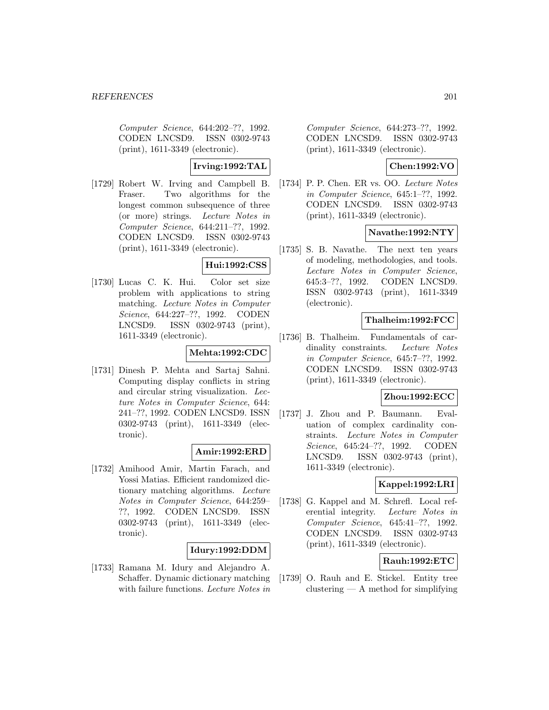Computer Science, 644:202–??, 1992. CODEN LNCSD9. ISSN 0302-9743 (print), 1611-3349 (electronic).

**Irving:1992:TAL**

[1729] Robert W. Irving and Campbell B. Fraser. Two algorithms for the longest common subsequence of three (or more) strings. Lecture Notes in Computer Science, 644:211–??, 1992. CODEN LNCSD9. ISSN 0302-9743 (print), 1611-3349 (electronic).

# **Hui:1992:CSS**

[1730] Lucas C. K. Hui. Color set size problem with applications to string matching. Lecture Notes in Computer Science, 644:227–??, 1992. CODEN LNCSD9. ISSN 0302-9743 (print), 1611-3349 (electronic).

## **Mehta:1992:CDC**

[1731] Dinesh P. Mehta and Sartaj Sahni. Computing display conflicts in string and circular string visualization. Lecture Notes in Computer Science, 644: 241–??, 1992. CODEN LNCSD9. ISSN 0302-9743 (print), 1611-3349 (electronic).

### **Amir:1992:ERD**

[1732] Amihood Amir, Martin Farach, and Yossi Matias. Efficient randomized dictionary matching algorithms. Lecture Notes in Computer Science, 644:259– ??, 1992. CODEN LNCSD9. ISSN 0302-9743 (print), 1611-3349 (electronic).

# **Idury:1992:DDM**

[1733] Ramana M. Idury and Alejandro A. Schaffer. Dynamic dictionary matching with failure functions. Lecture Notes in

Computer Science, 644:273–??, 1992. CODEN LNCSD9. ISSN 0302-9743 (print), 1611-3349 (electronic).

## **Chen:1992:VO**

[1734] P. P. Chen. ER vs. OO. Lecture Notes in Computer Science, 645:1–??, 1992. CODEN LNCSD9. ISSN 0302-9743 (print), 1611-3349 (electronic).

#### **Navathe:1992:NTY**

[1735] S. B. Navathe. The next ten years of modeling, methodologies, and tools. Lecture Notes in Computer Science, 645:3–??, 1992. CODEN LNCSD9. ISSN 0302-9743 (print), 1611-3349 (electronic).

#### **Thalheim:1992:FCC**

[1736] B. Thalheim. Fundamentals of cardinality constraints. Lecture Notes in Computer Science, 645:7–??, 1992. CODEN LNCSD9. ISSN 0302-9743 (print), 1611-3349 (electronic).

### **Zhou:1992:ECC**

[1737] J. Zhou and P. Baumann. Evaluation of complex cardinality constraints. Lecture Notes in Computer Science, 645:24–??, 1992. CODEN LNCSD9. ISSN 0302-9743 (print), 1611-3349 (electronic).

# **Kappel:1992:LRI**

[1738] G. Kappel and M. Schrefl. Local referential integrity. Lecture Notes in Computer Science, 645:41–??, 1992. CODEN LNCSD9. ISSN 0302-9743 (print), 1611-3349 (electronic).

## **Rauh:1992:ETC**

[1739] O. Rauh and E. Stickel. Entity tree clustering — A method for simplifying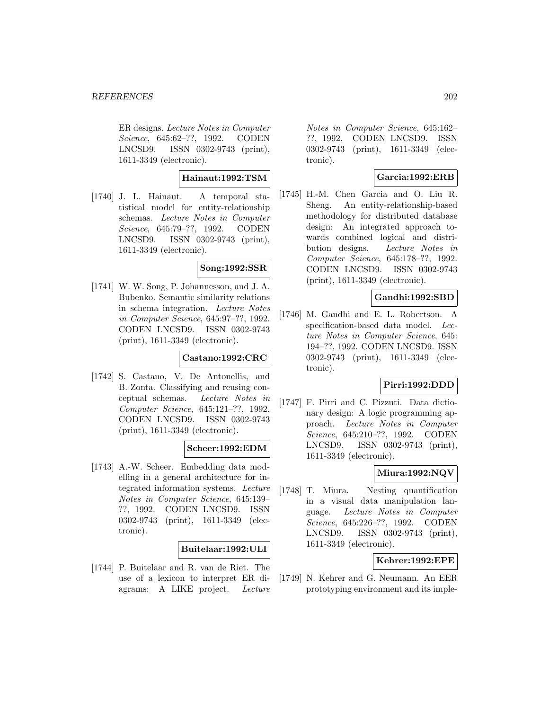ER designs. Lecture Notes in Computer Science, 645:62–??, 1992. CODEN LNCSD9. ISSN 0302-9743 (print), 1611-3349 (electronic).

# **Hainaut:1992:TSM**

[1740] J. L. Hainaut. A temporal statistical model for entity-relationship schemas. Lecture Notes in Computer Science, 645:79–??, 1992. CODEN LNCSD9. ISSN 0302-9743 (print), 1611-3349 (electronic).

#### **Song:1992:SSR**

[1741] W. W. Song, P. Johannesson, and J. A. Bubenko. Semantic similarity relations in schema integration. Lecture Notes in Computer Science, 645:97–??, 1992. CODEN LNCSD9. ISSN 0302-9743 (print), 1611-3349 (electronic).

### **Castano:1992:CRC**

[1742] S. Castano, V. De Antonellis, and B. Zonta. Classifying and reusing conceptual schemas. Lecture Notes in Computer Science, 645:121–??, 1992. CODEN LNCSD9. ISSN 0302-9743 (print), 1611-3349 (electronic).

# **Scheer:1992:EDM**

[1743] A.-W. Scheer. Embedding data modelling in a general architecture for integrated information systems. Lecture Notes in Computer Science, 645:139– ??, 1992. CODEN LNCSD9. ISSN 0302-9743 (print), 1611-3349 (electronic).

**Buitelaar:1992:ULI**

[1744] P. Buitelaar and R. van de Riet. The use of a lexicon to interpret ER diagrams: A LIKE project. Lecture

Notes in Computer Science, 645:162– ??, 1992. CODEN LNCSD9. ISSN 0302-9743 (print), 1611-3349 (electronic).

# **Garcia:1992:ERB**

[1745] H.-M. Chen Garcia and O. Liu R. Sheng. An entity-relationship-based methodology for distributed database design: An integrated approach towards combined logical and distribution designs. Lecture Notes in Computer Science, 645:178–??, 1992. CODEN LNCSD9. ISSN 0302-9743 (print), 1611-3349 (electronic).

# **Gandhi:1992:SBD**

[1746] M. Gandhi and E. L. Robertson. A specification-based data model. Lecture Notes in Computer Science, 645: 194–??, 1992. CODEN LNCSD9. ISSN 0302-9743 (print), 1611-3349 (electronic).

### **Pirri:1992:DDD**

[1747] F. Pirri and C. Pizzuti. Data dictionary design: A logic programming approach. Lecture Notes in Computer Science, 645:210–??, 1992. CODEN LNCSD9. ISSN 0302-9743 (print), 1611-3349 (electronic).

# **Miura:1992:NQV**

[1748] T. Miura. Nesting quantification in a visual data manipulation language. Lecture Notes in Computer Science, 645:226–??, 1992. CODEN LNCSD9. ISSN 0302-9743 (print), 1611-3349 (electronic).

# **Kehrer:1992:EPE**

[1749] N. Kehrer and G. Neumann. An EER prototyping environment and its imple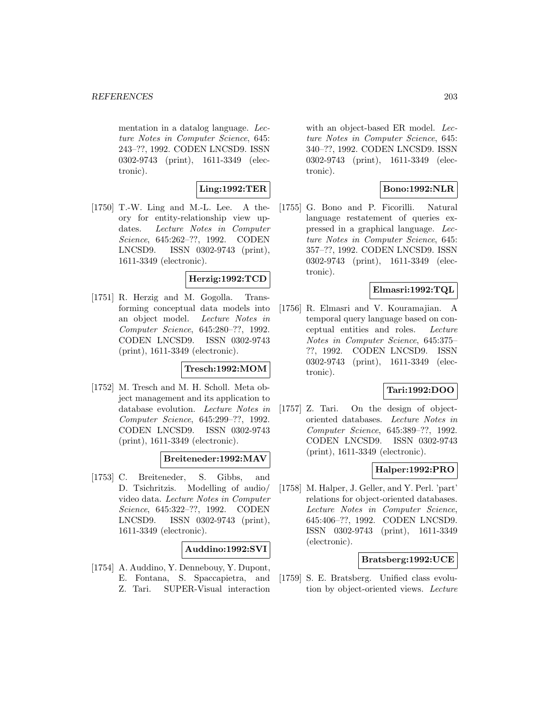mentation in a datalog language. Lecture Notes in Computer Science, 645: 243–??, 1992. CODEN LNCSD9. ISSN 0302-9743 (print), 1611-3349 (electronic).

**Ling:1992:TER**

[1750] T.-W. Ling and M.-L. Lee. A theory for entity-relationship view updates. Lecture Notes in Computer Science, 645:262–??, 1992. CODEN LNCSD9. ISSN 0302-9743 (print), 1611-3349 (electronic).

# **Herzig:1992:TCD**

[1751] R. Herzig and M. Gogolla. Transforming conceptual data models into an object model. Lecture Notes in Computer Science, 645:280–??, 1992. CODEN LNCSD9. ISSN 0302-9743 (print), 1611-3349 (electronic).

#### **Tresch:1992:MOM**

[1752] M. Tresch and M. H. Scholl. Meta object management and its application to database evolution. Lecture Notes in Computer Science, 645:299–??, 1992. CODEN LNCSD9. ISSN 0302-9743 (print), 1611-3349 (electronic).

# **Breiteneder:1992:MAV**

[1753] C. Breiteneder, S. Gibbs, and D. Tsichritzis. Modelling of audio/ video data. Lecture Notes in Computer Science, 645:322–??, 1992. CODEN LNCSD9. ISSN 0302-9743 (print), 1611-3349 (electronic).

### **Auddino:1992:SVI**

[1754] A. Auddino, Y. Dennebouy, Y. Dupont, E. Fontana, S. Spaccapietra, and Z. Tari. SUPER-Visual interaction

with an object-based ER model. Lecture Notes in Computer Science, 645: 340–??, 1992. CODEN LNCSD9. ISSN 0302-9743 (print), 1611-3349 (electronic).

# **Bono:1992:NLR**

[1755] G. Bono and P. Ficorilli. Natural language restatement of queries expressed in a graphical language. Lecture Notes in Computer Science, 645: 357–??, 1992. CODEN LNCSD9. ISSN 0302-9743 (print), 1611-3349 (electronic).

## **Elmasri:1992:TQL**

[1756] R. Elmasri and V. Kouramajian. A temporal query language based on conceptual entities and roles. Lecture Notes in Computer Science, 645:375– ??, 1992. CODEN LNCSD9. ISSN 0302-9743 (print), 1611-3349 (electronic).

#### **Tari:1992:DOO**

[1757] Z. Tari. On the design of objectoriented databases. Lecture Notes in Computer Science, 645:389–??, 1992. CODEN LNCSD9. ISSN 0302-9743 (print), 1611-3349 (electronic).

# **Halper:1992:PRO**

[1758] M. Halper, J. Geller, and Y. Perl. 'part' relations for object-oriented databases. Lecture Notes in Computer Science, 645:406–??, 1992. CODEN LNCSD9. ISSN 0302-9743 (print), 1611-3349 (electronic).

### **Bratsberg:1992:UCE**

[1759] S. E. Bratsberg. Unified class evolution by object-oriented views. Lecture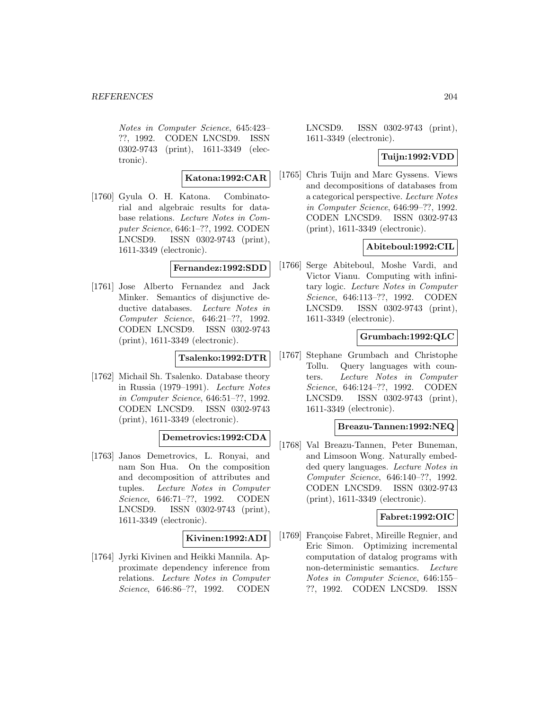Notes in Computer Science, 645:423– ??, 1992. CODEN LNCSD9. ISSN 0302-9743 (print), 1611-3349 (electronic).

#### **Katona:1992:CAR**

[1760] Gyula O. H. Katona. Combinatorial and algebraic results for database relations. Lecture Notes in Computer Science, 646:1–??, 1992. CODEN LNCSD9. ISSN 0302-9743 (print), 1611-3349 (electronic).

#### **Fernandez:1992:SDD**

[1761] Jose Alberto Fernandez and Jack Minker. Semantics of disjunctive deductive databases. Lecture Notes in Computer Science, 646:21–??, 1992. CODEN LNCSD9. ISSN 0302-9743 (print), 1611-3349 (electronic).

### **Tsalenko:1992:DTR**

[1762] Michail Sh. Tsalenko. Database theory in Russia (1979–1991). Lecture Notes in Computer Science, 646:51–??, 1992. CODEN LNCSD9. ISSN 0302-9743 (print), 1611-3349 (electronic).

### **Demetrovics:1992:CDA**

[1763] Janos Demetrovics, L. Ronyai, and nam Son Hua. On the composition and decomposition of attributes and tuples. Lecture Notes in Computer Science, 646:71–??, 1992. CODEN LNCSD9. ISSN 0302-9743 (print), 1611-3349 (electronic).

### **Kivinen:1992:ADI**

[1764] Jyrki Kivinen and Heikki Mannila. Approximate dependency inference from relations. Lecture Notes in Computer Science, 646:86–??, 1992. CODEN

LNCSD9. ISSN 0302-9743 (print), 1611-3349 (electronic).

# **Tuijn:1992:VDD**

[1765] Chris Tuijn and Marc Gyssens. Views and decompositions of databases from a categorical perspective. Lecture Notes in Computer Science, 646:99–??, 1992. CODEN LNCSD9. ISSN 0302-9743 (print), 1611-3349 (electronic).

# **Abiteboul:1992:CIL**

[1766] Serge Abiteboul, Moshe Vardi, and Victor Vianu. Computing with infinitary logic. Lecture Notes in Computer Science, 646:113–??, 1992. CODEN LNCSD9. ISSN 0302-9743 (print), 1611-3349 (electronic).

# **Grumbach:1992:QLC**

[1767] Stephane Grumbach and Christophe Tollu. Query languages with counters. Lecture Notes in Computer Science, 646:124–??, 1992. CODEN LNCSD9. ISSN 0302-9743 (print), 1611-3349 (electronic).

### **Breazu-Tannen:1992:NEQ**

[1768] Val Breazu-Tannen, Peter Buneman, and Limsoon Wong. Naturally embedded query languages. Lecture Notes in Computer Science, 646:140–??, 1992. CODEN LNCSD9. ISSN 0302-9743 (print), 1611-3349 (electronic).

## **Fabret:1992:OIC**

[1769] Françoise Fabret, Mireille Regnier, and Eric Simon. Optimizing incremental computation of datalog programs with non-deterministic semantics. Lecture Notes in Computer Science, 646:155– ??, 1992. CODEN LNCSD9. ISSN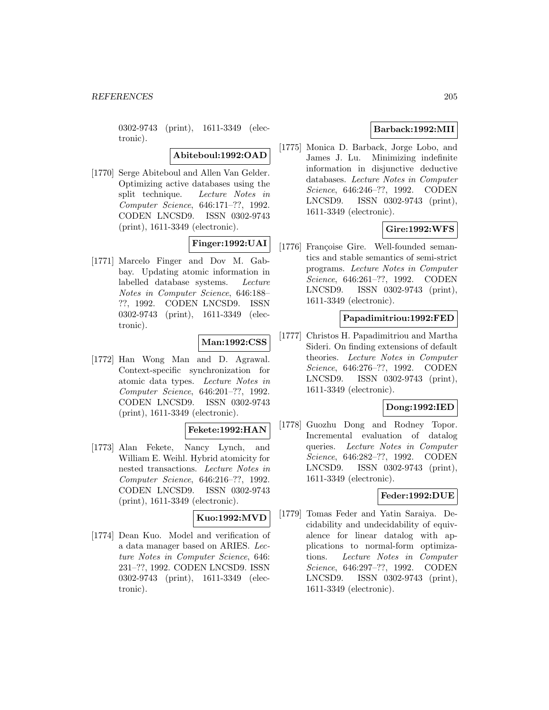0302-9743 (print), 1611-3349 (electronic).

**Abiteboul:1992:OAD**

[1770] Serge Abiteboul and Allen Van Gelder. Optimizing active databases using the split technique. Lecture Notes in Computer Science, 646:171–??, 1992. CODEN LNCSD9. ISSN 0302-9743 (print), 1611-3349 (electronic).

# **Finger:1992:UAI**

[1771] Marcelo Finger and Dov M. Gabbay. Updating atomic information in labelled database systems. Lecture Notes in Computer Science, 646:188– ??, 1992. CODEN LNCSD9. ISSN 0302-9743 (print), 1611-3349 (electronic).

# **Man:1992:CSS**

[1772] Han Wong Man and D. Agrawal. Context-specific synchronization for atomic data types. Lecture Notes in Computer Science, 646:201–??, 1992. CODEN LNCSD9. ISSN 0302-9743 (print), 1611-3349 (electronic).

### **Fekete:1992:HAN**

[1773] Alan Fekete, Nancy Lynch, and William E. Weihl. Hybrid atomicity for nested transactions. Lecture Notes in Computer Science, 646:216–??, 1992. CODEN LNCSD9. ISSN 0302-9743 (print), 1611-3349 (electronic).

# **Kuo:1992:MVD**

[1774] Dean Kuo. Model and verification of a data manager based on ARIES. Lecture Notes in Computer Science, 646: 231–??, 1992. CODEN LNCSD9. ISSN 0302-9743 (print), 1611-3349 (electronic).

# **Barback:1992:MII**

[1775] Monica D. Barback, Jorge Lobo, and James J. Lu. Minimizing indefinite information in disjunctive deductive databases. Lecture Notes in Computer Science, 646:246–??, 1992. CODEN LNCSD9. ISSN 0302-9743 (print), 1611-3349 (electronic).

# **Gire:1992:WFS**

[1776] Françoise Gire. Well-founded semantics and stable semantics of semi-strict programs. Lecture Notes in Computer Science, 646:261–??, 1992. CODEN LNCSD9. ISSN 0302-9743 (print), 1611-3349 (electronic).

### **Papadimitriou:1992:FED**

[1777] Christos H. Papadimitriou and Martha Sideri. On finding extensions of default theories. Lecture Notes in Computer Science, 646:276–??, 1992. CODEN LNCSD9. ISSN 0302-9743 (print), 1611-3349 (electronic).

# **Dong:1992:IED**

[1778] Guozhu Dong and Rodney Topor. Incremental evaluation of datalog queries. Lecture Notes in Computer Science, 646:282–??, 1992. CODEN LNCSD9. ISSN 0302-9743 (print), 1611-3349 (electronic).

### **Feder:1992:DUE**

[1779] Tomas Feder and Yatin Saraiya. Decidability and undecidability of equivalence for linear datalog with applications to normal-form optimizations. Lecture Notes in Computer Science, 646:297–??, 1992. CODEN LNCSD9. ISSN 0302-9743 (print), 1611-3349 (electronic).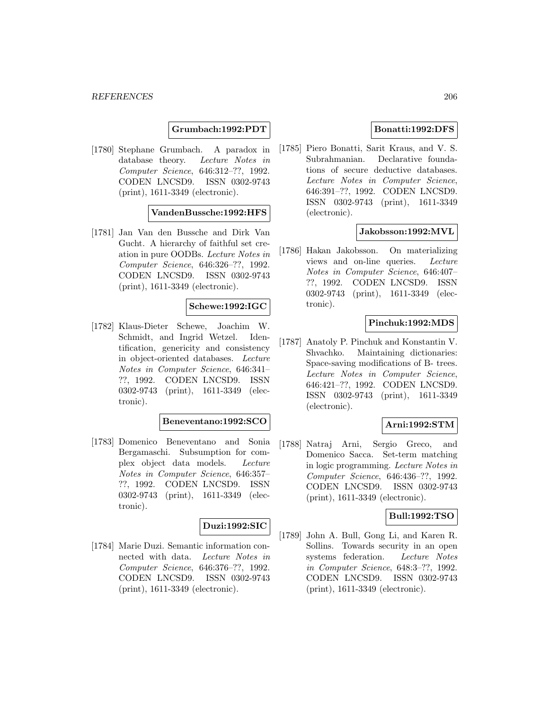### **Grumbach:1992:PDT**

[1780] Stephane Grumbach. A paradox in database theory. Lecture Notes in Computer Science, 646:312–??, 1992. CODEN LNCSD9. ISSN 0302-9743 (print), 1611-3349 (electronic).

#### **VandenBussche:1992:HFS**

[1781] Jan Van den Bussche and Dirk Van Gucht. A hierarchy of faithful set creation in pure OODBs. Lecture Notes in Computer Science, 646:326–??, 1992. CODEN LNCSD9. ISSN 0302-9743 (print), 1611-3349 (electronic).

# **Schewe:1992:IGC**

[1782] Klaus-Dieter Schewe, Joachim W. Schmidt, and Ingrid Wetzel. Identification, genericity and consistency in object-oriented databases. Lecture Notes in Computer Science, 646:341– ??, 1992. CODEN LNCSD9. ISSN 0302-9743 (print), 1611-3349 (electronic).

#### **Beneventano:1992:SCO**

[1783] Domenico Beneventano and Sonia Bergamaschi. Subsumption for complex object data models. Lecture Notes in Computer Science, 646:357– ??, 1992. CODEN LNCSD9. ISSN 0302-9743 (print), 1611-3349 (electronic).

### **Duzi:1992:SIC**

[1784] Marie Duzi. Semantic information connected with data. Lecture Notes in Computer Science, 646:376–??, 1992. CODEN LNCSD9. ISSN 0302-9743 (print), 1611-3349 (electronic).

# **Bonatti:1992:DFS**

[1785] Piero Bonatti, Sarit Kraus, and V. S. Subrahmanian. Declarative foundations of secure deductive databases. Lecture Notes in Computer Science, 646:391–??, 1992. CODEN LNCSD9. ISSN 0302-9743 (print), 1611-3349 (electronic).

### **Jakobsson:1992:MVL**

[1786] Hakan Jakobsson. On materializing views and on-line queries. Lecture Notes in Computer Science, 646:407– ??, 1992. CODEN LNCSD9. ISSN 0302-9743 (print), 1611-3349 (electronic).

#### **Pinchuk:1992:MDS**

[1787] Anatoly P. Pinchuk and Konstantin V. Shvachko. Maintaining dictionaries: Space-saving modifications of B- trees. Lecture Notes in Computer Science, 646:421–??, 1992. CODEN LNCSD9. ISSN 0302-9743 (print), 1611-3349 (electronic).

### **Arni:1992:STM**

[1788] Natraj Arni, Sergio Greco, and Domenico Sacca. Set-term matching in logic programming. Lecture Notes in Computer Science, 646:436–??, 1992. CODEN LNCSD9. ISSN 0302-9743 (print), 1611-3349 (electronic).

### **Bull:1992:TSO**

[1789] John A. Bull, Gong Li, and Karen R. Sollins. Towards security in an open systems federation. Lecture Notes in Computer Science, 648:3–??, 1992. CODEN LNCSD9. ISSN 0302-9743 (print), 1611-3349 (electronic).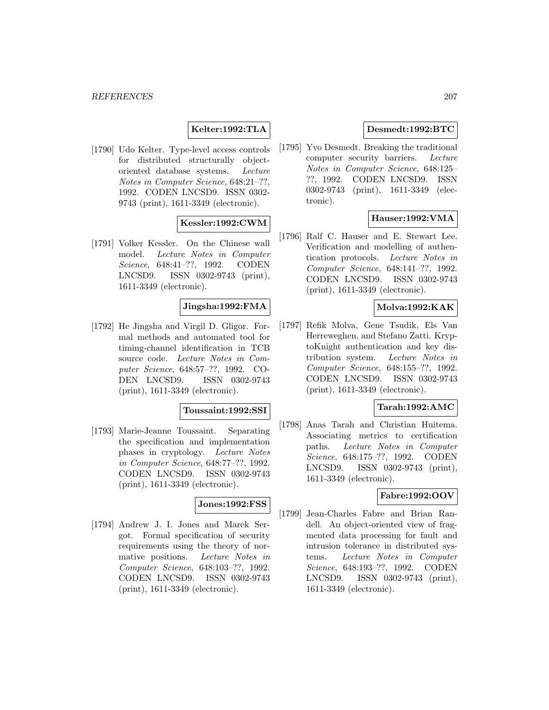# **Kelter:1992:TLA**

[1790] Udo Kelter. Type-level access controls for distributed structurally objectoriented database systems. Lecture Notes in Computer Science, 648:21–??, 1992. CODEN LNCSD9. ISSN 0302- 9743 (print), 1611-3349 (electronic).

# **Kessler:1992:CWM**

[1791] Volker Kessler. On the Chinese wall model. Lecture Notes in Computer Science, 648:41–??, 1992. CODEN LNCSD9. ISSN 0302-9743 (print), 1611-3349 (electronic).

# **Jingsha:1992:FMA**

[1792] He Jingsha and Virgil D. Gligor. Formal methods and automated tool for timing-channel identification in TCB source code. Lecture Notes in Computer Science, 648:57–??, 1992. CO-DEN LNCSD9. ISSN 0302-9743 (print), 1611-3349 (electronic).

#### **Toussaint:1992:SSI**

[1793] Marie-Jeanne Toussaint. Separating the specification and implementation phases in cryptology. Lecture Notes in Computer Science, 648:77–??, 1992. CODEN LNCSD9. ISSN 0302-9743 (print), 1611-3349 (electronic).

# **Jones:1992:FSS**

[1794] Andrew J. I. Jones and Marek Sergot. Formal specification of security requirements using the theory of normative positions. Lecture Notes in Computer Science, 648:103–??, 1992. CODEN LNCSD9. ISSN 0302-9743 (print), 1611-3349 (electronic).

## **Desmedt:1992:BTC**

[1795] Yvo Desmedt. Breaking the traditional computer security barriers. Lecture Notes in Computer Science, 648:125– ??, 1992. CODEN LNCSD9. ISSN 0302-9743 (print), 1611-3349 (electronic).

### **Hauser:1992:VMA**

[1796] Ralf C. Hauser and E. Stewart Lee. Verification and modelling of authentication protocols. Lecture Notes in Computer Science, 648:141–??, 1992. CODEN LNCSD9. ISSN 0302-9743 (print), 1611-3349 (electronic).

## **Molva:1992:KAK**

[1797] Refik Molva, Gene Tsudik, Els Van Herreweghen, and Stefano Zatti. KryptoKnight authentication and key distribution system. Lecture Notes in Computer Science, 648:155–??, 1992. CODEN LNCSD9. ISSN 0302-9743 (print), 1611-3349 (electronic).

## **Tarah:1992:AMC**

[1798] Anas Tarah and Christian Huitema. Associating metrics to certification paths. Lecture Notes in Computer Science, 648:175–??, 1992. CODEN LNCSD9. ISSN 0302-9743 (print), 1611-3349 (electronic).

### **Fabre:1992:OOV**

[1799] Jean-Charles Fabre and Brian Randell. An object-oriented view of fragmented data processing for fault and intrusion tolerance in distributed systems. Lecture Notes in Computer Science, 648:193–??, 1992. CODEN LNCSD9. ISSN 0302-9743 (print), 1611-3349 (electronic).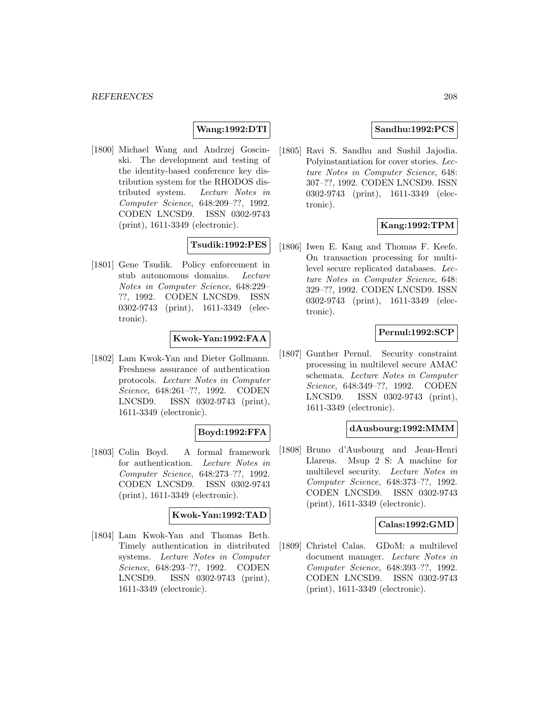# **Wang:1992:DTI**

[1800] Michael Wang and Andrzej Goscinski. The development and testing of the identity-based conference key distribution system for the RHODOS distributed system. Lecture Notes in Computer Science, 648:209–??, 1992. CODEN LNCSD9. ISSN 0302-9743 (print), 1611-3349 (electronic).

# **Tsudik:1992:PES**

[1801] Gene Tsudik. Policy enforcement in stub autonomous domains. Lecture Notes in Computer Science, 648:229– ??, 1992. CODEN LNCSD9. ISSN 0302-9743 (print), 1611-3349 (electronic).

#### **Kwok-Yan:1992:FAA**

[1802] Lam Kwok-Yan and Dieter Gollmann. Freshness assurance of authentication protocols. Lecture Notes in Computer Science, 648:261–??, 1992. CODEN LNCSD9. ISSN 0302-9743 (print), 1611-3349 (electronic).

### **Boyd:1992:FFA**

[1803] Colin Boyd. A formal framework for authentication. Lecture Notes in Computer Science, 648:273–??, 1992. CODEN LNCSD9. ISSN 0302-9743 (print), 1611-3349 (electronic).

#### **Kwok-Yan:1992:TAD**

[1804] Lam Kwok-Yan and Thomas Beth. Timely authentication in distributed systems. Lecture Notes in Computer Science, 648:293–??, 1992. CODEN LNCSD9. ISSN 0302-9743 (print), 1611-3349 (electronic).

## **Sandhu:1992:PCS**

[1805] Ravi S. Sandhu and Sushil Jajodia. Polyinstantiation for cover stories. Lecture Notes in Computer Science, 648: 307–??, 1992. CODEN LNCSD9. ISSN 0302-9743 (print), 1611-3349 (electronic).

# **Kang:1992:TPM**

[1806] Iwen E. Kang and Thomas F. Keefe. On transaction processing for multilevel secure replicated databases. Lecture Notes in Computer Science, 648: 329–??, 1992. CODEN LNCSD9. ISSN 0302-9743 (print), 1611-3349 (electronic).

#### **Pernul:1992:SCP**

[1807] Gunther Pernul. Security constraint processing in multilevel secure AMAC schemata. Lecture Notes in Computer Science, 648:349–??, 1992. CODEN LNCSD9. ISSN 0302-9743 (print), 1611-3349 (electronic).

#### **dAusbourg:1992:MMM**

[1808] Bruno d'Ausbourg and Jean-Henri Llareus. Msup 2 S: A machine for multilevel security. Lecture Notes in Computer Science, 648:373–??, 1992. CODEN LNCSD9. ISSN 0302-9743 (print), 1611-3349 (electronic).

#### **Calas:1992:GMD**

[1809] Christel Calas. GDoM: a multilevel document manager. Lecture Notes in Computer Science, 648:393–??, 1992. CODEN LNCSD9. ISSN 0302-9743 (print), 1611-3349 (electronic).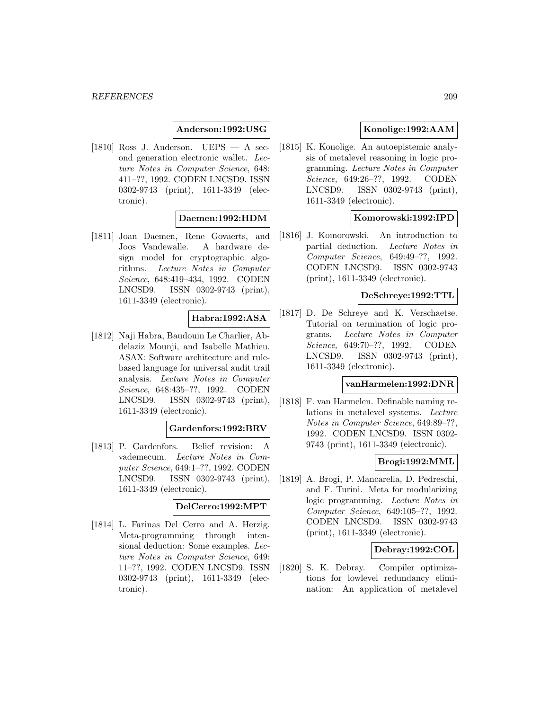### **Anderson:1992:USG**

[1810] Ross J. Anderson. UEPS  $-$  A second generation electronic wallet. Lecture Notes in Computer Science, 648: 411–??, 1992. CODEN LNCSD9. ISSN 0302-9743 (print), 1611-3349 (electronic).

# **Daemen:1992:HDM**

[1811] Joan Daemen, Rene Govaerts, and Joos Vandewalle. A hardware design model for cryptographic algorithms. Lecture Notes in Computer Science, 648:419–434, 1992. CODEN LNCSD9. ISSN 0302-9743 (print), 1611-3349 (electronic).

# **Habra:1992:ASA**

[1812] Naji Habra, Baudouin Le Charlier, Abdelaziz Mounji, and Isabelle Mathieu. ASAX: Software architecture and rulebased language for universal audit trail analysis. Lecture Notes in Computer Science, 648:435–??, 1992. CODEN LNCSD9. ISSN 0302-9743 (print), 1611-3349 (electronic).

## **Gardenfors:1992:BRV**

[1813] P. Gardenfors. Belief revision: A vademecum. Lecture Notes in Computer Science, 649:1–??, 1992. CODEN LNCSD9. ISSN 0302-9743 (print), 1611-3349 (electronic).

#### **DelCerro:1992:MPT**

[1814] L. Farinas Del Cerro and A. Herzig. Meta-programming through intensional deduction: Some examples. Lecture Notes in Computer Science, 649: 11–??, 1992. CODEN LNCSD9. ISSN 0302-9743 (print), 1611-3349 (electronic).

# **Konolige:1992:AAM**

[1815] K. Konolige. An autoepistemic analysis of metalevel reasoning in logic programming. Lecture Notes in Computer Science, 649:26–??, 1992. CODEN LNCSD9. ISSN 0302-9743 (print), 1611-3349 (electronic).

#### **Komorowski:1992:IPD**

[1816] J. Komorowski. An introduction to partial deduction. Lecture Notes in Computer Science, 649:49–??, 1992. CODEN LNCSD9. ISSN 0302-9743 (print), 1611-3349 (electronic).

## **DeSchreye:1992:TTL**

[1817] D. De Schreye and K. Verschaetse. Tutorial on termination of logic programs. Lecture Notes in Computer Science, 649:70–??, 1992. CODEN LNCSD9. ISSN 0302-9743 (print), 1611-3349 (electronic).

# **vanHarmelen:1992:DNR**

[1818] F. van Harmelen. Definable naming relations in metalevel systems. Lecture Notes in Computer Science, 649:89–??, 1992. CODEN LNCSD9. ISSN 0302- 9743 (print), 1611-3349 (electronic).

## **Brogi:1992:MML**

[1819] A. Brogi, P. Mancarella, D. Pedreschi, and F. Turini. Meta for modularizing logic programming. Lecture Notes in Computer Science, 649:105–??, 1992. CODEN LNCSD9. ISSN 0302-9743 (print), 1611-3349 (electronic).

# **Debray:1992:COL**

[1820] S. K. Debray. Compiler optimizations for lowlevel redundancy elimination: An application of metalevel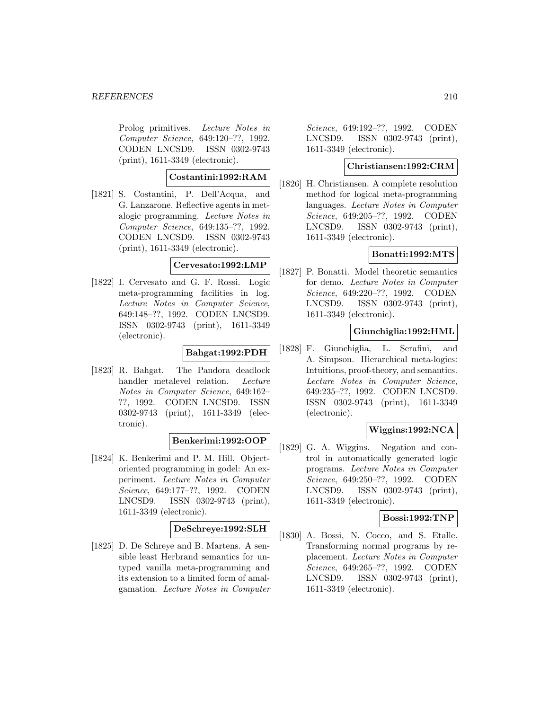#### *REFERENCES* 210

Prolog primitives. Lecture Notes in Computer Science, 649:120–??, 1992. CODEN LNCSD9. ISSN 0302-9743 (print), 1611-3349 (electronic).

**Costantini:1992:RAM**

[1821] S. Costantini, P. Dell'Acqua, and G. Lanzarone. Reflective agents in metalogic programming. Lecture Notes in Computer Science, 649:135–??, 1992. CODEN LNCSD9. ISSN 0302-9743 (print), 1611-3349 (electronic).

# **Cervesato:1992:LMP**

[1822] I. Cervesato and G. F. Rossi. Logic meta-programming facilities in log. Lecture Notes in Computer Science, 649:148–??, 1992. CODEN LNCSD9. ISSN 0302-9743 (print), 1611-3349 (electronic).

#### **Bahgat:1992:PDH**

[1823] R. Bahgat. The Pandora deadlock handler metalevel relation. Lecture Notes in Computer Science, 649:162– ??, 1992. CODEN LNCSD9. ISSN 0302-9743 (print), 1611-3349 (electronic).

#### **Benkerimi:1992:OOP**

[1824] K. Benkerimi and P. M. Hill. Objectoriented programming in godel: An experiment. Lecture Notes in Computer Science, 649:177–??, 1992. CODEN LNCSD9. ISSN 0302-9743 (print), 1611-3349 (electronic).

### **DeSchreye:1992:SLH**

[1825] D. De Schreye and B. Martens. A sensible least Herbrand semantics for untyped vanilla meta-programming and its extension to a limited form of amalgamation. Lecture Notes in Computer

Science, 649:192–??, 1992. CODEN LNCSD9. ISSN 0302-9743 (print), 1611-3349 (electronic).

## **Christiansen:1992:CRM**

[1826] H. Christiansen. A complete resolution method for logical meta-programming languages. Lecture Notes in Computer Science, 649:205–??, 1992. CODEN LNCSD9. ISSN 0302-9743 (print), 1611-3349 (electronic).

# **Bonatti:1992:MTS**

[1827] P. Bonatti. Model theoretic semantics for demo. Lecture Notes in Computer Science, 649:220–??, 1992. CODEN LNCSD9. ISSN 0302-9743 (print), 1611-3349 (electronic).

### **Giunchiglia:1992:HML**

[1828] F. Giunchiglia, L. Serafini, and A. Simpson. Hierarchical meta-logics: Intuitions, proof-theory, and semantics. Lecture Notes in Computer Science, 649:235–??, 1992. CODEN LNCSD9. ISSN 0302-9743 (print), 1611-3349 (electronic).

# **Wiggins:1992:NCA**

[1829] G. A. Wiggins. Negation and control in automatically generated logic programs. Lecture Notes in Computer Science, 649:250–??, 1992. CODEN LNCSD9. ISSN 0302-9743 (print), 1611-3349 (electronic).

## **Bossi:1992:TNP**

[1830] A. Bossi, N. Cocco, and S. Etalle. Transforming normal programs by replacement. Lecture Notes in Computer Science, 649:265–??, 1992. CODEN LNCSD9. ISSN 0302-9743 (print), 1611-3349 (electronic).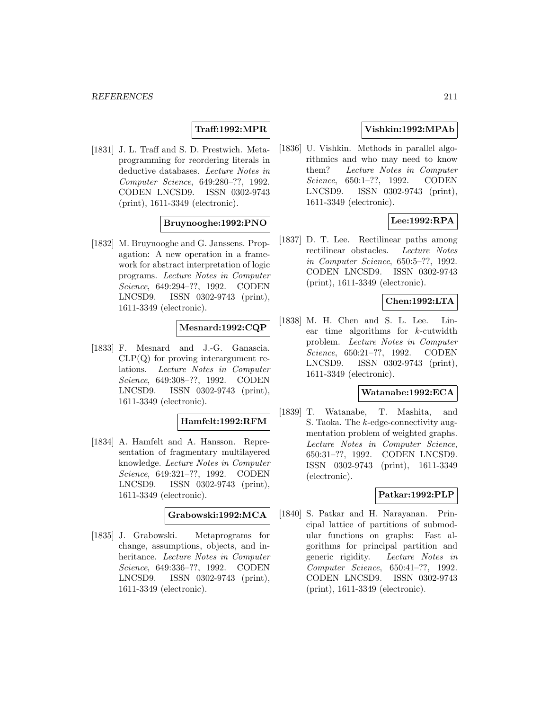# **Traff:1992:MPR**

[1831] J. L. Traff and S. D. Prestwich. Metaprogramming for reordering literals in deductive databases. Lecture Notes in Computer Science, 649:280–??, 1992. CODEN LNCSD9. ISSN 0302-9743 (print), 1611-3349 (electronic).

## **Bruynooghe:1992:PNO**

[1832] M. Bruynooghe and G. Janssens. Propagation: A new operation in a framework for abstract interpretation of logic programs. Lecture Notes in Computer Science, 649:294–??, 1992. CODEN LNCSD9. ISSN 0302-9743 (print), 1611-3349 (electronic).

### **Mesnard:1992:CQP**

[1833] F. Mesnard and J.-G. Ganascia.  $CLP(Q)$  for proving interargument relations. Lecture Notes in Computer Science, 649:308–??, 1992. CODEN LNCSD9. ISSN 0302-9743 (print), 1611-3349 (electronic).

#### **Hamfelt:1992:RFM**

[1834] A. Hamfelt and A. Hansson. Representation of fragmentary multilayered knowledge. Lecture Notes in Computer Science, 649:321–??, 1992. CODEN LNCSD9. ISSN 0302-9743 (print), 1611-3349 (electronic).

### **Grabowski:1992:MCA**

[1835] J. Grabowski. Metaprograms for change, assumptions, objects, and inheritance. Lecture Notes in Computer Science, 649:336–??, 1992. CODEN LNCSD9. ISSN 0302-9743 (print), 1611-3349 (electronic).

# **Vishkin:1992:MPAb**

[1836] U. Vishkin. Methods in parallel algorithmics and who may need to know them? Lecture Notes in Computer Science, 650:1–??, 1992. CODEN LNCSD9. ISSN 0302-9743 (print), 1611-3349 (electronic).

# **Lee:1992:RPA**

[1837] D. T. Lee. Rectilinear paths among rectilinear obstacles. Lecture Notes in Computer Science, 650:5–??, 1992. CODEN LNCSD9. ISSN 0302-9743 (print), 1611-3349 (electronic).

## **Chen:1992:LTA**

[1838] M. H. Chen and S. L. Lee. Linear time algorithms for k-cutwidth problem. Lecture Notes in Computer Science, 650:21–??, 1992. CODEN LNCSD9. ISSN 0302-9743 (print), 1611-3349 (electronic).

#### **Watanabe:1992:ECA**

[1839] T. Watanabe, T. Mashita, and S. Taoka. The k-edge-connectivity augmentation problem of weighted graphs. Lecture Notes in Computer Science, 650:31–??, 1992. CODEN LNCSD9. ISSN 0302-9743 (print), 1611-3349 (electronic).

#### **Patkar:1992:PLP**

[1840] S. Patkar and H. Narayanan. Principal lattice of partitions of submodular functions on graphs: Fast algorithms for principal partition and generic rigidity. Lecture Notes in Computer Science, 650:41–??, 1992. CODEN LNCSD9. ISSN 0302-9743 (print), 1611-3349 (electronic).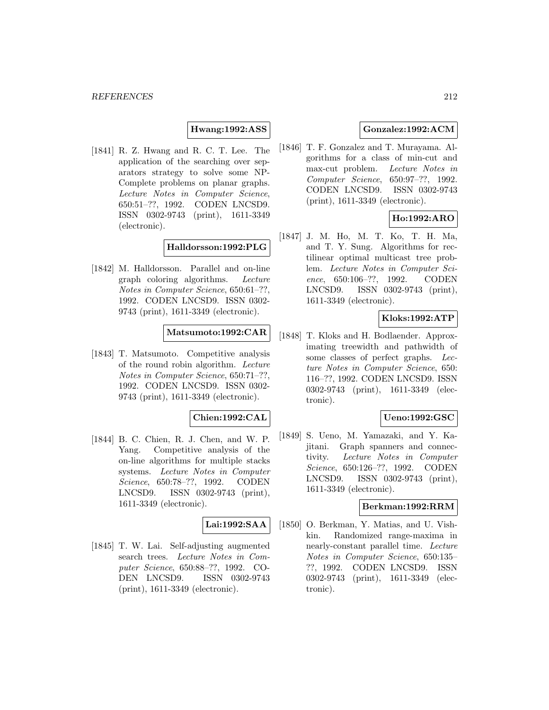#### **Hwang:1992:ASS**

[1841] R. Z. Hwang and R. C. T. Lee. The application of the searching over separators strategy to solve some NP-Complete problems on planar graphs. Lecture Notes in Computer Science, 650:51–??, 1992. CODEN LNCSD9. ISSN 0302-9743 (print), 1611-3349 (electronic).

### **Halldorsson:1992:PLG**

[1842] M. Halldorsson. Parallel and on-line graph coloring algorithms. Lecture Notes in Computer Science, 650:61–??, 1992. CODEN LNCSD9. ISSN 0302- 9743 (print), 1611-3349 (electronic).

### **Matsumoto:1992:CAR**

[1843] T. Matsumoto. Competitive analysis of the round robin algorithm. Lecture Notes in Computer Science, 650:71–??, 1992. CODEN LNCSD9. ISSN 0302- 9743 (print), 1611-3349 (electronic).

## **Chien:1992:CAL**

[1844] B. C. Chien, R. J. Chen, and W. P. Yang. Competitive analysis of the on-line algorithms for multiple stacks systems. Lecture Notes in Computer Science, 650:78–??, 1992. CODEN LNCSD9. ISSN 0302-9743 (print), 1611-3349 (electronic).

#### **Lai:1992:SAA**

[1845] T. W. Lai. Self-adjusting augmented search trees. Lecture Notes in Computer Science, 650:88–??, 1992. CO-DEN LNCSD9. ISSN 0302-9743 (print), 1611-3349 (electronic).

# **Gonzalez:1992:ACM**

[1846] T. F. Gonzalez and T. Murayama. Algorithms for a class of min-cut and max-cut problem. Lecture Notes in Computer Science, 650:97–??, 1992. CODEN LNCSD9. ISSN 0302-9743 (print), 1611-3349 (electronic).

# **Ho:1992:ARO**

[1847] J. M. Ho, M. T. Ko, T. H. Ma, and T. Y. Sung. Algorithms for rectilinear optimal multicast tree problem. Lecture Notes in Computer Science, 650:106–??, 1992. CODEN LNCSD9. ISSN 0302-9743 (print), 1611-3349 (electronic).

### **Kloks:1992:ATP**

[1848] T. Kloks and H. Bodlaender. Approximating treewidth and pathwidth of some classes of perfect graphs. Lecture Notes in Computer Science, 650: 116–??, 1992. CODEN LNCSD9. ISSN 0302-9743 (print), 1611-3349 (electronic).

### **Ueno:1992:GSC**

[1849] S. Ueno, M. Yamazaki, and Y. Kajitani. Graph spanners and connectivity. Lecture Notes in Computer Science, 650:126–??, 1992. CODEN LNCSD9. ISSN 0302-9743 (print), 1611-3349 (electronic).

#### **Berkman:1992:RRM**

[1850] O. Berkman, Y. Matias, and U. Vishkin. Randomized range-maxima in nearly-constant parallel time. Lecture Notes in Computer Science, 650:135– ??, 1992. CODEN LNCSD9. ISSN 0302-9743 (print), 1611-3349 (electronic).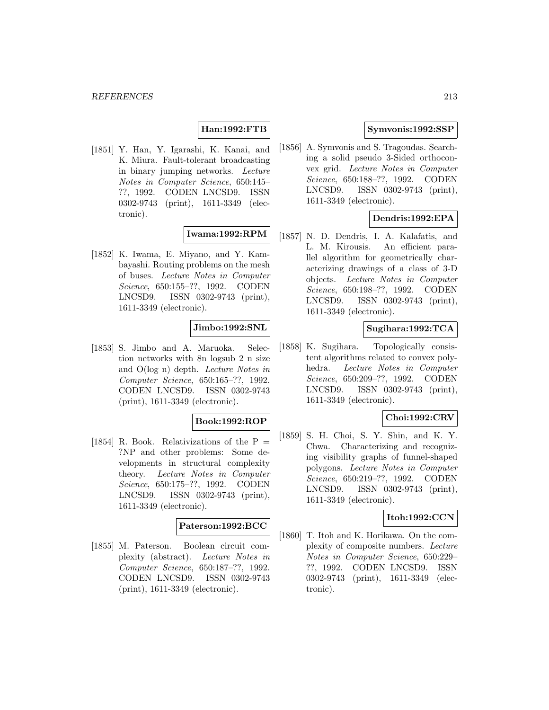## **Han:1992:FTB**

[1851] Y. Han, Y. Igarashi, K. Kanai, and K. Miura. Fault-tolerant broadcasting in binary jumping networks. Lecture Notes in Computer Science, 650:145– ??, 1992. CODEN LNCSD9. ISSN 0302-9743 (print), 1611-3349 (electronic).

#### **Iwama:1992:RPM**

[1852] K. Iwama, E. Miyano, and Y. Kambayashi. Routing problems on the mesh of buses. Lecture Notes in Computer Science, 650:155–??, 1992. CODEN LNCSD9. ISSN 0302-9743 (print), 1611-3349 (electronic).

### **Jimbo:1992:SNL**

[1853] S. Jimbo and A. Maruoka. Selection networks with 8n logsub 2 n size and O(log n) depth. Lecture Notes in Computer Science, 650:165–??, 1992. CODEN LNCSD9. ISSN 0302-9743 (print), 1611-3349 (electronic).

#### **Book:1992:ROP**

[1854] R. Book. Relativizations of the  $P =$ ?NP and other problems: Some developments in structural complexity theory. Lecture Notes in Computer Science, 650:175–??, 1992. CODEN LNCSD9. ISSN 0302-9743 (print), 1611-3349 (electronic).

### **Paterson:1992:BCC**

[1855] M. Paterson. Boolean circuit complexity (abstract). Lecture Notes in Computer Science, 650:187–??, 1992. CODEN LNCSD9. ISSN 0302-9743 (print), 1611-3349 (electronic).

## **Symvonis:1992:SSP**

[1856] A. Symvonis and S. Tragoudas. Searching a solid pseudo 3-Sided orthoconvex grid. Lecture Notes in Computer Science, 650:188–??, 1992. CODEN LNCSD9. ISSN 0302-9743 (print), 1611-3349 (electronic).

# **Dendris:1992:EPA**

[1857] N. D. Dendris, I. A. Kalafatis, and L. M. Kirousis. An efficient parallel algorithm for geometrically characterizing drawings of a class of 3-D objects. Lecture Notes in Computer Science, 650:198–??, 1992. CODEN LNCSD9. ISSN 0302-9743 (print), 1611-3349 (electronic).

# **Sugihara:1992:TCA**

[1858] K. Sugihara. Topologically consistent algorithms related to convex polyhedra. Lecture Notes in Computer Science, 650:209–??, 1992. CODEN LNCSD9. ISSN 0302-9743 (print), 1611-3349 (electronic).

## **Choi:1992:CRV**

[1859] S. H. Choi, S. Y. Shin, and K. Y. Chwa. Characterizing and recognizing visibility graphs of funnel-shaped polygons. Lecture Notes in Computer Science, 650:219–??, 1992. CODEN LNCSD9. ISSN 0302-9743 (print), 1611-3349 (electronic).

## **Itoh:1992:CCN**

[1860] T. Itoh and K. Horikawa. On the complexity of composite numbers. Lecture Notes in Computer Science, 650:229– ??, 1992. CODEN LNCSD9. ISSN 0302-9743 (print), 1611-3349 (electronic).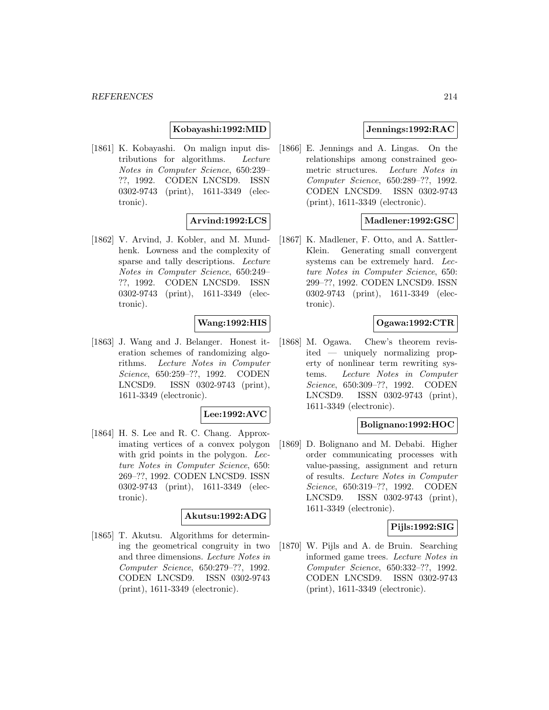**Kobayashi:1992:MID**

[1861] K. Kobayashi. On malign input distributions for algorithms. Lecture Notes in Computer Science, 650:239– ??, 1992. CODEN LNCSD9. ISSN 0302-9743 (print), 1611-3349 (electronic).

# **Arvind:1992:LCS**

[1862] V. Arvind, J. Kobler, and M. Mundhenk. Lowness and the complexity of sparse and tally descriptions. Lecture Notes in Computer Science, 650:249– ??, 1992. CODEN LNCSD9. ISSN 0302-9743 (print), 1611-3349 (electronic).

# **Wang:1992:HIS**

[1863] J. Wang and J. Belanger. Honest iteration schemes of randomizing algorithms. Lecture Notes in Computer Science, 650:259–??, 1992. CODEN LNCSD9. ISSN 0302-9743 (print), 1611-3349 (electronic).

### **Lee:1992:AVC**

[1864] H. S. Lee and R. C. Chang. Approximating vertices of a convex polygon with grid points in the polygon. Lecture Notes in Computer Science, 650: 269–??, 1992. CODEN LNCSD9. ISSN 0302-9743 (print), 1611-3349 (electronic).

# **Akutsu:1992:ADG**

[1865] T. Akutsu. Algorithms for determining the geometrical congruity in two and three dimensions. Lecture Notes in Computer Science, 650:279–??, 1992. CODEN LNCSD9. ISSN 0302-9743 (print), 1611-3349 (electronic).

# **Jennings:1992:RAC**

[1866] E. Jennings and A. Lingas. On the relationships among constrained geometric structures. Lecture Notes in Computer Science, 650:289–??, 1992. CODEN LNCSD9. ISSN 0302-9743 (print), 1611-3349 (electronic).

## **Madlener:1992:GSC**

[1867] K. Madlener, F. Otto, and A. Sattler-Klein. Generating small convergent systems can be extremely hard. Lecture Notes in Computer Science, 650: 299–??, 1992. CODEN LNCSD9. ISSN 0302-9743 (print), 1611-3349 (electronic).

### **Ogawa:1992:CTR**

[1868] M. Ogawa. Chew's theorem revisited — uniquely normalizing property of nonlinear term rewriting systems. Lecture Notes in Computer Science, 650:309–??, 1992. CODEN LNCSD9. ISSN 0302-9743 (print), 1611-3349 (electronic).

### **Bolignano:1992:HOC**

[1869] D. Bolignano and M. Debabi. Higher order communicating processes with value-passing, assignment and return of results. Lecture Notes in Computer Science, 650:319–??, 1992. CODEN LNCSD9. ISSN 0302-9743 (print), 1611-3349 (electronic).

### **Pijls:1992:SIG**

[1870] W. Pijls and A. de Bruin. Searching informed game trees. Lecture Notes in Computer Science, 650:332–??, 1992. CODEN LNCSD9. ISSN 0302-9743 (print), 1611-3349 (electronic).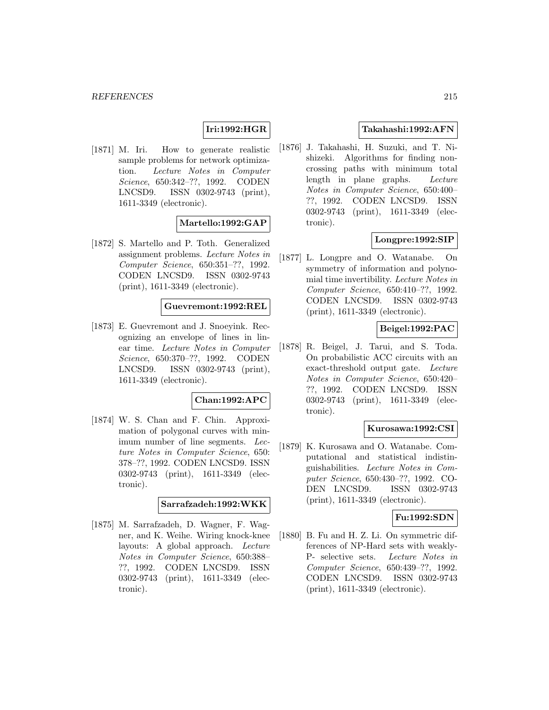# **Iri:1992:HGR**

[1871] M. Iri. How to generate realistic sample problems for network optimization. Lecture Notes in Computer Science, 650:342–??, 1992. CODEN LNCSD9. ISSN 0302-9743 (print), 1611-3349 (electronic).

# **Martello:1992:GAP**

[1872] S. Martello and P. Toth. Generalized assignment problems. Lecture Notes in Computer Science, 650:351–??, 1992. CODEN LNCSD9. ISSN 0302-9743 (print), 1611-3349 (electronic).

#### **Guevremont:1992:REL**

[1873] E. Guevremont and J. Snoeyink. Recognizing an envelope of lines in linear time. Lecture Notes in Computer Science, 650:370–??, 1992. CODEN LNCSD9. ISSN 0302-9743 (print), 1611-3349 (electronic).

## **Chan:1992:APC**

[1874] W. S. Chan and F. Chin. Approximation of polygonal curves with minimum number of line segments. Lecture Notes in Computer Science, 650: 378–??, 1992. CODEN LNCSD9. ISSN 0302-9743 (print), 1611-3349 (electronic).

### **Sarrafzadeh:1992:WKK**

[1875] M. Sarrafzadeh, D. Wagner, F. Wagner, and K. Weihe. Wiring knock-knee layouts: A global approach. Lecture Notes in Computer Science, 650:388– ??, 1992. CODEN LNCSD9. ISSN 0302-9743 (print), 1611-3349 (electronic).

## **Takahashi:1992:AFN**

[1876] J. Takahashi, H. Suzuki, and T. Nishizeki. Algorithms for finding noncrossing paths with minimum total length in plane graphs. Lecture Notes in Computer Science, 650:400– ??, 1992. CODEN LNCSD9. ISSN 0302-9743 (print), 1611-3349 (electronic).

# **Longpre:1992:SIP**

[1877] L. Longpre and O. Watanabe. On symmetry of information and polynomial time invertibility. Lecture Notes in Computer Science, 650:410–??, 1992. CODEN LNCSD9. ISSN 0302-9743 (print), 1611-3349 (electronic).

#### **Beigel:1992:PAC**

[1878] R. Beigel, J. Tarui, and S. Toda. On probabilistic ACC circuits with an exact-threshold output gate. Lecture Notes in Computer Science, 650:420– ??, 1992. CODEN LNCSD9. ISSN 0302-9743 (print), 1611-3349 (electronic).

#### **Kurosawa:1992:CSI**

[1879] K. Kurosawa and O. Watanabe. Computational and statistical indistinguishabilities. Lecture Notes in Computer Science, 650:430–??, 1992. CO-DEN LNCSD9. ISSN 0302-9743 (print), 1611-3349 (electronic).

## **Fu:1992:SDN**

[1880] B. Fu and H. Z. Li. On symmetric differences of NP-Hard sets with weakly-P- selective sets. Lecture Notes in Computer Science, 650:439–??, 1992. CODEN LNCSD9. ISSN 0302-9743 (print), 1611-3349 (electronic).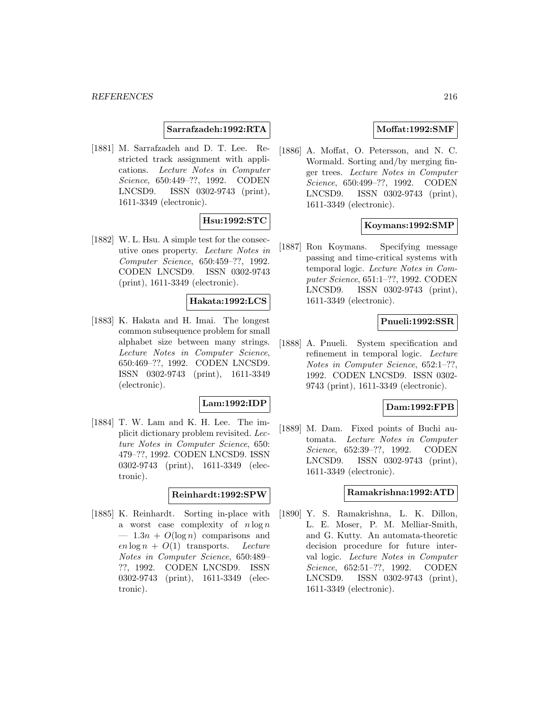### **Sarrafzadeh:1992:RTA**

[1881] M. Sarrafzadeh and D. T. Lee. Restricted track assignment with applications. Lecture Notes in Computer Science, 650:449–??, 1992. CODEN LNCSD9. ISSN 0302-9743 (print), 1611-3349 (electronic).

# **Hsu:1992:STC**

[1882] W. L. Hsu. A simple test for the consecutive ones property. Lecture Notes in Computer Science, 650:459–??, 1992. CODEN LNCSD9. ISSN 0302-9743 (print), 1611-3349 (electronic).

#### **Hakata:1992:LCS**

[1883] K. Hakata and H. Imai. The longest common subsequence problem for small alphabet size between many strings. Lecture Notes in Computer Science, 650:469–??, 1992. CODEN LNCSD9. ISSN 0302-9743 (print), 1611-3349 (electronic).

### **Lam:1992:IDP**

[1884] T. W. Lam and K. H. Lee. The implicit dictionary problem revisited. Lecture Notes in Computer Science, 650: 479–??, 1992. CODEN LNCSD9. ISSN 0302-9743 (print), 1611-3349 (electronic).

#### **Reinhardt:1992:SPW**

[1885] K. Reinhardt. Sorting in-place with a worst case complexity of  $n \log n$  $-1.3n + O(\log n)$  comparisons and  $\epsilon n \log n + O(1)$  transports. Lecture Notes in Computer Science, 650:489– ??, 1992. CODEN LNCSD9. ISSN 0302-9743 (print), 1611-3349 (electronic).

## **Moffat:1992:SMF**

[1886] A. Moffat, O. Petersson, and N. C. Wormald. Sorting and/by merging finger trees. Lecture Notes in Computer Science, 650:499–??, 1992. CODEN LNCSD9. ISSN 0302-9743 (print), 1611-3349 (electronic).

### **Koymans:1992:SMP**

[1887] Ron Koymans. Specifying message passing and time-critical systems with temporal logic. Lecture Notes in Computer Science, 651:1–??, 1992. CODEN LNCSD9. ISSN 0302-9743 (print), 1611-3349 (electronic).

#### **Pnueli:1992:SSR**

[1888] A. Pnueli. System specification and refinement in temporal logic. Lecture Notes in Computer Science, 652:1–??, 1992. CODEN LNCSD9. ISSN 0302- 9743 (print), 1611-3349 (electronic).

## **Dam:1992:FPB**

[1889] M. Dam. Fixed points of Buchi automata. Lecture Notes in Computer Science, 652:39–??, 1992. CODEN LNCSD9. ISSN 0302-9743 (print), 1611-3349 (electronic).

# **Ramakrishna:1992:ATD**

[1890] Y. S. Ramakrishna, L. K. Dillon, L. E. Moser, P. M. Melliar-Smith, and G. Kutty. An automata-theoretic decision procedure for future interval logic. Lecture Notes in Computer Science, 652:51–??, 1992. CODEN LNCSD9. ISSN 0302-9743 (print), 1611-3349 (electronic).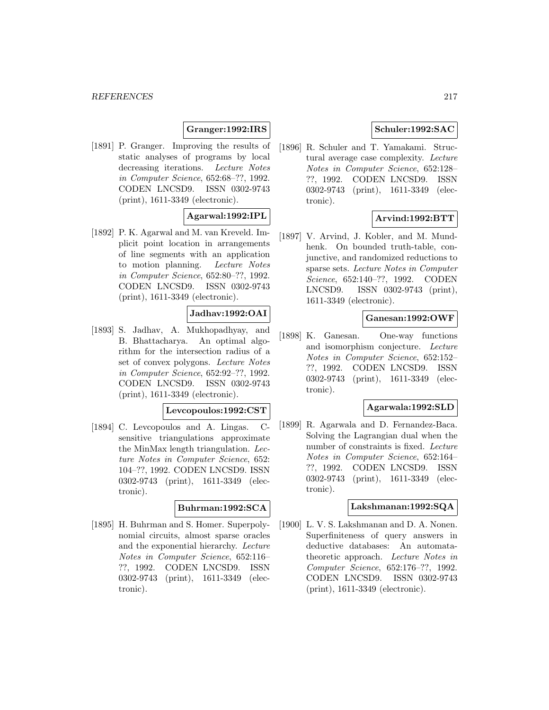# **Granger:1992:IRS**

[1891] P. Granger. Improving the results of static analyses of programs by local decreasing iterations. Lecture Notes in Computer Science, 652:68–??, 1992. CODEN LNCSD9. ISSN 0302-9743 (print), 1611-3349 (electronic).

# **Agarwal:1992:IPL**

[1892] P. K. Agarwal and M. van Kreveld. Implicit point location in arrangements of line segments with an application to motion planning. Lecture Notes in Computer Science, 652:80–??, 1992. CODEN LNCSD9. ISSN 0302-9743 (print), 1611-3349 (electronic).

# **Jadhav:1992:OAI**

[1893] S. Jadhav, A. Mukhopadhyay, and B. Bhattacharya. An optimal algorithm for the intersection radius of a set of convex polygons. Lecture Notes in Computer Science, 652:92–??, 1992. CODEN LNCSD9. ISSN 0302-9743 (print), 1611-3349 (electronic).

# **Levcopoulos:1992:CST**

[1894] C. Levcopoulos and A. Lingas. Csensitive triangulations approximate the MinMax length triangulation. Lecture Notes in Computer Science, 652: 104–??, 1992. CODEN LNCSD9. ISSN 0302-9743 (print), 1611-3349 (electronic).

#### **Buhrman:1992:SCA**

[1895] H. Buhrman and S. Homer. Superpolynomial circuits, almost sparse oracles and the exponential hierarchy. Lecture Notes in Computer Science, 652:116– ??, 1992. CODEN LNCSD9. ISSN 0302-9743 (print), 1611-3349 (electronic).

# **Schuler:1992:SAC**

[1896] R. Schuler and T. Yamakami. Structural average case complexity. Lecture Notes in Computer Science, 652:128– ??, 1992. CODEN LNCSD9. ISSN 0302-9743 (print), 1611-3349 (electronic).

# **Arvind:1992:BTT**

[1897] V. Arvind, J. Kobler, and M. Mundhenk. On bounded truth-table, conjunctive, and randomized reductions to sparse sets. Lecture Notes in Computer Science, 652:140–??, 1992. CODEN LNCSD9. ISSN 0302-9743 (print), 1611-3349 (electronic).

### **Ganesan:1992:OWF**

[1898] K. Ganesan. One-way functions and isomorphism conjecture. Lecture Notes in Computer Science, 652:152– ??, 1992. CODEN LNCSD9. ISSN 0302-9743 (print), 1611-3349 (electronic).

# **Agarwala:1992:SLD**

[1899] R. Agarwala and D. Fernandez-Baca. Solving the Lagrangian dual when the number of constraints is fixed. Lecture Notes in Computer Science, 652:164– ??, 1992. CODEN LNCSD9. ISSN 0302-9743 (print), 1611-3349 (electronic).

## **Lakshmanan:1992:SQA**

[1900] L. V. S. Lakshmanan and D. A. Nonen. Superfiniteness of query answers in deductive databases: An automatatheoretic approach. Lecture Notes in Computer Science, 652:176–??, 1992. CODEN LNCSD9. ISSN 0302-9743 (print), 1611-3349 (electronic).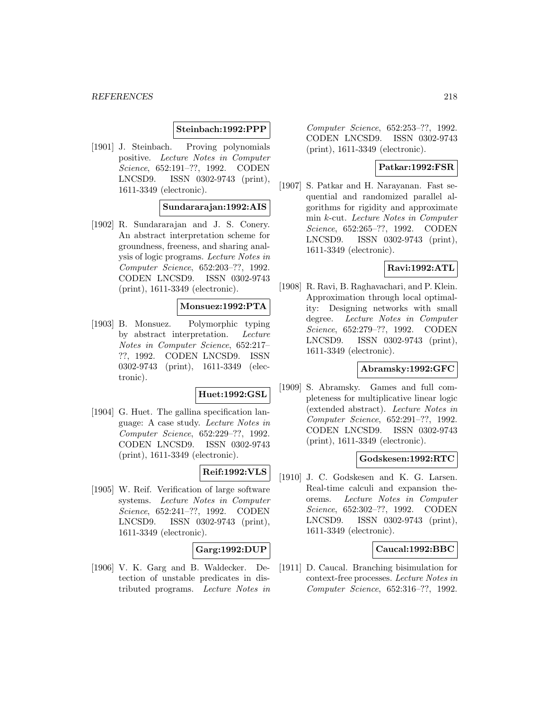# **Steinbach:1992:PPP**

[1901] J. Steinbach. Proving polynomials positive. Lecture Notes in Computer Science, 652:191–??, 1992. CODEN LNCSD9. ISSN 0302-9743 (print), 1611-3349 (electronic).

## **Sundararajan:1992:AIS**

[1902] R. Sundararajan and J. S. Conery. An abstract interpretation scheme for groundness, freeness, and sharing analysis of logic programs. Lecture Notes in Computer Science, 652:203–??, 1992. CODEN LNCSD9. ISSN 0302-9743 (print), 1611-3349 (electronic).

# **Monsuez:1992:PTA**

[1903] B. Monsuez. Polymorphic typing by abstract interpretation. Lecture Notes in Computer Science, 652:217– ??, 1992. CODEN LNCSD9. ISSN 0302-9743 (print), 1611-3349 (electronic).

# **Huet:1992:GSL**

[1904] G. Huet. The gallina specification language: A case study. Lecture Notes in Computer Science, 652:229–??, 1992. CODEN LNCSD9. ISSN 0302-9743 (print), 1611-3349 (electronic).

# **Reif:1992:VLS**

[1905] W. Reif. Verification of large software systems. Lecture Notes in Computer Science, 652:241–??, 1992. CODEN LNCSD9. ISSN 0302-9743 (print), 1611-3349 (electronic).

# **Garg:1992:DUP**

[1906] V. K. Garg and B. Waldecker. Detection of unstable predicates in distributed programs. Lecture Notes in

Computer Science, 652:253–??, 1992. CODEN LNCSD9. ISSN 0302-9743 (print), 1611-3349 (electronic).

## **Patkar:1992:FSR**

[1907] S. Patkar and H. Narayanan. Fast sequential and randomized parallel algorithms for rigidity and approximate min k-cut. Lecture Notes in Computer Science, 652:265–??, 1992. CODEN LNCSD9. ISSN 0302-9743 (print), 1611-3349 (electronic).

# **Ravi:1992:ATL**

[1908] R. Ravi, B. Raghavachari, and P. Klein. Approximation through local optimality: Designing networks with small degree. Lecture Notes in Computer Science, 652:279–??, 1992. CODEN LNCSD9. ISSN 0302-9743 (print), 1611-3349 (electronic).

### **Abramsky:1992:GFC**

[1909] S. Abramsky. Games and full completeness for multiplicative linear logic (extended abstract). Lecture Notes in Computer Science, 652:291–??, 1992. CODEN LNCSD9. ISSN 0302-9743 (print), 1611-3349 (electronic).

# **Godskesen:1992:RTC**

[1910] J. C. Godskesen and K. G. Larsen. Real-time calculi and expansion theorems. Lecture Notes in Computer Science, 652:302–??, 1992. CODEN LNCSD9. ISSN 0302-9743 (print), 1611-3349 (electronic).

#### **Caucal:1992:BBC**

[1911] D. Caucal. Branching bisimulation for context-free processes. Lecture Notes in Computer Science, 652:316–??, 1992.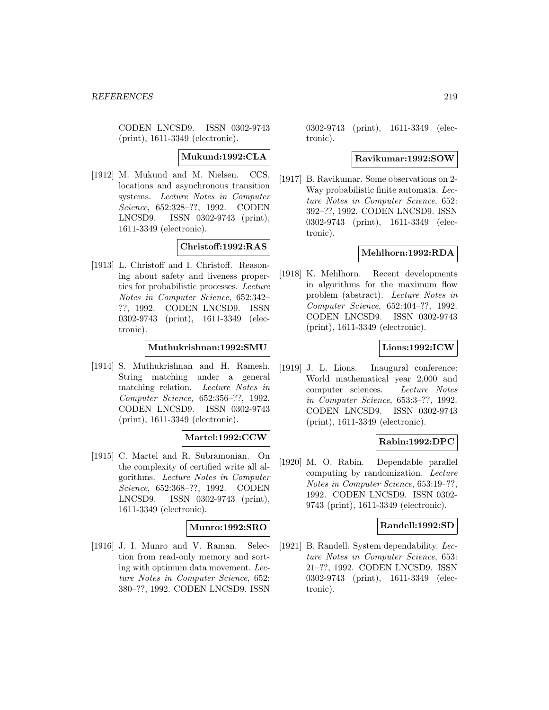CODEN LNCSD9. ISSN 0302-9743 (print), 1611-3349 (electronic).

### **Mukund:1992:CLA**

[1912] M. Mukund and M. Nielsen. CCS, locations and asynchronous transition systems. Lecture Notes in Computer Science, 652:328–??, 1992. CODEN LNCSD9. ISSN 0302-9743 (print), 1611-3349 (electronic).

# **Christoff:1992:RAS**

[1913] L. Christoff and I. Christoff. Reasoning about safety and liveness properties for probabilistic processes. Lecture Notes in Computer Science, 652:342– ??, 1992. CODEN LNCSD9. ISSN 0302-9743 (print), 1611-3349 (electronic).

### **Muthukrishnan:1992:SMU**

[1914] S. Muthukrishnan and H. Ramesh. String matching under a general matching relation. Lecture Notes in Computer Science, 652:356–??, 1992. CODEN LNCSD9. ISSN 0302-9743 (print), 1611-3349 (electronic).

#### **Martel:1992:CCW**

[1915] C. Martel and R. Subramonian. On the complexity of certified write all algorithms. Lecture Notes in Computer Science, 652:368–??, 1992. CODEN LNCSD9. ISSN 0302-9743 (print), 1611-3349 (electronic).

# **Munro:1992:SRO**

[1916] J. I. Munro and V. Raman. Selection from read-only memory and sorting with optimum data movement. Lecture Notes in Computer Science, 652: 380–??, 1992. CODEN LNCSD9. ISSN

0302-9743 (print), 1611-3349 (electronic).

#### **Ravikumar:1992:SOW**

[1917] B. Ravikumar. Some observations on 2- Way probabilistic finite automata. Lecture Notes in Computer Science, 652: 392–??, 1992. CODEN LNCSD9. ISSN 0302-9743 (print), 1611-3349 (electronic).

# **Mehlhorn:1992:RDA**

[1918] K. Mehlhorn. Recent developments in algorithms for the maximum flow problem (abstract). Lecture Notes in Computer Science, 652:404–??, 1992. CODEN LNCSD9. ISSN 0302-9743 (print), 1611-3349 (electronic).

# **Lions:1992:ICW**

[1919] J. L. Lions. Inaugural conference: World mathematical year 2,000 and computer sciences. Lecture Notes in Computer Science, 653:3–??, 1992. CODEN LNCSD9. ISSN 0302-9743 (print), 1611-3349 (electronic).

# **Rabin:1992:DPC**

[1920] M. O. Rabin. Dependable parallel computing by randomization. Lecture Notes in Computer Science, 653:19–??, 1992. CODEN LNCSD9. ISSN 0302- 9743 (print), 1611-3349 (electronic).

### **Randell:1992:SD**

[1921] B. Randell. System dependability. Lecture Notes in Computer Science, 653: 21–??, 1992. CODEN LNCSD9. ISSN 0302-9743 (print), 1611-3349 (electronic).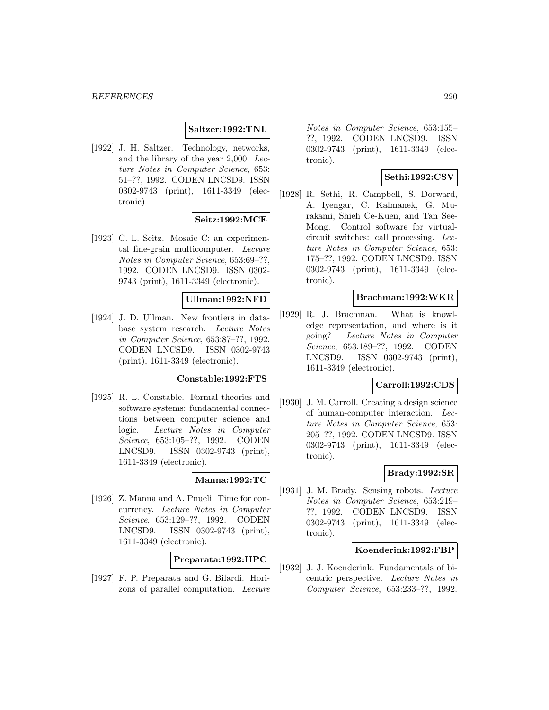## **Saltzer:1992:TNL**

[1922] J. H. Saltzer. Technology, networks, and the library of the year 2,000. Lecture Notes in Computer Science, 653: 51–??, 1992. CODEN LNCSD9. ISSN 0302-9743 (print), 1611-3349 (electronic).

### **Seitz:1992:MCE**

[1923] C. L. Seitz. Mosaic C: an experimental fine-grain multicomputer. Lecture Notes in Computer Science, 653:69–??, 1992. CODEN LNCSD9. ISSN 0302- 9743 (print), 1611-3349 (electronic).

#### **Ullman:1992:NFD**

[1924] J. D. Ullman. New frontiers in database system research. Lecture Notes in Computer Science, 653:87–??, 1992. CODEN LNCSD9. ISSN 0302-9743 (print), 1611-3349 (electronic).

## **Constable:1992:FTS**

[1925] R. L. Constable. Formal theories and software systems: fundamental connections between computer science and logic. Lecture Notes in Computer Science, 653:105–??, 1992. CODEN LNCSD9. ISSN 0302-9743 (print), 1611-3349 (electronic).

#### **Manna:1992:TC**

[1926] Z. Manna and A. Pnueli. Time for concurrency. Lecture Notes in Computer Science, 653:129–??, 1992. CODEN LNCSD9. ISSN 0302-9743 (print), 1611-3349 (electronic).

# **Preparata:1992:HPC**

[1927] F. P. Preparata and G. Bilardi. Horizons of parallel computation. Lecture

Notes in Computer Science, 653:155– ??, 1992. CODEN LNCSD9. ISSN 0302-9743 (print), 1611-3349 (electronic).

# **Sethi:1992:CSV**

[1928] R. Sethi, R. Campbell, S. Dorward, A. Iyengar, C. Kalmanek, G. Murakami, Shieh Ce-Kuen, and Tan See-Mong. Control software for virtualcircuit switches: call processing. Lecture Notes in Computer Science, 653: 175–??, 1992. CODEN LNCSD9. ISSN 0302-9743 (print), 1611-3349 (electronic).

# **Brachman:1992:WKR**

[1929] R. J. Brachman. What is knowledge representation, and where is it going? Lecture Notes in Computer Science, 653:189–??, 1992. CODEN LNCSD9. ISSN 0302-9743 (print), 1611-3349 (electronic).

## **Carroll:1992:CDS**

[1930] J. M. Carroll. Creating a design science of human-computer interaction. Lecture Notes in Computer Science, 653: 205–??, 1992. CODEN LNCSD9. ISSN 0302-9743 (print), 1611-3349 (electronic).

# **Brady:1992:SR**

[1931] J. M. Brady. Sensing robots. Lecture Notes in Computer Science, 653:219– ??, 1992. CODEN LNCSD9. ISSN 0302-9743 (print), 1611-3349 (electronic).

#### **Koenderink:1992:FBP**

[1932] J. J. Koenderink. Fundamentals of bicentric perspective. Lecture Notes in Computer Science, 653:233–??, 1992.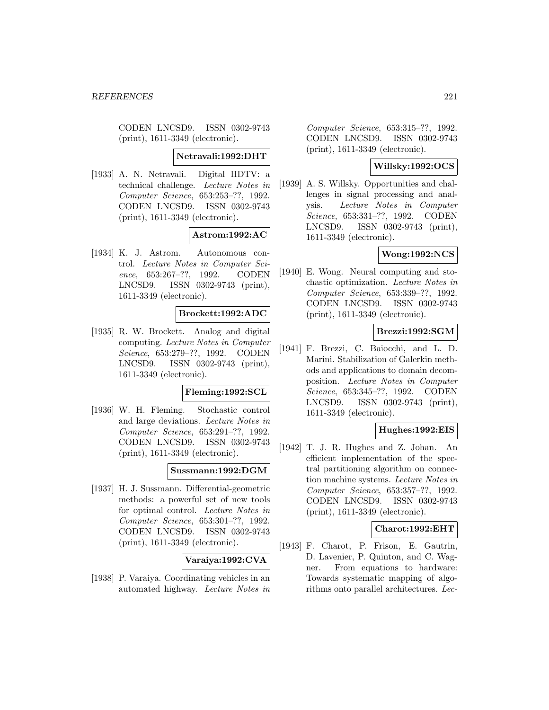CODEN LNCSD9. ISSN 0302-9743 (print), 1611-3349 (electronic).

#### **Netravali:1992:DHT**

[1933] A. N. Netravali. Digital HDTV: a technical challenge. Lecture Notes in Computer Science, 653:253–??, 1992. CODEN LNCSD9. ISSN 0302-9743 (print), 1611-3349 (electronic).

#### **Astrom:1992:AC**

[1934] K. J. Astrom. Autonomous control. Lecture Notes in Computer Science, 653:267–??, 1992. CODEN LNCSD9. ISSN 0302-9743 (print), 1611-3349 (electronic).

# **Brockett:1992:ADC**

[1935] R. W. Brockett. Analog and digital computing. Lecture Notes in Computer Science, 653:279–??, 1992. CODEN LNCSD9. ISSN 0302-9743 (print), 1611-3349 (electronic).

#### **Fleming:1992:SCL**

[1936] W. H. Fleming. Stochastic control and large deviations. Lecture Notes in Computer Science, 653:291–??, 1992. CODEN LNCSD9. ISSN 0302-9743 (print), 1611-3349 (electronic).

# **Sussmann:1992:DGM**

[1937] H. J. Sussmann. Differential-geometric methods: a powerful set of new tools for optimal control. Lecture Notes in Computer Science, 653:301–??, 1992. CODEN LNCSD9. ISSN 0302-9743 (print), 1611-3349 (electronic).

#### **Varaiya:1992:CVA**

[1938] P. Varaiya. Coordinating vehicles in an automated highway. Lecture Notes in

Computer Science, 653:315–??, 1992. CODEN LNCSD9. ISSN 0302-9743 (print), 1611-3349 (electronic).

# **Willsky:1992:OCS**

[1939] A. S. Willsky. Opportunities and challenges in signal processing and analysis. Lecture Notes in Computer Science, 653:331–??, 1992. CODEN LNCSD9. ISSN 0302-9743 (print), 1611-3349 (electronic).

# **Wong:1992:NCS**

[1940] E. Wong. Neural computing and stochastic optimization. Lecture Notes in Computer Science, 653:339–??, 1992. CODEN LNCSD9. ISSN 0302-9743 (print), 1611-3349 (electronic).

# **Brezzi:1992:SGM**

[1941] F. Brezzi, C. Baiocchi, and L. D. Marini. Stabilization of Galerkin methods and applications to domain decomposition. Lecture Notes in Computer Science, 653:345–??, 1992. CODEN LNCSD9. ISSN 0302-9743 (print), 1611-3349 (electronic).

# **Hughes:1992:EIS**

[1942] T. J. R. Hughes and Z. Johan. An efficient implementation of the spectral partitioning algorithm on connection machine systems. Lecture Notes in Computer Science, 653:357–??, 1992. CODEN LNCSD9. ISSN 0302-9743 (print), 1611-3349 (electronic).

# **Charot:1992:EHT**

[1943] F. Charot, P. Frison, E. Gautrin, D. Lavenier, P. Quinton, and C. Wagner. From equations to hardware: Towards systematic mapping of algorithms onto parallel architectures. Lec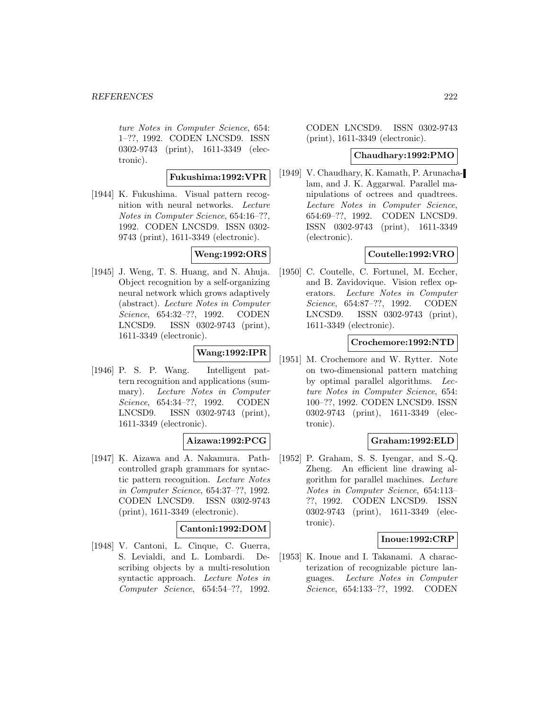ture Notes in Computer Science, 654: 1–??, 1992. CODEN LNCSD9. ISSN 0302-9743 (print), 1611-3349 (electronic).

# **Fukushima:1992:VPR**

[1944] K. Fukushima. Visual pattern recognition with neural networks. Lecture Notes in Computer Science, 654:16–??, 1992. CODEN LNCSD9. ISSN 0302- 9743 (print), 1611-3349 (electronic).

# **Weng:1992:ORS**

[1945] J. Weng, T. S. Huang, and N. Ahuja. Object recognition by a self-organizing neural network which grows adaptively (abstract). Lecture Notes in Computer Science, 654:32–??, 1992. CODEN LNCSD9. ISSN 0302-9743 (print), 1611-3349 (electronic).

# **Wang:1992:IPR**

[1946] P. S. P. Wang. Intelligent pattern recognition and applications (summary). Lecture Notes in Computer Science, 654:34–??, 1992. CODEN LNCSD9. ISSN 0302-9743 (print), 1611-3349 (electronic).

# **Aizawa:1992:PCG**

[1947] K. Aizawa and A. Nakamura. Pathcontrolled graph grammars for syntactic pattern recognition. Lecture Notes in Computer Science, 654:37–??, 1992. CODEN LNCSD9. ISSN 0302-9743 (print), 1611-3349 (electronic).

# **Cantoni:1992:DOM**

[1948] V. Cantoni, L. Cinque, C. Guerra, S. Levialdi, and L. Lombardi. Describing objects by a multi-resolution syntactic approach. Lecture Notes in Computer Science, 654:54–??, 1992.

CODEN LNCSD9. ISSN 0302-9743 (print), 1611-3349 (electronic).

## **Chaudhary:1992:PMO**

[1949] V. Chaudhary, K. Kamath, P. Arunachalam, and J. K. Aggarwal. Parallel manipulations of octrees and quadtrees. Lecture Notes in Computer Science, 654:69–??, 1992. CODEN LNCSD9. ISSN 0302-9743 (print), 1611-3349 (electronic).

# **Coutelle:1992:VRO**

[1950] C. Coutelle, C. Fortunel, M. Eccher, and B. Zavidovique. Vision reflex operators. Lecture Notes in Computer Science, 654:87–??, 1992. CODEN LNCSD9. ISSN 0302-9743 (print), 1611-3349 (electronic).

### **Crochemore:1992:NTD**

[1951] M. Crochemore and W. Rytter. Note on two-dimensional pattern matching by optimal parallel algorithms. Lecture Notes in Computer Science, 654: 100–??, 1992. CODEN LNCSD9. ISSN 0302-9743 (print), 1611-3349 (electronic).

# **Graham:1992:ELD**

[1952] P. Graham, S. S. Iyengar, and S.-Q. Zheng. An efficient line drawing algorithm for parallel machines. Lecture Notes in Computer Science, 654:113– ??, 1992. CODEN LNCSD9. ISSN 0302-9743 (print), 1611-3349 (electronic).

# **Inoue:1992:CRP**

[1953] K. Inoue and I. Takanami. A characterization of recognizable picture languages. Lecture Notes in Computer Science, 654:133–??, 1992. CODEN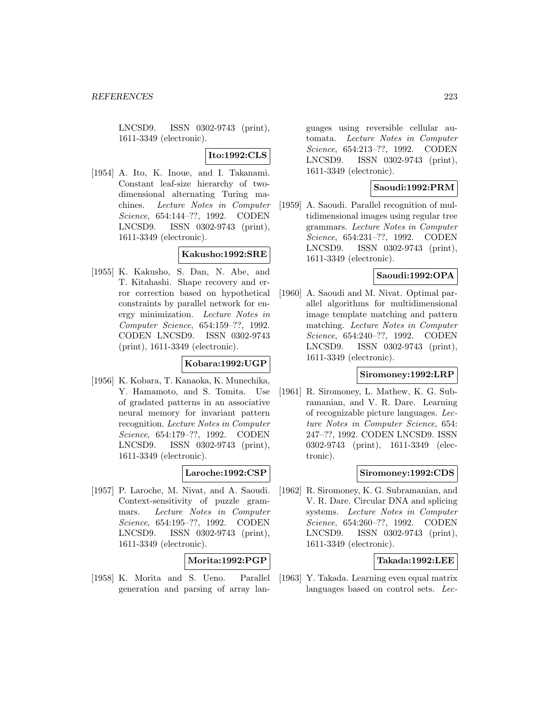LNCSD9. ISSN 0302-9743 (print), 1611-3349 (electronic).

# **Ito:1992:CLS**

[1954] A. Ito, K. Inoue, and I. Takanami. Constant leaf-size hierarchy of twodimensional alternating Turing machines. Lecture Notes in Computer Science, 654:144–??, 1992. CODEN LNCSD9. ISSN 0302-9743 (print), 1611-3349 (electronic).

## **Kakusho:1992:SRE**

[1955] K. Kakusho, S. Dan, N. Abe, and T. Kitahashi. Shape recovery and error correction based on hypothetical constraints by parallel network for energy minimization. Lecture Notes in Computer Science, 654:159–??, 1992. CODEN LNCSD9. ISSN 0302-9743 (print), 1611-3349 (electronic).

#### **Kobara:1992:UGP**

[1956] K. Kobara, T. Kanaoka, K. Munechika, Y. Hamamoto, and S. Tomita. Use of gradated patterns in an associative neural memory for invariant pattern recognition. Lecture Notes in Computer Science, 654:179–??, 1992. CODEN LNCSD9. ISSN 0302-9743 (print), 1611-3349 (electronic).

#### **Laroche:1992:CSP**

[1957] P. Laroche, M. Nivat, and A. Saoudi. Context-sensitivity of puzzle grammars. Lecture Notes in Computer Science, 654:195–??, 1992. CODEN LNCSD9. ISSN 0302-9743 (print), 1611-3349 (electronic).

# **Morita:1992:PGP**

[1958] K. Morita and S. Ueno. Parallel generation and parsing of array lan-

guages using reversible cellular automata. Lecture Notes in Computer Science, 654:213–??, 1992. CODEN LNCSD9. ISSN 0302-9743 (print), 1611-3349 (electronic).

# **Saoudi:1992:PRM**

[1959] A. Saoudi. Parallel recognition of multidimensional images using regular tree grammars. Lecture Notes in Computer Science, 654:231–??, 1992. CODEN LNCSD9. ISSN 0302-9743 (print), 1611-3349 (electronic).

# **Saoudi:1992:OPA**

[1960] A. Saoudi and M. Nivat. Optimal parallel algorithms for multidimensional image template matching and pattern matching. Lecture Notes in Computer Science, 654:240–??, 1992. CODEN LNCSD9. ISSN 0302-9743 (print), 1611-3349 (electronic).

## **Siromoney:1992:LRP**

[1961] R. Siromoney, L. Mathew, K. G. Subramanian, and V. R. Dare. Learning of recognizable picture languages. Lecture Notes in Computer Science, 654: 247–??, 1992. CODEN LNCSD9. ISSN 0302-9743 (print), 1611-3349 (electronic).

## **Siromoney:1992:CDS**

[1962] R. Siromoney, K. G. Subramanian, and V. R. Dare. Circular DNA and splicing systems. Lecture Notes in Computer Science, 654:260–??, 1992. CODEN LNCSD9. ISSN 0302-9743 (print), 1611-3349 (electronic).

## **Takada:1992:LEE**

[1963] Y. Takada. Learning even equal matrix languages based on control sets. Lec-